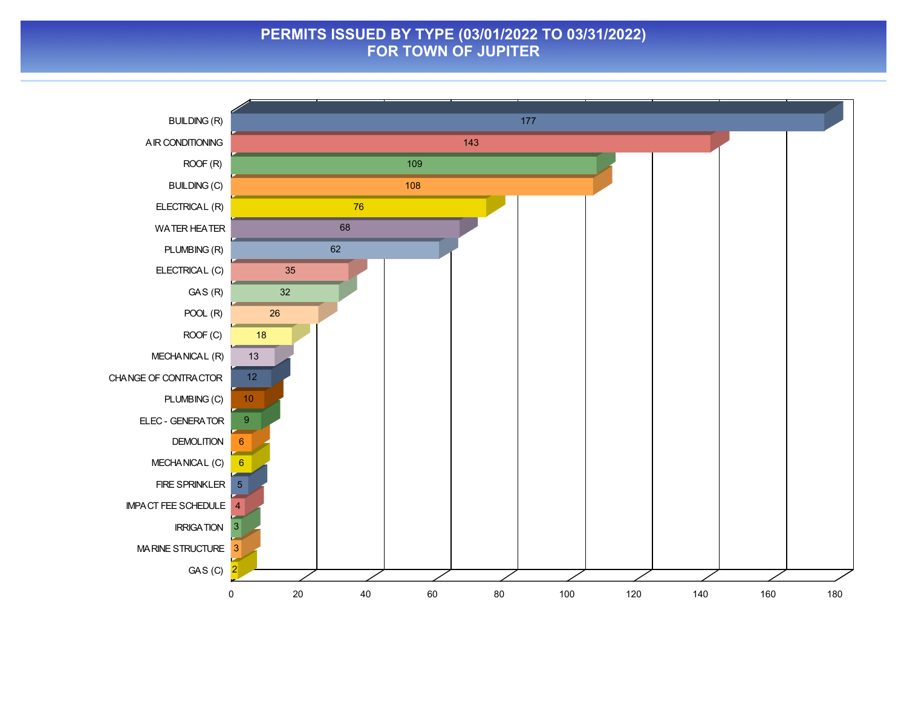### **PERMITS ISSUED BY TYPE (03/01/2022 TO 03/31/2022) FOR TOWN OF JUPITER**

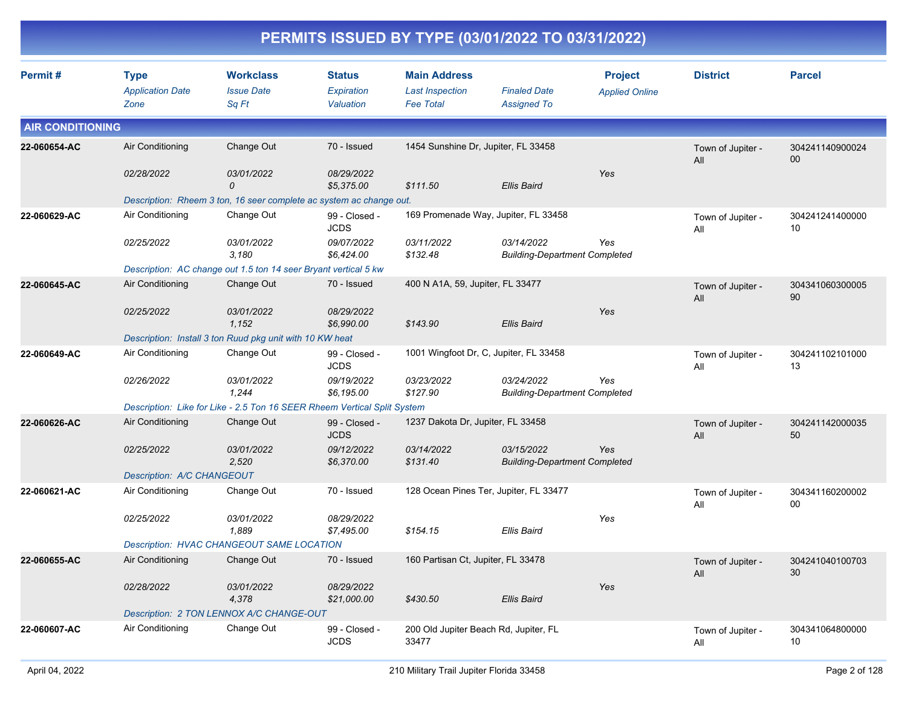|                         |                                                              |                                                                                                               |                                                          |                                                                   | PERMITS ISSUED BY TYPE (03/01/2022 TO 03/31/2022)                                            |                                         |                          |                           |
|-------------------------|--------------------------------------------------------------|---------------------------------------------------------------------------------------------------------------|----------------------------------------------------------|-------------------------------------------------------------------|----------------------------------------------------------------------------------------------|-----------------------------------------|--------------------------|---------------------------|
| Permit#                 | <b>Type</b><br><b>Application Date</b><br>Zone               | <b>Workclass</b><br><b>Issue Date</b><br>Sq Ft                                                                | <b>Status</b><br>Expiration<br>Valuation                 | <b>Main Address</b><br><b>Last Inspection</b><br><b>Fee Total</b> | <b>Finaled Date</b><br><b>Assigned To</b>                                                    | <b>Project</b><br><b>Applied Online</b> | <b>District</b>          | <b>Parcel</b>             |
| <b>AIR CONDITIONING</b> |                                                              |                                                                                                               |                                                          |                                                                   |                                                                                              |                                         |                          |                           |
| 22-060654-AC            | Air Conditioning<br>02/28/2022                               | Change Out<br>03/01/2022<br>0<br>Description: Rheem 3 ton, 16 seer complete ac system ac change out.          | 70 - Issued<br>08/29/2022<br>\$5,375.00                  | 1454 Sunshine Dr, Jupiter, FL 33458<br>\$111.50                   | Ellis Baird                                                                                  | Yes                                     | Town of Jupiter -<br>All | 304241140900024<br>$00\,$ |
| 22-060629-AC            | Air Conditioning<br>02/25/2022                               | Change Out<br>03/01/2022<br>3,180<br>Description: AC change out 1.5 ton 14 seer Bryant vertical 5 kw          | 99 - Closed -<br><b>JCDS</b><br>09/07/2022<br>\$6,424.00 | 03/11/2022<br>\$132.48                                            | 169 Promenade Way, Jupiter, FL 33458<br>03/14/2022<br><b>Building-Department Completed</b>   | Yes                                     | Town of Jupiter -<br>ΑIΙ | 304241241400000<br>10     |
| 22-060645-AC            | Air Conditioning<br>02/25/2022                               | Change Out<br>03/01/2022<br>1,152<br>Description: Install 3 ton Ruud pkg unit with 10 KW heat                 | 70 - Issued<br>08/29/2022<br>\$6,990.00                  | 400 N A1A, 59, Jupiter, FL 33477<br>\$143.90                      | <b>Ellis Baird</b>                                                                           | Yes                                     | Town of Jupiter -<br>All | 304341060300005<br>90     |
| 22-060649-AC            | Air Conditioning<br>02/26/2022                               | Change Out<br>03/01/2022<br>1,244<br>Description: Like for Like - 2.5 Ton 16 SEER Rheem Vertical Split System | 99 - Closed -<br><b>JCDS</b><br>09/19/2022<br>\$6,195.00 | 03/23/2022<br>\$127.90                                            | 1001 Wingfoot Dr, C, Jupiter, FL 33458<br>03/24/2022<br><b>Building-Department Completed</b> | Yes                                     | Town of Jupiter -<br>ΑIΙ | 304241102101000<br>13     |
| 22-060626-AC            | Air Conditioning<br>02/25/2022<br>Description: A/C CHANGEOUT | Change Out<br>03/01/2022<br>2,520                                                                             | 99 - Closed -<br><b>JCDS</b><br>09/12/2022<br>\$6,370.00 | 1237 Dakota Dr, Jupiter, FL 33458<br>03/14/2022<br>\$131.40       | 03/15/2022<br><b>Building-Department Completed</b>                                           | Yes                                     | Town of Jupiter -<br>All | 304241142000035<br>50     |
| 22-060621-AC            | Air Conditioning<br>02/25/2022                               | Change Out<br>03/01/2022<br>1,889<br>Description: HVAC CHANGEOUT SAME LOCATION                                | 70 - Issued<br>08/29/2022<br>\$7,495.00                  | \$154.15                                                          | 128 Ocean Pines Ter, Jupiter, FL 33477<br><b>Ellis Baird</b>                                 | Yes                                     | Town of Jupiter -<br>All | 304341160200002<br>00     |
| 22-060655-AC            | Air Conditioning<br>02/28/2022                               | Change Out<br>03/01/2022<br>4,378<br>Description: 2 TON LENNOX A/C CHANGE-OUT                                 | 70 - Issued<br>08/29/2022<br>\$21,000.00                 | 160 Partisan Ct, Jupiter, FL 33478<br>\$430.50                    | <b>Ellis Baird</b>                                                                           | Yes                                     | Town of Jupiter -<br>All | 304241040100703<br>30     |
| 22-060607-AC            | Air Conditioning                                             | Change Out                                                                                                    | 99 - Closed -<br><b>JCDS</b>                             | 33477                                                             | 200 Old Jupiter Beach Rd, Jupiter, FL                                                        |                                         | Town of Jupiter -<br>ail | 304341064800000<br>10     |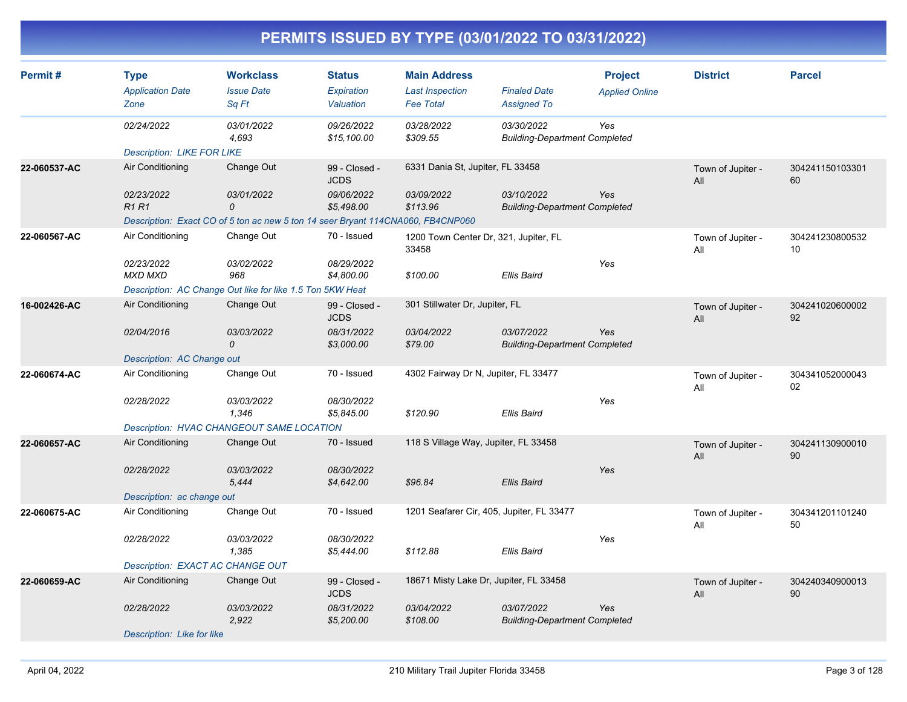| Permit#      | <b>Type</b><br><b>Application Date</b> | <b>Workclass</b><br><b>Issue Date</b>                                           | <b>Status</b><br>Expiration  | <b>Main Address</b><br><b>Last Inspection</b>  | <b>Finaled Date</b>                                       | <b>Project</b><br><b>Applied Online</b> | <b>District</b>          | <b>Parcel</b>         |
|--------------|----------------------------------------|---------------------------------------------------------------------------------|------------------------------|------------------------------------------------|-----------------------------------------------------------|-----------------------------------------|--------------------------|-----------------------|
|              | Zone                                   | Sq Ft                                                                           | Valuation                    | <b>Fee Total</b>                               | <b>Assigned To</b>                                        |                                         |                          |                       |
|              | 02/24/2022                             | <i>03/01/2022</i><br>4,693                                                      | 09/26/2022<br>\$15,100.00    | 03/28/2022<br>\$309.55                         | <i>03/30/2022</i><br><b>Building-Department Completed</b> | Yes                                     |                          |                       |
|              | <b>Description: LIKE FOR LIKE</b>      |                                                                                 |                              |                                                |                                                           |                                         |                          |                       |
| 22-060537-AC | Air Conditioning                       | Change Out                                                                      | 99 - Closed -<br><b>JCDS</b> | 6331 Dania St, Jupiter, FL 33458               |                                                           |                                         | Town of Jupiter -<br>All | 304241150103301<br>60 |
|              | 02/23/2022<br><b>R1R1</b>              | 03/01/2022<br>0                                                                 | 09/06/2022<br>\$5,498.00     | 03/09/2022<br>\$113.96                         | 03/10/2022<br><b>Building-Department Completed</b>        | Yes                                     |                          |                       |
|              |                                        | Description: Exact CO of 5 ton ac new 5 ton 14 seer Bryant 114CNA060, FB4CNP060 |                              |                                                |                                                           |                                         |                          |                       |
| 22-060567-AC | Air Conditioning                       | Change Out                                                                      | 70 - Issued                  | 1200 Town Center Dr, 321, Jupiter, FL<br>33458 |                                                           |                                         | Town of Jupiter -<br>All | 304241230800532<br>10 |
|              | 02/23/2022<br><b>MXD MXD</b>           | 03/02/2022<br>968                                                               | 08/29/2022<br>\$4,800.00     | \$100.00                                       | <b>Ellis Baird</b>                                        | Yes                                     |                          |                       |
|              |                                        | Description: AC Change Out like for like 1.5 Ton 5KW Heat                       |                              |                                                |                                                           |                                         |                          |                       |
| 16-002426-AC | Air Conditioning                       | Change Out                                                                      | 99 - Closed -<br><b>JCDS</b> | 301 Stillwater Dr, Jupiter, FL                 |                                                           |                                         | Town of Jupiter -<br>All | 304241020600002<br>92 |
|              | 02/04/2016                             | 03/03/2022<br>$\mathcal{O}$                                                     | 08/31/2022<br>\$3,000.00     | 03/04/2022<br>\$79.00                          | 03/07/2022<br><b>Building-Department Completed</b>        | Yes                                     |                          |                       |
|              | Description: AC Change out             |                                                                                 |                              |                                                |                                                           |                                         |                          |                       |
| 22-060674-AC | Air Conditioning                       | Change Out                                                                      | 70 - Issued                  | 4302 Fairway Dr N, Jupiter, FL 33477           |                                                           |                                         | Town of Jupiter -<br>All | 304341052000043<br>02 |
|              | 02/28/2022                             | 03/03/2022<br>1,346                                                             | 08/30/2022<br>\$5,845.00     | \$120.90                                       | <b>Ellis Baird</b>                                        | Yes                                     |                          |                       |
|              |                                        | Description: HVAC CHANGEOUT SAME LOCATION                                       |                              |                                                |                                                           |                                         |                          |                       |
| 22-060657-AC | Air Conditioning                       | Change Out                                                                      | 70 - Issued                  | 118 S Village Way, Jupiter, FL 33458           |                                                           |                                         | Town of Jupiter -<br>All | 304241130900010<br>90 |
|              | 02/28/2022                             | 03/03/2022<br>5,444                                                             | 08/30/2022<br>\$4,642.00     | \$96.84                                        | <b>Ellis Baird</b>                                        | Yes                                     |                          |                       |
|              | Description: ac change out             |                                                                                 |                              |                                                |                                                           |                                         |                          |                       |
| 22-060675-AC | Air Conditioning                       | Change Out                                                                      | 70 - Issued                  | 1201 Seafarer Cir, 405, Jupiter, FL 33477      |                                                           |                                         | Town of Jupiter -<br>All | 304341201101240<br>50 |
|              | 02/28/2022                             | <i>03/03/2022</i><br>1,385                                                      | 08/30/2022<br>\$5,444.00     | \$112.88                                       | <b>Ellis Baird</b>                                        | Yes                                     |                          |                       |
|              | Description: EXACT AC CHANGE OUT       |                                                                                 |                              |                                                |                                                           |                                         |                          |                       |
| 22-060659-AC | Air Conditioning                       | Change Out                                                                      | 99 - Closed -<br><b>JCDS</b> | 18671 Misty Lake Dr, Jupiter, FL 33458         |                                                           |                                         | Town of Jupiter -<br>All | 304240340900013<br>90 |
|              | 02/28/2022                             | 03/03/2022<br>2,922                                                             | 08/31/2022<br>\$5,200.00     | 03/04/2022<br>\$108.00                         | 03/07/2022<br><b>Building-Department Completed</b>        | Yes                                     |                          |                       |
|              | Description: Like for like             |                                                                                 |                              |                                                |                                                           |                                         |                          |                       |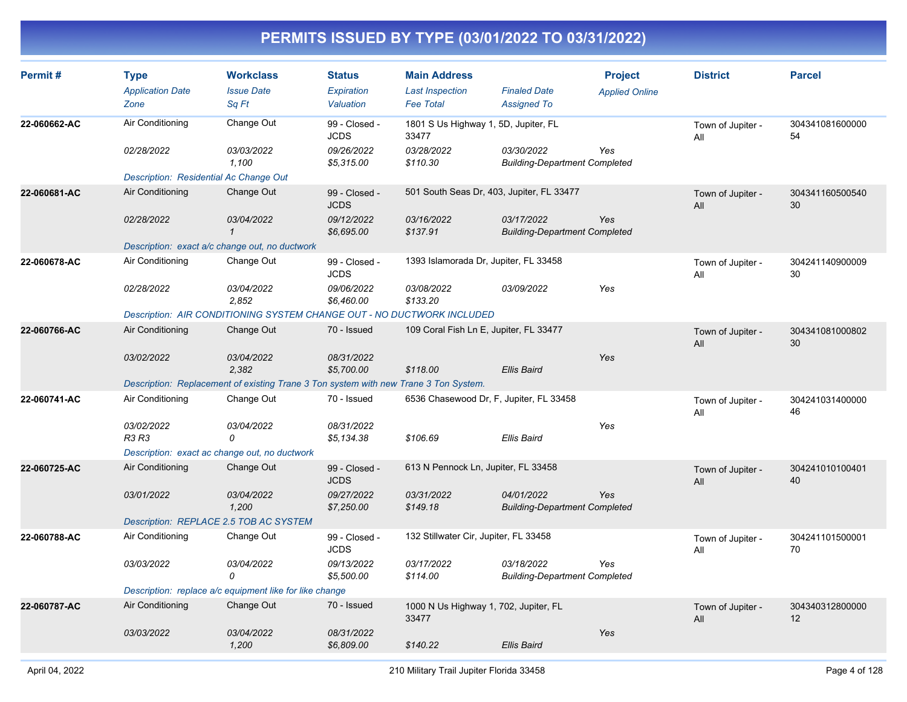| Permit#      | <b>Type</b><br><b>Application Date</b><br>Zone | <b>Workclass</b><br><b>Issue Date</b><br>Sq Ft                                       | <b>Status</b><br>Expiration<br>Valuation | <b>Main Address</b><br><b>Last Inspection</b><br><b>Fee Total</b> | <b>Finaled Date</b><br><b>Assigned To</b>          | <b>Project</b><br><b>Applied Online</b> | <b>District</b>          | <b>Parcel</b>         |
|--------------|------------------------------------------------|--------------------------------------------------------------------------------------|------------------------------------------|-------------------------------------------------------------------|----------------------------------------------------|-----------------------------------------|--------------------------|-----------------------|
| 22-060662-AC | Air Conditioning                               | Change Out                                                                           | 99 - Closed -<br><b>JCDS</b>             | 1801 S Us Highway 1, 5D, Jupiter, FL<br>33477                     |                                                    |                                         | Town of Jupiter -<br>All | 304341081600000<br>54 |
|              | 02/28/2022                                     | 03/03/2022<br>1.100                                                                  | 09/26/2022<br>\$5,315.00                 | 03/28/2022<br>\$110.30                                            | 03/30/2022<br><b>Building-Department Completed</b> | Yes                                     |                          |                       |
|              | Description: Residential Ac Change Out         |                                                                                      |                                          |                                                                   |                                                    |                                         |                          |                       |
| 22-060681-AC | Air Conditioning                               | Change Out                                                                           | 99 - Closed -<br><b>JCDS</b>             | 501 South Seas Dr, 403, Jupiter, FL 33477                         |                                                    |                                         | Town of Jupiter -<br>All | 304341160500540<br>30 |
|              | 02/28/2022                                     | <i>03/04/2022</i>                                                                    | 09/12/2022<br>\$6,695.00                 | 03/16/2022<br>\$137.91                                            | 03/17/2022<br><b>Building-Department Completed</b> | Yes                                     |                          |                       |
|              |                                                | Description: exact a/c change out, no ductwork                                       |                                          |                                                                   |                                                    |                                         |                          |                       |
| 22-060678-AC | Air Conditioning                               | Change Out                                                                           | 99 - Closed -<br><b>JCDS</b>             | 1393 Islamorada Dr, Jupiter, FL 33458                             |                                                    |                                         | Town of Jupiter -<br>All | 304241140900009<br>30 |
|              | 02/28/2022                                     | 03/04/2022<br>2,852                                                                  | 09/06/2022<br>\$6,460.00                 | 03/08/2022<br>\$133.20                                            | 03/09/2022                                         | Yes                                     |                          |                       |
|              |                                                | Description: AIR CONDITIONING SYSTEM CHANGE OUT - NO DUCTWORK INCLUDED               |                                          |                                                                   |                                                    |                                         |                          |                       |
| 22-060766-AC | Air Conditioning                               | Change Out                                                                           | 70 - Issued                              | 109 Coral Fish Ln E, Jupiter, FL 33477                            |                                                    |                                         | Town of Jupiter -<br>All | 304341081000802<br>30 |
|              | 03/02/2022                                     | 03/04/2022<br>2,382                                                                  | 08/31/2022<br>\$5,700.00                 | \$118.00                                                          | <b>Ellis Baird</b>                                 | Yes                                     |                          |                       |
|              |                                                | Description: Replacement of existing Trane 3 Ton system with new Trane 3 Ton System. |                                          |                                                                   |                                                    |                                         |                          |                       |
| 22-060741-AC | Air Conditioning                               | Change Out                                                                           | 70 - Issued                              | 6536 Chasewood Dr, F, Jupiter, FL 33458                           |                                                    |                                         | Town of Jupiter -<br>All | 304241031400000<br>46 |
|              | 03/02/2022<br>R3 R3                            | 03/04/2022<br>$\Omega$                                                               | 08/31/2022<br>\$5,134.38                 | \$106.69                                                          | Ellis Baird                                        | Yes                                     |                          |                       |
|              |                                                | Description: exact ac change out, no ductwork                                        |                                          |                                                                   |                                                    |                                         |                          |                       |
| 22-060725-AC | Air Conditioning                               | Change Out                                                                           | 99 - Closed -<br><b>JCDS</b>             | 613 N Pennock Ln, Jupiter, FL 33458                               |                                                    |                                         | Town of Jupiter -<br>All | 304241010100401<br>40 |
|              | 03/01/2022                                     | 03/04/2022<br>1,200                                                                  | 09/27/2022<br>\$7,250.00                 | 03/31/2022<br>\$149.18                                            | 04/01/2022<br><b>Building-Department Completed</b> | Yes                                     |                          |                       |
|              |                                                | Description: REPLACE 2.5 TOB AC SYSTEM                                               |                                          |                                                                   |                                                    |                                         |                          |                       |
| 22-060788-AC | Air Conditioning                               | Change Out                                                                           | 99 - Closed -<br><b>JCDS</b>             | 132 Stillwater Cir, Jupiter, FL 33458                             |                                                    |                                         | Town of Jupiter -<br>All | 304241101500001<br>70 |
|              | 03/03/2022                                     | 03/04/2022<br>0                                                                      | 09/13/2022<br>\$5,500.00                 | 03/17/2022<br>\$114.00                                            | 03/18/2022<br><b>Building-Department Completed</b> | Yes                                     |                          |                       |
|              |                                                | Description: replace a/c equipment like for like change                              |                                          |                                                                   |                                                    |                                         |                          |                       |
| 22-060787-AC | Air Conditioning                               | Change Out                                                                           | 70 - Issued                              | 1000 N Us Highway 1, 702, Jupiter, FL<br>33477                    |                                                    |                                         | Town of Jupiter -<br>All | 304340312800000<br>12 |
|              | 03/03/2022                                     | <i>03/04/2022</i><br>1,200                                                           | 08/31/2022<br>\$6,809.00                 | \$140.22                                                          | <b>Ellis Baird</b>                                 | Yes                                     |                          |                       |
|              |                                                |                                                                                      |                                          |                                                                   |                                                    |                                         |                          |                       |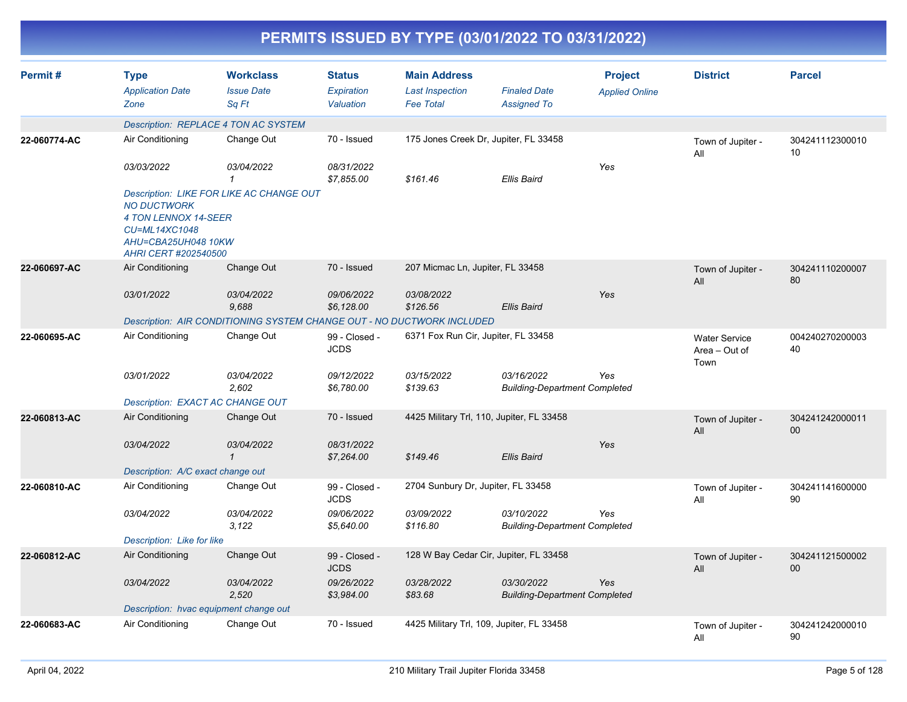|              |                                                                                                            |                                                                        |                                          |                                                                   | PERMITS ISSUED BY TYPE (03/01/2022 TO 03/31/2022)  |                                         |                                               |                       |
|--------------|------------------------------------------------------------------------------------------------------------|------------------------------------------------------------------------|------------------------------------------|-------------------------------------------------------------------|----------------------------------------------------|-----------------------------------------|-----------------------------------------------|-----------------------|
| Permit#      | <b>Type</b><br><b>Application Date</b><br>Zone                                                             | <b>Workclass</b><br><b>Issue Date</b><br>Sq Ft                         | <b>Status</b><br>Expiration<br>Valuation | <b>Main Address</b><br><b>Last Inspection</b><br><b>Fee Total</b> | <b>Finaled Date</b><br><b>Assigned To</b>          | <b>Project</b><br><b>Applied Online</b> | <b>District</b>                               | <b>Parcel</b>         |
|              |                                                                                                            | Description: REPLACE 4 TON AC SYSTEM                                   |                                          |                                                                   |                                                    |                                         |                                               |                       |
| 22-060774-AC | Air Conditioning                                                                                           | Change Out                                                             | 70 - Issued                              |                                                                   | 175 Jones Creek Dr, Jupiter, FL 33458              |                                         | Town of Jupiter -<br>All                      | 304241112300010<br>10 |
|              | 03/03/2022                                                                                                 | 03/04/2022<br>1                                                        | 08/31/2022<br>\$7,855.00                 | \$161.46                                                          | <b>Ellis Baird</b>                                 | Yes                                     |                                               |                       |
|              | <b>NO DUCTWORK</b><br>4 TON LENNOX 14-SEER<br>CU=ML14XC1048<br>AHU=CBA25UH048 10KW<br>AHRI CERT #202540500 | <b>Description: LIKE FOR LIKE AC CHANGE OUT</b>                        |                                          |                                                                   |                                                    |                                         |                                               |                       |
| 22-060697-AC | Air Conditioning                                                                                           | Change Out                                                             | 70 - Issued                              | 207 Micmac Ln, Jupiter, FL 33458                                  |                                                    |                                         | Town of Jupiter -<br>All                      | 304241110200007<br>80 |
|              | 03/01/2022                                                                                                 | 03/04/2022<br>9,688                                                    | 09/06/2022<br>\$6,128.00                 | 03/08/2022<br>\$126.56                                            | <b>Ellis Baird</b>                                 | Yes                                     |                                               |                       |
|              |                                                                                                            | Description: AIR CONDITIONING SYSTEM CHANGE OUT - NO DUCTWORK INCLUDED |                                          |                                                                   |                                                    |                                         |                                               |                       |
| 22-060695-AC | Air Conditioning                                                                                           | Change Out                                                             | 99 - Closed -<br><b>JCDS</b>             | 6371 Fox Run Cir, Jupiter, FL 33458                               |                                                    |                                         | <b>Water Service</b><br>Area - Out of<br>Town | 004240270200003<br>40 |
|              | 03/01/2022                                                                                                 | 03/04/2022<br>2,602                                                    | 09/12/2022<br>\$6,780.00                 | 03/15/2022<br>\$139.63                                            | 03/16/2022<br><b>Building-Department Completed</b> | Yes                                     |                                               |                       |
|              |                                                                                                            | Description: EXACT AC CHANGE OUT                                       |                                          |                                                                   |                                                    |                                         |                                               |                       |
| 22-060813-AC | Air Conditioning                                                                                           | Change Out                                                             | 70 - Issued                              |                                                                   | 4425 Military Trl, 110, Jupiter, FL 33458          |                                         | Town of Jupiter -<br>All                      | 304241242000011<br>00 |
|              | 03/04/2022                                                                                                 | 03/04/2022<br>$\mathcal I$                                             | 08/31/2022<br>\$7,264.00                 | \$149.46                                                          | <b>Ellis Baird</b>                                 | Yes                                     |                                               |                       |
|              | Description: A/C exact change out                                                                          |                                                                        |                                          |                                                                   |                                                    |                                         |                                               |                       |
| 22-060810-AC | Air Conditioning                                                                                           | Change Out                                                             | 99 - Closed -<br><b>JCDS</b>             | 2704 Sunbury Dr, Jupiter, FL 33458                                |                                                    |                                         | Town of Jupiter -<br>All                      | 304241141600000<br>90 |
|              | 03/04/2022                                                                                                 | 03/04/2022<br>3,122                                                    | 09/06/2022<br>\$5,640.00                 | 03/09/2022<br>\$116.80                                            | 03/10/2022<br><b>Building-Department Completed</b> | Yes                                     |                                               |                       |
|              | Description: Like for like                                                                                 |                                                                        |                                          |                                                                   |                                                    |                                         |                                               |                       |
| 22-060812-AC | Air Conditioning                                                                                           | Change Out                                                             | 99 - Closed -<br><b>JCDS</b>             |                                                                   | 128 W Bay Cedar Cir, Jupiter, FL 33458             |                                         | Town of Jupiter -<br>All                      | 304241121500002<br>00 |
|              | 03/04/2022                                                                                                 | 03/04/2022<br>2,520                                                    | 09/26/2022<br>\$3,984.00                 | 03/28/2022<br>\$83.68                                             | 03/30/2022<br><b>Building-Department Completed</b> | Yes                                     |                                               |                       |
|              |                                                                                                            | Description: hvac equipment change out                                 |                                          |                                                                   |                                                    |                                         |                                               |                       |
| 22-060683-AC | Air Conditioning                                                                                           | Change Out                                                             | 70 - Issued                              |                                                                   | 4425 Military Trl, 109, Jupiter, FL 33458          |                                         | Town of Jupiter -<br>All                      | 304241242000010<br>90 |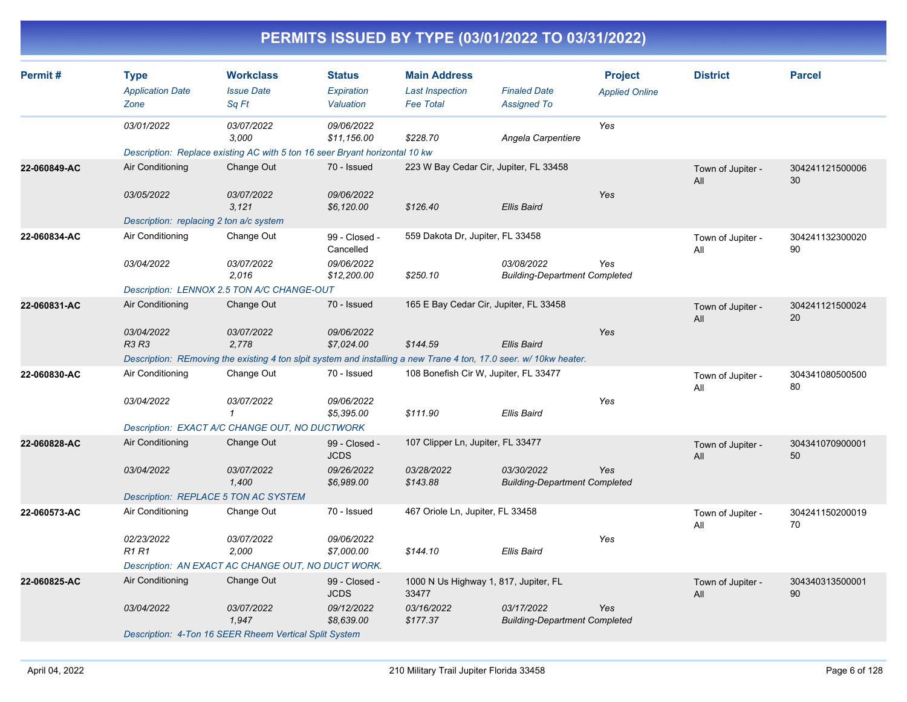| Permit#      | <b>Type</b>                             | <b>Workclass</b>                                                                                                  | <b>Status</b>                | <b>Main Address</b>                            |                                                    | <b>Project</b>        | <b>District</b>          | <b>Parcel</b>         |
|--------------|-----------------------------------------|-------------------------------------------------------------------------------------------------------------------|------------------------------|------------------------------------------------|----------------------------------------------------|-----------------------|--------------------------|-----------------------|
|              | <b>Application Date</b><br>Zone         | <b>Issue Date</b><br>Sa Ft                                                                                        | Expiration<br>Valuation      | <b>Last Inspection</b><br><b>Fee Total</b>     | <b>Finaled Date</b><br><b>Assigned To</b>          | <b>Applied Online</b> |                          |                       |
|              | 03/01/2022                              | 03/07/2022<br>3,000                                                                                               | 09/06/2022<br>\$11,156.00    | \$228.70                                       | Angela Carpentiere                                 | Yes                   |                          |                       |
|              |                                         | Description: Replace existing AC with 5 ton 16 seer Bryant horizontal 10 kw                                       |                              |                                                |                                                    |                       |                          |                       |
| 22-060849-AC | Air Conditioning                        | Change Out                                                                                                        | 70 - Issued                  | 223 W Bay Cedar Cir, Jupiter, FL 33458         |                                                    |                       | Town of Jupiter -<br>All | 304241121500006<br>30 |
|              | 03/05/2022                              | 03/07/2022<br>3,121                                                                                               | 09/06/2022<br>\$6,120.00     | \$126.40                                       | <b>Ellis Baird</b>                                 | Yes                   |                          |                       |
|              | Description: replacing 2 ton a/c system |                                                                                                                   |                              |                                                |                                                    |                       |                          |                       |
| 22-060834-AC | Air Conditioning                        | Change Out                                                                                                        | 99 - Closed -<br>Cancelled   | 559 Dakota Dr, Jupiter, FL 33458               |                                                    |                       | Town of Jupiter -<br>All | 304241132300020<br>90 |
|              | 03/04/2022                              | 03/07/2022<br>2.016                                                                                               | 09/06/2022<br>\$12,200.00    | \$250.10                                       | 03/08/2022<br><b>Building-Department Completed</b> | Yes                   |                          |                       |
|              |                                         | Description: LENNOX 2.5 TON A/C CHANGE-OUT                                                                        |                              |                                                |                                                    |                       |                          |                       |
| 22-060831-AC | Air Conditioning                        | Change Out                                                                                                        | 70 - Issued                  | 165 E Bay Cedar Cir, Jupiter, FL 33458         |                                                    |                       | Town of Jupiter -<br>All | 304241121500024<br>20 |
|              | 03/04/2022<br>R3 R3                     | 03/07/2022<br>2.778                                                                                               | 09/06/2022<br>\$7,024.00     | \$144.59                                       | Ellis Baird                                        | Yes                   |                          |                       |
|              |                                         | Description: REmoving the existing 4 ton slpit system and installing a new Trane 4 ton, 17.0 seer. w/10kw heater. |                              |                                                |                                                    |                       |                          |                       |
| 22-060830-AC | Air Conditioning                        | Change Out                                                                                                        | 70 - Issued                  | 108 Bonefish Cir W, Jupiter, FL 33477          |                                                    |                       | Town of Jupiter -<br>All | 304341080500500<br>80 |
|              | 03/04/2022                              | 03/07/2022<br>$\mathbf{1}$                                                                                        | 09/06/2022<br>\$5,395.00     | \$111.90                                       | <b>Ellis Baird</b>                                 | Yes                   |                          |                       |
|              |                                         | Description: EXACT A/C CHANGE OUT, NO DUCTWORK                                                                    |                              |                                                |                                                    |                       |                          |                       |
| 22-060828-AC | Air Conditioning                        | Change Out                                                                                                        | 99 - Closed -<br><b>JCDS</b> | 107 Clipper Ln, Jupiter, FL 33477              |                                                    |                       | Town of Jupiter -<br>All | 304341070900001<br>50 |
|              | 03/04/2022                              | 03/07/2022<br>1,400                                                                                               | 09/26/2022<br>\$6,989.00     | 03/28/2022<br>\$143.88                         | 03/30/2022<br><b>Building-Department Completed</b> | Yes                   |                          |                       |
|              | Description: REPLACE 5 TON AC SYSTEM    |                                                                                                                   |                              |                                                |                                                    |                       |                          |                       |
| 22-060573-AC | Air Conditioning                        | Change Out                                                                                                        | 70 - Issued                  | 467 Oriole Ln, Jupiter, FL 33458               |                                                    |                       | Town of Jupiter -<br>All | 304241150200019<br>70 |
|              | 02/23/2022<br><b>R1 R1</b>              | 03/07/2022<br>2,000                                                                                               | 09/06/2022<br>\$7,000.00     | \$144.10                                       | <b>Ellis Baird</b>                                 | Yes                   |                          |                       |
|              |                                         | Description: AN EXACT AC CHANGE OUT, NO DUCT WORK.                                                                |                              |                                                |                                                    |                       |                          |                       |
| 22-060825-AC | Air Conditioning                        | Change Out                                                                                                        | 99 - Closed -<br><b>JCDS</b> | 1000 N Us Highway 1, 817, Jupiter, FL<br>33477 |                                                    |                       | Town of Jupiter -<br>All | 304340313500001<br>90 |
|              | 03/04/2022                              | 03/07/2022<br>1,947                                                                                               | 09/12/2022<br>\$8,639.00     | 03/16/2022<br>\$177.37                         | 03/17/2022<br><b>Building-Department Completed</b> | Yes                   |                          |                       |
|              |                                         | Description: 4-Ton 16 SEER Rheem Vertical Split System                                                            |                              |                                                |                                                    |                       |                          |                       |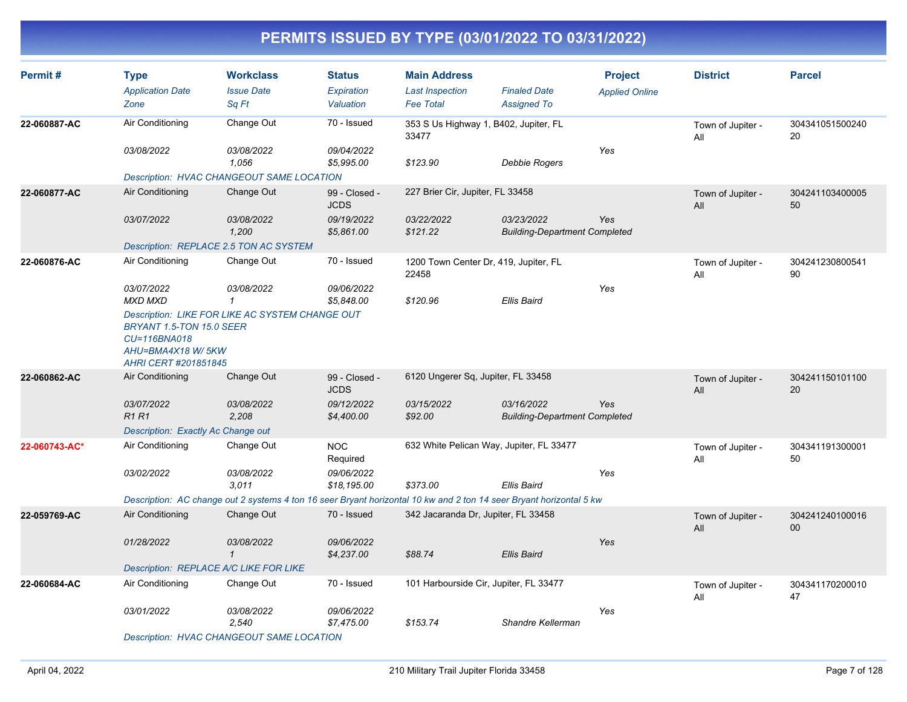| Permit#       | <b>Type</b><br><b>Application Date</b><br>Zone                                        | <b>Workclass</b><br><b>Issue Date</b><br>Sq Ft         | <b>Status</b><br><b>Expiration</b><br>Valuation | <b>Main Address</b><br><b>Last Inspection</b><br><b>Fee Total</b>                                                   | <b>Finaled Date</b><br><b>Assigned To</b>          | <b>Project</b><br><b>Applied Online</b> | <b>District</b>          | <b>Parcel</b>         |
|---------------|---------------------------------------------------------------------------------------|--------------------------------------------------------|-------------------------------------------------|---------------------------------------------------------------------------------------------------------------------|----------------------------------------------------|-----------------------------------------|--------------------------|-----------------------|
| 22-060887-AC  | Air Conditioning                                                                      | Change Out                                             | 70 - Issued                                     | 353 S Us Highway 1, B402, Jupiter, FL<br>33477                                                                      |                                                    |                                         | Town of Jupiter -<br>All | 304341051500240<br>20 |
|               | 03/08/2022                                                                            | 03/08/2022<br>1,056                                    | 09/04/2022<br>\$5,995.00                        | \$123.90                                                                                                            | Debbie Rogers                                      | Yes                                     |                          |                       |
|               |                                                                                       | <b>Description: HVAC CHANGEOUT SAME LOCATION</b>       |                                                 |                                                                                                                     |                                                    |                                         |                          |                       |
| 22-060877-AC  | Air Conditioning                                                                      | Change Out                                             | 99 - Closed -<br><b>JCDS</b>                    | 227 Brier Cir, Jupiter, FL 33458                                                                                    |                                                    |                                         | Town of Jupiter -<br>All | 304241103400005<br>50 |
|               | 03/07/2022                                                                            | <i>03/08/2022</i><br>1,200                             | 09/19/2022<br>\$5,861.00                        | 03/22/2022<br>\$121.22                                                                                              | 03/23/2022<br><b>Building-Department Completed</b> | Yes                                     |                          |                       |
|               |                                                                                       | Description: REPLACE 2.5 TON AC SYSTEM                 |                                                 |                                                                                                                     |                                                    |                                         |                          |                       |
| 22-060876-AC  | Air Conditioning                                                                      | Change Out                                             | 70 - Issued                                     | 1200 Town Center Dr, 419, Jupiter, FL<br>22458                                                                      |                                                    |                                         | Town of Jupiter -<br>All | 304241230800541<br>90 |
|               | 03/07/2022<br><b>MXD MXD</b>                                                          | 03/08/2022<br>$\mathbf{1}$                             | 09/06/2022<br>\$5,848.00                        | \$120.96                                                                                                            | <b>Ellis Baird</b>                                 | Yes                                     |                          |                       |
|               | BRYANT 1.5-TON 15.0 SEER<br>CU=116BNA018<br>AHU=BMA4X18 W/5KW<br>AHRI CERT #201851845 | <b>Description: LIKE FOR LIKE AC SYSTEM CHANGE OUT</b> |                                                 |                                                                                                                     |                                                    |                                         |                          |                       |
| 22-060862-AC  | Air Conditioning                                                                      | Change Out                                             | 99 - Closed -<br><b>JCDS</b>                    | 6120 Ungerer Sq, Jupiter, FL 33458                                                                                  |                                                    |                                         | Town of Jupiter -<br>All | 304241150101100<br>20 |
|               | 03/07/2022<br>R1 R1                                                                   | 03/08/2022<br>2,208                                    | 09/12/2022<br>\$4,400.00                        | 03/15/2022<br>\$92.00                                                                                               | 03/16/2022<br><b>Building-Department Completed</b> | Yes                                     |                          |                       |
|               | Description: Exactly Ac Change out                                                    |                                                        |                                                 |                                                                                                                     |                                                    |                                         |                          |                       |
| 22-060743-AC* | Air Conditioning                                                                      | Change Out                                             | <b>NOC</b><br>Required                          | 632 White Pelican Way, Jupiter, FL 33477                                                                            |                                                    |                                         | Town of Jupiter -<br>All | 304341191300001<br>50 |
|               | 03/02/2022                                                                            | 03/08/2022<br>3,011                                    | 09/06/2022<br>\$18,195.00                       | \$373.00                                                                                                            | <b>Ellis Baird</b>                                 | Yes                                     |                          |                       |
|               |                                                                                       |                                                        |                                                 | Description: AC change out 2 systems 4 ton 16 seer Bryant horizontal 10 kw and 2 ton 14 seer Bryant horizontal 5 kw |                                                    |                                         |                          |                       |
| 22-059769-AC  | Air Conditioning                                                                      | Change Out                                             | 70 - Issued                                     | 342 Jacaranda Dr, Jupiter, FL 33458                                                                                 |                                                    |                                         | Town of Jupiter -<br>All | 304241240100016<br>00 |
|               | 01/28/2022                                                                            | <i>03/08/2022</i><br>$\mathbf{1}$                      | 09/06/2022<br>\$4,237.00                        | \$88.74                                                                                                             | <b>Ellis Baird</b>                                 | Yes                                     |                          |                       |
|               |                                                                                       | Description: REPLACE A/C LIKE FOR LIKE                 |                                                 |                                                                                                                     |                                                    |                                         |                          |                       |
| 22-060684-AC  | Air Conditioning                                                                      | Change Out                                             | 70 - Issued                                     | 101 Harbourside Cir, Jupiter, FL 33477                                                                              |                                                    |                                         | Town of Jupiter -<br>All | 304341170200010<br>47 |
|               | 03/01/2022                                                                            | 03/08/2022<br>2,540                                    | 09/06/2022<br>\$7,475.00                        | \$153.74                                                                                                            | Shandre Kellerman                                  | Yes                                     |                          |                       |
|               | <b>Description: HVAC CHANGEOUT SAME LOCATION</b>                                      |                                                        |                                                 |                                                                                                                     |                                                    |                                         |                          |                       |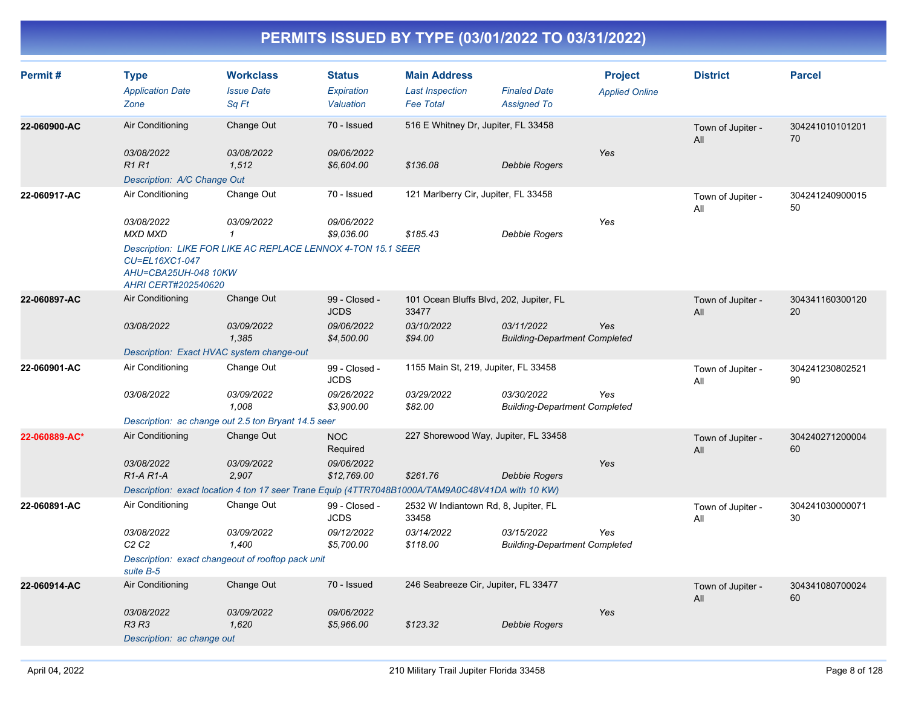| Permit#       | <b>Type</b><br><b>Application Date</b><br>Zone                | <b>Workclass</b><br><b>Issue Date</b><br>Sq Ft                                                   | <b>Status</b><br>Expiration<br>Valuation | <b>Main Address</b><br><b>Last Inspection</b><br><b>Fee Total</b> | <b>Finaled Date</b><br><b>Assigned To</b>          | <b>Project</b><br><b>Applied Online</b> | <b>District</b>          | <b>Parcel</b>         |
|---------------|---------------------------------------------------------------|--------------------------------------------------------------------------------------------------|------------------------------------------|-------------------------------------------------------------------|----------------------------------------------------|-----------------------------------------|--------------------------|-----------------------|
| 22-060900-AC  | Air Conditioning                                              | Change Out                                                                                       | 70 - Issued                              | 516 E Whitney Dr, Jupiter, FL 33458                               |                                                    |                                         | Town of Jupiter -<br>All | 304241010101201<br>70 |
|               | 03/08/2022<br><b>R1 R1</b><br>Description: A/C Change Out     | 03/08/2022<br>1,512                                                                              | 09/06/2022<br>\$6,604.00                 | \$136.08                                                          | Debbie Rogers                                      | Yes                                     |                          |                       |
| 22-060917-AC  | Air Conditioning                                              | Change Out                                                                                       | 70 - Issued                              | 121 Marlberry Cir, Jupiter, FL 33458                              |                                                    |                                         | Town of Jupiter -<br>All | 304241240900015<br>50 |
|               | 03/08/2022<br><b>MXD MXD</b>                                  | 03/09/2022<br>$\mathcal I$                                                                       | 09/06/2022<br>\$9.036.00                 | \$185.43                                                          | Debbie Rogers                                      | Yes                                     |                          |                       |
|               | CU=EL16XC1-047<br>AHU=CBA25UH-048 10KW<br>AHRI CERT#202540620 | Description: LIKE FOR LIKE AC REPLACE LENNOX 4-TON 15.1 SEER                                     |                                          |                                                                   |                                                    |                                         |                          |                       |
| 22-060897-AC  | Air Conditioning                                              | Change Out                                                                                       | 99 - Closed -<br><b>JCDS</b>             | 101 Ocean Bluffs Blvd, 202, Jupiter, FL<br>33477                  |                                                    |                                         | Town of Jupiter -<br>All | 304341160300120<br>20 |
|               | 03/08/2022                                                    | 03/09/2022<br>1.385                                                                              | 09/06/2022<br>\$4,500.00                 | 03/10/2022<br>\$94.00                                             | 03/11/2022<br><b>Building-Department Completed</b> | Yes                                     |                          |                       |
|               |                                                               | Description: Exact HVAC system change-out                                                        |                                          |                                                                   |                                                    |                                         |                          |                       |
| 22-060901-AC  | Air Conditioning                                              | Change Out                                                                                       | 99 - Closed -<br><b>JCDS</b>             | 1155 Main St, 219, Jupiter, FL 33458                              |                                                    |                                         | Town of Jupiter -<br>All | 304241230802521<br>90 |
|               | 03/08/2022                                                    | 03/09/2022<br>1.008                                                                              | 09/26/2022<br>\$3,900.00                 | 03/29/2022<br>\$82.00                                             | 03/30/2022<br><b>Building-Department Completed</b> | Yes                                     |                          |                       |
|               |                                                               | Description: ac change out 2.5 ton Bryant 14.5 seer                                              |                                          |                                                                   |                                                    |                                         |                          |                       |
| 22-060889-AC* | Air Conditioning                                              | Change Out                                                                                       | NOC<br>Required                          | 227 Shorewood Way, Jupiter, FL 33458                              |                                                    |                                         | Town of Jupiter -<br>All | 304240271200004<br>60 |
|               | 03/08/2022<br>$R1-A R1-A$                                     | 03/09/2022<br>2,907                                                                              | 09/06/2022<br>\$12,769.00                | \$261.76                                                          | Debbie Rogers                                      | Yes                                     |                          |                       |
|               |                                                               | Description: exact location 4 ton 17 seer Trane Equip (4TTR7048B1000A/TAM9A0C48V41DA with 10 KW) |                                          |                                                                   |                                                    |                                         |                          |                       |
| 22-060891-AC  | Air Conditioning                                              | Change Out                                                                                       | 99 - Closed -<br><b>JCDS</b>             | 2532 W Indiantown Rd, 8, Jupiter, FL<br>33458                     |                                                    |                                         | Town of Jupiter -<br>All | 304241030000071<br>30 |
|               | 03/08/2022<br>C2C2                                            | 03/09/2022<br>1,400                                                                              | 09/12/2022<br>\$5,700.00                 | 03/14/2022<br>\$118.00                                            | 03/15/2022<br><b>Building-Department Completed</b> | Yes                                     |                          |                       |
|               | suite B-5                                                     | Description: exact changeout of rooftop pack unit                                                |                                          |                                                                   |                                                    |                                         |                          |                       |
| 22-060914-AC  | Air Conditioning                                              | Change Out                                                                                       | 70 - Issued                              | 246 Seabreeze Cir, Jupiter, FL 33477                              |                                                    |                                         | Town of Jupiter -<br>All | 304341080700024<br>60 |
|               | 03/08/2022<br><b>R3 R3</b>                                    | 03/09/2022<br>1,620                                                                              | 09/06/2022<br>\$5,966.00                 | \$123.32                                                          | Debbie Rogers                                      | Yes                                     |                          |                       |
|               | Description: ac change out                                    |                                                                                                  |                                          |                                                                   |                                                    |                                         |                          |                       |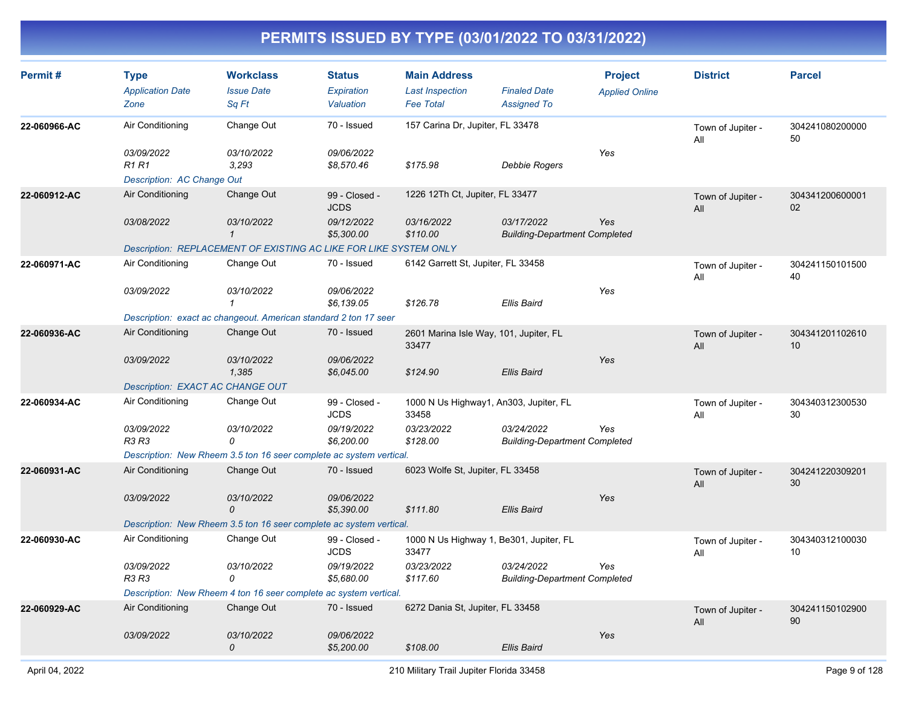| Permit#      | <b>Type</b><br><b>Application Date</b><br>Zone          | <b>Workclass</b><br><b>Issue Date</b><br>Sa Ft                      | <b>Status</b><br><b>Expiration</b><br>Valuation | <b>Main Address</b><br><b>Last Inspection</b><br><b>Fee Total</b> | <b>Finaled Date</b><br><b>Assigned To</b>          | <b>Project</b><br><b>Applied Online</b> | <b>District</b>          | <b>Parcel</b>         |
|--------------|---------------------------------------------------------|---------------------------------------------------------------------|-------------------------------------------------|-------------------------------------------------------------------|----------------------------------------------------|-----------------------------------------|--------------------------|-----------------------|
| 22-060966-AC | Air Conditioning                                        | Change Out                                                          | 70 - Issued                                     | 157 Carina Dr, Jupiter, FL 33478                                  |                                                    |                                         | Town of Jupiter -<br>All | 304241080200000<br>50 |
|              | 03/09/2022<br><b>R1R1</b><br>Description: AC Change Out | 03/10/2022<br>3,293                                                 | 09/06/2022<br>\$8,570.46                        | \$175.98                                                          | Debbie Rogers                                      | Yes                                     |                          |                       |
| 22-060912-AC | Air Conditioning                                        | Change Out                                                          | 99 - Closed -<br><b>JCDS</b>                    | 1226 12Th Ct, Jupiter, FL 33477                                   |                                                    |                                         | Town of Jupiter -<br>All | 304341200600001<br>02 |
|              | 03/08/2022                                              | 03/10/2022<br>$\mathcal{I}$                                         | 09/12/2022<br>\$5,300.00                        | 03/16/2022<br>\$110.00                                            | 03/17/2022<br><b>Building-Department Completed</b> | Yes                                     |                          |                       |
|              |                                                         | Description: REPLACEMENT OF EXISTING AC LIKE FOR LIKE SYSTEM ONLY   |                                                 |                                                                   |                                                    |                                         |                          |                       |
| 22-060971-AC | Air Conditioning                                        | Change Out                                                          | 70 - Issued                                     | 6142 Garrett St, Jupiter, FL 33458                                |                                                    |                                         | Town of Jupiter -<br>All | 304241150101500<br>40 |
|              | 03/09/2022                                              | 03/10/2022<br>$\mathcal I$                                          | 09/06/2022<br>\$6,139.05                        | \$126.78                                                          | Ellis Baird                                        | Yes                                     |                          |                       |
|              |                                                         | Description: exact ac changeout. American standard 2 ton 17 seer    |                                                 |                                                                   |                                                    |                                         |                          |                       |
| 22-060936-AC | Air Conditioning                                        | Change Out                                                          | 70 - Issued                                     | 2601 Marina Isle Way, 101, Jupiter, FL<br>33477                   |                                                    |                                         | Town of Jupiter -<br>All | 304341201102610<br>10 |
|              | 03/09/2022                                              | 03/10/2022<br>1,385                                                 | 09/06/2022<br>\$6,045.00                        | \$124.90                                                          | Ellis Baird                                        | Yes                                     |                          |                       |
|              | Description: EXACT AC CHANGE OUT                        |                                                                     |                                                 |                                                                   |                                                    |                                         |                          |                       |
| 22-060934-AC | Air Conditioning                                        | Change Out                                                          | 99 - Closed -<br><b>JCDS</b>                    | 1000 N Us Highway1, An303, Jupiter, FL<br>33458                   |                                                    |                                         | Town of Jupiter -<br>All | 304340312300530<br>30 |
|              | 03/09/2022<br>R3 R3                                     | <i>03/10/2022</i><br>0                                              | 09/19/2022<br>\$6,200.00                        | 03/23/2022<br>\$128.00                                            | 03/24/2022<br><b>Building-Department Completed</b> | Yes                                     |                          |                       |
|              |                                                         | Description: New Rheem 3.5 ton 16 seer complete ac system vertical. |                                                 |                                                                   |                                                    |                                         |                          |                       |
| 22-060931-AC | Air Conditioning                                        | Change Out                                                          | 70 - Issued                                     | 6023 Wolfe St, Jupiter, FL 33458                                  |                                                    |                                         | Town of Jupiter -<br>All | 304241220309201<br>30 |
|              | 03/09/2022                                              | 03/10/2022<br>0                                                     | 09/06/2022<br>\$5,390.00                        | \$111.80                                                          | Ellis Baird                                        | Yes                                     |                          |                       |
|              |                                                         | Description: New Rheem 3.5 ton 16 seer complete ac system vertical. |                                                 |                                                                   |                                                    |                                         |                          |                       |
| 22-060930-AC | Air Conditioning                                        | Change Out                                                          | 99 - Closed -<br><b>JCDS</b>                    | 1000 N Us Highway 1, Be301, Jupiter, FL<br>33477                  |                                                    |                                         | Town of Jupiter -<br>All | 304340312100030<br>10 |
|              | 03/09/2022<br>R3 R3                                     | 03/10/2022<br>0                                                     | 09/19/2022<br>\$5,680.00                        | 03/23/2022<br>\$117.60                                            | 03/24/2022<br><b>Building-Department Completed</b> | Yes                                     |                          |                       |
|              |                                                         | Description: New Rheem 4 ton 16 seer complete ac system vertical.   |                                                 |                                                                   |                                                    |                                         |                          |                       |
| 22-060929-AC | Air Conditioning                                        | Change Out                                                          | 70 - Issued                                     | 6272 Dania St, Jupiter, FL 33458                                  |                                                    |                                         | Town of Jupiter -<br>All | 304241150102900<br>90 |
|              | 03/09/2022                                              | 03/10/2022<br>0                                                     | 09/06/2022<br>\$5,200.00                        | \$108.00                                                          | Ellis Baird                                        | Yes                                     |                          |                       |
|              |                                                         |                                                                     |                                                 |                                                                   |                                                    |                                         |                          |                       |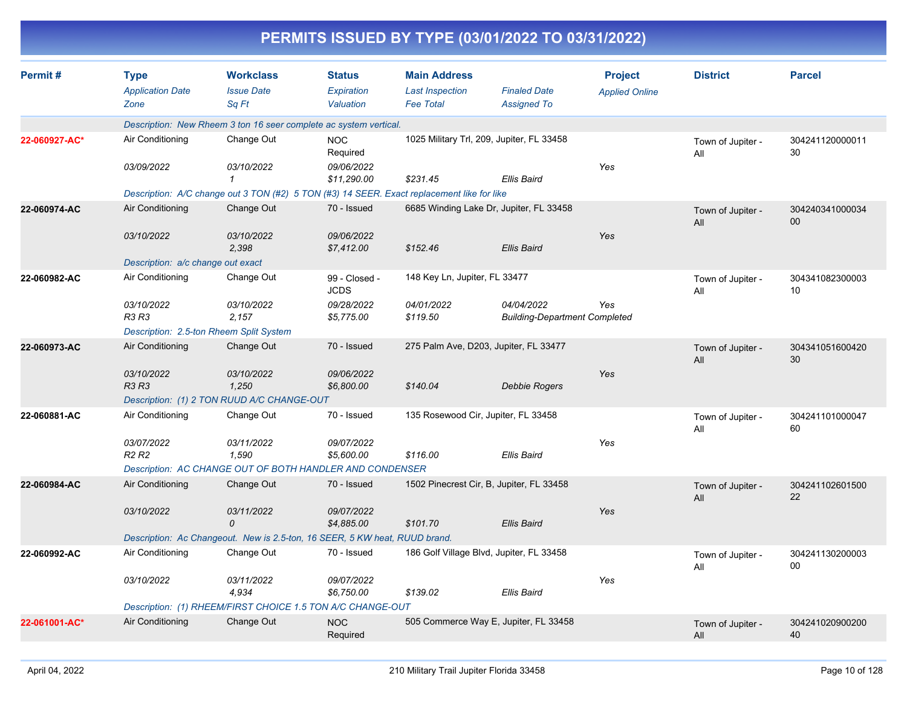|               |                                                |                                                                                            |                                          |                                                                   | PERMITS ISSUED BY TYPE (03/01/2022 TO 03/31/2022)  |                                         |                          |                       |
|---------------|------------------------------------------------|--------------------------------------------------------------------------------------------|------------------------------------------|-------------------------------------------------------------------|----------------------------------------------------|-----------------------------------------|--------------------------|-----------------------|
| Permit#       | <b>Type</b><br><b>Application Date</b><br>Zone | <b>Workclass</b><br><b>Issue Date</b><br>Sq Ft                                             | <b>Status</b><br>Expiration<br>Valuation | <b>Main Address</b><br><b>Last Inspection</b><br><b>Fee Total</b> | <b>Finaled Date</b><br><b>Assigned To</b>          | <b>Project</b><br><b>Applied Online</b> | <b>District</b>          | <b>Parcel</b>         |
|               |                                                | Description: New Rheem 3 ton 16 seer complete ac system vertical.                          |                                          |                                                                   |                                                    |                                         |                          |                       |
| 22-060927-AC* | Air Conditioning                               | Change Out                                                                                 | <b>NOC</b><br>Required                   |                                                                   | 1025 Military Trl, 209, Jupiter, FL 33458          |                                         | Town of Jupiter -<br>All | 304241120000011<br>30 |
|               | 03/09/2022                                     | 03/10/2022                                                                                 | 09/06/2022<br>\$11,290.00                | \$231.45                                                          | <b>Ellis Baird</b>                                 | Yes                                     |                          |                       |
|               |                                                | Description: A/C change out 3 TON (#2) 5 TON (#3) 14 SEER. Exact replacement like for like |                                          |                                                                   |                                                    |                                         |                          |                       |
| 22-060974-AC  | Air Conditioning                               | Change Out                                                                                 | 70 - Issued                              |                                                                   | 6685 Winding Lake Dr, Jupiter, FL 33458            |                                         | Town of Jupiter -<br>All | 304240341000034<br>00 |
|               | 03/10/2022                                     | 03/10/2022<br>2,398                                                                        | 09/06/2022<br>\$7,412.00                 | \$152.46                                                          | <b>Ellis Baird</b>                                 | Yes                                     |                          |                       |
|               | Description: a/c change out exact              |                                                                                            |                                          |                                                                   |                                                    |                                         |                          |                       |
| 22-060982-AC  | Air Conditioning                               | Change Out                                                                                 | 99 - Closed -<br><b>JCDS</b>             | 148 Key Ln, Jupiter, FL 33477                                     |                                                    |                                         | Town of Jupiter -<br>All | 304341082300003<br>10 |
|               | 03/10/2022<br>R3 R3                            | 03/10/2022<br>2,157                                                                        | 09/28/2022<br>\$5,775.00                 | 04/01/2022<br>\$119.50                                            | 04/04/2022<br><b>Building-Department Completed</b> | Yes                                     |                          |                       |
|               |                                                | Description: 2.5-ton Rheem Split System                                                    |                                          |                                                                   |                                                    |                                         |                          |                       |
| 22-060973-AC  | Air Conditioning                               | Change Out                                                                                 | 70 - Issued                              |                                                                   | 275 Palm Ave, D203, Jupiter, FL 33477              |                                         | Town of Jupiter -<br>All | 304341051600420<br>30 |
|               | 03/10/2022<br>R3 R3                            | 03/10/2022<br>1,250                                                                        | 09/06/2022<br>\$6,800.00                 | \$140.04                                                          | <b>Debbie Rogers</b>                               | Yes                                     |                          |                       |
|               |                                                | Description: (1) 2 TON RUUD A/C CHANGE-OUT                                                 |                                          |                                                                   |                                                    |                                         |                          |                       |
| 22-060881-AC  | Air Conditioning                               | Change Out                                                                                 | 70 - Issued                              |                                                                   | 135 Rosewood Cir, Jupiter, FL 33458                |                                         | Town of Jupiter -<br>All | 304241101000047<br>60 |
|               | 03/07/2022<br>R <sub>2</sub> R <sub>2</sub>    | 03/11/2022<br>1,590                                                                        | 09/07/2022<br>\$5,600.00                 | \$116.00                                                          | Ellis Baird                                        | Yes                                     |                          |                       |
|               |                                                | Description: AC CHANGE OUT OF BOTH HANDLER AND CONDENSER                                   |                                          |                                                                   |                                                    |                                         |                          |                       |
| 22-060984-AC  | Air Conditioning                               | Change Out                                                                                 | 70 - Issued                              |                                                                   | 1502 Pinecrest Cir, B, Jupiter, FL 33458           |                                         | Town of Jupiter -<br>All | 304241102601500<br>22 |
|               | 03/10/2022                                     | 03/11/2022<br>0                                                                            | 09/07/2022<br>\$4.885.00                 | \$101.70                                                          | <b>Ellis Baird</b>                                 | Yes                                     |                          |                       |
|               |                                                | Description: Ac Changeout. New is 2.5-ton, 16 SEER, 5 KW heat, RUUD brand.                 |                                          |                                                                   |                                                    |                                         |                          |                       |
| 22-060992-AC  | Air Conditioning                               | Change Out                                                                                 | 70 - Issued                              |                                                                   | 186 Golf Village Blvd, Jupiter, FL 33458           |                                         | Town of Jupiter -<br>All | 304241130200003<br>00 |
|               | 03/10/2022                                     | 03/11/2022<br>4,934                                                                        | 09/07/2022<br>\$6,750.00                 | \$139.02                                                          | <b>Ellis Baird</b>                                 | Yes                                     |                          |                       |
|               |                                                | Description: (1) RHEEM/FIRST CHOICE 1.5 TON A/C CHANGE-OUT                                 |                                          |                                                                   |                                                    |                                         |                          |                       |
| 22-061001-AC* | Air Conditioning                               | Change Out                                                                                 | <b>NOC</b><br>Required                   |                                                                   | 505 Commerce Way E, Jupiter, FL 33458              |                                         | Town of Jupiter -<br>All | 304241020900200<br>40 |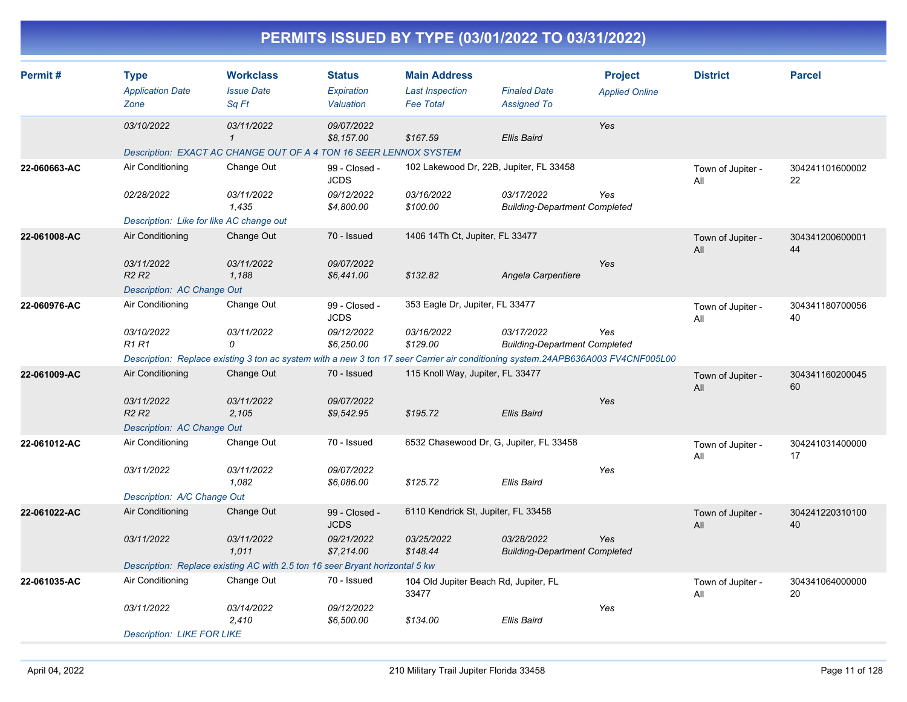| Permit#      | <b>Type</b><br><b>Application Date</b><br>Zone | <b>Workclass</b><br><b>Issue Date</b><br>Sq Ft                                                                                   | <b>Status</b><br>Expiration<br>Valuation | <b>Main Address</b><br><b>Last Inspection</b><br><b>Fee Total</b> | <b>Finaled Date</b><br><b>Assigned To</b>          | <b>Project</b><br><b>Applied Online</b> | <b>District</b>          | <b>Parcel</b>         |
|--------------|------------------------------------------------|----------------------------------------------------------------------------------------------------------------------------------|------------------------------------------|-------------------------------------------------------------------|----------------------------------------------------|-----------------------------------------|--------------------------|-----------------------|
|              | 03/10/2022                                     | 03/11/2022<br>$\mathbf{1}$                                                                                                       | 09/07/2022<br>\$8,157.00                 | \$167.59                                                          | <b>Ellis Baird</b>                                 | Yes                                     |                          |                       |
|              |                                                | Description: EXACT AC CHANGE OUT OF A 4 TON 16 SEER LENNOX SYSTEM                                                                |                                          |                                                                   |                                                    |                                         |                          |                       |
| 22-060663-AC | Air Conditioning                               | Change Out                                                                                                                       | 99 - Closed -<br><b>JCDS</b>             | 102 Lakewood Dr, 22B, Jupiter, FL 33458                           |                                                    |                                         | Town of Jupiter -<br>All | 304241101600002<br>22 |
|              | 02/28/2022                                     | 03/11/2022<br>1.435                                                                                                              | 09/12/2022<br>\$4,800.00                 | 03/16/2022<br>\$100.00                                            | 03/17/2022<br><b>Building-Department Completed</b> | Yes                                     |                          |                       |
|              | Description: Like for like AC change out       |                                                                                                                                  |                                          |                                                                   |                                                    |                                         |                          |                       |
| 22-061008-AC | Air Conditioning                               | Change Out                                                                                                                       | 70 - Issued                              | 1406 14Th Ct, Jupiter, FL 33477                                   |                                                    |                                         | Town of Jupiter -<br>All | 304341200600001<br>44 |
|              | 03/11/2022<br>R <sub>2</sub> R <sub>2</sub>    | 03/11/2022<br>1.188                                                                                                              | 09/07/2022<br>\$6,441.00                 | \$132.82                                                          | Angela Carpentiere                                 | Yes                                     |                          |                       |
|              | Description: AC Change Out                     |                                                                                                                                  |                                          |                                                                   |                                                    |                                         |                          |                       |
| 22-060976-AC | Air Conditioning                               | Change Out                                                                                                                       | 99 - Closed -<br><b>JCDS</b>             | 353 Eagle Dr, Jupiter, FL 33477                                   |                                                    |                                         | Town of Jupiter -<br>All | 304341180700056<br>40 |
|              | 03/10/2022<br><b>R1 R1</b>                     | 03/11/2022<br>0                                                                                                                  | 09/12/2022<br>\$6,250.00                 | 03/16/2022<br>\$129.00                                            | 03/17/2022<br><b>Building-Department Completed</b> | Yes                                     |                          |                       |
|              |                                                | Description: Replace existing 3 ton ac system with a new 3 ton 17 seer Carrier air conditioning system.24APB636A003 FV4CNF005L00 |                                          |                                                                   |                                                    |                                         |                          |                       |
| 22-061009-AC | Air Conditioning                               | Change Out                                                                                                                       | 70 - Issued                              | 115 Knoll Way, Jupiter, FL 33477                                  |                                                    |                                         | Town of Jupiter -<br>All | 304341160200045<br>60 |
|              | 03/11/2022<br><b>R2 R2</b>                     | 03/11/2022<br>2,105                                                                                                              | 09/07/2022<br>\$9,542.95                 | \$195.72                                                          | <b>Ellis Baird</b>                                 | Yes                                     |                          |                       |
|              | Description: AC Change Out                     |                                                                                                                                  |                                          |                                                                   |                                                    |                                         |                          |                       |
| 22-061012-AC | Air Conditioning                               | Change Out                                                                                                                       | 70 - Issued                              | 6532 Chasewood Dr, G, Jupiter, FL 33458                           |                                                    |                                         | Town of Jupiter -<br>All | 304241031400000<br>17 |
|              | 03/11/2022                                     | 03/11/2022<br>1,082                                                                                                              | 09/07/2022<br>\$6,086.00                 | \$125.72                                                          | <b>Ellis Baird</b>                                 | Yes                                     |                          |                       |
|              | Description: A/C Change Out                    |                                                                                                                                  |                                          |                                                                   |                                                    |                                         |                          |                       |
| 22-061022-AC | Air Conditioning                               | Change Out                                                                                                                       | 99 - Closed -<br><b>JCDS</b>             | 6110 Kendrick St, Jupiter, FL 33458                               |                                                    |                                         | Town of Jupiter -<br>All | 304241220310100<br>40 |
|              | 03/11/2022                                     | 03/11/2022<br>1.011                                                                                                              | 09/21/2022<br>\$7,214.00                 | 03/25/2022<br>\$148.44                                            | 03/28/2022<br><b>Building-Department Completed</b> | Yes                                     |                          |                       |
|              |                                                | Description: Replace existing AC with 2.5 ton 16 seer Bryant horizontal 5 kw                                                     |                                          |                                                                   |                                                    |                                         |                          |                       |
| 22-061035-AC | Air Conditioning                               | Change Out                                                                                                                       | 70 - Issued                              | 104 Old Jupiter Beach Rd, Jupiter, FL<br>33477                    |                                                    |                                         | Town of Jupiter -<br>All | 304341064000000<br>20 |
|              | 03/11/2022                                     | 03/14/2022<br>2,410                                                                                                              | 09/12/2022<br>\$6,500.00                 | \$134.00                                                          | <b>Ellis Baird</b>                                 | Yes                                     |                          |                       |
|              | <b>Description: LIKE FOR LIKE</b>              |                                                                                                                                  |                                          |                                                                   |                                                    |                                         |                          |                       |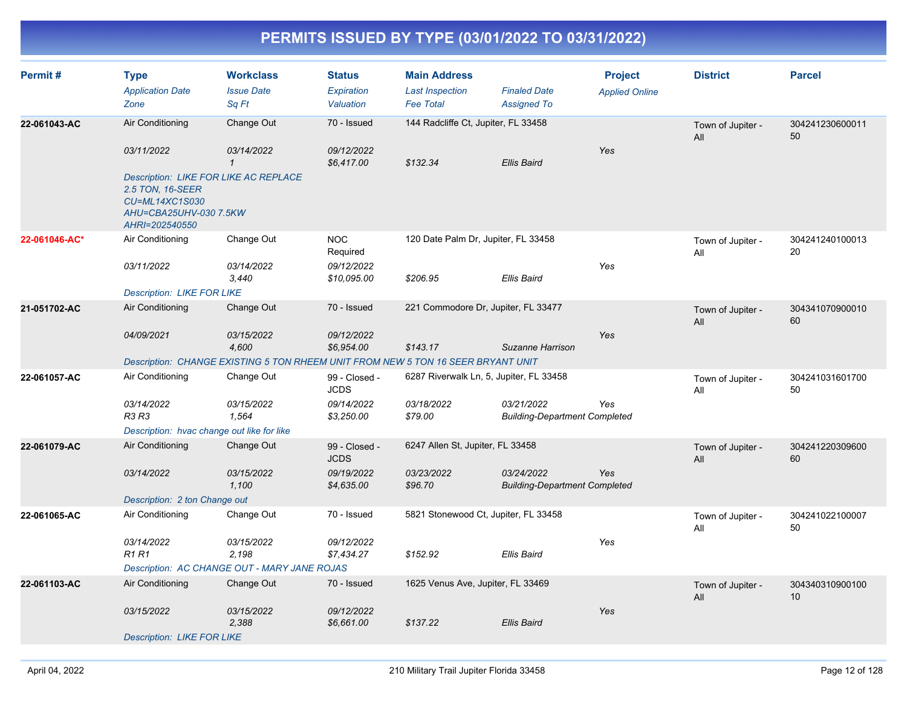| Permit#       | <b>Type</b><br><b>Application Date</b><br>Zone                                                   | <b>Workclass</b><br><b>Issue Date</b><br>Sq Ft                                   | <b>Status</b><br><b>Expiration</b><br>Valuation | <b>Main Address</b><br><b>Last Inspection</b><br><b>Fee Total</b> | <b>Finaled Date</b><br><b>Assigned To</b>          | <b>Project</b><br><b>Applied Online</b> | <b>District</b>          | <b>Parcel</b>         |
|---------------|--------------------------------------------------------------------------------------------------|----------------------------------------------------------------------------------|-------------------------------------------------|-------------------------------------------------------------------|----------------------------------------------------|-----------------------------------------|--------------------------|-----------------------|
| 22-061043-AC  | Air Conditioning                                                                                 | Change Out                                                                       | 70 - Issued                                     | 144 Radcliffe Ct, Jupiter, FL 33458                               |                                                    |                                         | Town of Jupiter -<br>All | 304241230600011<br>50 |
|               | 03/11/2022<br><b>Description: LIKE FOR LIKE AC REPLACE</b><br>2.5 TON, 16-SEER<br>CU=ML14XC1S030 | 03/14/2022<br>$\mathcal I$                                                       | 09/12/2022<br>\$6,417.00                        | \$132.34                                                          | <b>Ellis Baird</b>                                 | Yes                                     |                          |                       |
|               | AHU=CBA25UHV-030 7.5KW<br>AHRI=202540550                                                         |                                                                                  |                                                 |                                                                   |                                                    |                                         |                          |                       |
| 22-061046-AC* | Air Conditioning                                                                                 | Change Out                                                                       | <b>NOC</b><br>Required                          | 120 Date Palm Dr, Jupiter, FL 33458                               |                                                    |                                         | Town of Jupiter -<br>All | 304241240100013<br>20 |
|               | 03/11/2022                                                                                       | 03/14/2022<br>3,440                                                              | 09/12/2022<br>\$10,095.00                       | \$206.95                                                          | Ellis Baird                                        | Yes                                     |                          |                       |
|               | <b>Description: LIKE FOR LIKE</b>                                                                |                                                                                  |                                                 |                                                                   |                                                    |                                         |                          |                       |
| 21-051702-AC  | Air Conditioning                                                                                 | Change Out                                                                       | 70 - Issued                                     | 221 Commodore Dr, Jupiter, FL 33477                               |                                                    |                                         | Town of Jupiter -<br>All | 304341070900010<br>60 |
|               | 04/09/2021                                                                                       | 03/15/2022<br>4,600                                                              | 09/12/2022<br>\$6,954.00                        | \$143.17                                                          | Suzanne Harrison                                   | Yes                                     |                          |                       |
|               |                                                                                                  | Description: CHANGE EXISTING 5 TON RHEEM UNIT FROM NEW 5 TON 16 SEER BRYANT UNIT |                                                 |                                                                   |                                                    |                                         |                          |                       |
| 22-061057-AC  | Air Conditioning                                                                                 | Change Out                                                                       | 99 - Closed -<br><b>JCDS</b>                    | 6287 Riverwalk Ln, 5, Jupiter, FL 33458                           |                                                    |                                         | Town of Jupiter -<br>All | 304241031601700<br>50 |
|               | 03/14/2022<br>R3 R3                                                                              | 03/15/2022<br>1,564                                                              | 09/14/2022<br>\$3,250.00                        | 03/18/2022<br>\$79.00                                             | 03/21/2022<br><b>Building-Department Completed</b> | Yes                                     |                          |                       |
|               | Description: hvac change out like for like                                                       |                                                                                  |                                                 |                                                                   |                                                    |                                         |                          |                       |
| 22-061079-AC  | Air Conditioning                                                                                 | Change Out                                                                       | 99 - Closed -<br><b>JCDS</b>                    | 6247 Allen St, Jupiter, FL 33458                                  |                                                    |                                         | Town of Jupiter -<br>All | 304241220309600<br>60 |
|               | 03/14/2022                                                                                       | 03/15/2022<br>1,100                                                              | 09/19/2022<br>\$4,635.00                        | 03/23/2022<br>\$96.70                                             | 03/24/2022<br><b>Building-Department Completed</b> | Yes                                     |                          |                       |
|               | Description: 2 ton Change out                                                                    |                                                                                  |                                                 |                                                                   |                                                    |                                         |                          |                       |
| 22-061065-AC  | Air Conditioning                                                                                 | Change Out                                                                       | 70 - Issued                                     | 5821 Stonewood Ct, Jupiter, FL 33458                              |                                                    |                                         | Town of Jupiter -<br>All | 304241022100007<br>50 |
|               | 03/14/2022<br><b>R1 R1</b>                                                                       | 03/15/2022<br>2,198                                                              | 09/12/2022<br>\$7,434.27                        | \$152.92                                                          | <b>Ellis Baird</b>                                 | Yes                                     |                          |                       |
|               |                                                                                                  | Description: AC CHANGE OUT - MARY JANE ROJAS                                     |                                                 |                                                                   |                                                    |                                         |                          |                       |
| 22-061103-AC  | Air Conditioning                                                                                 | Change Out                                                                       | 70 - Issued                                     | 1625 Venus Ave, Jupiter, FL 33469                                 |                                                    |                                         | Town of Jupiter -<br>All | 304340310900100<br>10 |
|               | 03/15/2022                                                                                       | 03/15/2022<br>2,388                                                              | 09/12/2022<br>\$6,661.00                        | \$137.22                                                          | <b>Ellis Baird</b>                                 | Yes                                     |                          |                       |
|               | <b>Description: LIKE FOR LIKE</b>                                                                |                                                                                  |                                                 |                                                                   |                                                    |                                         |                          |                       |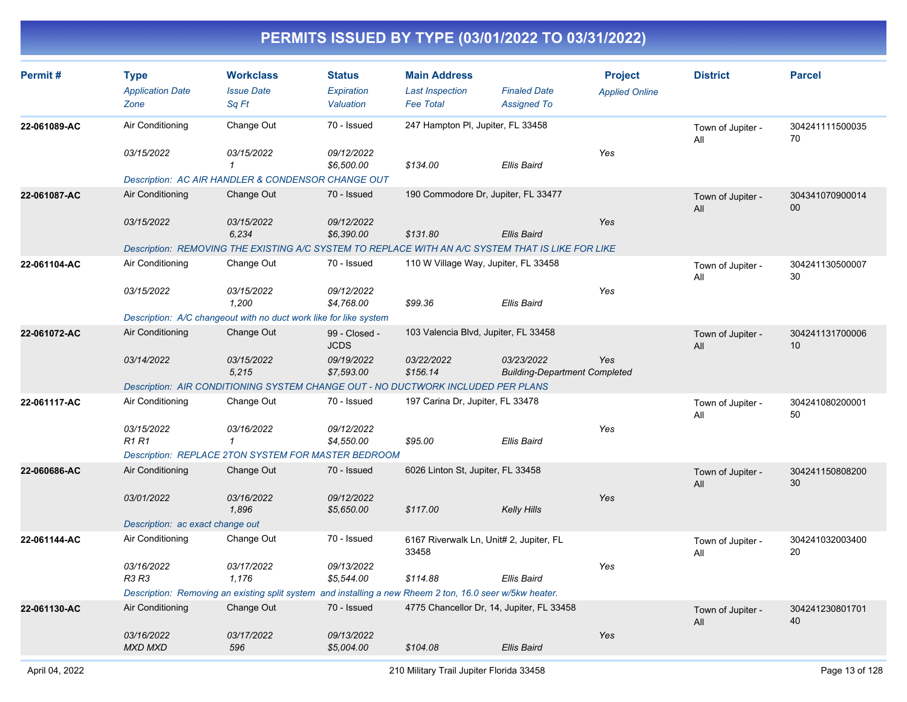| Permit#      | <b>Type</b><br><b>Application Date</b><br>Zone | <b>Workclass</b><br><b>Issue Date</b><br>Sq Ft                                                           | <b>Status</b><br>Expiration<br>Valuation | <b>Main Address</b><br><b>Last Inspection</b><br><b>Fee Total</b> | <b>Finaled Date</b><br><b>Assigned To</b>          | <b>Project</b><br><b>Applied Online</b> | <b>District</b>          | <b>Parcel</b>                      |
|--------------|------------------------------------------------|----------------------------------------------------------------------------------------------------------|------------------------------------------|-------------------------------------------------------------------|----------------------------------------------------|-----------------------------------------|--------------------------|------------------------------------|
| 22-061089-AC | Air Conditioning                               | Change Out                                                                                               | 70 - Issued                              | 247 Hampton PI, Jupiter, FL 33458                                 |                                                    |                                         | Town of Jupiter -<br>All | 304241111500035<br>70              |
|              | 03/15/2022                                     | 03/15/2022<br>$\mathcal I$<br>Description: AC AIR HANDLER & CONDENSOR CHANGE OUT                         | 09/12/2022<br>\$6,500.00                 | \$134.00                                                          | <b>Ellis Baird</b>                                 | Yes                                     |                          |                                    |
| 22-061087-AC | Air Conditioning                               | Change Out                                                                                               | 70 - Issued                              |                                                                   | 190 Commodore Dr, Jupiter, FL 33477                |                                         | Town of Jupiter -<br>All | 304341070900014<br>$00\,$          |
|              | 03/15/2022                                     | 03/15/2022<br>6,234                                                                                      | 09/12/2022<br>\$6,390.00                 | \$131.80                                                          | <b>Ellis Baird</b>                                 | Yes                                     |                          |                                    |
|              |                                                | Description: REMOVING THE EXISTING A/C SYSTEM TO REPLACE WITH AN A/C SYSTEM THAT IS LIKE FOR LIKE        |                                          |                                                                   |                                                    |                                         |                          |                                    |
| 22-061104-AC | Air Conditioning                               | Change Out                                                                                               | 70 - Issued                              |                                                                   | 110 W Village Way, Jupiter, FL 33458               |                                         | Town of Jupiter -<br>All | 304241130500007<br>30              |
|              | 03/15/2022                                     | 03/15/2022<br>1,200                                                                                      | 09/12/2022<br>\$4,768.00                 | \$99.36                                                           | Ellis Baird                                        | Yes                                     |                          |                                    |
|              |                                                | Description: A/C changeout with no duct work like for like system                                        |                                          |                                                                   |                                                    |                                         |                          |                                    |
| 22-061072-AC | Air Conditioning                               | Change Out                                                                                               | 99 - Closed -<br><b>JCDS</b>             | 103 Valencia Blvd, Jupiter, FL 33458                              |                                                    |                                         | Town of Jupiter -<br>All | 304241131700006<br>10 <sup>°</sup> |
|              | 03/14/2022                                     | 03/15/2022<br>5,215                                                                                      | 09/19/2022<br>\$7,593.00                 | 03/22/2022<br>\$156.14                                            | 03/23/2022<br><b>Building-Department Completed</b> | Yes                                     |                          |                                    |
|              |                                                | Description: AIR CONDITIONING SYSTEM CHANGE OUT - NO DUCTWORK INCLUDED PER PLANS                         |                                          |                                                                   |                                                    |                                         |                          |                                    |
| 22-061117-AC | Air Conditioning                               | Change Out                                                                                               | 70 - Issued                              | 197 Carina Dr, Jupiter, FL 33478                                  |                                                    |                                         | Town of Jupiter -<br>All | 304241080200001<br>50              |
|              | 03/15/2022<br><b>R1 R1</b>                     | 03/16/2022<br>$\mathbf{1}$                                                                               | 09/12/2022<br>\$4,550.00                 | \$95.00                                                           | <b>Ellis Baird</b>                                 | Yes                                     |                          |                                    |
|              |                                                | Description: REPLACE 2TON SYSTEM FOR MASTER BEDROOM                                                      |                                          |                                                                   |                                                    |                                         |                          |                                    |
| 22-060686-AC | Air Conditioning                               | Change Out                                                                                               | 70 - Issued                              | 6026 Linton St, Jupiter, FL 33458                                 |                                                    |                                         | Town of Jupiter -<br>All | 304241150808200<br>30              |
|              | 03/01/2022                                     | 03/16/2022<br>1,896                                                                                      | 09/12/2022<br>\$5,650.00                 | \$117.00                                                          | <b>Kelly Hills</b>                                 | Yes                                     |                          |                                    |
|              | Description: ac exact change out               |                                                                                                          |                                          |                                                                   |                                                    |                                         |                          |                                    |
| 22-061144-AC | Air Conditioning                               | Change Out                                                                                               | 70 - Issued                              | 33458                                                             | 6167 Riverwalk Ln, Unit# 2, Jupiter, FL            |                                         | Town of Jupiter -<br>All | 304241032003400<br>20              |
|              | 03/16/2022<br>R3 R3                            | 03/17/2022<br>1,176                                                                                      | 09/13/2022<br>\$5,544.00                 | \$114.88                                                          | <b>Ellis Baird</b>                                 | Yes                                     |                          |                                    |
|              |                                                | Description: Removing an existing split system and installing a new Rheem 2 ton, 16.0 seer w/5kw heater. |                                          |                                                                   |                                                    |                                         |                          |                                    |
| 22-061130-AC | Air Conditioning                               | Change Out                                                                                               | 70 - Issued                              |                                                                   | 4775 Chancellor Dr, 14, Jupiter, FL 33458          |                                         | Town of Jupiter -<br>All | 304241230801701<br>40              |
|              | 03/16/2022<br><b>MXD MXD</b>                   | 03/17/2022<br>596                                                                                        | 09/13/2022<br>\$5,004.00                 | \$104.08                                                          | <b>Ellis Baird</b>                                 | Yes                                     |                          |                                    |
|              |                                                |                                                                                                          |                                          |                                                                   |                                                    |                                         |                          |                                    |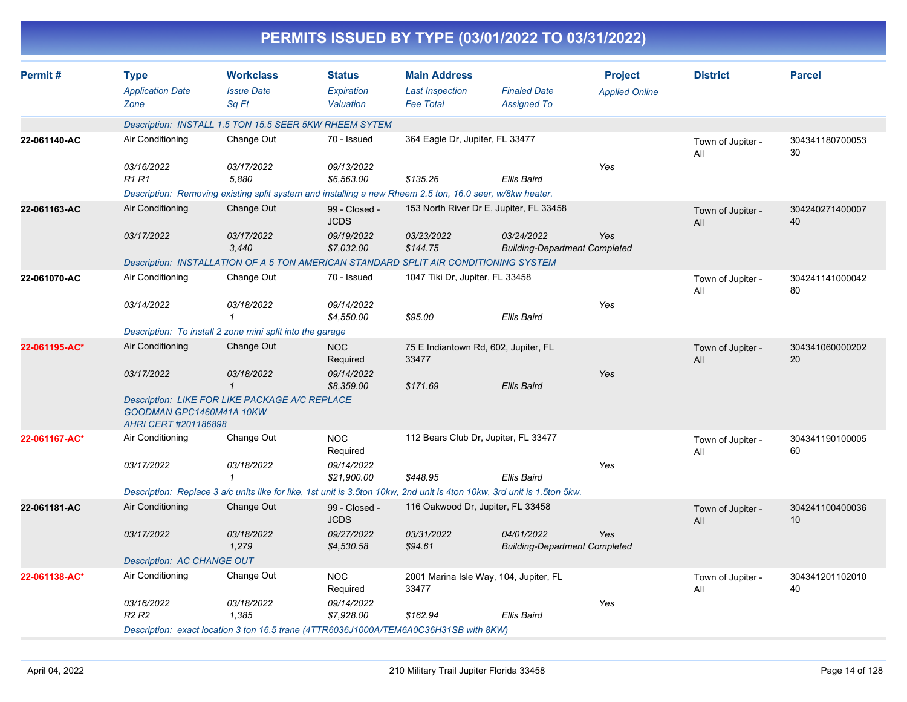|               |                                                  |                                                                                                          |                                          |                                                                   | PERMITS ISSUED BY TYPE (03/01/2022 TO 03/31/2022)                                                                       |                                         |                          |                       |
|---------------|--------------------------------------------------|----------------------------------------------------------------------------------------------------------|------------------------------------------|-------------------------------------------------------------------|-------------------------------------------------------------------------------------------------------------------------|-----------------------------------------|--------------------------|-----------------------|
| Permit#       | <b>Type</b><br><b>Application Date</b><br>Zone   | <b>Workclass</b><br><b>Issue Date</b><br>Sq Ft                                                           | <b>Status</b><br>Expiration<br>Valuation | <b>Main Address</b><br><b>Last Inspection</b><br><b>Fee Total</b> | <b>Finaled Date</b><br><b>Assigned To</b>                                                                               | <b>Project</b><br><b>Applied Online</b> | <b>District</b>          | <b>Parcel</b>         |
|               |                                                  | Description: INSTALL 1.5 TON 15.5 SEER 5KW RHEEM SYTEM                                                   |                                          |                                                                   |                                                                                                                         |                                         |                          |                       |
| 22-061140-AC  | Air Conditioning                                 | Change Out                                                                                               | 70 - Issued                              | 364 Eagle Dr, Jupiter, FL 33477                                   |                                                                                                                         |                                         | Town of Jupiter -<br>All | 304341180700053<br>30 |
|               | 03/16/2022<br><b>R1 R1</b>                       | 03/17/2022<br>5,880                                                                                      | 09/13/2022<br>\$6,563.00                 | \$135.26                                                          | Ellis Baird                                                                                                             | Yes                                     |                          |                       |
|               |                                                  | Description: Removing existing split system and installing a new Rheem 2.5 ton, 16.0 seer, w/8kw heater. |                                          |                                                                   |                                                                                                                         |                                         |                          |                       |
| 22-061163-AC  | Air Conditioning                                 | Change Out                                                                                               | 99 - Closed -<br><b>JCDS</b>             |                                                                   | 153 North River Dr E, Jupiter, FL 33458                                                                                 |                                         | Town of Jupiter -<br>All | 304240271400007<br>40 |
|               | 03/17/2022                                       | 03/17/2022<br>3,440                                                                                      | 09/19/2022<br>\$7,032.00                 | 03/23/2022<br>\$144.75                                            | 03/24/2022<br><b>Building-Department Completed</b>                                                                      | Yes                                     |                          |                       |
|               |                                                  | Description: INSTALLATION OF A 5 TON AMERICAN STANDARD SPLIT AIR CONDITIONING SYSTEM                     |                                          |                                                                   |                                                                                                                         |                                         |                          |                       |
| 22-061070-AC  | Air Conditioning                                 | Change Out                                                                                               | 70 - Issued                              | 1047 Tiki Dr, Jupiter, FL 33458                                   |                                                                                                                         |                                         | Town of Jupiter -<br>All | 304241141000042<br>80 |
|               | 03/14/2022                                       | 03/18/2022<br>1                                                                                          | 09/14/2022<br>\$4,550.00                 | \$95.00                                                           | Ellis Baird                                                                                                             | Yes                                     |                          |                       |
|               |                                                  | Description: To install 2 zone mini split into the garage                                                |                                          |                                                                   |                                                                                                                         |                                         |                          |                       |
| 22-061195-AC* | Air Conditioning                                 | Change Out                                                                                               | <b>NOC</b><br>Required                   | 75 E Indiantown Rd, 602, Jupiter, FL<br>33477                     |                                                                                                                         |                                         | Town of Jupiter -<br>All | 304341060000202<br>20 |
|               | 03/17/2022                                       | 03/18/2022<br>$\mathcal I$                                                                               | 09/14/2022<br>\$8,359.00                 | \$171.69                                                          | Ellis Baird                                                                                                             | Yes                                     |                          |                       |
|               | GOODMAN GPC1460M41A 10KW<br>AHRI CERT #201186898 | Description: LIKE FOR LIKE PACKAGE A/C REPLACE                                                           |                                          |                                                                   |                                                                                                                         |                                         |                          |                       |
| 22-061167-AC* | Air Conditioning                                 | Change Out                                                                                               | <b>NOC</b><br>Required                   | 112 Bears Club Dr, Jupiter, FL 33477                              |                                                                                                                         |                                         | Town of Jupiter -<br>All | 304341190100005<br>60 |
|               | 03/17/2022                                       | 03/18/2022<br>-1                                                                                         | 09/14/2022<br>\$21,900.00                | \$448.95                                                          | Ellis Baird                                                                                                             | Yes                                     |                          |                       |
|               |                                                  |                                                                                                          |                                          |                                                                   | Description: Replace 3 a/c units like for like, 1st unit is 3.5ton 10kw, 2nd unit is 4ton 10kw, 3rd unit is 1.5ton 5kw. |                                         |                          |                       |
| 22-061181-AC  | Air Conditioning                                 | Change Out                                                                                               | 99 - Closed -<br><b>JCDS</b>             | 116 Oakwood Dr, Jupiter, FL 33458                                 |                                                                                                                         |                                         | Town of Jupiter -<br>All | 304241100400036<br>10 |
|               | 03/17/2022                                       | 03/18/2022<br>1,279                                                                                      | 09/27/2022<br>\$4,530.58                 | 03/31/2022<br>\$94.61                                             | <i>04/01/2022</i><br><b>Building-Department Completed</b>                                                               | Yes                                     |                          |                       |
|               | Description: AC CHANGE OUT                       |                                                                                                          |                                          |                                                                   |                                                                                                                         |                                         |                          |                       |
| 22-061138-AC* | Air Conditioning                                 | Change Out                                                                                               | <b>NOC</b><br>Required                   | 33477                                                             | 2001 Marina Isle Way, 104, Jupiter, FL                                                                                  |                                         | Town of Jupiter -<br>ail | 304341201102010<br>40 |
|               | 03/16/2022<br>R <sub>2</sub> R <sub>2</sub>      | 03/18/2022<br>1,385                                                                                      | 09/14/2022<br>\$7,928.00                 | \$162.94                                                          | Ellis Baird                                                                                                             | Yes                                     |                          |                       |
|               |                                                  | Description: exact location 3 ton 16.5 trane (4TTR6036J1000A/TEM6A0C36H31SB with 8KW)                    |                                          |                                                                   |                                                                                                                         |                                         |                          |                       |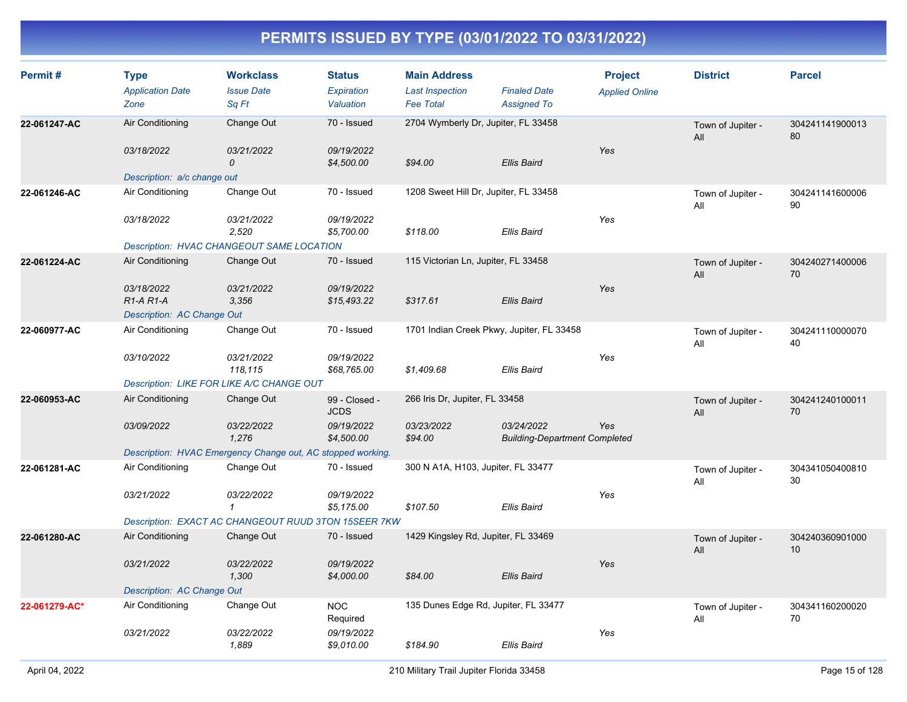| Permit#       | <b>Type</b><br><b>Application Date</b><br>Zone | <b>Workclass</b><br><b>Issue Date</b><br>Sq Ft              | <b>Status</b><br>Expiration<br>Valuation | <b>Main Address</b><br><b>Last Inspection</b><br><b>Fee Total</b> | <b>Finaled Date</b><br><b>Assigned To</b>          | <b>Project</b><br><b>Applied Online</b> | <b>District</b>          | <b>Parcel</b>         |
|---------------|------------------------------------------------|-------------------------------------------------------------|------------------------------------------|-------------------------------------------------------------------|----------------------------------------------------|-----------------------------------------|--------------------------|-----------------------|
| 22-061247-AC  | Air Conditioning<br>03/18/2022                 | Change Out<br>03/21/2022                                    | 70 - Issued<br>09/19/2022                | 2704 Wymberly Dr, Jupiter, FL 33458                               |                                                    | Yes                                     | Town of Jupiter -<br>All | 304241141900013<br>80 |
|               | Description: a/c change out                    | $\Omega$                                                    | \$4,500.00                               | \$94.00                                                           | <b>Ellis Baird</b>                                 |                                         |                          |                       |
| 22-061246-AC  | Air Conditioning                               | Change Out                                                  | 70 - Issued                              | 1208 Sweet Hill Dr, Jupiter, FL 33458                             |                                                    |                                         | Town of Jupiter -<br>All | 304241141600006<br>90 |
|               | 03/18/2022                                     | 03/21/2022<br>2.520                                         | 09/19/2022<br>\$5,700.00                 | \$118.00                                                          | Ellis Baird                                        | Yes                                     |                          |                       |
|               |                                                | Description: HVAC CHANGEOUT SAME LOCATION                   |                                          |                                                                   |                                                    |                                         |                          |                       |
| 22-061224-AC  | Air Conditioning                               | Change Out                                                  | 70 - Issued                              | 115 Victorian Ln, Jupiter, FL 33458                               |                                                    |                                         | Town of Jupiter -<br>All | 304240271400006<br>70 |
|               | 03/18/2022<br>$R1-A R1-A$                      | 03/21/2022<br>3,356                                         | 09/19/2022<br>\$15,493.22                | \$317.61                                                          | <b>Ellis Baird</b>                                 | Yes                                     |                          |                       |
|               | Description: AC Change Out                     |                                                             |                                          |                                                                   |                                                    |                                         |                          |                       |
| 22-060977-AC  | Air Conditioning                               | Change Out                                                  | 70 - Issued                              | 1701 Indian Creek Pkwy, Jupiter, FL 33458                         |                                                    |                                         | Town of Jupiter -<br>All | 304241110000070<br>40 |
|               | 03/10/2022                                     | 03/21/2022<br>118,115                                       | 09/19/2022<br>\$68,765.00                | \$1,409.68                                                        | <b>Ellis Baird</b>                                 | Yes                                     |                          |                       |
|               |                                                | Description: LIKE FOR LIKE A/C CHANGE OUT                   |                                          |                                                                   |                                                    |                                         |                          |                       |
| 22-060953-AC  | Air Conditioning                               | Change Out                                                  | 99 - Closed -<br><b>JCDS</b>             | 266 Iris Dr, Jupiter, FL 33458                                    |                                                    |                                         | Town of Jupiter -<br>All | 304241240100011<br>70 |
|               | 03/09/2022                                     | 03/22/2022<br>1,276                                         | 09/19/2022<br>\$4,500.00                 | 03/23/2022<br>\$94.00                                             | 03/24/2022<br><b>Building-Department Completed</b> | Yes                                     |                          |                       |
|               |                                                | Description: HVAC Emergency Change out, AC stopped working. |                                          |                                                                   |                                                    |                                         |                          |                       |
| 22-061281-AC  | Air Conditioning                               | Change Out                                                  | 70 - Issued                              | 300 N A1A, H103, Jupiter, FL 33477                                |                                                    |                                         | Town of Jupiter -<br>All | 304341050400810<br>30 |
|               | 03/21/2022                                     | 03/22/2022<br>1                                             | 09/19/2022<br>\$5,175.00                 | \$107.50                                                          | <b>Ellis Baird</b>                                 | Yes                                     |                          |                       |
|               |                                                | Description: EXACT AC CHANGEOUT RUUD 3TON 15SEER 7KW        |                                          |                                                                   |                                                    |                                         |                          |                       |
| 22-061280-AC  | Air Conditioning                               | Change Out                                                  | 70 - Issued                              | 1429 Kingsley Rd, Jupiter, FL 33469                               |                                                    |                                         | Town of Jupiter -<br>All | 304240360901000<br>10 |
|               | 03/21/2022                                     | 03/22/2022<br>1,300                                         | 09/19/2022<br>\$4,000.00                 | \$84.00                                                           | <b>Ellis Baird</b>                                 | Yes                                     |                          |                       |
|               | Description: AC Change Out                     |                                                             |                                          |                                                                   |                                                    |                                         |                          |                       |
| 22-061279-AC* | Air Conditioning                               | Change Out                                                  | <b>NOC</b><br>Required                   | 135 Dunes Edge Rd, Jupiter, FL 33477                              |                                                    |                                         | Town of Jupiter -<br>All | 304341160200020<br>70 |
|               | 03/21/2022                                     | 03/22/2022<br>1,889                                         | 09/19/2022<br>\$9,010.00                 | \$184.90                                                          | Ellis Baird                                        | Yes                                     |                          |                       |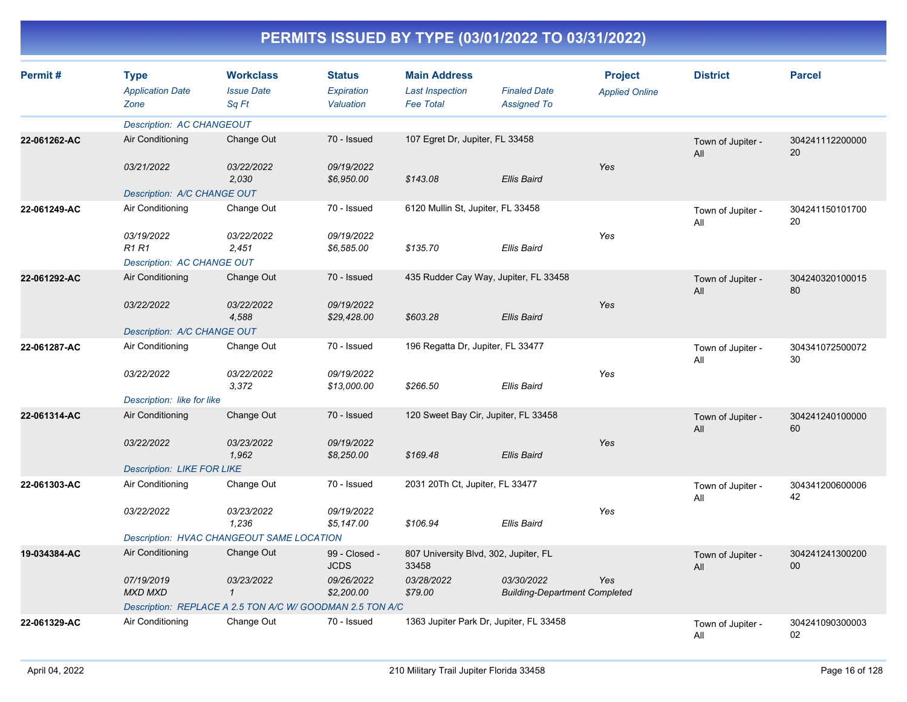| Permit#      | <b>Type</b><br><b>Application Date</b><br>Zone | <b>Workclass</b><br><b>Issue Date</b><br>Sq Ft            | <b>Status</b><br>Expiration<br>Valuation | <b>Main Address</b><br><b>Last Inspection</b><br><b>Fee Total</b> | <b>Finaled Date</b><br><b>Assigned To</b>          | <b>Project</b><br><b>Applied Online</b> | <b>District</b>          | <b>Parcel</b>         |
|--------------|------------------------------------------------|-----------------------------------------------------------|------------------------------------------|-------------------------------------------------------------------|----------------------------------------------------|-----------------------------------------|--------------------------|-----------------------|
|              | <b>Description: AC CHANGEOUT</b>               |                                                           |                                          |                                                                   |                                                    |                                         |                          |                       |
| 22-061262-AC | Air Conditioning                               | Change Out                                                | 70 - Issued                              | 107 Egret Dr, Jupiter, FL 33458                                   |                                                    |                                         | Town of Jupiter -<br>All | 304241112200000<br>20 |
|              | 03/21/2022                                     | 03/22/2022<br>2.030                                       | 09/19/2022<br>\$6,950.00                 | \$143.08                                                          | <b>Ellis Baird</b>                                 | Yes                                     |                          |                       |
|              | Description: A/C CHANGE OUT                    |                                                           |                                          |                                                                   |                                                    |                                         |                          |                       |
| 22-061249-AC | Air Conditioning                               | Change Out                                                | 70 - Issued                              | 6120 Mullin St, Jupiter, FL 33458                                 |                                                    |                                         | Town of Jupiter -<br>All | 304241150101700<br>20 |
|              | 03/19/2022<br>R1 R1                            | 03/22/2022<br>2,451                                       | 09/19/2022<br>\$6,585.00                 | \$135.70                                                          | Ellis Baird                                        | Yes                                     |                          |                       |
|              | Description: AC CHANGE OUT                     |                                                           |                                          |                                                                   |                                                    |                                         |                          |                       |
| 22-061292-AC | Air Conditioning                               | Change Out                                                | 70 - Issued                              |                                                                   | 435 Rudder Cay Way, Jupiter, FL 33458              |                                         | Town of Jupiter -<br>All | 304240320100015<br>80 |
|              | 03/22/2022                                     | 03/22/2022<br>4,588                                       | 09/19/2022<br>\$29,428.00                | \$603.28                                                          | <b>Ellis Baird</b>                                 | Yes                                     |                          |                       |
|              | Description: A/C CHANGE OUT                    |                                                           |                                          |                                                                   |                                                    |                                         |                          |                       |
| 22-061287-AC | Air Conditioning                               | Change Out                                                | 70 - Issued                              | 196 Regatta Dr, Jupiter, FL 33477                                 |                                                    |                                         | Town of Jupiter -<br>All | 304341072500072<br>30 |
|              | 03/22/2022                                     | 03/22/2022<br>3,372                                       | 09/19/2022<br>\$13,000.00                | \$266.50                                                          | Ellis Baird                                        | Yes                                     |                          |                       |
|              | Description: like for like                     |                                                           |                                          |                                                                   |                                                    |                                         |                          |                       |
| 22-061314-AC | Air Conditioning                               | Change Out                                                | 70 - Issued                              | 120 Sweet Bay Cir, Jupiter, FL 33458                              |                                                    |                                         | Town of Jupiter -<br>All | 304241240100000<br>60 |
|              | 03/22/2022                                     | 03/23/2022<br>1,962                                       | 09/19/2022<br>\$8,250.00                 | \$169.48                                                          | <b>Ellis Baird</b>                                 | Yes                                     |                          |                       |
|              | <b>Description: LIKE FOR LIKE</b>              |                                                           |                                          |                                                                   |                                                    |                                         |                          |                       |
| 22-061303-AC | Air Conditioning                               | Change Out                                                | 70 - Issued                              | 2031 20Th Ct, Jupiter, FL 33477                                   |                                                    |                                         | Town of Jupiter -<br>All | 304341200600006<br>42 |
|              | 03/22/2022                                     | 03/23/2022<br>1,236                                       | 09/19/2022<br>\$5,147.00                 | \$106.94                                                          | <b>Ellis Baird</b>                                 | Yes                                     |                          |                       |
|              |                                                | Description: HVAC CHANGEOUT SAME LOCATION                 |                                          |                                                                   |                                                    |                                         |                          |                       |
| 19-034384-AC | Air Conditioning                               | Change Out                                                | 99 - Closed -<br><b>JCDS</b>             | 807 University Blvd, 302, Jupiter, FL<br>33458                    |                                                    |                                         | Town of Jupiter -<br>All | 304241241300200<br>00 |
|              | 07/19/2019<br><b>MXD MXD</b>                   | 03/23/2022<br>$\mathbf{1}$                                | 09/26/2022<br>\$2,200.00                 | 03/28/2022<br>\$79.00                                             | 03/30/2022<br><b>Building-Department Completed</b> | Yes                                     |                          |                       |
|              |                                                | Description: REPLACE A 2.5 TON A/C W/ GOODMAN 2.5 TON A/C |                                          |                                                                   |                                                    |                                         |                          |                       |
| 22-061329-AC | Air Conditioning                               | Change Out                                                | 70 - Issued                              |                                                                   | 1363 Jupiter Park Dr, Jupiter, FL 33458            |                                         | Town of Jupiter -<br>All | 304241090300003<br>02 |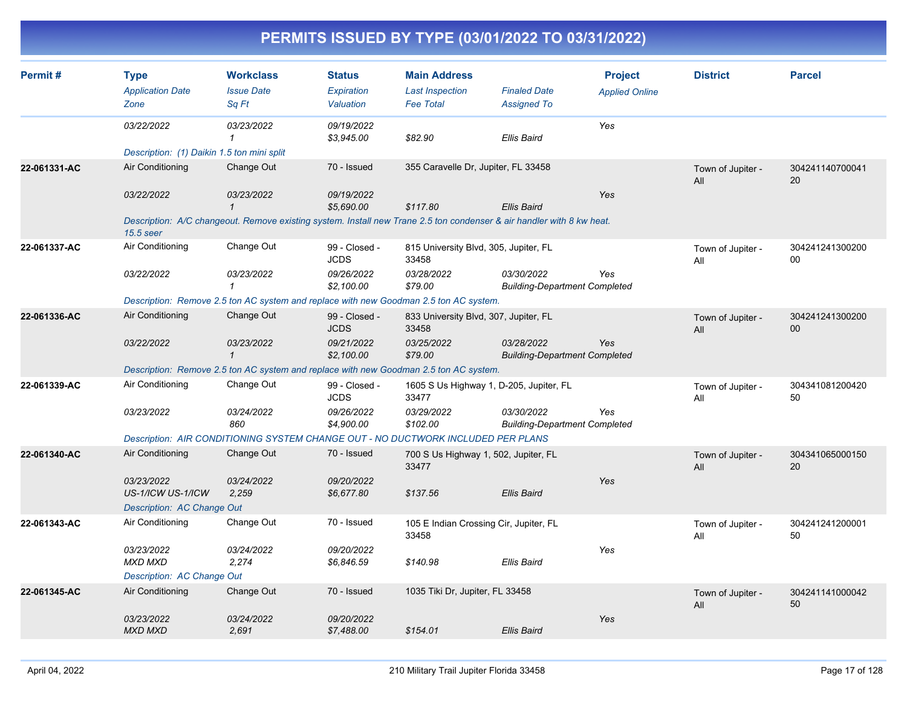| Permit#      | <b>Type</b><br><b>Application Date</b><br>Zone | <b>Workclass</b><br><b>Issue Date</b><br>Sq Ft                                                                        | <b>Status</b><br>Expiration<br>Valuation | <b>Main Address</b><br><b>Last Inspection</b><br><b>Fee Total</b> | <b>Finaled Date</b><br><b>Assigned To</b>          | <b>Project</b><br><b>Applied Online</b> | <b>District</b>          | <b>Parcel</b>             |
|--------------|------------------------------------------------|-----------------------------------------------------------------------------------------------------------------------|------------------------------------------|-------------------------------------------------------------------|----------------------------------------------------|-----------------------------------------|--------------------------|---------------------------|
|              | 03/22/2022                                     | 03/23/2022<br>1                                                                                                       | 09/19/2022<br>\$3,945.00                 | \$82.90                                                           | <b>Ellis Baird</b>                                 | Yes                                     |                          |                           |
|              | Description: (1) Daikin 1.5 ton mini split     |                                                                                                                       |                                          |                                                                   |                                                    |                                         |                          |                           |
| 22-061331-AC | Air Conditioning                               | Change Out                                                                                                            | 70 - Issued                              | 355 Caravelle Dr, Jupiter, FL 33458                               |                                                    |                                         | Town of Jupiter -<br>All | 304241140700041<br>20     |
|              | 03/22/2022                                     | 03/23/2022<br>$\mathbf{1}$                                                                                            | 09/19/2022<br>\$5,690.00                 | \$117.80                                                          | <b>Ellis Baird</b>                                 | Yes                                     |                          |                           |
|              | 15.5 seer                                      | Description: A/C changeout. Remove existing system. Install new Trane 2.5 ton condenser & air handler with 8 kw heat. |                                          |                                                                   |                                                    |                                         |                          |                           |
| 22-061337-AC | Air Conditioning                               | Change Out                                                                                                            | 99 - Closed -<br><b>JCDS</b>             | 815 University Blvd, 305, Jupiter, FL<br>33458                    |                                                    |                                         | Town of Jupiter -<br>All | 304241241300200<br>$00\,$ |
|              | 03/22/2022                                     | 03/23/2022<br>$\mathbf 1$                                                                                             | 09/26/2022<br>\$2,100.00                 | 03/28/2022<br>\$79.00                                             | 03/30/2022<br><b>Building-Department Completed</b> | Yes                                     |                          |                           |
|              |                                                | Description: Remove 2.5 ton AC system and replace with new Goodman 2.5 ton AC system.                                 |                                          |                                                                   |                                                    |                                         |                          |                           |
| 22-061336-AC | Air Conditioning                               | Change Out                                                                                                            | 99 - Closed -<br><b>JCDS</b>             | 833 University Blvd, 307, Jupiter, FL<br>33458                    |                                                    |                                         | Town of Jupiter -<br>All | 304241241300200<br>00     |
|              | 03/22/2022                                     | 03/23/2022<br>$\mathbf{1}$                                                                                            | 09/21/2022<br>\$2,100.00                 | 03/25/2022<br>\$79.00                                             | 03/28/2022<br><b>Building-Department Completed</b> | Yes                                     |                          |                           |
|              |                                                | Description: Remove 2.5 ton AC system and replace with new Goodman 2.5 ton AC system.                                 |                                          |                                                                   |                                                    |                                         |                          |                           |
| 22-061339-AC | Air Conditioning                               | Change Out                                                                                                            | 99 - Closed -<br><b>JCDS</b>             | 1605 S Us Highway 1, D-205, Jupiter, FL<br>33477                  |                                                    |                                         | Town of Jupiter -<br>All | 304341081200420<br>50     |
|              | 03/23/2022                                     | 03/24/2022<br>860                                                                                                     | 09/26/2022<br>\$4,900.00                 | 03/29/2022<br>\$102.00                                            | 03/30/2022<br><b>Building-Department Completed</b> | Yes                                     |                          |                           |
|              |                                                | Description: AIR CONDITIONING SYSTEM CHANGE OUT - NO DUCTWORK INCLUDED PER PLANS                                      |                                          |                                                                   |                                                    |                                         |                          |                           |
| 22-061340-AC | Air Conditioning                               | Change Out                                                                                                            | 70 - Issued                              | 700 S Us Highway 1, 502, Jupiter, FL<br>33477                     |                                                    |                                         | Town of Jupiter -<br>All | 304341065000150<br>20     |
|              | 03/23/2022<br>US-1/ICW US-1/ICW                | 03/24/2022<br>2,259                                                                                                   | 09/20/2022<br>\$6,677.80                 | \$137.56                                                          | <b>Ellis Baird</b>                                 | Yes                                     |                          |                           |
|              | Description: AC Change Out                     |                                                                                                                       |                                          |                                                                   |                                                    |                                         |                          |                           |
| 22-061343-AC | Air Conditioning                               | Change Out                                                                                                            | 70 - Issued                              | 105 E Indian Crossing Cir, Jupiter, FL<br>33458                   |                                                    |                                         | Town of Jupiter -<br>All | 304241241200001<br>50     |
|              | 03/23/2022<br><b>MXD MXD</b>                   | 03/24/2022<br>2,274                                                                                                   | 09/20/2022<br>\$6,846.59                 | \$140.98                                                          | <b>Ellis Baird</b>                                 | Yes                                     |                          |                           |
|              | Description: AC Change Out                     |                                                                                                                       |                                          |                                                                   |                                                    |                                         |                          |                           |
| 22-061345-AC | Air Conditioning                               | Change Out                                                                                                            | 70 - Issued                              | 1035 Tiki Dr, Jupiter, FL 33458                                   |                                                    |                                         | Town of Jupiter -<br>All | 304241141000042<br>50     |
|              | 03/23/2022<br><b>MXD MXD</b>                   | 03/24/2022<br>2,691                                                                                                   | 09/20/2022<br>\$7,488.00                 | \$154.01                                                          | <b>Ellis Baird</b>                                 | Yes                                     |                          |                           |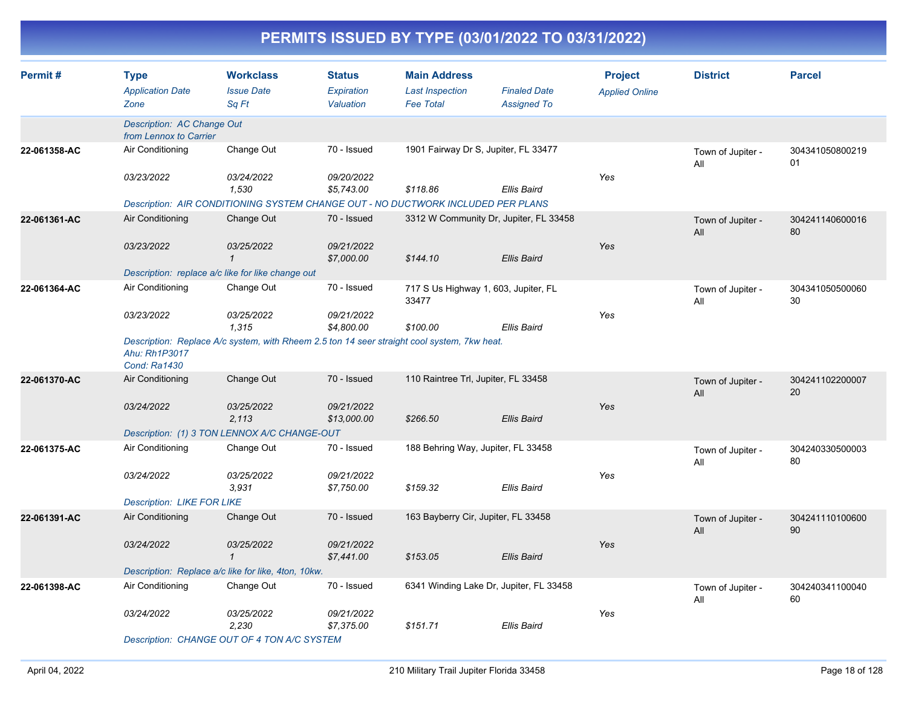| Permit#      | <b>Type</b><br><b>Application Date</b><br>Zone       | <b>Workclass</b><br><b>Issue Date</b><br>Sq Ft                                              | <b>Status</b><br>Expiration<br>Valuation | <b>Main Address</b><br><b>Last Inspection</b><br><b>Fee Total</b> | <b>Finaled Date</b><br><b>Assigned To</b> | <b>Project</b><br><b>Applied Online</b> | <b>District</b>          | <b>Parcel</b>         |
|--------------|------------------------------------------------------|---------------------------------------------------------------------------------------------|------------------------------------------|-------------------------------------------------------------------|-------------------------------------------|-----------------------------------------|--------------------------|-----------------------|
|              | Description: AC Change Out<br>from Lennox to Carrier |                                                                                             |                                          |                                                                   |                                           |                                         |                          |                       |
| 22-061358-AC | Air Conditioning                                     | Change Out                                                                                  | 70 - Issued                              | 1901 Fairway Dr S, Jupiter, FL 33477                              |                                           |                                         | Town of Jupiter -<br>All | 304341050800219<br>01 |
|              | 03/23/2022                                           | 03/24/2022<br>1,530                                                                         | 09/20/2022<br>\$5,743.00                 | \$118.86                                                          | Ellis Baird                               | Yes                                     |                          |                       |
|              |                                                      | Description: AIR CONDITIONING SYSTEM CHANGE OUT - NO DUCTWORK INCLUDED PER PLANS            |                                          |                                                                   |                                           |                                         |                          |                       |
| 22-061361-AC | Air Conditioning                                     | Change Out                                                                                  | 70 - Issued                              | 3312 W Community Dr, Jupiter, FL 33458                            |                                           |                                         | Town of Jupiter -<br>All | 304241140600016<br>80 |
|              | 03/23/2022                                           | 03/25/2022<br>$\mathbf{1}$                                                                  | 09/21/2022<br>\$7,000.00                 | \$144.10                                                          | <b>Ellis Baird</b>                        | Yes                                     |                          |                       |
|              |                                                      | Description: replace a/c like for like change out                                           |                                          |                                                                   |                                           |                                         |                          |                       |
| 22-061364-AC | Air Conditioning                                     | Change Out                                                                                  | 70 - Issued                              | 717 S Us Highway 1, 603, Jupiter, FL<br>33477                     |                                           |                                         | Town of Jupiter -<br>All | 304341050500060<br>30 |
|              | 03/23/2022                                           | 03/25/2022<br>1,315                                                                         | 09/21/2022<br>\$4,800.00                 | \$100.00                                                          | <b>Ellis Baird</b>                        | Yes                                     |                          |                       |
|              | Ahu: Rh1P3017<br><b>Cond: Ra1430</b>                 | Description: Replace A/c system, with Rheem 2.5 ton 14 seer straight cool system, 7kw heat. |                                          |                                                                   |                                           |                                         |                          |                       |
| 22-061370-AC | Air Conditioning                                     | Change Out                                                                                  | 70 - Issued                              | 110 Raintree Trl, Jupiter, FL 33458                               |                                           |                                         | Town of Jupiter -<br>All | 304241102200007<br>20 |
|              | 03/24/2022                                           | 03/25/2022<br>2,113                                                                         | 09/21/2022<br>\$13,000.00                | \$266.50                                                          | <b>Ellis Baird</b>                        | Yes                                     |                          |                       |
|              |                                                      | Description: (1) 3 TON LENNOX A/C CHANGE-OUT                                                |                                          |                                                                   |                                           |                                         |                          |                       |
| 22-061375-AC | Air Conditioning                                     | Change Out                                                                                  | 70 - Issued                              | 188 Behring Way, Jupiter, FL 33458                                |                                           |                                         | Town of Jupiter -<br>All | 304240330500003<br>80 |
|              | 03/24/2022                                           | 03/25/2022<br>3,931                                                                         | 09/21/2022<br>\$7,750.00                 | \$159.32                                                          | <b>Ellis Baird</b>                        | Yes                                     |                          |                       |
|              | <b>Description: LIKE FOR LIKE</b>                    |                                                                                             |                                          |                                                                   |                                           |                                         |                          |                       |
| 22-061391-AC | Air Conditioning                                     | Change Out                                                                                  | 70 - Issued                              | 163 Bayberry Cir, Jupiter, FL 33458                               |                                           |                                         | Town of Jupiter -<br>All | 304241110100600<br>90 |
|              | 03/24/2022                                           | 03/25/2022<br>$\mathbf{1}$                                                                  | 09/21/2022<br>\$7,441.00                 | \$153.05                                                          | <b>Ellis Baird</b>                        | Yes                                     |                          |                       |
|              |                                                      | Description: Replace a/c like for like, 4ton, 10kw.                                         |                                          |                                                                   |                                           |                                         |                          |                       |
| 22-061398-AC | Air Conditioning                                     | Change Out                                                                                  | 70 - Issued                              | 6341 Winding Lake Dr, Jupiter, FL 33458                           |                                           |                                         | Town of Jupiter -<br>All | 304240341100040<br>60 |
|              | 03/24/2022                                           | 03/25/2022<br>2,230                                                                         | 09/21/2022<br>\$7,375.00                 | \$151.71                                                          | <b>Ellis Baird</b>                        | Yes                                     |                          |                       |
|              |                                                      | Description: CHANGE OUT OF 4 TON A/C SYSTEM                                                 |                                          |                                                                   |                                           |                                         |                          |                       |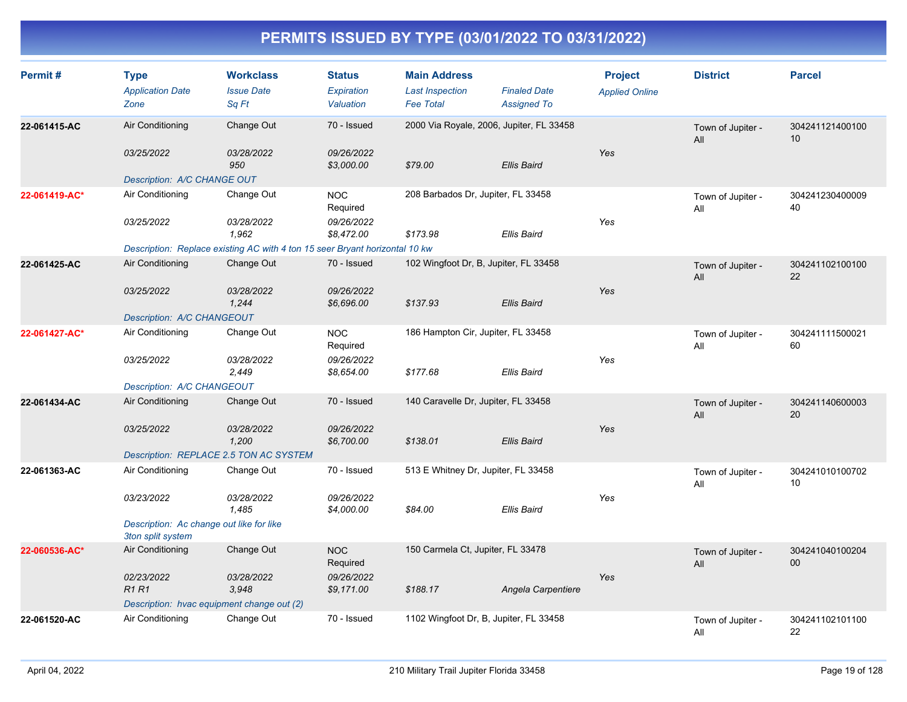| Permit#       | <b>Type</b><br><b>Application Date</b><br>Zone                | <b>Workclass</b><br><b>Issue Date</b><br>Sq Ft                              | <b>Status</b><br>Expiration<br>Valuation | <b>Main Address</b><br><b>Last Inspection</b><br><b>Fee Total</b> | <b>Finaled Date</b><br><b>Assigned To</b> | <b>Project</b><br><b>Applied Online</b> | <b>District</b>          | <b>Parcel</b>         |
|---------------|---------------------------------------------------------------|-----------------------------------------------------------------------------|------------------------------------------|-------------------------------------------------------------------|-------------------------------------------|-----------------------------------------|--------------------------|-----------------------|
| 22-061415-AC  | Air Conditioning                                              | Change Out                                                                  | 70 - Issued                              |                                                                   | 2000 Via Royale, 2006, Jupiter, FL 33458  |                                         | Town of Jupiter -<br>All | 304241121400100<br>10 |
|               | 03/25/2022                                                    | 03/28/2022<br>950                                                           | 09/26/2022<br>\$3,000.00                 | \$79.00                                                           | <b>Ellis Baird</b>                        | Yes                                     |                          |                       |
|               | Description: A/C CHANGE OUT                                   |                                                                             |                                          |                                                                   |                                           |                                         |                          |                       |
| 22-061419-AC* | Air Conditioning                                              | Change Out                                                                  | <b>NOC</b><br>Required                   | 208 Barbados Dr, Jupiter, FL 33458                                |                                           |                                         | Town of Jupiter -<br>All | 304241230400009<br>40 |
|               | 03/25/2022                                                    | 03/28/2022<br>1,962                                                         | 09/26/2022<br>\$8,472.00                 | \$173.98                                                          | <b>Ellis Baird</b>                        | Yes                                     |                          |                       |
|               |                                                               | Description: Replace existing AC with 4 ton 15 seer Bryant horizontal 10 kw |                                          |                                                                   |                                           |                                         |                          |                       |
| 22-061425-AC  | Air Conditioning                                              | Change Out                                                                  | 70 - Issued                              |                                                                   | 102 Wingfoot Dr, B, Jupiter, FL 33458     |                                         | Town of Jupiter -<br>All | 304241102100100<br>22 |
|               | 03/25/2022                                                    | 03/28/2022<br>1,244                                                         | 09/26/2022<br>\$6,696.00                 | \$137.93                                                          | <b>Ellis Baird</b>                        | Yes                                     |                          |                       |
|               | Description: A/C CHANGEOUT                                    |                                                                             |                                          |                                                                   |                                           |                                         |                          |                       |
| 22-061427-AC* | Air Conditioning                                              | Change Out                                                                  | <b>NOC</b><br>Required                   | 186 Hampton Cir, Jupiter, FL 33458                                |                                           |                                         | Town of Jupiter -<br>All | 304241111500021<br>60 |
|               | 03/25/2022                                                    | 03/28/2022<br>2,449                                                         | 09/26/2022<br>\$8,654.00                 | \$177.68                                                          | <b>Ellis Baird</b>                        | Yes                                     |                          |                       |
|               | Description: A/C CHANGEOUT                                    |                                                                             |                                          |                                                                   |                                           |                                         |                          |                       |
| 22-061434-AC  | Air Conditioning                                              | Change Out                                                                  | 70 - Issued                              | 140 Caravelle Dr, Jupiter, FL 33458                               |                                           |                                         | Town of Jupiter -<br>All | 304241140600003<br>20 |
|               | 03/25/2022                                                    | 03/28/2022<br>1,200                                                         | 09/26/2022<br>\$6,700.00                 | \$138.01                                                          | <b>Ellis Baird</b>                        | Yes                                     |                          |                       |
|               |                                                               | Description: REPLACE 2.5 TON AC SYSTEM                                      |                                          |                                                                   |                                           |                                         |                          |                       |
| 22-061363-AC  | Air Conditioning                                              | Change Out                                                                  | 70 - Issued                              | 513 E Whitney Dr, Jupiter, FL 33458                               |                                           |                                         | Town of Jupiter -<br>All | 304241010100702<br>10 |
|               | 03/23/2022                                                    | 03/28/2022<br>1,485                                                         | 09/26/2022<br>\$4,000.00                 | \$84.00                                                           | <b>Ellis Baird</b>                        | Yes                                     |                          |                       |
|               | Description: Ac change out like for like<br>3ton split system |                                                                             |                                          |                                                                   |                                           |                                         |                          |                       |
| 22-060536-AC* | Air Conditioning                                              | Change Out                                                                  | <b>NOC</b><br>Required                   | 150 Carmela Ct, Jupiter, FL 33478                                 |                                           |                                         | Town of Jupiter -<br>All | 304241040100204<br>00 |
|               | 02/23/2022<br>R1R1                                            | 03/28/2022<br>3,948                                                         | 09/26/2022<br>\$9,171.00                 | \$188.17                                                          | Angela Carpentiere                        | Yes                                     |                          |                       |
|               |                                                               | Description: hvac equipment change out (2)                                  |                                          |                                                                   |                                           |                                         |                          |                       |
| 22-061520-AC  | Air Conditioning                                              | Change Out                                                                  | 70 - Issued                              |                                                                   | 1102 Wingfoot Dr, B, Jupiter, FL 33458    |                                         | Town of Jupiter -<br>All | 304241102101100<br>22 |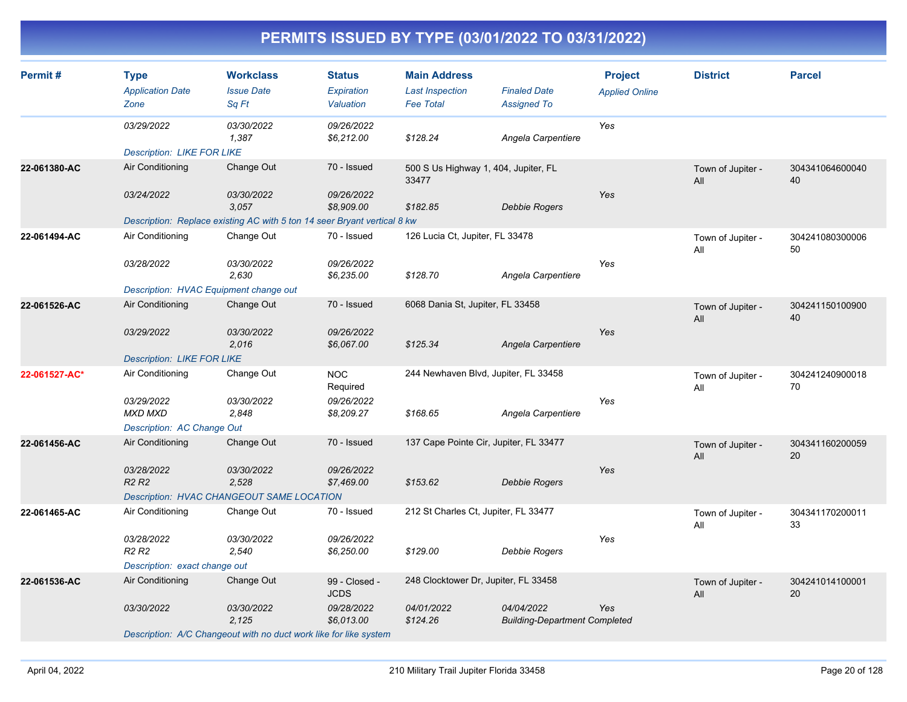| Permit#       | <b>Type</b><br><b>Application Date</b><br>Zone | <b>Workclass</b><br><b>Issue Date</b><br>Sq Ft                           | <b>Status</b><br>Expiration<br>Valuation | <b>Main Address</b><br><b>Last Inspection</b><br><b>Fee Total</b> | <b>Finaled Date</b><br><b>Assigned To</b>          | <b>Project</b><br><b>Applied Online</b> | <b>District</b>          | <b>Parcel</b>         |
|---------------|------------------------------------------------|--------------------------------------------------------------------------|------------------------------------------|-------------------------------------------------------------------|----------------------------------------------------|-----------------------------------------|--------------------------|-----------------------|
|               | 03/29/2022                                     | <i>03/30/2022</i><br>1,387                                               | 09/26/2022<br>\$6,212.00                 | \$128.24                                                          | Angela Carpentiere                                 | Yes                                     |                          |                       |
|               | <b>Description: LIKE FOR LIKE</b>              |                                                                          |                                          |                                                                   |                                                    |                                         |                          |                       |
| 22-061380-AC  | Air Conditioning                               | Change Out                                                               | 70 - Issued                              | 500 S Us Highway 1, 404, Jupiter, FL<br>33477                     |                                                    |                                         | Town of Jupiter -<br>All | 304341064600040<br>40 |
|               | 03/24/2022                                     | 03/30/2022<br>3,057                                                      | 09/26/2022<br>\$8,909.00                 | \$182.85                                                          | Debbie Rogers                                      | Yes                                     |                          |                       |
|               |                                                | Description: Replace existing AC with 5 ton 14 seer Bryant vertical 8 kw |                                          |                                                                   |                                                    |                                         |                          |                       |
| 22-061494-AC  | Air Conditioning                               | Change Out                                                               | 70 - Issued                              | 126 Lucia Ct, Jupiter, FL 33478                                   |                                                    |                                         | Town of Jupiter -<br>All | 304241080300006<br>50 |
|               | 03/28/2022                                     | 03/30/2022<br>2.630                                                      | 09/26/2022<br>\$6,235.00                 | \$128.70                                                          | Angela Carpentiere                                 | Yes                                     |                          |                       |
|               | Description: HVAC Equipment change out         |                                                                          |                                          |                                                                   |                                                    |                                         |                          |                       |
| 22-061526-AC  | Air Conditioning                               | Change Out                                                               | 70 - Issued                              | 6068 Dania St, Jupiter, FL 33458                                  |                                                    |                                         | Town of Jupiter -<br>All | 304241150100900<br>40 |
|               | 03/29/2022                                     | 03/30/2022<br>2,016                                                      | 09/26/2022<br>\$6,067.00                 | \$125.34                                                          | Angela Carpentiere                                 | Yes                                     |                          |                       |
|               | <b>Description: LIKE FOR LIKE</b>              |                                                                          |                                          |                                                                   |                                                    |                                         |                          |                       |
| 22-061527-AC* | Air Conditioning                               | Change Out                                                               | <b>NOC</b><br>Required                   | 244 Newhaven Blvd, Jupiter, FL 33458                              |                                                    |                                         | Town of Jupiter -<br>All | 304241240900018<br>70 |
|               | 03/29/2022<br><b>MXD MXD</b>                   | 03/30/2022<br>2,848                                                      | 09/26/2022<br>\$8,209.27                 | \$168.65                                                          | Angela Carpentiere                                 | Yes                                     |                          |                       |
|               | Description: AC Change Out                     |                                                                          |                                          |                                                                   |                                                    |                                         |                          |                       |
| 22-061456-AC  | Air Conditioning                               | Change Out                                                               | 70 - Issued                              | 137 Cape Pointe Cir, Jupiter, FL 33477                            |                                                    |                                         | Town of Jupiter -<br>All | 304341160200059<br>20 |
|               | 03/28/2022<br><b>R2 R2</b>                     | 03/30/2022<br>2,528                                                      | 09/26/2022<br>\$7,469.00                 | \$153.62                                                          | <b>Debbie Rogers</b>                               | Yes                                     |                          |                       |
|               |                                                | Description: HVAC CHANGEOUT SAME LOCATION                                |                                          |                                                                   |                                                    |                                         |                          |                       |
| 22-061465-AC  | Air Conditioning                               | Change Out                                                               | 70 - Issued                              | 212 St Charles Ct, Jupiter, FL 33477                              |                                                    |                                         | Town of Jupiter -<br>All | 304341170200011<br>33 |
|               | 03/28/2022<br>R <sub>2</sub> R <sub>2</sub>    | 03/30/2022<br>2,540                                                      | 09/26/2022<br>\$6,250.00                 | \$129.00                                                          | Debbie Rogers                                      | Yes                                     |                          |                       |
|               | Description: exact change out                  |                                                                          |                                          |                                                                   |                                                    |                                         |                          |                       |
| 22-061536-AC  | Air Conditioning                               | Change Out                                                               | 99 - Closed -<br><b>JCDS</b>             | 248 Clocktower Dr, Jupiter, FL 33458                              |                                                    |                                         | Town of Jupiter -<br>All | 304241014100001<br>20 |
|               | 03/30/2022                                     | 03/30/2022<br>2,125                                                      | 09/28/2022<br>\$6,013.00                 | 04/01/2022<br>\$124.26                                            | 04/04/2022<br><b>Building-Department Completed</b> | Yes                                     |                          |                       |
|               |                                                | Description: A/C Changeout with no duct work like for like system        |                                          |                                                                   |                                                    |                                         |                          |                       |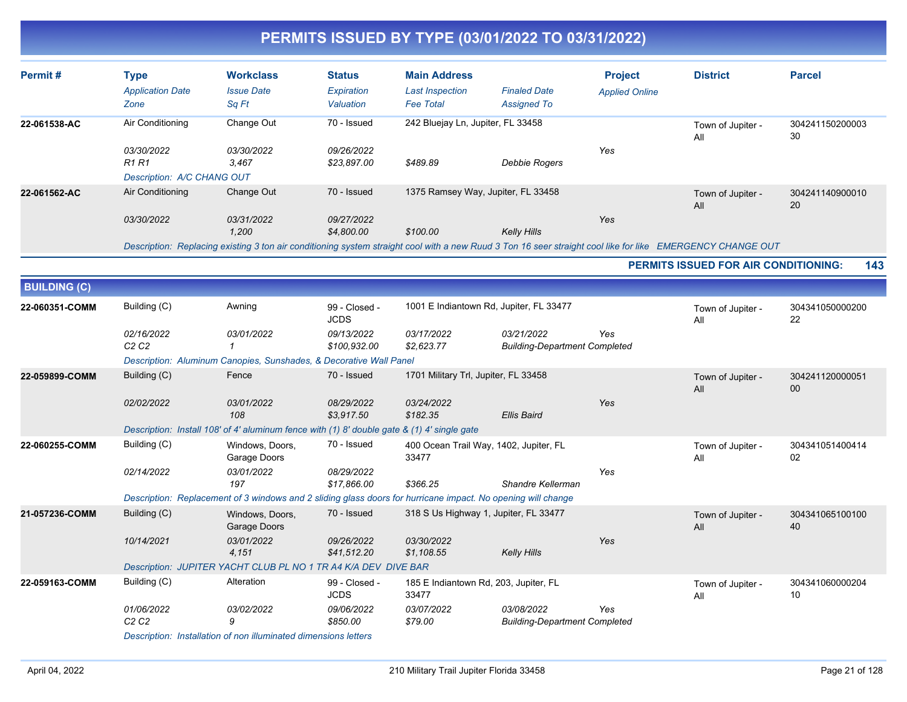| Permit#             | <b>Type</b>                                              | <b>Workclass</b>                                                                                                                                           | <b>Status</b>                | <b>Main Address</b>                        |                                                    | <b>Project</b>        | <b>District</b>                             | <b>Parcel</b>         |
|---------------------|----------------------------------------------------------|------------------------------------------------------------------------------------------------------------------------------------------------------------|------------------------------|--------------------------------------------|----------------------------------------------------|-----------------------|---------------------------------------------|-----------------------|
|                     | <b>Application Date</b><br>Zone                          | <b>Issue Date</b><br>Sq Ft                                                                                                                                 | Expiration<br>Valuation      | <b>Last Inspection</b><br><b>Fee Total</b> | <b>Finaled Date</b><br><b>Assigned To</b>          | <b>Applied Online</b> |                                             |                       |
| 22-061538-AC        | Air Conditioning                                         | Change Out                                                                                                                                                 | 70 - Issued                  | 242 Bluejay Ln, Jupiter, FL 33458          |                                                    |                       | Town of Jupiter -<br>All                    | 304241150200003<br>30 |
|                     | 03/30/2022<br><b>R1 R1</b><br>Description: A/C CHANG OUT | 03/30/2022<br>3,467                                                                                                                                        | 09/26/2022<br>\$23,897.00    | \$489.89                                   | Debbie Rogers                                      | Yes                   |                                             |                       |
| 22-061562-AC        | Air Conditioning                                         | Change Out                                                                                                                                                 | 70 - Issued                  |                                            | 1375 Ramsey Way, Jupiter, FL 33458                 |                       | Town of Jupiter -<br>All                    | 304241140900010<br>20 |
|                     | 03/30/2022                                               | 03/31/2022<br>1,200                                                                                                                                        | 09/27/2022<br>\$4,800.00     | \$100.00                                   | <b>Kelly Hills</b>                                 | Yes                   |                                             |                       |
|                     |                                                          | Description: Replacing existing 3 ton air conditioning system straight cool with a new Ruud 3 Ton 16 seer straight cool like for like EMERGENCY CHANGE OUT |                              |                                            |                                                    |                       |                                             |                       |
|                     |                                                          |                                                                                                                                                            |                              |                                            |                                                    |                       | <b>PERMITS ISSUED FOR AIR CONDITIONING:</b> | 143                   |
| <b>BUILDING (C)</b> |                                                          |                                                                                                                                                            |                              |                                            |                                                    |                       |                                             |                       |
| 22-060351-COMM      | Building (C)                                             | Awning                                                                                                                                                     | 99 - Closed -<br><b>JCDS</b> |                                            | 1001 E Indiantown Rd, Jupiter, FL 33477            |                       | Town of Jupiter -<br>All                    | 304341050000200<br>22 |
|                     | 02/16/2022<br>C <sub>2</sub> C <sub>2</sub>              | 03/01/2022<br>$\mathbf{1}$                                                                                                                                 | 09/13/2022<br>\$100,932.00   | 03/17/2022<br>\$2,623.77                   | 03/21/2022<br><b>Building-Department Completed</b> | Yes                   |                                             |                       |
|                     |                                                          | Description: Aluminum Canopies, Sunshades, & Decorative Wall Panel                                                                                         |                              |                                            |                                                    |                       |                                             |                       |
| 22-059899-COMM      | Building (C)                                             | Fence                                                                                                                                                      | 70 - Issued                  | 1701 Military Trl, Jupiter, FL 33458       |                                                    |                       | Town of Jupiter -<br>All                    | 304241120000051<br>00 |
|                     | 02/02/2022                                               | 03/01/2022<br>108                                                                                                                                          | 08/29/2022<br>\$3,917.50     | 03/24/2022<br>\$182.35                     | <b>Ellis Baird</b>                                 | Yes                   |                                             |                       |
|                     |                                                          | Description: Install 108' of 4' aluminum fence with (1) 8' double gate & (1) 4' single gate                                                                |                              |                                            |                                                    |                       |                                             |                       |
| 22-060255-COMM      | Building (C)                                             | Windows, Doors,<br>Garage Doors                                                                                                                            | 70 - Issued                  | 33477                                      | 400 Ocean Trail Way, 1402, Jupiter, FL             |                       | Town of Jupiter -<br>All                    | 304341051400414<br>02 |
|                     | 02/14/2022                                               | 03/01/2022<br>197                                                                                                                                          | 08/29/2022<br>\$17,866.00    | \$366.25                                   | Shandre Kellerman                                  | Yes                   |                                             |                       |
|                     |                                                          | Description: Replacement of 3 windows and 2 sliding glass doors for hurricane impact. No opening will change                                               |                              |                                            |                                                    |                       |                                             |                       |
| 21-057236-COMM      | Building (C)                                             | Windows, Doors,<br>Garage Doors                                                                                                                            | 70 - Issued                  |                                            | 318 S Us Highway 1, Jupiter, FL 33477              |                       | Town of Jupiter -<br>All                    | 304341065100100<br>40 |
|                     | 10/14/2021                                               | 03/01/2022<br>4,151                                                                                                                                        | 09/26/2022<br>\$41,512.20    | 03/30/2022<br>\$1,108.55                   | <b>Kelly Hills</b>                                 | Yes                   |                                             |                       |
|                     |                                                          | Description: JUPITER YACHT CLUB PL NO 1 TR A4 K/A DEV DIVE BAR                                                                                             |                              |                                            |                                                    |                       |                                             |                       |
| 22-059163-COMM      | Building (C)                                             | Alteration                                                                                                                                                 | 99 - Closed -<br><b>JCDS</b> | 33477                                      | 185 E Indiantown Rd, 203, Jupiter, FL              |                       | Town of Jupiter -<br>All                    | 304341060000204<br>10 |
|                     | 01/06/2022<br>C2C2                                       | 03/02/2022<br>9                                                                                                                                            | 09/06/2022<br>\$850.00       | 03/07/2022<br>\$79.00                      | 03/08/2022<br><b>Building-Department Completed</b> | Yes                   |                                             |                       |
|                     |                                                          | Description: Installation of non illuminated dimensions letters                                                                                            |                              |                                            |                                                    |                       |                                             |                       |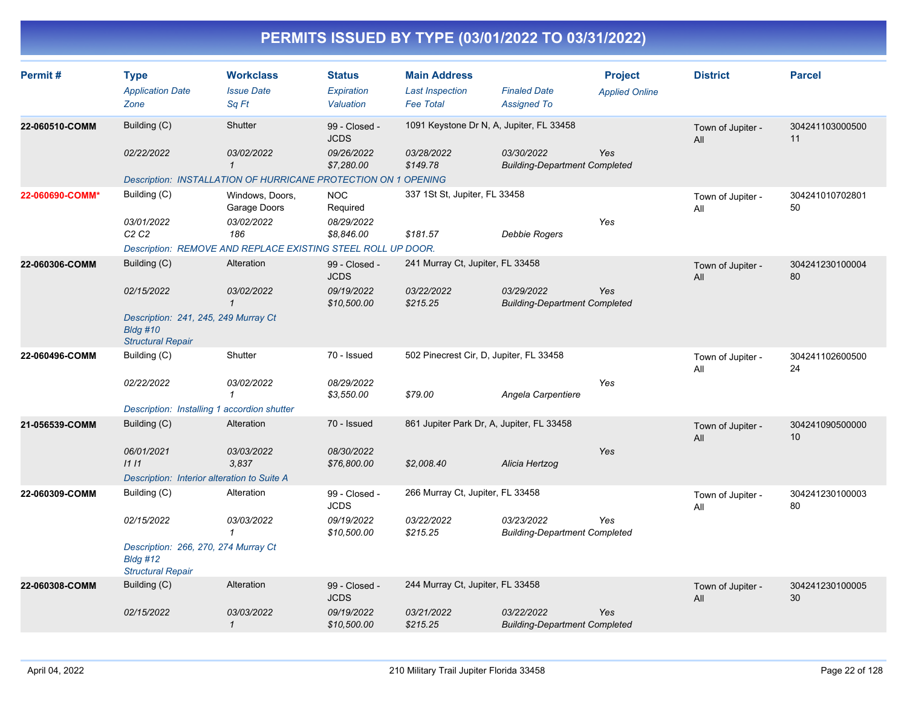| Permit#         | <b>Type</b><br><b>Application Date</b><br>Zone                                      | <b>Workclass</b><br><b>Issue Date</b><br>Sq Ft                 | <b>Status</b><br>Expiration<br>Valuation | <b>Main Address</b><br><b>Last Inspection</b><br><b>Fee Total</b> | <b>Finaled Date</b><br><b>Assigned To</b>          | <b>Project</b><br><b>Applied Online</b> | <b>District</b>          | <b>Parcel</b>         |
|-----------------|-------------------------------------------------------------------------------------|----------------------------------------------------------------|------------------------------------------|-------------------------------------------------------------------|----------------------------------------------------|-----------------------------------------|--------------------------|-----------------------|
| 22-060510-COMM  | Building (C)                                                                        | Shutter                                                        | 99 - Closed -<br><b>JCDS</b>             | 1091 Keystone Dr N, A, Jupiter, FL 33458                          |                                                    |                                         | Town of Jupiter -<br>All | 304241103000500<br>11 |
|                 | 02/22/2022                                                                          | 03/02/2022<br>$\mathbf 1$                                      | 09/26/2022<br>\$7,280.00                 | 03/28/2022<br>\$149.78                                            | 03/30/2022<br><b>Building-Department Completed</b> | Yes                                     |                          |                       |
|                 |                                                                                     | Description: INSTALLATION OF HURRICANE PROTECTION ON 1 OPENING |                                          |                                                                   |                                                    |                                         |                          |                       |
| 22-060690-COMM* | Building (C)                                                                        | Windows, Doors,<br>Garage Doors                                | <b>NOC</b><br>Required                   | 337 1St St, Jupiter, FL 33458                                     |                                                    |                                         | Town of Jupiter -<br>All | 304241010702801<br>50 |
|                 | 03/01/2022<br>C2C2                                                                  | 03/02/2022<br>186                                              | 08/29/2022<br>\$8,846.00                 | \$181.57                                                          | <b>Debbie Rogers</b>                               | Yes                                     |                          |                       |
|                 |                                                                                     | Description: REMOVE AND REPLACE EXISTING STEEL ROLL UP DOOR.   |                                          |                                                                   |                                                    |                                         |                          |                       |
| 22-060306-COMM  | Building (C)                                                                        | Alteration                                                     | 99 - Closed -<br><b>JCDS</b>             | 241 Murray Ct, Jupiter, FL 33458                                  |                                                    |                                         | Town of Jupiter -<br>All | 304241230100004<br>80 |
|                 | 02/15/2022                                                                          | 03/02/2022<br>$\mathbf{1}$                                     | 09/19/2022<br>\$10,500.00                | 03/22/2022<br>\$215.25                                            | 03/29/2022<br><b>Building-Department Completed</b> | Yes                                     |                          |                       |
|                 | Description: 241, 245, 249 Murray Ct<br><b>Bldg #10</b><br><b>Structural Repair</b> |                                                                |                                          |                                                                   |                                                    |                                         |                          |                       |
| 22-060496-COMM  | Building (C)                                                                        | Shutter                                                        | 70 - Issued                              | 502 Pinecrest Cir, D, Jupiter, FL 33458                           |                                                    |                                         | Town of Jupiter -<br>All | 304241102600500<br>24 |
|                 | 02/22/2022                                                                          | 03/02/2022<br>1                                                | 08/29/2022<br>\$3,550.00                 | \$79.00                                                           | Angela Carpentiere                                 | Yes                                     |                          |                       |
|                 | Description: Installing 1 accordion shutter                                         |                                                                |                                          |                                                                   |                                                    |                                         |                          |                       |
| 21-056539-COMM  | Building (C)                                                                        | Alteration                                                     | 70 - Issued                              | 861 Jupiter Park Dr, A, Jupiter, FL 33458                         |                                                    |                                         | Town of Jupiter -<br>All | 304241090500000<br>10 |
|                 | 06/01/2021<br>1111                                                                  | 03/03/2022<br>3,837                                            | 08/30/2022<br>\$76,800.00                | \$2,008.40                                                        | Alicia Hertzog                                     | Yes                                     |                          |                       |
|                 | Description: Interior alteration to Suite A                                         |                                                                |                                          |                                                                   |                                                    |                                         |                          |                       |
| 22-060309-COMM  | Building (C)                                                                        | Alteration                                                     | 99 - Closed -<br><b>JCDS</b>             | 266 Murray Ct, Jupiter, FL 33458                                  |                                                    |                                         | Town of Jupiter -<br>All | 304241230100003<br>80 |
|                 | 02/15/2022                                                                          | 03/03/2022<br>$\mathbf{1}$                                     | 09/19/2022<br>\$10,500.00                | 03/22/2022<br>\$215.25                                            | 03/23/2022<br><b>Building-Department Completed</b> | Yes                                     |                          |                       |
|                 | Description: 266, 270, 274 Murray Ct<br>$B$ ldg #12<br><b>Structural Repair</b>     |                                                                |                                          |                                                                   |                                                    |                                         |                          |                       |
| 22-060308-COMM  | Building (C)                                                                        | Alteration                                                     | 99 - Closed -<br><b>JCDS</b>             | 244 Murray Ct, Jupiter, FL 33458                                  |                                                    |                                         | Town of Jupiter -<br>All | 304241230100005<br>30 |
|                 | 02/15/2022                                                                          | 03/03/2022<br>$\mathbf{1}$                                     | 09/19/2022<br>\$10,500.00                | 03/21/2022<br>\$215.25                                            | 03/22/2022<br><b>Building-Department Completed</b> | Yes                                     |                          |                       |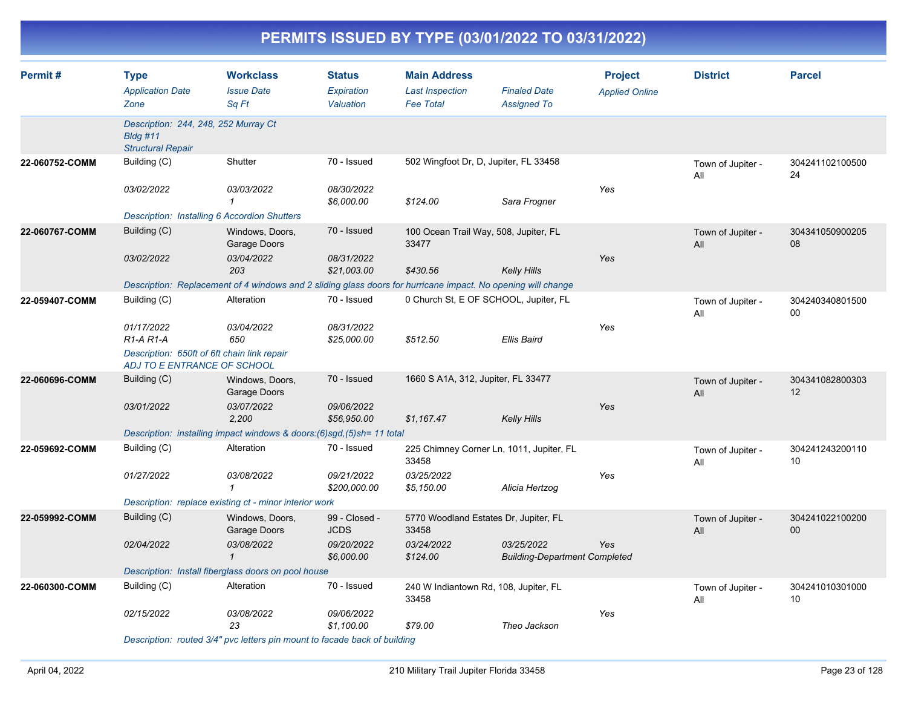|--|

| Permit#        | <b>Type</b><br><b>Application Date</b><br>Zone                                  | <b>Workclass</b><br><b>Issue Date</b><br>Sa Ft                                                               | <b>Status</b><br>Expiration<br>Valuation | <b>Main Address</b><br><b>Last Inspection</b><br><b>Fee Total</b> | <b>Finaled Date</b><br><b>Assigned To</b>          | <b>Project</b><br><b>Applied Online</b> | <b>District</b>          | <b>Parcel</b>         |
|----------------|---------------------------------------------------------------------------------|--------------------------------------------------------------------------------------------------------------|------------------------------------------|-------------------------------------------------------------------|----------------------------------------------------|-----------------------------------------|--------------------------|-----------------------|
|                | Description: 244, 248, 252 Murray Ct<br>$B$ ldg #11<br><b>Structural Repair</b> |                                                                                                              |                                          |                                                                   |                                                    |                                         |                          |                       |
| 22-060752-COMM | Building (C)                                                                    | Shutter                                                                                                      | 70 - Issued                              | 502 Wingfoot Dr, D, Jupiter, FL 33458                             |                                                    |                                         | Town of Jupiter -<br>All | 304241102100500<br>24 |
|                | 03/02/2022                                                                      | 03/03/2022<br>$\mathcal I$                                                                                   | 08/30/2022<br>\$6,000.00                 | \$124.00                                                          | Sara Frogner                                       | Yes                                     |                          |                       |
|                | <b>Description: Installing 6 Accordion Shutters</b>                             |                                                                                                              |                                          |                                                                   |                                                    |                                         |                          |                       |
| 22-060767-COMM | Building (C)                                                                    | Windows, Doors,<br>Garage Doors                                                                              | 70 - Issued                              | 100 Ocean Trail Way, 508, Jupiter, FL<br>33477                    |                                                    |                                         | Town of Jupiter -<br>All | 304341050900205<br>08 |
|                | 03/02/2022                                                                      | 03/04/2022<br>203                                                                                            | 08/31/2022<br>\$21,003.00                | \$430.56                                                          | <b>Kelly Hills</b>                                 | Yes                                     |                          |                       |
|                |                                                                                 | Description: Replacement of 4 windows and 2 sliding glass doors for hurricane impact. No opening will change |                                          |                                                                   |                                                    |                                         |                          |                       |
| 22-059407-COMM | Building (C)                                                                    | Alteration                                                                                                   | 70 - Issued                              | 0 Church St, E OF SCHOOL, Jupiter, FL                             |                                                    |                                         | Town of Jupiter -<br>All | 304240340801500<br>00 |
|                | 01/17/2022<br>$R1-A R1-A$                                                       | 03/04/2022<br>650                                                                                            | 08/31/2022<br>\$25,000.00                | \$512.50                                                          | Ellis Baird                                        | Yes                                     |                          |                       |
|                | Description: 650ft of 6ft chain link repair<br>ADJ TO E ENTRANCE OF SCHOOL      |                                                                                                              |                                          |                                                                   |                                                    |                                         |                          |                       |
| 22-060696-COMM | Building (C)                                                                    | Windows, Doors,<br>Garage Doors                                                                              | 70 - Issued                              | 1660 S A1A, 312, Jupiter, FL 33477                                |                                                    |                                         | Town of Jupiter -<br>All | 304341082800303<br>12 |
|                | 03/01/2022                                                                      | 03/07/2022<br>2,200                                                                                          | 09/06/2022<br>\$56,950.00                | \$1,167.47                                                        | <b>Kelly Hills</b>                                 | Yes                                     |                          |                       |
|                |                                                                                 | Description: installing impact windows & doors: (6)sgd, (5)sh= 11 total                                      |                                          |                                                                   |                                                    |                                         |                          |                       |
| 22-059692-COMM | Building (C)                                                                    | Alteration                                                                                                   | 70 - Issued                              | 225 Chimney Corner Ln, 1011, Jupiter, FL<br>33458                 |                                                    |                                         | Town of Jupiter -<br>All | 304241243200110<br>10 |
|                | 01/27/2022                                                                      | 03/08/2022<br>$\mathbf{1}$                                                                                   | 09/21/2022<br>\$200,000.00               | 03/25/2022<br>\$5,150.00                                          | Alicia Hertzog                                     | Yes                                     |                          |                       |
|                |                                                                                 | Description: replace existing ct - minor interior work                                                       |                                          |                                                                   |                                                    |                                         |                          |                       |
| 22-059992-COMM | Building (C)                                                                    | Windows, Doors,<br>Garage Doors                                                                              | 99 - Closed -<br><b>JCDS</b>             | 5770 Woodland Estates Dr, Jupiter, FL<br>33458                    |                                                    |                                         | Town of Jupiter -<br>All | 304241022100200<br>00 |
|                | 02/04/2022                                                                      | 03/08/2022<br>$\mathbf 1$                                                                                    | 09/20/2022<br>\$6,000.00                 | 03/24/2022<br>\$124.00                                            | 03/25/2022<br><b>Building-Department Completed</b> | Yes                                     |                          |                       |
|                |                                                                                 | Description: Install fiberglass doors on pool house                                                          |                                          |                                                                   |                                                    |                                         |                          |                       |
| 22-060300-COMM | Building (C)                                                                    | Alteration                                                                                                   | 70 - Issued                              | 240 W Indiantown Rd, 108, Jupiter, FL<br>33458                    |                                                    |                                         | Town of Jupiter -<br>All | 304241010301000<br>10 |
|                | 02/15/2022                                                                      | 03/08/2022<br>23                                                                                             | 09/06/2022<br>\$1,100.00                 | \$79.00                                                           | Theo Jackson                                       | Yes                                     |                          |                       |
|                |                                                                                 | Description: routed 3/4" pvc letters pin mount to facade back of building                                    |                                          |                                                                   |                                                    |                                         |                          |                       |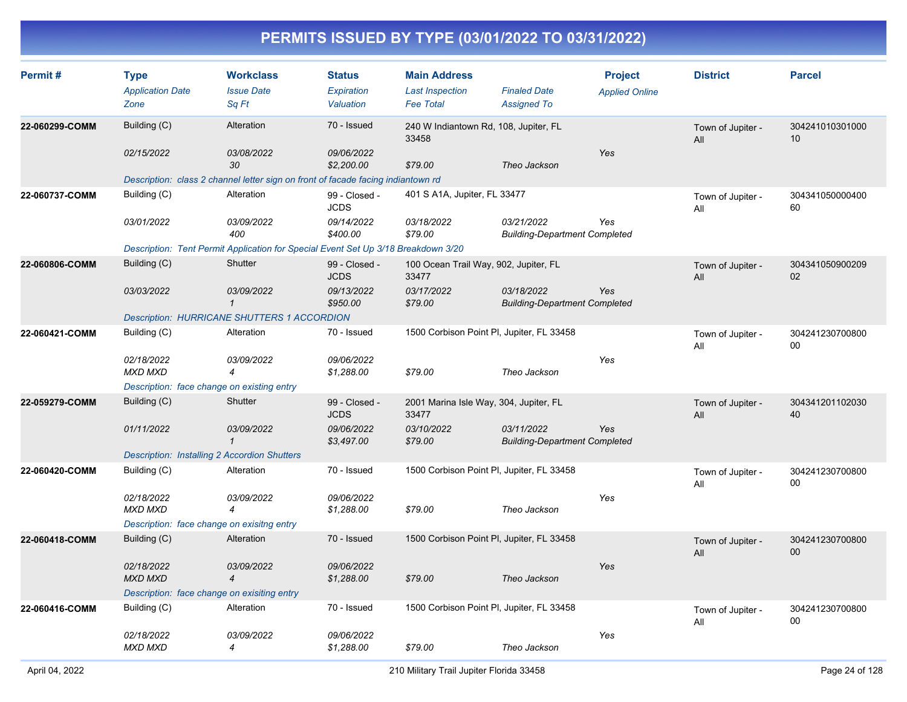| Permit#        | <b>Type</b><br><b>Application Date</b><br>Zone      | <b>Workclass</b><br><b>Issue Date</b><br>Sq Ft                                    | <b>Status</b><br>Expiration<br>Valuation | <b>Main Address</b><br><b>Last Inspection</b><br><b>Fee Total</b> | <b>Finaled Date</b><br><b>Assigned To</b>          | <b>Project</b><br><b>Applied Online</b> | <b>District</b>          | <b>Parcel</b>         |
|----------------|-----------------------------------------------------|-----------------------------------------------------------------------------------|------------------------------------------|-------------------------------------------------------------------|----------------------------------------------------|-----------------------------------------|--------------------------|-----------------------|
| 22-060299-COMM | Building (C)                                        | Alteration                                                                        | 70 - Issued                              | 240 W Indiantown Rd, 108, Jupiter, FL<br>33458                    |                                                    |                                         | Town of Jupiter -<br>All | 304241010301000<br>10 |
|                | 02/15/2022                                          | <i>03/08/2022</i><br>30                                                           | 09/06/2022<br>\$2,200.00                 | \$79.00                                                           | Theo Jackson                                       | Yes                                     |                          |                       |
|                |                                                     | Description: class 2 channel letter sign on front of facade facing indiantown rd  |                                          |                                                                   |                                                    |                                         |                          |                       |
| 22-060737-COMM | Building (C)                                        | Alteration                                                                        | 99 - Closed -<br><b>JCDS</b>             | 401 S A1A, Jupiter, FL 33477                                      |                                                    |                                         | Town of Jupiter -<br>All | 304341050000400<br>60 |
|                | 03/01/2022                                          | 03/09/2022<br>400                                                                 | 09/14/2022<br>\$400.00                   | 03/18/2022<br>\$79.00                                             | 03/21/2022<br><b>Building-Department Completed</b> | Yes                                     |                          |                       |
|                |                                                     | Description: Tent Permit Application for Special Event Set Up 3/18 Breakdown 3/20 |                                          |                                                                   |                                                    |                                         |                          |                       |
| 22-060806-COMM | Building (C)                                        | Shutter                                                                           | 99 - Closed -<br><b>JCDS</b>             | 100 Ocean Trail Way, 902, Jupiter, FL<br>33477                    |                                                    |                                         | Town of Jupiter -<br>All | 304341050900209<br>02 |
|                | 03/03/2022                                          | 03/09/2022<br>$\mathcal I$                                                        | 09/13/2022<br>\$950.00                   | 03/17/2022<br>\$79.00                                             | 03/18/2022<br><b>Building-Department Completed</b> | Yes                                     |                          |                       |
|                |                                                     | <b>Description: HURRICANE SHUTTERS 1 ACCORDION</b>                                |                                          |                                                                   |                                                    |                                         |                          |                       |
| 22-060421-COMM | Building (C)                                        | Alteration                                                                        | 70 - Issued                              | 1500 Corbison Point PI, Jupiter, FL 33458                         |                                                    |                                         | Town of Jupiter -<br>All | 304241230700800<br>00 |
|                | 02/18/2022<br><b>MXD MXD</b>                        | 03/09/2022<br>$\overline{4}$                                                      | 09/06/2022<br>\$1,288.00                 | \$79.00                                                           | Theo Jackson                                       | Yes                                     |                          |                       |
|                | Description: face change on existing entry          |                                                                                   |                                          |                                                                   |                                                    |                                         |                          |                       |
| 22-059279-COMM | Building (C)                                        | Shutter                                                                           | 99 - Closed -<br><b>JCDS</b>             | 2001 Marina Isle Way, 304, Jupiter, FL<br>33477                   |                                                    |                                         | Town of Jupiter -<br>All | 304341201102030<br>40 |
|                | 01/11/2022                                          | <i>03/09/2022</i><br>$\mathcal I$                                                 | 09/06/2022<br>\$3,497.00                 | 03/10/2022<br>\$79.00                                             | 03/11/2022<br><b>Building-Department Completed</b> | Yes                                     |                          |                       |
|                | <b>Description: Installing 2 Accordion Shutters</b> |                                                                                   |                                          |                                                                   |                                                    |                                         |                          |                       |
| 22-060420-COMM | Building (C)                                        | Alteration                                                                        | 70 - Issued                              | 1500 Corbison Point PI, Jupiter, FL 33458                         |                                                    |                                         | Town of Jupiter -<br>All | 304241230700800<br>00 |
|                | 02/18/2022<br><b>MXD MXD</b>                        | 03/09/2022<br>$\overline{4}$                                                      | 09/06/2022<br>\$1,288.00                 | \$79.00                                                           | Theo Jackson                                       | Yes                                     |                          |                       |
|                | Description: face change on exisitng entry          |                                                                                   |                                          |                                                                   |                                                    |                                         |                          |                       |
| 22-060418-COMM | Building (C)                                        | Alteration                                                                        | 70 - Issued                              | 1500 Corbison Point PI, Jupiter, FL 33458                         |                                                    |                                         | Town of Jupiter -<br>All | 304241230700800<br>00 |
|                | 02/18/2022<br><b>MXD MXD</b>                        | <i>03/09/2022</i><br>$\overline{4}$                                               | 09/06/2022<br>\$1,288.00                 | \$79.00                                                           | Theo Jackson                                       | Yes                                     |                          |                       |
|                | Description: face change on exisiting entry         |                                                                                   |                                          |                                                                   |                                                    |                                         |                          |                       |
| 22-060416-COMM | Building (C)                                        | Alteration                                                                        | 70 - Issued                              | 1500 Corbison Point PI, Jupiter, FL 33458                         |                                                    |                                         | Town of Jupiter -<br>All | 304241230700800<br>00 |
|                | 02/18/2022<br><b>MXD MXD</b>                        | 03/09/2022<br>4                                                                   | 09/06/2022<br>\$1,288.00                 | \$79.00                                                           | Theo Jackson                                       | Yes                                     |                          |                       |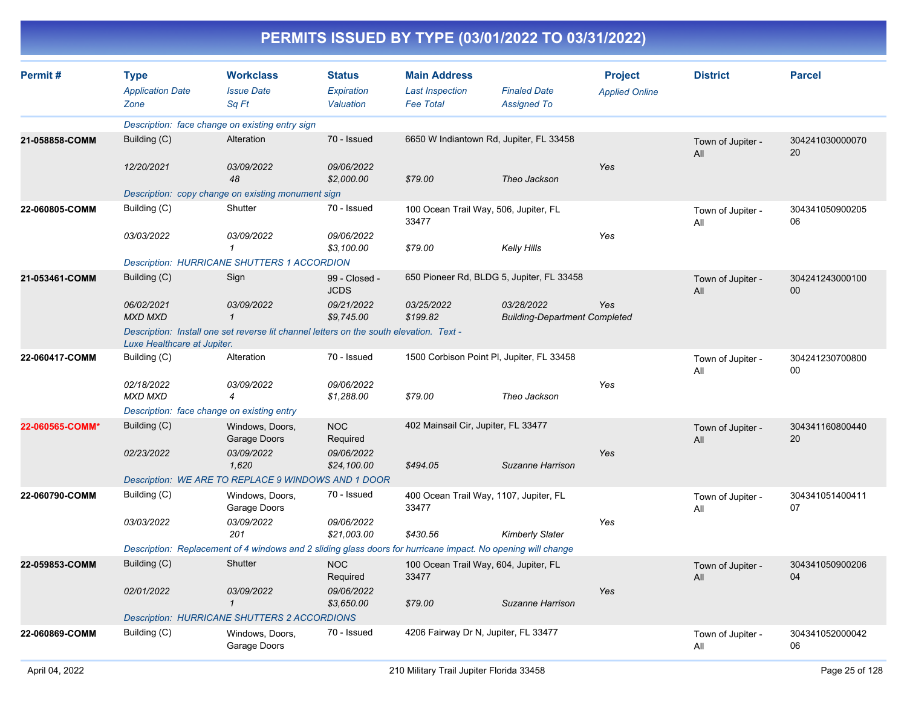| Permit#         | <b>Type</b><br><b>Application Date</b><br>Zone      | <b>Workclass</b><br><b>Issue Date</b><br>Sq Ft                                                               | <b>Status</b><br>Expiration<br>Valuation | <b>Main Address</b><br><b>Last Inspection</b><br><b>Fee Total</b> | <b>Finaled Date</b><br><b>Assigned To</b>          | <b>Project</b><br><b>Applied Online</b> | <b>District</b>          | <b>Parcel</b>         |
|-----------------|-----------------------------------------------------|--------------------------------------------------------------------------------------------------------------|------------------------------------------|-------------------------------------------------------------------|----------------------------------------------------|-----------------------------------------|--------------------------|-----------------------|
|                 |                                                     | Description: face change on existing entry sign                                                              |                                          |                                                                   |                                                    |                                         |                          |                       |
| 21-058858-COMM  | Building (C)                                        | Alteration                                                                                                   | 70 - Issued                              | 6650 W Indiantown Rd, Jupiter, FL 33458                           |                                                    |                                         | Town of Jupiter -<br>All | 304241030000070<br>20 |
|                 | 12/20/2021                                          | 03/09/2022<br>48                                                                                             | 09/06/2022<br>\$2,000.00                 | \$79.00                                                           | Theo Jackson                                       | Yes                                     |                          |                       |
|                 |                                                     | Description: copy change on existing monument sign                                                           |                                          |                                                                   |                                                    |                                         |                          |                       |
| 22-060805-COMM  | Building (C)                                        | Shutter                                                                                                      | 70 - Issued                              | 100 Ocean Trail Way, 506, Jupiter, FL<br>33477                    |                                                    |                                         | Town of Jupiter -<br>All | 304341050900205<br>06 |
|                 | 03/03/2022                                          | 03/09/2022<br>1                                                                                              | 09/06/2022<br>\$3,100.00                 | \$79.00                                                           | <b>Kelly Hills</b>                                 | Yes                                     |                          |                       |
|                 |                                                     | <b>Description: HURRICANE SHUTTERS 1 ACCORDION</b>                                                           |                                          |                                                                   |                                                    |                                         |                          |                       |
| 21-053461-COMM  | Building (C)                                        | Sign                                                                                                         | 99 - Closed -<br><b>JCDS</b>             |                                                                   | 650 Pioneer Rd, BLDG 5, Jupiter, FL 33458          |                                         | Town of Jupiter -<br>All | 304241243000100<br>00 |
|                 | 06/02/2021<br><b>MXD MXD</b>                        | 03/09/2022<br>$\mathbf 1$                                                                                    | 09/21/2022<br>\$9,745.00                 | 03/25/2022<br>\$199.82                                            | 03/28/2022<br><b>Building-Department Completed</b> | Yes                                     |                          |                       |
|                 | Luxe Healthcare at Jupiter.                         | Description: Install one set reverse lit channel letters on the south elevation. Text -                      |                                          |                                                                   |                                                    |                                         |                          |                       |
| 22-060417-COMM  | Building (C)                                        | Alteration                                                                                                   | 70 - Issued                              | 1500 Corbison Point PI, Jupiter, FL 33458                         |                                                    |                                         | Town of Jupiter -<br>All | 304241230700800<br>00 |
|                 | 02/18/2022<br>MXD MXD                               | 03/09/2022<br>4                                                                                              | 09/06/2022<br>\$1,288.00                 | \$79.00                                                           | Theo Jackson                                       | Yes                                     |                          |                       |
|                 |                                                     | Description: face change on existing entry                                                                   |                                          |                                                                   |                                                    |                                         |                          |                       |
| 22-060565-COMM* | Building (C)                                        | Windows, Doors,<br>Garage Doors                                                                              | <b>NOC</b><br>Required                   | 402 Mainsail Cir, Jupiter, FL 33477                               |                                                    |                                         | Town of Jupiter -<br>All | 304341160800440<br>20 |
|                 | 02/23/2022                                          | 03/09/2022<br>1,620                                                                                          | 09/06/2022<br>\$24,100.00                | \$494.05                                                          | Suzanne Harrison                                   | Yes                                     |                          |                       |
|                 |                                                     | Description: WE ARE TO REPLACE 9 WINDOWS AND 1 DOOR                                                          |                                          |                                                                   |                                                    |                                         |                          |                       |
| 22-060790-COMM  | Building (C)                                        | Windows, Doors,<br>Garage Doors                                                                              | 70 - Issued                              | 400 Ocean Trail Way, 1107, Jupiter, FL<br>33477                   |                                                    |                                         | Town of Jupiter -<br>All | 304341051400411<br>07 |
|                 | 03/03/2022                                          | 03/09/2022<br>201                                                                                            | 09/06/2022<br>\$21,003.00                | \$430.56                                                          | <b>Kimberly Slater</b>                             | Yes                                     |                          |                       |
|                 |                                                     | Description: Replacement of 4 windows and 2 sliding glass doors for hurricane impact. No opening will change |                                          |                                                                   |                                                    |                                         |                          |                       |
| 22-059853-COMM  | Building (C)                                        | Shutter                                                                                                      | <b>NOC</b><br>Required                   | 100 Ocean Trail Way, 604, Jupiter, FL<br>33477                    |                                                    |                                         | Town of Jupiter -<br>All | 304341050900206<br>04 |
|                 | 02/01/2022                                          | 03/09/2022<br>$\mathcal I$                                                                                   | 09/06/2022<br>\$3,650.00                 | \$79.00                                                           | Suzanne Harrison                                   | Yes                                     |                          |                       |
|                 | <b>Description: HURRICANE SHUTTERS 2 ACCORDIONS</b> |                                                                                                              |                                          |                                                                   |                                                    |                                         |                          |                       |
| 22-060869-COMM  | Building (C)                                        | Windows, Doors,<br>Garage Doors                                                                              | 70 - Issued                              | 4206 Fairway Dr N, Jupiter, FL 33477                              |                                                    |                                         | Town of Jupiter -<br>All | 304341052000042<br>06 |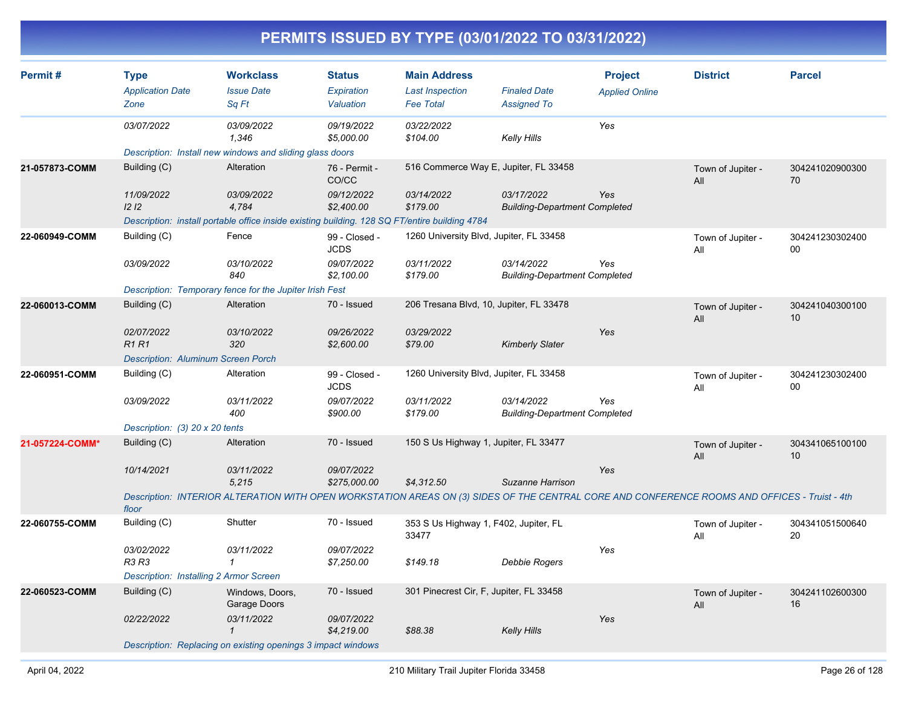| Permit#         | <b>Type</b><br><b>Application Date</b><br>Zone | <b>Workclass</b><br><b>Issue Date</b><br>Sq Ft                                                                                                | <b>Status</b><br>Expiration<br>Valuation | <b>Main Address</b><br><b>Last Inspection</b><br><b>Fee Total</b> | <b>Finaled Date</b><br><b>Assigned To</b>          | <b>Project</b><br><b>Applied Online</b> | <b>District</b>          | <b>Parcel</b>         |
|-----------------|------------------------------------------------|-----------------------------------------------------------------------------------------------------------------------------------------------|------------------------------------------|-------------------------------------------------------------------|----------------------------------------------------|-----------------------------------------|--------------------------|-----------------------|
|                 | 03/07/2022                                     | 03/09/2022<br>1.346                                                                                                                           | 09/19/2022<br>\$5,000.00                 | 03/22/2022<br>\$104.00                                            | <b>Kelly Hills</b>                                 | Yes                                     |                          |                       |
|                 |                                                | Description: Install new windows and sliding glass doors                                                                                      |                                          |                                                                   |                                                    |                                         |                          |                       |
| 21-057873-COMM  | Building (C)                                   | Alteration                                                                                                                                    | 76 - Permit -<br>CO/CC                   | 516 Commerce Way E, Jupiter, FL 33458                             |                                                    |                                         | Town of Jupiter -<br>All | 304241020900300<br>70 |
|                 | 11/09/2022<br>12 <sub>12</sub>                 | 03/09/2022<br>4,784                                                                                                                           | 09/12/2022<br>\$2,400.00                 | 03/14/2022<br>\$179.00                                            | 03/17/2022<br><b>Building-Department Completed</b> | Yes                                     |                          |                       |
|                 |                                                | Description: install portable office inside existing building. 128 SQ FT/entire building 4784                                                 |                                          |                                                                   |                                                    |                                         |                          |                       |
| 22-060949-COMM  | Building (C)                                   | Fence                                                                                                                                         | 99 - Closed -<br><b>JCDS</b>             | 1260 University Blvd, Jupiter, FL 33458                           |                                                    |                                         | Town of Jupiter -<br>All | 304241230302400<br>00 |
|                 | 03/09/2022                                     | 03/10/2022<br>840                                                                                                                             | 09/07/2022<br>\$2,100.00                 | 03/11/2022<br>\$179.00                                            | 03/14/2022<br><b>Building-Department Completed</b> | Yes                                     |                          |                       |
|                 |                                                | Description: Temporary fence for the Jupiter Irish Fest                                                                                       |                                          |                                                                   |                                                    |                                         |                          |                       |
| 22-060013-COMM  | Building (C)                                   | Alteration                                                                                                                                    | 70 - Issued                              | 206 Tresana Blvd, 10, Jupiter, FL 33478                           |                                                    |                                         | Town of Jupiter -<br>All | 304241040300100<br>10 |
|                 | 02/07/2022<br><b>R1R1</b>                      | 03/10/2022<br>320                                                                                                                             | 09/26/2022<br>\$2,600.00                 | 03/29/2022<br>\$79.00                                             | <b>Kimberly Slater</b>                             | Yes                                     |                          |                       |
|                 | <b>Description: Aluminum Screen Porch</b>      |                                                                                                                                               |                                          |                                                                   |                                                    |                                         |                          |                       |
| 22-060951-COMM  | Building (C)                                   | Alteration                                                                                                                                    | 99 - Closed -<br><b>JCDS</b>             | 1260 University Blvd, Jupiter, FL 33458                           |                                                    |                                         | Town of Jupiter -<br>All | 304241230302400<br>00 |
|                 | 03/09/2022                                     | 03/11/2022<br>400                                                                                                                             | 09/07/2022<br>\$900.00                   | 03/11/2022<br>\$179.00                                            | 03/14/2022<br><b>Building-Department Completed</b> | Yes                                     |                          |                       |
|                 | Description: (3) 20 x 20 tents                 |                                                                                                                                               |                                          |                                                                   |                                                    |                                         |                          |                       |
| 21-057224-COMM* | Building (C)                                   | Alteration                                                                                                                                    | 70 - Issued                              | 150 S Us Highway 1, Jupiter, FL 33477                             |                                                    |                                         | Town of Jupiter -<br>All | 304341065100100<br>10 |
|                 | 10/14/2021                                     | 03/11/2022<br>5,215                                                                                                                           | 09/07/2022<br>\$275,000.00               | \$4,312.50                                                        | Suzanne Harrison                                   | Yes                                     |                          |                       |
|                 | floor                                          | Description: INTERIOR ALTERATION WITH OPEN WORKSTATION AREAS ON (3) SIDES OF THE CENTRAL CORE AND CONFERENCE ROOMS AND OFFICES - Truist - 4th |                                          |                                                                   |                                                    |                                         |                          |                       |
| 22-060755-COMM  | Building (C)                                   | Shutter                                                                                                                                       | 70 - Issued                              | 353 S Us Highway 1, F402, Jupiter, FL<br>33477                    |                                                    |                                         | Town of Jupiter -<br>All | 304341051500640<br>20 |
|                 | 03/02/2022<br>R3 R3                            | 03/11/2022<br>$\mathcal I$                                                                                                                    | 09/07/2022<br>\$7,250.00                 | \$149.18                                                          | Debbie Rogers                                      | Yes                                     |                          |                       |
|                 | <b>Description: Installing 2 Armor Screen</b>  |                                                                                                                                               |                                          |                                                                   |                                                    |                                         |                          |                       |
| 22-060523-COMM  | Building (C)                                   | Windows, Doors,<br>Garage Doors                                                                                                               | 70 - Issued                              | 301 Pinecrest Cir, F, Jupiter, FL 33458                           |                                                    |                                         | Town of Jupiter -<br>All | 304241102600300<br>16 |
|                 | 02/22/2022                                     | 03/11/2022<br>$\mathcal I$                                                                                                                    | 09/07/2022<br>\$4,219.00                 | \$88.38                                                           | <b>Kelly Hills</b>                                 | Yes                                     |                          |                       |
|                 |                                                | Description: Replacing on existing openings 3 impact windows                                                                                  |                                          |                                                                   |                                                    |                                         |                          |                       |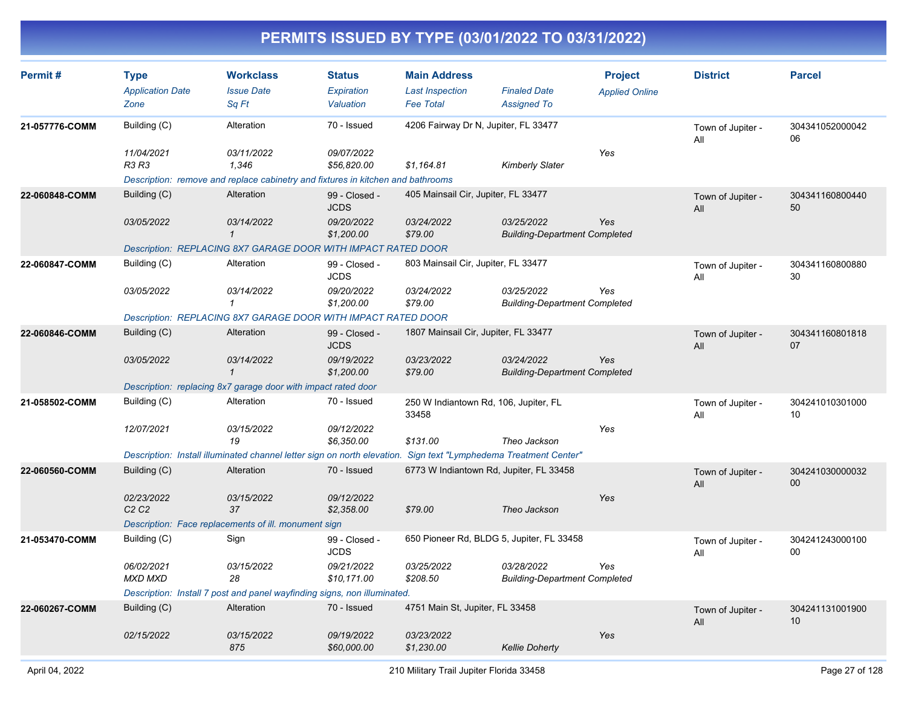| Permit#        | <b>Type</b><br><b>Application Date</b><br>Zone | <b>Workclass</b><br><b>Issue Date</b><br>Sq Ft                                  | <b>Status</b><br>Expiration<br>Valuation            | <b>Main Address</b><br><b>Last Inspection</b><br><b>Fee Total</b> | <b>Finaled Date</b><br><b>Assigned To</b>          | <b>Project</b><br><b>Applied Online</b> | <b>District</b>          | <b>Parcel</b>             |
|----------------|------------------------------------------------|---------------------------------------------------------------------------------|-----------------------------------------------------|-------------------------------------------------------------------|----------------------------------------------------|-----------------------------------------|--------------------------|---------------------------|
| 21-057776-COMM | Building (C)                                   | Alteration                                                                      | 70 - Issued<br>4206 Fairway Dr N, Jupiter, FL 33477 |                                                                   |                                                    | Town of Jupiter -<br>All                | 304341052000042<br>06    |                           |
|                | 11/04/2021<br>R3 R3                            | 03/11/2022<br>1,346                                                             | 09/07/2022<br>\$56,820.00                           | \$1,164.81                                                        | <b>Kimberly Slater</b>                             | Yes                                     |                          |                           |
|                |                                                | Description: remove and replace cabinetry and fixtures in kitchen and bathrooms |                                                     |                                                                   |                                                    |                                         |                          |                           |
| 22-060848-COMM | Building (C)                                   | Alteration                                                                      | 99 - Closed -<br><b>JCDS</b>                        | 405 Mainsail Cir, Jupiter, FL 33477                               |                                                    |                                         | Town of Jupiter -<br>All | 304341160800440<br>50     |
|                | 03/05/2022                                     | 03/14/2022<br>-1                                                                | 09/20/2022<br>\$1,200.00                            | 03/24/2022<br>\$79.00                                             | 03/25/2022<br><b>Building-Department Completed</b> | Yes                                     |                          |                           |
|                |                                                | Description: REPLACING 8X7 GARAGE DOOR WITH IMPACT RATED DOOR                   |                                                     |                                                                   |                                                    |                                         |                          |                           |
| 22-060847-COMM | Building (C)                                   | Alteration                                                                      | 99 - Closed -<br><b>JCDS</b>                        | 803 Mainsail Cir, Jupiter, FL 33477                               |                                                    |                                         | Town of Jupiter -<br>All | 304341160800880<br>30     |
|                | 03/05/2022                                     | 03/14/2022<br>$\mathbf{1}$                                                      | 09/20/2022<br>\$1,200.00                            | 03/24/2022<br>\$79.00                                             | 03/25/2022<br><b>Building-Department Completed</b> | Yes                                     |                          |                           |
|                |                                                | Description: REPLACING 8X7 GARAGE DOOR WITH IMPACT RATED DOOR                   |                                                     |                                                                   |                                                    |                                         |                          |                           |
| 22-060846-COMM | Building (C)                                   | Alteration                                                                      | 99 - Closed -<br><b>JCDS</b>                        | 1807 Mainsail Cir, Jupiter, FL 33477                              |                                                    |                                         | Town of Jupiter -<br>All | 304341160801818<br>07     |
|                | 03/05/2022                                     | 03/14/2022<br>$\mathbf{1}$                                                      | 09/19/2022<br>\$1,200.00                            | 03/23/2022<br>\$79.00                                             | 03/24/2022<br><b>Building-Department Completed</b> | Yes                                     |                          |                           |
|                |                                                | Description: replacing 8x7 garage door with impact rated door                   |                                                     |                                                                   |                                                    |                                         |                          |                           |
| 21-058502-COMM | Building (C)                                   | Alteration                                                                      | 70 - Issued                                         | 250 W Indiantown Rd, 106, Jupiter, FL<br>33458                    |                                                    |                                         | Town of Jupiter -<br>All | 304241010301000<br>10     |
|                | 12/07/2021                                     | 03/15/2022<br>19                                                                | 09/12/2022<br>\$6,350.00                            | \$131.00                                                          | Theo Jackson                                       | Yes                                     |                          |                           |
|                |                                                | Description: Install illuminated channel letter sign on north elevation.        |                                                     |                                                                   | Sign text "Lymphedema Treatment Center"            |                                         |                          |                           |
| 22-060560-COMM | Building (C)                                   | Alteration                                                                      | 70 - Issued                                         | 6773 W Indiantown Rd, Jupiter, FL 33458                           |                                                    |                                         | Town of Jupiter -<br>All | 304241030000032<br>00     |
|                | 02/23/2022<br>C2C2                             | 03/15/2022<br>37                                                                | 09/12/2022<br>\$2,358.00                            | \$79.00                                                           | Theo Jackson                                       | Yes                                     |                          |                           |
|                |                                                | Description: Face replacements of ill. monument sign                            |                                                     |                                                                   |                                                    |                                         |                          |                           |
| 21-053470-COMM | Building (C)                                   | Sign                                                                            | 99 - Closed -<br><b>JCDS</b>                        |                                                                   | 650 Pioneer Rd, BLDG 5, Jupiter, FL 33458          |                                         | Town of Jupiter -<br>All | 304241243000100<br>$00\,$ |
|                | 06/02/2021<br><b>MXD MXD</b>                   | 03/15/2022<br>28                                                                | 09/21/2022<br>\$10,171.00                           | 03/25/2022<br>\$208.50                                            | 03/28/2022<br><b>Building-Department Completed</b> | Yes                                     |                          |                           |
|                |                                                | Description: Install 7 post and panel wayfinding signs, non illuminated.        |                                                     |                                                                   |                                                    |                                         |                          |                           |
| 22-060267-COMM | Building (C)                                   | Alteration                                                                      | 70 - Issued                                         | 4751 Main St, Jupiter, FL 33458                                   |                                                    |                                         | Town of Jupiter -<br>All | 304241131001900<br>10     |
|                | 02/15/2022                                     | 03/15/2022<br>875                                                               | 09/19/2022<br>\$60,000.00                           | 03/23/2022<br>\$1,230.00                                          | <b>Kellie Doherty</b>                              | Yes                                     |                          |                           |
|                |                                                |                                                                                 |                                                     |                                                                   |                                                    |                                         |                          |                           |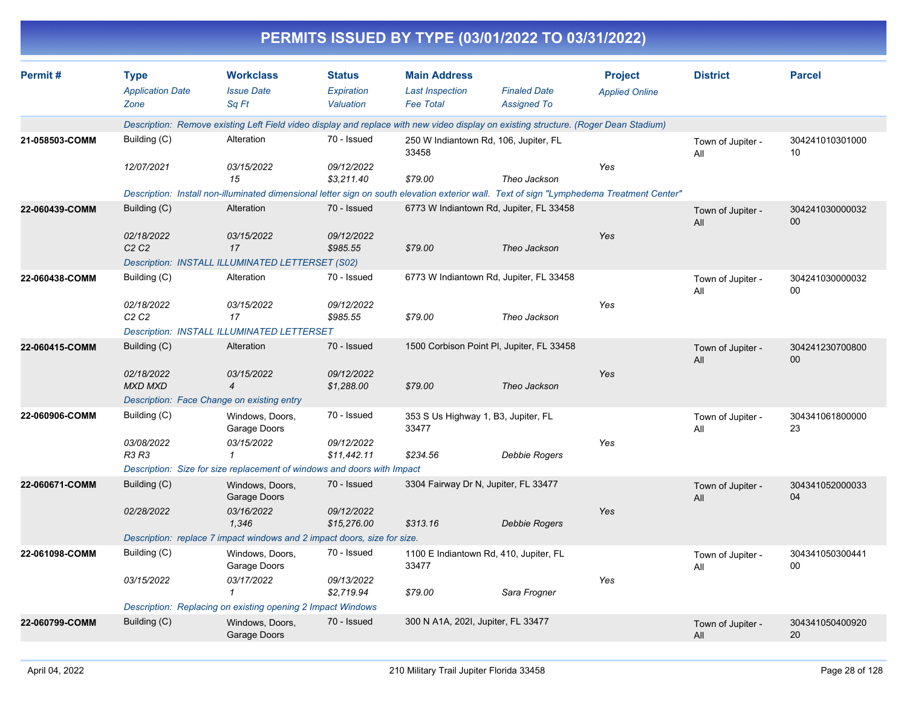|                | PERMITS ISSUED BY TYPE (03/01/2022 TO 03/31/2022) |                                                                                                                                           |                                          |                                                                   |                                           |                                         |                          |                           |  |  |  |
|----------------|---------------------------------------------------|-------------------------------------------------------------------------------------------------------------------------------------------|------------------------------------------|-------------------------------------------------------------------|-------------------------------------------|-----------------------------------------|--------------------------|---------------------------|--|--|--|
| Permit#        | <b>Type</b><br><b>Application Date</b><br>Zone    | <b>Workclass</b><br><b>Issue Date</b><br>Sq Ft                                                                                            | <b>Status</b><br>Expiration<br>Valuation | <b>Main Address</b><br><b>Last Inspection</b><br><b>Fee Total</b> | <b>Finaled Date</b><br><b>Assigned To</b> | <b>Project</b><br><b>Applied Online</b> | <b>District</b>          | <b>Parcel</b>             |  |  |  |
|                |                                                   | Description: Remove existing Left Field video display and replace with new video display on existing structure. (Roger Dean Stadium)      |                                          |                                                                   |                                           |                                         |                          |                           |  |  |  |
| 21-058503-COMM | Building (C)                                      | Alteration                                                                                                                                | 70 - Issued                              | 33458                                                             | 250 W Indiantown Rd, 106, Jupiter, FL     |                                         | Town of Jupiter -<br>All | 304241010301000<br>10     |  |  |  |
|                | 12/07/2021                                        | 03/15/2022<br>15                                                                                                                          | 09/12/2022<br>\$3,211.40                 | \$79.00                                                           | Theo Jackson                              | Yes                                     |                          |                           |  |  |  |
|                |                                                   | Description: Install non-illuminated dimensional letter sign on south elevation exterior wall. Text of sign "Lymphedema Treatment Center" |                                          |                                                                   |                                           |                                         |                          |                           |  |  |  |
| 22-060439-COMM | Building (C)                                      | Alteration                                                                                                                                | 70 - Issued                              |                                                                   | 6773 W Indiantown Rd, Jupiter, FL 33458   |                                         | Town of Jupiter -<br>All | 304241030000032<br>$00\,$ |  |  |  |
|                | 02/18/2022<br>C <sub>2</sub> C <sub>2</sub>       | 03/15/2022<br>17<br>Description: INSTALL ILLUMINATED LETTERSET (S02)                                                                      | 09/12/2022<br>\$985.55                   | \$79.00                                                           | Theo Jackson                              | Yes                                     |                          |                           |  |  |  |
| 22-060438-COMM | Building (C)                                      | Alteration                                                                                                                                | 70 - Issued                              |                                                                   | 6773 W Indiantown Rd, Jupiter, FL 33458   |                                         |                          | 304241030000032           |  |  |  |
|                |                                                   |                                                                                                                                           |                                          |                                                                   |                                           |                                         | Town of Jupiter -<br>All | 00                        |  |  |  |
|                | 02/18/2022<br>C <sub>2</sub> C <sub>2</sub>       | 03/15/2022<br>17                                                                                                                          | 09/12/2022<br>\$985.55                   | \$79.00                                                           | Theo Jackson                              | Yes                                     |                          |                           |  |  |  |
|                |                                                   | <b>Description: INSTALL ILLUMINATED LETTERSET</b>                                                                                         |                                          |                                                                   |                                           |                                         |                          |                           |  |  |  |
| 22-060415-COMM | Building (C)                                      | Alteration                                                                                                                                | 70 - Issued                              |                                                                   | 1500 Corbison Point PI, Jupiter, FL 33458 |                                         | Town of Jupiter -<br>All | 304241230700800<br>00     |  |  |  |
|                | 02/18/2022<br><b>MXD MXD</b>                      | 03/15/2022<br>$\overline{4}$                                                                                                              | 09/12/2022<br>\$1,288.00                 | \$79.00                                                           | Theo Jackson                              | Yes                                     |                          |                           |  |  |  |
|                |                                                   | Description: Face Change on existing entry                                                                                                |                                          |                                                                   |                                           |                                         |                          |                           |  |  |  |
| 22-060906-COMM | Building (C)                                      | Windows, Doors,<br>Garage Doors                                                                                                           | 70 - Issued                              | 353 S Us Highway 1, B3, Jupiter, FL<br>33477                      |                                           |                                         | Town of Jupiter -<br>All | 304341061800000<br>23     |  |  |  |
|                | 03/08/2022<br><b>R3 R3</b>                        | 03/15/2022                                                                                                                                | 09/12/2022                               |                                                                   |                                           | Yes                                     |                          |                           |  |  |  |
|                |                                                   | Description: Size for size replacement of windows and doors with Impact                                                                   | \$11,442.11                              | \$234.56                                                          | <b>Debbie Rogers</b>                      |                                         |                          |                           |  |  |  |
| 22-060671-COMM | Building (C)                                      | Windows, Doors,<br>Garage Doors                                                                                                           | 70 - Issued                              | 3304 Fairway Dr N, Jupiter, FL 33477                              |                                           |                                         | Town of Jupiter -<br>All | 304341052000033<br>04     |  |  |  |
|                | 02/28/2022                                        | 03/16/2022<br>1,346                                                                                                                       | 09/12/2022<br>\$15,276.00                | \$313.16                                                          | <b>Debbie Rogers</b>                      | Yes                                     |                          |                           |  |  |  |
|                |                                                   | Description: replace 7 impact windows and 2 impact doors, size for size.                                                                  |                                          |                                                                   |                                           |                                         |                          |                           |  |  |  |
| 22-061098-COMM | Building (C)                                      | Windows, Doors,<br>Garage Doors                                                                                                           | 70 - Issued                              | 33477                                                             | 1100 E Indiantown Rd, 410, Jupiter, FL    |                                         | Town of Jupiter -<br>All | 304341050300441<br>00     |  |  |  |
|                | 03/15/2022                                        | 03/17/2022<br>1                                                                                                                           | 09/13/2022<br>\$2,719.94                 | \$79.00                                                           | Sara Frogner                              | Yes                                     |                          |                           |  |  |  |
|                |                                                   | Description: Replacing on existing opening 2 Impact Windows                                                                               |                                          |                                                                   |                                           |                                         |                          |                           |  |  |  |
| 22-060799-COMM | Building (C)                                      | Windows, Doors,<br>Garage Doors                                                                                                           | 70 - Issued                              | 300 N A1A, 202I, Jupiter, FL 33477                                |                                           |                                         | Town of Jupiter -<br>All | 304341050400920<br>20     |  |  |  |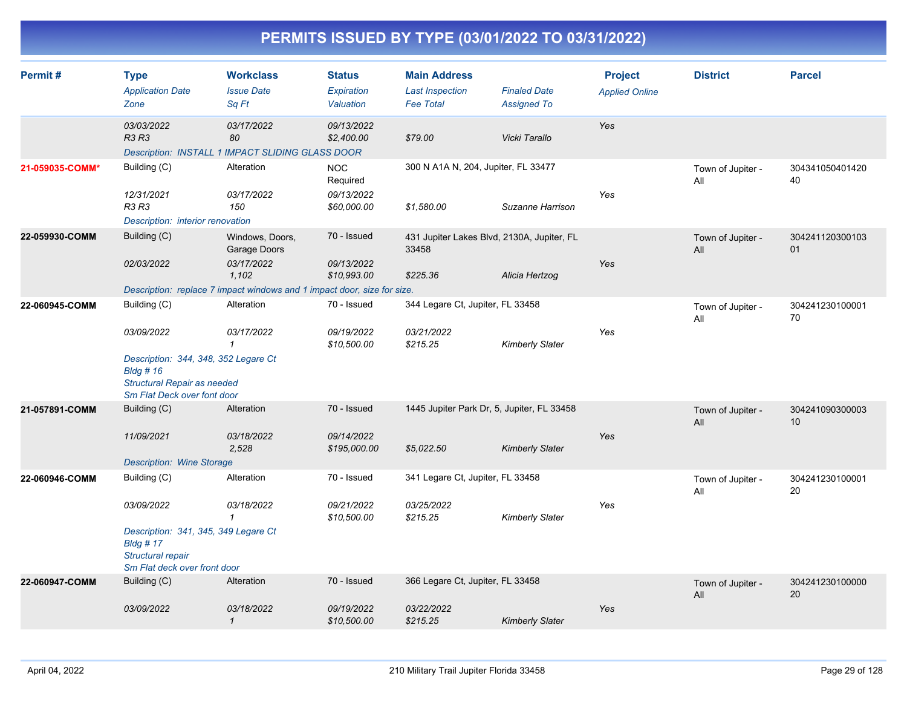| Permit#         | <b>Type</b><br><b>Application Date</b><br>Zone                                                                        | <b>Workclass</b><br><b>Issue Date</b><br>Sq Ft | <b>Status</b><br><b>Expiration</b><br>Valuation | <b>Main Address</b><br><b>Last Inspection</b><br><b>Fee Total</b> | <b>Finaled Date</b><br><b>Assigned To</b> | <b>Project</b><br><b>Applied Online</b> | <b>District</b>          | <b>Parcel</b>         |
|-----------------|-----------------------------------------------------------------------------------------------------------------------|------------------------------------------------|-------------------------------------------------|-------------------------------------------------------------------|-------------------------------------------|-----------------------------------------|--------------------------|-----------------------|
|                 | 03/03/2022<br>R3 R3<br>Description: INSTALL 1 IMPACT SLIDING GLASS DOOR                                               | 03/17/2022<br>80                               | 09/13/2022<br>\$2,400.00                        | \$79.00                                                           | Vicki Tarallo                             | Yes                                     |                          |                       |
| 21-059035-COMM* | Building (C)<br>12/31/2021                                                                                            | Alteration<br>03/17/2022                       | <b>NOC</b><br>Required<br>09/13/2022            | 300 N A1A N, 204, Jupiter, FL 33477                               |                                           | Yes                                     | Town of Jupiter -<br>All | 304341050401420<br>40 |
|                 | R3 R3<br>Description: interior renovation                                                                             | 150                                            | \$60,000.00                                     | \$1,580.00                                                        | Suzanne Harrison                          |                                         |                          |                       |
| 22-059930-COMM  | Building (C)                                                                                                          | Windows, Doors,<br>Garage Doors                | 70 - Issued                                     | 431 Jupiter Lakes Blvd, 2130A, Jupiter, FL<br>33458               |                                           |                                         | Town of Jupiter -<br>All | 304241120300103<br>01 |
|                 | 02/03/2022                                                                                                            | 03/17/2022<br>1,102                            | 09/13/2022<br>\$10,993.00                       | \$225.36                                                          | Alicia Hertzog                            | Yes                                     |                          |                       |
|                 | Description: replace 7 impact windows and 1 impact door, size for size.                                               |                                                |                                                 |                                                                   |                                           |                                         |                          |                       |
| 22-060945-COMM  | Building (C)                                                                                                          | Alteration                                     | 70 - Issued                                     | 344 Legare Ct, Jupiter, FL 33458                                  |                                           |                                         | Town of Jupiter -<br>All | 304241230100001<br>70 |
|                 | 03/09/2022                                                                                                            | 03/17/2022<br>$\mathbf{1}$                     | 09/19/2022<br>\$10,500.00                       | 03/21/2022<br>\$215.25                                            | <b>Kimberly Slater</b>                    | Yes                                     |                          |                       |
|                 | Description: 344, 348, 352 Legare Ct<br><b>Bldg #16</b><br>Structural Repair as needed<br>Sm Flat Deck over font door |                                                |                                                 |                                                                   |                                           |                                         |                          |                       |
| 21-057891-COMM  | Building (C)                                                                                                          | Alteration                                     | 70 - Issued                                     | 1445 Jupiter Park Dr, 5, Jupiter, FL 33458                        |                                           |                                         | Town of Jupiter -<br>All | 304241090300003<br>10 |
|                 | 11/09/2021                                                                                                            | 03/18/2022<br>2,528                            | 09/14/2022<br>\$195,000.00                      | \$5,022.50                                                        | <b>Kimberly Slater</b>                    | Yes                                     |                          |                       |
|                 | <b>Description: Wine Storage</b>                                                                                      |                                                |                                                 |                                                                   |                                           |                                         |                          |                       |
| 22-060946-COMM  | Building (C)                                                                                                          | Alteration                                     | 70 - Issued                                     | 341 Legare Ct, Jupiter, FL 33458                                  |                                           |                                         | Town of Jupiter -<br>All | 304241230100001<br>20 |
|                 | 03/09/2022                                                                                                            | 03/18/2022<br>$\mathbf{1}$                     | 09/21/2022<br>\$10,500.00                       | 03/25/2022<br>\$215.25                                            | <b>Kimberly Slater</b>                    | Yes                                     |                          |                       |
|                 | Description: 341, 345, 349 Legare Ct<br>$B$ ldg # 17<br>Structural repair<br>Sm Flat deck over front door             |                                                |                                                 |                                                                   |                                           |                                         |                          |                       |
| 22-060947-COMM  | Building (C)                                                                                                          | Alteration                                     | 70 - Issued                                     | 366 Legare Ct, Jupiter, FL 33458                                  |                                           |                                         | Town of Jupiter -<br>All | 304241230100000<br>20 |
|                 | 03/09/2022                                                                                                            | 03/18/2022<br>$\mathcal{I}$                    | 09/19/2022<br>\$10,500.00                       | 03/22/2022<br>\$215.25                                            | <b>Kimberly Slater</b>                    | Yes                                     |                          |                       |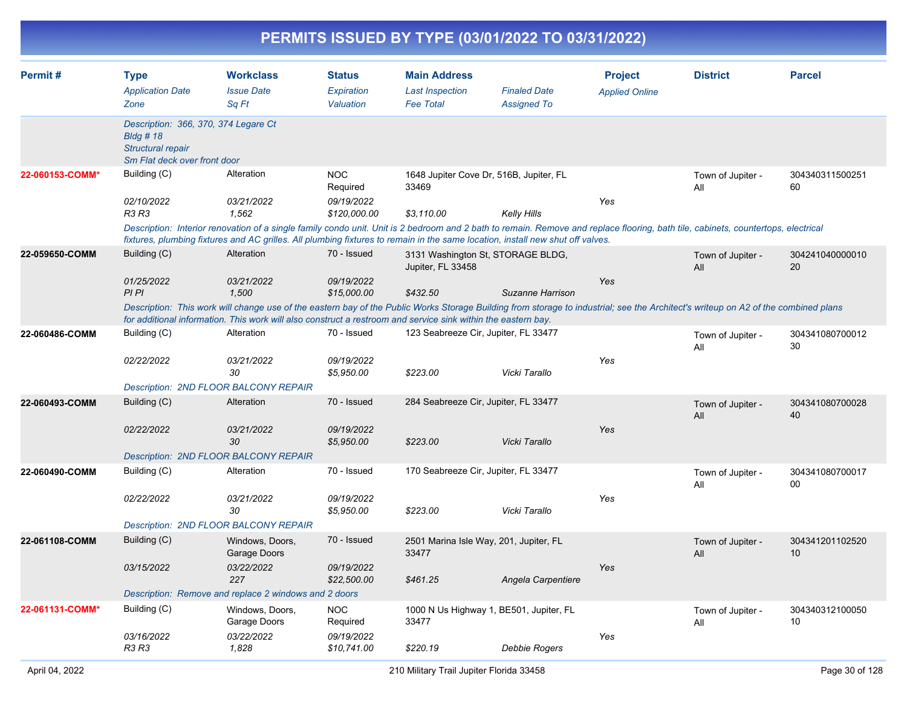| Permit #        | <b>Type</b><br><b>Application Date</b><br>Zone                                                           | <b>Workclass</b><br><b>Issue Date</b><br>Sq Ft                                                                                                                                                                                                                                                                      | <b>Status</b><br>Expiration<br>Valuation | <b>Main Address</b><br><b>Last Inspection</b><br><b>Fee Total</b> | <b>Finaled Date</b><br><b>Assigned To</b> | <b>Project</b><br><b>Applied Online</b> | <b>District</b>          | <b>Parcel</b>         |
|-----------------|----------------------------------------------------------------------------------------------------------|---------------------------------------------------------------------------------------------------------------------------------------------------------------------------------------------------------------------------------------------------------------------------------------------------------------------|------------------------------------------|-------------------------------------------------------------------|-------------------------------------------|-----------------------------------------|--------------------------|-----------------------|
|                 |                                                                                                          |                                                                                                                                                                                                                                                                                                                     |                                          |                                                                   |                                           |                                         |                          |                       |
|                 | Description: 366, 370, 374 Legare Ct<br>$B$ ldg #18<br>Structural repair<br>Sm Flat deck over front door |                                                                                                                                                                                                                                                                                                                     |                                          |                                                                   |                                           |                                         |                          |                       |
| 22-060153-COMM* | Building (C)                                                                                             | Alteration                                                                                                                                                                                                                                                                                                          | <b>NOC</b><br>Required                   | 1648 Jupiter Cove Dr, 516B, Jupiter, FL<br>33469                  |                                           |                                         | Town of Jupiter -<br>All | 304340311500251<br>60 |
|                 | 02/10/2022<br><b>R3 R3</b>                                                                               | 03/21/2022<br>1,562                                                                                                                                                                                                                                                                                                 | 09/19/2022<br>\$120,000.00               | \$3,110.00                                                        | <b>Kelly Hills</b>                        | Yes                                     |                          |                       |
|                 |                                                                                                          | Description: Interior renovation of a single family condo unit. Unit is 2 bedroom and 2 bath to remain. Remove and replace flooring, bath tile, cabinets, countertops, electrical<br>fixtures, plumbing fixtures and AC grilles. All plumbing fixtures to remain in the same location, install new shut off valves. |                                          |                                                                   |                                           |                                         |                          |                       |
| 22-059650-COMM  | Building (C)                                                                                             | Alteration                                                                                                                                                                                                                                                                                                          | 70 - Issued                              | 3131 Washington St, STORAGE BLDG,<br>Jupiter, FL 33458            |                                           |                                         | Town of Jupiter -<br>All | 304241040000010<br>20 |
|                 | 01/25/2022<br>PI PI                                                                                      | 03/21/2022<br>1,500                                                                                                                                                                                                                                                                                                 | 09/19/2022<br>\$15,000.00                | \$432.50                                                          | Suzanne Harrison                          | Yes                                     |                          |                       |
|                 |                                                                                                          | Description: This work will change use of the eastern bay of the Public Works Storage Building from storage to industrial; see the Architect's writeup on A2 of the combined plans<br>for additional information. This work will also construct a restroom and service sink within the eastern bay.                 |                                          |                                                                   |                                           |                                         |                          |                       |
| 22-060486-COMM  | Building (C)                                                                                             | Alteration                                                                                                                                                                                                                                                                                                          | 70 - Issued                              | 123 Seabreeze Cir, Jupiter, FL 33477                              |                                           |                                         | Town of Jupiter -<br>All | 304341080700012<br>30 |
|                 | 02/22/2022                                                                                               | 03/21/2022<br>30                                                                                                                                                                                                                                                                                                    | 09/19/2022<br>\$5,950.00                 | \$223.00                                                          | Vicki Tarallo                             | Yes                                     |                          |                       |
|                 |                                                                                                          | <b>Description: 2ND FLOOR BALCONY REPAIR</b>                                                                                                                                                                                                                                                                        |                                          |                                                                   |                                           |                                         |                          |                       |
| 22-060493-COMM  | Building (C)                                                                                             | Alteration                                                                                                                                                                                                                                                                                                          | 70 - Issued                              | 284 Seabreeze Cir, Jupiter, FL 33477                              |                                           |                                         | Town of Jupiter -<br>All | 304341080700028<br>40 |
|                 | 02/22/2022                                                                                               | 03/21/2022<br>30                                                                                                                                                                                                                                                                                                    | 09/19/2022<br>\$5,950.00                 | \$223.00                                                          | Vicki Tarallo                             | Yes                                     |                          |                       |
|                 |                                                                                                          | <b>Description: 2ND FLOOR BALCONY REPAIR</b>                                                                                                                                                                                                                                                                        |                                          |                                                                   |                                           |                                         |                          |                       |
| 22-060490-COMM  | Building (C)                                                                                             | Alteration                                                                                                                                                                                                                                                                                                          | 70 - Issued                              | 170 Seabreeze Cir, Jupiter, FL 33477                              |                                           |                                         | Town of Jupiter -<br>All | 304341080700017<br>00 |
|                 | 02/22/2022                                                                                               | 03/21/2022<br>30                                                                                                                                                                                                                                                                                                    | 09/19/2022<br>\$5,950.00                 | \$223.00                                                          | Vicki Tarallo                             | Yes                                     |                          |                       |
|                 |                                                                                                          | <b>Description: 2ND FLOOR BALCONY REPAIR</b>                                                                                                                                                                                                                                                                        | 70 - Issued                              |                                                                   |                                           |                                         |                          |                       |
| 22-061108-COMM  | Building (C)                                                                                             | Windows, Doors,<br>Garage Doors                                                                                                                                                                                                                                                                                     |                                          | 2501 Marina Isle Way, 201, Jupiter, FL<br>33477                   |                                           |                                         | Town of Jupiter -<br>All | 304341201102520<br>10 |
|                 | 03/15/2022                                                                                               | 03/22/2022<br>227                                                                                                                                                                                                                                                                                                   | 09/19/2022<br>\$22,500.00                | \$461.25                                                          | Angela Carpentiere                        | Yes                                     |                          |                       |
|                 |                                                                                                          | Description: Remove and replace 2 windows and 2 doors                                                                                                                                                                                                                                                               |                                          |                                                                   |                                           |                                         |                          |                       |
| 22-061131-COMM* | Building (C)<br>03/16/2022                                                                               | Windows, Doors,<br>Garage Doors<br>03/22/2022                                                                                                                                                                                                                                                                       | <b>NOC</b><br>Required<br>09/19/2022     | 1000 N Us Highway 1, BE501, Jupiter, FL<br>33477                  |                                           | Yes                                     | Town of Jupiter -<br>All | 304340312100050<br>10 |
|                 | R3 R3                                                                                                    | 1,828                                                                                                                                                                                                                                                                                                               | \$10,741.00                              | \$220.19                                                          | Debbie Rogers                             |                                         |                          |                       |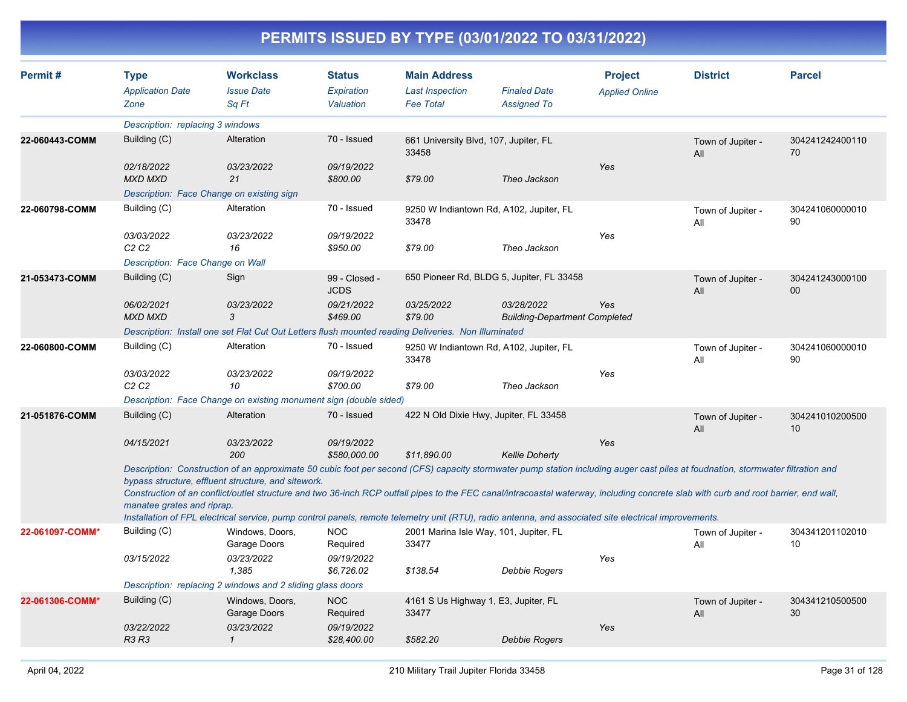| Permit#         | <b>Type</b><br><b>Application Date</b><br>Zone | <b>Workclass</b><br><b>Issue Date</b><br>Sa Ft                                                                                                                                                                                                                                                                                                                                                                                                                                                                                                                                          | <b>Status</b><br>Expiration<br>Valuation | <b>Main Address</b><br><b>Last Inspection</b><br><b>Fee Total</b> | <b>Finaled Date</b><br><b>Assigned To</b>          | <b>Project</b><br><b>Applied Online</b> | <b>District</b>          | <b>Parcel</b>             |
|-----------------|------------------------------------------------|-----------------------------------------------------------------------------------------------------------------------------------------------------------------------------------------------------------------------------------------------------------------------------------------------------------------------------------------------------------------------------------------------------------------------------------------------------------------------------------------------------------------------------------------------------------------------------------------|------------------------------------------|-------------------------------------------------------------------|----------------------------------------------------|-----------------------------------------|--------------------------|---------------------------|
|                 | Description: replacing 3 windows               |                                                                                                                                                                                                                                                                                                                                                                                                                                                                                                                                                                                         |                                          |                                                                   |                                                    |                                         |                          |                           |
| 22-060443-COMM  | Building (C)                                   | Alteration                                                                                                                                                                                                                                                                                                                                                                                                                                                                                                                                                                              | 70 - Issued                              | 661 University Blvd, 107, Jupiter, FL<br>33458                    |                                                    |                                         | Town of Jupiter -<br>All | 304241242400110<br>70     |
|                 | 02/18/2022<br><b>MXD MXD</b>                   | 03/23/2022<br>21                                                                                                                                                                                                                                                                                                                                                                                                                                                                                                                                                                        | 09/19/2022<br>\$800.00                   | \$79.00                                                           | Theo Jackson                                       | Yes                                     |                          |                           |
|                 | Description: Face Change on existing sign      |                                                                                                                                                                                                                                                                                                                                                                                                                                                                                                                                                                                         |                                          |                                                                   |                                                    |                                         |                          |                           |
| 22-060798-COMM  | Building (C)                                   | Alteration                                                                                                                                                                                                                                                                                                                                                                                                                                                                                                                                                                              | 70 - Issued                              | 9250 W Indiantown Rd, A102, Jupiter, FL<br>33478                  |                                                    |                                         | Town of Jupiter -<br>All | 304241060000010<br>90     |
|                 | 03/03/2022<br>C2C2                             | 03/23/2022<br>16                                                                                                                                                                                                                                                                                                                                                                                                                                                                                                                                                                        | 09/19/2022<br>\$950.00                   | \$79.00                                                           | Theo Jackson                                       | Yes                                     |                          |                           |
|                 | Description: Face Change on Wall               |                                                                                                                                                                                                                                                                                                                                                                                                                                                                                                                                                                                         |                                          |                                                                   |                                                    |                                         |                          |                           |
| 21-053473-COMM  | Building (C)                                   | Sign                                                                                                                                                                                                                                                                                                                                                                                                                                                                                                                                                                                    | 99 - Closed -<br><b>JCDS</b>             | 650 Pioneer Rd, BLDG 5, Jupiter, FL 33458                         |                                                    |                                         | Town of Jupiter -<br>All | 304241243000100<br>$00\,$ |
|                 | 06/02/2021<br><b>MXD MXD</b>                   | 03/23/2022<br>3                                                                                                                                                                                                                                                                                                                                                                                                                                                                                                                                                                         | 09/21/2022<br>\$469.00                   | 03/25/2022<br>\$79.00                                             | 03/28/2022<br><b>Building-Department Completed</b> | Yes                                     |                          |                           |
|                 |                                                | Description: Install one set Flat Cut Out Letters flush mounted reading Deliveries. Non Illuminated                                                                                                                                                                                                                                                                                                                                                                                                                                                                                     |                                          |                                                                   |                                                    |                                         |                          |                           |
| 22-060800-COMM  | Building (C)                                   | Alteration                                                                                                                                                                                                                                                                                                                                                                                                                                                                                                                                                                              | 70 - Issued                              | 9250 W Indiantown Rd, A102, Jupiter, FL<br>33478                  |                                                    |                                         | Town of Jupiter -<br>All | 304241060000010<br>90     |
|                 | 03/03/2022<br>C2C2                             | 03/23/2022<br>10                                                                                                                                                                                                                                                                                                                                                                                                                                                                                                                                                                        | 09/19/2022<br>\$700.00                   | \$79.00                                                           | Theo Jackson                                       | Yes                                     |                          |                           |
|                 |                                                | Description: Face Change on existing monument sign (double sided)                                                                                                                                                                                                                                                                                                                                                                                                                                                                                                                       |                                          |                                                                   |                                                    |                                         |                          |                           |
| 21-051876-COMM  | Building (C)                                   | Alteration                                                                                                                                                                                                                                                                                                                                                                                                                                                                                                                                                                              | 70 - Issued                              | 422 N Old Dixie Hwy, Jupiter, FL 33458                            |                                                    |                                         | Town of Jupiter -<br>All | 304241010200500<br>10     |
|                 | 04/15/2021                                     | 03/23/2022<br>200                                                                                                                                                                                                                                                                                                                                                                                                                                                                                                                                                                       | 09/19/2022<br>\$580,000.00               | \$11,890.00                                                       | <b>Kellie Doherty</b>                              | Yes                                     |                          |                           |
|                 | manatee grates and riprap.                     | Description: Construction of an approximate 50 cubic foot per second (CFS) capacity stormwater pump station including auger cast piles at foudnation, stormwater filtration and<br>bypass structure, effluent structure, and sitework.<br>Construction of an conflict/outlet structure and two 36-inch RCP outfall pipes to the FEC canal/intracoastal waterway, including concrete slab with curb and root barrier, end wall,<br>Installation of FPL electrical service, pump control panels, remote telemetry unit (RTU), radio antenna, and associated site electrical improvements. |                                          |                                                                   |                                                    |                                         |                          |                           |
| 22-061097-COMM* | Building (C)                                   | Windows, Doors,<br>Garage Doors                                                                                                                                                                                                                                                                                                                                                                                                                                                                                                                                                         | <b>NOC</b><br>Required                   | 2001 Marina Isle Way, 101, Jupiter, FL<br>33477                   |                                                    |                                         | Town of Jupiter -<br>All | 304341201102010<br>10     |
|                 | 03/15/2022                                     | 03/23/2022<br>1,385                                                                                                                                                                                                                                                                                                                                                                                                                                                                                                                                                                     | 09/19/2022<br>\$6,726.02                 | \$138.54                                                          | Debbie Rogers                                      | Yes                                     |                          |                           |
|                 |                                                | Description: replacing 2 windows and 2 sliding glass doors                                                                                                                                                                                                                                                                                                                                                                                                                                                                                                                              |                                          |                                                                   |                                                    |                                         |                          |                           |
| 22-061306-COMM* | Building (C)                                   | Windows, Doors,<br>Garage Doors                                                                                                                                                                                                                                                                                                                                                                                                                                                                                                                                                         | <b>NOC</b><br>Required                   | 4161 S Us Highway 1, E3, Jupiter, FL<br>33477                     |                                                    |                                         | Town of Jupiter -<br>All | 304341210500500<br>30     |
|                 | 03/22/2022<br><b>R3 R3</b>                     | 03/23/2022<br>$\mathcal I$                                                                                                                                                                                                                                                                                                                                                                                                                                                                                                                                                              | 09/19/2022<br>\$28,400.00                | \$582.20                                                          | Debbie Rogers                                      | Yes                                     |                          |                           |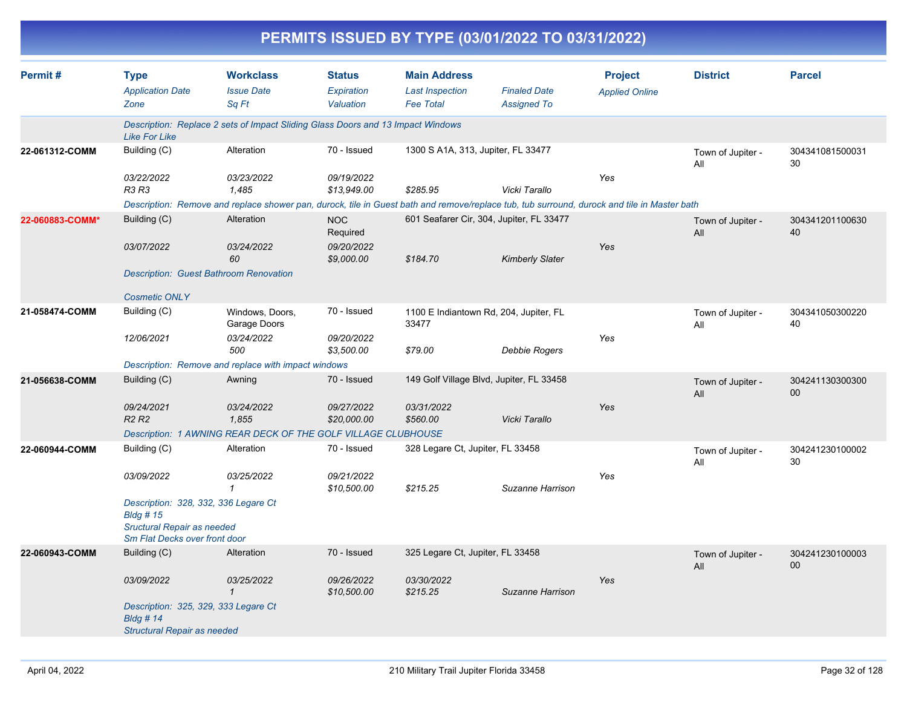|                 |                                                                                                                                |                                                                                                                                             |                                          |                                                                   | PERMITS ISSUED BY TYPE (03/01/2022 TO 03/31/2022) |                                         |                          |                                    |
|-----------------|--------------------------------------------------------------------------------------------------------------------------------|---------------------------------------------------------------------------------------------------------------------------------------------|------------------------------------------|-------------------------------------------------------------------|---------------------------------------------------|-----------------------------------------|--------------------------|------------------------------------|
| Permit#         | <b>Type</b><br><b>Application Date</b><br>Zone                                                                                 | <b>Workclass</b><br><b>Issue Date</b><br>Sq Ft                                                                                              | <b>Status</b><br>Expiration<br>Valuation | <b>Main Address</b><br><b>Last Inspection</b><br><b>Fee Total</b> | <b>Finaled Date</b><br><b>Assigned To</b>         | <b>Project</b><br><b>Applied Online</b> | <b>District</b>          | <b>Parcel</b>                      |
|                 | <b>Like For Like</b>                                                                                                           | Description: Replace 2 sets of Impact Sliding Glass Doors and 13 Impact Windows                                                             |                                          |                                                                   |                                                   |                                         |                          |                                    |
| 22-061312-COMM  | Building (C)                                                                                                                   | Alteration                                                                                                                                  | 70 - Issued                              | 1300 S A1A, 313, Jupiter, FL 33477                                |                                                   |                                         | Town of Jupiter -<br>All | 304341081500031<br>30              |
|                 | 03/22/2022<br><b>R3 R3</b>                                                                                                     | 03/23/2022<br>1,485                                                                                                                         | 09/19/2022<br>\$13,949.00                | \$285.95                                                          | Vicki Tarallo                                     | Yes                                     |                          |                                    |
|                 |                                                                                                                                | Description: Remove and replace shower pan, durock, tile in Guest bath and remove/replace tub, tub surround, durock and tile in Master bath |                                          |                                                                   |                                                   |                                         |                          |                                    |
| 22-060883-COMM* | Building (C)<br>03/07/2022                                                                                                     | Alteration<br>03/24/2022                                                                                                                    | <b>NOC</b><br>Required<br>09/20/2022     |                                                                   | 601 Seafarer Cir, 304, Jupiter, FL 33477          | Yes                                     | Town of Jupiter -<br>All | 304341201100630<br>40              |
|                 |                                                                                                                                | 60<br><b>Description: Guest Bathroom Renovation</b>                                                                                         | \$9,000.00                               | \$184.70                                                          | <b>Kimberly Slater</b>                            |                                         |                          |                                    |
|                 | <b>Cosmetic ONLY</b>                                                                                                           |                                                                                                                                             |                                          |                                                                   |                                                   |                                         |                          |                                    |
| 21-058474-COMM  | Building (C)                                                                                                                   | Windows, Doors,<br>Garage Doors                                                                                                             | 70 - Issued                              | 1100 E Indiantown Rd, 204, Jupiter, FL<br>33477                   |                                                   |                                         | Town of Jupiter -<br>All | 304341050300220<br>40              |
|                 | 12/06/2021                                                                                                                     | 03/24/2022<br>500                                                                                                                           | 09/20/2022<br>\$3,500.00                 | \$79.00                                                           | <b>Debbie Rogers</b>                              | Yes                                     |                          |                                    |
|                 |                                                                                                                                | Description: Remove and replace with impact windows                                                                                         |                                          |                                                                   |                                                   |                                         |                          |                                    |
| 21-056638-COMM  | Building (C)                                                                                                                   | Awning                                                                                                                                      | 70 - Issued                              |                                                                   | 149 Golf Village Blvd, Jupiter, FL 33458          |                                         | Town of Jupiter -<br>All | 304241130300300<br>$00\,$          |
|                 | 09/24/2021<br><b>R2 R2</b>                                                                                                     | 03/24/2022<br>1,855                                                                                                                         | 09/27/2022<br>\$20,000.00                | 03/31/2022<br>\$560.00                                            | Vicki Tarallo                                     | Yes                                     |                          |                                    |
|                 |                                                                                                                                | Description: 1 AWNING REAR DECK OF THE GOLF VILLAGE CLUBHOUSE                                                                               |                                          |                                                                   |                                                   |                                         |                          |                                    |
| 22-060944-COMM  | Building (C)                                                                                                                   | Alteration                                                                                                                                  | 70 - Issued                              | 328 Legare Ct, Jupiter, FL 33458                                  |                                                   |                                         | Town of Jupiter -<br>All | 304241230100002<br>30              |
|                 | 03/09/2022                                                                                                                     | 03/25/2022                                                                                                                                  | 09/21/2022<br>\$10,500.00                | \$215.25                                                          | Suzanne Harrison                                  | Yes                                     |                          |                                    |
|                 | Description: 328, 332, 336 Legare Ct<br><b>Bldg # 15</b><br><b>Sructural Repair as needed</b><br>Sm Flat Decks over front door |                                                                                                                                             |                                          |                                                                   |                                                   |                                         |                          |                                    |
| 22-060943-COMM  | Building (C)                                                                                                                   | Alteration                                                                                                                                  | 70 - Issued                              | 325 Legare Ct, Jupiter, FL 33458                                  |                                                   |                                         | Town of Jupiter -<br>All | 304241230100003<br>00 <sup>°</sup> |
|                 | 03/09/2022                                                                                                                     | 03/25/2022<br>$\mathcal{I}$                                                                                                                 | 09/26/2022<br>\$10,500.00                | 03/30/2022<br>\$215.25                                            | Suzanne Harrison                                  | Yes                                     |                          |                                    |
|                 | Description: 325, 329, 333 Legare Ct<br><b>Bldg #14</b><br>Structural Repair as needed                                         |                                                                                                                                             |                                          |                                                                   |                                                   |                                         |                          |                                    |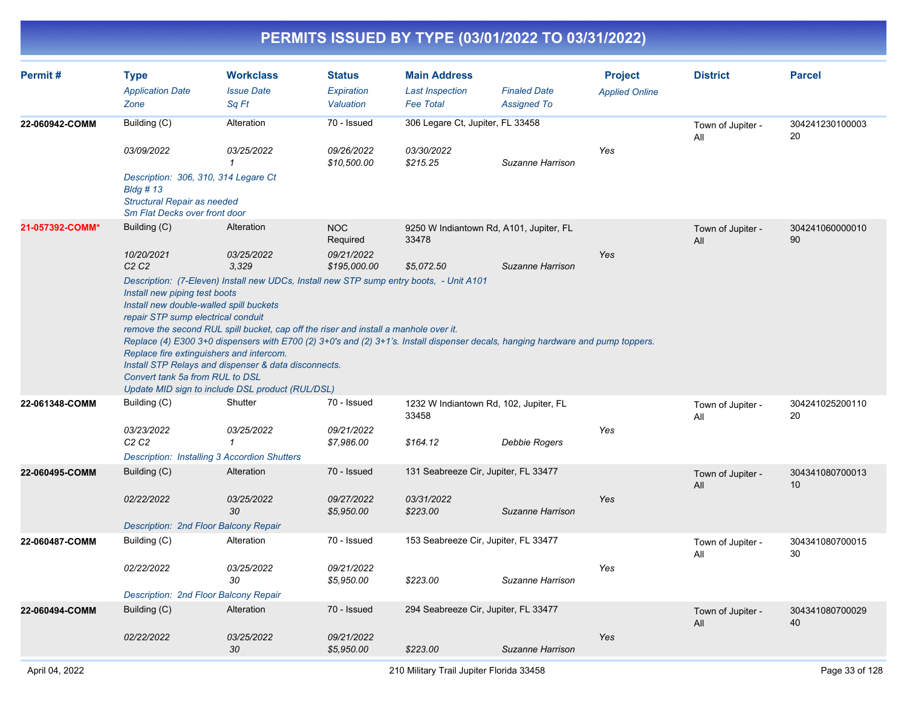| Permit#         | <b>Type</b><br><b>Application Date</b><br>Zone                                                                                                                                                | <b>Workclass</b><br><b>Issue Date</b><br>Sq Ft                                                                                                                                                                                                                                                                                                                                                                                 | <b>Status</b><br>Expiration<br>Valuation | <b>Main Address</b><br><b>Last Inspection</b><br><b>Fee Total</b> | <b>Finaled Date</b><br><b>Assigned To</b> | <b>Project</b><br><b>Applied Online</b> | <b>District</b>          | <b>Parcel</b>         |
|-----------------|-----------------------------------------------------------------------------------------------------------------------------------------------------------------------------------------------|--------------------------------------------------------------------------------------------------------------------------------------------------------------------------------------------------------------------------------------------------------------------------------------------------------------------------------------------------------------------------------------------------------------------------------|------------------------------------------|-------------------------------------------------------------------|-------------------------------------------|-----------------------------------------|--------------------------|-----------------------|
| 22-060942-COMM  | Building (C)                                                                                                                                                                                  | Alteration                                                                                                                                                                                                                                                                                                                                                                                                                     | 70 - Issued                              | 306 Legare Ct, Jupiter, FL 33458                                  |                                           |                                         | Town of Jupiter -<br>All | 304241230100003<br>20 |
|                 | 03/09/2022                                                                                                                                                                                    | 03/25/2022<br>$\mathbf{1}$                                                                                                                                                                                                                                                                                                                                                                                                     | 09/26/2022<br>\$10,500.00                | 03/30/2022<br>\$215.25                                            | Suzanne Harrison                          | Yes                                     |                          |                       |
|                 | Description: 306, 310, 314 Legare Ct<br>$B$ ldg # 13<br><b>Structural Repair as needed</b><br>Sm Flat Decks over front door                                                                   |                                                                                                                                                                                                                                                                                                                                                                                                                                |                                          |                                                                   |                                           |                                         |                          |                       |
| 21-057392-COMM* | Building (C)                                                                                                                                                                                  | Alteration                                                                                                                                                                                                                                                                                                                                                                                                                     | <b>NOC</b><br>Required                   | 9250 W Indiantown Rd, A101, Jupiter, FL<br>33478                  |                                           |                                         | Town of Jupiter -<br>All | 304241060000010<br>90 |
|                 | 10/20/2021<br>C <sub>2</sub> C <sub>2</sub>                                                                                                                                                   | 03/25/2022<br>3,329                                                                                                                                                                                                                                                                                                                                                                                                            | 09/21/2022<br>\$195,000.00               | \$5,072.50                                                        | Suzanne Harrison                          | Yes                                     |                          |                       |
|                 | Install new piping test boots<br>Install new double-walled spill buckets<br>repair STP sump electrical conduit<br>Replace fire extinguishers and intercom.<br>Convert tank 5a from RUL to DSL | Description: (7-Eleven) Install new UDCs, Install new STP sump entry boots, - Unit A101<br>remove the second RUL spill bucket, cap off the riser and install a manhole over it.<br>Replace (4) E300 3+0 dispensers with E700 (2) 3+0's and (2) 3+1's. Install dispenser decals, hanging hardware and pump toppers.<br>Install STP Relays and dispenser & data disconnects.<br>Update MID sign to include DSL product (RUL/DSL) |                                          |                                                                   |                                           |                                         |                          |                       |
| 22-061348-COMM  | Building (C)                                                                                                                                                                                  | Shutter                                                                                                                                                                                                                                                                                                                                                                                                                        | 70 - Issued                              | 1232 W Indiantown Rd, 102, Jupiter, FL<br>33458                   |                                           |                                         | Town of Jupiter -<br>All | 304241025200110<br>20 |
|                 | 03/23/2022<br>C <sub>2</sub> C <sub>2</sub><br><b>Description: Installing 3 Accordion Shutters</b>                                                                                            | 03/25/2022<br>1                                                                                                                                                                                                                                                                                                                                                                                                                | 09/21/2022<br>\$7,986.00                 | \$164.12                                                          | Debbie Rogers                             | Yes                                     |                          |                       |
| 22-060495-COMM  | Building (C)                                                                                                                                                                                  | Alteration                                                                                                                                                                                                                                                                                                                                                                                                                     | 70 - Issued                              | 131 Seabreeze Cir, Jupiter, FL 33477                              |                                           |                                         | Town of Jupiter -<br>All | 304341080700013<br>10 |
|                 | 02/22/2022                                                                                                                                                                                    | 03/25/2022<br>30                                                                                                                                                                                                                                                                                                                                                                                                               | 09/27/2022<br>\$5,950.00                 | 03/31/2022<br>\$223.00                                            | Suzanne Harrison                          | Yes                                     |                          |                       |
|                 | Description: 2nd Floor Balcony Repair                                                                                                                                                         |                                                                                                                                                                                                                                                                                                                                                                                                                                |                                          |                                                                   |                                           |                                         |                          |                       |
| 22-060487-COMM  | Building (C)                                                                                                                                                                                  | Alteration                                                                                                                                                                                                                                                                                                                                                                                                                     | 70 - Issued                              | 153 Seabreeze Cir, Jupiter, FL 33477                              |                                           |                                         | Town of Jupiter -<br>All | 304341080700015<br>30 |
|                 | 02/22/2022                                                                                                                                                                                    | 03/25/2022<br>30                                                                                                                                                                                                                                                                                                                                                                                                               | 09/21/2022<br>\$5,950.00                 | \$223.00                                                          | Suzanne Harrison                          | Yes                                     |                          |                       |
|                 | Description: 2nd Floor Balcony Repair                                                                                                                                                         |                                                                                                                                                                                                                                                                                                                                                                                                                                |                                          |                                                                   |                                           |                                         |                          |                       |
| 22-060494-COMM  | Building (C)                                                                                                                                                                                  | Alteration                                                                                                                                                                                                                                                                                                                                                                                                                     | 70 - Issued                              | 294 Seabreeze Cir, Jupiter, FL 33477                              |                                           |                                         | Town of Jupiter -<br>All | 304341080700029<br>40 |
|                 | 02/22/2022                                                                                                                                                                                    | 03/25/2022<br>30                                                                                                                                                                                                                                                                                                                                                                                                               | 09/21/2022<br>\$5,950.00                 | \$223.00                                                          | Suzanne Harrison                          | Yes                                     |                          |                       |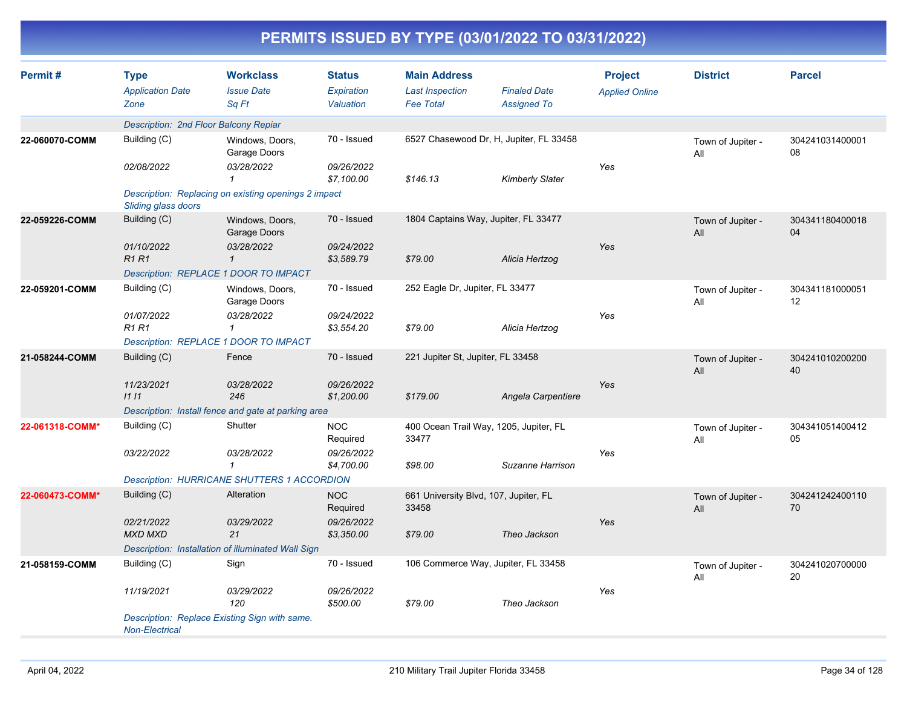|                 | PERMITS ISSUED BY TYPE (03/01/2022 TO 03/31/2022) |                                                                          |                                          |                                                                   |                                           |                                         |                          |                       |  |  |  |
|-----------------|---------------------------------------------------|--------------------------------------------------------------------------|------------------------------------------|-------------------------------------------------------------------|-------------------------------------------|-----------------------------------------|--------------------------|-----------------------|--|--|--|
| Permit#         | <b>Type</b><br><b>Application Date</b><br>Zone    | <b>Workclass</b><br><b>Issue Date</b><br>Sq Ft                           | <b>Status</b><br>Expiration<br>Valuation | <b>Main Address</b><br><b>Last Inspection</b><br><b>Fee Total</b> | <b>Finaled Date</b><br><b>Assigned To</b> | <b>Project</b><br><b>Applied Online</b> | <b>District</b>          | <b>Parcel</b>         |  |  |  |
|                 | Description: 2nd Floor Balcony Repiar             |                                                                          |                                          |                                                                   |                                           |                                         |                          |                       |  |  |  |
| 22-060070-COMM  | Building (C)<br>02/08/2022                        | Windows, Doors,<br>Garage Doors<br>03/28/2022                            | 70 - Issued<br>09/26/2022                | 6527 Chasewood Dr, H, Jupiter, FL 33458                           |                                           | Yes                                     | Town of Jupiter -<br>All | 304241031400001<br>08 |  |  |  |
|                 | Sliding glass doors                               | Description: Replacing on existing openings 2 impact                     | \$7,100.00                               | \$146.13                                                          | <b>Kimberly Slater</b>                    |                                         |                          |                       |  |  |  |
| 22-059226-COMM  | Building (C)<br>01/10/2022                        | Windows, Doors,<br>Garage Doors<br>03/28/2022                            | 70 - Issued<br>09/24/2022                | 1804 Captains Way, Jupiter, FL 33477                              |                                           | Yes                                     | Town of Jupiter -<br>All | 304341180400018<br>04 |  |  |  |
|                 | <b>R1R1</b>                                       | $\mathcal I$<br>Description: REPLACE 1 DOOR TO IMPACT                    | \$3,589.79                               | \$79.00                                                           | Alicia Hertzog                            |                                         |                          |                       |  |  |  |
| 22-059201-COMM  | Building (C)<br>01/07/2022                        | Windows, Doors,<br>Garage Doors<br>03/28/2022                            | 70 - Issued<br>09/24/2022                | 252 Eagle Dr, Jupiter, FL 33477                                   |                                           | Yes                                     | Town of Jupiter -<br>All | 304341181000051<br>12 |  |  |  |
|                 | <b>R1 R1</b>                                      | $\mathbf{1}$<br>Description: REPLACE 1 DOOR TO IMPACT                    | \$3,554.20                               | \$79.00                                                           | Alicia Hertzog                            |                                         |                          |                       |  |  |  |
| 21-058244-COMM  | Building (C)                                      | Fence                                                                    | 70 - Issued                              | 221 Jupiter St, Jupiter, FL 33458                                 |                                           |                                         | Town of Jupiter -<br>All | 304241010200200<br>40 |  |  |  |
|                 | 11/23/2021<br>1111                                | 03/28/2022<br>246<br>Description: Install fence and gate at parking area | 09/26/2022<br>\$1,200.00                 | \$179.00                                                          | Angela Carpentiere                        | Yes                                     |                          |                       |  |  |  |
| 22-061318-COMM* | Building (C)                                      | Shutter                                                                  | <b>NOC</b><br>Required                   | 400 Ocean Trail Way, 1205, Jupiter, FL<br>33477                   |                                           |                                         | Town of Jupiter -<br>All | 304341051400412<br>05 |  |  |  |
|                 | 03/22/2022                                        | 03/28/2022<br>$\mathbf{1}$                                               | 09/26/2022<br>\$4,700.00                 | \$98.00                                                           | Suzanne Harrison                          | Yes                                     |                          |                       |  |  |  |
|                 |                                                   | <b>Description: HURRICANE SHUTTERS 1 ACCORDION</b>                       |                                          |                                                                   |                                           |                                         |                          |                       |  |  |  |
| 22-060473-COMM* | Building (C)                                      | Alteration                                                               | <b>NOC</b><br>Required                   | 661 University Blvd, 107, Jupiter, FL<br>33458                    |                                           |                                         | Town of Jupiter -<br>All | 304241242400110<br>70 |  |  |  |
|                 | 02/21/2022<br>MXD MXD                             | 03/29/2022<br>21                                                         | 09/26/2022<br>\$3,350.00                 | \$79.00                                                           | Theo Jackson                              | Yes                                     |                          |                       |  |  |  |
|                 |                                                   | Description: Installation of illuminated Wall Sign                       |                                          |                                                                   |                                           |                                         |                          |                       |  |  |  |
| 21-058159-COMM  | Building (C)                                      | Sign                                                                     | 70 - Issued                              | 106 Commerce Way, Jupiter, FL 33458                               |                                           |                                         | Town of Jupiter -<br>All | 304241020700000<br>20 |  |  |  |
|                 | 11/19/2021                                        | 03/29/2022<br>120                                                        | 09/26/2022<br>\$500.00                   | \$79.00                                                           | Theo Jackson                              | Yes                                     |                          |                       |  |  |  |
|                 | Non-Electrical                                    | Description: Replace Existing Sign with same.                            |                                          |                                                                   |                                           |                                         |                          |                       |  |  |  |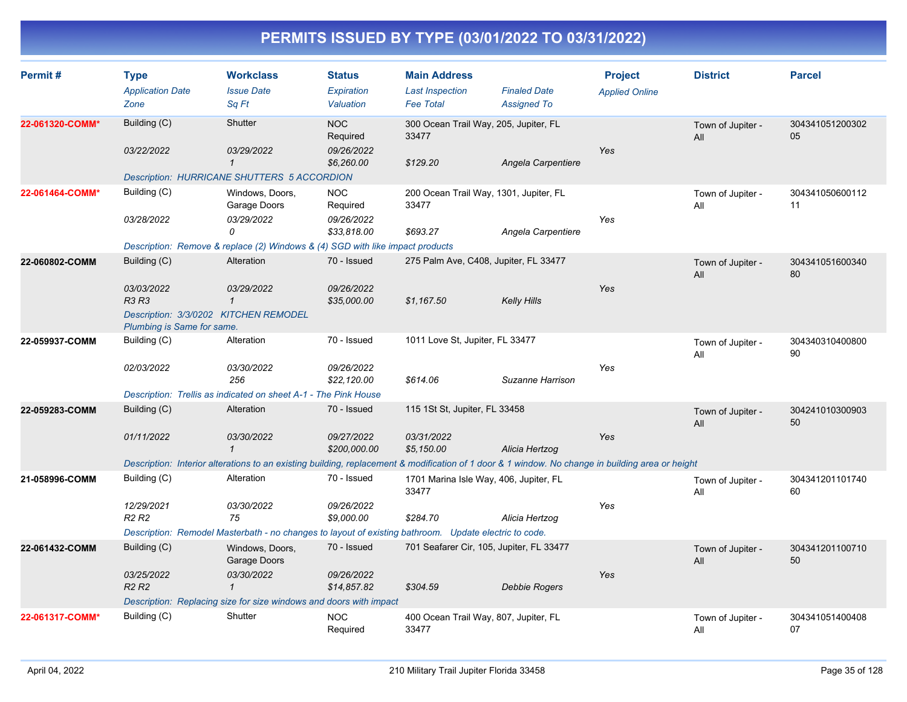| Permit#         | <b>Type</b><br><b>Application Date</b><br>Zone                     | <b>Workclass</b><br><b>Issue Date</b><br>Sq Ft                                                                                                   | <b>Status</b><br>Expiration<br>Valuation | <b>Main Address</b><br><b>Last Inspection</b><br><b>Fee Total</b> | <b>Finaled Date</b><br><b>Assigned To</b> | <b>Project</b><br><b>Applied Online</b> | <b>District</b>          | <b>Parcel</b>         |
|-----------------|--------------------------------------------------------------------|--------------------------------------------------------------------------------------------------------------------------------------------------|------------------------------------------|-------------------------------------------------------------------|-------------------------------------------|-----------------------------------------|--------------------------|-----------------------|
| 22-061320-COMM* | Building (C)                                                       | Shutter                                                                                                                                          | <b>NOC</b><br>Required                   | 300 Ocean Trail Way, 205, Jupiter, FL<br>33477                    |                                           |                                         | Town of Jupiter -<br>All | 304341051200302<br>05 |
|                 | 03/22/2022                                                         | 03/29/2022<br>$\mathbf{1}$<br><b>Description: HURRICANE SHUTTERS 5 ACCORDION</b>                                                                 | 09/26/2022<br>\$6,260.00                 | \$129.20                                                          | Angela Carpentiere                        | Yes                                     |                          |                       |
| 22-061464-COMM* | Building (C)                                                       | Windows, Doors,<br>Garage Doors                                                                                                                  | <b>NOC</b><br>Required                   | 200 Ocean Trail Way, 1301, Jupiter, FL<br>33477                   |                                           |                                         | Town of Jupiter -<br>All | 304341050600112<br>11 |
|                 | 03/28/2022                                                         | 03/29/2022<br>0                                                                                                                                  | 09/26/2022<br>\$33,818.00                | \$693.27                                                          | Angela Carpentiere                        | Yes                                     |                          |                       |
|                 |                                                                    | Description: Remove & replace (2) Windows & (4) SGD with like impact products                                                                    |                                          |                                                                   |                                           |                                         |                          |                       |
| 22-060802-COMM  | Building (C)                                                       | Alteration                                                                                                                                       | 70 - Issued                              | 275 Palm Ave, C408, Jupiter, FL 33477                             |                                           |                                         | Town of Jupiter -<br>All | 304341051600340<br>80 |
|                 | 03/03/2022<br><b>R3 R3</b>                                         | 03/29/2022<br>$\mathcal I$                                                                                                                       | 09/26/2022<br>\$35,000.00                | \$1,167.50                                                        | <b>Kelly Hills</b>                        | Yes                                     |                          |                       |
|                 | Plumbing is Same for same.                                         | Description: 3/3/0202 KITCHEN REMODEL                                                                                                            |                                          |                                                                   |                                           |                                         |                          |                       |
| 22-059937-COMM  | Building (C)                                                       | Alteration                                                                                                                                       | 70 - Issued                              | 1011 Love St, Jupiter, FL 33477                                   |                                           |                                         | Town of Jupiter -<br>All | 304340310400800<br>90 |
|                 | 02/03/2022                                                         | 03/30/2022<br>256                                                                                                                                | 09/26/2022<br>\$22,120.00                | \$614.06                                                          | Suzanne Harrison                          | Yes                                     |                          |                       |
|                 |                                                                    | Description: Trellis as indicated on sheet A-1 - The Pink House                                                                                  |                                          |                                                                   |                                           |                                         |                          |                       |
| 22-059283-COMM  | Building (C)                                                       | Alteration                                                                                                                                       | 70 - Issued                              | 115 1St St, Jupiter, FL 33458                                     |                                           |                                         | Town of Jupiter -<br>All | 304241010300903<br>50 |
|                 | 01/11/2022                                                         | 03/30/2022<br>$\mathbf{1}$                                                                                                                       | 09/27/2022<br>\$200,000.00               | 03/31/2022<br>\$5,150.00                                          | Alicia Hertzog                            | Yes                                     |                          |                       |
|                 |                                                                    | Description: Interior alterations to an existing building, replacement & modification of 1 door & 1 window. No change in building area or height |                                          |                                                                   |                                           |                                         |                          |                       |
| 21-058996-COMM  | Building (C)                                                       | Alteration                                                                                                                                       | 70 - Issued                              | 1701 Marina Isle Way, 406, Jupiter, FL<br>33477                   |                                           |                                         | Town of Jupiter -<br>All | 304341201101740<br>60 |
|                 | 12/29/2021<br>R <sub>2</sub> R <sub>2</sub>                        | 03/30/2022<br>75                                                                                                                                 | 09/26/2022<br>\$9,000.00                 | \$284.70                                                          | Alicia Hertzog                            | Yes                                     |                          |                       |
|                 |                                                                    | Description: Remodel Masterbath - no changes to layout of existing bathroom. Update electric to code.                                            |                                          |                                                                   |                                           |                                         |                          |                       |
| 22-061432-COMM  | Building (C)                                                       | Windows, Doors,<br>Garage Doors                                                                                                                  | 70 - Issued                              | 701 Seafarer Cir, 105, Jupiter, FL 33477                          |                                           |                                         | Town of Jupiter -<br>All | 304341201100710<br>50 |
|                 | 03/25/2022<br>R <sub>2</sub> R <sub>2</sub>                        | 03/30/2022<br>$\mathbf{1}$                                                                                                                       | 09/26/2022<br>\$14,857.82                | \$304.59                                                          | Debbie Rogers                             | Yes                                     |                          |                       |
|                 | Description: Replacing size for size windows and doors with impact |                                                                                                                                                  |                                          |                                                                   |                                           |                                         |                          |                       |
| 22-061317-COMM* | Building (C)                                                       | Shutter                                                                                                                                          | <b>NOC</b><br>Required                   | 400 Ocean Trail Way, 807, Jupiter, FL<br>33477                    |                                           |                                         | Town of Jupiter -<br>All | 304341051400408<br>07 |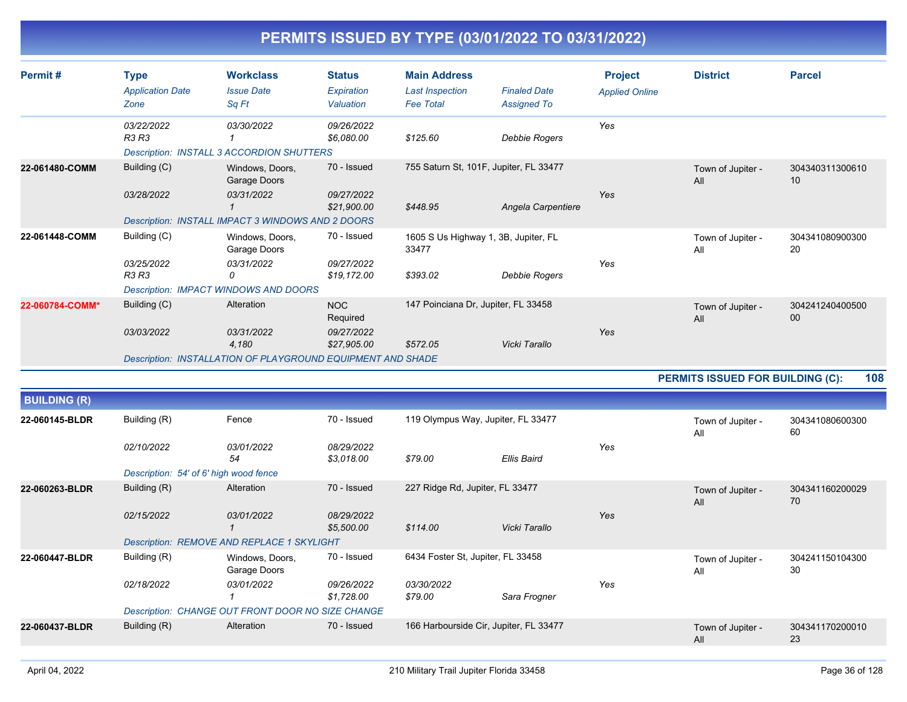| Permit#         | <b>Type</b><br><b>Application Date</b><br>Zone              | <b>Workclass</b><br><b>Issue Date</b><br>Sq Ft                                                     | <b>Status</b><br>Expiration<br>Valuation            | <b>Main Address</b><br><b>Last Inspection</b><br><b>Fee Total</b> | <b>Finaled Date</b><br><b>Assigned To</b> | <b>Project</b><br><b>Applied Online</b> | <b>District</b>          | <b>Parcel</b>         |
|-----------------|-------------------------------------------------------------|----------------------------------------------------------------------------------------------------|-----------------------------------------------------|-------------------------------------------------------------------|-------------------------------------------|-----------------------------------------|--------------------------|-----------------------|
|                 | 03/22/2022<br><b>R3 R3</b>                                  | 03/30/2022<br><b>Description: INSTALL 3 ACCORDION SHUTTERS</b>                                     | 09/26/2022<br>\$6.080.00                            | \$125.60                                                          | Debbie Rogers                             | Yes                                     |                          |                       |
| 22-061480-COMM  | Building (C)<br>03/28/2022                                  | Windows, Doors,<br>Garage Doors<br>03/31/2022<br>Description: INSTALL IMPACT 3 WINDOWS AND 2 DOORS | 70 - Issued<br>09/27/2022<br>\$21,900.00            | 755 Saturn St, 101F, Jupiter, FL 33477<br>\$448.95                | Angela Carpentiere                        | Yes                                     | Town of Jupiter -<br>All | 304340311300610<br>10 |
| 22-061448-COMM  | Building (C)<br>03/25/2022<br>R <sub>3</sub> R <sub>3</sub> | Windows, Doors,<br>Garage Doors<br>03/31/2022<br>0<br>Description: IMPACT WINDOWS AND DOORS        | 70 - Issued<br>09/27/2022<br>\$19.172.00            | 1605 S Us Highway 1, 3B, Jupiter, FL<br>33477<br>\$393.02         | Debbie Rogers                             | Yes                                     | Town of Jupiter -<br>All | 304341080900300<br>20 |
| 22-060784-COMM* | Building (C)<br>03/03/2022                                  | Alteration<br>03/31/2022<br>4,180<br>Description: INSTALLATION OF PLAYGROUND EQUIPMENT AND SHADE   | <b>NOC</b><br>Required<br>09/27/2022<br>\$27,905.00 | 147 Poinciana Dr, Jupiter, FL 33458<br>\$572.05                   | Vicki Tarallo                             | Yes                                     | Town of Jupiter -<br>All | 304241240400500<br>00 |

**PERMITS ISSUED FOR BUILDING (C): 108**

| <b>BUILDING (R)</b> |                                        |                                                   |                          |                                        |                                    |     |                          |                       |
|---------------------|----------------------------------------|---------------------------------------------------|--------------------------|----------------------------------------|------------------------------------|-----|--------------------------|-----------------------|
| 22-060145-BLDR      | Building (R)                           | Fence                                             | 70 - Issued              |                                        | 119 Olympus Way, Jupiter, FL 33477 |     | Town of Jupiter -<br>All | 304341080600300<br>60 |
|                     | 02/10/2022                             | 03/01/2022<br>54                                  | 08/29/2022<br>\$3,018.00 | \$79.00                                | Ellis Baird                        | Yes |                          |                       |
|                     | Description: 54' of 6' high wood fence |                                                   |                          |                                        |                                    |     |                          |                       |
| 22-060263-BLDR      | Building (R)                           | Alteration                                        | 70 - Issued              | 227 Ridge Rd, Jupiter, FL 33477        |                                    |     | Town of Jupiter -<br>All | 304341160200029<br>70 |
|                     | 02/15/2022                             | 03/01/2022                                        | 08/29/2022<br>\$5,500.00 | \$114.00                               | Vicki Tarallo                      | Yes |                          |                       |
|                     |                                        | Description: REMOVE AND REPLACE 1 SKYLIGHT        |                          |                                        |                                    |     |                          |                       |
| 22-060447-BLDR      | Building (R)                           | Windows, Doors,<br>Garage Doors                   | 70 - Issued              | 6434 Foster St, Jupiter, FL 33458      |                                    |     | Town of Jupiter -<br>All | 304241150104300<br>30 |
|                     | 02/18/2022                             | 03/01/2022                                        | 09/26/2022<br>\$1,728.00 | 03/30/2022<br>\$79.00                  | Sara Frogner                       | Yes |                          |                       |
|                     |                                        | Description: CHANGE OUT FRONT DOOR NO SIZE CHANGE |                          |                                        |                                    |     |                          |                       |
| 22-060437-BLDR      | Building (R)                           | Alteration                                        | 70 - Issued              | 166 Harbourside Cir, Jupiter, FL 33477 |                                    |     | Town of Jupiter -<br>All | 304341170200010<br>23 |
|                     |                                        |                                                   |                          |                                        |                                    |     |                          |                       |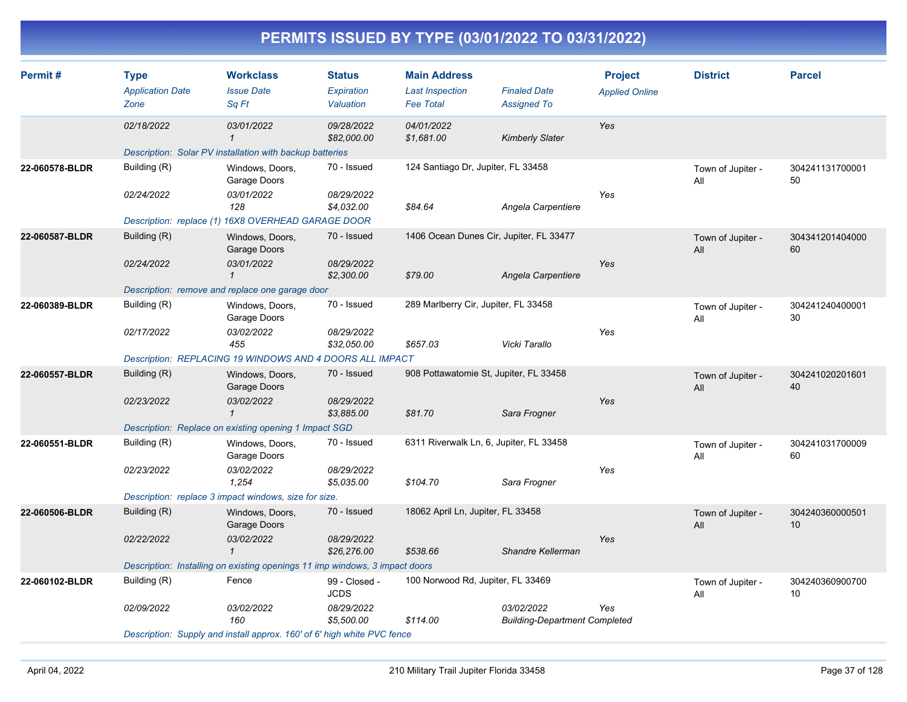| Permit#        | <b>Type</b>             | <b>Workclass</b>                                                            | <b>Status</b>                | <b>Main Address</b>                     |                                                    | <b>Project</b>        | <b>District</b>          | <b>Parcel</b>         |
|----------------|-------------------------|-----------------------------------------------------------------------------|------------------------------|-----------------------------------------|----------------------------------------------------|-----------------------|--------------------------|-----------------------|
|                | <b>Application Date</b> | <b>Issue Date</b>                                                           | Expiration                   | <b>Last Inspection</b>                  | <b>Finaled Date</b>                                | <b>Applied Online</b> |                          |                       |
|                | Zone                    | Sq Ft                                                                       | Valuation                    | <b>Fee Total</b>                        | <b>Assigned To</b>                                 |                       |                          |                       |
|                | 02/18/2022              | 03/01/2022<br>-1                                                            | 09/28/2022<br>\$82,000.00    | 04/01/2022<br>\$1,681.00                | <b>Kimberly Slater</b>                             | Yes                   |                          |                       |
|                |                         | Description: Solar PV installation with backup batteries                    |                              |                                         |                                                    |                       |                          |                       |
| 22-060578-BLDR | Building (R)            | Windows, Doors,<br>Garage Doors                                             | 70 - Issued                  | 124 Santiago Dr, Jupiter, FL 33458      |                                                    |                       | Town of Jupiter -<br>All | 304241131700001<br>50 |
|                | 02/24/2022              | 03/01/2022<br>128                                                           | 08/29/2022<br>\$4,032.00     | \$84.64                                 | Angela Carpentiere                                 | Yes                   |                          |                       |
|                |                         | Description: replace (1) 16X8 OVERHEAD GARAGE DOOR                          |                              |                                         |                                                    |                       |                          |                       |
| 22-060587-BLDR | Building (R)            | Windows, Doors,<br>Garage Doors                                             | 70 - Issued                  | 1406 Ocean Dunes Cir, Jupiter, FL 33477 |                                                    |                       | Town of Jupiter -<br>All | 304341201404000<br>60 |
|                | 02/24/2022              | 03/01/2022<br>$\mathbf{1}$                                                  | 08/29/2022<br>\$2,300.00     | \$79.00                                 | Angela Carpentiere                                 | Yes                   |                          |                       |
|                |                         | Description: remove and replace one garage door                             |                              |                                         |                                                    |                       |                          |                       |
| 22-060389-BLDR | Building (R)            | Windows, Doors,<br>Garage Doors                                             | 70 - Issued                  | 289 Marlberry Cir, Jupiter, FL 33458    |                                                    |                       | Town of Jupiter -<br>All | 304241240400001<br>30 |
|                | 02/17/2022              | 03/02/2022<br>455                                                           | 08/29/2022<br>\$32,050.00    | \$657.03                                | Vicki Tarallo                                      | Yes                   |                          |                       |
|                |                         | Description: REPLACING 19 WINDOWS AND 4 DOORS ALL IMPACT                    |                              |                                         |                                                    |                       |                          |                       |
| 22-060557-BLDR | Building (R)            | Windows, Doors,<br>Garage Doors                                             | 70 - Issued                  | 908 Pottawatomie St, Jupiter, FL 33458  |                                                    |                       | Town of Jupiter -<br>All | 304241020201601<br>40 |
|                | 02/23/2022              | 03/02/2022<br>$\mathbf{1}$                                                  | 08/29/2022<br>\$3,885.00     | \$81.70                                 | Sara Frogner                                       | Yes                   |                          |                       |
|                |                         | Description: Replace on existing opening 1 Impact SGD                       |                              |                                         |                                                    |                       |                          |                       |
| 22-060551-BLDR | Building (R)            | Windows, Doors,<br>Garage Doors                                             | 70 - Issued                  | 6311 Riverwalk Ln, 6, Jupiter, FL 33458 |                                                    |                       | Town of Jupiter -<br>All | 304241031700009<br>60 |
|                | 02/23/2022              | 03/02/2022<br>1,254                                                         | 08/29/2022<br>\$5,035.00     | \$104.70                                | Sara Frogner                                       | Yes                   |                          |                       |
|                |                         | Description: replace 3 impact windows, size for size.                       |                              |                                         |                                                    |                       |                          |                       |
| 22-060506-BLDR | Building (R)            | Windows, Doors,<br>Garage Doors                                             | 70 - Issued                  | 18062 April Ln, Jupiter, FL 33458       |                                                    |                       | Town of Jupiter -<br>All | 304240360000501<br>10 |
|                | 02/22/2022              | 03/02/2022<br>$\mathbf{1}$                                                  | 08/29/2022<br>\$26,276.00    | \$538.66                                | Shandre Kellerman                                  | Yes                   |                          |                       |
|                |                         | Description: Installing on existing openings 11 imp windows, 3 impact doors |                              |                                         |                                                    |                       |                          |                       |
| 22-060102-BLDR | Building (R)            | Fence                                                                       | 99 - Closed -<br><b>JCDS</b> | 100 Norwood Rd, Jupiter, FL 33469       |                                                    |                       | Town of Jupiter -<br>All | 304240360900700<br>10 |
|                | 02/09/2022              | 03/02/2022<br>160                                                           | 08/29/2022<br>\$5,500.00     | \$114.00                                | 03/02/2022<br><b>Building-Department Completed</b> | Yes                   |                          |                       |
|                |                         | Description: Supply and install approx. 160' of 6' high white PVC fence     |                              |                                         |                                                    |                       |                          |                       |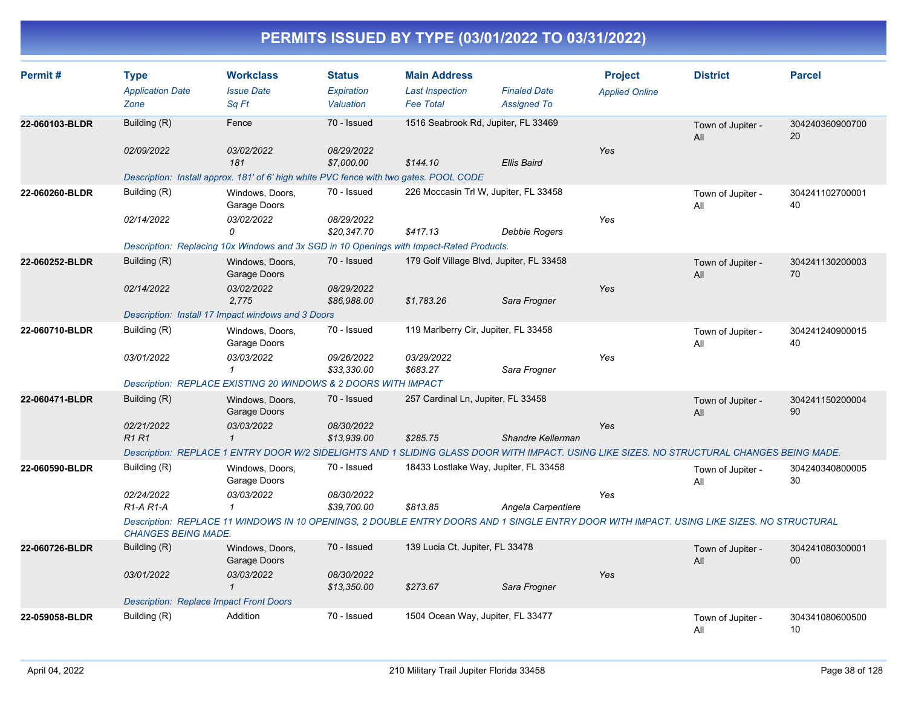| Permit#        | <b>Type</b>                                    | <b>Workclass</b>                                                                                                                           | <b>Status</b>             | <b>Main Address</b>                        |                                           | <b>Project</b>        | <b>District</b>          | <b>Parcel</b>             |
|----------------|------------------------------------------------|--------------------------------------------------------------------------------------------------------------------------------------------|---------------------------|--------------------------------------------|-------------------------------------------|-----------------------|--------------------------|---------------------------|
|                | <b>Application Date</b><br>Zone                | <b>Issue Date</b><br>Sq Ft                                                                                                                 | Expiration<br>Valuation   | <b>Last Inspection</b><br><b>Fee Total</b> | <b>Finaled Date</b><br><b>Assigned To</b> | <b>Applied Online</b> |                          |                           |
| 22-060103-BLDR | Building (R)                                   | Fence                                                                                                                                      | 70 - Issued               | 1516 Seabrook Rd, Jupiter, FL 33469        |                                           |                       | Town of Jupiter -<br>All | 304240360900700<br>20     |
|                | 02/09/2022                                     | 03/02/2022<br>181                                                                                                                          | 08/29/2022<br>\$7,000.00  | \$144.10                                   | Ellis Baird                               | Yes                   |                          |                           |
|                |                                                | Description: Install approx. 181' of 6' high white PVC fence with two gates. POOL CODE                                                     |                           |                                            |                                           |                       |                          |                           |
| 22-060260-BLDR | Building (R)                                   | Windows, Doors,<br>Garage Doors                                                                                                            | 70 - Issued               | 226 Moccasin Trl W, Jupiter, FL 33458      |                                           |                       | Town of Jupiter -<br>All | 304241102700001<br>40     |
|                | 02/14/2022                                     | 03/02/2022<br>0                                                                                                                            | 08/29/2022<br>\$20.347.70 | \$417.13                                   | Debbie Rogers                             | Yes                   |                          |                           |
|                |                                                | Description: Replacing 10x Windows and 3x SGD in 10 Openings with Impact-Rated Products.                                                   |                           |                                            |                                           |                       |                          |                           |
| 22-060252-BLDR | Building (R)                                   | Windows, Doors,<br>Garage Doors                                                                                                            | 70 - Issued               | 179 Golf Village Blvd, Jupiter, FL 33458   |                                           |                       | Town of Jupiter -<br>All | 304241130200003<br>70     |
|                | 02/14/2022                                     | 03/02/2022<br>2,775                                                                                                                        | 08/29/2022<br>\$86,988.00 | \$1,783.26                                 | Sara Frogner                              | Yes                   |                          |                           |
|                |                                                | Description: Install 17 Impact windows and 3 Doors                                                                                         |                           |                                            |                                           |                       |                          |                           |
| 22-060710-BLDR | Building (R)                                   | Windows, Doors,<br>Garage Doors                                                                                                            | 70 - Issued               | 119 Marlberry Cir, Jupiter, FL 33458       |                                           |                       | Town of Jupiter -<br>All | 304241240900015<br>40     |
|                | 03/01/2022                                     | 03/03/2022<br>$\mathcal I$                                                                                                                 | 09/26/2022<br>\$33,330.00 | 03/29/2022<br>\$683.27                     | Sara Frogner                              | Yes                   |                          |                           |
|                |                                                | Description: REPLACE EXISTING 20 WINDOWS & 2 DOORS WITH IMPACT                                                                             |                           |                                            |                                           |                       |                          |                           |
| 22-060471-BLDR | Building (R)                                   | Windows, Doors,<br>Garage Doors                                                                                                            | 70 - Issued               | 257 Cardinal Ln, Jupiter, FL 33458         |                                           |                       | Town of Jupiter -<br>All | 304241150200004<br>90     |
|                | 02/21/2022<br><b>R1R1</b>                      | 03/03/2022<br>$\mathbf{1}$                                                                                                                 | 08/30/2022<br>\$13,939.00 | \$285.75                                   | Shandre Kellerman                         | Yes                   |                          |                           |
|                |                                                | Description: REPLACE 1 ENTRY DOOR W/2 SIDELIGHTS AND 1 SLIDING GLASS DOOR WITH IMPACT. USING LIKE SIZES. NO STRUCTURAL CHANGES BEING MADE. |                           |                                            |                                           |                       |                          |                           |
| 22-060590-BLDR | Building (R)                                   | Windows, Doors,<br>Garage Doors                                                                                                            | 70 - Issued               | 18433 Lostlake Way, Jupiter, FL 33458      |                                           |                       | Town of Jupiter -<br>All | 304240340800005<br>30     |
|                | 02/24/2022<br>$R1-A R1-A$                      | 03/03/2022<br>$\mathcal I$                                                                                                                 | 08/30/2022<br>\$39,700.00 | \$813.85                                   | Angela Carpentiere                        | Yes                   |                          |                           |
|                | <b>CHANGES BEING MADE.</b>                     | Description: REPLACE 11 WINDOWS IN 10 OPENINGS, 2 DOUBLE ENTRY DOORS AND 1 SINGLE ENTRY DOOR WITH IMPACT. USING LIKE SIZES, NO STRUCTURAL  |                           |                                            |                                           |                       |                          |                           |
| 22-060726-BLDR | Building (R)                                   | Windows, Doors,<br>Garage Doors                                                                                                            | 70 - Issued               | 139 Lucia Ct, Jupiter, FL 33478            |                                           |                       | Town of Jupiter -<br>All | 304241080300001<br>$00\,$ |
|                | 03/01/2022                                     | 03/03/2022<br>$\mathbf{1}$                                                                                                                 | 08/30/2022<br>\$13,350.00 | \$273.67                                   | Sara Frogner                              | Yes                   |                          |                           |
|                | <b>Description: Replace Impact Front Doors</b> |                                                                                                                                            |                           |                                            |                                           |                       |                          |                           |
| 22-059058-BLDR | Building (R)                                   | Addition                                                                                                                                   | 70 - Issued               | 1504 Ocean Way, Jupiter, FL 33477          |                                           |                       | Town of Jupiter -<br>All | 304341080600500<br>10     |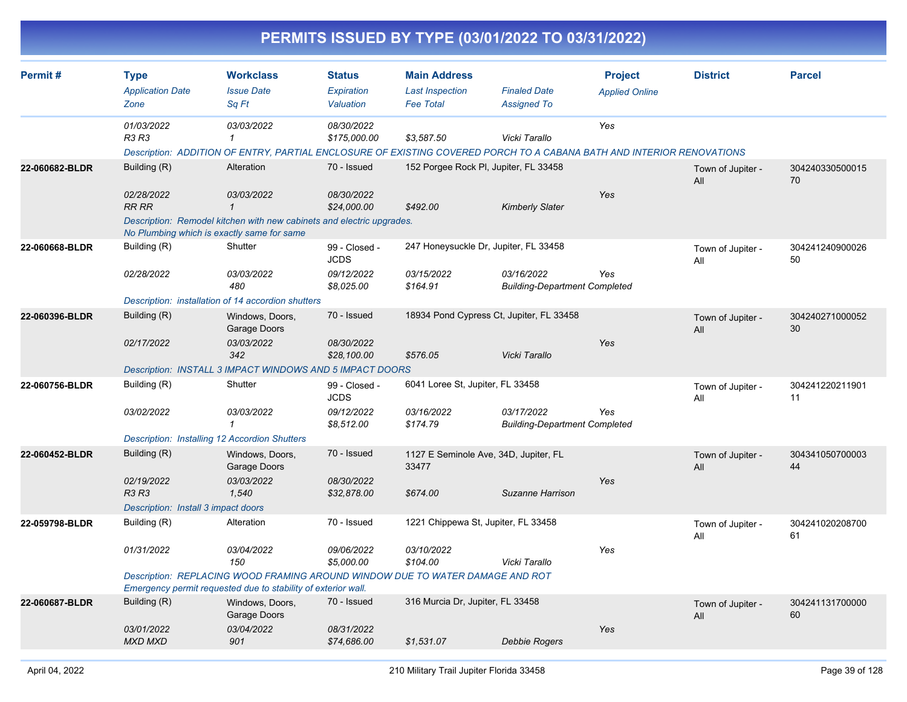|                |                                                                                   |                                                                                                                                                                                   |                                                          |                                                                   | PERMITS ISSUED BY TYPE (03/01/2022 TO 03/31/2022)                                                                                      |                                         |                          |                       |
|----------------|-----------------------------------------------------------------------------------|-----------------------------------------------------------------------------------------------------------------------------------------------------------------------------------|----------------------------------------------------------|-------------------------------------------------------------------|----------------------------------------------------------------------------------------------------------------------------------------|-----------------------------------------|--------------------------|-----------------------|
| Permit#        | <b>Type</b><br><b>Application Date</b><br>Zone                                    | <b>Workclass</b><br><b>Issue Date</b><br>Sq Ft                                                                                                                                    | <b>Status</b><br>Expiration<br>Valuation                 | <b>Main Address</b><br><b>Last Inspection</b><br><b>Fee Total</b> | <b>Finaled Date</b><br><b>Assigned To</b>                                                                                              | <b>Project</b><br><b>Applied Online</b> | <b>District</b>          | <b>Parcel</b>         |
|                | 01/03/2022<br>R3 R3                                                               | 03/03/2022<br>1                                                                                                                                                                   | 08/30/2022<br>\$175,000.00                               | \$3,587.50                                                        | Vicki Tarallo<br>Description: ADDITION OF ENTRY, PARTIAL ENCLOSURE OF EXISTING COVERED PORCH TO A CABANA BATH AND INTERIOR RENOVATIONS | Yes                                     |                          |                       |
| 22-060682-BLDR | Building (R)<br>02/28/2022<br><b>RR RR</b>                                        | Alteration<br>03/03/2022<br>$\mathbf{1}$<br>Description: Remodel kitchen with new cabinets and electric upgrades.                                                                 | 70 - Issued<br>08/30/2022<br>\$24,000.00                 | \$492.00                                                          | 152 Porgee Rock PI, Jupiter, FL 33458<br><b>Kimberly Slater</b>                                                                        | Yes                                     | Town of Jupiter -<br>All | 304240330500015<br>70 |
| 22-060668-BLDR | Building (R)<br>02/28/2022                                                        | No Plumbing which is exactly same for same<br>Shutter<br>03/03/2022<br>480<br>Description: installation of 14 accordion shutters                                                  | 99 - Closed -<br><b>JCDS</b><br>09/12/2022<br>\$8,025.00 | 03/15/2022<br>\$164.91                                            | 247 Honeysuckle Dr, Jupiter, FL 33458<br>03/16/2022<br><b>Building-Department Completed</b>                                            | Yes                                     | Town of Jupiter -<br>All | 304241240900026<br>50 |
| 22-060396-BLDR | Building (R)<br>02/17/2022                                                        | Windows, Doors,<br>Garage Doors<br>03/03/2022<br>342<br>Description: INSTALL 3 IMPACT WINDOWS AND 5 IMPACT DOORS                                                                  | 70 - Issued<br>08/30/2022<br>\$28,100.00                 | \$576.05                                                          | 18934 Pond Cypress Ct, Jupiter, FL 33458<br>Vicki Tarallo                                                                              | Yes                                     | Town of Jupiter -<br>All | 304240271000052<br>30 |
| 22-060756-BLDR | Building (R)<br>03/02/2022                                                        | Shutter<br>03/03/2022<br>1<br>Description: Installing 12 Accordion Shutters                                                                                                       | 99 - Closed -<br><b>JCDS</b><br>09/12/2022<br>\$8,512.00 | 6041 Loree St, Jupiter, FL 33458<br>03/16/2022<br>\$174.79        | 03/17/2022<br><b>Building-Department Completed</b>                                                                                     | Yes                                     | Town of Jupiter -<br>All | 304241220211901<br>11 |
| 22-060452-BLDR | Building (R)<br>02/19/2022<br><b>R3 R3</b><br>Description: Install 3 impact doors | Windows, Doors,<br>Garage Doors<br>03/03/2022<br>1,540                                                                                                                            | 70 - Issued<br>08/30/2022<br>\$32,878.00                 | 33477<br>\$674.00                                                 | 1127 E Seminole Ave, 34D, Jupiter, FL<br>Suzanne Harrison                                                                              | Yes                                     | Town of Jupiter -<br>All | 304341050700003<br>44 |
| 22-059798-BLDR | Building (R)<br>01/31/2022                                                        | Alteration<br>03/04/2022<br>150<br>Description: REPLACING WOOD FRAMING AROUND WINDOW DUE TO WATER DAMAGE AND ROT<br>Emergency permit requested due to stability of exterior wall. | 70 - Issued<br>09/06/2022<br>\$5,000.00                  | 1221 Chippewa St, Jupiter, FL 33458<br>03/10/2022<br>\$104.00     | Vicki Tarallo                                                                                                                          | Yes                                     | Town of Jupiter -<br>All | 304241020208700<br>61 |
| 22-060687-BLDR | Building (R)<br>03/01/2022<br><b>MXD MXD</b>                                      | Windows, Doors,<br>Garage Doors<br>03/04/2022<br>901                                                                                                                              | 70 - Issued<br>08/31/2022<br>\$74,686.00                 | 316 Murcia Dr, Jupiter, FL 33458<br>\$1,531.07                    | <b>Debbie Rogers</b>                                                                                                                   | Yes                                     | Town of Jupiter -<br>All | 304241131700000<br>60 |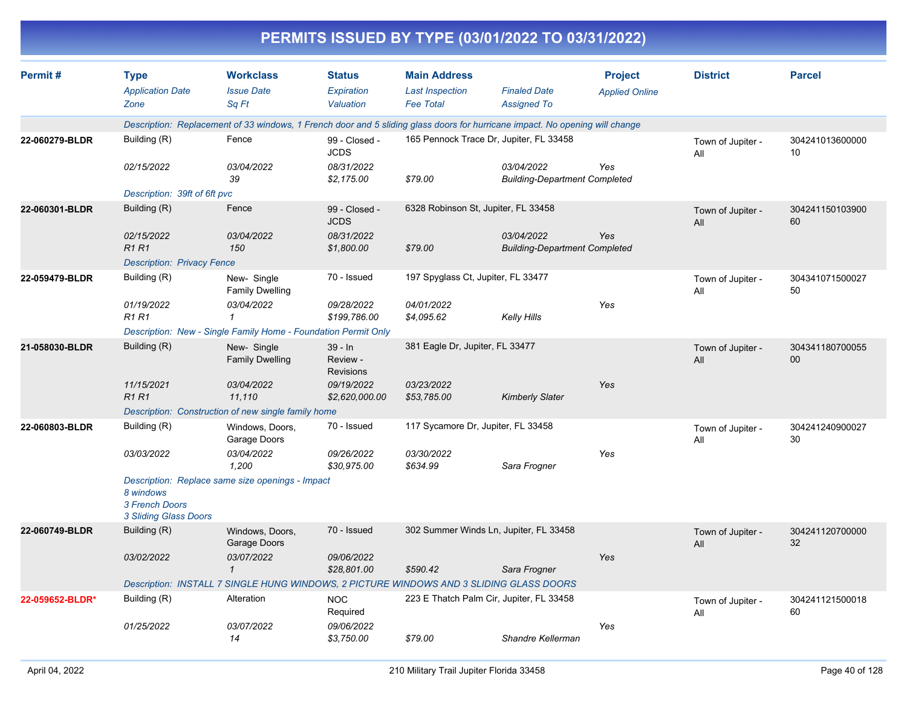|                 |                                                      |                                                                |                                          | PERMITS ISSUED BY TYPE (03/01/2022 TO 03/31/2022)                                                                            |                                                    |                                         |                          |                       |
|-----------------|------------------------------------------------------|----------------------------------------------------------------|------------------------------------------|------------------------------------------------------------------------------------------------------------------------------|----------------------------------------------------|-----------------------------------------|--------------------------|-----------------------|
| Permit#         | <b>Type</b><br><b>Application Date</b><br>Zone       | <b>Workclass</b><br><b>Issue Date</b><br>Sq Ft                 | <b>Status</b><br>Expiration<br>Valuation | <b>Main Address</b><br><b>Last Inspection</b><br><b>Fee Total</b>                                                            | <b>Finaled Date</b><br><b>Assigned To</b>          | <b>Project</b><br><b>Applied Online</b> | <b>District</b>          | <b>Parcel</b>         |
|                 |                                                      |                                                                |                                          | Description: Replacement of 33 windows, 1 French door and 5 sliding glass doors for hurricane impact. No opening will change |                                                    |                                         |                          |                       |
| 22-060279-BLDR  | Building (R)                                         | Fence                                                          | 99 - Closed -<br><b>JCDS</b>             | 165 Pennock Trace Dr, Jupiter, FL 33458                                                                                      |                                                    |                                         | Town of Jupiter -<br>All | 304241013600000<br>10 |
|                 | 02/15/2022                                           | 03/04/2022<br>39                                               | 08/31/2022<br>\$2,175.00                 | \$79.00                                                                                                                      | 03/04/2022<br><b>Building-Department Completed</b> | Yes                                     |                          |                       |
|                 | Description: 39ft of 6ft pvc                         |                                                                |                                          |                                                                                                                              |                                                    |                                         |                          |                       |
| 22-060301-BLDR  | Building (R)                                         | Fence                                                          | 99 - Closed -<br><b>JCDS</b>             | 6328 Robinson St, Jupiter, FL 33458                                                                                          |                                                    |                                         | Town of Jupiter -<br>All | 304241150103900<br>60 |
|                 | 02/15/2022<br><b>R1R1</b>                            | 03/04/2022<br>150                                              | 08/31/2022<br>\$1,800.00                 | \$79.00                                                                                                                      | 03/04/2022<br><b>Building-Department Completed</b> | Yes                                     |                          |                       |
|                 | <b>Description: Privacy Fence</b>                    |                                                                |                                          |                                                                                                                              |                                                    |                                         |                          |                       |
| 22-059479-BLDR  | Building (R)                                         | New-Single<br><b>Family Dwelling</b>                           | 70 - Issued                              | 197 Spyglass Ct, Jupiter, FL 33477                                                                                           |                                                    |                                         | Town of Jupiter -<br>All | 304341071500027<br>50 |
|                 | 01/19/2022<br><b>R1 R1</b>                           | 03/04/2022<br>1                                                | 09/28/2022<br>\$199,786.00               | 04/01/2022<br>\$4,095.62                                                                                                     | <b>Kelly Hills</b>                                 | Yes                                     |                          |                       |
|                 |                                                      | Description: New - Single Family Home - Foundation Permit Only |                                          |                                                                                                                              |                                                    |                                         |                          |                       |
| 21-058030-BLDR  | Building (R)                                         | New-Single<br><b>Family Dwelling</b>                           | 39 - In<br>Review -<br><b>Revisions</b>  | 381 Eagle Dr, Jupiter, FL 33477                                                                                              |                                                    |                                         | Town of Jupiter -<br>All | 304341180700055<br>00 |
|                 | 11/15/2021<br>R <sub>1</sub> R <sub>1</sub>          | 03/04/2022<br>11,110                                           | 09/19/2022<br>\$2,620,000.00             | 03/23/2022<br>\$53,785.00                                                                                                    | <b>Kimberly Slater</b>                             | Yes                                     |                          |                       |
|                 |                                                      | Description: Construction of new single family home            |                                          |                                                                                                                              |                                                    |                                         |                          |                       |
| 22-060803-BLDR  | Building (R)                                         | Windows, Doors,<br>Garage Doors                                | 70 - Issued                              | 117 Sycamore Dr, Jupiter, FL 33458                                                                                           |                                                    |                                         | Town of Jupiter -<br>All | 304241240900027<br>30 |
|                 | 03/03/2022                                           | 03/04/2022<br>1,200                                            | 09/26/2022<br>\$30,975.00                | 03/30/2022<br>\$634.99                                                                                                       | Sara Frogner                                       | Yes                                     |                          |                       |
|                 | 8 windows<br>3 French Doors<br>3 Sliding Glass Doors | Description: Replace same size openings - Impact               |                                          |                                                                                                                              |                                                    |                                         |                          |                       |
| 22-060749-BLDR  | Building (R)                                         | Windows, Doors,<br>Garage Doors                                | 70 - Issued                              | 302 Summer Winds Ln, Jupiter, FL 33458                                                                                       |                                                    |                                         | Town of Jupiter -<br>All | 304241120700000<br>32 |
|                 | 03/02/2022                                           | 03/07/2022                                                     | 09/06/2022<br>\$28,801.00                | \$590.42                                                                                                                     | Sara Frogner                                       | Yes                                     |                          |                       |
|                 |                                                      |                                                                |                                          | Description: INSTALL 7 SINGLE HUNG WINDOWS, 2 PICTURE WINDOWS AND 3 SLIDING GLASS DOORS                                      |                                                    |                                         |                          |                       |
| 22-059652-BLDR* | Building (R)                                         | Alteration                                                     | <b>NOC</b><br>Required                   | 223 E Thatch Palm Cir, Jupiter, FL 33458                                                                                     |                                                    |                                         | Town of Jupiter -<br>aii | 304241121500018<br>60 |
|                 | 01/25/2022                                           | 03/07/2022<br>14                                               | 09/06/2022<br>\$3,750.00                 | \$79.00                                                                                                                      | Shandre Kellerman                                  | Yes                                     |                          |                       |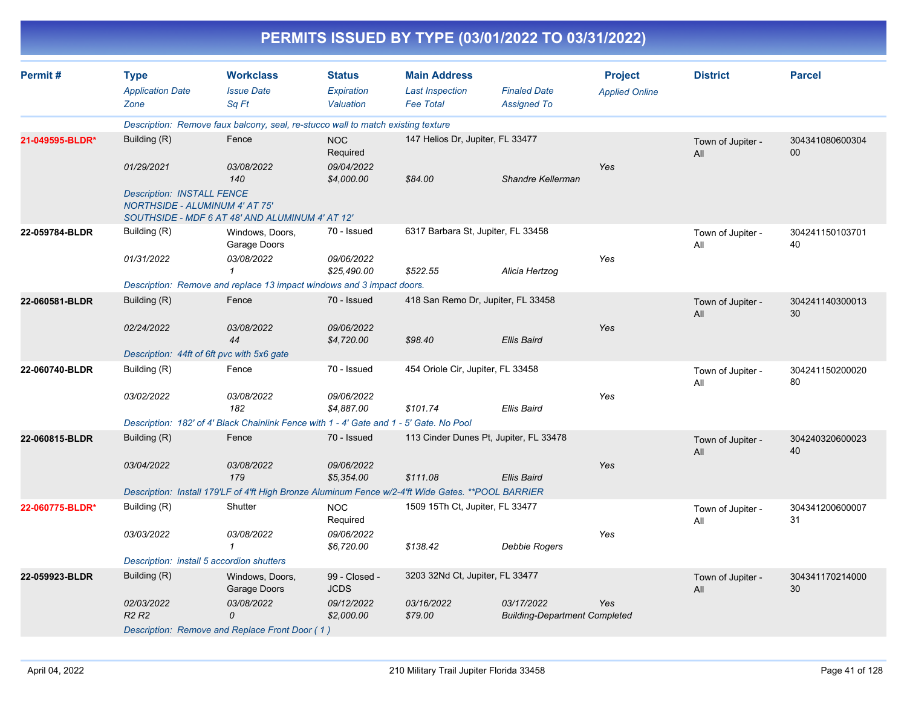| Permit#         | <b>Type</b>                                                                | <b>Workclass</b>                                                                                    | <b>Status</b>                | <b>Main Address</b>                |                                                    | <b>Project</b>        | <b>District</b>          | <b>Parcel</b>             |
|-----------------|----------------------------------------------------------------------------|-----------------------------------------------------------------------------------------------------|------------------------------|------------------------------------|----------------------------------------------------|-----------------------|--------------------------|---------------------------|
|                 | <b>Application Date</b>                                                    | <b>Issue Date</b>                                                                                   | <b>Expiration</b>            | <b>Last Inspection</b>             | <b>Finaled Date</b>                                | <b>Applied Online</b> |                          |                           |
|                 | Zone                                                                       | Sq Ft                                                                                               | Valuation                    | <b>Fee Total</b>                   | <b>Assigned To</b>                                 |                       |                          |                           |
|                 |                                                                            | Description: Remove faux balcony, seal, re-stucco wall to match existing texture                    |                              |                                    |                                                    |                       |                          |                           |
| 21-049595-BLDR* | Building (R)                                                               | Fence                                                                                               | <b>NOC</b><br>Required       | 147 Helios Dr, Jupiter, FL 33477   |                                                    |                       | Town of Jupiter -<br>All | 304341080600304<br>$00\,$ |
|                 | 01/29/2021                                                                 | 03/08/2022<br>140                                                                                   | 09/04/2022<br>\$4,000.00     | \$84.00                            | Shandre Kellerman                                  | Yes                   |                          |                           |
|                 | <b>Description: INSTALL FENCE</b><br><b>NORTHSIDE - ALUMINUM 4' AT 75'</b> | SOUTHSIDE - MDF 6 AT 48' AND ALUMINUM 4' AT 12'                                                     |                              |                                    |                                                    |                       |                          |                           |
| 22-059784-BLDR  | Building (R)                                                               | Windows, Doors,<br>Garage Doors                                                                     | 70 - Issued                  | 6317 Barbara St, Jupiter, FL 33458 |                                                    |                       | Town of Jupiter -<br>All | 304241150103701<br>40     |
|                 | 01/31/2022                                                                 | 03/08/2022<br>1                                                                                     | 09/06/2022<br>\$25,490.00    | \$522.55                           | Alicia Hertzog                                     | Yes                   |                          |                           |
|                 |                                                                            | Description: Remove and replace 13 impact windows and 3 impact doors.                               |                              |                                    |                                                    |                       |                          |                           |
| 22-060581-BLDR  | Building (R)                                                               | Fence                                                                                               | 70 - Issued                  | 418 San Remo Dr, Jupiter, FL 33458 |                                                    |                       | Town of Jupiter -<br>All | 304241140300013<br>30     |
|                 | 02/24/2022                                                                 | 03/08/2022<br>44                                                                                    | 09/06/2022<br>\$4,720.00     | \$98.40                            | <b>Ellis Baird</b>                                 | Yes                   |                          |                           |
|                 | Description: 44ft of 6ft pvc with 5x6 gate                                 |                                                                                                     |                              |                                    |                                                    |                       |                          |                           |
| 22-060740-BLDR  | Building (R)                                                               | Fence                                                                                               | 70 - Issued                  | 454 Oriole Cir, Jupiter, FL 33458  |                                                    |                       | Town of Jupiter -<br>All | 304241150200020<br>80     |
|                 | 03/02/2022                                                                 | 03/08/2022<br>182                                                                                   | 09/06/2022<br>\$4,887.00     | \$101.74                           | <b>Ellis Baird</b>                                 | Yes                   |                          |                           |
|                 |                                                                            | Description: 182' of 4' Black Chainlink Fence with 1 - 4' Gate and 1 - 5' Gate. No Pool             |                              |                                    |                                                    |                       |                          |                           |
| 22-060815-BLDR  | Building (R)                                                               | Fence                                                                                               | 70 - Issued                  |                                    | 113 Cinder Dunes Pt, Jupiter, FL 33478             |                       | Town of Jupiter -<br>All | 304240320600023<br>40     |
|                 | 03/04/2022                                                                 | 03/08/2022<br>179                                                                                   | 09/06/2022<br>\$5,354.00     | \$111.08                           | <b>Ellis Baird</b>                                 | Yes                   |                          |                           |
|                 |                                                                            | Description: Install 179'LF of 4'ft High Bronze Aluminum Fence w/2-4'ft Wide Gates. ** POOL BARRIER |                              |                                    |                                                    |                       |                          |                           |
| 22-060775-BLDR* | Building (R)                                                               | Shutter                                                                                             | <b>NOC</b><br>Required       | 1509 15Th Ct, Jupiter, FL 33477    |                                                    |                       | Town of Jupiter -<br>All | 304341200600007<br>31     |
|                 | 03/03/2022                                                                 | 03/08/2022<br>$\mathbf{1}$                                                                          | 09/06/2022<br>\$6,720.00     | \$138.42                           | Debbie Rogers                                      | Yes                   |                          |                           |
|                 | Description: install 5 accordion shutters                                  |                                                                                                     |                              |                                    |                                                    |                       |                          |                           |
| 22-059923-BLDR  | Building (R)                                                               | Windows, Doors,<br>Garage Doors                                                                     | 99 - Closed -<br><b>JCDS</b> | 3203 32Nd Ct, Jupiter, FL 33477    |                                                    |                       | Town of Jupiter -<br>All | 304341170214000<br>30     |
|                 | 02/03/2022<br><b>R2 R2</b>                                                 | 03/08/2022<br>$\Omega$                                                                              | 09/12/2022<br>\$2,000.00     | 03/16/2022<br>\$79.00              | 03/17/2022<br><b>Building-Department Completed</b> | Yes                   |                          |                           |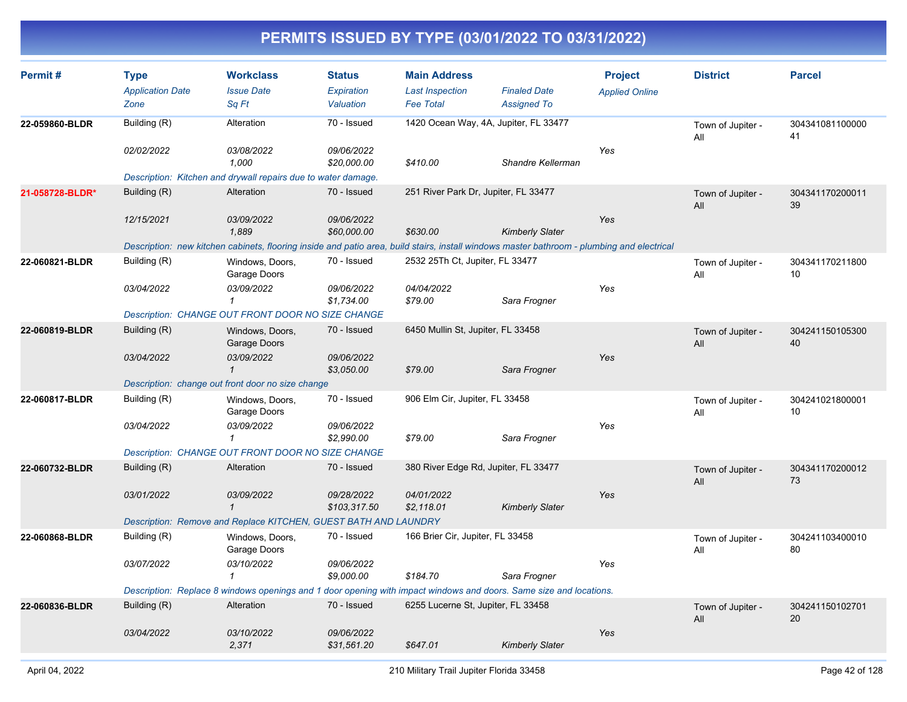| Permit#         | <b>Type</b>             | <b>Workclass</b>                                                                                                                           | <b>Status</b>              | <b>Main Address</b>                  |                                       | <b>Project</b>        | <b>District</b>          | <b>Parcel</b>         |
|-----------------|-------------------------|--------------------------------------------------------------------------------------------------------------------------------------------|----------------------------|--------------------------------------|---------------------------------------|-----------------------|--------------------------|-----------------------|
|                 | <b>Application Date</b> | <b>Issue Date</b>                                                                                                                          | Expiration                 | <b>Last Inspection</b>               | <b>Finaled Date</b>                   | <b>Applied Online</b> |                          |                       |
|                 | Zone                    | Sq Ft                                                                                                                                      | Valuation                  | <b>Fee Total</b>                     | <b>Assigned To</b>                    |                       |                          |                       |
| 22-059860-BLDR  | Building (R)            | Alteration                                                                                                                                 | 70 - Issued                |                                      | 1420 Ocean Way, 4A, Jupiter, FL 33477 |                       | Town of Jupiter -<br>All | 304341081100000<br>41 |
|                 | 02/02/2022              | 03/08/2022<br>1,000                                                                                                                        | 09/06/2022<br>\$20,000.00  | \$410.00                             | Shandre Kellerman                     | Yes                   |                          |                       |
|                 |                         | Description: Kitchen and drywall repairs due to water damage.                                                                              |                            |                                      |                                       |                       |                          |                       |
| 21-058728-BLDR* | Building (R)            | Alteration                                                                                                                                 | 70 - Issued                | 251 River Park Dr, Jupiter, FL 33477 |                                       |                       | Town of Jupiter -<br>All | 304341170200011<br>39 |
|                 | 12/15/2021              | 03/09/2022<br>1,889                                                                                                                        | 09/06/2022<br>\$60,000.00  | \$630.00                             | <b>Kimberly Slater</b>                | Yes                   |                          |                       |
|                 |                         | Description: new kitchen cabinets, flooring inside and patio area, build stairs, install windows master bathroom - plumbing and electrical |                            |                                      |                                       |                       |                          |                       |
| 22-060821-BLDR  | Building (R)            | Windows, Doors,<br>Garage Doors                                                                                                            | 70 - Issued                | 2532 25Th Ct, Jupiter, FL 33477      |                                       |                       | Town of Jupiter -<br>All | 304341170211800<br>10 |
|                 | 03/04/2022              | 03/09/2022<br>$\mathbf{1}$                                                                                                                 | 09/06/2022<br>\$1,734.00   | 04/04/2022<br>\$79.00                | Sara Frogner                          | Yes                   |                          |                       |
|                 |                         | Description: CHANGE OUT FRONT DOOR NO SIZE CHANGE                                                                                          |                            |                                      |                                       |                       |                          |                       |
| 22-060819-BLDR  | Building (R)            | Windows, Doors,<br>Garage Doors                                                                                                            | 70 - Issued                | 6450 Mullin St, Jupiter, FL 33458    |                                       |                       | Town of Jupiter -<br>All | 304241150105300<br>40 |
|                 | 03/04/2022              | 03/09/2022<br>$\mathcal I$                                                                                                                 | 09/06/2022<br>\$3,050.00   | \$79.00                              | Sara Frogner                          | Yes                   |                          |                       |
|                 |                         | Description: change out front door no size change                                                                                          |                            |                                      |                                       |                       |                          |                       |
| 22-060817-BLDR  | Building (R)            | Windows, Doors,<br>Garage Doors                                                                                                            | 70 - Issued                | 906 Elm Cir, Jupiter, FL 33458       |                                       |                       | Town of Jupiter -<br>All | 304241021800001<br>10 |
|                 | 03/04/2022              | 03/09/2022<br>$\mathbf{1}$                                                                                                                 | 09/06/2022<br>\$2,990.00   | \$79.00                              | Sara Frogner                          | Yes                   |                          |                       |
|                 |                         | Description: CHANGE OUT FRONT DOOR NO SIZE CHANGE                                                                                          |                            |                                      |                                       |                       |                          |                       |
| 22-060732-BLDR  | Building (R)            | Alteration                                                                                                                                 | 70 - Issued                | 380 River Edge Rd, Jupiter, FL 33477 |                                       |                       | Town of Jupiter -<br>All | 304341170200012<br>73 |
|                 | 03/01/2022              | 03/09/2022<br>$\overline{1}$                                                                                                               | 09/28/2022<br>\$103,317.50 | 04/01/2022<br>\$2,118.01             | <b>Kimberly Slater</b>                | Yes                   |                          |                       |
|                 |                         | Description: Remove and Replace KITCHEN, GUEST BATH AND LAUNDRY                                                                            |                            |                                      |                                       |                       |                          |                       |
| 22-060868-BLDR  | Building (R)            | Windows, Doors,<br>Garage Doors                                                                                                            | 70 - Issued                | 166 Brier Cir, Jupiter, FL 33458     |                                       |                       | Town of Jupiter -<br>All | 304241103400010<br>80 |
|                 | 03/07/2022              | 03/10/2022<br>$\mathbf{1}$                                                                                                                 | 09/06/2022<br>\$9,000.00   | \$184.70                             | Sara Frogner                          | Yes                   |                          |                       |
|                 |                         | Description: Replace 8 windows openings and 1 door opening with impact windows and doors. Same size and locations.                         |                            |                                      |                                       |                       |                          |                       |
| 22-060836-BLDR  | Building (R)            | Alteration                                                                                                                                 | 70 - Issued                | 6255 Lucerne St, Jupiter, FL 33458   |                                       |                       | Town of Jupiter -<br>All | 304241150102701<br>20 |
|                 | 03/04/2022              | 03/10/2022<br>2,371                                                                                                                        | 09/06/2022<br>\$31,561.20  | \$647.01                             | <b>Kimberly Slater</b>                | Yes                   |                          |                       |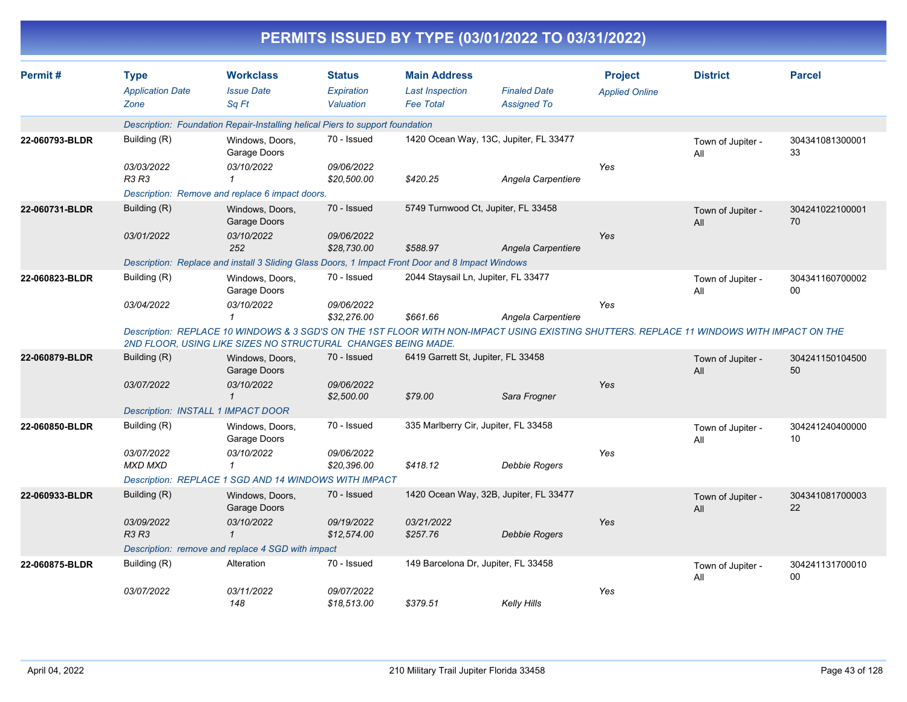| Permit#        | <b>Type</b>                  | <b>Workclass</b>                                                                                 | <b>Status</b>             | <b>Main Address</b>                  |                                                                                                                                           | <b>Project</b>        | <b>District</b>          | <b>Parcel</b>         |
|----------------|------------------------------|--------------------------------------------------------------------------------------------------|---------------------------|--------------------------------------|-------------------------------------------------------------------------------------------------------------------------------------------|-----------------------|--------------------------|-----------------------|
|                | <b>Application Date</b>      | <b>Issue Date</b>                                                                                | Expiration                | <b>Last Inspection</b>               | <b>Finaled Date</b>                                                                                                                       |                       |                          |                       |
|                | Zone                         | Sa Ft                                                                                            | Valuation                 | <b>Fee Total</b>                     | <b>Assigned To</b>                                                                                                                        | <b>Applied Online</b> |                          |                       |
|                |                              |                                                                                                  |                           |                                      |                                                                                                                                           |                       |                          |                       |
|                |                              | Description: Foundation Repair-Installing helical Piers to support foundation                    |                           |                                      |                                                                                                                                           |                       |                          |                       |
| 22-060793-BLDR | Building (R)                 | Windows, Doors,<br>Garage Doors                                                                  | 70 - Issued               |                                      | 1420 Ocean Way, 13C, Jupiter, FL 33477                                                                                                    |                       | Town of Jupiter -<br>All | 304341081300001<br>33 |
|                | 03/03/2022                   | 03/10/2022                                                                                       | 09/06/2022                |                                      |                                                                                                                                           | Yes                   |                          |                       |
|                | R3 R3                        | $\mathbf{1}$                                                                                     | \$20,500.00               | \$420.25                             | Angela Carpentiere                                                                                                                        |                       |                          |                       |
|                |                              | Description: Remove and replace 6 impact doors.                                                  |                           |                                      |                                                                                                                                           |                       |                          |                       |
| 22-060731-BLDR | Building (R)                 | Windows, Doors,<br>Garage Doors                                                                  | 70 - Issued               |                                      | 5749 Turnwood Ct, Jupiter, FL 33458                                                                                                       |                       | Town of Jupiter -<br>All | 304241022100001<br>70 |
|                | 03/01/2022                   | 03/10/2022                                                                                       | 09/06/2022                |                                      |                                                                                                                                           | Yes                   |                          |                       |
|                |                              | 252                                                                                              | \$28,730.00               | \$588.97                             | Angela Carpentiere                                                                                                                        |                       |                          |                       |
|                |                              | Description: Replace and install 3 Sliding Glass Doors, 1 Impact Front Door and 8 Impact Windows |                           |                                      |                                                                                                                                           |                       |                          |                       |
| 22-060823-BLDR | Building (R)                 | Windows, Doors,<br>Garage Doors                                                                  | 70 - Issued               | 2044 Staysail Ln, Jupiter, FL 33477  |                                                                                                                                           |                       | Town of Jupiter -<br>All | 304341160700002<br>00 |
|                | 03/04/2022                   | 03/10/2022<br>$\mathbf{1}$                                                                       | 09/06/2022<br>\$32,276.00 | \$661.66                             | Angela Carpentiere                                                                                                                        | Yes                   |                          |                       |
|                |                              | 2ND FLOOR, USING LIKE SIZES NO STRUCTURAL CHANGES BEING MADE.                                    |                           |                                      | Description: REPLACE 10 WINDOWS & 3 SGD'S ON THE 1ST FLOOR WITH NON-IMPACT USING EXISTING SHUTTERS. REPLACE 11 WINDOWS WITH IMPACT ON THE |                       |                          |                       |
| 22-060879-BLDR | Building (R)                 | Windows, Doors,<br>Garage Doors                                                                  | 70 - Issued               | 6419 Garrett St, Jupiter, FL 33458   |                                                                                                                                           |                       | Town of Jupiter -<br>All | 304241150104500<br>50 |
|                | 03/07/2022                   | 03/10/2022                                                                                       | 09/06/2022                |                                      |                                                                                                                                           | Yes                   |                          |                       |
|                |                              | $\mathbf{1}$                                                                                     | \$2,500.00                | \$79.00                              | Sara Frogner                                                                                                                              |                       |                          |                       |
|                |                              | <b>Description: INSTALL 1 IMPACT DOOR</b>                                                        |                           |                                      |                                                                                                                                           |                       |                          |                       |
| 22-060850-BLDR | Building (R)                 | Windows, Doors,<br>Garage Doors                                                                  | 70 - Issued               | 335 Marlberry Cir, Jupiter, FL 33458 |                                                                                                                                           |                       | Town of Jupiter -<br>All | 304241240400000<br>10 |
|                | 03/07/2022<br><b>MXD MXD</b> | 03/10/2022<br>1                                                                                  | 09/06/2022<br>\$20,396.00 | \$418.12                             | Debbie Rogers                                                                                                                             | Yes                   |                          |                       |
|                |                              | Description: REPLACE 1 SGD AND 14 WINDOWS WITH IMPACT                                            |                           |                                      |                                                                                                                                           |                       |                          |                       |
| 22-060933-BLDR | Building (R)                 | Windows, Doors,<br>Garage Doors                                                                  | 70 - Issued               |                                      | 1420 Ocean Way, 32B, Jupiter, FL 33477                                                                                                    |                       | Town of Jupiter -<br>All | 304341081700003<br>22 |
|                | 03/09/2022<br><b>R3 R3</b>   | 03/10/2022<br>$\mathbf{\overline{1}}$                                                            | 09/19/2022<br>\$12,574.00 | 03/21/2022<br>\$257.76               | <b>Debbie Rogers</b>                                                                                                                      | Yes                   |                          |                       |
|                |                              | Description: remove and replace 4 SGD with impact                                                |                           |                                      |                                                                                                                                           |                       |                          |                       |
| 22-060875-BLDR | Building (R)                 | Alteration                                                                                       | 70 - Issued               | 149 Barcelona Dr, Jupiter, FL 33458  |                                                                                                                                           |                       | Town of Jupiter -<br>All | 304241131700010<br>00 |
|                | 03/07/2022                   | 03/11/2022<br>148                                                                                | 09/07/2022<br>\$18,513.00 | \$379.51                             | Kelly Hills                                                                                                                               | Yes                   |                          |                       |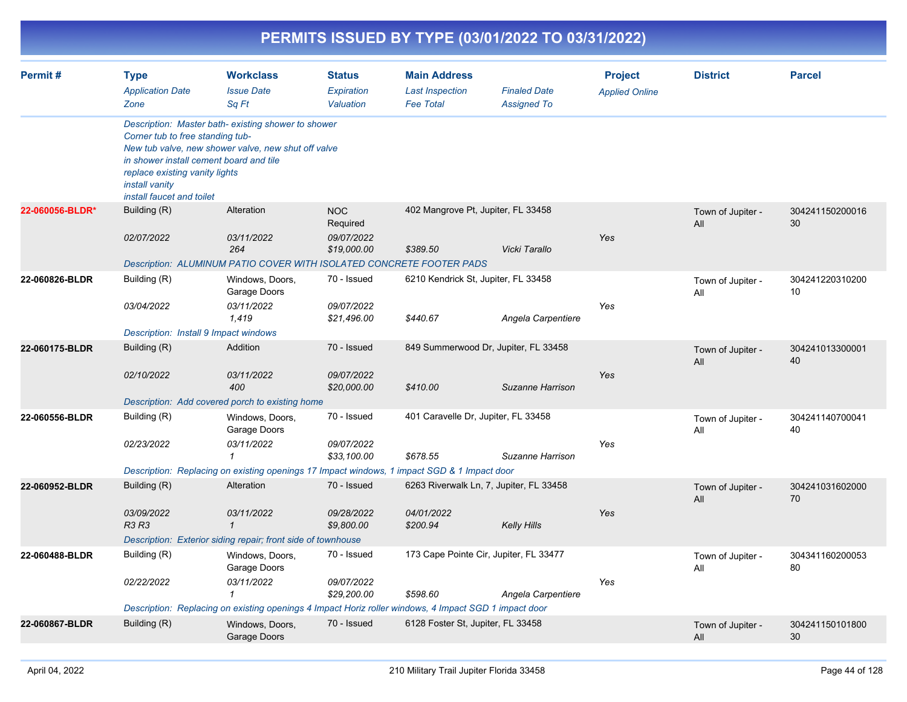|                 |                                                                                                                                                              |                                                                                                                                                                       |                                                     |                                                                   | PERMITS ISSUED BY TYPE (03/01/2022 TO 03/31/2022)             |                                         |                          |                       |
|-----------------|--------------------------------------------------------------------------------------------------------------------------------------------------------------|-----------------------------------------------------------------------------------------------------------------------------------------------------------------------|-----------------------------------------------------|-------------------------------------------------------------------|---------------------------------------------------------------|-----------------------------------------|--------------------------|-----------------------|
| Permit#         | <b>Type</b><br><b>Application Date</b><br>Zone                                                                                                               | <b>Workclass</b><br><b>Issue Date</b><br>Sq Ft                                                                                                                        | <b>Status</b><br>Expiration<br>Valuation            | <b>Main Address</b><br><b>Last Inspection</b><br><b>Fee Total</b> | <b>Finaled Date</b><br><b>Assigned To</b>                     | <b>Project</b><br><b>Applied Online</b> | <b>District</b>          | <b>Parcel</b>         |
|                 | Corner tub to free standing tub-<br>in shower install cement board and tile<br>replace existing vanity lights<br>install vanity<br>install faucet and toilet | Description: Master bath-existing shower to shower<br>New tub valve, new shower valve, new shut off valve                                                             |                                                     |                                                                   |                                                               |                                         |                          |                       |
| 22-060056-BLDR* | Building (R)<br>02/07/2022                                                                                                                                   | Alteration<br>03/11/2022<br>264<br>Description: ALUMINUM PATIO COVER WITH ISOLATED CONCRETE FOOTER PADS                                                               | <b>NOC</b><br>Required<br>09/07/2022<br>\$19,000.00 | 402 Mangrove Pt, Jupiter, FL 33458<br>\$389.50                    | Vicki Tarallo                                                 | Yes                                     | Town of Jupiter -<br>All | 304241150200016<br>30 |
| 22-060826-BLDR  | Building (R)<br>03/04/2022<br>Description: Install 9 Impact windows                                                                                          | Windows, Doors,<br>Garage Doors<br>03/11/2022<br>1,419                                                                                                                | 70 - Issued<br>09/07/2022<br>\$21,496.00            | 6210 Kendrick St, Jupiter, FL 33458<br>\$440.67                   | Angela Carpentiere                                            | Yes                                     | Town of Jupiter -<br>All | 304241220310200<br>10 |
| 22-060175-BLDR  | Building (R)<br>02/10/2022                                                                                                                                   | Addition<br>03/11/2022<br>400<br>Description: Add covered porch to existing home                                                                                      | 70 - Issued<br>09/07/2022<br>\$20,000.00            | \$410.00                                                          | 849 Summerwood Dr, Jupiter, FL 33458<br>Suzanne Harrison      | Yes                                     | Town of Jupiter -<br>All | 304241013300001<br>40 |
| 22-060556-BLDR  | Building (R)<br>02/23/2022                                                                                                                                   | Windows, Doors,<br>Garage Doors<br>03/11/2022<br>$\mathbf{1}$<br>Description: Replacing on existing openings 17 Impact windows, 1 impact SGD & 1 Impact door          | 70 - Issued<br>09/07/2022<br>\$33,100.00            | 401 Caravelle Dr, Jupiter, FL 33458<br>\$678.55                   | Suzanne Harrison                                              | Yes                                     | Town of Jupiter -<br>All | 304241140700041<br>40 |
| 22-060952-BLDR  | Building (R)<br>03/09/2022<br>R3 R3                                                                                                                          | Alteration<br>03/11/2022<br>$\mathbf{1}$<br>Description: Exterior siding repair; front side of townhouse                                                              | 70 - Issued<br>09/28/2022<br>\$9,800.00             | 04/01/2022<br>\$200.94                                            | 6263 Riverwalk Ln, 7, Jupiter, FL 33458<br><b>Kelly Hills</b> | Yes                                     | Town of Jupiter -<br>All | 304241031602000<br>70 |
| 22-060488-BLDR  | Building (R)<br>02/22/2022                                                                                                                                   | Windows, Doors,<br>Garage Doors<br>03/11/2022<br>$\mathbf 1$<br>Description: Replacing on existing openings 4 Impact Horiz roller windows, 4 Impact SGD 1 impact door | 70 - Issued<br>09/07/2022<br>\$29,200.00            | \$598.60                                                          | 173 Cape Pointe Cir, Jupiter, FL 33477<br>Angela Carpentiere  | Yes                                     | Town of Jupiter -<br>All | 304341160200053<br>80 |
| 22-060867-BLDR  | Building (R)                                                                                                                                                 | Windows, Doors,<br>Garage Doors                                                                                                                                       | 70 - Issued                                         | 6128 Foster St, Jupiter, FL 33458                                 |                                                               |                                         | Town of Jupiter -<br>All | 304241150101800<br>30 |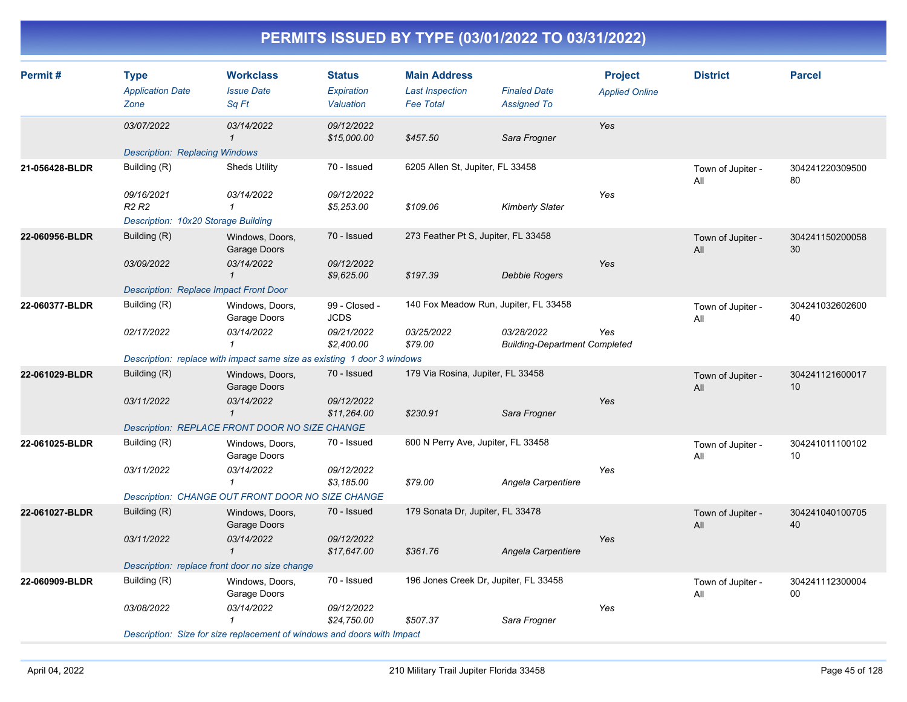| Permit#        | <b>Type</b><br><b>Application Date</b><br>Zone | <b>Workclass</b><br><b>Issue Date</b><br>Sq Ft                          | <b>Status</b><br>Expiration<br>Valuation | <b>Main Address</b><br><b>Last Inspection</b><br><b>Fee Total</b> | <b>Finaled Date</b><br><b>Assigned To</b>          | <b>Project</b><br><b>Applied Online</b> | <b>District</b>          | <b>Parcel</b>         |
|----------------|------------------------------------------------|-------------------------------------------------------------------------|------------------------------------------|-------------------------------------------------------------------|----------------------------------------------------|-----------------------------------------|--------------------------|-----------------------|
|                | 03/07/2022                                     | 03/14/2022<br>$\mathbf{1}$                                              | 09/12/2022<br>\$15,000.00                | \$457.50                                                          | Sara Frogner                                       | Yes                                     |                          |                       |
|                | <b>Description: Replacing Windows</b>          |                                                                         |                                          |                                                                   |                                                    |                                         |                          |                       |
| 21-056428-BLDR | Building (R)                                   | <b>Sheds Utility</b>                                                    | 70 - Issued                              | 6205 Allen St, Jupiter, FL 33458                                  |                                                    |                                         | Town of Jupiter -<br>All | 304241220309500<br>80 |
|                | 09/16/2021<br>R <sub>2</sub> R <sub>2</sub>    | 03/14/2022<br>$\mathbf{1}$                                              | 09/12/2022<br>\$5,253.00                 | \$109.06                                                          | <b>Kimberly Slater</b>                             | Yes                                     |                          |                       |
|                | Description: 10x20 Storage Building            |                                                                         |                                          |                                                                   |                                                    |                                         |                          |                       |
| 22-060956-BLDR | Building (R)                                   | Windows, Doors,<br>Garage Doors                                         | 70 - Issued                              | 273 Feather Pt S, Jupiter, FL 33458                               |                                                    |                                         | Town of Jupiter -<br>All | 304241150200058<br>30 |
|                | 03/09/2022                                     | 03/14/2022<br>$\mathbf{1}$                                              | 09/12/2022<br>\$9,625.00                 | \$197.39                                                          | <b>Debbie Rogers</b>                               | Yes                                     |                          |                       |
|                | Description: Replace Impact Front Door         |                                                                         |                                          |                                                                   |                                                    |                                         |                          |                       |
| 22-060377-BLDR | Building (R)                                   | Windows, Doors,<br>Garage Doors                                         | 99 - Closed -<br><b>JCDS</b>             | 140 Fox Meadow Run, Jupiter, FL 33458                             |                                                    |                                         | Town of Jupiter -<br>All | 304241032602600<br>40 |
|                | 02/17/2022                                     | 03/14/2022<br>$\mathbf{1}$                                              | 09/21/2022<br>\$2,400.00                 | 03/25/2022<br>\$79.00                                             | 03/28/2022<br><b>Building-Department Completed</b> | Yes                                     |                          |                       |
|                |                                                | Description: replace with impact same size as existing 1 door 3 windows |                                          |                                                                   |                                                    |                                         |                          |                       |
| 22-061029-BLDR | Building (R)                                   | Windows, Doors,<br>Garage Doors                                         | 70 - Issued                              | 179 Via Rosina, Jupiter, FL 33458                                 |                                                    |                                         | Town of Jupiter -<br>All | 304241121600017<br>10 |
|                | 03/11/2022                                     | 03/14/2022<br>$\mathbf{1}$                                              | 09/12/2022<br>\$11,264.00                | \$230.91                                                          | Sara Frogner                                       | Yes                                     |                          |                       |
|                |                                                | Description: REPLACE FRONT DOOR NO SIZE CHANGE                          |                                          |                                                                   |                                                    |                                         |                          |                       |
| 22-061025-BLDR | Building (R)                                   | Windows, Doors,<br>Garage Doors                                         | 70 - Issued                              | 600 N Perry Ave, Jupiter, FL 33458                                |                                                    |                                         | Town of Jupiter -<br>All | 304241011100102<br>10 |
|                | 03/11/2022                                     | 03/14/2022<br>$\mathbf{1}$                                              | 09/12/2022<br>\$3,185.00                 | \$79.00                                                           | Angela Carpentiere                                 | Yes                                     |                          |                       |
|                |                                                | Description: CHANGE OUT FRONT DOOR NO SIZE CHANGE                       |                                          |                                                                   |                                                    |                                         |                          |                       |
| 22-061027-BLDR | Building (R)                                   | Windows, Doors,<br>Garage Doors                                         | 70 - Issued                              | 179 Sonata Dr, Jupiter, FL 33478                                  |                                                    |                                         | Town of Jupiter -<br>All | 304241040100705<br>40 |
|                | 03/11/2022                                     | 03/14/2022<br>$\mathbf{1}$                                              | 09/12/2022<br>\$17,647.00                | \$361.76                                                          | Angela Carpentiere                                 | Yes                                     |                          |                       |
|                | Description: replace front door no size change |                                                                         |                                          |                                                                   |                                                    |                                         |                          |                       |
| 22-060909-BLDR | Building (R)                                   | Windows, Doors,<br>Garage Doors                                         | 70 - Issued                              | 196 Jones Creek Dr, Jupiter, FL 33458                             |                                                    |                                         | Town of Jupiter -<br>All | 304241112300004<br>00 |
|                | 03/08/2022                                     | 03/14/2022<br>1                                                         | 09/12/2022<br>\$24,750.00                | \$507.37                                                          | Sara Frogner                                       | Yes                                     |                          |                       |
|                |                                                | Description: Size for size replacement of windows and doors with Impact |                                          |                                                                   |                                                    |                                         |                          |                       |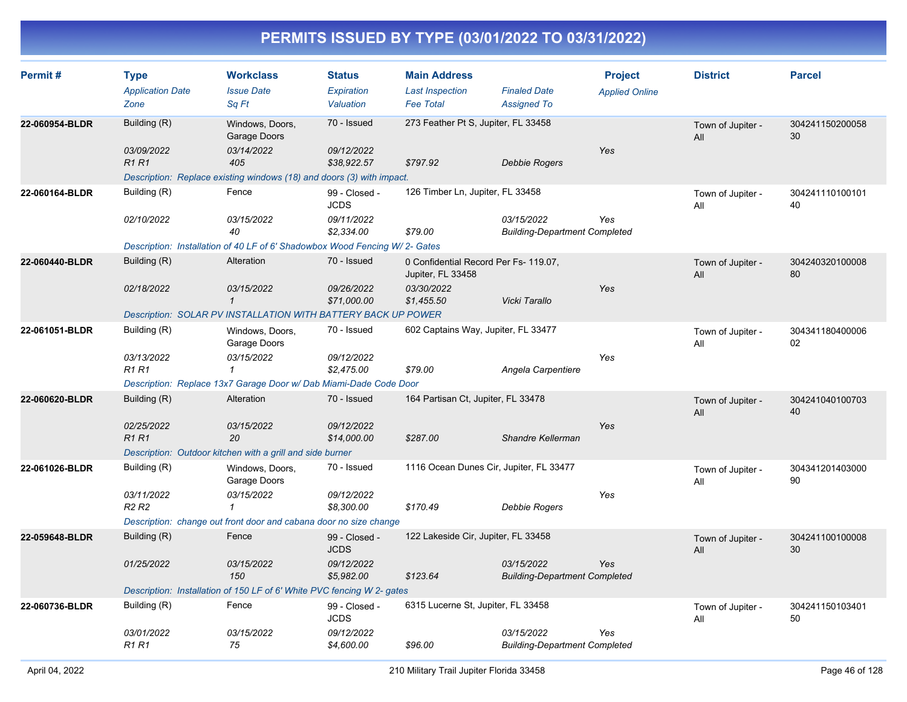| Permit#                                                           | <b>Type</b><br><b>Application Date</b>      | <b>Workclass</b><br><b>Issue Date</b>                                      | <b>Status</b><br>Expiration         | <b>Main Address</b><br><b>Last Inspection</b>              | <b>Finaled Date</b>                                | <b>Project</b><br><b>Applied Online</b> | <b>District</b>          | <b>Parcel</b>         |
|-------------------------------------------------------------------|---------------------------------------------|----------------------------------------------------------------------------|-------------------------------------|------------------------------------------------------------|----------------------------------------------------|-----------------------------------------|--------------------------|-----------------------|
|                                                                   | Zone                                        | Sq Ft                                                                      | Valuation                           | <b>Fee Total</b>                                           | <b>Assigned To</b>                                 |                                         |                          |                       |
| Building (R)<br>22-060954-BLDR<br>Windows, Doors,<br>Garage Doors |                                             | 70 - Issued                                                                | 273 Feather Pt S, Jupiter, FL 33458 |                                                            |                                                    | Town of Jupiter -<br>All                | 304241150200058<br>30    |                       |
|                                                                   | 03/09/2022<br><b>R1 R1</b>                  | 03/14/2022<br>405                                                          | 09/12/2022<br>\$38,922.57           | \$797.92                                                   | <b>Debbie Rogers</b>                               | Yes                                     |                          |                       |
|                                                                   |                                             | Description: Replace existing windows (18) and doors (3) with impact.      |                                     |                                                            |                                                    |                                         |                          |                       |
| 22-060164-BLDR                                                    | Building (R)                                | Fence                                                                      | 99 - Closed -<br><b>JCDS</b>        | 126 Timber Ln, Jupiter, FL 33458                           |                                                    |                                         | Town of Jupiter -<br>All | 304241110100101<br>40 |
|                                                                   | 02/10/2022                                  | 03/15/2022<br>40                                                           | 09/11/2022<br>\$2,334.00            | \$79.00                                                    | 03/15/2022<br><b>Building-Department Completed</b> | Yes                                     |                          |                       |
|                                                                   |                                             | Description: Installation of 40 LF of 6' Shadowbox Wood Fencing W/2- Gates |                                     |                                                            |                                                    |                                         |                          |                       |
| 22-060440-BLDR                                                    | Building (R)                                | Alteration                                                                 | 70 - Issued                         | 0 Confidential Record Per Fs- 119.07,<br>Jupiter, FL 33458 |                                                    |                                         | Town of Jupiter -<br>All | 304240320100008<br>80 |
|                                                                   | 02/18/2022                                  | 03/15/2022<br>$\mathcal I$                                                 | 09/26/2022<br>\$71,000.00           | 03/30/2022<br>\$1,455.50                                   | Vicki Tarallo                                      | Yes                                     |                          |                       |
|                                                                   |                                             | Description: SOLAR PV INSTALLATION WITH BATTERY BACK UP POWER              |                                     |                                                            |                                                    |                                         |                          |                       |
| 22-061051-BLDR                                                    | Building (R)                                | Windows, Doors,<br>Garage Doors                                            | 70 - Issued                         | 602 Captains Way, Jupiter, FL 33477                        |                                                    |                                         | Town of Jupiter -<br>All | 304341180400006<br>02 |
|                                                                   | 03/13/2022<br><b>R1 R1</b>                  | 03/15/2022<br>$\mathcal I$                                                 | 09/12/2022<br>\$2,475.00            | \$79.00                                                    | Angela Carpentiere                                 | Yes                                     |                          |                       |
|                                                                   |                                             | Description: Replace 13x7 Garage Door w/ Dab Miami-Dade Code Door          |                                     |                                                            |                                                    |                                         |                          |                       |
| 22-060620-BLDR                                                    | Building (R)                                | Alteration                                                                 | 70 - Issued                         | 164 Partisan Ct, Jupiter, FL 33478                         |                                                    |                                         | Town of Jupiter -<br>All | 304241040100703<br>40 |
|                                                                   | 02/25/2022<br>R <sub>1</sub> R <sub>1</sub> | 03/15/2022<br>20                                                           | 09/12/2022<br>\$14,000.00           | \$287.00                                                   | Shandre Kellerman                                  | Yes                                     |                          |                       |
|                                                                   |                                             | Description: Outdoor kitchen with a grill and side burner                  |                                     |                                                            |                                                    |                                         |                          |                       |
| 22-061026-BLDR                                                    | Building (R)                                | Windows, Doors,<br>Garage Doors                                            | 70 - Issued                         | 1116 Ocean Dunes Cir, Jupiter, FL 33477                    |                                                    |                                         | Town of Jupiter -<br>All | 304341201403000<br>90 |
|                                                                   | 03/11/2022<br>R <sub>2</sub> R <sub>2</sub> | 03/15/2022<br>$\mathbf{1}$                                                 | 09/12/2022<br>\$8,300.00            | \$170.49                                                   | <b>Debbie Rogers</b>                               | Yes                                     |                          |                       |
|                                                                   |                                             | Description: change out front door and cabana door no size change          |                                     |                                                            |                                                    |                                         |                          |                       |
| 22-059648-BLDR                                                    | Building (R)                                | Fence                                                                      | 99 - Closed -<br><b>JCDS</b>        | 122 Lakeside Cir, Jupiter, FL 33458                        |                                                    |                                         | Town of Jupiter -<br>All | 304241100100008<br>30 |
|                                                                   | 01/25/2022                                  | 03/15/2022<br>150                                                          | 09/12/2022<br>\$5,982.00            | \$123.64                                                   | 03/15/2022<br><b>Building-Department Completed</b> | Yes                                     |                          |                       |
|                                                                   |                                             | Description: Installation of 150 LF of 6' White PVC fencing W 2- gates     |                                     |                                                            |                                                    |                                         |                          |                       |
| 22-060736-BLDR                                                    | Building (R)                                | Fence                                                                      | 99 - Closed -<br><b>JCDS</b>        | 6315 Lucerne St, Jupiter, FL 33458                         |                                                    |                                         | Town of Jupiter -<br>All | 304241150103401<br>50 |
|                                                                   | 03/01/2022<br><b>R1 R1</b>                  | 03/15/2022<br>75                                                           | 09/12/2022<br>\$4,600.00            | \$96.00                                                    | 03/15/2022<br><b>Building-Department Completed</b> | Yes                                     |                          |                       |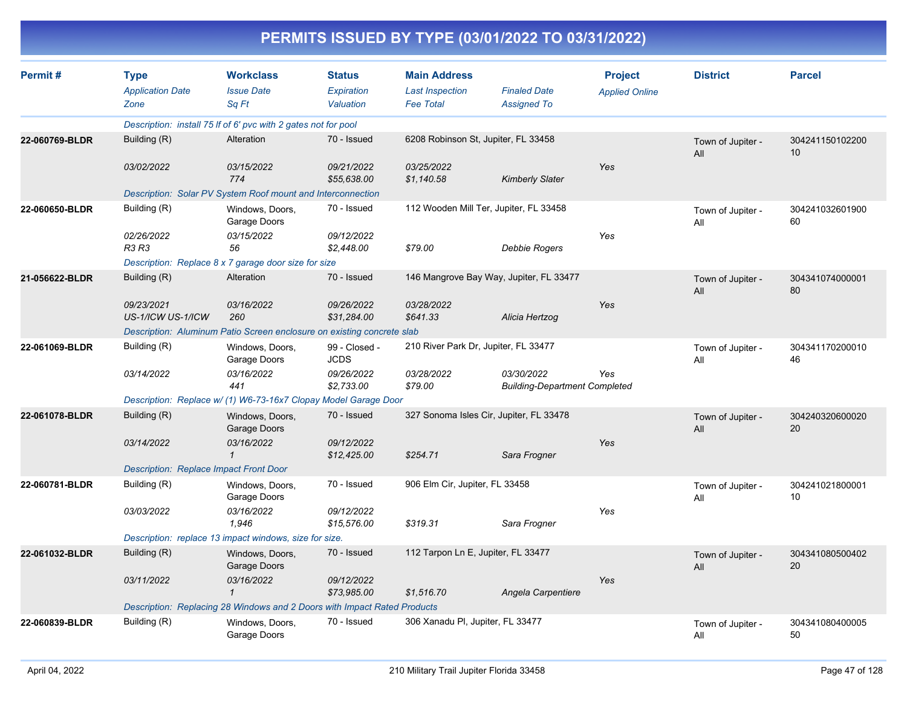| PERMITS ISSUED BY TYPE (03/01/2022 TO 03/31/2022) |  |
|---------------------------------------------------|--|
|---------------------------------------------------|--|

| Permit#        | <b>Type</b>                                   | <b>Workclass</b>                                                         | <b>Status</b>                | <b>Main Address</b>                  |                                                    | <b>Project</b>        | <b>District</b>          | <b>Parcel</b>         |
|----------------|-----------------------------------------------|--------------------------------------------------------------------------|------------------------------|--------------------------------------|----------------------------------------------------|-----------------------|--------------------------|-----------------------|
|                | <b>Application Date</b>                       | <b>Issue Date</b>                                                        | Expiration                   | <b>Last Inspection</b>               | <b>Finaled Date</b>                                | <b>Applied Online</b> |                          |                       |
|                | Zone                                          | Sq Ft                                                                    | Valuation                    | <b>Fee Total</b>                     | <b>Assigned To</b>                                 |                       |                          |                       |
|                |                                               | Description: install 75 If of 6' pvc with 2 gates not for pool           |                              |                                      |                                                    |                       |                          |                       |
| 22-060769-BLDR | Building (R)                                  | Alteration                                                               | 70 - Issued                  | 6208 Robinson St, Jupiter, FL 33458  |                                                    |                       | Town of Jupiter -<br>All | 304241150102200<br>10 |
|                | 03/02/2022                                    | 03/15/2022<br>774                                                        | 09/21/2022<br>\$55,638.00    | 03/25/2022<br>\$1,140.58             | <b>Kimberly Slater</b>                             | Yes                   |                          |                       |
|                |                                               | Description: Solar PV System Roof mount and Interconnection              |                              |                                      |                                                    |                       |                          |                       |
| 22-060650-BLDR | Building (R)                                  | Windows, Doors,<br>Garage Doors                                          | 70 - Issued                  |                                      | 112 Wooden Mill Ter, Jupiter, FL 33458             |                       | Town of Jupiter -<br>All | 304241032601900<br>60 |
|                | 02/26/2022<br><b>R3 R3</b>                    | 03/15/2022<br>56                                                         | 09/12/2022<br>\$2,448.00     | \$79.00                              | <b>Debbie Rogers</b>                               | Yes                   |                          |                       |
|                |                                               | Description: Replace 8 x 7 garage door size for size                     |                              |                                      |                                                    |                       |                          |                       |
| 21-056622-BLDR | Building (R)                                  | Alteration                                                               | 70 - Issued                  |                                      | 146 Mangrove Bay Way, Jupiter, FL 33477            |                       | Town of Jupiter -<br>All | 304341074000001<br>80 |
|                | 09/23/2021<br>US-1/ICW US-1/ICW               | 03/16/2022<br>260                                                        | 09/26/2022<br>\$31,284.00    | 03/28/2022<br>\$641.33               | Alicia Hertzog                                     | Yes                   |                          |                       |
|                |                                               | Description: Aluminum Patio Screen enclosure on existing concrete slab   |                              |                                      |                                                    |                       |                          |                       |
| 22-061069-BLDR | Building (R)                                  | Windows, Doors,<br>Garage Doors                                          | 99 - Closed -<br><b>JCDS</b> | 210 River Park Dr, Jupiter, FL 33477 |                                                    |                       | Town of Jupiter -<br>All | 304341170200010<br>46 |
|                | 03/14/2022                                    | 03/16/2022<br>441                                                        | 09/26/2022<br>\$2,733.00     | 03/28/2022<br>\$79.00                | 03/30/2022<br><b>Building-Department Completed</b> | Yes                   |                          |                       |
|                |                                               | Description: Replace w/ (1) W6-73-16x7 Clopay Model Garage Door          |                              |                                      |                                                    |                       |                          |                       |
| 22-061078-BLDR | Building (R)                                  | Windows, Doors,<br>Garage Doors                                          | 70 - Issued                  |                                      | 327 Sonoma Isles Cir, Jupiter, FL 33478            |                       | Town of Jupiter -<br>All | 304240320600020<br>20 |
|                | 03/14/2022                                    | 03/16/2022<br>$\mathcal I$                                               | 09/12/2022<br>\$12,425.00    | \$254.71                             | Sara Frogner                                       | Yes                   |                          |                       |
|                | <b>Description: Replace Impact Front Door</b> |                                                                          |                              |                                      |                                                    |                       |                          |                       |
| 22-060781-BLDR | Building (R)                                  | Windows, Doors,<br>Garage Doors                                          | 70 - Issued                  | 906 Elm Cir, Jupiter, FL 33458       |                                                    |                       | Town of Jupiter -<br>All | 304241021800001<br>10 |
|                | 03/03/2022                                    | 03/16/2022<br>1,946                                                      | 09/12/2022<br>\$15,576.00    | \$319.31                             | Sara Frogner                                       | Yes                   |                          |                       |
|                |                                               | Description: replace 13 impact windows, size for size.                   |                              |                                      |                                                    |                       |                          |                       |
| 22-061032-BLDR | Building (R)                                  | Windows, Doors,<br>Garage Doors                                          | 70 - Issued                  | 112 Tarpon Ln E, Jupiter, FL 33477   |                                                    |                       | Town of Jupiter -<br>All | 304341080500402<br>20 |
|                | 03/11/2022                                    | 03/16/2022<br>$\mathbf{1}$                                               | 09/12/2022<br>\$73,985.00    | \$1,516.70                           | Angela Carpentiere                                 | Yes                   |                          |                       |
|                |                                               | Description: Replacing 28 Windows and 2 Doors with Impact Rated Products |                              |                                      |                                                    |                       |                          |                       |
| 22-060839-BLDR | Building (R)                                  | Windows, Doors,<br>Garage Doors                                          | 70 - Issued                  | 306 Xanadu PI, Jupiter, FL 33477     |                                                    |                       | Town of Jupiter -<br>All | 304341080400005<br>50 |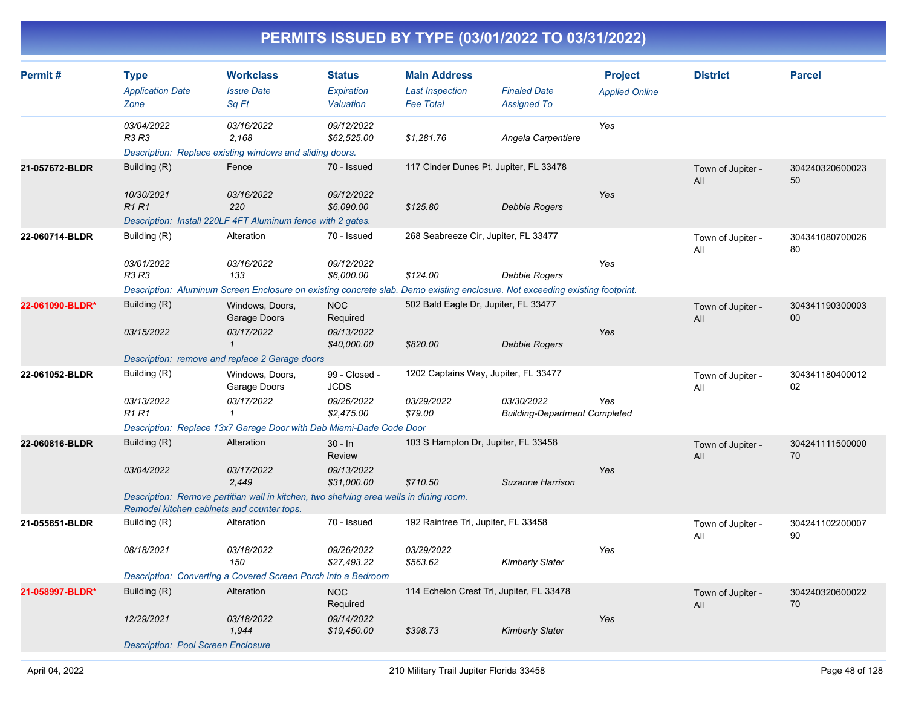| Permit#         | <b>Type</b><br><b>Application Date</b><br>Zone | <b>Workclass</b><br><b>Issue Date</b><br>Sq Ft                                                                               | <b>Status</b><br>Expiration<br>Valuation | <b>Main Address</b><br><b>Last Inspection</b><br><b>Fee Total</b> | <b>Finaled Date</b><br><b>Assigned To</b>          | <b>Project</b><br><b>Applied Online</b> | <b>District</b>          | <b>Parcel</b>         |
|-----------------|------------------------------------------------|------------------------------------------------------------------------------------------------------------------------------|------------------------------------------|-------------------------------------------------------------------|----------------------------------------------------|-----------------------------------------|--------------------------|-----------------------|
|                 | 03/04/2022<br>R3 R3                            | 03/16/2022<br>2,168<br>Description: Replace existing windows and sliding doors.                                              | 09/12/2022<br>\$62,525.00                | \$1,281.76                                                        | Angela Carpentiere                                 | Yes                                     |                          |                       |
| 21-057672-BLDR  | Building (R)                                   | Fence                                                                                                                        | 70 - Issued                              | 117 Cinder Dunes Pt, Jupiter, FL 33478                            |                                                    |                                         | Town of Jupiter -<br>All | 304240320600023<br>50 |
|                 | 10/30/2021<br><b>R1R1</b>                      | 03/16/2022<br>220<br>Description: Install 220LF 4FT Aluminum fence with 2 gates.                                             | 09/12/2022<br>\$6,090.00                 | \$125.80                                                          | <b>Debbie Rogers</b>                               | Yes                                     |                          |                       |
| 22-060714-BLDR  | Building (R)                                   | Alteration                                                                                                                   | 70 - Issued                              | 268 Seabreeze Cir, Jupiter, FL 33477                              |                                                    |                                         | Town of Jupiter -<br>All | 304341080700026<br>80 |
|                 | 03/01/2022<br>R3 R3                            | 03/16/2022<br>133                                                                                                            | 09/12/2022<br>\$6,000.00                 | \$124.00                                                          | <b>Debbie Rogers</b>                               | Yes                                     |                          |                       |
|                 |                                                | Description: Aluminum Screen Enclosure on existing concrete slab. Demo existing enclosure. Not exceeding existing footprint. |                                          |                                                                   |                                                    |                                         |                          |                       |
| 22-061090-BLDR* | Building (R)<br>03/15/2022                     | Windows, Doors,<br>Garage Doors<br>03/17/2022                                                                                | <b>NOC</b><br>Required<br>09/13/2022     | 502 Bald Eagle Dr, Jupiter, FL 33477                              |                                                    | Yes                                     | Town of Jupiter -<br>All | 304341190300003<br>00 |
|                 |                                                | $\mathbf{1}$                                                                                                                 | \$40,000.00                              | \$820.00                                                          | Debbie Rogers                                      |                                         |                          |                       |
|                 |                                                | Description: remove and replace 2 Garage doors                                                                               |                                          |                                                                   |                                                    |                                         |                          |                       |
| 22-061052-BLDR  | Building (R)                                   | Windows, Doors,<br>Garage Doors                                                                                              | 99 - Closed -<br><b>JCDS</b>             | 1202 Captains Way, Jupiter, FL 33477                              |                                                    |                                         | Town of Jupiter -<br>All | 304341180400012<br>02 |
|                 | 03/13/2022<br><b>R1 R1</b>                     | 03/17/2022<br>$\mathbf{1}$                                                                                                   | 09/26/2022<br>\$2,475.00                 | 03/29/2022<br>\$79.00                                             | 03/30/2022<br><b>Building-Department Completed</b> | Yes                                     |                          |                       |
|                 |                                                | Description: Replace 13x7 Garage Door with Dab Miami-Dade Code Door                                                          |                                          |                                                                   |                                                    |                                         |                          |                       |
| 22-060816-BLDR  | Building (R)                                   | Alteration                                                                                                                   | $30 - ln$<br><b>Review</b>               | 103 S Hampton Dr, Jupiter, FL 33458                               |                                                    |                                         | Town of Jupiter -<br>All | 304241111500000<br>70 |
|                 | 03/04/2022                                     | 03/17/2022<br>2.449                                                                                                          | 09/13/2022<br>\$31,000.00                | \$710.50                                                          | Suzanne Harrison                                   | Yes                                     |                          |                       |
|                 | Remodel kitchen cabinets and counter tops.     | Description: Remove partitian wall in kitchen, two shelving area walls in dining room.                                       |                                          |                                                                   |                                                    |                                         |                          |                       |
| 21-055651-BLDR  | Building (R)                                   | Alteration                                                                                                                   | 70 - Issued                              | 192 Raintree Trl, Jupiter, FL 33458                               |                                                    |                                         | Town of Jupiter -<br>All | 304241102200007<br>90 |
|                 | 08/18/2021                                     | 03/18/2022<br>150                                                                                                            | 09/26/2022<br>\$27,493.22                | 03/29/2022<br>\$563.62                                            | <b>Kimberly Slater</b>                             | Yes                                     |                          |                       |
|                 |                                                | Description: Converting a Covered Screen Porch into a Bedroom                                                                |                                          |                                                                   |                                                    |                                         |                          |                       |
| 21-058997-BLDR* | Building (R)                                   | Alteration                                                                                                                   | <b>NOC</b><br>Required                   | 114 Echelon Crest Trl, Jupiter, FL 33478                          |                                                    |                                         | Town of Jupiter -<br>All | 304240320600022<br>70 |
|                 | 12/29/2021                                     | 03/18/2022<br>1,944                                                                                                          | 09/14/2022<br>\$19,450.00                | \$398.73                                                          | <b>Kimberly Slater</b>                             | Yes                                     |                          |                       |
|                 | <b>Description: Pool Screen Enclosure</b>      |                                                                                                                              |                                          |                                                                   |                                                    |                                         |                          |                       |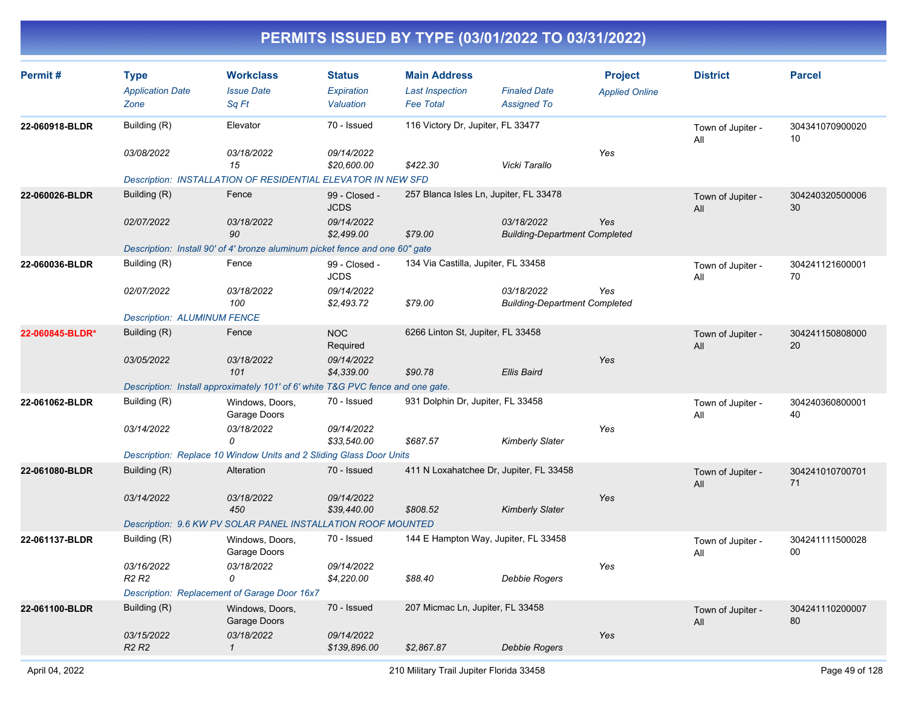| Permit#         | <b>Type</b><br><b>Application Date</b><br>Zone | <b>Workclass</b><br><b>Issue Date</b><br>Sq Ft                                  | <b>Status</b><br>Expiration<br>Valuation | <b>Main Address</b><br><b>Last Inspection</b><br><b>Fee Total</b> | <b>Finaled Date</b><br><b>Assigned To</b>          | <b>Project</b><br><b>Applied Online</b> | <b>District</b>          | <b>Parcel</b>         |
|-----------------|------------------------------------------------|---------------------------------------------------------------------------------|------------------------------------------|-------------------------------------------------------------------|----------------------------------------------------|-----------------------------------------|--------------------------|-----------------------|
| 22-060918-BLDR  | Building (R)                                   | Elevator                                                                        | 70 - Issued                              | 116 Victory Dr, Jupiter, FL 33477                                 |                                                    |                                         | Town of Jupiter -<br>All | 304341070900020<br>10 |
|                 | 03/08/2022                                     | 03/18/2022<br>15                                                                | 09/14/2022<br>\$20,600.00                | \$422.30                                                          | Vicki Tarallo                                      | Yes                                     |                          |                       |
|                 |                                                | Description: INSTALLATION OF RESIDENTIAL ELEVATOR IN NEW SFD                    |                                          |                                                                   |                                                    |                                         |                          |                       |
| 22-060026-BLDR  | Building (R)                                   | Fence                                                                           | 99 - Closed -<br><b>JCDS</b>             | 257 Blanca Isles Ln, Jupiter, FL 33478                            |                                                    |                                         | Town of Jupiter -<br>All | 304240320500006<br>30 |
|                 | 02/07/2022                                     | 03/18/2022<br>90                                                                | 09/14/2022<br>\$2,499.00                 | \$79.00                                                           | 03/18/2022<br><b>Building-Department Completed</b> | Yes                                     |                          |                       |
|                 |                                                | Description: Install 90' of 4' bronze aluminum picket fence and one 60" gate    |                                          |                                                                   |                                                    |                                         |                          |                       |
| 22-060036-BLDR  | Building (R)                                   | Fence                                                                           | 99 - Closed -<br><b>JCDS</b>             | 134 Via Castilla, Jupiter, FL 33458                               |                                                    |                                         | Town of Jupiter -<br>All | 304241121600001<br>70 |
|                 | 02/07/2022                                     | 03/18/2022<br>100                                                               | 09/14/2022<br>\$2,493.72                 | \$79.00                                                           | 03/18/2022<br><b>Building-Department Completed</b> | Yes                                     |                          |                       |
|                 | <b>Description: ALUMINUM FENCE</b>             |                                                                                 |                                          |                                                                   |                                                    |                                         |                          |                       |
| 22-060845-BLDR* | Building (R)                                   | Fence                                                                           | <b>NOC</b><br>Required                   | 6266 Linton St, Jupiter, FL 33458                                 |                                                    |                                         | Town of Jupiter -<br>All | 304241150808000<br>20 |
|                 | 03/05/2022                                     | 03/18/2022<br>101                                                               | 09/14/2022<br>\$4,339.00                 | \$90.78                                                           | <b>Ellis Baird</b>                                 | Yes                                     |                          |                       |
|                 |                                                | Description: Install approximately 101' of 6' white T&G PVC fence and one gate. |                                          |                                                                   |                                                    |                                         |                          |                       |
| 22-061062-BLDR  | Building (R)                                   | Windows, Doors,<br>Garage Doors                                                 | 70 - Issued                              | 931 Dolphin Dr, Jupiter, FL 33458                                 |                                                    |                                         | Town of Jupiter -<br>All | 304240360800001<br>40 |
|                 | 03/14/2022                                     | 03/18/2022<br>$\Omega$                                                          | 09/14/2022<br>\$33,540.00                | \$687.57                                                          | <b>Kimberly Slater</b>                             | Yes                                     |                          |                       |
|                 |                                                | Description: Replace 10 Window Units and 2 Sliding Glass Door Units             |                                          |                                                                   |                                                    |                                         |                          |                       |
| 22-061080-BLDR  | Building (R)                                   | Alteration                                                                      | 70 - Issued                              | 411 N Loxahatchee Dr, Jupiter, FL 33458                           |                                                    |                                         | Town of Jupiter -<br>All | 304241010700701<br>71 |
|                 | 03/14/2022                                     | 03/18/2022<br>450                                                               | 09/14/2022<br>\$39,440.00                | \$808.52                                                          | <b>Kimberly Slater</b>                             | Yes                                     |                          |                       |
|                 |                                                | Description: 9.6 KW PV SOLAR PANEL INSTALLATION ROOF MOUNTED                    |                                          |                                                                   |                                                    |                                         |                          |                       |
| 22-061137-BLDR  | Building (R)                                   | Windows, Doors,<br>Garage Doors                                                 | 70 - Issued                              | 144 E Hampton Way, Jupiter, FL 33458                              |                                                    |                                         | Town of Jupiter -<br>All | 304241111500028<br>00 |
|                 | 03/16/2022<br>R <sub>2</sub> R <sub>2</sub>    | 03/18/2022<br>0                                                                 | 09/14/2022<br>\$4,220.00                 | \$88.40                                                           | Debbie Rogers                                      | Yes                                     |                          |                       |
|                 |                                                | Description: Replacement of Garage Door 16x7                                    |                                          |                                                                   |                                                    |                                         |                          |                       |
| 22-061100-BLDR  | Building (R)                                   | Windows, Doors,<br>Garage Doors                                                 | 70 - Issued                              | 207 Micmac Ln, Jupiter, FL 33458                                  |                                                    |                                         | Town of Jupiter -<br>All | 304241110200007<br>80 |
|                 | 03/15/2022<br><b>R2 R2</b>                     | 03/18/2022<br>$\mathcal{I}$                                                     | 09/14/2022<br>\$139,896.00               | \$2,867.87                                                        | Debbie Rogers                                      | Yes                                     |                          |                       |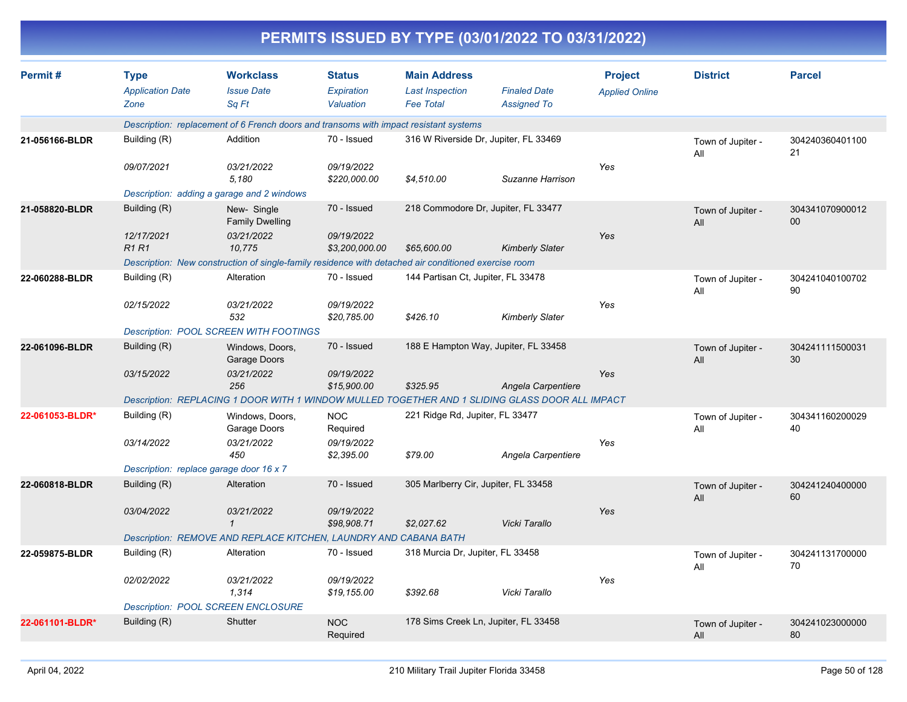|                 | PERMITS ISSUED BY TYPE (03/01/2022 TO 03/31/2022) |                                                                                                      |                                          |                                                                   |                                           |                                         |                          |                       |  |  |
|-----------------|---------------------------------------------------|------------------------------------------------------------------------------------------------------|------------------------------------------|-------------------------------------------------------------------|-------------------------------------------|-----------------------------------------|--------------------------|-----------------------|--|--|
| Permit#         | <b>Type</b><br><b>Application Date</b><br>Zone    | <b>Workclass</b><br><b>Issue Date</b><br>Sq Ft                                                       | <b>Status</b><br>Expiration<br>Valuation | <b>Main Address</b><br><b>Last Inspection</b><br><b>Fee Total</b> | <b>Finaled Date</b><br><b>Assigned To</b> | <b>Project</b><br><b>Applied Online</b> | <b>District</b>          | <b>Parcel</b>         |  |  |
|                 |                                                   | Description: replacement of 6 French doors and transoms with impact resistant systems                |                                          |                                                                   |                                           |                                         |                          |                       |  |  |
| 21-056166-BLDR  | Building (R)                                      | Addition                                                                                             | 70 - Issued                              |                                                                   | 316 W Riverside Dr, Jupiter, FL 33469     |                                         | Town of Jupiter -<br>All | 304240360401100<br>21 |  |  |
|                 | 09/07/2021                                        | 03/21/2022<br>5,180                                                                                  | 09/19/2022<br>\$220,000.00               | \$4,510.00                                                        | Suzanne Harrison                          | Yes                                     |                          |                       |  |  |
|                 |                                                   | Description: adding a garage and 2 windows                                                           |                                          |                                                                   |                                           |                                         |                          |                       |  |  |
| 21-058820-BLDR  | Building (R)                                      | New-Single<br><b>Family Dwelling</b>                                                                 | 70 - Issued                              |                                                                   | 218 Commodore Dr, Jupiter, FL 33477       |                                         | Town of Jupiter -<br>All | 304341070900012<br>00 |  |  |
|                 | 12/17/2021<br><b>R1R1</b>                         | 03/21/2022<br>10,775                                                                                 | 09/19/2022<br>\$3,200,000.00             | \$65,600.00                                                       | <b>Kimberly Slater</b>                    | Yes                                     |                          |                       |  |  |
|                 |                                                   | Description: New construction of single-family residence with detached air conditioned exercise room |                                          |                                                                   |                                           |                                         |                          |                       |  |  |
| 22-060288-BLDR  | Building (R)                                      | Alteration                                                                                           | 70 - Issued                              | 144 Partisan Ct, Jupiter, FL 33478                                |                                           |                                         | Town of Jupiter -<br>All | 304241040100702<br>90 |  |  |
|                 | 02/15/2022                                        | 03/21/2022<br>532                                                                                    | 09/19/2022<br>\$20,785.00                | \$426.10                                                          | <b>Kimberly Slater</b>                    | Yes                                     |                          |                       |  |  |
|                 |                                                   | <b>Description: POOL SCREEN WITH FOOTINGS</b>                                                        |                                          |                                                                   |                                           |                                         |                          |                       |  |  |
| 22-061096-BLDR  | Building (R)                                      | Windows, Doors,<br>Garage Doors                                                                      | 70 - Issued                              |                                                                   | 188 E Hampton Way, Jupiter, FL 33458      |                                         | Town of Jupiter -<br>All | 304241111500031<br>30 |  |  |
|                 | 03/15/2022                                        | 03/21/2022<br>256                                                                                    | 09/19/2022<br>\$15,900.00                | \$325.95                                                          | Angela Carpentiere                        | Yes                                     |                          |                       |  |  |
|                 |                                                   | Description: REPLACING 1 DOOR WITH 1 WINDOW MULLED TOGETHER AND 1 SLIDING GLASS DOOR ALL IMPACT      |                                          |                                                                   |                                           |                                         |                          |                       |  |  |
| 22-061053-BLDR* | Building (R)                                      | Windows, Doors,<br>Garage Doors                                                                      | <b>NOC</b><br>Required                   | 221 Ridge Rd, Jupiter, FL 33477                                   |                                           |                                         | Town of Jupiter -<br>All | 304341160200029<br>40 |  |  |
|                 | 03/14/2022                                        | 03/21/2022<br>450                                                                                    | 09/19/2022<br>\$2,395.00                 | \$79.00                                                           | Angela Carpentiere                        | Yes                                     |                          |                       |  |  |
|                 | Description: replace garage door 16 x 7           |                                                                                                      |                                          |                                                                   |                                           |                                         |                          |                       |  |  |
| 22-060818-BLDR  | Building (R)                                      | Alteration                                                                                           | 70 - Issued                              | 305 Marlberry Cir, Jupiter, FL 33458                              |                                           |                                         | Town of Jupiter -<br>All | 304241240400000<br>60 |  |  |
|                 | 03/04/2022                                        | 03/21/2022<br>$\mathcal I$                                                                           | 09/19/2022<br>\$98,908.71                | \$2,027.62                                                        | Vicki Tarallo                             | Yes                                     |                          |                       |  |  |
|                 |                                                   | Description: REMOVE AND REPLACE KITCHEN, LAUNDRY AND CABANA BATH                                     |                                          |                                                                   |                                           |                                         |                          |                       |  |  |
| 22-059875-BLDR  | Building (R)                                      | Alteration                                                                                           | 70 - Issued                              | 318 Murcia Dr, Jupiter, FL 33458                                  |                                           |                                         | Town of Jupiter -<br>All | 304241131700000<br>70 |  |  |
|                 | 02/02/2022                                        | 03/21/2022<br>1,314                                                                                  | 09/19/2022<br>\$19,155.00                | \$392.68                                                          | Vicki Tarallo                             | Yes                                     |                          |                       |  |  |
|                 |                                                   | <b>Description: POOL SCREEN ENCLOSURE</b>                                                            |                                          |                                                                   |                                           |                                         |                          |                       |  |  |
| 22-061101-BLDR* | Building (R)                                      | Shutter                                                                                              | <b>NOC</b><br>Required                   |                                                                   | 178 Sims Creek Ln, Jupiter, FL 33458      |                                         | Town of Jupiter -<br>All | 304241023000000<br>80 |  |  |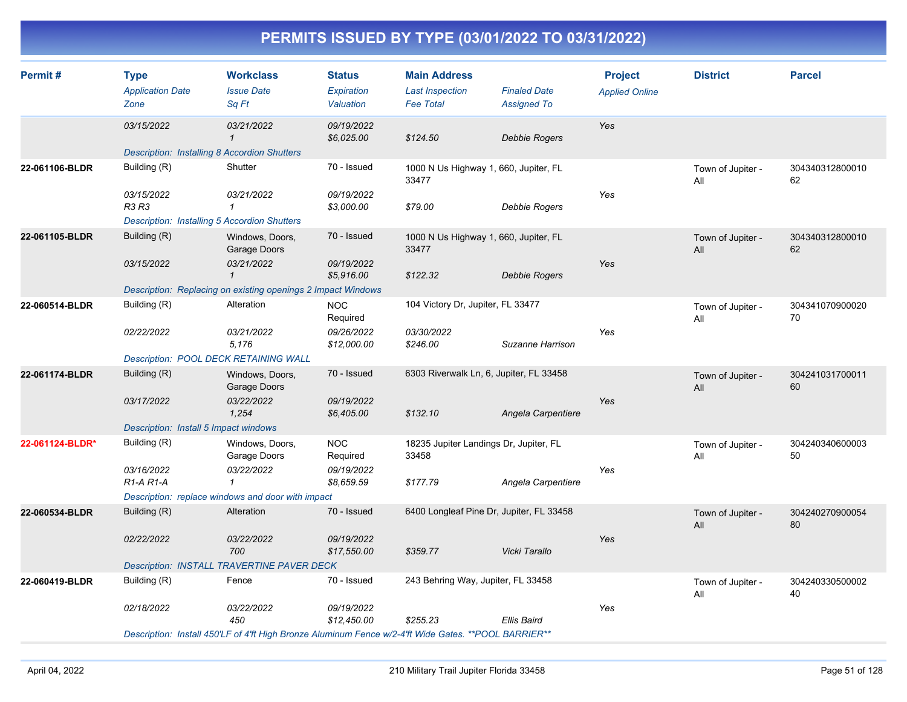| Permit#         | <b>Type</b><br><b>Application Date</b><br>Zone      | <b>Workclass</b><br><b>Issue Date</b><br>Sq Ft                                                        | <b>Status</b><br>Expiration<br>Valuation | <b>Main Address</b><br><b>Last Inspection</b><br><b>Fee Total</b> | <b>Finaled Date</b><br><b>Assigned To</b> | <b>Project</b><br><b>Applied Online</b> | <b>District</b>          | <b>Parcel</b>         |
|-----------------|-----------------------------------------------------|-------------------------------------------------------------------------------------------------------|------------------------------------------|-------------------------------------------------------------------|-------------------------------------------|-----------------------------------------|--------------------------|-----------------------|
|                 | 03/15/2022                                          | 03/21/2022<br>$\mathbf{1}$                                                                            | 09/19/2022<br>\$6,025.00                 | \$124.50                                                          | Debbie Rogers                             | Yes                                     |                          |                       |
|                 | <b>Description: Installing 8 Accordion Shutters</b> |                                                                                                       |                                          |                                                                   |                                           |                                         |                          |                       |
| 22-061106-BLDR  | Building (R)                                        | Shutter                                                                                               | 70 - Issued                              | 1000 N Us Highway 1, 660, Jupiter, FL<br>33477                    |                                           |                                         | Town of Jupiter -<br>All | 304340312800010<br>62 |
|                 | 03/15/2022<br><b>R3 R3</b>                          | 03/21/2022<br>$\mathbf{1}$                                                                            | 09/19/2022<br>\$3,000.00                 | \$79.00                                                           | Debbie Rogers                             | Yes                                     |                          |                       |
|                 | <b>Description: Installing 5 Accordion Shutters</b> |                                                                                                       |                                          |                                                                   |                                           |                                         |                          |                       |
| 22-061105-BLDR  | Building (R)                                        | Windows, Doors,<br>Garage Doors                                                                       | 70 - Issued                              | 1000 N Us Highway 1, 660, Jupiter, FL<br>33477                    |                                           |                                         | Town of Jupiter -<br>All | 304340312800010<br>62 |
|                 | 03/15/2022                                          | 03/21/2022<br>$\mathbf 1$                                                                             | 09/19/2022<br>\$5.916.00                 | \$122.32                                                          | Debbie Rogers                             | Yes                                     |                          |                       |
|                 |                                                     | Description: Replacing on existing openings 2 Impact Windows                                          |                                          |                                                                   |                                           |                                         |                          |                       |
| 22-060514-BLDR  | Building (R)                                        | Alteration                                                                                            | <b>NOC</b><br>Required                   | 104 Victory Dr, Jupiter, FL 33477                                 |                                           |                                         | Town of Jupiter -<br>All | 304341070900020<br>70 |
|                 | 02/22/2022                                          | 03/21/2022<br>5,176                                                                                   | 09/26/2022<br>\$12,000.00                | 03/30/2022<br>\$246.00                                            | Suzanne Harrison                          | Yes                                     |                          |                       |
|                 | Description: POOL DECK RETAINING WALL               |                                                                                                       |                                          |                                                                   |                                           |                                         |                          |                       |
| 22-061174-BLDR  | Building (R)                                        | Windows, Doors,<br>Garage Doors                                                                       | 70 - Issued                              | 6303 Riverwalk Ln, 6, Jupiter, FL 33458                           |                                           |                                         | Town of Jupiter -<br>All | 304241031700011<br>60 |
|                 | 03/17/2022                                          | 03/22/2022<br>1,254                                                                                   | 09/19/2022<br>\$6,405.00                 | \$132.10                                                          | Angela Carpentiere                        | Yes                                     |                          |                       |
|                 | Description: Install 5 Impact windows               |                                                                                                       |                                          |                                                                   |                                           |                                         |                          |                       |
| 22-061124-BLDR* | Building (R)                                        | Windows, Doors,<br>Garage Doors                                                                       | <b>NOC</b><br>Required                   | 18235 Jupiter Landings Dr, Jupiter, FL<br>33458                   |                                           |                                         | Town of Jupiter -<br>All | 304240340600003<br>50 |
|                 | 03/16/2022<br>R <sub>1</sub> -A <sub>R1</sub> -A    | 03/22/2022<br>$\mathcal I$                                                                            | 09/19/2022<br>\$8,659.59                 | \$177.79                                                          | Angela Carpentiere                        | Yes                                     |                          |                       |
|                 |                                                     | Description: replace windows and door with impact                                                     |                                          |                                                                   |                                           |                                         |                          |                       |
| 22-060534-BLDR  | Building (R)                                        | Alteration                                                                                            | 70 - Issued                              | 6400 Longleaf Pine Dr, Jupiter, FL 33458                          |                                           |                                         | Town of Jupiter -<br>All | 304240270900054<br>80 |
|                 | 02/22/2022                                          | 03/22/2022<br>700                                                                                     | 09/19/2022<br>\$17,550.00                | \$359.77                                                          | Vicki Tarallo                             | Yes                                     |                          |                       |
|                 |                                                     | Description: INSTALL TRAVERTINE PAVER DECK                                                            |                                          |                                                                   |                                           |                                         |                          |                       |
| 22-060419-BLDR  | Building (R)                                        | Fence                                                                                                 | 70 - Issued                              | 243 Behring Way, Jupiter, FL 33458                                |                                           |                                         | Town of Jupiter -<br>All | 304240330500002<br>40 |
|                 | 02/18/2022                                          | 03/22/2022<br>450                                                                                     | 09/19/2022<br>\$12,450.00                | \$255.23                                                          | Ellis Baird                               | Yes                                     |                          |                       |
|                 |                                                     | Description: Install 450'LF of 4'ft High Bronze Aluminum Fence w/2-4'ft Wide Gates. ** POOL BARRIER** |                                          |                                                                   |                                           |                                         |                          |                       |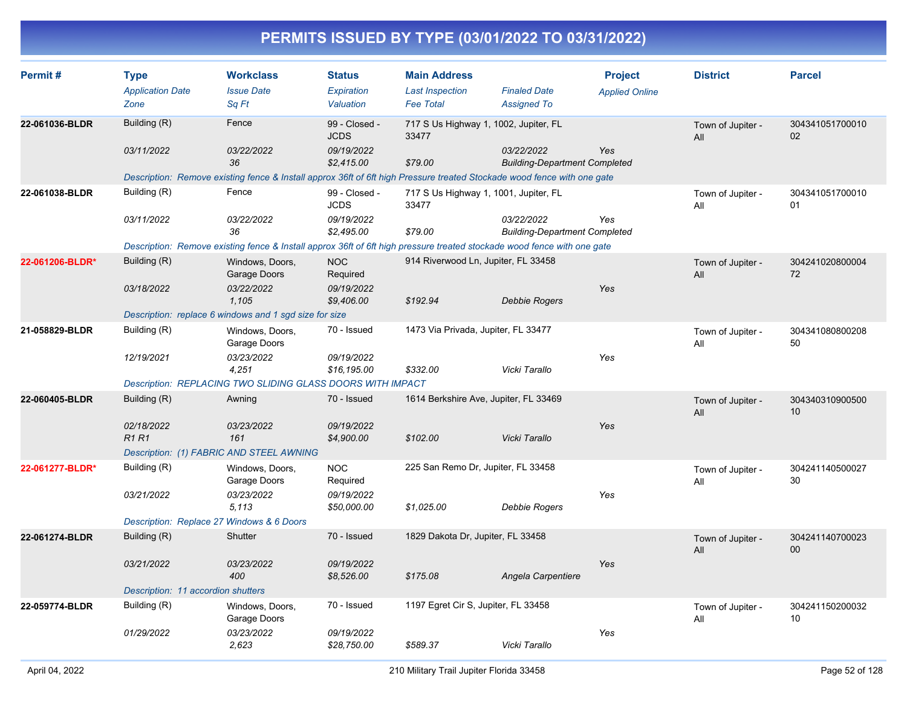| Permit#         | <b>Type</b>                        | <b>Workclass</b>                                                                                                        | <b>Status</b>                | <b>Main Address</b>                            |                                                    | <b>Project</b>        | <b>District</b>          | <b>Parcel</b>         |
|-----------------|------------------------------------|-------------------------------------------------------------------------------------------------------------------------|------------------------------|------------------------------------------------|----------------------------------------------------|-----------------------|--------------------------|-----------------------|
|                 | <b>Application Date</b>            | <b>Issue Date</b>                                                                                                       | Expiration                   | <b>Last Inspection</b>                         | <b>Finaled Date</b>                                | <b>Applied Online</b> |                          |                       |
|                 | Zone                               | Sq Ft                                                                                                                   | Valuation                    | <b>Fee Total</b>                               | <b>Assigned To</b>                                 |                       |                          |                       |
| 22-061036-BLDR  | Building (R)                       | Fence                                                                                                                   | 99 - Closed -<br><b>JCDS</b> | 717 S Us Highway 1, 1002, Jupiter, FL<br>33477 |                                                    |                       | Town of Jupiter -<br>All | 304341051700010<br>02 |
|                 | 03/11/2022                         | 03/22/2022<br>36                                                                                                        | 09/19/2022<br>\$2,415.00     | \$79.00                                        | 03/22/2022<br><b>Building-Department Completed</b> | <b>Yes</b>            |                          |                       |
|                 |                                    | Description: Remove existing fence & Install approx 36ft of 6ft high Pressure treated Stockade wood fence with one gate |                              |                                                |                                                    |                       |                          |                       |
| 22-061038-BLDR  | Building (R)                       | Fence                                                                                                                   | 99 - Closed -<br><b>JCDS</b> | 717 S Us Highway 1, 1001, Jupiter, FL<br>33477 |                                                    |                       | Town of Jupiter -<br>All | 304341051700010<br>01 |
|                 | 03/11/2022                         | 03/22/2022<br>36                                                                                                        | 09/19/2022<br>\$2,495.00     | \$79.00                                        | 03/22/2022<br><b>Building-Department Completed</b> | Yes                   |                          |                       |
|                 |                                    | Description: Remove existing fence & Install approx 36ft of 6ft high pressure treated stockade wood fence with one gate |                              |                                                |                                                    |                       |                          |                       |
| 22-061206-BLDR* | Building (R)                       | Windows, Doors,<br>Garage Doors                                                                                         | <b>NOC</b><br>Required       | 914 Riverwood Ln, Jupiter, FL 33458            |                                                    |                       | Town of Jupiter -<br>All | 304241020800004<br>72 |
|                 | 03/18/2022                         | 03/22/2022<br>1.105                                                                                                     | 09/19/2022<br>\$9,406.00     | \$192.94                                       | <b>Debbie Rogers</b>                               | Yes                   |                          |                       |
|                 |                                    | Description: replace 6 windows and 1 sgd size for size                                                                  |                              |                                                |                                                    |                       |                          |                       |
| 21-058829-BLDR  | Building (R)                       | Windows, Doors,<br>Garage Doors                                                                                         | 70 - Issued                  | 1473 Via Privada, Jupiter, FL 33477            |                                                    |                       | Town of Jupiter -<br>All | 304341080800208<br>50 |
|                 | 12/19/2021                         | 03/23/2022<br>4,251                                                                                                     | 09/19/2022<br>\$16,195.00    | \$332.00                                       | Vicki Tarallo                                      | Yes                   |                          |                       |
|                 |                                    | Description: REPLACING TWO SLIDING GLASS DOORS WITH IMPACT                                                              |                              |                                                |                                                    |                       |                          |                       |
| 22-060405-BLDR  | Building (R)                       | Awning                                                                                                                  | 70 - Issued                  | 1614 Berkshire Ave, Jupiter, FL 33469          |                                                    |                       | Town of Jupiter -<br>All | 304340310900500<br>10 |
|                 | 02/18/2022                         | 03/23/2022                                                                                                              | 09/19/2022                   |                                                |                                                    | Yes                   |                          |                       |
|                 | <b>R1R1</b>                        | 161                                                                                                                     | \$4,900.00                   | \$102.00                                       | Vicki Tarallo                                      |                       |                          |                       |
|                 |                                    | Description: (1) FABRIC AND STEEL AWNING                                                                                |                              |                                                |                                                    |                       |                          |                       |
| 22-061277-BLDR* | Building (R)                       | Windows, Doors,<br>Garage Doors                                                                                         | <b>NOC</b><br>Required       | 225 San Remo Dr, Jupiter, FL 33458             |                                                    |                       | Town of Jupiter -<br>All | 304241140500027<br>30 |
|                 | 03/21/2022                         | 03/23/2022<br>5.113                                                                                                     | 09/19/2022<br>\$50,000.00    | \$1,025.00                                     | <b>Debbie Rogers</b>                               | Yes                   |                          |                       |
|                 |                                    | Description: Replace 27 Windows & 6 Doors                                                                               |                              |                                                |                                                    |                       |                          |                       |
| 22-061274-BLDR  | Building (R)                       | Shutter                                                                                                                 | 70 - Issued                  | 1829 Dakota Dr, Jupiter, FL 33458              |                                                    |                       | Town of Jupiter -<br>All | 304241140700023<br>00 |
|                 | 03/21/2022                         | 03/23/2022<br>400                                                                                                       | 09/19/2022<br>\$8,526.00     | \$175.08                                       | Angela Carpentiere                                 | Yes                   |                          |                       |
|                 | Description: 11 accordion shutters |                                                                                                                         |                              |                                                |                                                    |                       |                          |                       |
| 22-059774-BLDR  | Building (R)                       | Windows, Doors,<br>Garage Doors                                                                                         | 70 - Issued                  | 1197 Egret Cir S, Jupiter, FL 33458            |                                                    |                       | Town of Jupiter -<br>All | 304241150200032<br>10 |
|                 | 01/29/2022                         | 03/23/2022<br>2.623                                                                                                     | 09/19/2022<br>\$28.750.00    | \$589.37                                       | Vicki Tarallo                                      | Yes                   |                          |                       |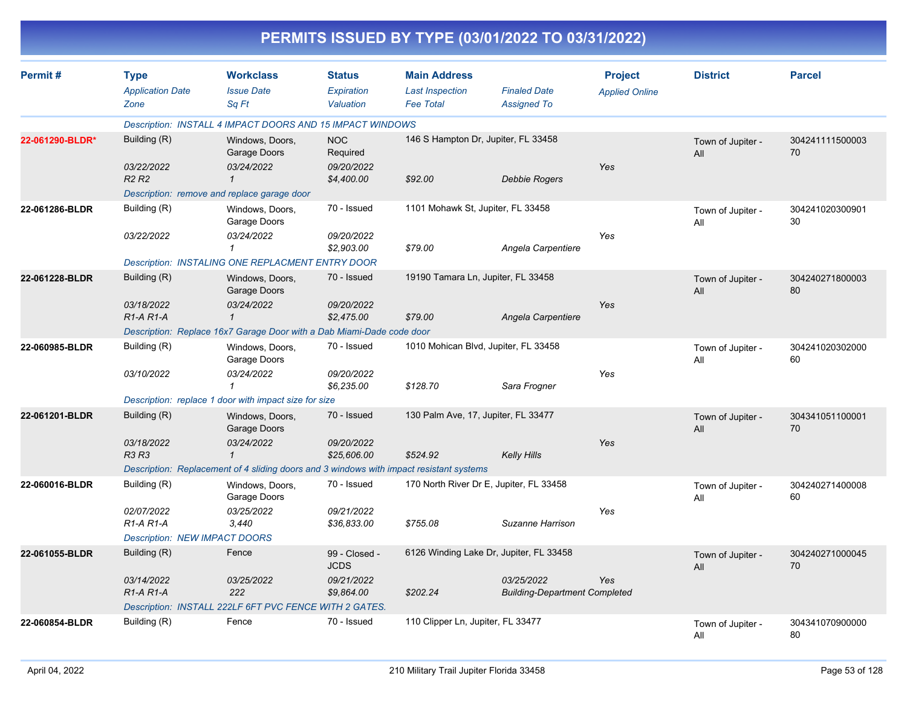|                 | PERMITS ISSUED BY TYPE (03/01/2022 TO 03/31/2022) |                                                                                         |                                          |                                                                   |                                                    |                                         |                          |                       |  |  |
|-----------------|---------------------------------------------------|-----------------------------------------------------------------------------------------|------------------------------------------|-------------------------------------------------------------------|----------------------------------------------------|-----------------------------------------|--------------------------|-----------------------|--|--|
| Permit#         | <b>Type</b><br><b>Application Date</b><br>Zone    | <b>Workclass</b><br><b>Issue Date</b><br>Sq Ft                                          | <b>Status</b><br>Expiration<br>Valuation | <b>Main Address</b><br><b>Last Inspection</b><br><b>Fee Total</b> | <b>Finaled Date</b><br><b>Assigned To</b>          | <b>Project</b><br><b>Applied Online</b> | <b>District</b>          | <b>Parcel</b>         |  |  |
|                 |                                                   | Description: INSTALL 4 IMPACT DOORS AND 15 IMPACT WINDOWS                               |                                          |                                                                   |                                                    |                                         |                          |                       |  |  |
| 22-061290-BLDR* | Building (R)<br>03/22/2022                        | Windows, Doors,<br>Garage Doors<br>03/24/2022                                           | <b>NOC</b><br>Required<br>09/20/2022     | 146 S Hampton Dr, Jupiter, FL 33458                               |                                                    | Yes                                     | Town of Jupiter -<br>All | 304241111500003<br>70 |  |  |
|                 | <b>R2 R2</b>                                      | Description: remove and replace garage door                                             | \$4,400.00                               | \$92.00                                                           | <b>Debbie Rogers</b>                               |                                         |                          |                       |  |  |
| 22-061286-BLDR  | Building (R)                                      | Windows, Doors,<br>Garage Doors                                                         | 70 - Issued                              | 1101 Mohawk St, Jupiter, FL 33458                                 |                                                    |                                         | Town of Jupiter -<br>All | 304241020300901<br>30 |  |  |
|                 | 03/22/2022                                        | 03/24/2022                                                                              | 09/20/2022<br>\$2,903.00                 | \$79.00                                                           | Angela Carpentiere                                 | Yes                                     |                          |                       |  |  |
|                 |                                                   | Description: INSTALING ONE REPLACMENT ENTRY DOOR                                        |                                          |                                                                   |                                                    |                                         |                          |                       |  |  |
| 22-061228-BLDR  | Building (R)                                      | Windows, Doors,<br>Garage Doors                                                         | 70 - Issued                              | 19190 Tamara Ln, Jupiter, FL 33458                                |                                                    |                                         | Town of Jupiter -<br>All | 304240271800003<br>80 |  |  |
|                 | 03/18/2022<br>$R1-A R1-A$                         | 03/24/2022<br>$\mathcal I$                                                              | 09/20/2022<br>\$2,475.00                 | \$79.00                                                           | Angela Carpentiere                                 | Yes                                     |                          |                       |  |  |
|                 |                                                   | Description: Replace 16x7 Garage Door with a Dab Miami-Dade code door                   |                                          |                                                                   |                                                    |                                         |                          |                       |  |  |
| 22-060985-BLDR  | Building (R)                                      | Windows, Doors,<br>Garage Doors                                                         | 70 - Issued                              |                                                                   | 1010 Mohican Blvd, Jupiter, FL 33458               |                                         | Town of Jupiter -<br>All | 304241020302000<br>60 |  |  |
|                 | 03/10/2022                                        | 03/24/2022<br>-1                                                                        | 09/20/2022<br>\$6,235.00                 | \$128.70                                                          | Sara Frogner                                       | Yes                                     |                          |                       |  |  |
|                 |                                                   | Description: replace 1 door with impact size for size                                   |                                          |                                                                   |                                                    |                                         |                          |                       |  |  |
| 22-061201-BLDR  | Building (R)                                      | Windows, Doors,<br>Garage Doors                                                         | 70 - Issued                              | 130 Palm Ave, 17, Jupiter, FL 33477                               |                                                    |                                         | Town of Jupiter -<br>All | 304341051100001<br>70 |  |  |
|                 | 03/18/2022<br><b>R3 R3</b>                        | 03/24/2022<br>$\mathcal I$                                                              | 09/20/2022<br>\$25,606.00                | \$524.92                                                          | <b>Kelly Hills</b>                                 | Yes                                     |                          |                       |  |  |
|                 |                                                   | Description: Replacement of 4 sliding doors and 3 windows with impact resistant systems |                                          |                                                                   |                                                    |                                         |                          |                       |  |  |
| 22-060016-BLDR  | Building (R)                                      | Windows, Doors,<br>Garage Doors                                                         | 70 - Issued                              |                                                                   | 170 North River Dr E, Jupiter, FL 33458            |                                         | Town of Jupiter -<br>All | 304240271400008<br>60 |  |  |
|                 | 02/07/2022<br>R1-A R1-A                           | 03/25/2022<br>3,440                                                                     | 09/21/2022<br>\$36,833.00                | \$755.08                                                          | Suzanne Harrison                                   | Yes                                     |                          |                       |  |  |
|                 | <b>Description: NEW IMPACT DOORS</b>              |                                                                                         |                                          |                                                                   |                                                    |                                         |                          |                       |  |  |
| 22-061055-BLDR  | Building (R)                                      | Fence                                                                                   | 99 - Closed -<br><b>JCDS</b>             |                                                                   | 6126 Winding Lake Dr, Jupiter, FL 33458            |                                         | Town of Jupiter -<br>All | 304240271000045<br>70 |  |  |
|                 | 03/14/2022<br>R1-A R1-A                           | 03/25/2022<br>222                                                                       | 09/21/2022<br>\$9,864.00                 | \$202.24                                                          | 03/25/2022<br><b>Building-Department Completed</b> | Yes                                     |                          |                       |  |  |
|                 |                                                   | Description: INSTALL 222LF 6FT PVC FENCE WITH 2 GATES.                                  |                                          |                                                                   |                                                    |                                         |                          |                       |  |  |
| 22-060854-BLDR  | Building (R)                                      | Fence                                                                                   | 70 - Issued                              | 110 Clipper Ln, Jupiter, FL 33477                                 |                                                    |                                         | Town of Jupiter -<br>All | 304341070900000<br>80 |  |  |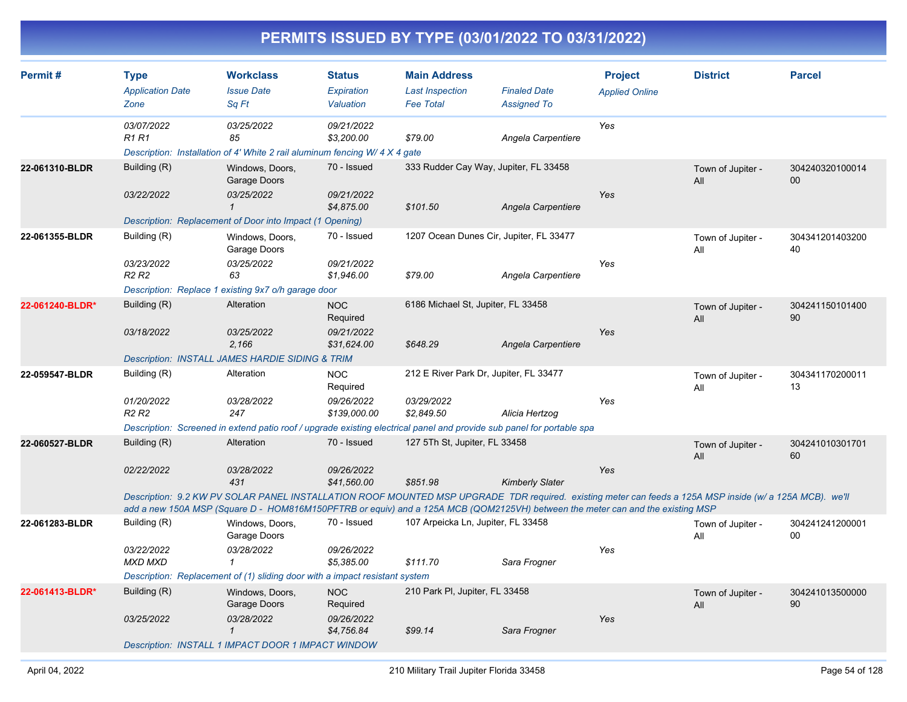| Permit#         | <b>Type</b><br><b>Application Date</b><br>Zone              | <b>Workclass</b><br><b>Issue Date</b><br>Sa Ft                                                                                                                                                                                                                                                                                | <b>Status</b><br>Expiration<br>Valuation             | <b>Main Address</b><br><b>Last Inspection</b><br><b>Fee Total</b>  | <b>Finaled Date</b><br><b>Assigned To</b> | <b>Project</b><br><b>Applied Online</b> | <b>District</b>          | <b>Parcel</b>         |
|-----------------|-------------------------------------------------------------|-------------------------------------------------------------------------------------------------------------------------------------------------------------------------------------------------------------------------------------------------------------------------------------------------------------------------------|------------------------------------------------------|--------------------------------------------------------------------|-------------------------------------------|-----------------------------------------|--------------------------|-----------------------|
|                 | 03/07/2022<br><b>R1 R1</b>                                  | 03/25/2022<br>85<br>Description: Installation of 4' White 2 rail aluminum fencing W/ 4 X 4 gate                                                                                                                                                                                                                               | 09/21/2022<br>\$3,200.00                             | \$79.00                                                            | Angela Carpentiere                        | Yes                                     |                          |                       |
| 22-061310-BLDR  | Building (R)<br>03/22/2022                                  | Windows, Doors,<br>Garage Doors<br>03/25/2022<br>$\mathbf{1}$                                                                                                                                                                                                                                                                 | 70 - Issued<br>09/21/2022<br>\$4,875.00              | 333 Rudder Cay Way, Jupiter, FL 33458<br>\$101.50                  | Angela Carpentiere                        | Yes                                     | Town of Jupiter -<br>All | 304240320100014<br>00 |
| 22-061355-BLDR  | Building (R)<br>03/23/2022<br>R <sub>2</sub> R <sub>2</sub> | Description: Replacement of Door into Impact (1 Opening)<br>Windows, Doors,<br>Garage Doors<br>03/25/2022<br>63<br>Description: Replace 1 existing 9x7 o/h garage door                                                                                                                                                        | 70 - Issued<br>09/21/2022<br>\$1,946.00              | 1207 Ocean Dunes Cir, Jupiter, FL 33477<br>\$79.00                 | Angela Carpentiere                        | Yes                                     | Town of Jupiter -<br>All | 304341201403200<br>40 |
| 22-061240-BLDR* | Building (R)<br>03/18/2022                                  | Alteration<br>03/25/2022<br>2.166<br><b>Description: INSTALL JAMES HARDIE SIDING &amp; TRIM</b>                                                                                                                                                                                                                               | <b>NOC</b><br>Required<br>09/21/2022<br>\$31,624.00  | 6186 Michael St, Jupiter, FL 33458<br>\$648.29                     | Angela Carpentiere                        | Yes                                     | Town of Jupiter -<br>All | 304241150101400<br>90 |
| 22-059547-BLDR  | Building (R)<br>01/20/2022<br>R <sub>2</sub> R <sub>2</sub> | Alteration<br>03/28/2022<br>247<br>Description: Screened in extend patio roof / upgrade existing electrical panel and provide sub panel for portable spa                                                                                                                                                                      | <b>NOC</b><br>Required<br>09/26/2022<br>\$139,000.00 | 212 E River Park Dr, Jupiter, FL 33477<br>03/29/2022<br>\$2,849.50 | Alicia Hertzog                            | Yes                                     | Town of Jupiter -<br>All | 304341170200011<br>13 |
| 22-060527-BLDR  | Building (R)<br>02/22/2022                                  | Alteration<br>03/28/2022<br>431<br>Description: 9.2 KW PV SOLAR PANEL INSTALLATION ROOF MOUNTED MSP UPGRADE TDR required. existing meter can feeds a 125A MSP inside (w/ a 125A MCB). we'll<br>add a new 150A MSP (Square D - HOM816M150PFTRB or equiv) and a 125A MCB (QOM2125VH) between the meter can and the existing MSP | 70 - Issued<br>09/26/2022<br>\$41,560.00             | 127 5Th St, Jupiter, FL 33458<br>\$851.98                          | <b>Kimberly Slater</b>                    | Yes                                     | Town of Jupiter -<br>All | 304241010301701<br>60 |
| 22-061283-BLDR  | Building (R)<br>03/22/2022<br><b>MXD MXD</b>                | Windows, Doors,<br>Garage Doors<br>03/28/2022<br>$\mathcal I$<br>Description: Replacement of (1) sliding door with a impact resistant system                                                                                                                                                                                  | 70 - Issued<br>09/26/2022<br>\$5,385.00              | 107 Arpeicka Ln, Jupiter, FL 33458<br>\$111.70                     | Sara Frogner                              | Yes                                     | Town of Jupiter -<br>All | 304241241200001<br>00 |
| 22-061413-BLDR* | Building (R)<br>03/25/2022                                  | Windows, Doors,<br>Garage Doors<br>03/28/2022<br>$\mathbf{1}$<br>Description: INSTALL 1 IMPACT DOOR 1 IMPACT WINDOW                                                                                                                                                                                                           | <b>NOC</b><br>Required<br>09/26/2022<br>\$4,756.84   | 210 Park PI, Jupiter, FL 33458<br>\$99.14                          | Sara Frogner                              | Yes                                     | Town of Jupiter -<br>All | 304241013500000<br>90 |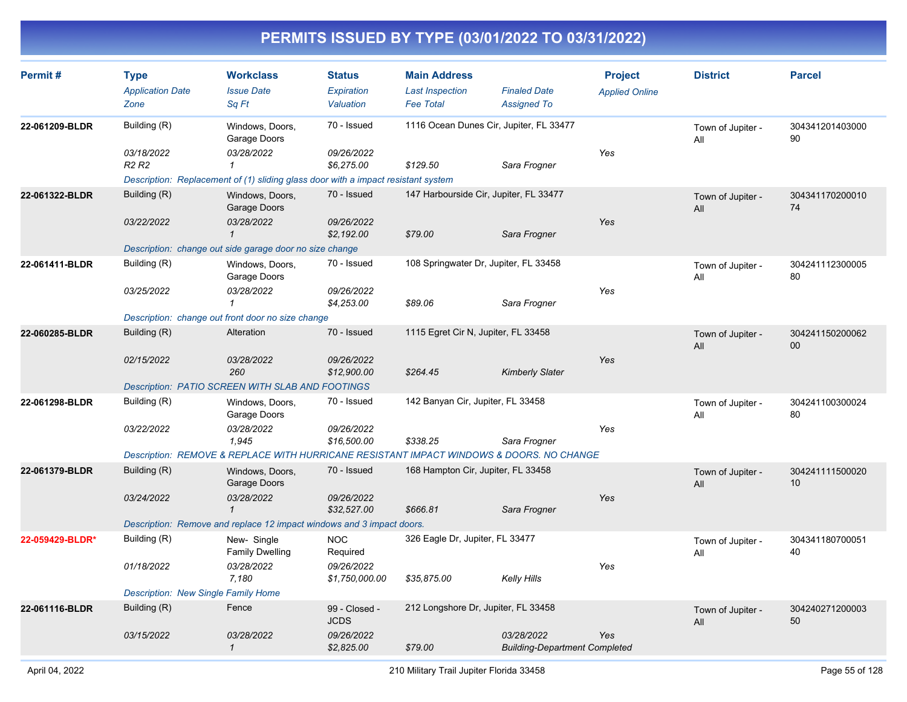| Permit#         | <b>Type</b><br><b>Application Date</b><br>Zone | <b>Workclass</b><br><b>Issue Date</b><br>Sq Ft                                                                  | <b>Status</b><br>Expiration<br>Valuation | <b>Main Address</b><br><b>Last Inspection</b><br><b>Fee Total</b> | <b>Finaled Date</b><br><b>Assigned To</b>          | <b>Project</b><br><b>Applied Online</b> | <b>District</b>          | <b>Parcel</b>         |
|-----------------|------------------------------------------------|-----------------------------------------------------------------------------------------------------------------|------------------------------------------|-------------------------------------------------------------------|----------------------------------------------------|-----------------------------------------|--------------------------|-----------------------|
| 22-061209-BLDR  | Building (R)                                   | Windows, Doors,<br>Garage Doors                                                                                 | 70 - Issued                              | 1116 Ocean Dunes Cir, Jupiter, FL 33477                           |                                                    |                                         | Town of Jupiter -<br>All | 304341201403000<br>90 |
|                 | 03/18/2022<br>R <sub>2</sub> R <sub>2</sub>    | 03/28/2022<br>$\mathbf{1}$<br>Description: Replacement of (1) sliding glass door with a impact resistant system | 09/26/2022<br>\$6,275.00                 | \$129.50                                                          | Sara Frogner                                       | Yes                                     |                          |                       |
| 22-061322-BLDR  | Building (R)                                   |                                                                                                                 | 70 - Issued                              | 147 Harbourside Cir, Jupiter, FL 33477                            |                                                    |                                         |                          | 304341170200010       |
|                 |                                                | Windows, Doors,<br>Garage Doors                                                                                 |                                          |                                                                   |                                                    |                                         | Town of Jupiter -<br>All | 74                    |
|                 | 03/22/2022                                     | 03/28/2022<br>$\mathbf{1}$                                                                                      | 09/26/2022<br>\$2,192.00                 | \$79.00                                                           | Sara Frogner                                       | Yes                                     |                          |                       |
|                 |                                                | Description: change out side garage door no size change                                                         |                                          |                                                                   |                                                    |                                         |                          |                       |
| 22-061411-BLDR  | Building (R)                                   | Windows, Doors,<br>Garage Doors                                                                                 | 70 - Issued                              | 108 Springwater Dr, Jupiter, FL 33458                             |                                                    |                                         | Town of Jupiter -<br>All | 304241112300005<br>80 |
|                 | 03/25/2022                                     | 03/28/2022<br>1                                                                                                 | 09/26/2022<br>\$4,253.00                 | \$89.06                                                           | Sara Frogner                                       | Yes                                     |                          |                       |
|                 |                                                | Description: change out front door no size change                                                               |                                          |                                                                   |                                                    |                                         |                          |                       |
| 22-060285-BLDR  | Building (R)                                   | Alteration                                                                                                      | 70 - Issued                              | 1115 Egret Cir N, Jupiter, FL 33458                               |                                                    |                                         | Town of Jupiter -<br>All | 304241150200062<br>00 |
|                 | 02/15/2022                                     | 03/28/2022<br>260                                                                                               | 09/26/2022<br>\$12,900.00                | \$264.45                                                          | <b>Kimberly Slater</b>                             | Yes                                     |                          |                       |
|                 |                                                | Description: PATIO SCREEN WITH SLAB AND FOOTINGS                                                                |                                          |                                                                   |                                                    |                                         |                          |                       |
| 22-061298-BLDR  | Building (R)                                   | Windows, Doors,<br>Garage Doors                                                                                 | 70 - Issued                              | 142 Banyan Cir, Jupiter, FL 33458                                 |                                                    |                                         | Town of Jupiter -<br>All | 304241100300024<br>80 |
|                 | 03/22/2022                                     | 03/28/2022<br>1,945                                                                                             | 09/26/2022<br>\$16,500.00                | \$338.25                                                          | Sara Frogner                                       | Yes                                     |                          |                       |
|                 |                                                | Description: REMOVE & REPLACE WITH HURRICANE RESISTANT IMPACT WINDOWS & DOORS. NO CHANGE                        |                                          |                                                                   |                                                    |                                         |                          |                       |
| 22-061379-BLDR  | Building (R)                                   | Windows, Doors,<br>Garage Doors                                                                                 | 70 - Issued                              | 168 Hampton Cir, Jupiter, FL 33458                                |                                                    |                                         | Town of Jupiter -<br>All | 304241111500020<br>10 |
|                 | 03/24/2022                                     | 03/28/2022<br>$\mathbf{1}$                                                                                      | 09/26/2022<br>\$32,527.00                | \$666.81                                                          | Sara Frogner                                       | Yes                                     |                          |                       |
|                 |                                                | Description: Remove and replace 12 impact windows and 3 impact doors.                                           |                                          |                                                                   |                                                    |                                         |                          |                       |
| 22-059429-BLDR* | Building (R)                                   | New-Single<br><b>Family Dwelling</b>                                                                            | <b>NOC</b><br>Required                   | 326 Eagle Dr, Jupiter, FL 33477                                   |                                                    |                                         | Town of Jupiter -<br>All | 304341180700051<br>40 |
|                 | 01/18/2022                                     | 03/28/2022<br>7.180                                                                                             | 09/26/2022<br>\$1,750,000.00             | \$35,875.00                                                       | <b>Kelly Hills</b>                                 | Yes                                     |                          |                       |
|                 | <b>Description: New Single Family Home</b>     |                                                                                                                 |                                          |                                                                   |                                                    |                                         |                          |                       |
| 22-061116-BLDR  | Building (R)                                   | Fence                                                                                                           | 99 - Closed -<br><b>JCDS</b>             | 212 Longshore Dr, Jupiter, FL 33458                               |                                                    |                                         | Town of Jupiter -<br>All | 304240271200003<br>50 |
|                 | 03/15/2022                                     | 03/28/2022<br>$\mathcal I$                                                                                      | 09/26/2022<br>\$2,825.00                 | \$79.00                                                           | 03/28/2022<br><b>Building-Department Completed</b> | Yes                                     |                          |                       |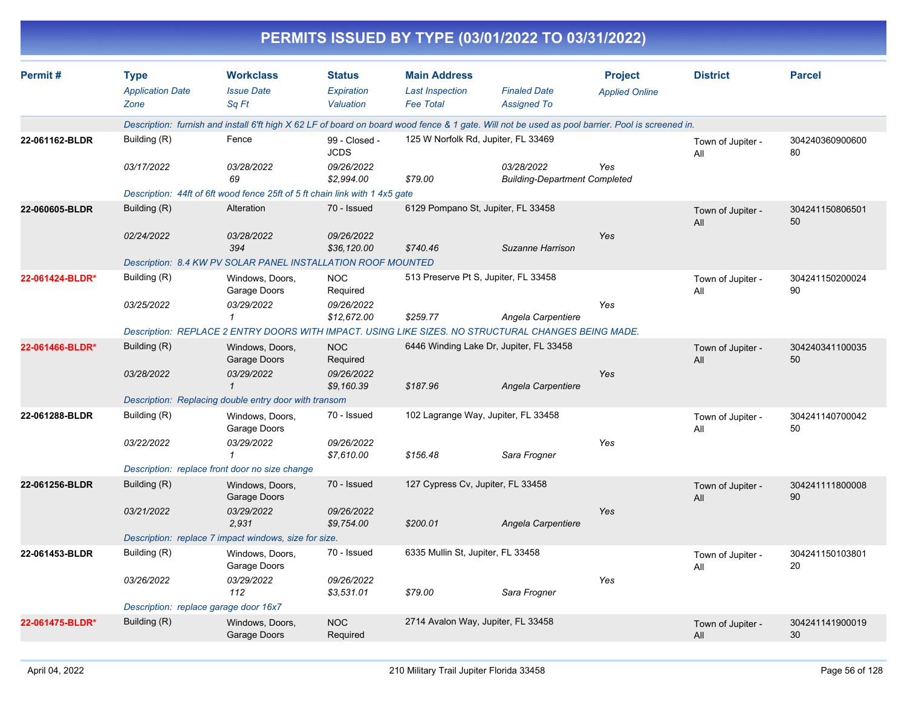|                 |                                       |                                                                                                                                                  |                              |                                      | PERMITS ISSUED BY TYPE (03/01/2022 TO 03/31/2022)  |                       |                          |                       |
|-----------------|---------------------------------------|--------------------------------------------------------------------------------------------------------------------------------------------------|------------------------------|--------------------------------------|----------------------------------------------------|-----------------------|--------------------------|-----------------------|
| Permit#         | <b>Type</b>                           | <b>Workclass</b>                                                                                                                                 | <b>Status</b>                | <b>Main Address</b>                  |                                                    | <b>Project</b>        | <b>District</b>          | <b>Parcel</b>         |
|                 | <b>Application Date</b>               | <b>Issue Date</b>                                                                                                                                | Expiration                   | <b>Last Inspection</b>               | <b>Finaled Date</b>                                | <b>Applied Online</b> |                          |                       |
|                 | Zone                                  | Sq Ft                                                                                                                                            | Valuation                    | <b>Fee Total</b>                     | <b>Assigned To</b>                                 |                       |                          |                       |
|                 |                                       | Description: furnish and install 6'ft high X 62 LF of board on board wood fence & 1 gate. Will not be used as pool barrier. Pool is screened in. |                              |                                      |                                                    |                       |                          |                       |
| 22-061162-BLDR  | Building (R)                          | Fence                                                                                                                                            | 99 - Closed -<br><b>JCDS</b> | 125 W Norfolk Rd, Jupiter, FL 33469  |                                                    |                       | Town of Jupiter -<br>All | 304240360900600<br>80 |
|                 | 03/17/2022                            | 03/28/2022<br>69                                                                                                                                 | 09/26/2022<br>\$2,994.00     | \$79.00                              | 03/28/2022<br><b>Building-Department Completed</b> | Yes                   |                          |                       |
|                 |                                       | Description: 44ft of 6ft wood fence 25ft of 5 ft chain link with 1 4x5 gate                                                                      |                              |                                      |                                                    |                       |                          |                       |
| 22-060605-BLDR  | Building (R)                          | Alteration                                                                                                                                       | 70 - Issued                  | 6129 Pompano St, Jupiter, FL 33458   |                                                    |                       | Town of Jupiter -<br>All | 304241150806501<br>50 |
|                 | 02/24/2022                            | 03/28/2022<br>394                                                                                                                                | 09/26/2022<br>\$36,120.00    | \$740.46                             | Suzanne Harrison                                   | Yes                   |                          |                       |
|                 |                                       | Description: 8.4 KW PV SOLAR PANEL INSTALLATION ROOF MOUNTED                                                                                     |                              |                                      |                                                    |                       |                          |                       |
| 22-061424-BLDR* | Building (R)                          | Windows, Doors,<br>Garage Doors                                                                                                                  | <b>NOC</b><br>Required       | 513 Preserve Pt S, Jupiter, FL 33458 |                                                    |                       | Town of Jupiter -<br>All | 304241150200024<br>90 |
|                 | 03/25/2022                            | 03/29/2022<br>1                                                                                                                                  | 09/26/2022<br>\$12,672.00    | \$259.77                             | Angela Carpentiere                                 | Yes                   |                          |                       |
|                 |                                       | Description: REPLACE 2 ENTRY DOORS WITH IMPACT. USING LIKE SIZES. NO STRUCTURAL CHANGES BEING MADE.                                              |                              |                                      |                                                    |                       |                          |                       |
| 22-061466-BLDR* | Building (R)                          | Windows, Doors,<br>Garage Doors                                                                                                                  | <b>NOC</b><br>Required       |                                      | 6446 Winding Lake Dr, Jupiter, FL 33458            |                       | Town of Jupiter -<br>All | 304240341100035<br>50 |
|                 | 03/28/2022                            | 03/29/2022<br>$\mathbf{\overline{1}}$                                                                                                            | 09/26/2022<br>\$9,160.39     | \$187.96                             | Angela Carpentiere                                 | Yes                   |                          |                       |
|                 |                                       | Description: Replacing double entry door with transom                                                                                            |                              |                                      |                                                    |                       |                          |                       |
| 22-061288-BLDR  | Building (R)                          | Windows, Doors,<br>Garage Doors                                                                                                                  | 70 - Issued                  | 102 Lagrange Way, Jupiter, FL 33458  |                                                    |                       | Town of Jupiter -<br>All | 304241140700042<br>50 |
|                 | 03/22/2022                            | 03/29/2022<br>1                                                                                                                                  | 09/26/2022<br>\$7,610.00     | \$156.48                             | Sara Frogner                                       | Yes                   |                          |                       |
|                 |                                       | Description: replace front door no size change                                                                                                   |                              |                                      |                                                    |                       |                          |                       |
| 22-061256-BLDR  | Building (R)                          | Windows, Doors,<br>Garage Doors                                                                                                                  | 70 - Issued                  | 127 Cypress Cv, Jupiter, FL 33458    |                                                    |                       | Town of Jupiter -<br>All | 304241111800008<br>90 |
|                 | 03/21/2022                            | 03/29/2022<br>2,931                                                                                                                              | 09/26/2022<br>\$9,754.00     | \$200.01                             | Angela Carpentiere                                 | Yes                   |                          |                       |
|                 |                                       | Description: replace 7 impact windows, size for size.                                                                                            |                              |                                      |                                                    |                       |                          |                       |
| 22-061453-BLDR  | Building (R)                          | Windows, Doors,<br>Garage Doors                                                                                                                  | 70 - Issued                  | 6335 Mullin St, Jupiter, FL 33458    |                                                    |                       | Town of Jupiter -<br>All | 304241150103801<br>20 |
|                 | 03/26/2022                            | 03/29/2022<br>112                                                                                                                                | 09/26/2022<br>\$3,531.01     | \$79.00                              | Sara Frogner                                       | Yes                   |                          |                       |
|                 | Description: replace garage door 16x7 |                                                                                                                                                  |                              |                                      |                                                    |                       |                          |                       |
| 22-061475-BLDR* | Building (R)                          | Windows, Doors,<br>Garage Doors                                                                                                                  | <b>NOC</b><br>Required       | 2714 Avalon Way, Jupiter, FL 33458   |                                                    |                       | Town of Jupiter -<br>All | 304241141900019<br>30 |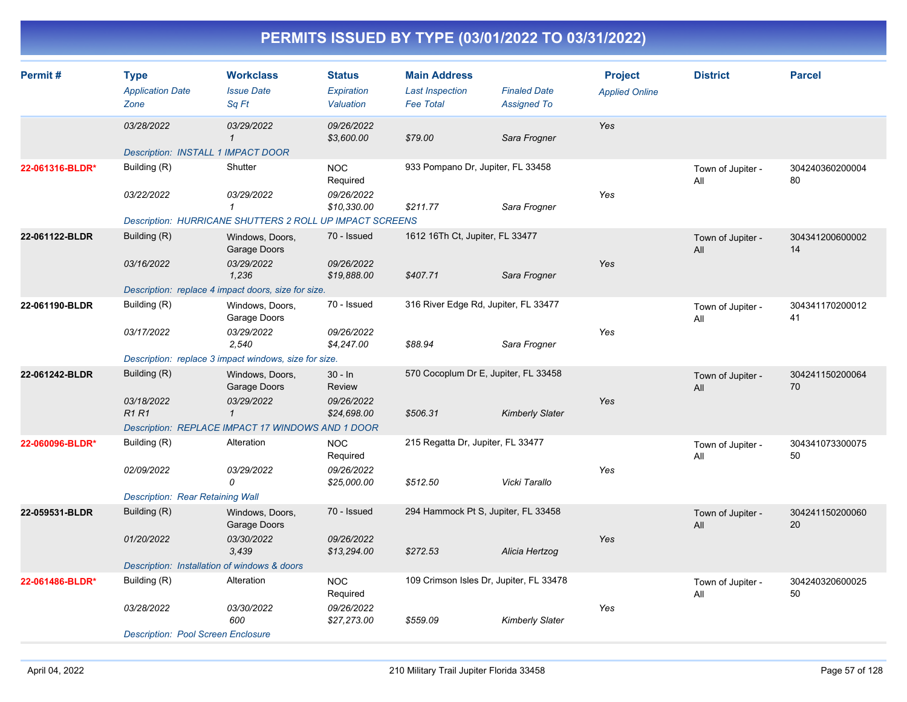| Permit#         | <b>Type</b><br><b>Application Date</b>       | <b>Workclass</b><br><b>Issue Date</b>                           | <b>Status</b><br>Expiration | <b>Main Address</b><br><b>Last Inspection</b> | <b>Finaled Date</b>    | <b>Project</b><br><b>Applied Online</b> | <b>District</b>          | <b>Parcel</b>         |
|-----------------|----------------------------------------------|-----------------------------------------------------------------|-----------------------------|-----------------------------------------------|------------------------|-----------------------------------------|--------------------------|-----------------------|
|                 | Zone                                         | Sq Ft                                                           | Valuation                   | <b>Fee Total</b>                              | <b>Assigned To</b>     |                                         |                          |                       |
|                 | 03/28/2022                                   | 03/29/2022<br>$\mathbf{1}$                                      | 09/26/2022<br>\$3,600.00    | \$79.00                                       | Sara Frogner           | Yes                                     |                          |                       |
|                 | <b>Description: INSTALL 1 IMPACT DOOR</b>    |                                                                 |                             |                                               |                        |                                         |                          |                       |
| 22-061316-BLDR* | Building (R)                                 | Shutter                                                         | <b>NOC</b><br>Required      | 933 Pompano Dr, Jupiter, FL 33458             |                        |                                         | Town of Jupiter -<br>All | 304240360200004<br>80 |
|                 | 03/22/2022                                   | 03/29/2022<br>$\mathcal I$                                      | 09/26/2022<br>\$10,330.00   | \$211.77                                      | Sara Frogner           | Yes                                     |                          |                       |
|                 |                                              | <b>Description: HURRICANE SHUTTERS 2 ROLL UP IMPACT SCREENS</b> |                             |                                               |                        |                                         |                          |                       |
| 22-061122-BLDR  | Building (R)                                 | Windows, Doors,<br>Garage Doors                                 | 70 - Issued                 | 1612 16Th Ct, Jupiter, FL 33477               |                        |                                         | Town of Jupiter -<br>All | 304341200600002<br>14 |
|                 | 03/16/2022                                   | 03/29/2022<br>1,236                                             | 09/26/2022<br>\$19,888.00   | \$407.71                                      | Sara Frogner           | Yes                                     |                          |                       |
|                 |                                              | Description: replace 4 impact doors, size for size.             |                             |                                               |                        |                                         |                          |                       |
| 22-061190-BLDR  | Building (R)                                 | Windows, Doors,<br>Garage Doors                                 | 70 - Issued                 | 316 River Edge Rd, Jupiter, FL 33477          |                        |                                         | Town of Jupiter -<br>All | 304341170200012<br>41 |
|                 | 03/17/2022                                   | 03/29/2022<br>2,540                                             | 09/26/2022<br>\$4,247.00    | \$88.94                                       | Sara Frogner           | Yes                                     |                          |                       |
|                 |                                              | Description: replace 3 impact windows, size for size.           |                             |                                               |                        |                                         |                          |                       |
| 22-061242-BLDR  | Building (R)                                 | Windows, Doors,<br>Garage Doors                                 | $30 - ln$<br>Review         | 570 Cocoplum Dr E, Jupiter, FL 33458          |                        |                                         | Town of Jupiter -<br>All | 304241150200064<br>70 |
|                 | 03/18/2022<br><b>R1R1</b>                    | 03/29/2022<br>$\mathcal I$                                      | 09/26/2022<br>\$24,698.00   | \$506.31                                      | <b>Kimberly Slater</b> | Yes                                     |                          |                       |
|                 |                                              | Description: REPLACE IMPACT 17 WINDOWS AND 1 DOOR               |                             |                                               |                        |                                         |                          |                       |
| 22-060096-BLDR* | Building (R)                                 | Alteration                                                      | <b>NOC</b><br>Required      | 215 Regatta Dr, Jupiter, FL 33477             |                        |                                         | Town of Jupiter -<br>All | 304341073300075<br>50 |
|                 | 02/09/2022                                   | 03/29/2022<br>0                                                 | 09/26/2022<br>\$25,000.00   | \$512.50                                      | Vicki Tarallo          | Yes                                     |                          |                       |
|                 | Description: Rear Retaining Wall             |                                                                 |                             |                                               |                        |                                         |                          |                       |
| 22-059531-BLDR  | Building (R)                                 | Windows, Doors,<br>Garage Doors                                 | 70 - Issued                 | 294 Hammock Pt S, Jupiter, FL 33458           |                        |                                         | Town of Jupiter -<br>All | 304241150200060<br>20 |
|                 | 01/20/2022                                   | 03/30/2022<br>3,439                                             | 09/26/2022<br>\$13,294.00   | \$272.53                                      | Alicia Hertzog         | Yes                                     |                          |                       |
|                 | Description: Installation of windows & doors |                                                                 |                             |                                               |                        |                                         |                          |                       |
| 22-061486-BLDR* | Building (R)                                 | Alteration                                                      | <b>NOC</b><br>Required      | 109 Crimson Isles Dr, Jupiter, FL 33478       |                        |                                         | Town of Jupiter -<br>All | 304240320600025<br>50 |
|                 | 03/28/2022                                   | 03/30/2022<br>600                                               | 09/26/2022<br>\$27,273.00   | \$559.09                                      | <b>Kimberly Slater</b> | Yes                                     |                          |                       |
|                 | <b>Description: Pool Screen Enclosure</b>    |                                                                 |                             |                                               |                        |                                         |                          |                       |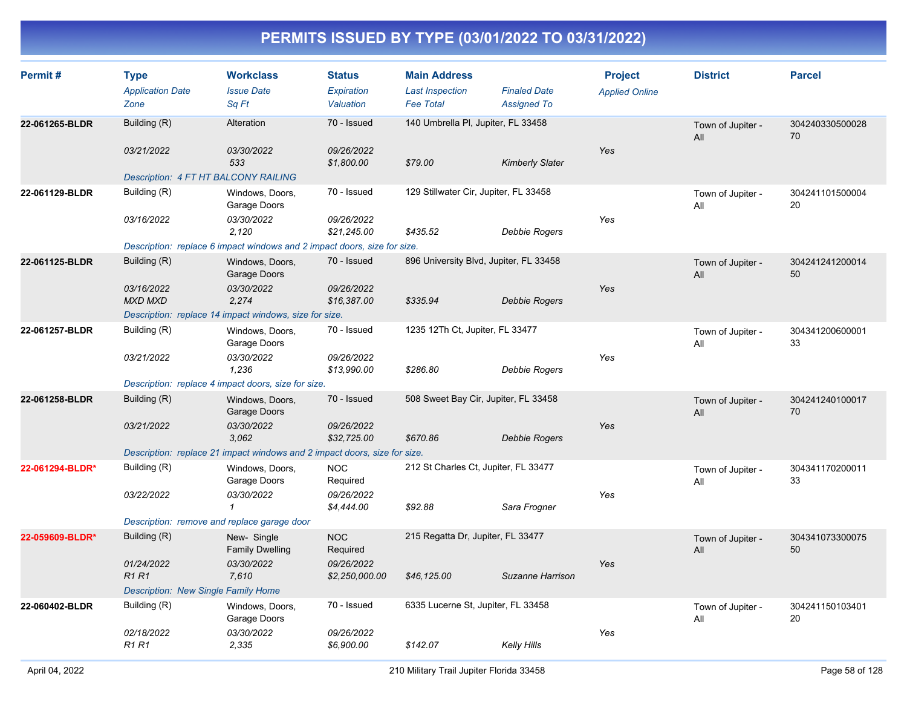| Permit#         | <b>Type</b><br><b>Application Date</b><br>Zone | <b>Workclass</b><br><b>Issue Date</b><br>Sa Ft                            | <b>Status</b><br><b>Expiration</b><br>Valuation | <b>Main Address</b><br><b>Last Inspection</b><br><b>Fee Total</b> | <b>Finaled Date</b><br><b>Assigned To</b> | <b>Project</b><br><b>Applied Online</b> | <b>District</b>          | <b>Parcel</b>         |
|-----------------|------------------------------------------------|---------------------------------------------------------------------------|-------------------------------------------------|-------------------------------------------------------------------|-------------------------------------------|-----------------------------------------|--------------------------|-----------------------|
| 22-061265-BLDR  | Building (R)<br>03/21/2022                     | Alteration<br>03/30/2022                                                  | 70 - Issued<br>09/26/2022                       | 140 Umbrella PI, Jupiter, FL 33458                                |                                           | Yes                                     | Town of Jupiter -<br>All | 304240330500028<br>70 |
|                 | <b>Description: 4 FT HT BALCONY RAILING</b>    | 533                                                                       | \$1,800.00                                      | \$79.00                                                           | <b>Kimberly Slater</b>                    |                                         |                          |                       |
| 22-061129-BLDR  | Building (R)                                   | Windows, Doors,<br>Garage Doors                                           | 70 - Issued                                     | 129 Stillwater Cir, Jupiter, FL 33458                             |                                           |                                         | Town of Jupiter -<br>All | 304241101500004<br>20 |
|                 | 03/16/2022                                     | 03/30/2022<br>2,120                                                       | 09/26/2022<br>\$21,245.00                       | \$435.52                                                          | Debbie Rogers                             | Yes                                     |                          |                       |
|                 |                                                | Description: replace 6 impact windows and 2 impact doors, size for size.  |                                                 |                                                                   |                                           |                                         |                          |                       |
| 22-061125-BLDR  | Building (R)                                   | Windows, Doors,<br>Garage Doors                                           | 70 - Issued                                     | 896 University Blvd, Jupiter, FL 33458                            |                                           |                                         | Town of Jupiter -<br>All | 304241241200014<br>50 |
|                 | 03/16/2022<br><b>MXD MXD</b>                   | 03/30/2022<br>2.274                                                       | 09/26/2022<br>\$16,387.00                       | \$335.94                                                          | Debbie Rogers                             | Yes                                     |                          |                       |
|                 |                                                | Description: replace 14 impact windows, size for size.                    |                                                 |                                                                   |                                           |                                         |                          |                       |
| 22-061257-BLDR  | Building (R)                                   | Windows, Doors,<br>Garage Doors                                           | 70 - Issued                                     | 1235 12Th Ct, Jupiter, FL 33477                                   |                                           |                                         | Town of Jupiter -<br>All | 304341200600001<br>33 |
|                 | 03/21/2022                                     | 03/30/2022<br>1,236                                                       | 09/26/2022<br>\$13,990.00                       | \$286.80                                                          | Debbie Rogers                             | Yes                                     |                          |                       |
|                 |                                                | Description: replace 4 impact doors, size for size.                       |                                                 |                                                                   |                                           |                                         |                          |                       |
| 22-061258-BLDR  | Building (R)                                   | Windows, Doors,<br>Garage Doors                                           | 70 - Issued                                     | 508 Sweet Bay Cir, Jupiter, FL 33458                              |                                           |                                         | Town of Jupiter -<br>All | 304241240100017<br>70 |
|                 | 03/21/2022                                     | 03/30/2022<br>3,062                                                       | 09/26/2022<br>\$32,725.00                       | \$670.86                                                          | <b>Debbie Rogers</b>                      | Yes                                     |                          |                       |
|                 |                                                | Description: replace 21 impact windows and 2 impact doors, size for size. |                                                 |                                                                   |                                           |                                         |                          |                       |
| 22-061294-BLDR* | Building (R)                                   | Windows, Doors,<br>Garage Doors                                           | <b>NOC</b><br>Required                          | 212 St Charles Ct, Jupiter, FL 33477                              |                                           |                                         | Town of Jupiter -<br>All | 304341170200011<br>33 |
|                 | 03/22/2022                                     | 03/30/2022<br>$\mathbf{1}$                                                | 09/26/2022<br>\$4,444.00                        | \$92.88                                                           | Sara Frogner                              | Yes                                     |                          |                       |
|                 | Description: remove and replace garage door    |                                                                           |                                                 |                                                                   |                                           |                                         |                          |                       |
| 22-059609-BLDR* | Building (R)                                   | New-Single<br><b>Family Dwelling</b>                                      | <b>NOC</b><br>Required                          | 215 Regatta Dr, Jupiter, FL 33477                                 |                                           |                                         | Town of Jupiter -<br>All | 304341073300075<br>50 |
|                 | 01/24/2022<br><b>R1R1</b>                      | 03/30/2022<br>7,610                                                       | 09/26/2022<br>\$2,250,000.00                    | \$46,125.00                                                       | Suzanne Harrison                          | Yes                                     |                          |                       |
|                 | Description: New Single Family Home            |                                                                           |                                                 |                                                                   |                                           |                                         |                          |                       |
| 22-060402-BLDR  | Building (R)                                   | Windows, Doors,<br>Garage Doors                                           | 70 - Issued                                     | 6335 Lucerne St, Jupiter, FL 33458                                |                                           |                                         | Town of Jupiter -<br>All | 304241150103401<br>20 |
|                 | 02/18/2022<br><b>R1 R1</b>                     | 03/30/2022<br>2.335                                                       | 09/26/2022<br>\$6,900.00                        | \$142.07                                                          | Kelly Hills                               | Yes                                     |                          |                       |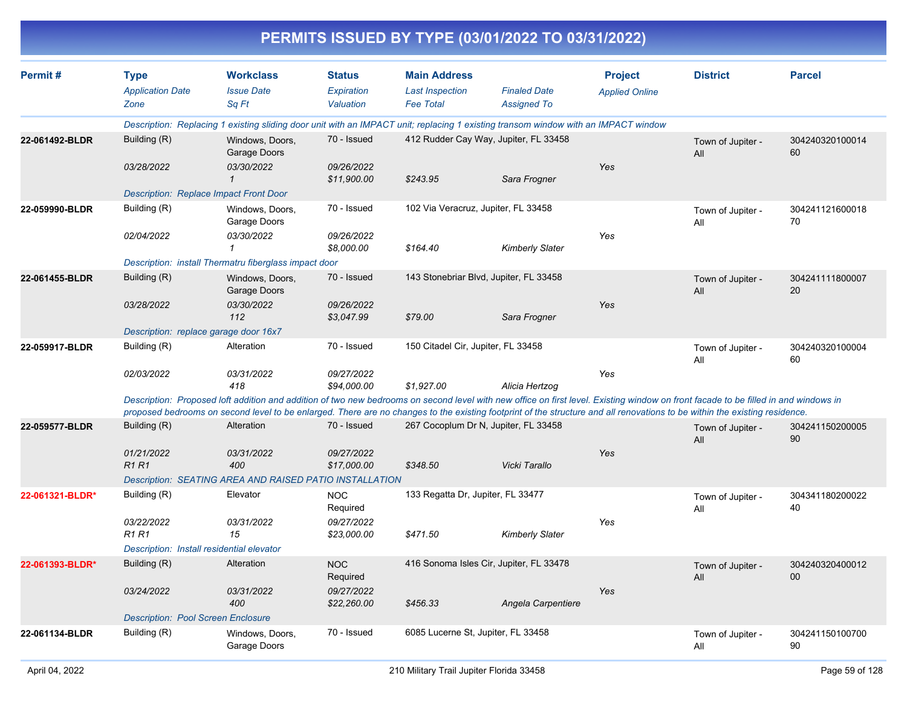|                 |                                                |                                                                                                                                                                                                                                                                                                                                                                   |                                          |                                                                   | PERMITS ISSUED BY TYPE (03/01/2022 TO 03/31/2022) |                                         |                          |                           |
|-----------------|------------------------------------------------|-------------------------------------------------------------------------------------------------------------------------------------------------------------------------------------------------------------------------------------------------------------------------------------------------------------------------------------------------------------------|------------------------------------------|-------------------------------------------------------------------|---------------------------------------------------|-----------------------------------------|--------------------------|---------------------------|
| Permit#         | <b>Type</b><br><b>Application Date</b><br>Zone | <b>Workclass</b><br><b>Issue Date</b><br>Sq Ft                                                                                                                                                                                                                                                                                                                    | <b>Status</b><br>Expiration<br>Valuation | <b>Main Address</b><br><b>Last Inspection</b><br><b>Fee Total</b> | <b>Finaled Date</b><br><b>Assigned To</b>         | <b>Project</b><br><b>Applied Online</b> | <b>District</b>          | <b>Parcel</b>             |
|                 |                                                | Description: Replacing 1 existing sliding door unit with an IMPACT unit; replacing 1 existing transom window with an IMPACT window                                                                                                                                                                                                                                |                                          |                                                                   |                                                   |                                         |                          |                           |
| 22-061492-BLDR  | Building (R)                                   | Windows, Doors,<br>Garage Doors                                                                                                                                                                                                                                                                                                                                   | 70 - Issued                              | 412 Rudder Cay Way, Jupiter, FL 33458                             |                                                   |                                         | Town of Jupiter -<br>All | 304240320100014<br>60     |
|                 | 03/28/2022                                     | 03/30/2022<br>$\mathcal I$                                                                                                                                                                                                                                                                                                                                        | 09/26/2022<br>\$11,900.00                | \$243.95                                                          | Sara Frogner                                      | Yes                                     |                          |                           |
|                 | <b>Description: Replace Impact Front Door</b>  |                                                                                                                                                                                                                                                                                                                                                                   |                                          |                                                                   |                                                   |                                         |                          |                           |
| 22-059990-BLDR  | Building (R)                                   | Windows, Doors,<br>Garage Doors                                                                                                                                                                                                                                                                                                                                   | 70 - Issued                              | 102 Via Veracruz, Jupiter, FL 33458                               |                                                   |                                         | Town of Jupiter -<br>All | 304241121600018<br>70     |
|                 | 02/04/2022                                     | 03/30/2022<br>1                                                                                                                                                                                                                                                                                                                                                   | 09/26/2022<br>\$8,000.00                 | \$164.40                                                          | <b>Kimberly Slater</b>                            | Yes                                     |                          |                           |
|                 |                                                | Description: install Thermatru fiberglass impact door                                                                                                                                                                                                                                                                                                             |                                          |                                                                   |                                                   |                                         |                          |                           |
| 22-061455-BLDR  | Building (R)                                   | Windows, Doors,<br>Garage Doors                                                                                                                                                                                                                                                                                                                                   | 70 - Issued                              | 143 Stonebriar Blvd, Jupiter, FL 33458                            |                                                   |                                         | Town of Jupiter -<br>All | 304241111800007<br>20     |
|                 | 03/28/2022                                     | 03/30/2022<br>112                                                                                                                                                                                                                                                                                                                                                 | 09/26/2022<br>\$3,047.99                 | \$79.00                                                           | Sara Frogner                                      | Yes                                     |                          |                           |
|                 | Description: replace garage door 16x7          |                                                                                                                                                                                                                                                                                                                                                                   |                                          |                                                                   |                                                   |                                         |                          |                           |
| 22-059917-BLDR  | Building (R)                                   | Alteration                                                                                                                                                                                                                                                                                                                                                        | 70 - Issued                              | 150 Citadel Cir, Jupiter, FL 33458                                |                                                   |                                         | Town of Jupiter -<br>All | 304240320100004<br>60     |
|                 | 02/03/2022                                     | 03/31/2022<br>418                                                                                                                                                                                                                                                                                                                                                 | 09/27/2022<br>\$94,000.00                | \$1,927.00                                                        | Alicia Hertzog                                    | Yes                                     |                          |                           |
|                 |                                                | Description: Proposed loft addition and addition of two new bedrooms on second level with new office on first level. Existing window on front facade to be filled in and windows in<br>proposed bedrooms on second level to be enlarged. There are no changes to the existing footprint of the structure and all renovations to be within the existing residence. |                                          |                                                                   |                                                   |                                         |                          |                           |
| 22-059577-BLDR  | Building (R)                                   | Alteration                                                                                                                                                                                                                                                                                                                                                        | 70 - Issued                              | 267 Cocoplum Dr N, Jupiter, FL 33458                              |                                                   |                                         | Town of Jupiter -<br>All | 304241150200005<br>90     |
|                 | 01/21/2022<br><b>R1R1</b>                      | 03/31/2022<br>400                                                                                                                                                                                                                                                                                                                                                 | 09/27/2022<br>\$17,000.00                | \$348.50                                                          | Vicki Tarallo                                     | Yes                                     |                          |                           |
|                 |                                                | Description: SEATING AREA AND RAISED PATIO INSTALLATION                                                                                                                                                                                                                                                                                                           |                                          |                                                                   |                                                   |                                         |                          |                           |
| 22-061321-BLDR* | Building (R)                                   | Elevator                                                                                                                                                                                                                                                                                                                                                          | <b>NOC</b><br>Required                   | 133 Regatta Dr, Jupiter, FL 33477                                 |                                                   |                                         | Town of Jupiter -<br>All | 304341180200022<br>40     |
|                 | 03/22/2022<br><b>R1 R1</b>                     | 03/31/2022<br>15                                                                                                                                                                                                                                                                                                                                                  | 09/27/2022<br>\$23,000.00                | \$471.50                                                          | <b>Kimberly Slater</b>                            | Yes                                     |                          |                           |
|                 | Description: Install residential elevator      |                                                                                                                                                                                                                                                                                                                                                                   |                                          |                                                                   |                                                   |                                         |                          |                           |
| 22-061393-BLDR* | Building (R)                                   | Alteration                                                                                                                                                                                                                                                                                                                                                        | <b>NOC</b><br>Required                   | 416 Sonoma Isles Cir, Jupiter, FL 33478                           |                                                   |                                         | Town of Jupiter -<br>All | 304240320400012<br>$00\,$ |
|                 | 03/24/2022                                     | 03/31/2022<br>400                                                                                                                                                                                                                                                                                                                                                 | 09/27/2022<br>\$22,260.00                | \$456.33                                                          | Angela Carpentiere                                | Yes                                     |                          |                           |
|                 | <b>Description: Pool Screen Enclosure</b>      |                                                                                                                                                                                                                                                                                                                                                                   |                                          |                                                                   |                                                   |                                         |                          |                           |
| 22-061134-BLDR  | Building (R)                                   | Windows, Doors,<br>Garage Doors                                                                                                                                                                                                                                                                                                                                   | 70 - Issued                              | 6085 Lucerne St, Jupiter, FL 33458                                |                                                   |                                         | Town of Jupiter -<br>All | 304241150100700<br>90     |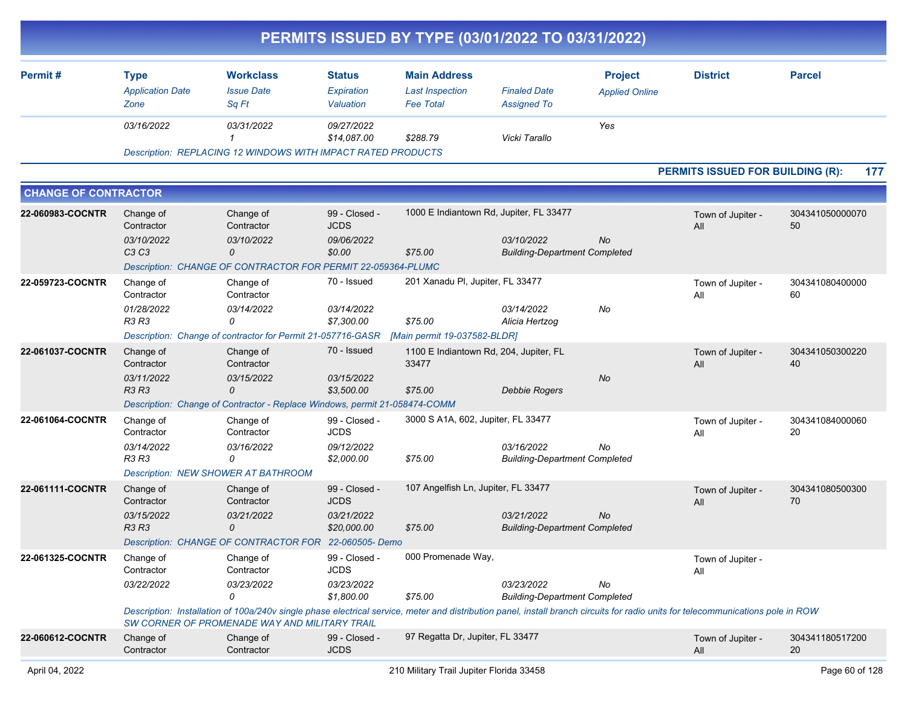|                             |                                             |                                                                                                                                                                                                                                   |                              |                                                 | PERMITS ISSUED BY TYPE (03/01/2022 TO 03/31/2022)  |                                         |                                         |                       |
|-----------------------------|---------------------------------------------|-----------------------------------------------------------------------------------------------------------------------------------------------------------------------------------------------------------------------------------|------------------------------|-------------------------------------------------|----------------------------------------------------|-----------------------------------------|-----------------------------------------|-----------------------|
| Permit#                     | <b>Type</b><br><b>Application Date</b>      | <b>Workclass</b><br><b>Issue Date</b>                                                                                                                                                                                             | <b>Status</b><br>Expiration  | <b>Main Address</b><br><b>Last Inspection</b>   | <b>Finaled Date</b>                                | <b>Project</b><br><b>Applied Online</b> | <b>District</b>                         | <b>Parcel</b>         |
|                             | Zone                                        | Sq Ft                                                                                                                                                                                                                             | Valuation                    | <b>Fee Total</b>                                | <b>Assigned To</b>                                 |                                         |                                         |                       |
|                             | 03/16/2022                                  | 03/31/2022                                                                                                                                                                                                                        | 09/27/2022<br>\$14,087.00    | \$288.79                                        | Vicki Tarallo                                      | Yes                                     |                                         |                       |
|                             |                                             | <b>Description: REPLACING 12 WINDOWS WITH IMPACT RATED PRODUCTS</b>                                                                                                                                                               |                              |                                                 |                                                    |                                         |                                         |                       |
|                             |                                             |                                                                                                                                                                                                                                   |                              |                                                 |                                                    |                                         | <b>PERMITS ISSUED FOR BUILDING (R):</b> | 177                   |
| <b>CHANGE OF CONTRACTOR</b> |                                             |                                                                                                                                                                                                                                   |                              |                                                 |                                                    |                                         |                                         |                       |
| 22-060983-COCNTR            | Change of<br>Contractor                     | Change of<br>Contractor                                                                                                                                                                                                           | 99 - Closed -<br><b>JCDS</b> | 1000 E Indiantown Rd, Jupiter, FL 33477         |                                                    |                                         | Town of Jupiter -<br>All                | 304341050000070<br>50 |
|                             | 03/10/2022<br>C <sub>3</sub> C <sub>3</sub> | 03/10/2022<br>0                                                                                                                                                                                                                   | 09/06/2022<br>\$0.00         | \$75.00                                         | 03/10/2022<br><b>Building-Department Completed</b> | No                                      |                                         |                       |
|                             |                                             | Description: CHANGE OF CONTRACTOR FOR PERMIT 22-059364-PLUMC                                                                                                                                                                      |                              |                                                 |                                                    |                                         |                                         |                       |
| 22-059723-COCNTR            | Change of<br>Contractor                     | Change of<br>Contractor                                                                                                                                                                                                           | 70 - Issued                  | 201 Xanadu Pl, Jupiter, FL 33477                |                                                    |                                         | Town of Jupiter -<br>All                | 304341080400000<br>60 |
|                             | 01/28/2022<br><b>R3 R3</b>                  | 03/14/2022<br>0                                                                                                                                                                                                                   | 03/14/2022<br>\$7,300.00     | \$75.00                                         | 03/14/2022<br>Alicia Hertzog                       | No                                      |                                         |                       |
|                             |                                             | Description: Change of contractor for Permit 21-057716-GASR                                                                                                                                                                       |                              | [Main permit 19-037582-BLDR]                    |                                                    |                                         |                                         |                       |
| 22-061037-COCNTR            | Change of<br>Contractor                     | Change of<br>Contractor                                                                                                                                                                                                           | 70 - Issued                  | 1100 E Indiantown Rd, 204, Jupiter, FL<br>33477 |                                                    |                                         | Town of Jupiter -<br>All                | 304341050300220<br>40 |
|                             | 03/11/2022<br><b>R3 R3</b>                  | 03/15/2022<br>0                                                                                                                                                                                                                   | 03/15/2022<br>\$3,500.00     | \$75.00                                         | <b>Debbie Rogers</b>                               | No                                      |                                         |                       |
|                             |                                             | Description: Change of Contractor - Replace Windows, permit 21-058474-COMM                                                                                                                                                        |                              |                                                 |                                                    |                                         |                                         |                       |
| 22-061064-COCNTR            | Change of<br>Contractor                     | Change of<br>Contractor                                                                                                                                                                                                           | 99 - Closed -<br><b>JCDS</b> | 3000 S A1A, 602, Jupiter, FL 33477              |                                                    |                                         | Town of Jupiter -<br>All                | 304341084000060<br>20 |
|                             | 03/14/2022<br><b>R3 R3</b>                  | 03/16/2022<br>0                                                                                                                                                                                                                   | 09/12/2022<br>\$2,000.00     | \$75.00                                         | 03/16/2022<br><b>Building-Department Completed</b> | No                                      |                                         |                       |
|                             |                                             | <b>Description: NEW SHOWER AT BATHROOM</b>                                                                                                                                                                                        |                              |                                                 |                                                    |                                         |                                         |                       |
| 22-061111-COCNTR            | Change of<br>Contractor                     | Change of<br>Contractor                                                                                                                                                                                                           | 99 - Closed -<br><b>JCDS</b> | 107 Angelfish Ln, Jupiter, FL 33477             |                                                    |                                         | Town of Jupiter -<br>All                | 304341080500300<br>70 |
|                             | 03/15/2022<br><b>R3 R3</b>                  | 03/21/2022<br>0                                                                                                                                                                                                                   | 03/21/2022<br>\$20,000.00    | \$75.00                                         | 03/21/2022<br><b>Building-Department Completed</b> | No                                      |                                         |                       |
|                             |                                             | Description: CHANGE OF CONTRACTOR FOR 22-060505- Demo                                                                                                                                                                             |                              |                                                 |                                                    |                                         |                                         |                       |
| 22-061325-COCNTR            | Change of<br>Contractor                     | Change of<br>Contractor                                                                                                                                                                                                           | 99 - Closed -<br><b>JCDS</b> | 000 Promenade Way,                              |                                                    |                                         | Town of Jupiter -<br>All                |                       |
|                             | 03/22/2022                                  | 03/23/2022<br>0                                                                                                                                                                                                                   | 03/23/2022<br>\$1,800.00     | \$75.00                                         | 03/23/2022<br><b>Building-Department Completed</b> | No                                      |                                         |                       |
|                             |                                             | Description: Installation of 100a/240v single phase electrical service, meter and distribution panel, install branch circuits for radio units for telecommunications pole in ROW<br>SW CORNER OF PROMENADE WAY AND MILITARY TRAIL |                              |                                                 |                                                    |                                         |                                         |                       |
| 22-060612-COCNTR            | Change of<br>Contractor                     | Change of<br>Contractor                                                                                                                                                                                                           | 99 - Closed -<br><b>JCDS</b> | 97 Regatta Dr, Jupiter, FL 33477                |                                                    |                                         | Town of Jupiter -<br>All                | 304341180517200<br>20 |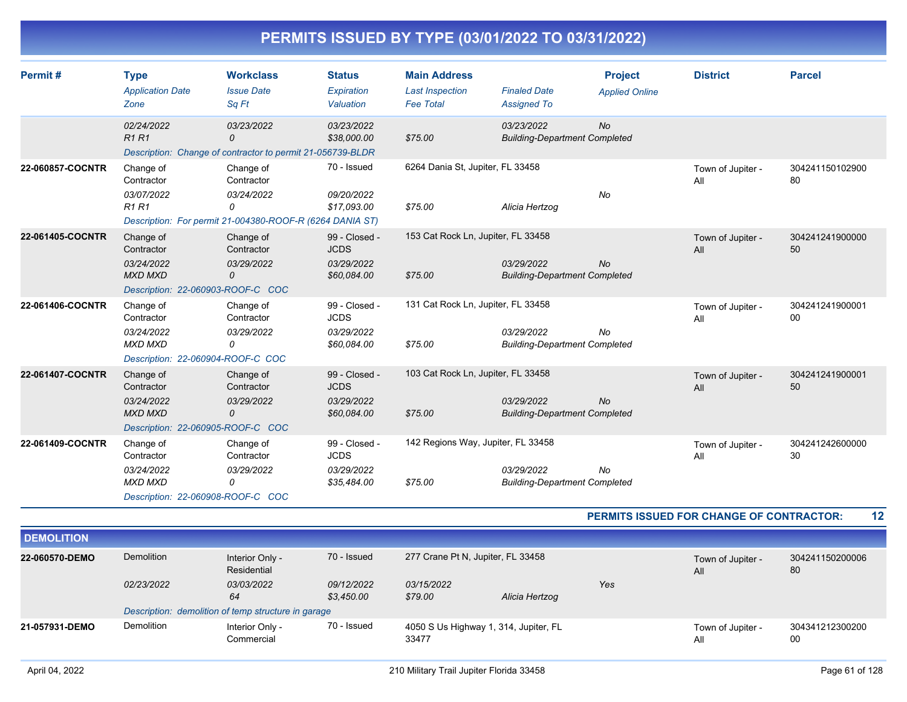| Permit#          | <b>Type</b><br><b>Application Date</b><br>Zone                                               | <b>Workclass</b><br><b>Issue Date</b><br>Sa Ft                                                         | <b>Status</b><br>Expiration<br>Valuation                  | <b>Main Address</b><br><b>Last Inspection</b><br><b>Fee Total</b> | <b>Finaled Date</b><br><b>Assigned To</b>          | <b>Project</b><br><b>Applied Online</b> | <b>District</b>          | <b>Parcel</b>         |
|------------------|----------------------------------------------------------------------------------------------|--------------------------------------------------------------------------------------------------------|-----------------------------------------------------------|-------------------------------------------------------------------|----------------------------------------------------|-----------------------------------------|--------------------------|-----------------------|
|                  | 02/24/2022<br>R1R1                                                                           | 03/23/2022<br>$\Omega$<br>Description: Change of contractor to permit 21-056739-BLDR                   | 03/23/2022<br>\$38,000.00                                 | \$75.00                                                           | 03/23/2022<br><b>Building-Department Completed</b> | <b>No</b>                               |                          |                       |
| 22-060857-COCNTR | Change of<br>Contractor<br>03/07/2022<br><b>R1R1</b>                                         | Change of<br>Contractor<br>03/24/2022<br>0<br>Description: For permit 21-004380-ROOF-R (6264 DANIA ST) | 70 - Issued<br>09/20/2022<br>\$17.093.00                  | 6264 Dania St, Jupiter, FL 33458<br>\$75.00                       | Alicia Hertzog                                     | No                                      | Town of Jupiter -<br>All | 304241150102900<br>80 |
| 22-061405-COCNTR | Change of<br>Contractor<br>03/24/2022<br><b>MXD MXD</b><br>Description: 22-060903-ROOF-C COC | Change of<br>Contractor<br>03/29/2022<br>0                                                             | 99 - Closed -<br><b>JCDS</b><br>03/29/2022<br>\$60,084.00 | 153 Cat Rock Ln, Jupiter, FL 33458<br>\$75.00                     | 03/29/2022<br><b>Building-Department Completed</b> | <b>No</b>                               | Town of Jupiter -<br>All | 304241241900000<br>50 |
| 22-061406-COCNTR | Change of<br>Contractor<br>03/24/2022<br><b>MXD MXD</b><br>Description: 22-060904-ROOF-C COC | Change of<br>Contractor<br>03/29/2022<br>0                                                             | 99 - Closed -<br><b>JCDS</b><br>03/29/2022<br>\$60,084.00 | 131 Cat Rock Ln, Jupiter, FL 33458<br>\$75.00                     | 03/29/2022<br><b>Building-Department Completed</b> | <b>No</b>                               | Town of Jupiter -<br>All | 304241241900001<br>00 |
| 22-061407-COCNTR | Change of<br>Contractor<br>03/24/2022<br><b>MXD MXD</b><br>Description: 22-060905-ROOF-C COC | Change of<br>Contractor<br>03/29/2022<br>0                                                             | 99 - Closed -<br><b>JCDS</b><br>03/29/2022<br>\$60,084.00 | 103 Cat Rock Ln, Jupiter, FL 33458<br>\$75.00                     | 03/29/2022<br><b>Building-Department Completed</b> | <b>No</b>                               | Town of Jupiter -<br>All | 304241241900001<br>50 |
| 22-061409-COCNTR | Change of<br>Contractor<br>03/24/2022<br><b>MXD MXD</b><br>Description: 22-060908-ROOF-C COC | Change of<br>Contractor<br>03/29/2022<br>0                                                             | 99 - Closed -<br><b>JCDS</b><br>03/29/2022<br>\$35,484.00 | 142 Regions Way, Jupiter, FL 33458<br>\$75.00                     | 03/29/2022<br><b>Building-Department Completed</b> | <b>No</b>                               | Town of Jupiter -<br>All | 304241242600000<br>30 |

**PERMITS ISSUED FOR CHANGE OF CONTRACTOR: 12**

| <b>DEMOLITION</b> |            |                                                     |                          |                                                |                |     |                          |                       |
|-------------------|------------|-----------------------------------------------------|--------------------------|------------------------------------------------|----------------|-----|--------------------------|-----------------------|
| 22-060570-DEMO    | Demolition | Interior Only -<br>Residential                      | 70 - Issued              | 277 Crane Pt N, Jupiter, FL 33458              |                |     | Town of Jupiter -<br>All | 304241150200006<br>80 |
|                   | 02/23/2022 | <i>03/03/2022</i><br>64                             | 09/12/2022<br>\$3,450.00 | 03/15/2022<br>\$79.00                          | Alicia Hertzog | Yes |                          |                       |
|                   |            | Description: demolition of temp structure in garage |                          |                                                |                |     |                          |                       |
| 21-057931-DEMO    | Demolition | Interior Only -<br>Commercial                       | 70 - Issued              | 4050 S Us Highway 1, 314, Jupiter, FL<br>33477 |                |     | Town of Jupiter -<br>All | 304341212300200<br>00 |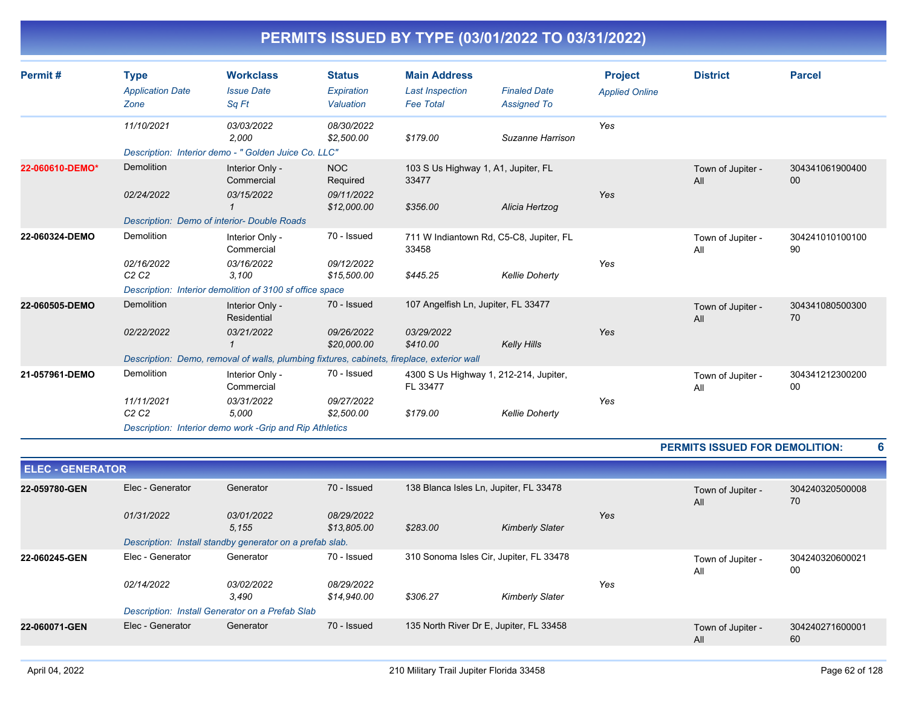| Permit#         | <b>Type</b><br><b>Application Date</b><br>Zone | <b>Workclass</b><br><b>Issue Date</b><br>Sa Ft                                             | <b>Status</b><br>Expiration<br>Valuation | <b>Main Address</b><br><b>Last Inspection</b><br><b>Fee Total</b> | <b>Finaled Date</b><br><b>Assigned To</b> | <b>Project</b><br><b>Applied Online</b> | <b>District</b>          | <b>Parcel</b>             |
|-----------------|------------------------------------------------|--------------------------------------------------------------------------------------------|------------------------------------------|-------------------------------------------------------------------|-------------------------------------------|-----------------------------------------|--------------------------|---------------------------|
|                 | 11/10/2021                                     | 03/03/2022<br>2,000<br>Description: Interior demo - " Golden Juice Co. LLC"                | 08/30/2022<br>\$2,500.00                 | \$179.00                                                          | Suzanne Harrison                          | Yes                                     |                          |                           |
| 22-060610-DEMO* | Demolition                                     | Interior Only -<br>Commercial                                                              | <b>NOC</b><br>Required                   | 103 S Us Highway 1, A1, Jupiter, FL<br>33477                      |                                           |                                         | Town of Jupiter -<br>All | 304341061900400<br>$00\,$ |
|                 | 02/24/2022                                     | 03/15/2022<br>Description: Demo of interior- Double Roads                                  | 09/11/2022<br>\$12,000.00                | \$356.00                                                          | Alicia Hertzog                            | Yes                                     |                          |                           |
| 22-060324-DEMO  | Demolition                                     | Interior Only -<br>Commercial                                                              | 70 - Issued                              | 33458                                                             | 711 W Indiantown Rd, C5-C8, Jupiter, FL   |                                         | Town of Jupiter -<br>All | 304241010100100<br>90     |
|                 | 02/16/2022<br>C2C2                             | 03/16/2022<br>3,100<br>Description: Interior demolition of 3100 sf office space            | 09/12/2022<br>\$15,500.00                | \$445.25                                                          | <b>Kellie Doherty</b>                     | Yes                                     |                          |                           |
| 22-060505-DEMO  | Demolition                                     | Interior Only -<br>Residential                                                             | 70 - Issued                              | 107 Angelfish Ln, Jupiter, FL 33477                               |                                           |                                         | Town of Jupiter -<br>All | 304341080500300<br>70     |
|                 | 02/22/2022                                     | 03/21/2022                                                                                 | 09/26/2022<br>\$20,000.00                | 03/29/2022<br>\$410.00                                            | Kelly Hills                               | Yes                                     |                          |                           |
|                 |                                                | Description: Demo, removal of walls, plumbing fixtures, cabinets, fireplace, exterior wall |                                          |                                                                   |                                           |                                         |                          |                           |
| 21-057961-DEMO  | Demolition                                     | Interior Only -<br>Commercial                                                              | 70 - Issued                              | FL 33477                                                          | 4300 S Us Highway 1, 212-214, Jupiter,    |                                         | Town of Jupiter -<br>All | 304341212300200<br>00     |
|                 | 11/11/2021<br>C2C2                             | 03/31/2022<br>5.000                                                                        | 09/27/2022<br>\$2,500.00                 | \$179.00                                                          | <b>Kellie Doherty</b>                     | Yes                                     |                          |                           |
|                 |                                                | Description: Interior demo work - Grip and Rip Athletics                                   |                                          |                                                                   |                                           |                                         |                          |                           |

### **PERMITS ISSUED FOR DEMOLITION: 6**

| <b>ELEC - GENERATOR</b> |                   |                                                          |                           |                                         |                        |     |                          |                       |
|-------------------------|-------------------|----------------------------------------------------------|---------------------------|-----------------------------------------|------------------------|-----|--------------------------|-----------------------|
| 22-059780-GEN           | Elec - Generator  | Generator                                                | 70 - Issued               | 138 Blanca Isles Ln, Jupiter, FL 33478  |                        |     | Town of Jupiter -<br>All | 304240320500008<br>70 |
|                         | 01/31/2022        | 03/01/2022<br>5,155                                      | 08/29/2022<br>\$13,805.00 | \$283.00                                | <b>Kimberly Slater</b> | Yes |                          |                       |
|                         |                   | Description: Install standby generator on a prefab slab. |                           |                                         |                        |     |                          |                       |
| 22-060245-GEN           | Elec - Generator  | Generator                                                | 70 - Issued               | 310 Sonoma Isles Cir, Jupiter, FL 33478 |                        |     | Town of Jupiter -<br>All | 304240320600021<br>00 |
|                         | <i>02/14/2022</i> | <i>03/02/2022</i>                                        | 08/29/2022                |                                         |                        | Yes |                          |                       |
|                         |                   | 3,490                                                    | \$14,940.00               | \$306.27                                | <b>Kimberly Slater</b> |     |                          |                       |
|                         |                   | Description: Install Generator on a Prefab Slab          |                           |                                         |                        |     |                          |                       |
| 22-060071-GEN           | Elec - Generator  | Generator                                                | 70 - Issued               | 135 North River Dr E, Jupiter, FL 33458 |                        |     | Town of Jupiter -<br>All | 304240271600001<br>60 |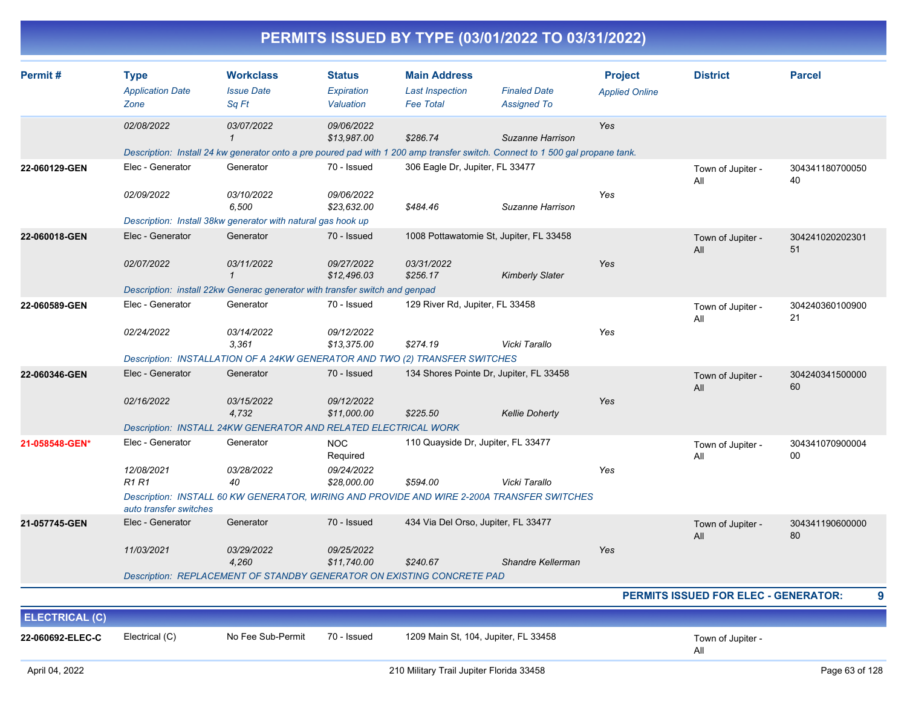|                                           |                                                                          |                                                                                                                       |                                                     |                                                                   | PERMITS ISSUED BY TYPE (03/01/2022 TO 03/31/2022)                                                                                                 |                                         |                                      |                       |
|-------------------------------------------|--------------------------------------------------------------------------|-----------------------------------------------------------------------------------------------------------------------|-----------------------------------------------------|-------------------------------------------------------------------|---------------------------------------------------------------------------------------------------------------------------------------------------|-----------------------------------------|--------------------------------------|-----------------------|
| Permit#                                   | <b>Type</b><br><b>Application Date</b><br>Zone                           | <b>Workclass</b><br><b>Issue Date</b><br>Sq Ft                                                                        | <b>Status</b><br>Expiration<br>Valuation            | <b>Main Address</b><br><b>Last Inspection</b><br><b>Fee Total</b> | <b>Finaled Date</b><br><b>Assigned To</b>                                                                                                         | <b>Project</b><br><b>Applied Online</b> | <b>District</b>                      | <b>Parcel</b>         |
|                                           | 02/08/2022                                                               | 03/07/2022                                                                                                            | 09/06/2022<br>\$13,987.00                           | \$286.74                                                          | Suzanne Harrison<br>Description: Install 24 kw generator onto a pre poured pad with 1 200 amp transfer switch. Connect to 1 500 gal propane tank. | Yes                                     |                                      |                       |
| 22-060129-GEN                             | Elec - Generator<br>02/09/2022                                           | Generator<br>03/10/2022<br>6,500<br>Description: Install 38kw generator with natural gas hook up                      | 70 - Issued<br>09/06/2022<br>\$23,632.00            | 306 Eagle Dr, Jupiter, FL 33477<br>\$484.46                       | Suzanne Harrison                                                                                                                                  | Yes                                     | Town of Jupiter -<br>All             | 304341180700050<br>40 |
| 22-060018-GEN                             | Elec - Generator<br>02/07/2022                                           | Generator<br>03/11/2022<br>$\mathbf 1$<br>Description: install 22kw Generac generator with transfer switch and genpad | 70 - Issued<br>09/27/2022<br>\$12,496.03            | 03/31/2022<br>\$256.17                                            | 1008 Pottawatomie St, Jupiter, FL 33458<br><b>Kimberly Slater</b>                                                                                 | Yes                                     | Town of Jupiter -<br>All             | 304241020202301<br>51 |
| 22-060589-GEN                             | Elec - Generator<br>02/24/2022                                           | Generator<br>03/14/2022<br>3,361<br>Description: INSTALLATION OF A 24KW GENERATOR AND TWO (2) TRANSFER SWITCHES       | 70 - Issued<br>09/12/2022<br>\$13,375.00            | 129 River Rd, Jupiter, FL 33458<br>\$274.19                       | Vicki Tarallo                                                                                                                                     | Yes                                     | Town of Jupiter -<br>All             | 304240360100900<br>21 |
| 22-060346-GEN                             | Elec - Generator<br>02/16/2022                                           | Generator<br>03/15/2022<br>4,732<br>Description: INSTALL 24KW GENERATOR AND RELATED ELECTRICAL WORK                   | 70 - Issued<br>09/12/2022<br>\$11,000.00            | \$225.50                                                          | 134 Shores Pointe Dr, Jupiter, FL 33458<br><b>Kellie Doherty</b>                                                                                  | Yes                                     | Town of Jupiter -<br>All             | 304240341500000<br>60 |
| 21-058548-GEN*                            | Elec - Generator<br>12/08/2021<br><b>R1 R1</b><br>auto transfer switches | Generator<br>03/28/2022<br>40                                                                                         | <b>NOC</b><br>Required<br>09/24/2022<br>\$28,000.00 | 110 Quayside Dr, Jupiter, FL 33477<br>\$594.00                    | Vicki Tarallo<br>Description: INSTALL 60 KW GENERATOR, WIRING AND PROVIDE AND WIRE 2-200A TRANSFER SWITCHES                                       | Yes                                     | Town of Jupiter -<br>All             | 304341070900004<br>00 |
| 21-057745-GEN                             | Elec - Generator<br>11/03/2021                                           | Generator<br>03/29/2022<br>4,260<br>Description: REPLACEMENT OF STANDBY GENERATOR ON EXISTING CONCRETE PAD            | 70 - Issued<br>09/25/2022<br>\$11,740.00            | 434 Via Del Orso, Jupiter, FL 33477<br>\$240.67                   | Shandre Kellerman                                                                                                                                 | Yes                                     | Town of Jupiter -<br>All             | 304341190600000<br>80 |
|                                           |                                                                          |                                                                                                                       |                                                     |                                                                   |                                                                                                                                                   |                                         | PERMITS ISSUED FOR ELEC - GENERATOR: | 9                     |
| <b>ELECTRICAL (C)</b><br>22-060692-ELEC-C | Electrical (C)                                                           | No Fee Sub-Permit                                                                                                     | 70 - Issued                                         | 1209 Main St, 104, Jupiter, FL 33458                              |                                                                                                                                                   |                                         | Town of Jupiter -<br>All             |                       |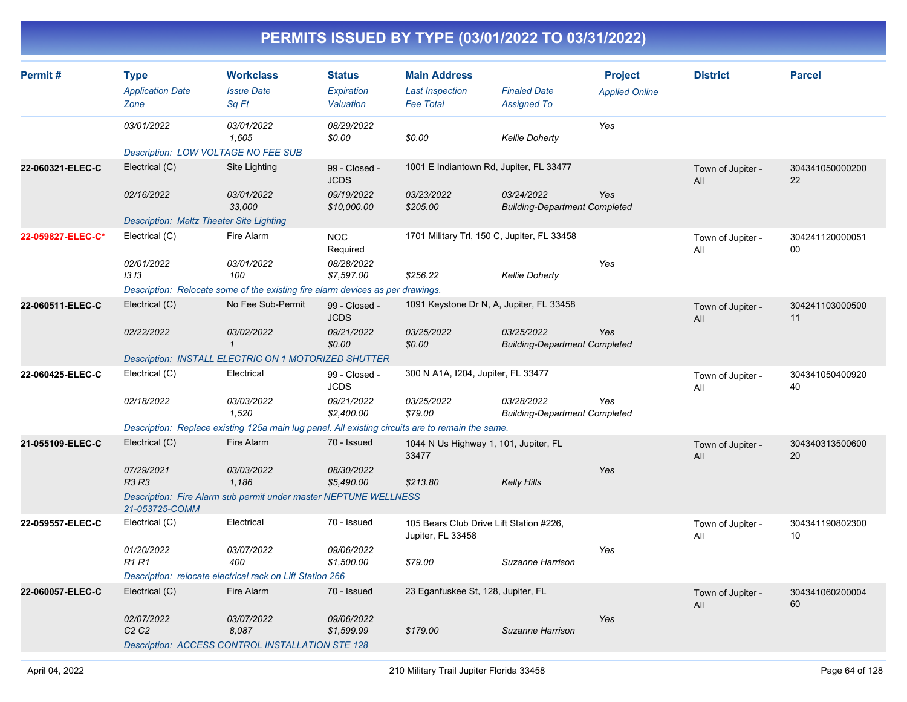| Permit#           | <b>Type</b><br><b>Application Date</b><br>Zone  | <b>Workclass</b><br><b>Issue Date</b><br>Sq Ft                                                   | <b>Status</b><br>Expiration<br>Valuation | <b>Main Address</b><br><b>Last Inspection</b><br><b>Fee Total</b> | <b>Finaled Date</b><br><b>Assigned To</b>          | <b>Project</b><br><b>Applied Online</b> | <b>District</b>          | <b>Parcel</b>         |
|-------------------|-------------------------------------------------|--------------------------------------------------------------------------------------------------|------------------------------------------|-------------------------------------------------------------------|----------------------------------------------------|-----------------------------------------|--------------------------|-----------------------|
|                   | 03/01/2022                                      | 03/01/2022<br>1,605                                                                              | 08/29/2022<br>\$0.00                     | \$0.00                                                            | <b>Kellie Doherty</b>                              | Yes                                     |                          |                       |
|                   | Description: LOW VOLTAGE NO FEE SUB             |                                                                                                  |                                          |                                                                   |                                                    |                                         |                          |                       |
| 22-060321-ELEC-C  | Electrical (C)                                  | Site Lighting                                                                                    | 99 - Closed -<br><b>JCDS</b>             | 1001 E Indiantown Rd, Jupiter, FL 33477                           |                                                    |                                         | Town of Jupiter -<br>All | 304341050000200<br>22 |
|                   | 02/16/2022                                      | 03/01/2022<br>33,000                                                                             | 09/19/2022<br>\$10,000.00                | 03/23/2022<br>\$205.00                                            | 03/24/2022<br><b>Building-Department Completed</b> | Yes                                     |                          |                       |
|                   | <b>Description: Maltz Theater Site Lighting</b> |                                                                                                  |                                          |                                                                   |                                                    |                                         |                          |                       |
| 22-059827-ELEC-C* | Electrical (C)                                  | Fire Alarm                                                                                       | <b>NOC</b><br>Required                   | 1701 Military Trl, 150 C, Jupiter, FL 33458                       |                                                    |                                         | Town of Jupiter -<br>All | 304241120000051<br>00 |
|                   | 02/01/2022<br>1313                              | 03/01/2022<br>100                                                                                | 08/28/2022<br>\$7,597.00                 | \$256.22                                                          | <b>Kellie Doherty</b>                              | Yes                                     |                          |                       |
|                   |                                                 | Description: Relocate some of the existing fire alarm devices as per drawings.                   |                                          |                                                                   |                                                    |                                         |                          |                       |
| 22-060511-ELEC-C  | Electrical (C)                                  | No Fee Sub-Permit                                                                                | 99 - Closed -<br><b>JCDS</b>             | 1091 Keystone Dr N, A, Jupiter, FL 33458                          |                                                    |                                         | Town of Jupiter -<br>All | 304241103000500<br>11 |
|                   | 02/22/2022                                      | 03/02/2022<br>$\mathbf{1}$                                                                       | 09/21/2022<br>\$0.00                     | 03/25/2022<br>\$0.00                                              | 03/25/2022<br><b>Building-Department Completed</b> | Yes                                     |                          |                       |
|                   |                                                 | <b>Description: INSTALL ELECTRIC ON 1 MOTORIZED SHUTTER</b>                                      |                                          |                                                                   |                                                    |                                         |                          |                       |
| 22-060425-ELEC-C  | Electrical (C)                                  | Electrical                                                                                       | 99 - Closed -<br><b>JCDS</b>             | 300 N A1A, I204, Jupiter, FL 33477                                |                                                    |                                         | Town of Jupiter -<br>All | 304341050400920<br>40 |
|                   | 02/18/2022                                      | 03/03/2022<br>1,520                                                                              | 09/21/2022<br>\$2,400.00                 | 03/25/2022<br>\$79.00                                             | 03/28/2022<br><b>Building-Department Completed</b> | Yes                                     |                          |                       |
|                   |                                                 | Description: Replace existing 125a main lug panel. All existing circuits are to remain the same. |                                          |                                                                   |                                                    |                                         |                          |                       |
| 21-055109-ELEC-C  | Electrical (C)                                  | Fire Alarm                                                                                       | 70 - Issued                              | 1044 N Us Highway 1, 101, Jupiter, FL<br>33477                    |                                                    |                                         | Town of Jupiter -<br>All | 304340313500600<br>20 |
|                   | 07/29/2021<br><b>R3 R3</b>                      | 03/03/2022<br>1.186                                                                              | 08/30/2022<br>\$5,490.00                 | \$213.80                                                          | Kelly Hills                                        | Yes                                     |                          |                       |
|                   | 21-053725-COMM                                  | Description: Fire Alarm sub permit under master NEPTUNE WELLNESS                                 |                                          |                                                                   |                                                    |                                         |                          |                       |
| 22-059557-ELEC-C  | Electrical (C)                                  | Electrical                                                                                       | 70 - Issued                              | 105 Bears Club Drive Lift Station #226,<br>Jupiter, FL 33458      |                                                    |                                         | Town of Jupiter -<br>All | 304341190802300<br>10 |
|                   | 01/20/2022<br>R1 R1                             | 03/07/2022<br>400                                                                                | 09/06/2022<br>\$1,500.00                 | \$79.00                                                           | Suzanne Harrison                                   | Yes                                     |                          |                       |
|                   |                                                 | Description: relocate electrical rack on Lift Station 266                                        |                                          |                                                                   |                                                    |                                         |                          |                       |
| 22-060057-ELEC-C  | Electrical (C)                                  | Fire Alarm                                                                                       | 70 - Issued                              | 23 Eganfuskee St, 128, Jupiter, FL                                |                                                    |                                         | Town of Jupiter -<br>All | 304341060200004<br>60 |
|                   | 02/07/2022<br>C <sub>2</sub> C <sub>2</sub>     | 03/07/2022<br>8,087                                                                              | 09/06/2022<br>\$1,599.99                 | \$179.00                                                          | Suzanne Harrison                                   | Yes                                     |                          |                       |
|                   |                                                 | Description: ACCESS CONTROL INSTALLATION STE 128                                                 |                                          |                                                                   |                                                    |                                         |                          |                       |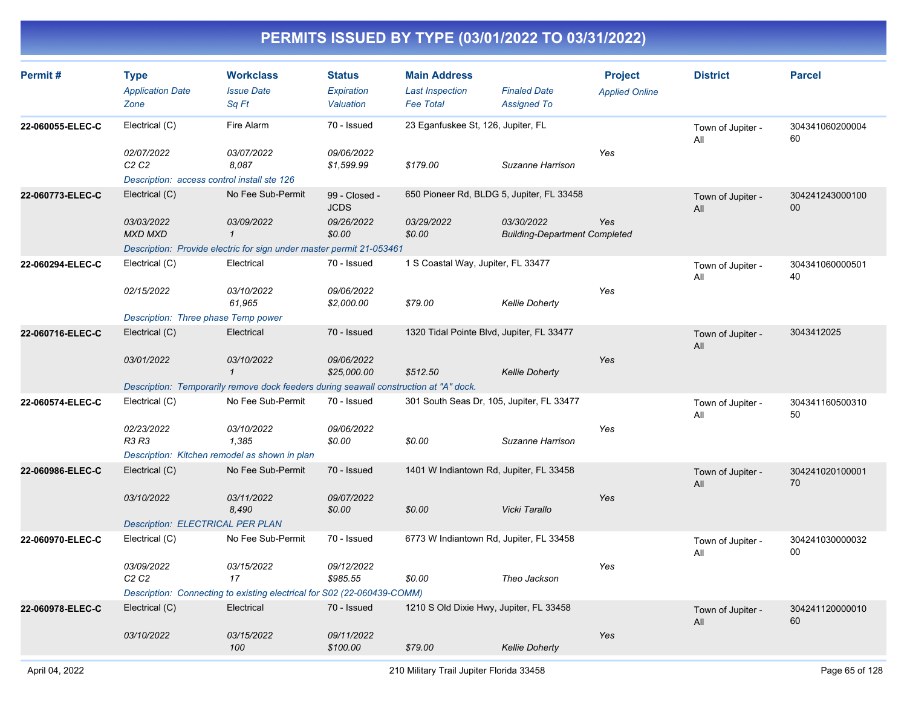| Permit#          | <b>Type</b><br><b>Application Date</b><br>Zone | <b>Workclass</b><br><b>Issue Date</b><br>Sq Ft                                        | <b>Status</b><br>Expiration<br>Valuation | <b>Main Address</b><br><b>Last Inspection</b><br><b>Fee Total</b> | <b>Finaled Date</b><br><b>Assigned To</b>          | <b>Project</b><br><b>Applied Online</b> | <b>District</b>          | <b>Parcel</b>         |
|------------------|------------------------------------------------|---------------------------------------------------------------------------------------|------------------------------------------|-------------------------------------------------------------------|----------------------------------------------------|-----------------------------------------|--------------------------|-----------------------|
| 22-060055-ELEC-C | Electrical (C)                                 | Fire Alarm                                                                            | 70 - Issued                              | 23 Eganfuskee St, 126, Jupiter, FL                                |                                                    |                                         | Town of Jupiter -<br>All | 304341060200004<br>60 |
|                  | 02/07/2022<br>C <sub>2</sub> C <sub>2</sub>    | 03/07/2022<br>8,087                                                                   | 09/06/2022<br>\$1,599.99                 | \$179.00                                                          | Suzanne Harrison                                   | Yes                                     |                          |                       |
|                  | Description: access control install ste 126    |                                                                                       |                                          |                                                                   |                                                    |                                         |                          |                       |
| 22-060773-ELEC-C | Electrical (C)                                 | No Fee Sub-Permit                                                                     | 99 - Closed -<br><b>JCDS</b>             | 650 Pioneer Rd, BLDG 5, Jupiter, FL 33458                         |                                                    |                                         | Town of Jupiter -<br>All | 304241243000100<br>00 |
|                  | 03/03/2022<br><b>MXD MXD</b>                   | 03/09/2022<br>$\mathbf{1}$                                                            | 09/26/2022<br>\$0.00                     | 03/29/2022<br>\$0.00                                              | 03/30/2022<br><b>Building-Department Completed</b> | Yes                                     |                          |                       |
|                  |                                                | Description: Provide electric for sign under master permit 21-053461                  |                                          |                                                                   |                                                    |                                         |                          |                       |
| 22-060294-ELEC-C | Electrical (C)                                 | Electrical                                                                            | 70 - Issued                              | 1 S Coastal Way, Jupiter, FL 33477                                |                                                    |                                         | Town of Jupiter -<br>All | 304341060000501<br>40 |
|                  | 02/15/2022                                     | 03/10/2022<br>61,965                                                                  | 09/06/2022<br>\$2,000.00                 | \$79.00                                                           | <b>Kellie Doherty</b>                              | Yes                                     |                          |                       |
|                  | Description: Three phase Temp power            |                                                                                       |                                          |                                                                   |                                                    |                                         |                          |                       |
| 22-060716-ELEC-C | Electrical (C)                                 | Electrical                                                                            | 70 - Issued                              | 1320 Tidal Pointe Blvd, Jupiter, FL 33477                         |                                                    |                                         | Town of Jupiter -<br>All | 3043412025            |
|                  | 03/01/2022                                     | 03/10/2022<br>$\mathbf{1}$                                                            | 09/06/2022<br>\$25,000.00                | \$512.50                                                          | <b>Kellie Doherty</b>                              | Yes                                     |                          |                       |
|                  |                                                | Description: Temporarily remove dock feeders during seawall construction at "A" dock. |                                          |                                                                   |                                                    |                                         |                          |                       |
| 22-060574-ELEC-C | Electrical (C)                                 | No Fee Sub-Permit                                                                     | 70 - Issued                              | 301 South Seas Dr, 105, Jupiter, FL 33477                         |                                                    |                                         | Town of Jupiter -<br>All | 304341160500310<br>50 |
|                  | 02/23/2022                                     | 03/10/2022                                                                            | 09/06/2022                               |                                                                   |                                                    | Yes                                     |                          |                       |
|                  | R3 R3                                          | 1,385                                                                                 | \$0.00                                   | \$0.00                                                            | Suzanne Harrison                                   |                                         |                          |                       |
|                  |                                                | Description: Kitchen remodel as shown in plan                                         |                                          |                                                                   |                                                    |                                         |                          |                       |
| 22-060986-ELEC-C | Electrical (C)                                 | No Fee Sub-Permit                                                                     | 70 - Issued                              | 1401 W Indiantown Rd, Jupiter, FL 33458                           |                                                    |                                         | Town of Jupiter -<br>All | 304241020100001<br>70 |
|                  | 03/10/2022                                     | 03/11/2022<br>8,490                                                                   | 09/07/2022<br>\$0.00                     | \$0.00                                                            | Vicki Tarallo                                      | Yes                                     |                          |                       |
|                  | <b>Description: ELECTRICAL PER PLAN</b>        |                                                                                       |                                          |                                                                   |                                                    |                                         |                          |                       |
| 22-060970-ELEC-C | Electrical (C)                                 | No Fee Sub-Permit                                                                     | 70 - Issued                              | 6773 W Indiantown Rd, Jupiter, FL 33458                           |                                                    |                                         | Town of Jupiter -<br>All | 304241030000032<br>00 |
|                  | 03/09/2022<br>C <sub>2</sub> C <sub>2</sub>    | 03/15/2022<br>17                                                                      | 09/12/2022<br>\$985.55                   | \$0.00                                                            | Theo Jackson                                       | Yes                                     |                          |                       |
|                  |                                                | Description: Connecting to existing electrical for S02 (22-060439-COMM)               |                                          |                                                                   |                                                    |                                         |                          |                       |
| 22-060978-ELEC-C | Electrical (C)                                 | Electrical                                                                            | 70 - Issued                              | 1210 S Old Dixie Hwy, Jupiter, FL 33458                           |                                                    |                                         | Town of Jupiter -<br>All | 304241120000010<br>60 |
|                  | 03/10/2022                                     | 03/15/2022<br>100                                                                     | 09/11/2022<br>\$100.00                   | \$79.00                                                           | <b>Kellie Doherty</b>                              | Yes                                     |                          |                       |
|                  |                                                |                                                                                       |                                          |                                                                   |                                                    |                                         |                          |                       |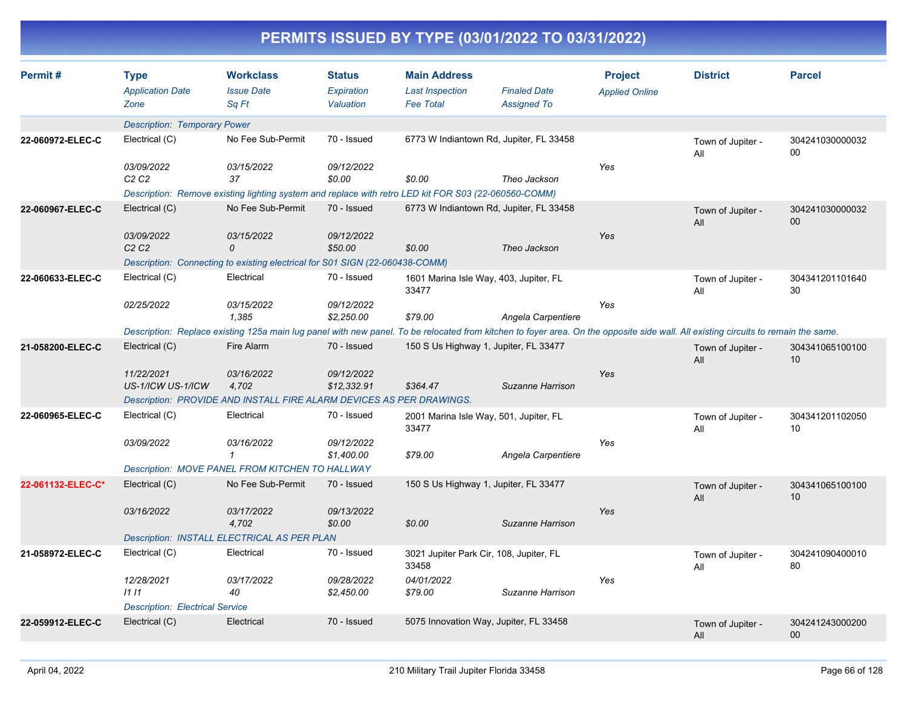| Permit#           | <b>Type</b><br><b>Application Date</b><br>Zone | <b>Workclass</b><br><b>Issue Date</b><br>Sq Ft                                                                                                                                     | <b>Status</b><br>Expiration<br>Valuation | <b>Main Address</b><br><b>Last Inspection</b><br>Fee Total | <b>Finaled Date</b><br><b>Assigned To</b> | <b>Project</b><br><b>Applied Online</b> | <b>District</b>          | <b>Parcel</b>         |
|-------------------|------------------------------------------------|------------------------------------------------------------------------------------------------------------------------------------------------------------------------------------|------------------------------------------|------------------------------------------------------------|-------------------------------------------|-----------------------------------------|--------------------------|-----------------------|
|                   | <b>Description: Temporary Power</b>            |                                                                                                                                                                                    |                                          |                                                            |                                           |                                         |                          |                       |
| 22-060972-ELEC-C  | Electrical (C)                                 | No Fee Sub-Permit                                                                                                                                                                  | 70 - Issued                              | 6773 W Indiantown Rd, Jupiter, FL 33458                    |                                           |                                         | Town of Jupiter -<br>All | 304241030000032<br>00 |
|                   | 03/09/2022<br>C2C2                             | 03/15/2022<br>37                                                                                                                                                                   | 09/12/2022<br>\$0.00                     | \$0.00                                                     | Theo Jackson                              | Yes                                     |                          |                       |
|                   |                                                | Description: Remove existing lighting system and replace with retro LED kit FOR S03 (22-060560-COMM)                                                                               |                                          |                                                            |                                           |                                         |                          |                       |
| 22-060967-ELEC-C  | Electrical (C)                                 | No Fee Sub-Permit                                                                                                                                                                  | 70 - Issued                              | 6773 W Indiantown Rd, Jupiter, FL 33458                    |                                           |                                         | Town of Jupiter -<br>All | 304241030000032<br>00 |
|                   | 03/09/2022<br>C <sub>2</sub> C <sub>2</sub>    | 03/15/2022<br>0                                                                                                                                                                    | 09/12/2022<br>\$50.00                    | \$0.00                                                     | Theo Jackson                              | Yes                                     |                          |                       |
|                   |                                                | Description: Connecting to existing electrical for S01 SIGN (22-060438-COMM)                                                                                                       |                                          |                                                            |                                           |                                         |                          |                       |
| 22-060633-ELEC-C  | Electrical (C)                                 | Electrical                                                                                                                                                                         | 70 - Issued                              | 1601 Marina Isle Way, 403, Jupiter, FL<br>33477            |                                           |                                         | Town of Jupiter -<br>All | 304341201101640<br>30 |
|                   | 02/25/2022                                     | 03/15/2022<br>1.385                                                                                                                                                                | 09/12/2022<br>\$2,250.00                 | \$79.00                                                    | Angela Carpentiere                        | Yes                                     |                          |                       |
|                   |                                                | Description: Replace existing 125a main lug panel with new panel. To be relocated from kitchen to foyer area. On the opposite side wall. All existing circuits to remain the same. |                                          |                                                            |                                           |                                         |                          |                       |
| 21-058200-ELEC-C  | Electrical (C)                                 | Fire Alarm                                                                                                                                                                         | 70 - Issued                              | 150 S Us Highway 1, Jupiter, FL 33477                      |                                           |                                         | Town of Jupiter -<br>All | 304341065100100<br>10 |
|                   | 11/22/2021<br>US-1/ICW US-1/ICW                | 03/16/2022<br>4,702                                                                                                                                                                | 09/12/2022<br>\$12,332.91                | \$364.47                                                   | Suzanne Harrison                          | Yes                                     |                          |                       |
|                   |                                                | Description: PROVIDE AND INSTALL FIRE ALARM DEVICES AS PER DRAWINGS.                                                                                                               |                                          |                                                            |                                           |                                         |                          |                       |
| 22-060965-ELEC-C  | Electrical (C)                                 | Electrical                                                                                                                                                                         | 70 - Issued                              | 2001 Marina Isle Way, 501, Jupiter, FL<br>33477            |                                           |                                         | Town of Jupiter -<br>All | 304341201102050<br>10 |
|                   | 03/09/2022                                     | 03/16/2022<br>$\mathbf{1}$                                                                                                                                                         | 09/12/2022<br>\$1,400.00                 | \$79.00                                                    | Angela Carpentiere                        | Yes                                     |                          |                       |
|                   |                                                | Description: MOVE PANEL FROM KITCHEN TO HALLWAY                                                                                                                                    |                                          |                                                            |                                           |                                         |                          |                       |
| 22-061132-ELEC-C* | Electrical (C)                                 | No Fee Sub-Permit                                                                                                                                                                  | 70 - Issued                              | 150 S Us Highway 1, Jupiter, FL 33477                      |                                           |                                         | Town of Jupiter -<br>All | 304341065100100<br>10 |
|                   | 03/16/2022                                     | 03/17/2022<br>4,702                                                                                                                                                                | 09/13/2022<br>\$0.00                     | \$0.00                                                     | Suzanne Harrison                          | Yes                                     |                          |                       |
|                   |                                                | Description: INSTALL ELECTRICAL AS PER PLAN                                                                                                                                        |                                          |                                                            |                                           |                                         |                          |                       |
| 21-058972-ELEC-C  | Electrical (C)                                 | Electrical                                                                                                                                                                         | 70 - Issued                              | 3021 Jupiter Park Cir, 108, Jupiter, FL<br>33458           |                                           |                                         | Town of Jupiter -<br>All | 304241090400010<br>80 |
|                   | 12/28/2021<br>1111                             | 03/17/2022<br>40                                                                                                                                                                   | 09/28/2022<br>\$2,450.00                 | 04/01/2022<br>\$79.00                                      | Suzanne Harrison                          | Yes                                     |                          |                       |
|                   | <b>Description: Electrical Service</b>         |                                                                                                                                                                                    |                                          |                                                            |                                           |                                         |                          |                       |
| 22-059912-ELEC-C  | Electrical (C)                                 | Electrical                                                                                                                                                                         | 70 - Issued                              | 5075 Innovation Way, Jupiter, FL 33458                     |                                           |                                         | Town of Jupiter -<br>All | 304241243000200<br>00 |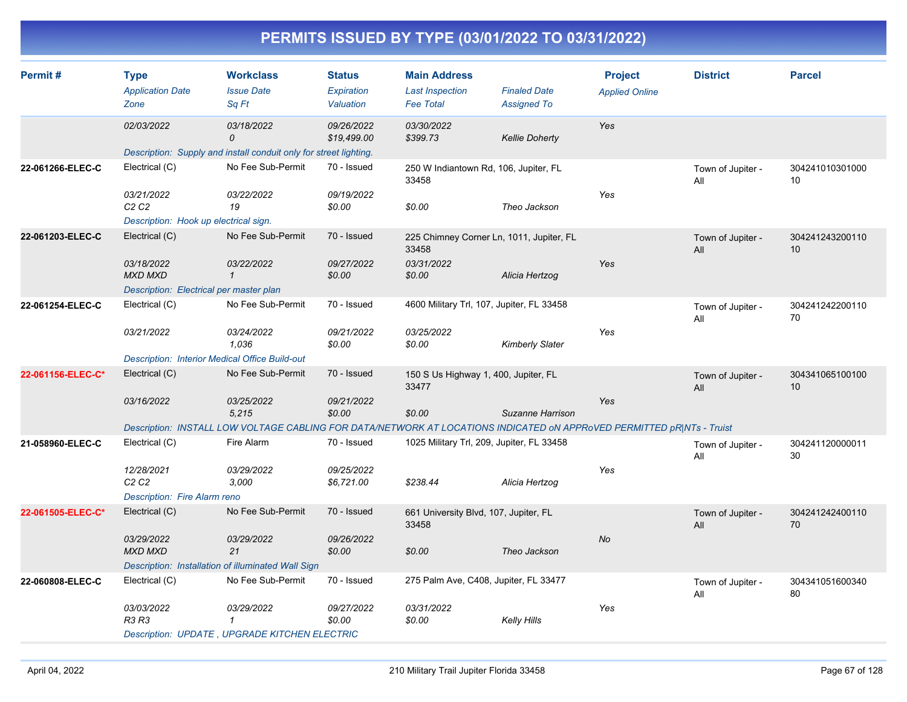| Permit#           | <b>Type</b><br><b>Application Date</b><br>Zone        | <b>Workclass</b><br><b>Issue Date</b><br>Sq Ft                                                                         | <b>Status</b><br><b>Expiration</b><br>Valuation | <b>Main Address</b><br><b>Last Inspection</b><br><b>Fee Total</b> | <b>Finaled Date</b><br><b>Assigned To</b> | <b>Project</b><br><b>Applied Online</b> | <b>District</b>          | <b>Parcel</b>         |
|-------------------|-------------------------------------------------------|------------------------------------------------------------------------------------------------------------------------|-------------------------------------------------|-------------------------------------------------------------------|-------------------------------------------|-----------------------------------------|--------------------------|-----------------------|
|                   | 02/03/2022                                            | 03/18/2022                                                                                                             | 09/26/2022                                      | 03/30/2022                                                        |                                           | Yes                                     |                          |                       |
|                   |                                                       | $\Omega$                                                                                                               | \$19,499.00                                     | \$399.73                                                          | <b>Kellie Doherty</b>                     |                                         |                          |                       |
|                   |                                                       | Description: Supply and install conduit only for street lighting.                                                      |                                                 |                                                                   |                                           |                                         |                          |                       |
| 22-061266-ELEC-C  | Electrical (C)                                        | No Fee Sub-Permit                                                                                                      | 70 - Issued                                     | 250 W Indiantown Rd, 106, Jupiter, FL<br>33458                    |                                           |                                         | Town of Jupiter -<br>ail | 304241010301000<br>10 |
|                   | 03/21/2022<br>C <sub>2</sub> C <sub>2</sub>           | 03/22/2022<br>19                                                                                                       | 09/19/2022<br>\$0.00                            | \$0.00                                                            | Theo Jackson                              | Yes                                     |                          |                       |
|                   | Description: Hook up electrical sign.                 |                                                                                                                        |                                                 |                                                                   |                                           |                                         |                          |                       |
| 22-061203-ELEC-C  | Electrical (C)                                        | No Fee Sub-Permit                                                                                                      | 70 - Issued                                     | 225 Chimney Corner Ln, 1011, Jupiter, FL<br>33458                 |                                           |                                         | Town of Jupiter -<br>All | 304241243200110<br>10 |
|                   | 03/18/2022<br><b>MXD MXD</b>                          | 03/22/2022<br>$\mathbf{1}$                                                                                             | 09/27/2022<br>\$0.00                            | 03/31/2022<br>\$0.00                                              | Alicia Hertzog                            | Yes                                     |                          |                       |
|                   | Description: Electrical per master plan               |                                                                                                                        |                                                 |                                                                   |                                           |                                         |                          |                       |
| 22-061254-ELEC-C  | Electrical (C)                                        | No Fee Sub-Permit                                                                                                      | 70 - Issued                                     | 4600 Military Trl, 107, Jupiter, FL 33458                         |                                           |                                         | Town of Jupiter -<br>All | 304241242200110<br>70 |
|                   | 03/21/2022                                            | 03/24/2022<br>1,036                                                                                                    | 09/21/2022<br>\$0.00                            | 03/25/2022<br>\$0.00                                              | <b>Kimberly Slater</b>                    | Yes                                     |                          |                       |
|                   | <b>Description: Interior Medical Office Build-out</b> |                                                                                                                        |                                                 |                                                                   |                                           |                                         |                          |                       |
| 22-061156-ELEC-C* | Electrical (C)                                        | No Fee Sub-Permit                                                                                                      | 70 - Issued                                     | 150 S Us Highway 1, 400, Jupiter, FL<br>33477                     |                                           |                                         | Town of Jupiter -<br>All | 304341065100100<br>10 |
|                   | 03/16/2022                                            | 03/25/2022<br>5,215                                                                                                    | 09/21/2022<br>\$0.00                            | \$0.00                                                            | Suzanne Harrison                          | Yes                                     |                          |                       |
|                   |                                                       | Description: INSTALL LOW VOLTAGE CABLING FOR DATA/NETWORK AT LOCATIONS INDICATED ON APPROVED PERMITTED pR NTs - Truist |                                                 |                                                                   |                                           |                                         |                          |                       |
| 21-058960-ELEC-C  | Electrical (C)                                        | Fire Alarm                                                                                                             | 70 - Issued                                     | 1025 Military Trl, 209, Jupiter, FL 33458                         |                                           |                                         | Town of Jupiter -<br>All | 304241120000011<br>30 |
|                   | 12/28/2021<br>C <sub>2</sub> C <sub>2</sub>           | <i>03/29/2022</i><br>3,000                                                                                             | 09/25/2022<br>\$6,721.00                        | \$238.44                                                          | Alicia Hertzog                            | Yes                                     |                          |                       |
|                   | Description: Fire Alarm reno                          |                                                                                                                        |                                                 |                                                                   |                                           |                                         |                          |                       |
| 22-061505-ELEC-C* | Electrical (C)                                        | No Fee Sub-Permit                                                                                                      | 70 - Issued                                     | 661 University Blvd, 107, Jupiter, FL<br>33458                    |                                           |                                         | Town of Jupiter -<br>All | 304241242400110<br>70 |
|                   | 03/29/2022<br><b>MXD MXD</b>                          | 03/29/2022<br>21                                                                                                       | 09/26/2022<br>\$0.00                            | \$0.00                                                            | Theo Jackson                              | <b>No</b>                               |                          |                       |
|                   |                                                       | Description: Installation of illuminated Wall Sign                                                                     |                                                 |                                                                   |                                           |                                         |                          |                       |
| 22-060808-ELEC-C  | Electrical (C)                                        | No Fee Sub-Permit                                                                                                      | 70 - Issued                                     | 275 Palm Ave, C408, Jupiter, FL 33477                             |                                           |                                         | Town of Jupiter -<br>All | 304341051600340<br>80 |
|                   | 03/03/2022<br>R3 R3                                   | 03/29/2022<br>$\mathbf{1}$                                                                                             | 09/27/2022<br>\$0.00                            | 03/31/2022<br>\$0.00                                              | Kelly Hills                               | Yes                                     |                          |                       |
|                   |                                                       | <b>Description: UPDATE, UPGRADE KITCHEN ELECTRIC</b>                                                                   |                                                 |                                                                   |                                           |                                         |                          |                       |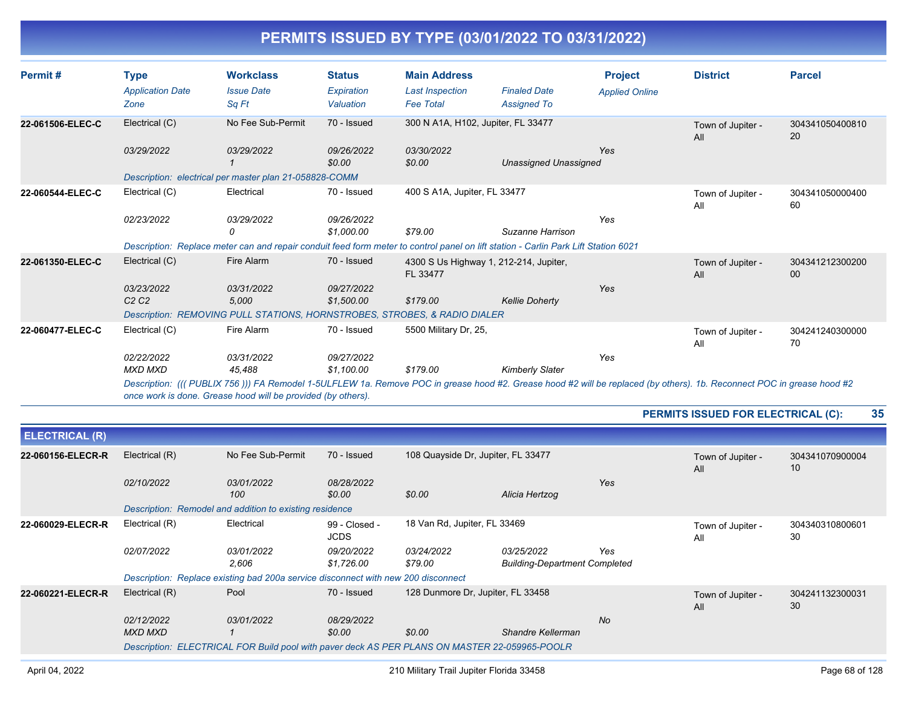| Permit#               | <b>Type</b><br><b>Application Date</b> | <b>Workclass</b><br><b>Issue Date</b>                                                                                                                                                                                                 | <b>Status</b><br>Expiration | <b>Main Address</b><br><b>Last Inspection</b> | <b>Finaled Date</b>                    | <b>Project</b><br><b>Applied Online</b> | <b>District</b>                           | <b>Parcel</b>         |
|-----------------------|----------------------------------------|---------------------------------------------------------------------------------------------------------------------------------------------------------------------------------------------------------------------------------------|-----------------------------|-----------------------------------------------|----------------------------------------|-----------------------------------------|-------------------------------------------|-----------------------|
|                       | Zone                                   | Sq Ft                                                                                                                                                                                                                                 | Valuation                   | <b>Fee Total</b>                              | <b>Assigned To</b>                     |                                         |                                           |                       |
| 22-061506-ELEC-C      | Electrical (C)                         | No Fee Sub-Permit                                                                                                                                                                                                                     | 70 - Issued                 | 300 N A1A, H102, Jupiter, FL 33477            |                                        |                                         | Town of Jupiter -<br>All                  | 304341050400810<br>20 |
|                       | 03/29/2022                             | 03/29/2022                                                                                                                                                                                                                            | 09/26/2022<br>\$0.00        | 03/30/2022<br>\$0.00                          | <b>Unassigned Unassigned</b>           | Yes                                     |                                           |                       |
|                       |                                        | Description: electrical per master plan 21-058828-COMM                                                                                                                                                                                |                             |                                               |                                        |                                         |                                           |                       |
| 22-060544-ELEC-C      | Electrical (C)                         | Electrical                                                                                                                                                                                                                            | 70 - Issued                 | 400 S A1A, Jupiter, FL 33477                  |                                        |                                         | Town of Jupiter -<br>All                  | 304341050000400<br>60 |
|                       | 02/23/2022                             | 03/29/2022<br>0                                                                                                                                                                                                                       | 09/26/2022<br>\$1,000.00    | \$79.00                                       | Suzanne Harrison                       | Yes                                     |                                           |                       |
|                       |                                        | Description: Replace meter can and repair conduit feed form meter to control panel on lift station - Carlin Park Lift Station 6021                                                                                                    |                             |                                               |                                        |                                         |                                           |                       |
| 22-061350-ELEC-C      | Electrical (C)                         | Fire Alarm                                                                                                                                                                                                                            | 70 - Issued                 | FL 33477                                      | 4300 S Us Highway 1, 212-214, Jupiter, |                                         | Town of Jupiter -<br>All                  | 304341212300200<br>00 |
|                       | 03/23/2022<br>C2C2                     | 03/31/2022<br>5,000                                                                                                                                                                                                                   | 09/27/2022<br>\$1,500.00    | \$179.00                                      | <b>Kellie Doherty</b>                  | Yes                                     |                                           |                       |
|                       |                                        | Description: REMOVING PULL STATIONS, HORNSTROBES, STROBES, & RADIO DIALER                                                                                                                                                             |                             |                                               |                                        |                                         |                                           |                       |
| 22-060477-ELEC-C      | Electrical (C)                         | Fire Alarm                                                                                                                                                                                                                            | 70 - Issued                 | 5500 Military Dr, 25,                         |                                        |                                         | Town of Jupiter -<br>All                  | 304241240300000<br>70 |
|                       | 02/22/2022<br><b>MXD MXD</b>           | 03/31/2022<br>45.488                                                                                                                                                                                                                  | 09/27/2022<br>\$1,100.00    | \$179.00                                      | <b>Kimberly Slater</b>                 | Yes                                     |                                           |                       |
|                       |                                        | Description: (((PUBLIX 756))) FA Remodel 1-5ULFLEW 1a. Remove POC in grease hood #2. Grease hood #2 will be replaced (by others). 1b. Reconnect POC in grease hood #2<br>once work is done. Grease hood will be provided (by others). |                             |                                               |                                        |                                         |                                           |                       |
|                       |                                        |                                                                                                                                                                                                                                       |                             |                                               |                                        |                                         | <b>PERMITS ISSUED FOR ELECTRICAL (C):</b> | 35                    |
| <b>ELECTRICAL (R)</b> |                                        |                                                                                                                                                                                                                                       |                             |                                               |                                        |                                         |                                           |                       |
| 22-060156-ELECR-R     | Electrical (R)                         | No Fee Sub-Permit                                                                                                                                                                                                                     | 70 - Issued                 | 108 Quayside Dr, Jupiter, FL 33477            |                                        |                                         | Town of Jupiter -<br>All                  | 304341070900004<br>10 |
|                       | 02/10/2022                             | 03/01/2022<br>100                                                                                                                                                                                                                     | 08/28/2022<br>\$0.00        | \$0.00                                        | Alicia Hertzog                         | Yes                                     |                                           |                       |

|                                                                                   | Description: Remodel and addition to existing residence                                       |                     |                              |                                   |                                                           |           |                          |                       |  |
|-----------------------------------------------------------------------------------|-----------------------------------------------------------------------------------------------|---------------------|------------------------------|-----------------------------------|-----------------------------------------------------------|-----------|--------------------------|-----------------------|--|
| 22-060029-ELECR-R                                                                 | Electrical (R)                                                                                | Electrical          | 99 - Closed -<br><b>JCDS</b> | 18 Van Rd, Jupiter, FL 33469      |                                                           |           | Town of Jupiter -<br>All | 304340310800601<br>30 |  |
|                                                                                   | <i>02/07/2022</i>                                                                             | 03/01/2022<br>2.606 | 09/20/2022<br>\$1,726.00     | <i>03/24/2022</i><br>\$79.00      | <i>03/25/2022</i><br><b>Building-Department Completed</b> | Yes       |                          |                       |  |
| Description: Replace existing bad 200a service disconnect with new 200 disconnect |                                                                                               |                     |                              |                                   |                                                           |           |                          |                       |  |
| 22-060221-ELECR-R                                                                 | Electrical (R)                                                                                | Pool                | 70 - Issued                  | 128 Dunmore Dr, Jupiter, FL 33458 |                                                           |           | Town of Jupiter -<br>All | 304241132300031<br>30 |  |
|                                                                                   | 02/12/2022                                                                                    | 03/01/2022          | 08/29/2022                   |                                   |                                                           | <b>No</b> |                          |                       |  |
|                                                                                   | MXD MXD                                                                                       |                     | \$0.00                       | \$0.00                            | Shandre Kellerman                                         |           |                          |                       |  |
|                                                                                   | Description: ELECTRICAL FOR Build pool with paver deck AS PER PLANS ON MASTER 22-059965-POOLR |                     |                              |                                   |                                                           |           |                          |                       |  |
|                                                                                   |                                                                                               |                     |                              |                                   |                                                           |           |                          |                       |  |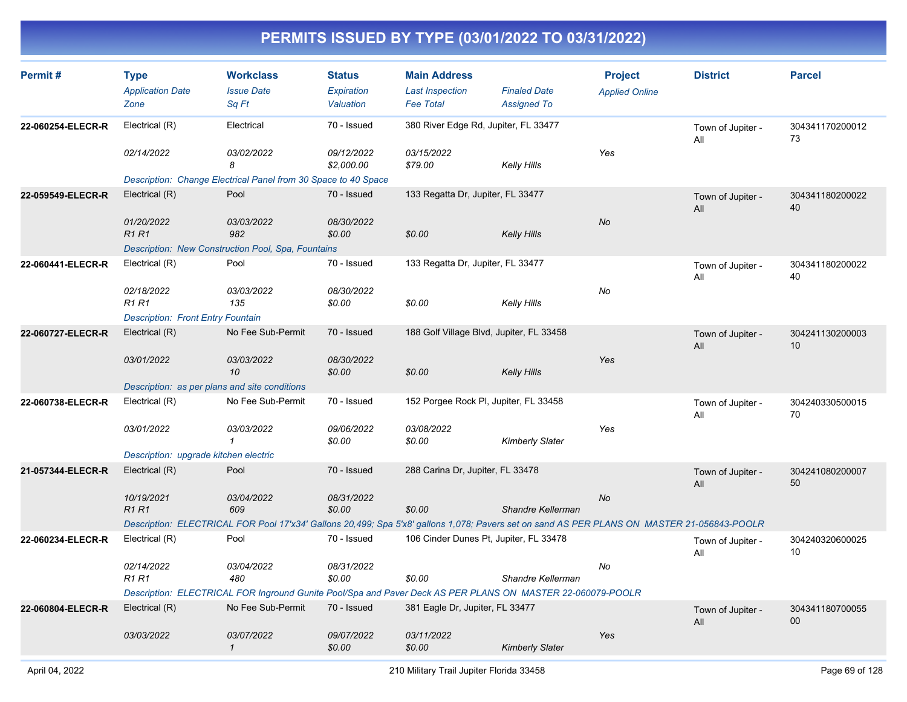| Permit#           | <b>Type</b><br><b>Application Date</b><br>Zone | <b>Workclass</b><br><b>Issue Date</b><br>Sq Ft                                                                                              | <b>Status</b><br>Expiration<br>Valuation | <b>Main Address</b><br><b>Last Inspection</b><br><b>Fee Total</b> | <b>Finaled Date</b><br><b>Assigned To</b> | <b>Project</b><br><b>Applied Online</b> | <b>District</b>          | <b>Parcel</b>         |
|-------------------|------------------------------------------------|---------------------------------------------------------------------------------------------------------------------------------------------|------------------------------------------|-------------------------------------------------------------------|-------------------------------------------|-----------------------------------------|--------------------------|-----------------------|
| 22-060254-ELECR-R | Electrical (R)                                 | Electrical                                                                                                                                  | 70 - Issued                              | 380 River Edge Rd, Jupiter, FL 33477                              |                                           |                                         | Town of Jupiter -<br>All | 304341170200012<br>73 |
|                   | 02/14/2022                                     | 03/02/2022<br>8                                                                                                                             | 09/12/2022<br>\$2,000.00                 | 03/15/2022<br>\$79.00                                             | <b>Kelly Hills</b>                        | Yes                                     |                          |                       |
|                   |                                                | Description: Change Electrical Panel from 30 Space to 40 Space                                                                              |                                          |                                                                   |                                           |                                         |                          |                       |
| 22-059549-ELECR-R | Electrical (R)                                 | Pool                                                                                                                                        | 70 - Issued                              | 133 Regatta Dr, Jupiter, FL 33477                                 |                                           |                                         | Town of Jupiter -<br>All | 304341180200022<br>40 |
|                   | 01/20/2022<br><b>R1R1</b>                      | 03/03/2022<br>982                                                                                                                           | 08/30/2022<br>\$0.00                     | \$0.00                                                            | <b>Kelly Hills</b>                        | No                                      |                          |                       |
|                   |                                                | Description: New Construction Pool, Spa, Fountains                                                                                          |                                          |                                                                   |                                           |                                         |                          |                       |
| 22-060441-ELECR-R | Electrical (R)                                 | Pool                                                                                                                                        | 70 - Issued                              | 133 Regatta Dr, Jupiter, FL 33477                                 |                                           |                                         | Town of Jupiter -<br>All | 304341180200022<br>40 |
|                   | 02/18/2022<br><b>R1 R1</b>                     | 03/03/2022<br>135                                                                                                                           | 08/30/2022<br>\$0.00                     | \$0.00                                                            | Kelly Hills                               | No                                      |                          |                       |
|                   | <b>Description: Front Entry Fountain</b>       |                                                                                                                                             |                                          |                                                                   |                                           |                                         |                          |                       |
| 22-060727-ELECR-R | Electrical (R)                                 | No Fee Sub-Permit                                                                                                                           | 70 - Issued                              | 188 Golf Village Blvd, Jupiter, FL 33458                          |                                           |                                         | Town of Jupiter -<br>All | 304241130200003<br>10 |
|                   | 03/01/2022                                     | <i>03/03/2022</i><br>10                                                                                                                     | 08/30/2022<br>\$0.00                     | \$0.00                                                            | <b>Kelly Hills</b>                        | Yes                                     |                          |                       |
|                   | Description: as per plans and site conditions  |                                                                                                                                             |                                          |                                                                   |                                           |                                         |                          |                       |
| 22-060738-ELECR-R | Electrical (R)                                 | No Fee Sub-Permit                                                                                                                           | 70 - Issued                              | 152 Porgee Rock PI, Jupiter, FL 33458                             |                                           |                                         | Town of Jupiter -<br>All | 304240330500015<br>70 |
|                   | 03/01/2022                                     | 03/03/2022<br>$\mathbf{1}$                                                                                                                  | 09/06/2022<br>\$0.00                     | 03/08/2022<br>\$0.00                                              | <b>Kimberly Slater</b>                    | Yes                                     |                          |                       |
|                   | Description: upgrade kitchen electric          |                                                                                                                                             |                                          |                                                                   |                                           |                                         |                          |                       |
| 21-057344-ELECR-R | Electrical (R)                                 | Pool                                                                                                                                        | 70 - Issued                              | 288 Carina Dr, Jupiter, FL 33478                                  |                                           |                                         | Town of Jupiter -<br>All | 304241080200007<br>50 |
|                   | 10/19/2021<br><b>R1R1</b>                      | 03/04/2022<br>609                                                                                                                           | 08/31/2022<br>\$0.00                     | \$0.00                                                            | Shandre Kellerman                         | No                                      |                          |                       |
|                   |                                                | Description: ELECTRICAL FOR Pool 17'x34' Gallons 20,499; Spa 5'x8' gallons 1,078; Pavers set on sand AS PER PLANS ON MASTER 21-056843-POOLR |                                          |                                                                   |                                           |                                         |                          |                       |
| 22-060234-ELECR-R | Electrical (R)                                 | Pool                                                                                                                                        | 70 - Issued                              | 106 Cinder Dunes Pt, Jupiter, FL 33478                            |                                           |                                         | Town of Jupiter -<br>All | 304240320600025<br>10 |
|                   | 02/14/2022<br><b>R1 R1</b>                     | 03/04/2022<br>480                                                                                                                           | 08/31/2022<br>\$0.00                     | \$0.00                                                            | Shandre Kellerman                         | No                                      |                          |                       |
|                   |                                                | Description: ELECTRICAL FOR Inground Gunite Pool/Spa and Paver Deck AS PER PLANS ON MASTER 22-060079-POOLR                                  |                                          |                                                                   |                                           |                                         |                          |                       |
| 22-060804-ELECR-R | Electrical (R)                                 | No Fee Sub-Permit                                                                                                                           | 70 - Issued                              | 381 Eagle Dr, Jupiter, FL 33477                                   |                                           |                                         | Town of Jupiter -<br>All | 304341180700055<br>00 |
|                   | 03/03/2022                                     | <i>03/07/2022</i><br>$\mathcal{I}$                                                                                                          | 09/07/2022<br>\$0.00                     | 03/11/2022<br>\$0.00                                              | <b>Kimberly Slater</b>                    | Yes                                     |                          |                       |
|                   |                                                |                                                                                                                                             |                                          |                                                                   |                                           |                                         |                          |                       |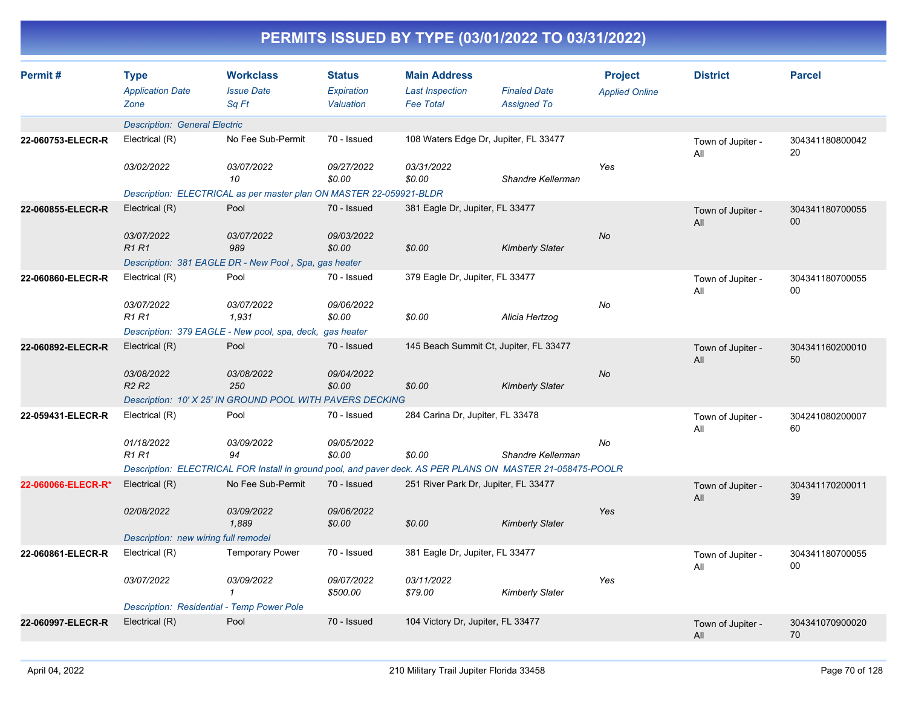| Permit#            | <b>Type</b><br><b>Application Date</b><br>Zone | <b>Workclass</b><br><b>Issue Date</b><br>Sq Ft                                                             | <b>Status</b><br>Expiration<br>Valuation | <b>Main Address</b><br><b>Last Inspection</b><br><b>Fee Total</b> | <b>Finaled Date</b><br><b>Assigned To</b> | <b>Project</b><br><b>Applied Online</b> | <b>District</b>          | <b>Parcel</b>             |
|--------------------|------------------------------------------------|------------------------------------------------------------------------------------------------------------|------------------------------------------|-------------------------------------------------------------------|-------------------------------------------|-----------------------------------------|--------------------------|---------------------------|
|                    | <b>Description: General Electric</b>           |                                                                                                            |                                          |                                                                   |                                           |                                         |                          |                           |
| 22-060753-ELECR-R  | Electrical (R)                                 | No Fee Sub-Permit                                                                                          | 70 - Issued                              | 108 Waters Edge Dr, Jupiter, FL 33477                             |                                           |                                         | Town of Jupiter -<br>All | 304341180800042<br>20     |
|                    | 03/02/2022                                     | 03/07/2022<br>10                                                                                           | 09/27/2022<br>\$0.00                     | 03/31/2022<br>\$0.00                                              | Shandre Kellerman                         | Yes                                     |                          |                           |
|                    |                                                | Description: ELECTRICAL as per master plan ON MASTER 22-059921-BLDR                                        |                                          |                                                                   |                                           |                                         |                          |                           |
| 22-060855-ELECR-R  | Electrical (R)                                 | Pool                                                                                                       | 70 - Issued                              | 381 Eagle Dr, Jupiter, FL 33477                                   |                                           |                                         | Town of Jupiter -<br>All | 304341180700055<br>$00\,$ |
|                    | 03/07/2022<br><b>R1R1</b>                      | 03/07/2022<br>989                                                                                          | 09/03/2022<br>\$0.00                     | \$0.00                                                            | <b>Kimberly Slater</b>                    | <b>No</b>                               |                          |                           |
|                    |                                                | Description: 381 EAGLE DR - New Pool, Spa, gas heater                                                      |                                          |                                                                   |                                           |                                         |                          |                           |
| 22-060860-ELECR-R  | Electrical (R)                                 | Pool                                                                                                       | 70 - Issued                              | 379 Eagle Dr, Jupiter, FL 33477                                   |                                           |                                         | Town of Jupiter -<br>All | 304341180700055<br>00     |
|                    | 03/07/2022<br><b>R1 R1</b>                     | 03/07/2022<br>1,931                                                                                        | 09/06/2022<br>\$0.00                     | \$0.00                                                            | Alicia Hertzog                            | No                                      |                          |                           |
|                    |                                                | Description: 379 EAGLE - New pool, spa, deck, gas heater                                                   |                                          |                                                                   |                                           |                                         |                          |                           |
| 22-060892-ELECR-R  | Electrical (R)                                 | Pool                                                                                                       | 70 - Issued                              | 145 Beach Summit Ct, Jupiter, FL 33477                            |                                           |                                         | Town of Jupiter -<br>All | 304341160200010<br>50     |
|                    | 03/08/2022<br>R <sub>2</sub> R <sub>2</sub>    | 03/08/2022<br>250                                                                                          | 09/04/2022<br>\$0.00                     | \$0.00                                                            | <b>Kimberly Slater</b>                    | <b>No</b>                               |                          |                           |
|                    |                                                | Description: 10' X 25' IN GROUND POOL WITH PAVERS DECKING                                                  |                                          |                                                                   |                                           |                                         |                          |                           |
| 22-059431-ELECR-R  | Electrical (R)                                 | Pool                                                                                                       | 70 - Issued                              | 284 Carina Dr, Jupiter, FL 33478                                  |                                           |                                         | Town of Jupiter -<br>All | 304241080200007<br>60     |
|                    | 01/18/2022<br><b>R1R1</b>                      | 03/09/2022<br>94                                                                                           | 09/05/2022<br>\$0.00                     | \$0.00                                                            | Shandre Kellerman                         | No                                      |                          |                           |
|                    |                                                | Description: ELECTRICAL FOR Install in ground pool, and paver deck. AS PER PLANS ON MASTER 21-058475-POOLR |                                          |                                                                   |                                           |                                         |                          |                           |
| 22-060066-ELECR-R* | Electrical (R)                                 | No Fee Sub-Permit                                                                                          | 70 - Issued                              | 251 River Park Dr, Jupiter, FL 33477                              |                                           |                                         | Town of Jupiter -<br>All | 304341170200011<br>39     |
|                    | 02/08/2022                                     | 03/09/2022<br>1.889                                                                                        | 09/06/2022<br>\$0.00                     | \$0.00                                                            | <b>Kimberly Slater</b>                    | Yes                                     |                          |                           |
|                    | Description: new wiring full remodel           |                                                                                                            |                                          |                                                                   |                                           |                                         |                          |                           |
| 22-060861-ELECR-R  | Electrical (R)                                 | <b>Temporary Power</b>                                                                                     | 70 - Issued                              | 381 Eagle Dr, Jupiter, FL 33477                                   |                                           |                                         | Town of Jupiter -<br>All | 304341180700055<br>$00\,$ |
|                    | 03/07/2022                                     | 03/09/2022<br>1                                                                                            | 09/07/2022<br>\$500.00                   | 03/11/2022<br>\$79.00                                             | <b>Kimberly Slater</b>                    | Yes                                     |                          |                           |
|                    | Description: Residential - Temp Power Pole     |                                                                                                            |                                          |                                                                   |                                           |                                         |                          |                           |
| 22-060997-ELECR-R  | Electrical (R)                                 | Pool                                                                                                       | 70 - Issued                              | 104 Victory Dr, Jupiter, FL 33477                                 |                                           |                                         | Town of Jupiter -<br>All | 304341070900020<br>70     |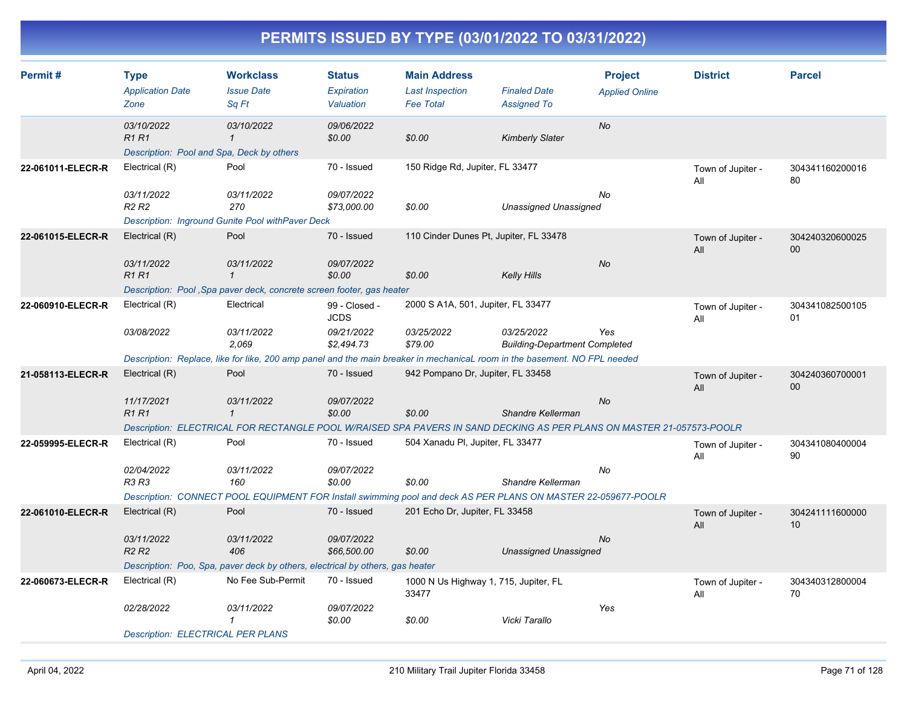| Permit#           | <b>Type</b><br><b>Application Date</b><br>Zone                  | <b>Workclass</b><br><b>Issue Date</b><br>Sq Ft                                                                            | <b>Status</b><br>Expiration<br>Valuation | <b>Main Address</b><br><b>Last Inspection</b><br><b>Fee Total</b> | <b>Finaled Date</b><br><b>Assigned To</b>          | <b>Project</b><br><b>Applied Online</b> | <b>District</b>          | <b>Parcel</b>         |
|-------------------|-----------------------------------------------------------------|---------------------------------------------------------------------------------------------------------------------------|------------------------------------------|-------------------------------------------------------------------|----------------------------------------------------|-----------------------------------------|--------------------------|-----------------------|
|                   | 03/10/2022<br>R1R1<br>Description: Pool and Spa, Deck by others | 03/10/2022<br>$\mathcal I$                                                                                                | 09/06/2022<br>\$0.00                     | \$0.00                                                            | <b>Kimberly Slater</b>                             | No                                      |                          |                       |
| 22-061011-ELECR-R | Electrical (R)                                                  | Pool                                                                                                                      | 70 - Issued                              | 150 Ridge Rd, Jupiter, FL 33477                                   |                                                    |                                         | Town of Jupiter -<br>All | 304341160200016<br>80 |
|                   | 03/11/2022<br>R <sub>2</sub> R <sub>2</sub>                     | 03/11/2022<br>270                                                                                                         | 09/07/2022<br>\$73,000.00                | \$0.00                                                            | <b>Unassigned Unassigned</b>                       | No                                      |                          |                       |
|                   |                                                                 | Description: Inground Gunite Pool with Paver Deck                                                                         |                                          |                                                                   |                                                    |                                         |                          |                       |
| 22-061015-ELECR-R | Electrical (R)                                                  | Pool                                                                                                                      | 70 - Issued                              | 110 Cinder Dunes Pt, Jupiter, FL 33478                            |                                                    |                                         | Town of Jupiter -<br>All | 304240320600025<br>00 |
|                   | 03/11/2022<br><b>R1R1</b>                                       | 03/11/2022<br>$\mathbf{1}$                                                                                                | 09/07/2022<br>\$0.00                     | \$0.00                                                            | <b>Kelly Hills</b>                                 | <b>No</b>                               |                          |                       |
|                   |                                                                 | Description: Pool, Spa paver deck, concrete screen footer, gas heater                                                     |                                          |                                                                   |                                                    |                                         |                          |                       |
| 22-060910-ELECR-R | Electrical (R)                                                  | Electrical                                                                                                                | 99 - Closed -<br><b>JCDS</b>             | 2000 S A1A, 501, Jupiter, FL 33477                                |                                                    |                                         | Town of Jupiter -<br>All | 304341082500105<br>01 |
|                   | 03/08/2022                                                      | 03/11/2022<br>2,069                                                                                                       | 09/21/2022<br>\$2,494.73                 | 03/25/2022<br>\$79.00                                             | 03/25/2022<br><b>Building-Department Completed</b> | Yes                                     |                          |                       |
|                   |                                                                 | Description: Replace, like for like, 200 amp panel and the main breaker in mechanicaL room in the basement. NO FPL needed |                                          |                                                                   |                                                    |                                         |                          |                       |
| 21-058113-ELECR-R | Electrical (R)                                                  | Pool                                                                                                                      | 70 - Issued                              | 942 Pompano Dr, Jupiter, FL 33458                                 |                                                    |                                         | Town of Jupiter -<br>All | 304240360700001<br>00 |
|                   | 11/17/2021<br>R1 R1                                             | 03/11/2022<br>$\mathbf{1}$                                                                                                | 09/07/2022<br>\$0.00                     | \$0.00                                                            | Shandre Kellerman                                  | No                                      |                          |                       |
|                   |                                                                 | Description: ELECTRICAL FOR RECTANGLE POOL W/RAISED SPA PAVERS IN SAND DECKING AS PER PLANS ON MASTER 21-057573-POOLR     |                                          |                                                                   |                                                    |                                         |                          |                       |
| 22-059995-ELECR-R | Electrical (R)                                                  | Pool                                                                                                                      | 70 - Issued                              | 504 Xanadu PI, Jupiter, FL 33477                                  |                                                    |                                         | Town of Jupiter -<br>All | 304341080400004<br>90 |
|                   | 02/04/2022<br>R3 R3                                             | 03/11/2022<br>160                                                                                                         | 09/07/2022<br>\$0.00                     | \$0.00                                                            | Shandre Kellerman                                  | No                                      |                          |                       |
|                   |                                                                 | Description: CONNECT POOL EQUIPMENT FOR Install swimming pool and deck AS PER PLANS ON MASTER 22-059677-POOLR             |                                          |                                                                   |                                                    |                                         |                          |                       |
| 22-061010-ELECR-R | Electrical (R)                                                  | Pool                                                                                                                      | 70 - Issued                              | 201 Echo Dr, Jupiter, FL 33458                                    |                                                    |                                         | Town of Jupiter -<br>All | 304241111600000<br>10 |
|                   | 03/11/2022<br>R <sub>2</sub> R <sub>2</sub>                     | 03/11/2022<br>406                                                                                                         | 09/07/2022<br>\$66,500.00                | \$0.00                                                            | <b>Unassigned Unassigned</b>                       | <b>No</b>                               |                          |                       |
|                   |                                                                 | Description: Poo, Spa, paver deck by others, electrical by others, gas heater                                             |                                          |                                                                   |                                                    |                                         |                          |                       |
| 22-060673-ELECR-R | Electrical (R)                                                  | No Fee Sub-Permit                                                                                                         | 70 - Issued                              | 1000 N Us Highway 1, 715, Jupiter, FL<br>33477                    |                                                    |                                         | Town of Jupiter -<br>All | 304340312800004<br>70 |
|                   | 02/28/2022                                                      | 03/11/2022<br>1                                                                                                           | 09/07/2022<br>\$0.00                     | \$0.00                                                            | Vicki Tarallo                                      | Yes                                     |                          |                       |
|                   | <b>Description: ELECTRICAL PER PLANS</b>                        |                                                                                                                           |                                          |                                                                   |                                                    |                                         |                          |                       |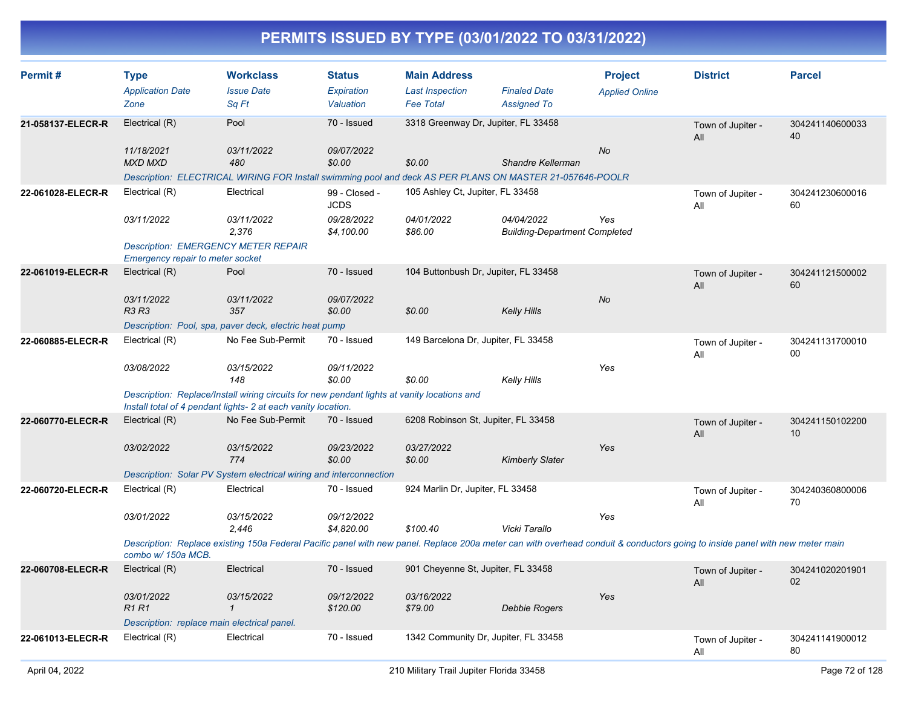| Permit#           | <b>Type</b><br><b>Application Date</b><br>Zone                                                                                                                                                     | <b>Workclass</b><br><b>Issue Date</b><br>Sq Ft                                                                                                               | <b>Status</b><br>Expiration<br>Valuation | <b>Main Address</b><br><b>Last Inspection</b><br><b>Fee Total</b> | <b>Finaled Date</b><br><b>Assigned To</b>                                                                                     | <b>Project</b><br><b>Applied Online</b> | <b>District</b>          | <b>Parcel</b>         |  |
|-------------------|----------------------------------------------------------------------------------------------------------------------------------------------------------------------------------------------------|--------------------------------------------------------------------------------------------------------------------------------------------------------------|------------------------------------------|-------------------------------------------------------------------|-------------------------------------------------------------------------------------------------------------------------------|-----------------------------------------|--------------------------|-----------------------|--|
| 21-058137-ELECR-R | Electrical (R)                                                                                                                                                                                     | Pool                                                                                                                                                         | 70 - Issued                              | 3318 Greenway Dr, Jupiter, FL 33458                               |                                                                                                                               |                                         | Town of Jupiter -<br>All | 304241140600033<br>40 |  |
|                   | 11/18/2021<br><b>MXD MXD</b>                                                                                                                                                                       | 03/11/2022<br>480                                                                                                                                            | 09/07/2022<br>\$0.00                     | \$0.00                                                            | Shandre Kellerman<br>Description: ELECTRICAL WIRING FOR Install swimming pool and deck AS PER PLANS ON MASTER 21-057646-POOLR | <b>No</b>                               |                          |                       |  |
| 22-061028-ELECR-R | Electrical (R)                                                                                                                                                                                     | Electrical                                                                                                                                                   | 99 - Closed -<br><b>JCDS</b>             | 105 Ashley Ct, Jupiter, FL 33458                                  |                                                                                                                               |                                         | Town of Jupiter -<br>All | 304241230600016<br>60 |  |
|                   | 03/11/2022                                                                                                                                                                                         | 03/11/2022<br>2,376                                                                                                                                          | 09/28/2022<br>\$4,100.00                 | 04/01/2022<br>\$86.00                                             | 04/04/2022<br><b>Building-Department Completed</b>                                                                            | Yes                                     |                          |                       |  |
|                   | <b>Emergency repair to meter socket</b>                                                                                                                                                            | <b>Description: EMERGENCY METER REPAIR</b>                                                                                                                   |                                          |                                                                   |                                                                                                                               |                                         |                          |                       |  |
| 22-061019-ELECR-R | Electrical (R)                                                                                                                                                                                     | Pool                                                                                                                                                         | 70 - Issued                              | 104 Buttonbush Dr, Jupiter, FL 33458                              |                                                                                                                               |                                         | Town of Jupiter -<br>All | 304241121500002<br>60 |  |
|                   | 03/11/2022<br><b>R3 R3</b>                                                                                                                                                                         | 03/11/2022<br>357                                                                                                                                            | 09/07/2022<br>\$0.00                     | \$0.00                                                            | Kelly Hills                                                                                                                   | No                                      |                          |                       |  |
|                   |                                                                                                                                                                                                    | Description: Pool, spa, paver deck, electric heat pump                                                                                                       |                                          |                                                                   |                                                                                                                               |                                         |                          |                       |  |
| 22-060885-ELECR-R | Electrical (R)                                                                                                                                                                                     | No Fee Sub-Permit                                                                                                                                            | 70 - Issued                              | 149 Barcelona Dr, Jupiter, FL 33458                               |                                                                                                                               |                                         | Town of Jupiter -<br>All | 304241131700010<br>00 |  |
|                   | 03/08/2022                                                                                                                                                                                         | 03/15/2022<br>148                                                                                                                                            | 09/11/2022<br>\$0.00                     | \$0.00                                                            | Kelly Hills                                                                                                                   | Yes                                     |                          |                       |  |
|                   |                                                                                                                                                                                                    | Description: Replace/Install wiring circuits for new pendant lights at vanity locations and<br>Install total of 4 pendant lights- 2 at each vanity location. |                                          |                                                                   |                                                                                                                               |                                         |                          |                       |  |
| 22-060770-ELECR-R | Electrical (R)                                                                                                                                                                                     | No Fee Sub-Permit                                                                                                                                            | 70 - Issued                              | 6208 Robinson St, Jupiter, FL 33458                               |                                                                                                                               |                                         | Town of Jupiter -<br>All | 304241150102200<br>10 |  |
|                   | 03/02/2022                                                                                                                                                                                         | 03/15/2022<br>774                                                                                                                                            | 09/23/2022<br>\$0.00                     | 03/27/2022<br>\$0.00                                              | <b>Kimberly Slater</b>                                                                                                        | Yes                                     |                          |                       |  |
|                   | Description: Solar PV System electrical wiring and interconnection                                                                                                                                 |                                                                                                                                                              |                                          |                                                                   |                                                                                                                               |                                         |                          |                       |  |
| 22-060720-ELECR-R | Electrical (R)                                                                                                                                                                                     | Electrical                                                                                                                                                   | 70 - Issued                              | 924 Marlin Dr, Jupiter, FL 33458                                  |                                                                                                                               |                                         | Town of Jupiter -<br>All | 304240360800006<br>70 |  |
|                   | 03/01/2022                                                                                                                                                                                         | 03/15/2022<br>2,446                                                                                                                                          | 09/12/2022<br>\$4,820.00                 | \$100.40                                                          | Vicki Tarallo                                                                                                                 | Yes                                     |                          |                       |  |
|                   | Description: Replace existing 150a Federal Pacific panel with new panel. Replace 200a meter can with overhead conduit & conductors going to inside panel with new meter main<br>combo w/ 150a MCB. |                                                                                                                                                              |                                          |                                                                   |                                                                                                                               |                                         |                          |                       |  |
| 22-060708-ELECR-R | Electrical (R)                                                                                                                                                                                     | Electrical                                                                                                                                                   | 70 - Issued                              | 901 Cheyenne St, Jupiter, FL 33458                                |                                                                                                                               |                                         | Town of Jupiter -<br>All | 304241020201901<br>02 |  |
|                   | 03/01/2022<br><b>R1R1</b>                                                                                                                                                                          | 03/15/2022<br>$\mathbf{1}$                                                                                                                                   | 09/12/2022<br>\$120.00                   | 03/16/2022<br>\$79.00                                             | Debbie Rogers                                                                                                                 | Yes                                     |                          |                       |  |
|                   | Description: replace main electrical panel.                                                                                                                                                        |                                                                                                                                                              |                                          |                                                                   |                                                                                                                               |                                         |                          |                       |  |
| 22-061013-ELECR-R | Electrical (R)                                                                                                                                                                                     | Electrical                                                                                                                                                   | 70 - Issued                              | 1342 Community Dr, Jupiter, FL 33458                              |                                                                                                                               |                                         | Town of Jupiter -<br>All | 304241141900012<br>80 |  |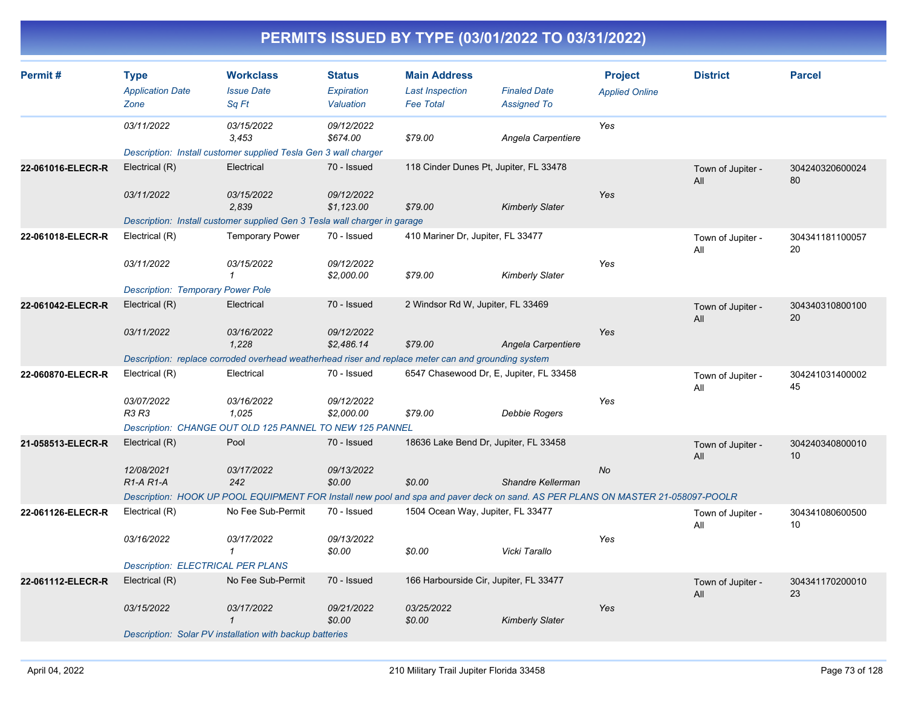| Permit#           | <b>Type</b>                                      | <b>Workclass</b>                                                                                                                | <b>Status</b>            | <b>Main Address</b>                        |                                           | <b>Project</b>        | <b>District</b>          | <b>Parcel</b>         |
|-------------------|--------------------------------------------------|---------------------------------------------------------------------------------------------------------------------------------|--------------------------|--------------------------------------------|-------------------------------------------|-----------------------|--------------------------|-----------------------|
|                   | <b>Application Date</b><br>Zone                  | <b>Issue Date</b><br>Sq Ft                                                                                                      | Expiration<br>Valuation  | <b>Last Inspection</b><br><b>Fee Total</b> | <b>Finaled Date</b><br><b>Assigned To</b> | <b>Applied Online</b> |                          |                       |
|                   | 03/11/2022                                       | 03/15/2022<br>3,453                                                                                                             | 09/12/2022<br>\$674.00   | \$79.00                                    | Angela Carpentiere                        | Yes                   |                          |                       |
|                   |                                                  | Description: Install customer supplied Tesla Gen 3 wall charger                                                                 |                          |                                            |                                           |                       |                          |                       |
| 22-061016-ELECR-R | Electrical (R)                                   | Electrical                                                                                                                      | 70 - Issued              | 118 Cinder Dunes Pt, Jupiter, FL 33478     |                                           |                       | Town of Jupiter -<br>All | 304240320600024<br>80 |
|                   | 03/11/2022                                       | 03/15/2022<br>2,839                                                                                                             | 09/12/2022<br>\$1,123.00 | \$79.00                                    | <b>Kimberly Slater</b>                    | Yes                   |                          |                       |
|                   |                                                  | Description: Install customer supplied Gen 3 Tesla wall charger in garage                                                       |                          |                                            |                                           |                       |                          |                       |
| 22-061018-ELECR-R | Electrical (R)                                   | <b>Temporary Power</b>                                                                                                          | 70 - Issued              | 410 Mariner Dr, Jupiter, FL 33477          |                                           |                       | Town of Jupiter -<br>All | 304341181100057<br>20 |
|                   | 03/11/2022                                       | 03/15/2022<br>1                                                                                                                 | 09/12/2022<br>\$2,000.00 | \$79.00                                    | <b>Kimberly Slater</b>                    | Yes                   |                          |                       |
|                   | <b>Description: Temporary Power Pole</b>         |                                                                                                                                 |                          |                                            |                                           |                       |                          |                       |
| 22-061042-ELECR-R | Electrical (R)                                   | Electrical                                                                                                                      | 70 - Issued              | 2 Windsor Rd W, Jupiter, FL 33469          |                                           |                       | Town of Jupiter -<br>All | 304340310800100<br>20 |
|                   | 03/11/2022                                       | 03/16/2022<br>1,228                                                                                                             | 09/12/2022<br>\$2,486.14 | \$79.00                                    | Angela Carpentiere                        | Yes                   |                          |                       |
|                   |                                                  | Description: replace corroded overhead weatherhead riser and replace meter can and grounding system                             |                          |                                            |                                           |                       |                          |                       |
| 22-060870-ELECR-R | Electrical (R)                                   | Electrical                                                                                                                      | 70 - Issued              | 6547 Chasewood Dr, E, Jupiter, FL 33458    |                                           |                       | Town of Jupiter -<br>All | 304241031400002<br>45 |
|                   | 03/07/2022<br><b>R3 R3</b>                       | 03/16/2022<br>1,025                                                                                                             | 09/12/2022<br>\$2,000.00 | \$79.00                                    | Debbie Rogers                             | Yes                   |                          |                       |
|                   |                                                  | Description: CHANGE OUT OLD 125 PANNEL TO NEW 125 PANNEL                                                                        |                          |                                            |                                           |                       |                          |                       |
| 21-058513-ELECR-R | Electrical (R)                                   | Pool                                                                                                                            | 70 - Issued              | 18636 Lake Bend Dr, Jupiter, FL 33458      |                                           |                       | Town of Jupiter -<br>All | 304240340800010<br>10 |
|                   | 12/08/2021<br>R <sub>1</sub> -A <sub>R1</sub> -A | 03/17/2022<br>242                                                                                                               | 09/13/2022<br>\$0.00     | \$0.00                                     | Shandre Kellerman                         | <b>No</b>             |                          |                       |
|                   |                                                  | Description: HOOK UP POOL EQUIPMENT FOR Install new pool and spa and paver deck on sand. AS PER PLANS ON MASTER 21-058097-POOLR |                          |                                            |                                           |                       |                          |                       |
| 22-061126-ELECR-R | Electrical (R)                                   | No Fee Sub-Permit                                                                                                               | 70 - Issued              | 1504 Ocean Way, Jupiter, FL 33477          |                                           |                       | Town of Jupiter -<br>All | 304341080600500<br>10 |
|                   | 03/16/2022                                       | 03/17/2022<br>$\mathcal I$                                                                                                      | 09/13/2022<br>\$0.00     | \$0.00                                     | Vicki Tarallo                             | Yes                   |                          |                       |
|                   | <b>Description: ELECTRICAL PER PLANS</b>         |                                                                                                                                 |                          |                                            |                                           |                       |                          |                       |
| 22-061112-ELECR-R | Electrical (R)                                   | No Fee Sub-Permit                                                                                                               | 70 - Issued              | 166 Harbourside Cir, Jupiter, FL 33477     |                                           |                       | Town of Jupiter -<br>All | 304341170200010<br>23 |
|                   | 03/15/2022                                       | 03/17/2022<br>$\mathbf 1$                                                                                                       | 09/21/2022<br>\$0.00     | 03/25/2022<br>\$0.00                       | <b>Kimberly Slater</b>                    | Yes                   |                          |                       |
|                   |                                                  | Description: Solar PV installation with backup batteries                                                                        |                          |                                            |                                           |                       |                          |                       |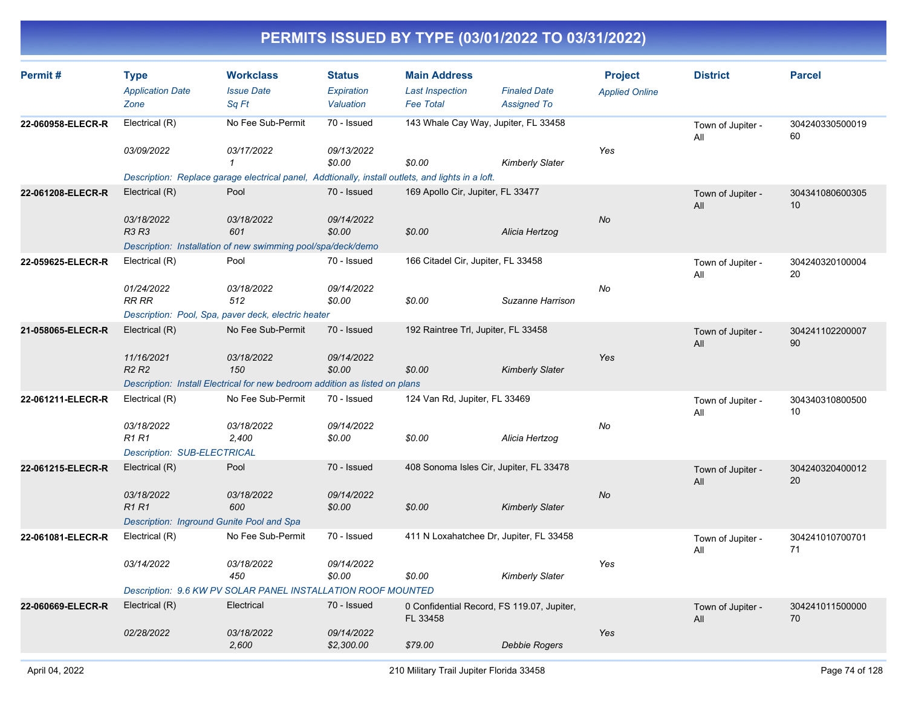| Permit#           | <b>Type</b><br><b>Application Date</b><br>Zone                                           | <b>Workclass</b><br><b>Issue Date</b><br>Sa Ft                                                                                                       | <b>Status</b><br>Expiration<br>Valuation | <b>Main Address</b><br><b>Last Inspection</b><br><b>Fee Total</b> | <b>Finaled Date</b><br><b>Assigned To</b> | <b>Project</b><br><b>Applied Online</b> | <b>District</b>          | <b>Parcel</b>         |
|-------------------|------------------------------------------------------------------------------------------|------------------------------------------------------------------------------------------------------------------------------------------------------|------------------------------------------|-------------------------------------------------------------------|-------------------------------------------|-----------------------------------------|--------------------------|-----------------------|
| 22-060958-ELECR-R | Electrical (R)<br>03/09/2022                                                             | No Fee Sub-Permit<br>03/17/2022<br>$\mathbf{1}$<br>Description: Replace garage electrical panel, Addtionally, install outlets, and lights in a loft. | 70 - Issued<br>09/13/2022<br>\$0.00      | 143 Whale Cay Way, Jupiter, FL 33458<br>\$0.00                    | <b>Kimberly Slater</b>                    | Yes                                     | Town of Jupiter -<br>All | 304240330500019<br>60 |
| 22-061208-ELECR-R | Electrical (R)<br>03/18/2022<br><b>R3 R3</b>                                             | Pool<br>03/18/2022<br>601<br>Description: Installation of new swimming pool/spa/deck/demo                                                            | 70 - Issued<br>09/14/2022<br>\$0.00      | 169 Apollo Cir, Jupiter, FL 33477<br>\$0.00                       | Alicia Hertzog                            | <b>No</b>                               | Town of Jupiter -<br>All | 304341080600305<br>10 |
| 22-059625-ELECR-R | Electrical (R)<br>01/24/2022<br>RR RR                                                    | Pool<br>03/18/2022<br>512<br>Description: Pool, Spa, paver deck, electric heater                                                                     | 70 - Issued<br>09/14/2022<br>\$0.00      | 166 Citadel Cir, Jupiter, FL 33458<br>\$0.00                      | Suzanne Harrison                          | No                                      | Town of Jupiter -<br>All | 304240320100004<br>20 |
| 21-058065-ELECR-R | Electrical (R)<br>11/16/2021<br><b>R2 R2</b>                                             | No Fee Sub-Permit<br>03/18/2022<br>150<br>Description: Install Electrical for new bedroom addition as listed on plans                                | 70 - Issued<br>09/14/2022<br>\$0.00      | 192 Raintree Trl, Jupiter, FL 33458<br>\$0.00                     | <b>Kimberly Slater</b>                    | Yes                                     | Town of Jupiter -<br>All | 304241102200007<br>90 |
| 22-061211-ELECR-R | Electrical (R)<br>03/18/2022<br><b>R1 R1</b><br>Description: SUB-ELECTRICAL              | No Fee Sub-Permit<br>03/18/2022<br>2,400                                                                                                             | 70 - Issued<br>09/14/2022<br>\$0.00      | 124 Van Rd, Jupiter, FL 33469<br>\$0.00                           | Alicia Hertzog                            | No                                      | Town of Jupiter -<br>All | 304340310800500<br>10 |
| 22-061215-ELECR-R | Electrical (R)<br>03/18/2022<br><b>R1R1</b><br>Description: Inground Gunite Pool and Spa | Pool<br>03/18/2022<br>600                                                                                                                            | 70 - Issued<br>09/14/2022<br>\$0.00      | 408 Sonoma Isles Cir, Jupiter, FL 33478<br>\$0.00                 | <b>Kimberly Slater</b>                    | No                                      | Town of Jupiter -<br>All | 304240320400012<br>20 |
| 22-061081-ELECR-R | Electrical (R)<br>03/14/2022                                                             | No Fee Sub-Permit<br>03/18/2022<br>450<br>Description: 9.6 KW PV SOLAR PANEL INSTALLATION ROOF MOUNTED                                               | 70 - Issued<br>09/14/2022<br>\$0.00      | 411 N Loxahatchee Dr, Jupiter, FL 33458<br>\$0.00                 | <b>Kimberly Slater</b>                    | Yes                                     | Town of Jupiter -<br>All | 304241010700701<br>71 |
| 22-060669-ELECR-R | Electrical (R)<br>02/28/2022                                                             | Electrical<br>03/18/2022<br>2,600                                                                                                                    | 70 - Issued<br>09/14/2022<br>\$2,300.00  | 0 Confidential Record, FS 119.07, Jupiter,<br>FL 33458<br>\$79.00 | Debbie Rogers                             | Yes                                     | Town of Jupiter -<br>All | 304241011500000<br>70 |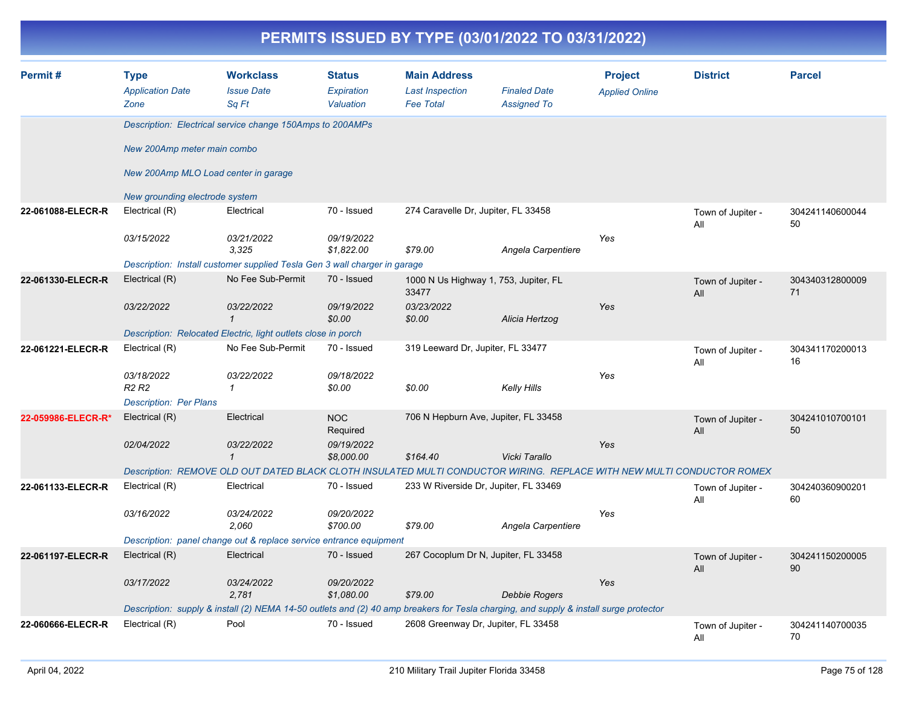|                    |                                                |                                                                                                                                       |                                          | PERMITS ISSUED BY TYPE (03/01/2022 TO 03/31/2022)                 |                                           |                                         |                          |                       |
|--------------------|------------------------------------------------|---------------------------------------------------------------------------------------------------------------------------------------|------------------------------------------|-------------------------------------------------------------------|-------------------------------------------|-----------------------------------------|--------------------------|-----------------------|
| Permit#            | <b>Type</b><br><b>Application Date</b><br>Zone | <b>Workclass</b><br><b>Issue Date</b><br>Sq Ft                                                                                        | <b>Status</b><br>Expiration<br>Valuation | <b>Main Address</b><br><b>Last Inspection</b><br><b>Fee Total</b> | <b>Finaled Date</b><br><b>Assigned To</b> | <b>Project</b><br><b>Applied Online</b> | <b>District</b>          | <b>Parcel</b>         |
|                    |                                                | Description: Electrical service change 150Amps to 200AMPs                                                                             |                                          |                                                                   |                                           |                                         |                          |                       |
|                    | New 200Amp meter main combo                    |                                                                                                                                       |                                          |                                                                   |                                           |                                         |                          |                       |
|                    | New 200Amp MLO Load center in garage           |                                                                                                                                       |                                          |                                                                   |                                           |                                         |                          |                       |
|                    | New grounding electrode system                 |                                                                                                                                       |                                          |                                                                   |                                           |                                         |                          |                       |
| 22-061088-ELECR-R  | Electrical (R)                                 | Electrical                                                                                                                            | 70 - Issued                              | 274 Caravelle Dr, Jupiter, FL 33458                               |                                           |                                         | Town of Jupiter -<br>All | 304241140600044<br>50 |
|                    | 03/15/2022                                     | 03/21/2022<br>3,325                                                                                                                   | 09/19/2022<br>\$1,822.00                 | \$79.00                                                           | Angela Carpentiere                        | Yes                                     |                          |                       |
|                    |                                                | Description: Install customer supplied Tesla Gen 3 wall charger in garage                                                             |                                          |                                                                   |                                           |                                         |                          |                       |
| 22-061330-ELECR-R  | Electrical (R)                                 | No Fee Sub-Permit                                                                                                                     | 70 - Issued                              | 1000 N Us Highway 1, 753, Jupiter, FL<br>33477                    |                                           |                                         | Town of Jupiter -<br>All | 304340312800009<br>71 |
|                    | 03/22/2022                                     | 03/22/2022<br>$\mathbf{1}$                                                                                                            | 09/19/2022<br>\$0.00                     | 03/23/2022<br>\$0.00                                              | Alicia Hertzog                            | Yes                                     |                          |                       |
|                    |                                                | Description: Relocated Electric, light outlets close in porch                                                                         |                                          |                                                                   |                                           |                                         |                          |                       |
| 22-061221-ELECR-R  | Electrical (R)                                 | No Fee Sub-Permit                                                                                                                     | 70 - Issued                              | 319 Leeward Dr, Jupiter, FL 33477                                 |                                           |                                         | Town of Jupiter -<br>All | 304341170200013<br>16 |
|                    | 03/18/2022<br><b>R2 R2</b>                     | 03/22/2022<br>1                                                                                                                       | 09/18/2022<br>\$0.00                     | \$0.00                                                            | <b>Kelly Hills</b>                        | Yes                                     |                          |                       |
|                    | <b>Description: Per Plans</b>                  |                                                                                                                                       |                                          |                                                                   |                                           |                                         |                          |                       |
| 22-059986-ELECR-R* | Electrical (R)                                 | Electrical                                                                                                                            | <b>NOC</b><br>Required                   | 706 N Hepburn Ave, Jupiter, FL 33458                              |                                           |                                         | Town of Jupiter -<br>All | 304241010700101<br>50 |
|                    | 02/04/2022                                     | 03/22/2022<br>$\mathbf{1}$                                                                                                            | 09/19/2022<br>\$8,000.00                 | \$164.40                                                          | Vicki Tarallo                             | Yes                                     |                          |                       |
|                    |                                                | Description: REMOVE OLD OUT DATED BLACK CLOTH INSULATED MULTI CONDUCTOR WIRING. REPLACE WITH NEW MULTI CONDUCTOR ROMEX                |                                          |                                                                   |                                           |                                         |                          |                       |
| 22-061133-ELECR-R  | Electrical (R)                                 | Electrical                                                                                                                            | 70 - Issued                              | 233 W Riverside Dr, Jupiter, FL 33469                             |                                           |                                         | Town of Jupiter -<br>All | 304240360900201<br>60 |
|                    | 03/16/2022                                     | 03/24/2022<br>2,060                                                                                                                   | 09/20/2022<br>\$700.00                   | \$79.00                                                           | Angela Carpentiere                        | Yes                                     |                          |                       |
|                    |                                                | Description: panel change out & replace service entrance equipment                                                                    |                                          |                                                                   |                                           |                                         |                          |                       |
| 22-061197-ELECR-R  | Electrical (R)                                 | Electrical                                                                                                                            | 70 - Issued                              | 267 Cocoplum Dr N, Jupiter, FL 33458                              |                                           |                                         | Town of Jupiter -<br>All | 304241150200005<br>90 |
|                    | 03/17/2022                                     | 03/24/2022<br>2,781                                                                                                                   | 09/20/2022<br>\$1,080.00                 | \$79.00                                                           | <b>Debbie Rogers</b>                      | Yes                                     |                          |                       |
|                    |                                                | Description: supply & install (2) NEMA 14-50 outlets and (2) 40 amp breakers for Tesla charging, and supply & install surge protector |                                          |                                                                   |                                           |                                         |                          |                       |
| 22-060666-ELECR-R  | Electrical (R)                                 | Pool                                                                                                                                  | 70 - Issued                              | 2608 Greenway Dr, Jupiter, FL 33458                               |                                           |                                         | Town of Jupiter -<br>All | 304241140700035<br>70 |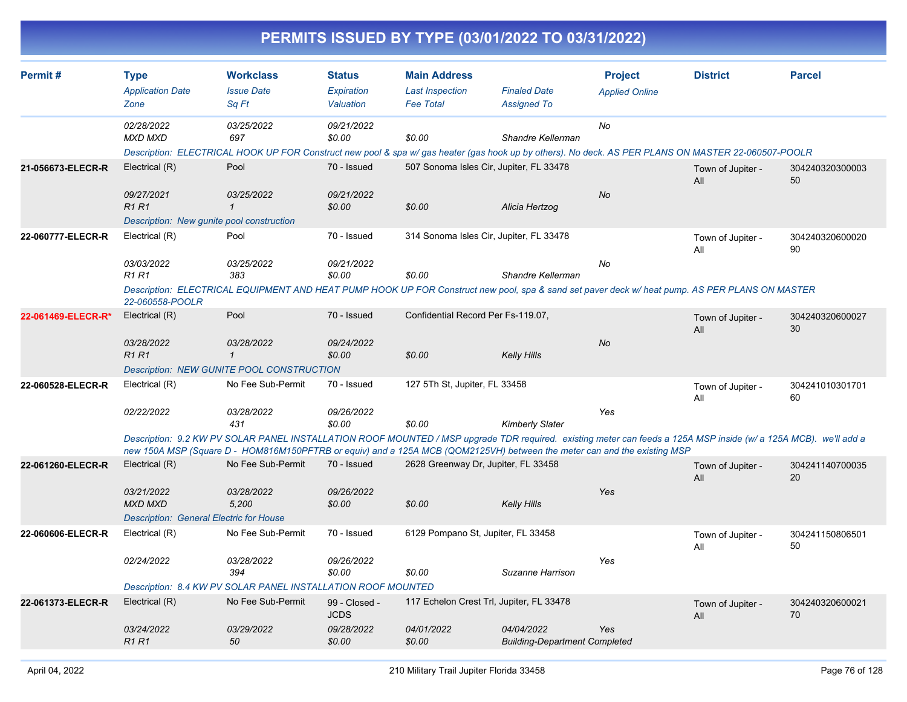|                    |                                                                                |                                                                                                                                                                                                                                                                                              |                                          |                                                                   | PERMITS ISSUED BY TYPE (03/01/2022 TO 03/31/2022)  |                                         |                          |                       |
|--------------------|--------------------------------------------------------------------------------|----------------------------------------------------------------------------------------------------------------------------------------------------------------------------------------------------------------------------------------------------------------------------------------------|------------------------------------------|-------------------------------------------------------------------|----------------------------------------------------|-----------------------------------------|--------------------------|-----------------------|
| Permit#            | <b>Type</b><br><b>Application Date</b><br>Zone                                 | <b>Workclass</b><br><b>Issue Date</b><br>Sq Ft                                                                                                                                                                                                                                               | <b>Status</b><br>Expiration<br>Valuation | <b>Main Address</b><br><b>Last Inspection</b><br><b>Fee Total</b> | <b>Finaled Date</b><br><b>Assigned To</b>          | <b>Project</b><br><b>Applied Online</b> | <b>District</b>          | <b>Parcel</b>         |
|                    | 02/28/2022<br><b>MXD MXD</b>                                                   | 03/25/2022<br>697<br>Description: ELECTRICAL HOOK UP FOR Construct new pool & spa w/ gas heater (gas hook up by others). No deck. AS PER PLANS ON MASTER 22-060507-POOLR                                                                                                                     | 09/21/2022<br>\$0.00                     | \$0.00                                                            | Shandre Kellerman                                  | No                                      |                          |                       |
| 21-056673-ELECR-R  | Electrical (R)                                                                 | Pool                                                                                                                                                                                                                                                                                         | 70 - Issued                              |                                                                   | 507 Sonoma Isles Cir, Jupiter, FL 33478            |                                         | Town of Jupiter -<br>All | 304240320300003<br>50 |
|                    | 09/27/2021<br><b>R1 R1</b>                                                     | 03/25/2022<br>$\mathbf 1$<br>Description: New gunite pool construction                                                                                                                                                                                                                       | 09/21/2022<br>\$0.00                     | \$0.00                                                            | Alicia Hertzog                                     | No                                      |                          |                       |
| 22-060777-ELECR-R  | Electrical (R)                                                                 | Pool                                                                                                                                                                                                                                                                                         | 70 - Issued                              |                                                                   | 314 Sonoma Isles Cir, Jupiter, FL 33478            |                                         | Town of Jupiter -<br>All | 304240320600020<br>90 |
|                    | 03/03/2022<br><b>R1 R1</b>                                                     | 03/25/2022<br>383<br>Description: ELECTRICAL EQUIPMENT AND HEAT PUMP HOOK UP FOR Construct new pool, spa & sand set paver deck w/ heat pump. AS PER PLANS ON MASTER                                                                                                                          | 09/21/2022<br>\$0.00                     | \$0.00                                                            | Shandre Kellerman                                  | No                                      |                          |                       |
| 22-061469-ELECR-R* | 22-060558-POOLR<br>Electrical (R)                                              | Pool                                                                                                                                                                                                                                                                                         | 70 - Issued                              | Confidential Record Per Fs-119.07,                                |                                                    |                                         | Town of Jupiter -<br>All | 304240320600027<br>30 |
|                    | 03/28/2022<br>R1 R1                                                            | 03/28/2022<br>$\mathcal I$                                                                                                                                                                                                                                                                   | 09/24/2022<br>\$0.00                     | \$0.00                                                            | <b>Kelly Hills</b>                                 | <b>No</b>                               |                          |                       |
| 22-060528-ELECR-R  | Electrical (R)                                                                 | <b>Description: NEW GUNITE POOL CONSTRUCTION</b><br>No Fee Sub-Permit                                                                                                                                                                                                                        | 70 - Issued                              | 127 5Th St, Jupiter, FL 33458                                     |                                                    |                                         | Town of Jupiter -<br>All | 304241010301701<br>60 |
|                    | 02/22/2022                                                                     | 03/28/2022<br>431                                                                                                                                                                                                                                                                            | 09/26/2022<br>\$0.00                     | \$0.00                                                            | <b>Kimberly Slater</b>                             | Yes                                     |                          |                       |
|                    |                                                                                | Description: 9.2 KW PV SOLAR PANEL INSTALLATION ROOF MOUNTED / MSP upgrade TDR required. existing meter can feeds a 125A MSP inside (w/ a 125A MCB). we'll add a<br>new 150A MSP (Square D - HOM816M150PFTRB or equiv) and a 125A MCB (QOM2125VH) between the meter can and the existing MSP |                                          |                                                                   |                                                    |                                         |                          |                       |
| 22-061260-ELECR-R  | Electrical (R)                                                                 | No Fee Sub-Permit                                                                                                                                                                                                                                                                            | 70 - Issued                              | 2628 Greenway Dr, Jupiter, FL 33458                               |                                                    |                                         | Town of Jupiter -<br>All | 304241140700035<br>20 |
|                    | 03/21/2022<br><b>MXD MXD</b><br><b>Description: General Electric for House</b> | 03/28/2022<br>5,200                                                                                                                                                                                                                                                                          | 09/26/2022<br>\$0.00                     | \$0.00                                                            | <b>Kelly Hills</b>                                 | Yes                                     |                          |                       |
| 22-060606-ELECR-R  | Electrical (R)                                                                 | No Fee Sub-Permit                                                                                                                                                                                                                                                                            | 70 - Issued                              | 6129 Pompano St, Jupiter, FL 33458                                |                                                    |                                         | Town of Jupiter -<br>All | 304241150806501<br>50 |
|                    | 02/24/2022                                                                     | 03/28/2022<br>394<br>Description: 8.4 KW PV SOLAR PANEL INSTALLATION ROOF MOUNTED                                                                                                                                                                                                            | 09/26/2022<br>\$0.00                     | \$0.00                                                            | Suzanne Harrison                                   | Yes                                     |                          |                       |
| 22-061373-ELECR-R  | Electrical (R)                                                                 | No Fee Sub-Permit                                                                                                                                                                                                                                                                            | 99 - Closed -                            |                                                                   | 117 Echelon Crest Trl, Jupiter, FL 33478           |                                         | Town of Jupiter -        | 304240320600021       |
|                    | 03/24/2022<br>R <sub>1</sub> R <sub>1</sub>                                    | 03/29/2022<br>50                                                                                                                                                                                                                                                                             | <b>JCDS</b><br>09/28/2022<br>\$0.00      | 04/01/2022<br>\$0.00                                              | 04/04/2022<br><b>Building-Department Completed</b> | Yes                                     | All                      | 70                    |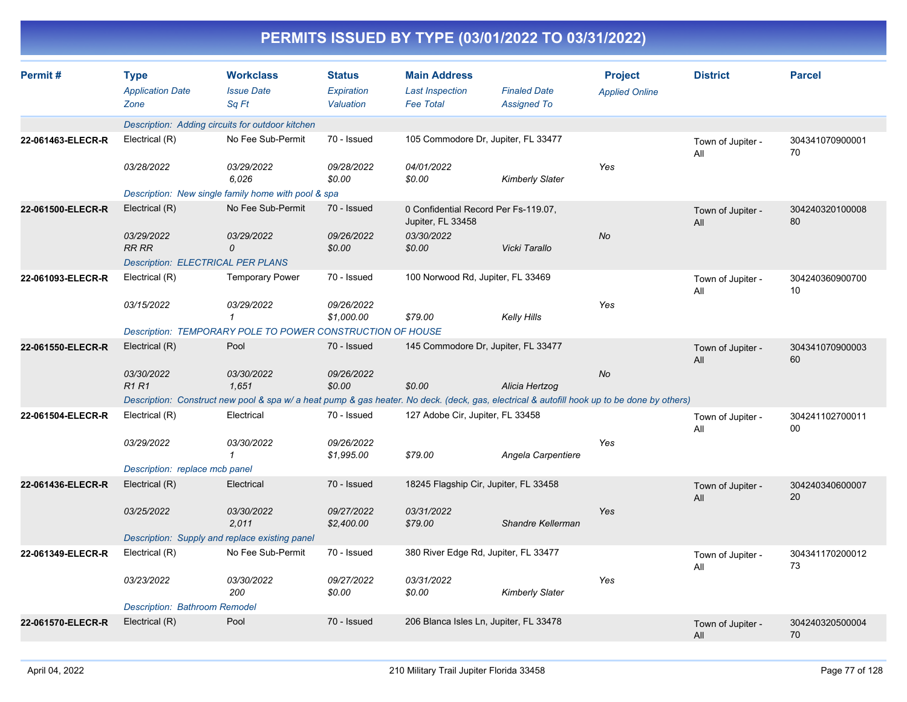| <b>PERMITS ISSUED BY TYPE (03/01/2022 TO 03/31/2022)</b> |  |
|----------------------------------------------------------|--|
|                                                          |  |

| Permit#           | <b>Type</b><br><b>Application Date</b><br>Zone | <b>Workclass</b><br><b>Issue Date</b><br>Sq Ft                                                                                              | <b>Status</b><br><b>Expiration</b><br>Valuation | <b>Main Address</b><br><b>Last Inspection</b><br><b>Fee Total</b> | <b>Finaled Date</b><br><b>Assigned To</b> | <b>Project</b><br><b>Applied Online</b> | <b>District</b>          | <b>Parcel</b>         |
|-------------------|------------------------------------------------|---------------------------------------------------------------------------------------------------------------------------------------------|-------------------------------------------------|-------------------------------------------------------------------|-------------------------------------------|-----------------------------------------|--------------------------|-----------------------|
|                   |                                                | Description: Adding circuits for outdoor kitchen                                                                                            |                                                 |                                                                   |                                           |                                         |                          |                       |
| 22-061463-ELECR-R | Electrical (R)                                 | No Fee Sub-Permit                                                                                                                           | 70 - Issued                                     |                                                                   | 105 Commodore Dr, Jupiter, FL 33477       |                                         | Town of Jupiter -<br>All | 304341070900001<br>70 |
|                   | 03/28/2022                                     | 03/29/2022<br>6,026                                                                                                                         | 09/28/2022<br>\$0.00                            | 04/01/2022<br>\$0.00                                              | <b>Kimberly Slater</b>                    | Yes                                     |                          |                       |
|                   |                                                | Description: New single family home with pool & spa                                                                                         |                                                 |                                                                   |                                           |                                         |                          |                       |
| 22-061500-ELECR-R | Electrical (R)                                 | No Fee Sub-Permit                                                                                                                           | 70 - Issued                                     | 0 Confidential Record Per Fs-119.07,<br>Jupiter, FL 33458         |                                           |                                         | Town of Jupiter -<br>All | 304240320100008<br>80 |
|                   | 03/29/2022<br><b>RR RR</b>                     | 03/29/2022<br>0                                                                                                                             | 09/26/2022<br>\$0.00                            | 03/30/2022<br>\$0.00                                              | Vicki Tarallo                             | No                                      |                          |                       |
|                   | <b>Description: ELECTRICAL PER PLANS</b>       |                                                                                                                                             |                                                 |                                                                   |                                           |                                         |                          |                       |
| 22-061093-ELECR-R | Electrical (R)                                 | <b>Temporary Power</b>                                                                                                                      | 70 - Issued                                     | 100 Norwood Rd, Jupiter, FL 33469                                 |                                           |                                         | Town of Jupiter -<br>All | 304240360900700<br>10 |
|                   | 03/15/2022                                     | 03/29/2022<br>1                                                                                                                             | 09/26/2022<br>\$1,000.00                        | \$79.00                                                           | Kelly Hills                               | Yes                                     |                          |                       |
|                   |                                                | Description: TEMPORARY POLE TO POWER CONSTRUCTION OF HOUSE                                                                                  |                                                 |                                                                   |                                           |                                         |                          |                       |
| 22-061550-ELECR-R | Electrical (R)                                 | Pool                                                                                                                                        | 70 - Issued                                     |                                                                   | 145 Commodore Dr, Jupiter, FL 33477       |                                         | Town of Jupiter -<br>All | 304341070900003<br>60 |
|                   | 03/30/2022<br><b>R1R1</b>                      | 03/30/2022<br>1,651                                                                                                                         | 09/26/2022<br>\$0.00                            | \$0.00                                                            | Alicia Hertzog                            | No                                      |                          |                       |
|                   |                                                | Description: Construct new pool & spa w/ a heat pump & gas heater. No deck. (deck, gas, electrical & autofill hook up to be done by others) |                                                 |                                                                   |                                           |                                         |                          |                       |
| 22-061504-ELECR-R | Electrical (R)                                 | Electrical                                                                                                                                  | 70 - Issued                                     | 127 Adobe Cir, Jupiter, FL 33458                                  |                                           |                                         | Town of Jupiter -<br>All | 304241102700011<br>00 |
|                   | 03/29/2022                                     | 03/30/2022<br>$\mathbf{1}$                                                                                                                  | 09/26/2022<br>\$1,995.00                        | \$79.00                                                           | Angela Carpentiere                        | Yes                                     |                          |                       |
|                   | Description: replace mcb panel                 |                                                                                                                                             |                                                 |                                                                   |                                           |                                         |                          |                       |
| 22-061436-ELECR-R | Electrical (R)                                 | Electrical                                                                                                                                  | 70 - Issued                                     | 18245 Flagship Cir, Jupiter, FL 33458                             |                                           |                                         | Town of Jupiter -<br>All | 304240340600007<br>20 |
|                   | 03/25/2022                                     | 03/30/2022<br>2,011                                                                                                                         | 09/27/2022<br>\$2,400.00                        | 03/31/2022<br>\$79.00                                             | Shandre Kellerman                         | Yes                                     |                          |                       |
|                   |                                                | Description: Supply and replace existing panel                                                                                              |                                                 |                                                                   |                                           |                                         |                          |                       |
| 22-061349-ELECR-R | Electrical (R)                                 | No Fee Sub-Permit                                                                                                                           | 70 - Issued                                     | 380 River Edge Rd, Jupiter, FL 33477                              |                                           |                                         | Town of Jupiter -<br>All | 304341170200012<br>73 |
|                   | 03/23/2022                                     | 03/30/2022<br>200                                                                                                                           | 09/27/2022<br>\$0.00                            | 03/31/2022<br>\$0.00                                              | <b>Kimberly Slater</b>                    | Yes                                     |                          |                       |
|                   | <b>Description: Bathroom Remodel</b>           |                                                                                                                                             |                                                 |                                                                   |                                           |                                         |                          |                       |
| 22-061570-ELECR-R | Electrical (R)                                 | Pool                                                                                                                                        | 70 - Issued                                     |                                                                   | 206 Blanca Isles Ln, Jupiter, FL 33478    |                                         | Town of Jupiter -<br>All | 304240320500004<br>70 |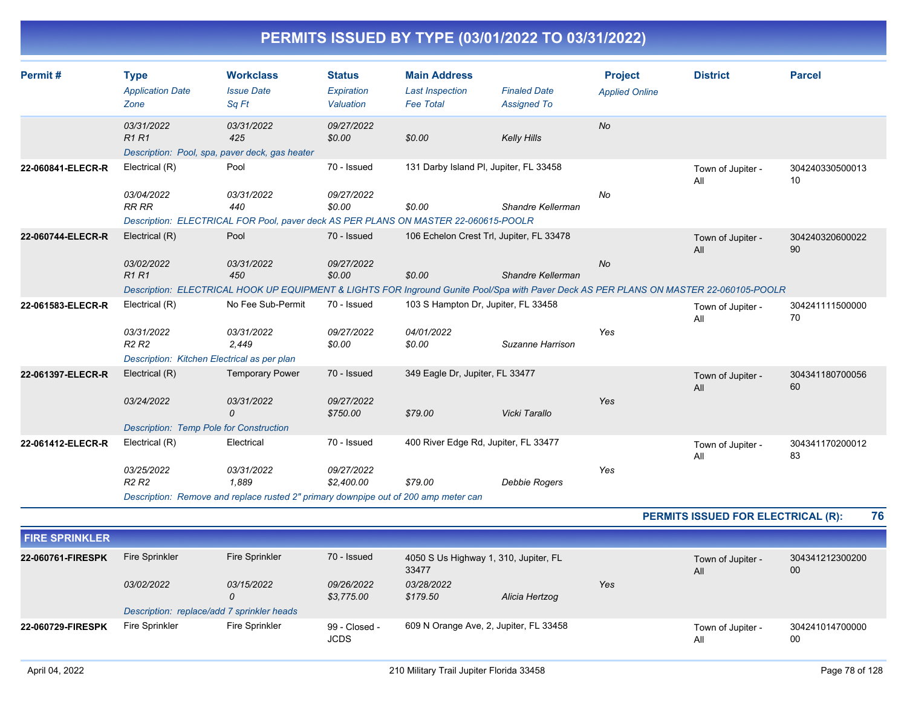| Permit#               | <b>Type</b><br><b>Application Date</b><br>Zone | <b>Workclass</b><br><b>Issue Date</b><br>Sq Ft                                                                                                              | <b>Status</b><br>Expiration<br>Valuation | <b>Main Address</b><br><b>Last Inspection</b><br><b>Fee Total</b> | <b>Finaled Date</b><br><b>Assigned To</b> | <b>Project</b><br><b>Applied Online</b> | <b>District</b>                    | <b>Parcel</b>         |
|-----------------------|------------------------------------------------|-------------------------------------------------------------------------------------------------------------------------------------------------------------|------------------------------------------|-------------------------------------------------------------------|-------------------------------------------|-----------------------------------------|------------------------------------|-----------------------|
|                       | 03/31/2022<br><b>R1R1</b>                      | 03/31/2022<br>425<br>Description: Pool, spa, paver deck, gas heater                                                                                         | 09/27/2022<br>\$0.00                     | \$0.00                                                            | Kelly Hills                               | No                                      |                                    |                       |
| 22-060841-ELECR-R     | Electrical (R)                                 | Pool                                                                                                                                                        | 70 - Issued                              | 131 Darby Island PI, Jupiter, FL 33458                            |                                           |                                         | Town of Jupiter -<br>All           | 304240330500013<br>10 |
|                       | 03/04/2022<br><b>RR RR</b>                     | 03/31/2022<br>440<br>Description: ELECTRICAL FOR Pool, paver deck AS PER PLANS ON MASTER 22-060615-POOLR                                                    | 09/27/2022<br>\$0.00                     | \$0.00                                                            | Shandre Kellerman                         | No                                      |                                    |                       |
| 22-060744-ELECR-R     | Electrical (R)                                 | Pool                                                                                                                                                        | 70 - Issued                              | 106 Echelon Crest Trl, Jupiter, FL 33478                          |                                           |                                         | Town of Jupiter -<br>All           | 304240320600022<br>90 |
|                       | 03/02/2022<br><b>R1R1</b>                      | 03/31/2022<br>450<br>Description: ELECTRICAL HOOK UP EQUIPMENT & LIGHTS FOR Inground Gunite Pool/Spa with Paver Deck AS PER PLANS ON MASTER 22-060105-POOLR | 09/27/2022<br>\$0.00                     | \$0.00                                                            | Shandre Kellerman                         | No                                      |                                    |                       |
| 22-061583-ELECR-R     | Electrical (R)                                 | No Fee Sub-Permit                                                                                                                                           | 70 - Issued                              | 103 S Hampton Dr, Jupiter, FL 33458                               |                                           |                                         | Town of Jupiter -<br>All           | 304241111500000<br>70 |
|                       | 03/31/2022<br>R <sub>2</sub> R <sub>2</sub>    | 03/31/2022<br>2,449                                                                                                                                         | 09/27/2022<br>\$0.00                     | 04/01/2022<br>\$0.00                                              | Suzanne Harrison                          | Yes                                     |                                    |                       |
| 22-061397-ELECR-R     | Electrical (R)                                 | Description: Kitchen Electrical as per plan<br><b>Temporary Power</b>                                                                                       | 70 - Issued                              | 349 Eagle Dr, Jupiter, FL 33477                                   |                                           |                                         |                                    | 304341180700056       |
|                       | 03/24/2022                                     | 03/31/2022<br>$\Omega$                                                                                                                                      | 09/27/2022                               |                                                                   |                                           | Yes                                     | Town of Jupiter -<br>All           | 60                    |
|                       | <b>Description: Temp Pole for Construction</b> |                                                                                                                                                             | \$750.00                                 | \$79.00                                                           | Vicki Tarallo                             |                                         |                                    |                       |
| 22-061412-ELECR-R     | Electrical (R)                                 | Electrical                                                                                                                                                  | 70 - Issued                              | 400 River Edge Rd, Jupiter, FL 33477                              |                                           |                                         | Town of Jupiter -<br>All           | 304341170200012<br>83 |
|                       | 03/25/2022<br>R <sub>2</sub> R <sub>2</sub>    | 03/31/2022<br>1.889                                                                                                                                         | 09/27/2022<br>\$2,400.00                 | \$79.00                                                           | Debbie Rogers                             | Yes                                     |                                    |                       |
|                       |                                                | Description: Remove and replace rusted 2" primary downpipe out of 200 amp meter can                                                                         |                                          |                                                                   |                                           |                                         |                                    |                       |
|                       |                                                |                                                                                                                                                             |                                          |                                                                   |                                           |                                         | PERMITS ISSUED FOR ELECTRICAL (R): | 76                    |
| <b>FIRE SPRINKLER</b> |                                                |                                                                                                                                                             |                                          |                                                                   |                                           |                                         |                                    |                       |
| 22-060761-FIRESPK     | <b>Fire Sprinkler</b>                          | <b>Fire Sprinkler</b>                                                                                                                                       | 70 - Issued                              | 4050 S Us Highway 1, 310, Jupiter, FL<br>33477                    |                                           |                                         | Town of Jupiter -<br>All           | 304341212300200<br>00 |
|                       | 03/02/2022                                     | 03/15/2022<br>$\Omega$                                                                                                                                      | 09/26/2022<br>\$3,775.00                 | 03/28/2022<br>\$179.50                                            | Alicia Hertzog                            | Yes                                     |                                    |                       |
| 22-060729-FIRESPK     | <b>Fire Sprinkler</b>                          | Description: replace/add 7 sprinkler heads<br><b>Fire Sprinkler</b>                                                                                         | 99 - Closed -                            | 609 N Orange Ave, 2, Jupiter, FL 33458                            |                                           |                                         | Town of Jupiter -                  | 304241014700000       |
|                       |                                                |                                                                                                                                                             | <b>JCDS</b>                              |                                                                   |                                           |                                         | All                                | 00                    |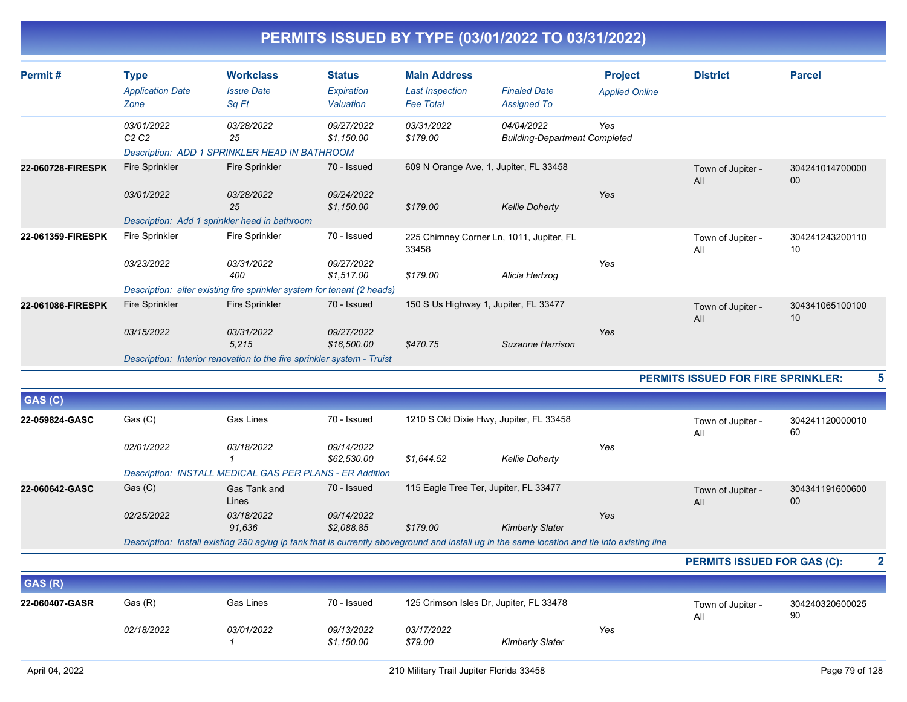| Permit#              | <b>Type</b><br><b>Application Date</b><br>Zone | <b>Workclass</b><br><b>Issue Date</b><br>Sq Ft                         | <b>Status</b><br>Expiration<br>Valuation | <b>Main Address</b><br><b>Last Inspection</b><br><b>Fee Total</b> | <b>Finaled Date</b><br><b>Assigned To</b>                                                                                                    | <b>Project</b><br><b>Applied Online</b> | <b>District</b>                    | <b>Parcel</b>             |                         |
|----------------------|------------------------------------------------|------------------------------------------------------------------------|------------------------------------------|-------------------------------------------------------------------|----------------------------------------------------------------------------------------------------------------------------------------------|-----------------------------------------|------------------------------------|---------------------------|-------------------------|
|                      | 03/01/2022<br>C2C2                             | 03/28/2022<br>25<br>Description: ADD 1 SPRINKLER HEAD IN BATHROOM      | 09/27/2022<br>\$1,150.00                 | 03/31/2022<br>\$179.00                                            | 04/04/2022<br><b>Building-Department Completed</b>                                                                                           | Yes                                     |                                    |                           |                         |
| 22-060728-FIRESPK    | <b>Fire Sprinkler</b>                          | Fire Sprinkler                                                         | 70 - Issued                              |                                                                   | 609 N Orange Ave, 1, Jupiter, FL 33458                                                                                                       |                                         | Town of Jupiter -<br>All           | 304241014700000<br>$00\,$ |                         |
|                      | 03/01/2022                                     | 03/28/2022<br>25                                                       | 09/24/2022<br>\$1,150.00                 | \$179.00                                                          | <b>Kellie Doherty</b>                                                                                                                        | Yes                                     |                                    |                           |                         |
| 22-061359-FIRESPK    | <b>Fire Sprinkler</b>                          | Description: Add 1 sprinkler head in bathroom<br>Fire Sprinkler        | 70 - Issued                              | 33458                                                             | 225 Chimney Corner Ln, 1011, Jupiter, FL                                                                                                     |                                         | Town of Jupiter -<br>All           | 304241243200110<br>10     |                         |
|                      | 03/23/2022                                     | 03/31/2022<br>400                                                      | 09/27/2022<br>\$1,517.00                 | \$179.00                                                          | Alicia Hertzog                                                                                                                               | Yes                                     |                                    |                           |                         |
|                      |                                                | Description: alter existing fire sprinkler system for tenant (2 heads) |                                          |                                                                   |                                                                                                                                              |                                         |                                    |                           |                         |
| 22-061086-FIRESPK    | <b>Fire Sprinkler</b>                          | Fire Sprinkler                                                         | 70 - Issued                              |                                                                   | 150 S Us Highway 1, Jupiter, FL 33477                                                                                                        |                                         | Town of Jupiter -<br>All           | 304341065100100<br>10     |                         |
|                      | 03/15/2022                                     | 03/31/2022<br>5,215                                                    | 09/27/2022<br>\$16,500.00                | \$470.75                                                          | Suzanne Harrison                                                                                                                             | Yes                                     |                                    |                           |                         |
|                      |                                                | Description: Interior renovation to the fire sprinkler system - Truist |                                          |                                                                   |                                                                                                                                              |                                         |                                    |                           |                         |
|                      |                                                |                                                                        |                                          |                                                                   |                                                                                                                                              |                                         | PERMITS ISSUED FOR FIRE SPRINKLER: |                           |                         |
| GAS (C)              |                                                |                                                                        |                                          |                                                                   |                                                                                                                                              |                                         |                                    |                           |                         |
| 22-059824-GASC       | Gas (C)                                        | <b>Gas Lines</b>                                                       | 70 - Issued                              |                                                                   | 1210 S Old Dixie Hwy, Jupiter, FL 33458                                                                                                      |                                         | Town of Jupiter -<br>All           | 304241120000010<br>60     |                         |
|                      | 02/01/2022                                     | 03/18/2022                                                             | 09/14/2022<br>\$62,530.00                | \$1,644.52                                                        | <b>Kellie Doherty</b>                                                                                                                        | Yes                                     |                                    |                           |                         |
|                      |                                                | Description: INSTALL MEDICAL GAS PER PLANS - ER Addition               |                                          |                                                                   |                                                                                                                                              |                                         |                                    |                           |                         |
| 22-060642-GASC       | Gas (C)                                        | Gas Tank and<br>Lines                                                  | 70 - Issued                              |                                                                   | 115 Eagle Tree Ter, Jupiter, FL 33477                                                                                                        |                                         | Town of Jupiter -<br>All           | 304341191600600<br>00     |                         |
|                      | 02/25/2022                                     | 03/18/2022<br>91,636                                                   | 09/14/2022<br>\$2,088.85                 | \$179.00                                                          | <b>Kimberly Slater</b>                                                                                                                       | Yes                                     |                                    |                           |                         |
|                      |                                                |                                                                        |                                          |                                                                   | Description: Install existing 250 ag/ug Ip tank that is currently aboveground and install ug in the same location and tie into existing line |                                         |                                    |                           |                         |
|                      |                                                |                                                                        |                                          |                                                                   |                                                                                                                                              |                                         | <b>PERMITS ISSUED FOR GAS (C):</b> |                           | $\overline{\mathbf{2}}$ |
| $\sim$ $\sim$ $\sim$ |                                                |                                                                        |                                          |                                                                   |                                                                                                                                              |                                         |                                    |                           |                         |
|                      |                                                |                                                                        |                                          |                                                                   |                                                                                                                                              |                                         |                                    |                           |                         |

| GAS(R)         |            |            |                          |                                         |                        |     |                          |                       |
|----------------|------------|------------|--------------------------|-----------------------------------------|------------------------|-----|--------------------------|-----------------------|
| 22-060407-GASR | Gas (R)    | Gas Lines  | 70 - Issued              | 125 Crimson Isles Dr, Jupiter, FL 33478 |                        |     | Town of Jupiter -<br>Al' | 304240320600025<br>90 |
|                | 02/18/2022 | 03/01/2022 | 09/13/2022<br>\$1.150.00 | 03/17/2022<br>\$79.00                   | <b>Kimberly Slater</b> | Yes |                          |                       |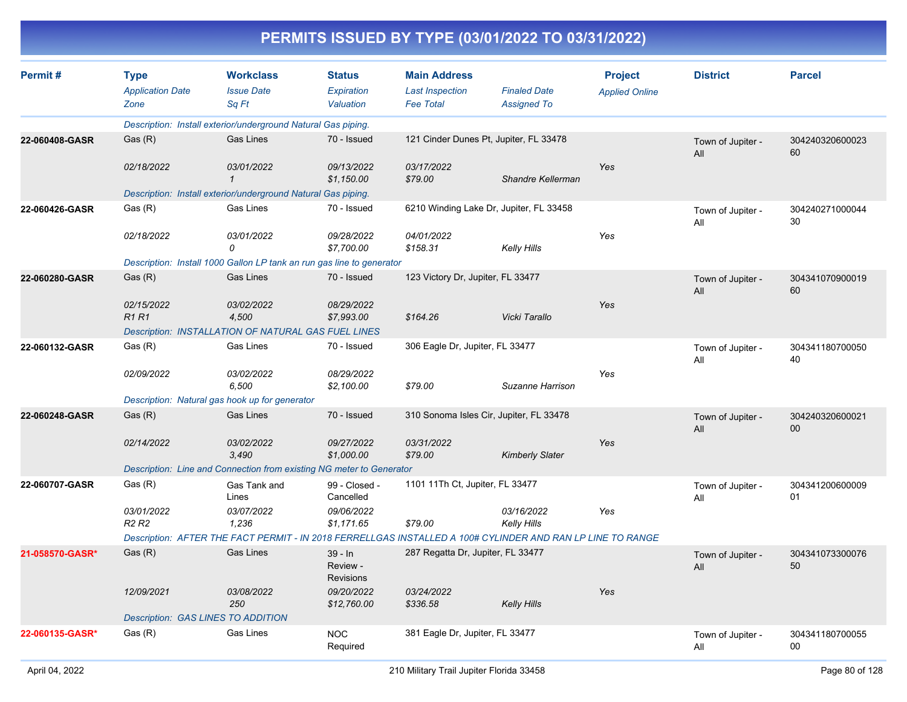| Permit#         | <b>Type</b><br><b>Application Date</b>      | <b>Workclass</b><br><b>Issue Date</b>                                 | <b>Status</b><br>Expiration               | <b>Main Address</b><br><b>Last Inspection</b> | <b>Finaled Date</b>                                                                                        | <b>Project</b>        | <b>District</b>          | <b>Parcel</b>         |
|-----------------|---------------------------------------------|-----------------------------------------------------------------------|-------------------------------------------|-----------------------------------------------|------------------------------------------------------------------------------------------------------------|-----------------------|--------------------------|-----------------------|
|                 | Zone                                        | Sq Ft                                                                 | Valuation                                 | <b>Fee Total</b>                              | <b>Assigned To</b>                                                                                         | <b>Applied Online</b> |                          |                       |
|                 |                                             | Description: Install exterior/underground Natural Gas piping.         |                                           |                                               |                                                                                                            |                       |                          |                       |
| 22-060408-GASR  | Gas(R)                                      | <b>Gas Lines</b>                                                      | 70 - Issued                               |                                               | 121 Cinder Dunes Pt, Jupiter, FL 33478                                                                     |                       | Town of Jupiter -<br>All | 304240320600023<br>60 |
|                 | 02/18/2022                                  | 03/01/2022<br>$\mathbf{1}$                                            | 09/13/2022<br>\$1,150.00                  | 03/17/2022<br>\$79.00                         | Shandre Kellerman                                                                                          | Yes                   |                          |                       |
|                 |                                             | Description: Install exterior/underground Natural Gas piping.         |                                           |                                               |                                                                                                            |                       |                          |                       |
| 22-060426-GASR  | Gas (R)                                     | <b>Gas Lines</b>                                                      | 70 - Issued                               |                                               | 6210 Winding Lake Dr, Jupiter, FL 33458                                                                    |                       | Town of Jupiter -<br>All | 304240271000044<br>30 |
|                 | 02/18/2022                                  | 03/01/2022<br>0                                                       | 09/28/2022<br>\$7,700.00                  | 04/01/2022<br>\$158.31                        | Kelly Hills                                                                                                | Yes                   |                          |                       |
|                 |                                             | Description: Install 1000 Gallon LP tank an run gas line to generator |                                           |                                               |                                                                                                            |                       |                          |                       |
| 22-060280-GASR  | Gas(R)                                      | <b>Gas Lines</b>                                                      | 70 - Issued                               | 123 Victory Dr, Jupiter, FL 33477             |                                                                                                            |                       | Town of Jupiter -<br>All | 304341070900019<br>60 |
|                 | 02/15/2022<br><b>R1R1</b>                   | 03/02/2022<br>4,500                                                   | 08/29/2022<br>\$7,993.00                  | \$164.26                                      | Vicki Tarallo                                                                                              | Yes                   |                          |                       |
|                 |                                             | Description: INSTALLATION OF NATURAL GAS FUEL LINES                   |                                           |                                               |                                                                                                            |                       |                          |                       |
| 22-060132-GASR  | Gas (R)                                     | <b>Gas Lines</b>                                                      | 70 - Issued                               | 306 Eagle Dr, Jupiter, FL 33477               |                                                                                                            |                       | Town of Jupiter -<br>All | 304341180700050<br>40 |
|                 | 02/09/2022                                  | 03/02/2022<br>6,500                                                   | 08/29/2022<br>\$2,100.00                  | \$79.00                                       | Suzanne Harrison                                                                                           | Yes                   |                          |                       |
|                 |                                             | Description: Natural gas hook up for generator                        |                                           |                                               |                                                                                                            |                       |                          |                       |
| 22-060248-GASR  | Gas (R)                                     | <b>Gas Lines</b>                                                      | 70 - Issued                               |                                               | 310 Sonoma Isles Cir, Jupiter, FL 33478                                                                    |                       | Town of Jupiter -<br>All | 304240320600021<br>00 |
|                 | 02/14/2022                                  | 03/02/2022<br>3,490                                                   | 09/27/2022<br>\$1,000.00                  | 03/31/2022<br>\$79.00                         | <b>Kimberly Slater</b>                                                                                     | Yes                   |                          |                       |
|                 |                                             | Description: Line and Connection from existing NG meter to Generator  |                                           |                                               |                                                                                                            |                       |                          |                       |
| 22-060707-GASR  | Gas(R)                                      | Gas Tank and<br>Lines                                                 | 99 - Closed -<br>Cancelled                | 1101 11Th Ct, Jupiter, FL 33477               |                                                                                                            |                       | Town of Jupiter -<br>All | 304341200600009<br>01 |
|                 | 03/01/2022<br>R <sub>2</sub> R <sub>2</sub> | 03/07/2022<br>1,236                                                   | 09/06/2022<br>\$1,171.65                  | \$79.00                                       | 03/16/2022<br>Kelly Hills                                                                                  | Yes                   |                          |                       |
|                 |                                             |                                                                       |                                           |                                               | Description: AFTER THE FACT PERMIT - IN 2018 FERRELLGAS INSTALLED A 100# CYLINDER AND RAN LP LINE TO RANGE |                       |                          |                       |
| 21-058570-GASR* | Gas (R)                                     | <b>Gas Lines</b>                                                      | $39 - In$<br>Review -<br><b>Revisions</b> | 287 Regatta Dr, Jupiter, FL 33477             |                                                                                                            |                       | Town of Jupiter -<br>All | 304341073300076<br>50 |
|                 | 12/09/2021                                  | 03/08/2022<br>250                                                     | 09/20/2022<br>\$12,760.00                 | 03/24/2022<br>\$336.58                        | Kelly Hills                                                                                                | Yes                   |                          |                       |
|                 | <b>Description: GAS LINES TO ADDITION</b>   |                                                                       |                                           |                                               |                                                                                                            |                       |                          |                       |
| 22-060135-GASR* | Gas (R)                                     | <b>Gas Lines</b>                                                      | <b>NOC</b><br>Required                    | 381 Eagle Dr, Jupiter, FL 33477               |                                                                                                            |                       | Town of Jupiter -<br>All | 304341180700055<br>00 |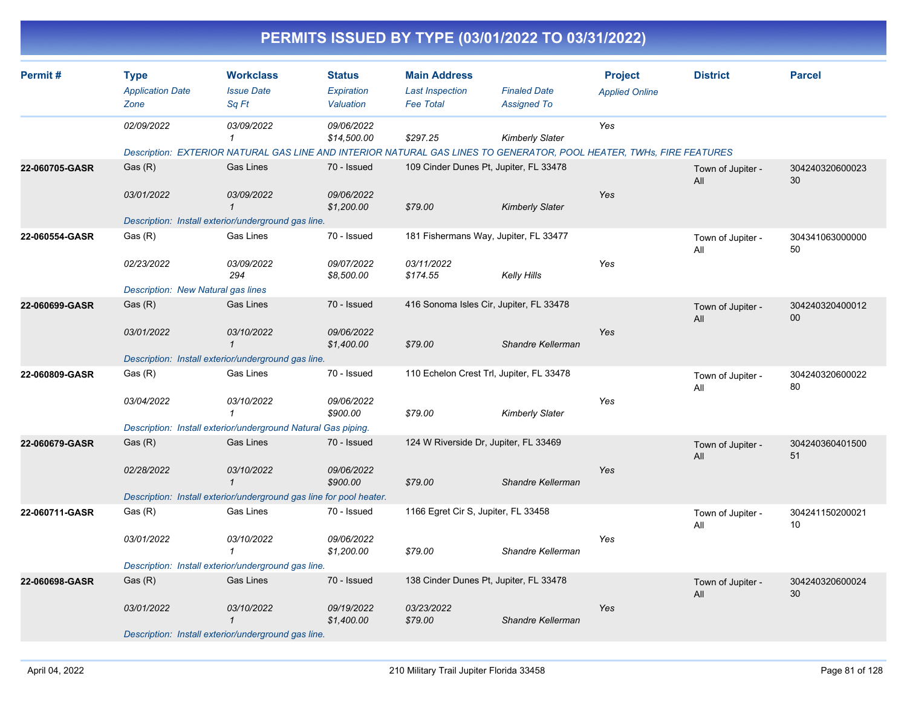| Permit#        | <b>Type</b>                                      | <b>Workclass</b>                                                    | <b>Status</b>                   | <b>Main Address</b>                        |                                                                                                                      | <b>Project</b>        | <b>District</b>          | <b>Parcel</b>         |
|----------------|--------------------------------------------------|---------------------------------------------------------------------|---------------------------------|--------------------------------------------|----------------------------------------------------------------------------------------------------------------------|-----------------------|--------------------------|-----------------------|
|                | <b>Application Date</b><br>Zone                  | <b>Issue Date</b><br>Sq Ft                                          | Expiration<br>Valuation         | <b>Last Inspection</b><br><b>Fee Total</b> | <b>Finaled Date</b><br><b>Assigned To</b>                                                                            | <b>Applied Online</b> |                          |                       |
|                | 02/09/2022                                       | 03/09/2022<br>1                                                     | 09/06/2022<br>\$14,500.00       | \$297.25                                   | <b>Kimberly Slater</b>                                                                                               | Yes                   |                          |                       |
|                |                                                  |                                                                     |                                 |                                            | Description: EXTERIOR NATURAL GAS LINE AND INTERIOR NATURAL GAS LINES TO GENERATOR, POOL HEATER, TWHs, FIRE FEATURES |                       |                          |                       |
| 22-060705-GASR | Gas(R)                                           | <b>Gas Lines</b>                                                    | 70 - Issued                     |                                            | 109 Cinder Dunes Pt, Jupiter, FL 33478                                                                               |                       | Town of Jupiter -<br>All | 304240320600023<br>30 |
|                | 03/01/2022                                       | 03/09/2022<br>$\mathbf{1}$                                          | 09/06/2022<br>\$1,200.00        | \$79.00                                    | <b>Kimberly Slater</b>                                                                                               | Yes                   |                          |                       |
|                |                                                  | Description: Install exterior/underground gas line.                 |                                 |                                            |                                                                                                                      |                       |                          |                       |
| 22-060554-GASR | Gas (R)                                          | Gas Lines                                                           | 70 - Issued                     | 03/11/2022                                 | 181 Fishermans Way, Jupiter, FL 33477                                                                                | Yes                   | Town of Jupiter -<br>All | 304341063000000<br>50 |
|                | 02/23/2022<br>Description: New Natural gas lines | 03/09/2022<br>294                                                   | 09/07/2022<br>\$8,500.00        | \$174.55                                   | <b>Kelly Hills</b>                                                                                                   |                       |                          |                       |
| 22-060699-GASR | Gas(R)                                           | <b>Gas Lines</b>                                                    | 70 - Issued                     |                                            | 416 Sonoma Isles Cir, Jupiter, FL 33478                                                                              |                       | Town of Jupiter -        | 304240320400012       |
|                |                                                  |                                                                     |                                 |                                            |                                                                                                                      |                       | All                      | 00                    |
|                | 03/01/2022                                       | 03/10/2022<br>$\mathbf{1}$                                          | 09/06/2022<br>\$1,400.00        | \$79.00                                    | Shandre Kellerman                                                                                                    | Yes                   |                          |                       |
|                |                                                  | Description: Install exterior/underground gas line.                 |                                 |                                            |                                                                                                                      |                       |                          |                       |
| 22-060809-GASR | Gas (R)                                          | Gas Lines                                                           | 70 - Issued                     |                                            | 110 Echelon Crest Trl, Jupiter, FL 33478                                                                             |                       | Town of Jupiter -<br>All | 304240320600022<br>80 |
|                | 03/04/2022                                       | 03/10/2022<br>$\mathbf 1$                                           | 09/06/2022<br>\$900.00          | \$79.00                                    | <b>Kimberly Slater</b>                                                                                               | Yes                   |                          |                       |
|                |                                                  | Description: Install exterior/underground Natural Gas piping.       |                                 |                                            |                                                                                                                      |                       |                          |                       |
| 22-060679-GASR | Gas(R)                                           | <b>Gas Lines</b>                                                    | 70 - Issued                     | 124 W Riverside Dr, Jupiter, FL 33469      |                                                                                                                      |                       | Town of Jupiter -<br>All | 304240360401500<br>51 |
|                | 02/28/2022                                       | 03/10/2022<br>$\mathbf{1}$                                          | 09/06/2022<br>\$900.00          | \$79.00                                    | Shandre Kellerman                                                                                                    | Yes                   |                          |                       |
|                |                                                  | Description: Install exterior/underground gas line for pool heater. |                                 |                                            |                                                                                                                      |                       |                          |                       |
| 22-060711-GASR | Gas (R)                                          | Gas Lines                                                           | 70 - Issued                     | 1166 Egret Cir S, Jupiter, FL 33458        |                                                                                                                      |                       | Town of Jupiter -<br>All | 304241150200021<br>10 |
|                | 03/01/2022                                       | 03/10/2022                                                          | <i>09/06/2022</i><br>\$1,200.00 | \$79.00                                    | Shandre Kellerman                                                                                                    | Yes                   |                          |                       |
|                |                                                  | Description: Install exterior/underground gas line.                 |                                 |                                            |                                                                                                                      |                       |                          |                       |
| 22-060698-GASR | Gas (R)                                          | <b>Gas Lines</b>                                                    | 70 - Issued                     |                                            | 138 Cinder Dunes Pt, Jupiter, FL 33478                                                                               |                       | Town of Jupiter -<br>All | 304240320600024<br>30 |
|                | 03/01/2022                                       | 03/10/2022<br>$\overline{1}$                                        | 09/19/2022<br>\$1,400.00        | 03/23/2022<br>\$79.00                      | Shandre Kellerman                                                                                                    | Yes                   |                          |                       |
|                |                                                  | Description: Install exterior/underground gas line.                 |                                 |                                            |                                                                                                                      |                       |                          |                       |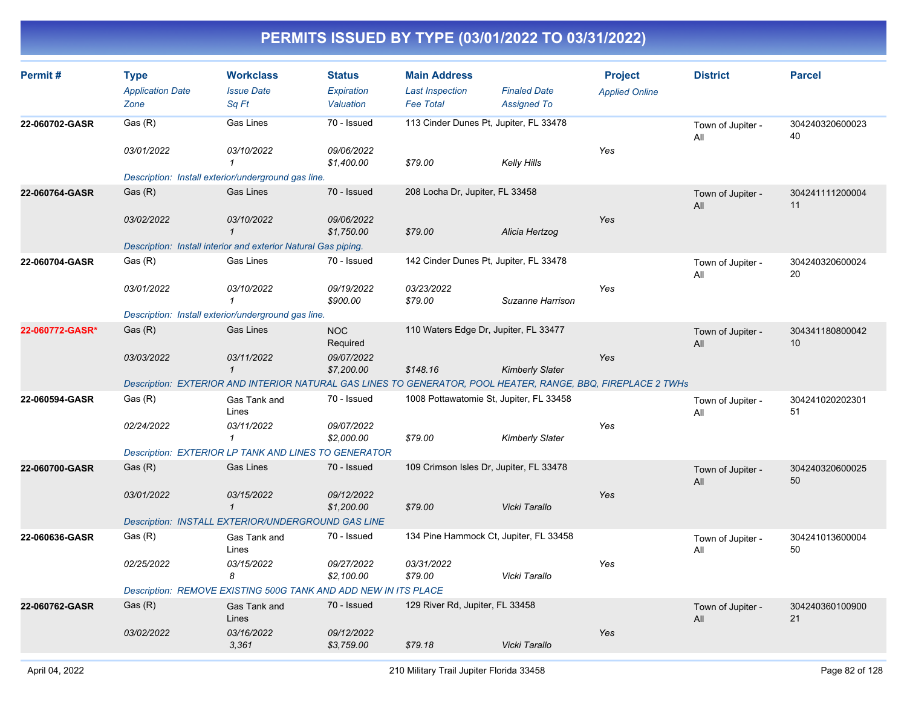| Permit#         | <b>Type</b><br><b>Application Date</b><br>Zone | <b>Workclass</b><br><b>Issue Date</b><br>Sq Ft                                                               | <b>Status</b><br><b>Expiration</b><br>Valuation | <b>Main Address</b><br><b>Last Inspection</b><br><b>Fee Total</b> | <b>Finaled Date</b><br><b>Assigned To</b> | <b>Project</b><br><b>Applied Online</b> | <b>District</b>          | <b>Parcel</b>         |
|-----------------|------------------------------------------------|--------------------------------------------------------------------------------------------------------------|-------------------------------------------------|-------------------------------------------------------------------|-------------------------------------------|-----------------------------------------|--------------------------|-----------------------|
| 22-060702-GASR  | Gas(R)                                         | Gas Lines                                                                                                    | 70 - Issued                                     | 113 Cinder Dunes Pt, Jupiter, FL 33478                            |                                           |                                         | Town of Jupiter -<br>All | 304240320600023<br>40 |
|                 | 03/01/2022                                     | 03/10/2022<br>$\mathbf{1}$                                                                                   | 09/06/2022<br>\$1,400.00                        | \$79.00                                                           | <b>Kelly Hills</b>                        | Yes                                     |                          |                       |
|                 |                                                | Description: Install exterior/underground gas line.                                                          |                                                 |                                                                   |                                           |                                         |                          |                       |
| 22-060764-GASR  | Gas (R)                                        | <b>Gas Lines</b>                                                                                             | 70 - Issued                                     | 208 Locha Dr, Jupiter, FL 33458                                   |                                           |                                         | Town of Jupiter -<br>All | 304241111200004<br>11 |
|                 | 03/02/2022                                     | 03/10/2022                                                                                                   | 09/06/2022<br>\$1,750.00                        | \$79.00                                                           | Alicia Hertzog                            | Yes                                     |                          |                       |
|                 |                                                | Description: Install interior and exterior Natural Gas piping.                                               |                                                 |                                                                   |                                           |                                         |                          |                       |
| 22-060704-GASR  | Gas (R)                                        | <b>Gas Lines</b>                                                                                             | 70 - Issued                                     | 142 Cinder Dunes Pt, Jupiter, FL 33478                            |                                           |                                         | Town of Jupiter -<br>All | 304240320600024<br>20 |
|                 | 03/01/2022                                     | 03/10/2022<br>$\mathbf{1}$                                                                                   | 09/19/2022<br>\$900.00                          | 03/23/2022<br>\$79.00                                             | Suzanne Harrison                          | Yes                                     |                          |                       |
|                 |                                                | Description: Install exterior/underground gas line.                                                          |                                                 |                                                                   |                                           |                                         |                          |                       |
| 22-060772-GASR* | Gas(R)                                         | <b>Gas Lines</b>                                                                                             | <b>NOC</b><br>Required                          | 110 Waters Edge Dr, Jupiter, FL 33477                             |                                           |                                         | Town of Jupiter -<br>All | 304341180800042<br>10 |
|                 | 03/03/2022                                     | 03/11/2022<br>$\mathbf{1}$                                                                                   | 09/07/2022<br>\$7,200.00                        | \$148.16                                                          | <b>Kimberly Slater</b>                    | Yes                                     |                          |                       |
|                 |                                                | Description: EXTERIOR AND INTERIOR NATURAL GAS LINES TO GENERATOR, POOL HEATER, RANGE, BBQ, FIREPLACE 2 TWHs |                                                 |                                                                   |                                           |                                         |                          |                       |
| 22-060594-GASR  | Gas(R)                                         | Gas Tank and<br>Lines                                                                                        | 70 - Issued                                     | 1008 Pottawatomie St, Jupiter, FL 33458                           |                                           |                                         | Town of Jupiter -<br>All | 304241020202301<br>51 |
|                 | 02/24/2022                                     | 03/11/2022<br>1                                                                                              | 09/07/2022<br>\$2,000.00                        | \$79.00                                                           | <b>Kimberly Slater</b>                    | Yes                                     |                          |                       |
|                 |                                                | <b>Description: EXTERIOR LP TANK AND LINES TO GENERATOR</b>                                                  |                                                 |                                                                   |                                           |                                         |                          |                       |
| 22-060700-GASR  | Gas(R)                                         | <b>Gas Lines</b>                                                                                             | 70 - Issued                                     | 109 Crimson Isles Dr, Jupiter, FL 33478                           |                                           |                                         | Town of Jupiter -<br>All | 304240320600025<br>50 |
|                 | 03/01/2022                                     | 03/15/2022<br>$\mathbf{1}$                                                                                   | 09/12/2022<br>\$1,200.00                        | \$79.00                                                           | Vicki Tarallo                             | Yes                                     |                          |                       |
|                 |                                                | Description: INSTALL EXTERIOR/UNDERGROUND GAS LINE                                                           |                                                 |                                                                   |                                           |                                         |                          |                       |
| 22-060636-GASR  | Gas (R)                                        | Gas Tank and<br>Lines                                                                                        | 70 - Issued                                     | 134 Pine Hammock Ct, Jupiter, FL 33458                            |                                           |                                         | Town of Jupiter -<br>All | 304241013600004<br>50 |
|                 | 02/25/2022                                     | 03/15/2022<br>8                                                                                              | 09/27/2022<br>\$2,100.00                        | 03/31/2022<br>\$79.00                                             | Vicki Tarallo                             | Yes                                     |                          |                       |
|                 |                                                | Description: REMOVE EXISTING 500G TANK AND ADD NEW IN ITS PLACE                                              |                                                 |                                                                   |                                           |                                         |                          |                       |
| 22-060762-GASR  | Gas(R)                                         | Gas Tank and<br>Lines                                                                                        | 70 - Issued                                     | 129 River Rd, Jupiter, FL 33458                                   |                                           |                                         | Town of Jupiter -<br>All | 304240360100900<br>21 |
|                 | 03/02/2022                                     | 03/16/2022<br>3,361                                                                                          | 09/12/2022<br>\$3,759.00                        | \$79.18                                                           | Vicki Tarallo                             | Yes                                     |                          |                       |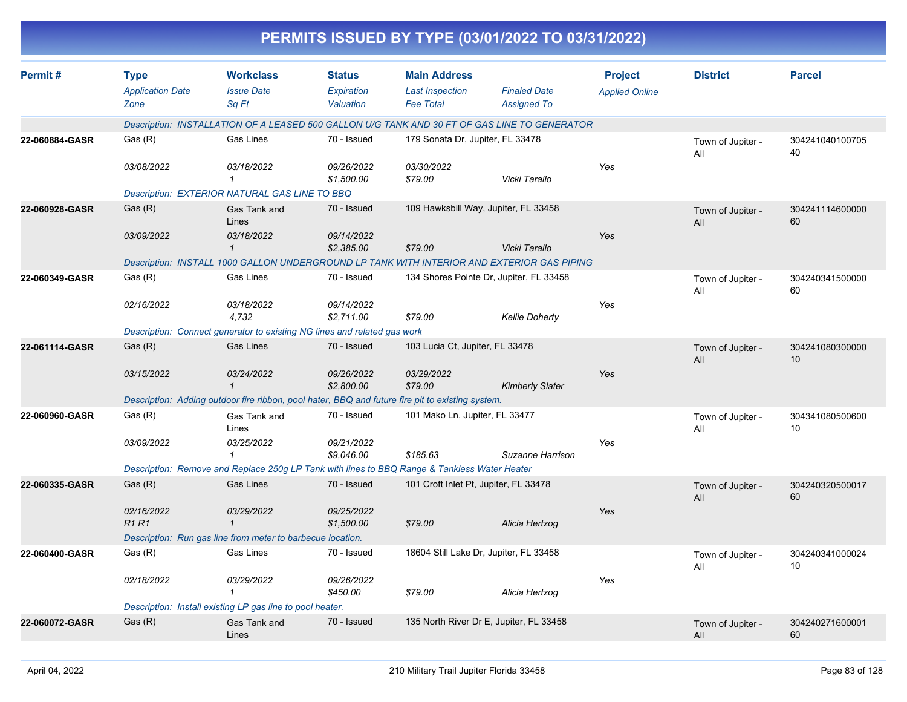| Permit#        | <b>Type</b>               | <b>Workclass</b>                                                                                 | <b>Status</b>            | <b>Main Address</b>                   |                                                                                              | <b>Project</b>        | <b>District</b>          | <b>Parcel</b>         |
|----------------|---------------------------|--------------------------------------------------------------------------------------------------|--------------------------|---------------------------------------|----------------------------------------------------------------------------------------------|-----------------------|--------------------------|-----------------------|
|                | <b>Application Date</b>   | <b>Issue Date</b>                                                                                | Expiration               | <b>Last Inspection</b>                | <b>Finaled Date</b>                                                                          | <b>Applied Online</b> |                          |                       |
|                | Zone                      | Sq Ft                                                                                            | Valuation                | <b>Fee Total</b>                      | <b>Assigned To</b>                                                                           |                       |                          |                       |
|                |                           |                                                                                                  |                          |                                       | Description: INSTALLATION OF A LEASED 500 GALLON U/G TANK AND 30 FT OF GAS LINE TO GENERATOR |                       |                          |                       |
| 22-060884-GASR | Gas (R)                   | Gas Lines                                                                                        | 70 - Issued              | 179 Sonata Dr, Jupiter, FL 33478      |                                                                                              |                       | Town of Jupiter -<br>All | 304241040100705<br>40 |
|                | 03/08/2022                | 03/18/2022                                                                                       | 09/26/2022<br>\$1,500.00 | 03/30/2022<br>\$79.00                 | Vicki Tarallo                                                                                | Yes                   |                          |                       |
|                |                           | <b>Description: EXTERIOR NATURAL GAS LINE TO BBQ</b>                                             |                          |                                       |                                                                                              |                       |                          |                       |
| 22-060928-GASR | Gas(R)                    | Gas Tank and<br>Lines                                                                            | 70 - Issued              |                                       | 109 Hawksbill Way, Jupiter, FL 33458                                                         |                       | Town of Jupiter -<br>All | 304241114600000<br>60 |
|                | 03/09/2022                | 03/18/2022<br>$\mathbf{1}$                                                                       | 09/14/2022<br>\$2,385.00 | \$79.00                               | Vicki Tarallo                                                                                | Yes                   |                          |                       |
|                |                           |                                                                                                  |                          |                                       | Description: INSTALL 1000 GALLON UNDERGROUND LP TANK WITH INTERIOR AND EXTERIOR GAS PIPING   |                       |                          |                       |
| 22-060349-GASR | Gas (R)                   | Gas Lines                                                                                        | 70 - Issued              |                                       | 134 Shores Pointe Dr, Jupiter, FL 33458                                                      |                       | Town of Jupiter -<br>All | 304240341500000<br>60 |
|                | 02/16/2022                | 03/18/2022<br>4,732                                                                              | 09/14/2022<br>\$2,711.00 | \$79.00                               | <b>Kellie Doherty</b>                                                                        | Yes                   |                          |                       |
|                |                           | Description: Connect generator to existing NG lines and related gas work                         |                          |                                       |                                                                                              |                       |                          |                       |
| 22-061114-GASR | Gas(R)                    | Gas Lines                                                                                        | 70 - Issued              | 103 Lucia Ct, Jupiter, FL 33478       |                                                                                              |                       | Town of Jupiter -<br>All | 304241080300000<br>10 |
|                | 03/15/2022                | 03/24/2022<br>$\mathbf 1$                                                                        | 09/26/2022<br>\$2,800.00 | 03/29/2022<br>\$79.00                 | <b>Kimberly Slater</b>                                                                       | Yes                   |                          |                       |
|                |                           | Description: Adding outdoor fire ribbon, pool hater, BBQ and future fire pit to existing system. |                          |                                       |                                                                                              |                       |                          |                       |
| 22-060960-GASR | Gas (R)                   | Gas Tank and<br>Lines                                                                            | 70 - Issued              | 101 Mako Ln, Jupiter, FL 33477        |                                                                                              |                       | Town of Jupiter -<br>All | 304341080500600<br>10 |
|                | 03/09/2022                | 03/25/2022                                                                                       | 09/21/2022<br>\$9,046.00 | \$185.63                              | Suzanne Harrison                                                                             | Yes                   |                          |                       |
|                |                           | Description: Remove and Replace 250g LP Tank with lines to BBQ Range & Tankless Water Heater     |                          |                                       |                                                                                              |                       |                          |                       |
| 22-060335-GASR | Gas(R)                    | <b>Gas Lines</b>                                                                                 | 70 - Issued              | 101 Croft Inlet Pt, Jupiter, FL 33478 |                                                                                              |                       | Town of Jupiter -<br>All | 304240320500017<br>60 |
|                | 02/16/2022<br><b>R1R1</b> | 03/29/2022<br>$\mathbf 1$                                                                        | 09/25/2022<br>\$1,500.00 | \$79.00                               | Alicia Hertzog                                                                               | Yes                   |                          |                       |
|                |                           | Description: Run gas line from meter to barbecue location.                                       |                          |                                       |                                                                                              |                       |                          |                       |
| 22-060400-GASR | Gas (R)                   | Gas Lines                                                                                        | 70 - Issued              |                                       | 18604 Still Lake Dr, Jupiter, FL 33458                                                       |                       | Town of Jupiter -<br>All | 304240341000024<br>10 |
|                | 02/18/2022                | 03/29/2022<br>$\mathcal I$                                                                       | 09/26/2022<br>\$450.00   | \$79.00                               | Alicia Hertzog                                                                               | Yes                   |                          |                       |
|                |                           | Description: Install existing LP gas line to pool heater.                                        |                          |                                       |                                                                                              |                       |                          |                       |
| 22-060072-GASR | Gas (R)                   | Gas Tank and<br>Lines                                                                            | 70 - Issued              |                                       | 135 North River Dr E, Jupiter, FL 33458                                                      |                       | Town of Jupiter -<br>All | 304240271600001<br>60 |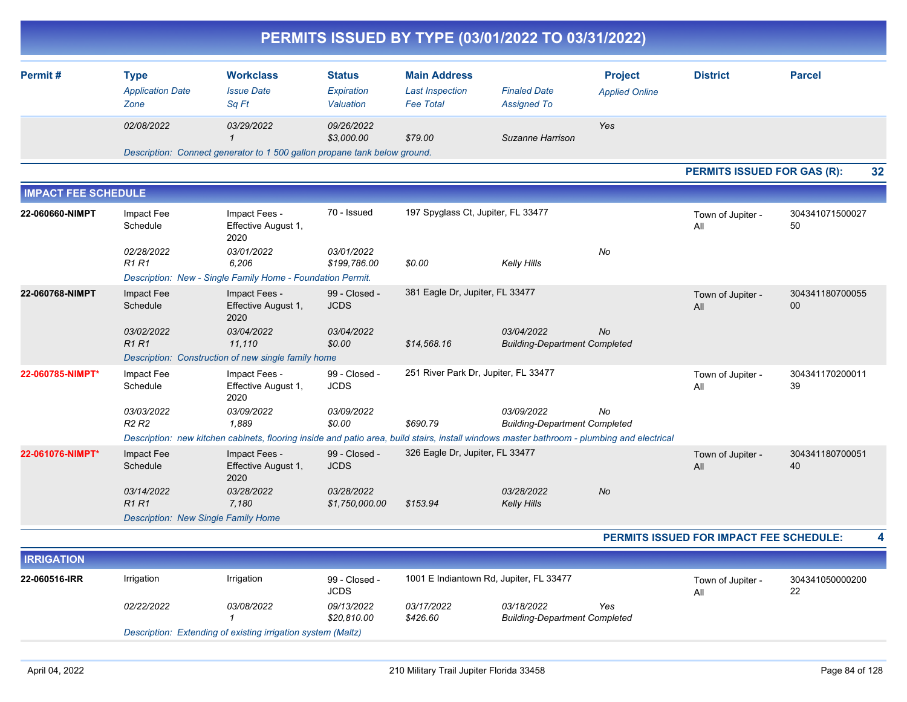| PERMITS ISSUED BY TYPE (03/01/2022 TO 03/31/2022) |                                                |                                                                                                                                            |                                          |                                                                   |                                                    |                                         |                                         |                       |  |  |
|---------------------------------------------------|------------------------------------------------|--------------------------------------------------------------------------------------------------------------------------------------------|------------------------------------------|-------------------------------------------------------------------|----------------------------------------------------|-----------------------------------------|-----------------------------------------|-----------------------|--|--|
| Permit#                                           | <b>Type</b><br><b>Application Date</b><br>Zone | <b>Workclass</b><br><b>Issue Date</b><br>Sq Ft                                                                                             | <b>Status</b><br>Expiration<br>Valuation | <b>Main Address</b><br><b>Last Inspection</b><br><b>Fee Total</b> | <b>Finaled Date</b><br><b>Assigned To</b>          | <b>Project</b><br><b>Applied Online</b> | <b>District</b>                         | <b>Parcel</b>         |  |  |
|                                                   | 02/08/2022                                     | 03/29/2022<br>$\mathbf{1}$                                                                                                                 | 09/26/2022<br>\$3.000.00                 | \$79.00                                                           | Suzanne Harrison                                   | Yes                                     |                                         |                       |  |  |
|                                                   |                                                | Description: Connect generator to 1 500 gallon propane tank below ground.                                                                  |                                          |                                                                   |                                                    |                                         |                                         |                       |  |  |
|                                                   |                                                |                                                                                                                                            |                                          |                                                                   |                                                    |                                         | <b>PERMITS ISSUED FOR GAS (R):</b>      | 32                    |  |  |
| <b>IMPACT FEE SCHEDULE</b>                        |                                                |                                                                                                                                            |                                          |                                                                   |                                                    |                                         |                                         |                       |  |  |
| 22-060660-NIMPT                                   | Impact Fee<br>Schedule                         | Impact Fees -<br>Effective August 1,<br>2020                                                                                               | 70 - Issued                              | 197 Spyglass Ct, Jupiter, FL 33477                                |                                                    |                                         | Town of Jupiter -<br>All                | 304341071500027<br>50 |  |  |
|                                                   | 02/28/2022<br><b>R1 R1</b>                     | 03/01/2022<br>6,206<br>Description: New - Single Family Home - Foundation Permit.                                                          | 03/01/2022<br>\$199,786.00               | \$0.00                                                            | Kelly Hills                                        | No                                      |                                         |                       |  |  |
| 22-060768-NIMPT                                   | Impact Fee<br>Schedule                         | Impact Fees -<br>Effective August 1,<br>2020                                                                                               | 99 - Closed -<br><b>JCDS</b>             | 381 Eagle Dr, Jupiter, FL 33477                                   |                                                    |                                         | Town of Jupiter -<br>All                | 304341180700055<br>00 |  |  |
|                                                   | 03/02/2022<br><b>R1 R1</b>                     | 03/04/2022<br>11,110                                                                                                                       | 03/04/2022<br>\$0.00                     | \$14,568.16                                                       | 03/04/2022<br><b>Building-Department Completed</b> | <b>No</b>                               |                                         |                       |  |  |
| 22-060785-NIMPT*                                  |                                                | Description: Construction of new single family home                                                                                        | 99 - Closed -                            | 251 River Park Dr, Jupiter, FL 33477                              |                                                    |                                         |                                         | 304341170200011       |  |  |
|                                                   | Impact Fee<br>Schedule                         | Impact Fees -<br>Effective August 1,<br>2020                                                                                               | <b>JCDS</b>                              |                                                                   |                                                    |                                         | Town of Jupiter -<br>All                | 39                    |  |  |
|                                                   | 03/03/2022<br>R <sub>2</sub> R <sub>2</sub>    | 03/09/2022<br>1.889                                                                                                                        | 03/09/2022<br>\$0.00                     | \$690.79                                                          | 03/09/2022<br><b>Building-Department Completed</b> | No                                      |                                         |                       |  |  |
|                                                   |                                                | Description: new kitchen cabinets, flooring inside and patio area, build stairs, install windows master bathroom - plumbing and electrical |                                          |                                                                   |                                                    |                                         |                                         |                       |  |  |
| 22-061076-NIMPT*                                  | Impact Fee<br>Schedule                         | Impact Fees -<br>Effective August 1,<br>2020                                                                                               | 99 - Closed -<br><b>JCDS</b>             | 326 Eagle Dr, Jupiter, FL 33477                                   |                                                    |                                         | Town of Jupiter -<br>All                | 304341180700051<br>40 |  |  |
|                                                   | 03/14/2022<br><b>R1R1</b>                      | 03/28/2022<br>7.180                                                                                                                        | 03/28/2022<br>\$1,750,000.00             | \$153.94                                                          | 03/28/2022<br><b>Kelly Hills</b>                   | No                                      |                                         |                       |  |  |
|                                                   | <b>Description: New Single Family Home</b>     |                                                                                                                                            |                                          |                                                                   |                                                    |                                         |                                         |                       |  |  |
|                                                   |                                                |                                                                                                                                            |                                          |                                                                   |                                                    |                                         | PERMITS ISSUED FOR IMPACT FEE SCHEDULE: | 4                     |  |  |
| <b>IRRIGATION</b>                                 |                                                |                                                                                                                                            |                                          |                                                                   |                                                    |                                         |                                         |                       |  |  |
| 22-060516-IRR                                     | Irrigation                                     | Irrigation                                                                                                                                 | 99 - Closed -<br><b>JCDS</b>             | 1001 E Indiantown Rd, Jupiter, FL 33477                           |                                                    |                                         | Town of Jupiter -<br>All                | 304341050000200<br>22 |  |  |
|                                                   | 02/22/2022                                     | 03/08/2022<br>$\mathcal I$                                                                                                                 | 09/13/2022<br>\$20,810.00                | 03/17/2022<br>\$426.60                                            | 03/18/2022<br><b>Building-Department Completed</b> | Yes                                     |                                         |                       |  |  |

*Description: Extending of existing irrigation system (Maltz)*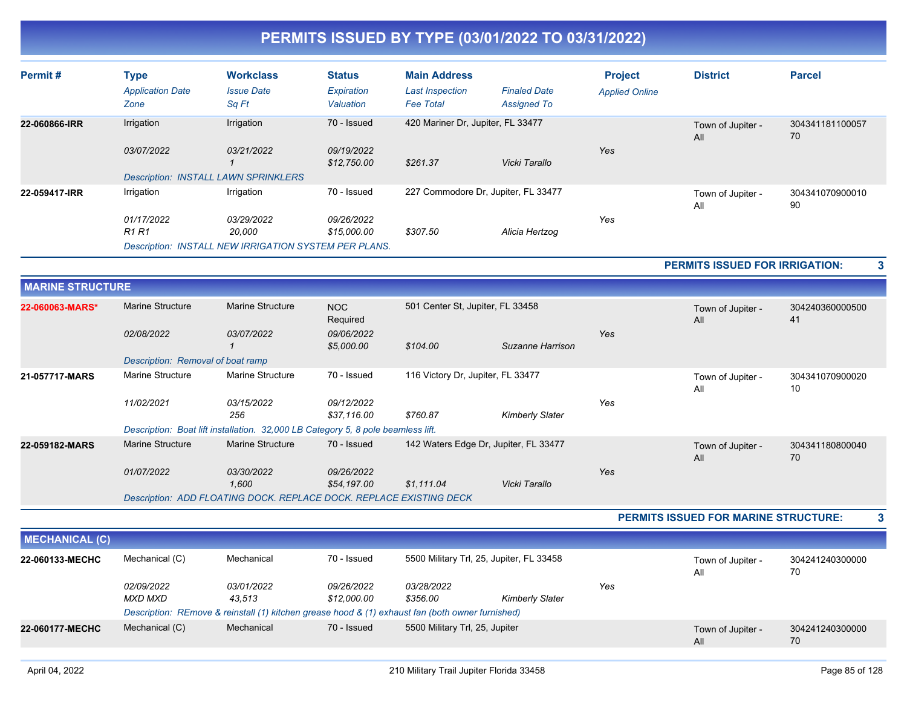| Permit#                 | <b>Type</b><br><b>Application Date</b><br>Zone | <b>Workclass</b><br><b>Issue Date</b><br>Sq Ft                                   | <b>Status</b><br>Expiration<br>Valuation | <b>Main Address</b><br><b>Last Inspection</b><br><b>Fee Total</b> | <b>Finaled Date</b><br><b>Assigned To</b> | <b>Project</b><br><b>Applied Online</b> | <b>District</b>                             | <b>Parcel</b>         |
|-------------------------|------------------------------------------------|----------------------------------------------------------------------------------|------------------------------------------|-------------------------------------------------------------------|-------------------------------------------|-----------------------------------------|---------------------------------------------|-----------------------|
| 22-060866-IRR           | Irrigation<br>03/07/2022                       | Irrigation<br>03/21/2022<br>$\mathbf{1}$                                         | 70 - Issued<br>09/19/2022<br>\$12,750.00 | 420 Mariner Dr, Jupiter, FL 33477<br>\$261.37                     | Vicki Tarallo                             | Yes                                     | Town of Jupiter -<br>All                    | 304341181100057<br>70 |
|                         |                                                | <b>Description: INSTALL LAWN SPRINKLERS</b>                                      |                                          |                                                                   |                                           |                                         |                                             |                       |
| 22-059417-IRR           | Irrigation                                     | Irrigation                                                                       | 70 - Issued                              |                                                                   | 227 Commodore Dr, Jupiter, FL 33477       |                                         | Town of Jupiter -<br>All                    | 304341070900010<br>90 |
|                         | 01/17/2022<br>R1R1                             | 03/29/2022<br>20,000                                                             | 09/26/2022<br>\$15,000.00                | \$307.50                                                          | Alicia Hertzog                            | Yes                                     |                                             |                       |
|                         |                                                | <b>Description: INSTALL NEW IRRIGATION SYSTEM PER PLANS.</b>                     |                                          |                                                                   |                                           |                                         |                                             |                       |
|                         |                                                |                                                                                  |                                          |                                                                   |                                           |                                         | <b>PERMITS ISSUED FOR IRRIGATION:</b>       |                       |
| <b>MARINE STRUCTURE</b> |                                                |                                                                                  |                                          |                                                                   |                                           |                                         |                                             |                       |
| 22-060063-MARS*         | <b>Marine Structure</b>                        | <b>Marine Structure</b>                                                          | <b>NOC</b><br>Required                   | 501 Center St, Jupiter, FL 33458                                  |                                           |                                         | Town of Jupiter -<br>All                    | 304240360000500<br>41 |
|                         | 02/08/2022                                     | 03/07/2022<br>-1                                                                 | 09/06/2022<br>\$5,000.00                 | \$104.00                                                          | Suzanne Harrison                          | Yes                                     |                                             |                       |
|                         | Description: Removal of boat ramp              |                                                                                  |                                          |                                                                   |                                           |                                         |                                             |                       |
| 21-057717-MARS          | Marine Structure                               | <b>Marine Structure</b>                                                          | 70 - Issued                              | 116 Victory Dr, Jupiter, FL 33477                                 |                                           |                                         | Town of Jupiter -<br>All                    | 304341070900020<br>10 |
|                         | 11/02/2021                                     | 03/15/2022<br>256                                                                | 09/12/2022<br>\$37.116.00                | \$760.87                                                          | <b>Kimberly Slater</b>                    | Yes                                     |                                             |                       |
|                         |                                                | Description: Boat lift installation. 32,000 LB Category 5, 8 pole beamless lift. |                                          |                                                                   |                                           |                                         |                                             |                       |
| 22-059182-MARS          | <b>Marine Structure</b>                        | <b>Marine Structure</b>                                                          | 70 - Issued                              |                                                                   | 142 Waters Edge Dr, Jupiter, FL 33477     |                                         | Town of Jupiter -<br>All                    | 304341180800040<br>70 |
|                         | 01/07/2022                                     | 03/30/2022<br>1.600                                                              | 09/26/2022<br>\$54,197.00                | \$1.111.04                                                        | Vicki Tarallo                             | Yes                                     |                                             |                       |
|                         |                                                | Description: ADD FLOATING DOCK. REPLACE DOCK. REPLACE EXISTING DECK              |                                          |                                                                   |                                           |                                         |                                             |                       |
|                         |                                                |                                                                                  |                                          |                                                                   |                                           |                                         | <b>PERMITS ISSUED FOR MARINE STRUCTURE:</b> | 3                     |
|                         |                                                |                                                                                  |                                          |                                                                   |                                           |                                         |                                             |                       |

| <b>MECHANICAL (C)</b> |                       |                                                                                                  |                           |                                |                                          |     |                          |                       |
|-----------------------|-----------------------|--------------------------------------------------------------------------------------------------|---------------------------|--------------------------------|------------------------------------------|-----|--------------------------|-----------------------|
| 22-060133-MECHC       | Mechanical (C)        | Mechanical                                                                                       | 70 - Issued               |                                | 5500 Military Trl, 25, Jupiter, FL 33458 |     | Town of Jupiter -<br>All | 304241240300000<br>70 |
|                       | 02/09/2022<br>MXD MXD | 03/01/2022<br>43.513                                                                             | 09/26/2022<br>\$12,000.00 | <i>03/28/2022</i><br>\$356.00  | <b>Kimberly Slater</b>                   | Yes |                          |                       |
|                       |                       | Description: REmove & reinstall (1) kitchen grease hood & (1) exhaust fan (both owner furnished) |                           |                                |                                          |     |                          |                       |
| 22-060177-MECHC       | Mechanical (C)        | Mechanical                                                                                       | 70 - Issued               | 5500 Military Trl, 25, Jupiter |                                          |     | Town of Jupiter -<br>All | 304241240300000<br>70 |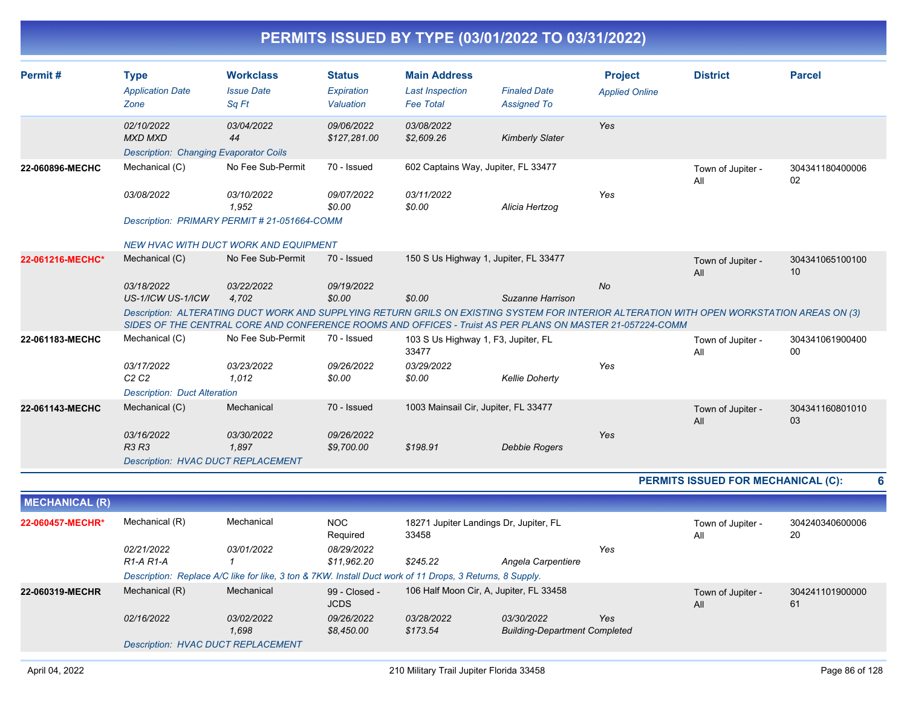| Permit#               | <b>Type</b><br><b>Application Date</b><br>Zone                                | <b>Workclass</b><br><b>Issue Date</b><br>Sa Ft                                                                                                                                                                                                                   | <b>Status</b><br>Expiration<br>Valuation | <b>Main Address</b><br><b>Last Inspection</b><br><b>Fee Total</b> | <b>Finaled Date</b><br><b>Assigned To</b>          | <b>Project</b><br><b>Applied Online</b> | <b>District</b>                           | <b>Parcel</b>         |
|-----------------------|-------------------------------------------------------------------------------|------------------------------------------------------------------------------------------------------------------------------------------------------------------------------------------------------------------------------------------------------------------|------------------------------------------|-------------------------------------------------------------------|----------------------------------------------------|-----------------------------------------|-------------------------------------------|-----------------------|
|                       | 02/10/2022<br><b>MXD MXD</b><br><b>Description: Changing Evaporator Coils</b> | 03/04/2022<br>44                                                                                                                                                                                                                                                 | 09/06/2022<br>\$127,281.00               | 03/08/2022<br>\$2,609.26                                          | <b>Kimberly Slater</b>                             | Yes                                     |                                           |                       |
| 22-060896-MECHC       | Mechanical (C)                                                                | No Fee Sub-Permit                                                                                                                                                                                                                                                | 70 - Issued                              | 602 Captains Way, Jupiter, FL 33477                               |                                                    |                                         | Town of Jupiter -<br>All                  | 304341180400006<br>02 |
|                       | 03/08/2022                                                                    | 03/10/2022<br>1,952                                                                                                                                                                                                                                              | 09/07/2022<br>\$0.00                     | 03/11/2022<br>\$0.00                                              | Alicia Hertzog                                     | Yes                                     |                                           |                       |
|                       |                                                                               | Description: PRIMARY PERMIT # 21-051664-COMM                                                                                                                                                                                                                     |                                          |                                                                   |                                                    |                                         |                                           |                       |
|                       |                                                                               | <b>NEW HVAC WITH DUCT WORK AND EQUIPMENT</b>                                                                                                                                                                                                                     |                                          |                                                                   |                                                    |                                         |                                           |                       |
| 22-061216-MECHC*      | Mechanical (C)                                                                | No Fee Sub-Permit                                                                                                                                                                                                                                                | 70 - Issued                              | 150 S Us Highway 1, Jupiter, FL 33477                             |                                                    |                                         | Town of Jupiter -<br>All                  | 304341065100100<br>10 |
|                       | 03/18/2022                                                                    | <i>03/22/2022</i>                                                                                                                                                                                                                                                | 09/19/2022                               |                                                                   |                                                    | No                                      |                                           |                       |
|                       | US-1/ICW US-1/ICW                                                             | 4,702<br>Description: ALTERATING DUCT WORK AND SUPPLYING RETURN GRILS ON EXISTING SYSTEM FOR INTERIOR ALTERATION WITH OPEN WORKSTATION AREAS ON (3)<br>SIDES OF THE CENTRAL CORE AND CONFERENCE ROOMS AND OFFICES - Truist AS PER PLANS ON MASTER 21-057224-COMM | \$0.00                                   | \$0.00                                                            | Suzanne Harrison                                   |                                         |                                           |                       |
| 22-061183-MECHC       | Mechanical (C)                                                                | No Fee Sub-Permit                                                                                                                                                                                                                                                | 70 - Issued                              | 103 S Us Highway 1, F3, Jupiter, FL<br>33477                      |                                                    |                                         | Town of Jupiter -<br>All                  | 304341061900400<br>00 |
|                       | 03/17/2022<br>C <sub>2</sub> C <sub>2</sub>                                   | 03/23/2022<br>1,012                                                                                                                                                                                                                                              | 09/26/2022<br>\$0.00                     | 03/29/2022<br>\$0.00                                              | <b>Kellie Doherty</b>                              | Yes                                     |                                           |                       |
|                       | <b>Description: Duct Alteration</b>                                           |                                                                                                                                                                                                                                                                  |                                          |                                                                   |                                                    |                                         |                                           |                       |
| 22-061143-MECHC       | Mechanical (C)                                                                | Mechanical                                                                                                                                                                                                                                                       | 70 - Issued                              | 1003 Mainsail Cir, Jupiter, FL 33477                              |                                                    |                                         | Town of Jupiter -<br>All                  | 304341160801010<br>03 |
|                       | 03/16/2022<br><b>R3 R3</b>                                                    | 03/30/2022                                                                                                                                                                                                                                                       | 09/26/2022                               |                                                                   |                                                    | Yes                                     |                                           |                       |
|                       | <b>Description: HVAC DUCT REPLACEMENT</b>                                     | 1,897                                                                                                                                                                                                                                                            | \$9,700.00                               | \$198.91                                                          | <b>Debbie Rogers</b>                               |                                         |                                           |                       |
|                       |                                                                               |                                                                                                                                                                                                                                                                  |                                          |                                                                   |                                                    |                                         | <b>PERMITS ISSUED FOR MECHANICAL (C):</b> | 6                     |
| <b>MECHANICAL (R)</b> |                                                                               |                                                                                                                                                                                                                                                                  |                                          |                                                                   |                                                    |                                         |                                           |                       |
| 22-060457-MECHR*      | Mechanical (R)                                                                | Mechanical                                                                                                                                                                                                                                                       | <b>NOC</b><br>Required                   | 18271 Jupiter Landings Dr, Jupiter, FL<br>33458                   |                                                    |                                         | Town of Jupiter -<br>All                  | 304240340600006<br>20 |
|                       | 02/21/2022                                                                    | 03/01/2022                                                                                                                                                                                                                                                       | 08/29/2022                               |                                                                   |                                                    | Yes                                     |                                           |                       |
|                       | R <sub>1</sub> -A <sub>R1</sub> -A                                            | $\mathbf{1}$                                                                                                                                                                                                                                                     | \$11,962.20                              | \$245.22                                                          | Angela Carpentiere                                 |                                         |                                           |                       |
| 22-060319-MECHR       | Mechanical (R)                                                                | Description: Replace A/C like for like, 3 ton & 7KW. Install Duct work of 11 Drops, 3 Returns, 8 Supply.<br>Mechanical                                                                                                                                           | 99 - Closed -                            | 106 Half Moon Cir, A, Jupiter, FL 33458                           |                                                    |                                         | Town of Jupiter -                         | 304241101900000       |
|                       |                                                                               |                                                                                                                                                                                                                                                                  | <b>JCDS</b>                              |                                                                   |                                                    |                                         | All                                       | 61                    |
|                       | 02/16/2022                                                                    | 03/02/2022<br>1,698                                                                                                                                                                                                                                              | 09/26/2022<br>\$8,450.00                 | 03/28/2022<br>\$173.54                                            | 03/30/2022<br><b>Building-Department Completed</b> | Yes                                     |                                           |                       |
|                       | <b>Description: HVAC DUCT REPLACEMENT</b>                                     |                                                                                                                                                                                                                                                                  |                                          |                                                                   |                                                    |                                         |                                           |                       |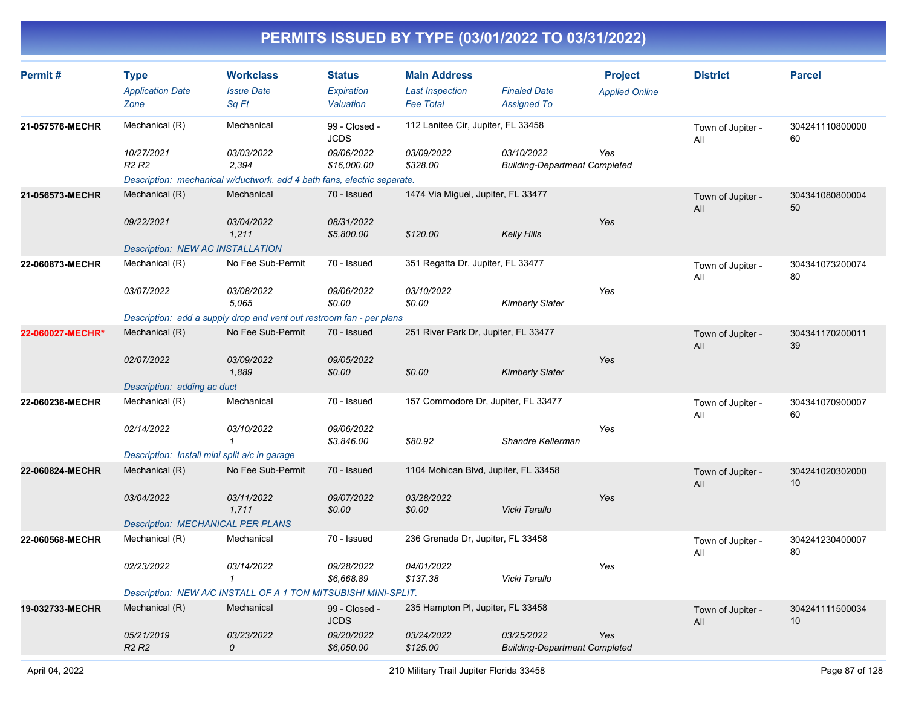| Permit#          | <b>Type</b><br><b>Application Date</b><br>Zone | <b>Workclass</b><br><b>Issue Date</b><br>Sq Ft                          | <b>Status</b><br>Expiration<br>Valuation | <b>Main Address</b><br><b>Last Inspection</b><br><b>Fee Total</b> | <b>Finaled Date</b><br><b>Assigned To</b>          | <b>Project</b><br><b>Applied Online</b> | <b>District</b>          | <b>Parcel</b>         |
|------------------|------------------------------------------------|-------------------------------------------------------------------------|------------------------------------------|-------------------------------------------------------------------|----------------------------------------------------|-----------------------------------------|--------------------------|-----------------------|
| 21-057576-MECHR  | Mechanical (R)                                 | Mechanical                                                              | 99 - Closed -<br><b>JCDS</b>             | 112 Lanitee Cir, Jupiter, FL 33458                                |                                                    |                                         | Town of Jupiter -<br>All | 304241110800000<br>60 |
|                  | 10/27/2021<br>R <sub>2</sub> R <sub>2</sub>    | 03/03/2022<br>2,394                                                     | 09/06/2022<br>\$16,000.00                | 03/09/2022<br>\$328.00                                            | 03/10/2022<br><b>Building-Department Completed</b> | Yes                                     |                          |                       |
|                  |                                                | Description: mechanical w/ductwork. add 4 bath fans, electric separate. |                                          |                                                                   |                                                    |                                         |                          |                       |
| 21-056573-MECHR  | Mechanical (R)                                 | Mechanical                                                              | 70 - Issued                              | 1474 Via Miguel, Jupiter, FL 33477                                |                                                    |                                         | Town of Jupiter -<br>All | 304341080800004<br>50 |
|                  | 09/22/2021                                     | 03/04/2022<br>1,211                                                     | 08/31/2022<br>\$5,800.00                 | \$120.00                                                          | <b>Kelly Hills</b>                                 | Yes                                     |                          |                       |
|                  | <b>Description: NEW AC INSTALLATION</b>        |                                                                         |                                          |                                                                   |                                                    |                                         |                          |                       |
| 22-060873-MECHR  | Mechanical (R)                                 | No Fee Sub-Permit                                                       | 70 - Issued                              | 351 Regatta Dr, Jupiter, FL 33477                                 |                                                    |                                         | Town of Jupiter -<br>All | 304341073200074<br>80 |
|                  | 03/07/2022                                     | <i>03/08/2022</i><br>5,065                                              | 09/06/2022<br>\$0.00                     | 03/10/2022<br>\$0.00                                              | <b>Kimberly Slater</b>                             | Yes                                     |                          |                       |
|                  |                                                | Description: add a supply drop and vent out restroom fan - per plans    |                                          |                                                                   |                                                    |                                         |                          |                       |
| 22-060027-MECHR* | Mechanical (R)                                 | No Fee Sub-Permit                                                       | 70 - Issued                              | 251 River Park Dr, Jupiter, FL 33477                              |                                                    |                                         | Town of Jupiter -<br>All | 304341170200011<br>39 |
|                  | 02/07/2022                                     | 03/09/2022<br>1.889                                                     | 09/05/2022<br>\$0.00                     | \$0.00                                                            | <b>Kimberly Slater</b>                             | Yes                                     |                          |                       |
|                  | Description: adding ac duct                    |                                                                         |                                          |                                                                   |                                                    |                                         |                          |                       |
| 22-060236-MECHR  | Mechanical (R)                                 | Mechanical                                                              | 70 - Issued                              | 157 Commodore Dr, Jupiter, FL 33477                               |                                                    |                                         | Town of Jupiter -<br>All | 304341070900007<br>60 |
|                  | 02/14/2022                                     | 03/10/2022<br>$\mathbf{1}$                                              | 09/06/2022<br>\$3,846.00                 | \$80.92                                                           | Shandre Kellerman                                  | Yes                                     |                          |                       |
|                  | Description: Install mini split a/c in garage  |                                                                         |                                          |                                                                   |                                                    |                                         |                          |                       |
| 22-060824-MECHR  | Mechanical (R)                                 | No Fee Sub-Permit                                                       | 70 - Issued                              | 1104 Mohican Blvd, Jupiter, FL 33458                              |                                                    |                                         | Town of Jupiter -<br>All | 304241020302000<br>10 |
|                  | 03/04/2022                                     | 03/11/2022<br>1,711                                                     | 09/07/2022<br>\$0.00                     | 03/28/2022<br>\$0.00                                              | Vicki Tarallo                                      | Yes                                     |                          |                       |
|                  | <b>Description: MECHANICAL PER PLANS</b>       |                                                                         |                                          |                                                                   |                                                    |                                         |                          |                       |
| 22-060568-MECHR  | Mechanical (R)                                 | Mechanical                                                              | 70 - Issued                              | 236 Grenada Dr, Jupiter, FL 33458                                 |                                                    |                                         | Town of Jupiter -<br>All | 304241230400007<br>80 |
|                  | 02/23/2022                                     | 03/14/2022<br>$\mathbf{1}$                                              | 09/28/2022<br>\$6,668.89                 | 04/01/2022<br>\$137.38                                            | Vicki Tarallo                                      | Yes                                     |                          |                       |
|                  |                                                | Description: NEW A/C INSTALL OF A 1 TON MITSUBISHI MINI-SPLIT.          |                                          |                                                                   |                                                    |                                         |                          |                       |
| 19-032733-MECHR  | Mechanical (R)                                 | Mechanical                                                              | 99 - Closed -<br><b>JCDS</b>             | 235 Hampton PI, Jupiter, FL 33458                                 |                                                    |                                         | Town of Jupiter -<br>All | 304241111500034<br>10 |
|                  | 05/21/2019<br>R <sub>2</sub> R <sub>2</sub>    | 03/23/2022<br>0                                                         | 09/20/2022<br>\$6,050.00                 | 03/24/2022<br>\$125.00                                            | 03/25/2022<br><b>Building-Department Completed</b> | Yes                                     |                          |                       |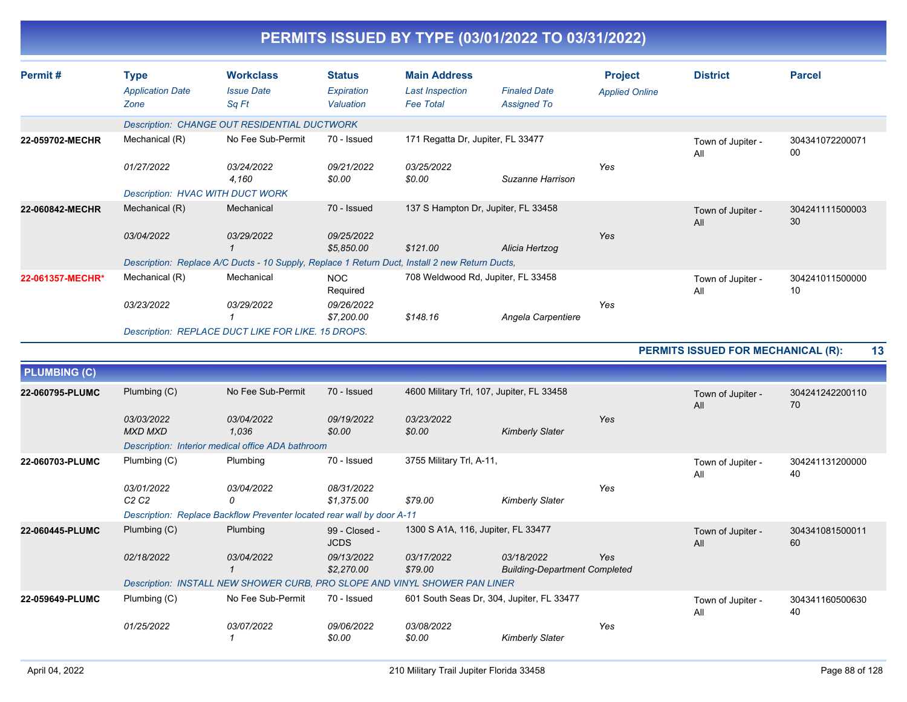|                     |                                                |                                                                                                |                                          |                                                                   | PERMITS ISSUED BY TYPE (03/01/2022 TO 03/31/2022) |                                         |                                    |                       |
|---------------------|------------------------------------------------|------------------------------------------------------------------------------------------------|------------------------------------------|-------------------------------------------------------------------|---------------------------------------------------|-----------------------------------------|------------------------------------|-----------------------|
| Permit#             | <b>Type</b><br><b>Application Date</b><br>Zone | <b>Workclass</b><br><b>Issue Date</b><br>Sq Ft                                                 | <b>Status</b><br>Expiration<br>Valuation | <b>Main Address</b><br><b>Last Inspection</b><br><b>Fee Total</b> | <b>Finaled Date</b><br><b>Assigned To</b>         | <b>Project</b><br><b>Applied Online</b> | <b>District</b>                    | <b>Parcel</b>         |
|                     |                                                | Description: CHANGE OUT RESIDENTIAL DUCTWORK                                                   |                                          |                                                                   |                                                   |                                         |                                    |                       |
| 22-059702-MECHR     | Mechanical (R)                                 | No Fee Sub-Permit                                                                              | 70 - Issued                              | 171 Regatta Dr, Jupiter, FL 33477                                 |                                                   |                                         | Town of Jupiter -<br>All           | 304341072200071<br>00 |
|                     | 01/27/2022                                     | 03/24/2022<br>4.160                                                                            | 09/21/2022<br>\$0.00                     | 03/25/2022<br>\$0.00                                              | Suzanne Harrison                                  | Yes                                     |                                    |                       |
|                     |                                                | <b>Description: HVAC WITH DUCT WORK</b>                                                        |                                          |                                                                   |                                                   |                                         |                                    |                       |
| 22-060842-MECHR     | Mechanical (R)                                 | Mechanical                                                                                     | 70 - Issued                              | 137 S Hampton Dr, Jupiter, FL 33458                               |                                                   |                                         | Town of Jupiter -<br>All           | 304241111500003<br>30 |
|                     | 03/04/2022                                     | 03/29/2022                                                                                     | 09/25/2022<br>\$5,850.00                 | \$121.00                                                          | Alicia Hertzog                                    | Yes                                     |                                    |                       |
|                     |                                                | Description: Replace A/C Ducts - 10 Supply, Replace 1 Return Duct, Install 2 new Return Ducts, |                                          |                                                                   |                                                   |                                         |                                    |                       |
| 22-061357-MECHR*    | Mechanical (R)                                 | Mechanical                                                                                     | <b>NOC</b><br>Required                   | 708 Weldwood Rd, Jupiter, FL 33458                                |                                                   |                                         | Town of Jupiter -<br>All           | 304241011500000<br>10 |
|                     | 03/23/2022                                     | 03/29/2022                                                                                     | 09/26/2022<br>\$7,200.00                 | \$148.16                                                          | Angela Carpentiere                                | Yes                                     |                                    |                       |
|                     |                                                | Description: REPLACE DUCT LIKE FOR LIKE. 15 DROPS.                                             |                                          |                                                                   |                                                   |                                         |                                    |                       |
|                     |                                                |                                                                                                |                                          |                                                                   |                                                   |                                         | PERMITS ISSUED FOR MECHANICAL (R): | 13                    |
| <b>PLUMBING (C)</b> |                                                |                                                                                                |                                          |                                                                   |                                                   |                                         |                                    |                       |
| 22-060795-PLUMC     | Plumbing (C)                                   | No Fee Sub-Permit                                                                              | 70 - Issued                              |                                                                   | 4600 Military Trl, 107, Jupiter, FL 33458         |                                         | Town of Jupiter -<br>All           | 304241242200110<br>70 |
|                     | 03/03/2022<br><b>MXD MXD</b>                   | 03/04/2022<br>1.036                                                                            | 09/19/2022<br>\$0.00                     | 03/23/2022<br>\$0.00                                              | <b>Kimberly Slater</b>                            | Yes                                     |                                    |                       |
|                     |                                                | Description: Interior medical office ADA bathroom                                              |                                          |                                                                   |                                                   |                                         |                                    |                       |
| 22-060703-PLUMC     | Plumbing (C)                                   | Plumbing                                                                                       | 70 - Issued                              | 3755 Military Trl, A-11,                                          |                                                   |                                         | Town of Jupiter -<br>All           | 304241131200000<br>40 |
|                     | 03/01/2022<br>C2C2                             | 03/04/2022<br>0                                                                                | 08/31/2022<br>\$1,375.00                 | \$79.00                                                           | <b>Kimberly Slater</b>                            | Yes                                     |                                    |                       |
|                     |                                                | Description: Replace Backflow Preventer located rear wall by door A-11                         |                                          |                                                                   |                                                   |                                         |                                    |                       |
| 22-060445-PLUMC     | Plumbing (C)                                   | Plumbing                                                                                       | 99 - Closed -<br><b>JCDS</b>             | 1300 S A1A, 116, Jupiter, FL 33477                                |                                                   |                                         | Town of Jupiter -<br>All           | 304341081500011<br>60 |

**22-059649-PLUMC**

Plumbing (C) No Fee Sub-Permit 70 - Issued 601 South Seas Dr, 304, Jupiter, FL 33477 Town of Jupiter - 304341160500630

*Yes*

*Yes*

All

 *1 \$2,270.00 \$79.00 Building-Department Completed*

 *1 \$0.00 \$0.00 Kimberly Slater*

*02/18/2022 03/04/2022 09/13/2022 03/17/2022 03/18/2022*

*Description: INSTALL NEW SHOWER CURB, PRO SLOPE AND VINYL SHOWER PAN LINER*

*01/25/2022 03/07/2022 09/06/2022 03/08/2022*

40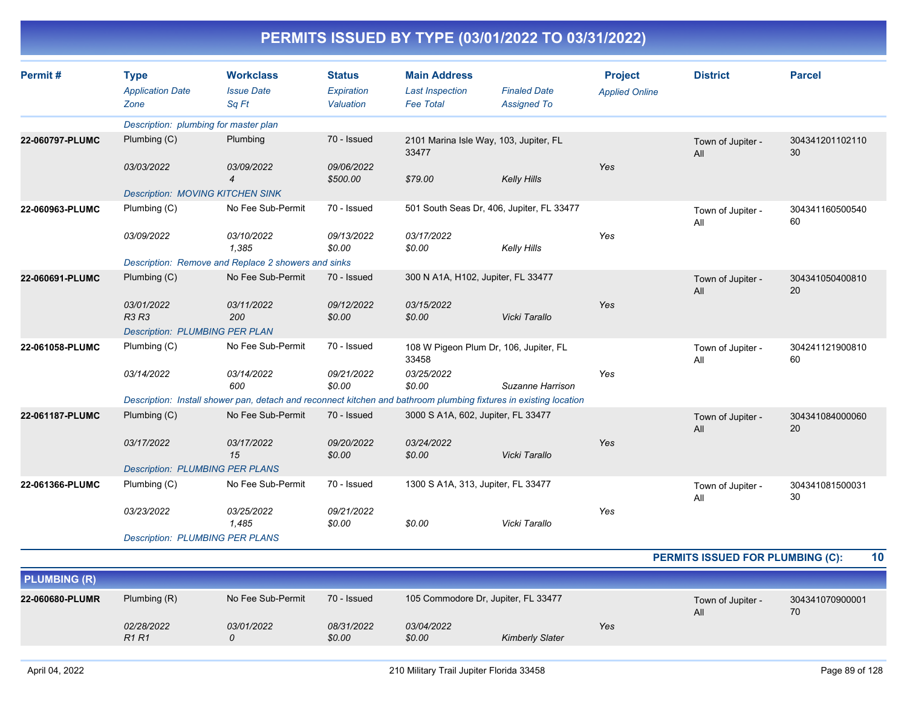| Permit#         | <b>Type</b><br><b>Application Date</b><br>Zone | <b>Workclass</b><br><b>Issue Date</b><br>Sq Ft                                                                    | <b>Status</b><br>Expiration<br>Valuation | <b>Main Address</b><br><b>Last Inspection</b><br><b>Fee Total</b> | <b>Finaled Date</b><br><b>Assigned To</b> | <b>Project</b><br><b>Applied Online</b> | <b>District</b>          | <b>Parcel</b>         |
|-----------------|------------------------------------------------|-------------------------------------------------------------------------------------------------------------------|------------------------------------------|-------------------------------------------------------------------|-------------------------------------------|-----------------------------------------|--------------------------|-----------------------|
|                 | Description: plumbing for master plan          |                                                                                                                   |                                          |                                                                   |                                           |                                         |                          |                       |
| 22-060797-PLUMC | Plumbing (C)                                   | Plumbing                                                                                                          | 70 - Issued                              | 2101 Marina Isle Way, 103, Jupiter, FL<br>33477                   |                                           |                                         | Town of Jupiter -<br>All | 304341201102110<br>30 |
|                 | 03/03/2022                                     | 03/09/2022<br>$\overline{4}$                                                                                      | 09/06/2022<br>\$500.00                   | \$79.00                                                           | <b>Kelly Hills</b>                        | Yes                                     |                          |                       |
|                 | <b>Description: MOVING KITCHEN SINK</b>        |                                                                                                                   |                                          |                                                                   |                                           |                                         |                          |                       |
| 22-060963-PLUMC | Plumbing (C)                                   | No Fee Sub-Permit                                                                                                 | 70 - Issued                              |                                                                   | 501 South Seas Dr, 406, Jupiter, FL 33477 |                                         | Town of Jupiter -<br>All | 304341160500540<br>60 |
|                 | 03/09/2022                                     | 03/10/2022<br>1.385                                                                                               | 09/13/2022<br>\$0.00                     | 03/17/2022<br>\$0.00                                              | Kelly Hills                               | Yes                                     |                          |                       |
|                 |                                                | Description: Remove and Replace 2 showers and sinks                                                               |                                          |                                                                   |                                           |                                         |                          |                       |
| 22-060691-PLUMC | Plumbing (C)                                   | No Fee Sub-Permit                                                                                                 | 70 - Issued                              | 300 N A1A, H102, Jupiter, FL 33477                                |                                           |                                         | Town of Jupiter -<br>All | 304341050400810<br>20 |
|                 | 03/01/2022<br><b>R3 R3</b>                     | 03/11/2022<br>200                                                                                                 | 09/12/2022<br>\$0.00                     | 03/15/2022<br>\$0.00                                              | Vicki Tarallo                             | Yes                                     |                          |                       |
|                 | <b>Description: PLUMBING PER PLAN</b>          |                                                                                                                   |                                          |                                                                   |                                           |                                         |                          |                       |
| 22-061058-PLUMC | Plumbing (C)                                   | No Fee Sub-Permit                                                                                                 | 70 - Issued                              | 33458                                                             | 108 W Pigeon Plum Dr, 106, Jupiter, FL    |                                         | Town of Jupiter -<br>All | 304241121900810<br>60 |
|                 | 03/14/2022                                     | 03/14/2022<br>600                                                                                                 | 09/21/2022<br>\$0.00                     | 03/25/2022<br>\$0.00                                              | Suzanne Harrison                          | Yes                                     |                          |                       |
|                 |                                                | Description: Install shower pan, detach and reconnect kitchen and bathroom plumbing fixtures in existing location |                                          |                                                                   |                                           |                                         |                          |                       |
| 22-061187-PLUMC | Plumbing (C)                                   | No Fee Sub-Permit                                                                                                 | 70 - Issued                              | 3000 S A1A, 602, Jupiter, FL 33477                                |                                           |                                         | Town of Jupiter -<br>All | 304341084000060<br>20 |
|                 | 03/17/2022                                     | 03/17/2022<br>15                                                                                                  | 09/20/2022<br>\$0.00                     | 03/24/2022<br>\$0.00                                              | Vicki Tarallo                             | Yes                                     |                          |                       |
|                 | <b>Description: PLUMBING PER PLANS</b>         |                                                                                                                   |                                          |                                                                   |                                           |                                         |                          |                       |
| 22-061366-PLUMC | Plumbing (C)                                   | No Fee Sub-Permit                                                                                                 | 70 - Issued                              | 1300 S A1A, 313, Jupiter, FL 33477                                |                                           |                                         | Town of Jupiter -<br>All | 304341081500031<br>30 |
|                 | 03/23/2022                                     | 03/25/2022<br>1,485                                                                                               | 09/21/2022<br>\$0.00                     | \$0.00                                                            | Vicki Tarallo                             | Yes                                     |                          |                       |
|                 | <b>Description: PLUMBING PER PLANS</b>         |                                                                                                                   |                                          |                                                                   |                                           |                                         |                          |                       |

**PERMITS ISSUED FOR PLUMBING (C): 10**

| <b>PLUMBING (R)</b> |                                             |                   |                      |                                     |                        |     |                          |                       |
|---------------------|---------------------------------------------|-------------------|----------------------|-------------------------------------|------------------------|-----|--------------------------|-----------------------|
| 22-060680-PLUMR     | Plumbing (R)                                | No Fee Sub-Permit | 70 - Issued          | 105 Commodore Dr. Jupiter, FL 33477 |                        |     | Town of Jupiter -<br>All | 304341070900001<br>70 |
|                     | 02/28/2022<br>R <sub>1</sub> R <sub>1</sub> | 03/01/2022        | 08/31/2022<br>\$0.00 | <i>03/04/2022</i><br>\$0.00         | <b>Kimberly Slater</b> | Yes |                          |                       |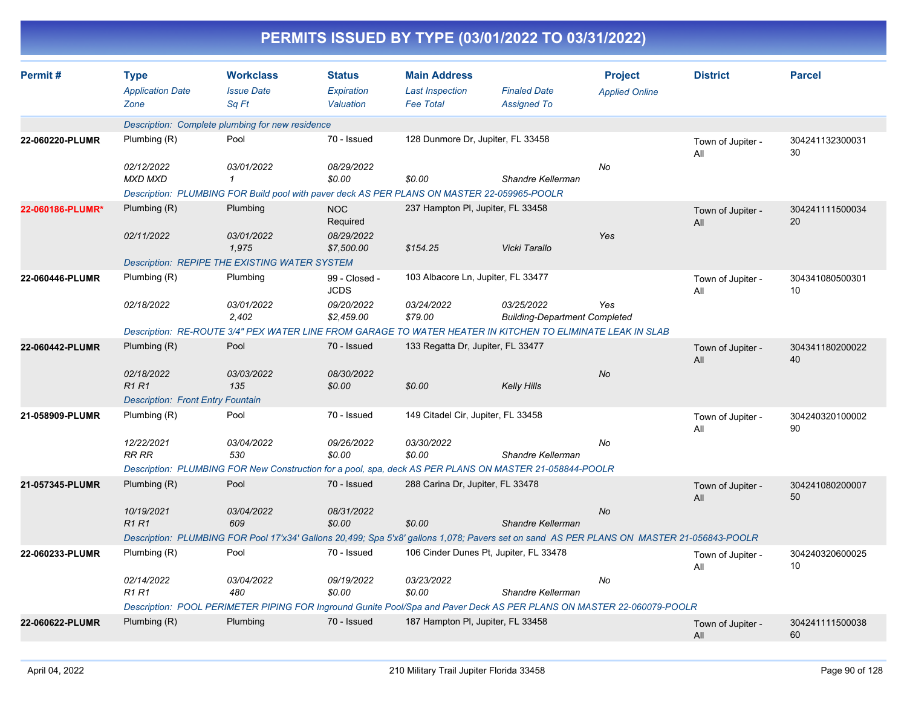|                  | PERMITS ISSUED BY TYPE (03/01/2022 TO 03/31/2022) |                                                                                             |                                          |                                                                   |                                                                                                                                           |                                         |                          |                       |  |  |
|------------------|---------------------------------------------------|---------------------------------------------------------------------------------------------|------------------------------------------|-------------------------------------------------------------------|-------------------------------------------------------------------------------------------------------------------------------------------|-----------------------------------------|--------------------------|-----------------------|--|--|
| Permit#          | <b>Type</b><br><b>Application Date</b><br>Zone    | <b>Workclass</b><br><b>Issue Date</b><br>Sq Ft                                              | <b>Status</b><br>Expiration<br>Valuation | <b>Main Address</b><br><b>Last Inspection</b><br><b>Fee Total</b> | <b>Finaled Date</b><br><b>Assigned To</b>                                                                                                 | <b>Project</b><br><b>Applied Online</b> | <b>District</b>          | <b>Parcel</b>         |  |  |
|                  |                                                   | Description: Complete plumbing for new residence                                            |                                          |                                                                   |                                                                                                                                           |                                         |                          |                       |  |  |
| 22-060220-PLUMR  | Plumbing (R)                                      | Pool                                                                                        | 70 - Issued                              | 128 Dunmore Dr, Jupiter, FL 33458                                 |                                                                                                                                           |                                         | Town of Jupiter -<br>All | 304241132300031<br>30 |  |  |
|                  | 02/12/2022<br><b>MXD MXD</b>                      | 03/01/2022<br>1                                                                             | 08/29/2022<br>\$0.00                     | \$0.00                                                            | Shandre Kellerman                                                                                                                         | No                                      |                          |                       |  |  |
|                  |                                                   | Description: PLUMBING FOR Build pool with paver deck AS PER PLANS ON MASTER 22-059965-POOLR |                                          |                                                                   |                                                                                                                                           |                                         |                          |                       |  |  |
| 22-060186-PLUMR* | Plumbing (R)                                      | Plumbing                                                                                    | <b>NOC</b><br>Required                   | 237 Hampton PI, Jupiter, FL 33458                                 |                                                                                                                                           |                                         | Town of Jupiter -<br>All | 304241111500034<br>20 |  |  |
|                  | 02/11/2022                                        | 03/01/2022<br>1,975                                                                         | 08/29/2022<br>\$7,500.00                 | \$154.25                                                          | Vicki Tarallo                                                                                                                             | Yes                                     |                          |                       |  |  |
|                  |                                                   | <b>Description: REPIPE THE EXISTING WATER SYSTEM</b>                                        |                                          |                                                                   |                                                                                                                                           |                                         |                          |                       |  |  |
| 22-060446-PLUMR  | Plumbing (R)                                      | Plumbing                                                                                    | 99 - Closed -<br><b>JCDS</b>             | 103 Albacore Ln, Jupiter, FL 33477                                |                                                                                                                                           |                                         | Town of Jupiter -<br>All | 304341080500301<br>10 |  |  |
|                  | 02/18/2022                                        | 03/01/2022<br>2,402                                                                         | 09/20/2022<br>\$2,459.00                 | 03/24/2022<br>\$79.00                                             | 03/25/2022<br><b>Building-Department Completed</b>                                                                                        | Yes                                     |                          |                       |  |  |
|                  |                                                   |                                                                                             |                                          |                                                                   | Description: RE-ROUTE 3/4" PEX WATER LINE FROM GARAGE TO WATER HEATER IN KITCHEN TO ELIMINATE LEAK IN SLAB                                |                                         |                          |                       |  |  |
| 22-060442-PLUMR  | Plumbing (R)                                      | Pool                                                                                        | 70 - Issued                              | 133 Regatta Dr, Jupiter, FL 33477                                 |                                                                                                                                           |                                         | Town of Jupiter -<br>All | 304341180200022<br>40 |  |  |
|                  | 02/18/2022<br><b>R1 R1</b>                        | 03/03/2022<br>135                                                                           | 08/30/2022<br>\$0.00                     | \$0.00                                                            | <b>Kelly Hills</b>                                                                                                                        | No                                      |                          |                       |  |  |
|                  | <b>Description: Front Entry Fountain</b>          |                                                                                             |                                          |                                                                   |                                                                                                                                           |                                         |                          |                       |  |  |
| 21-058909-PLUMR  | Plumbing (R)                                      | Pool                                                                                        | 70 - Issued                              | 149 Citadel Cir, Jupiter, FL 33458                                |                                                                                                                                           |                                         | Town of Jupiter -<br>All | 304240320100002<br>90 |  |  |
|                  | 12/22/2021<br><b>RR RR</b>                        | 03/04/2022<br>530                                                                           | 09/26/2022<br>\$0.00                     | 03/30/2022<br>\$0.00                                              | Shandre Kellerman                                                                                                                         | No                                      |                          |                       |  |  |
|                  |                                                   |                                                                                             |                                          |                                                                   | Description: PLUMBING FOR New Construction for a pool, spa, deck AS PER PLANS ON MASTER 21-058844-POOLR                                   |                                         |                          |                       |  |  |
| 21-057345-PLUMR  | Plumbing (R)                                      | Pool                                                                                        | 70 - Issued                              | 288 Carina Dr, Jupiter, FL 33478                                  |                                                                                                                                           |                                         | Town of Jupiter -<br>All | 304241080200007<br>50 |  |  |
|                  | 10/19/2021<br><b>R1 R1</b>                        | 03/04/2022<br>609                                                                           | 08/31/2022<br>\$0.00                     | \$0.00                                                            | Shandre Kellerman                                                                                                                         | No                                      |                          |                       |  |  |
|                  |                                                   |                                                                                             |                                          |                                                                   | Description: PLUMBING FOR Pool 17'x34' Gallons 20,499; Spa 5'x8' gallons 1,078; Pavers set on sand AS PER PLANS ON MASTER 21-056843-POOLR |                                         |                          |                       |  |  |
| 22-060233-PLUMR  | Plumbing (R)                                      | Pool                                                                                        | 70 - Issued                              |                                                                   | 106 Cinder Dunes Pt, Jupiter, FL 33478                                                                                                    |                                         | Town of Jupiter -<br>All | 304240320600025<br>10 |  |  |
|                  | 02/14/2022                                        | 03/04/2022                                                                                  | 09/19/2022                               | 03/23/2022                                                        |                                                                                                                                           | No                                      |                          |                       |  |  |
|                  | R1 R1                                             | 480                                                                                         | \$0.00                                   | \$0.00                                                            | Shandre Kellerman                                                                                                                         |                                         |                          |                       |  |  |
|                  |                                                   |                                                                                             |                                          |                                                                   | Description: POOL PERIMETER PIPING FOR Inground Gunite Pool/Spa and Paver Deck AS PER PLANS ON MASTER 22-060079-POOLR                     |                                         |                          |                       |  |  |
| 22-060622-PLUMR  | Plumbing (R)                                      | Plumbing                                                                                    | 70 - Issued                              | 187 Hampton PI, Jupiter, FL 33458                                 |                                                                                                                                           |                                         | Town of Jupiter -<br>All | 304241111500038<br>60 |  |  |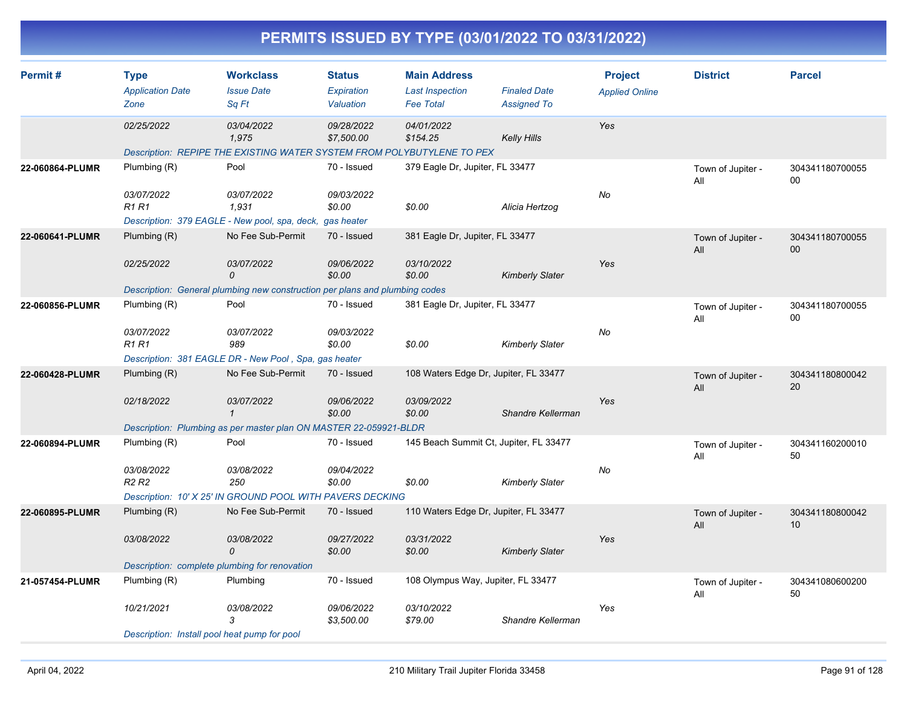| PERMITS ISSUED BY TYPE (03/01/2022 TO 03/31/2022) |                                                             |                                                                                                                            |                                          |                                                                   |                                                                  |                                         |                          |                       |  |  |
|---------------------------------------------------|-------------------------------------------------------------|----------------------------------------------------------------------------------------------------------------------------|------------------------------------------|-------------------------------------------------------------------|------------------------------------------------------------------|-----------------------------------------|--------------------------|-----------------------|--|--|
| Permit#                                           | <b>Type</b><br><b>Application Date</b><br>Zone              | <b>Workclass</b><br><b>Issue Date</b><br>Sq Ft                                                                             | <b>Status</b><br>Expiration<br>Valuation | <b>Main Address</b><br><b>Last Inspection</b><br><b>Fee Total</b> | <b>Finaled Date</b><br><b>Assigned To</b>                        | <b>Project</b><br><b>Applied Online</b> | <b>District</b>          | <b>Parcel</b>         |  |  |
|                                                   | 02/25/2022                                                  | 03/04/2022<br>1,975<br>Description: REPIPE THE EXISTING WATER SYSTEM FROM POLYBUTYLENE TO PEX                              | 09/28/2022<br>\$7,500.00                 | 04/01/2022<br>\$154.25                                            | <b>Kelly Hills</b>                                               | Yes                                     |                          |                       |  |  |
| 22-060864-PLUMR                                   | Plumbing (R)<br>03/07/2022<br><b>R1 R1</b>                  | Pool<br>03/07/2022<br>1,931<br>Description: 379 EAGLE - New pool, spa, deck, gas heater                                    | 70 - Issued<br>09/03/2022<br>\$0.00      | 379 Eagle Dr, Jupiter, FL 33477<br>\$0.00                         | Alicia Hertzog                                                   | No                                      | Town of Jupiter -<br>All | 304341180700055<br>00 |  |  |
| 22-060641-PLUMR                                   | Plumbing (R)<br>02/25/2022                                  | No Fee Sub-Permit<br>03/07/2022<br>$\Omega$<br>Description: General plumbing new construction per plans and plumbing codes | 70 - Issued<br>09/06/2022<br>\$0.00      | 381 Eagle Dr, Jupiter, FL 33477<br>03/10/2022<br>\$0.00           | <b>Kimberly Slater</b>                                           | Yes                                     | Town of Jupiter -<br>All | 304341180700055<br>00 |  |  |
| 22-060856-PLUMR                                   | Plumbing (R)<br>03/07/2022<br><b>R1 R1</b>                  | Pool<br>03/07/2022<br>989<br>Description: 381 EAGLE DR - New Pool, Spa, gas heater                                         | 70 - Issued<br>09/03/2022<br>\$0.00      | 381 Eagle Dr, Jupiter, FL 33477<br>\$0.00                         | <b>Kimberly Slater</b>                                           | No                                      | Town of Jupiter -<br>All | 304341180700055<br>00 |  |  |
| 22-060428-PLUMR                                   | Plumbing (R)<br>02/18/2022                                  | No Fee Sub-Permit<br>03/07/2022<br>$\mathbf{1}$<br>Description: Plumbing as per master plan ON MASTER 22-059921-BLDR       | 70 - Issued<br>09/06/2022<br>\$0.00      | 03/09/2022<br>\$0.00                                              | 108 Waters Edge Dr, Jupiter, FL 33477<br>Shandre Kellerman       | Yes                                     | Town of Jupiter -<br>All | 304341180800042<br>20 |  |  |
| 22-060894-PLUMR                                   | Plumbing (R)<br>03/08/2022<br>R <sub>2</sub> R <sub>2</sub> | Pool<br>03/08/2022<br>250<br>Description: 10' X 25' IN GROUND POOL WITH PAVERS DECKING                                     | 70 - Issued<br>09/04/2022<br>\$0.00      | \$0.00                                                            | 145 Beach Summit Ct, Jupiter, FL 33477<br><b>Kimberly Slater</b> | No                                      | Town of Jupiter -<br>All | 304341160200010<br>50 |  |  |
| 22-060895-PLUMR                                   | Plumbing (R)<br>03/08/2022                                  | No Fee Sub-Permit<br>03/08/2022<br>0<br>Description: complete plumbing for renovation                                      | 70 - Issued<br>09/27/2022<br>\$0.00      | 03/31/2022<br>\$0.00                                              | 110 Waters Edge Dr, Jupiter, FL 33477<br><b>Kimberly Slater</b>  | Yes                                     | Town of Jupiter -<br>All | 304341180800042<br>10 |  |  |
| 21-057454-PLUMR                                   | Plumbing (R)<br>10/21/2021                                  | Plumbing<br>03/08/2022<br>3<br>Description: Install pool heat pump for pool                                                | 70 - Issued<br>09/06/2022<br>\$3,500.00  | 108 Olympus Way, Jupiter, FL 33477<br>03/10/2022<br>\$79.00       | Shandre Kellerman                                                | Yes                                     | Town of Jupiter -<br>All | 304341080600200<br>50 |  |  |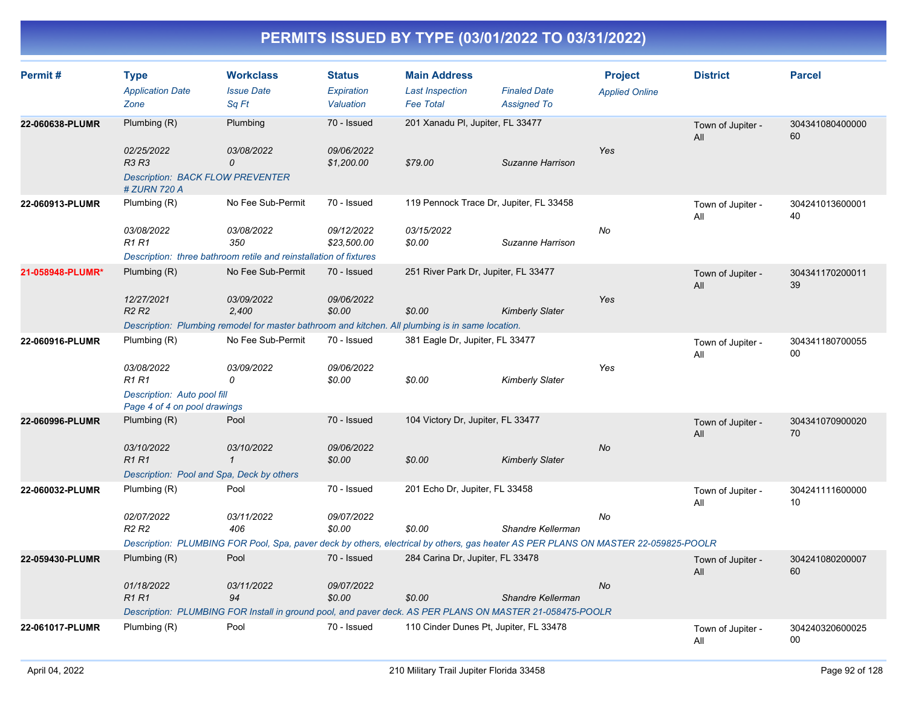| Permit#          | <b>Type</b><br><b>Application Date</b><br>Zone                                                            | <b>Workclass</b><br><b>Issue Date</b><br>Sq Ft                                                                                                                  | <b>Status</b><br>Expiration<br>Valuation | <b>Main Address</b><br><b>Last Inspection</b><br><b>Fee Total</b> | <b>Finaled Date</b><br><b>Assigned To</b> | <b>Project</b><br><b>Applied Online</b> | <b>District</b>          | <b>Parcel</b>         |
|------------------|-----------------------------------------------------------------------------------------------------------|-----------------------------------------------------------------------------------------------------------------------------------------------------------------|------------------------------------------|-------------------------------------------------------------------|-------------------------------------------|-----------------------------------------|--------------------------|-----------------------|
| 22-060638-PLUMR  | Plumbing (R)<br>02/25/2022<br>R3 R3<br><b>Description: BACK FLOW PREVENTER</b>                            | Plumbing<br>03/08/2022<br>$\mathcal{O}$                                                                                                                         | 70 - Issued<br>09/06/2022<br>\$1,200.00  | 201 Xanadu PI, Jupiter, FL 33477<br>\$79.00                       | Suzanne Harrison                          | Yes                                     | Town of Jupiter -<br>All | 304341080400000<br>60 |
| 22-060913-PLUMR  | # ZURN 720 A<br>Plumbing (R)<br>03/08/2022<br><b>R1 R1</b>                                                | No Fee Sub-Permit<br>03/08/2022<br>350<br>Description: three bathroom retile and reinstallation of fixtures                                                     | 70 - Issued<br>09/12/2022<br>\$23,500.00 | 119 Pennock Trace Dr, Jupiter, FL 33458<br>03/15/2022<br>\$0.00   | Suzanne Harrison                          | No                                      | Town of Jupiter -<br>All | 304241013600001<br>40 |
| 21-058948-PLUMR* | Plumbing (R)<br>12/27/2021<br>R <sub>2</sub> R <sub>2</sub>                                               | No Fee Sub-Permit<br>03/09/2022<br>2.400<br>Description: Plumbing remodel for master bathroom and kitchen. All plumbing is in same location.                    | 70 - Issued<br>09/06/2022<br>\$0.00      | 251 River Park Dr, Jupiter, FL 33477<br>\$0.00                    | <b>Kimberly Slater</b>                    | Yes                                     | Town of Jupiter -<br>All | 304341170200011<br>39 |
| 22-060916-PLUMR  | Plumbing (R)<br>03/08/2022<br><b>R1 R1</b><br>Description: Auto pool fill<br>Page 4 of 4 on pool drawings | No Fee Sub-Permit<br>03/09/2022<br>0                                                                                                                            | 70 - Issued<br>09/06/2022<br>\$0.00      | 381 Eagle Dr, Jupiter, FL 33477<br>\$0.00                         | <b>Kimberly Slater</b>                    | Yes                                     | Town of Jupiter -<br>All | 304341180700055<br>00 |
| 22-060996-PLUMR  | Plumbing $(R)$<br>03/10/2022<br><b>R1 R1</b><br>Description: Pool and Spa, Deck by others                 | Pool<br>03/10/2022<br>$\mathcal I$                                                                                                                              | 70 - Issued<br>09/06/2022<br>\$0.00      | 104 Victory Dr, Jupiter, FL 33477<br>\$0.00                       | <b>Kimberly Slater</b>                    | <b>No</b>                               | Town of Jupiter -<br>All | 304341070900020<br>70 |
| 22-060032-PLUMR  | Plumbing (R)<br>02/07/2022<br>R2 R2                                                                       | Pool<br>03/11/2022<br>406<br>Description: PLUMBING FOR Pool, Spa, paver deck by others, electrical by others, gas heater AS PER PLANS ON MASTER 22-059825-POOLR | 70 - Issued<br>09/07/2022<br>\$0.00      | 201 Echo Dr, Jupiter, FL 33458<br>\$0.00                          | Shandre Kellerman                         | <b>No</b>                               | Town of Jupiter -<br>All | 304241111600000<br>10 |
| 22-059430-PLUMR  | Plumbing (R)<br>01/18/2022<br><b>R1 R1</b>                                                                | Pool<br>03/11/2022<br>94<br>Description: PLUMBING FOR Install in ground pool, and paver deck. AS PER PLANS ON MASTER 21-058475-POOLR                            | 70 - Issued<br>09/07/2022<br>\$0.00      | 284 Carina Dr, Jupiter, FL 33478<br>\$0.00                        | Shandre Kellerman                         | <b>No</b>                               | Town of Jupiter -<br>All | 304241080200007<br>60 |
| 22-061017-PLUMR  | Plumbing (R)                                                                                              | Pool                                                                                                                                                            | 70 - Issued                              | 110 Cinder Dunes Pt, Jupiter, FL 33478                            |                                           |                                         | Town of Jupiter -<br>All | 304240320600025<br>00 |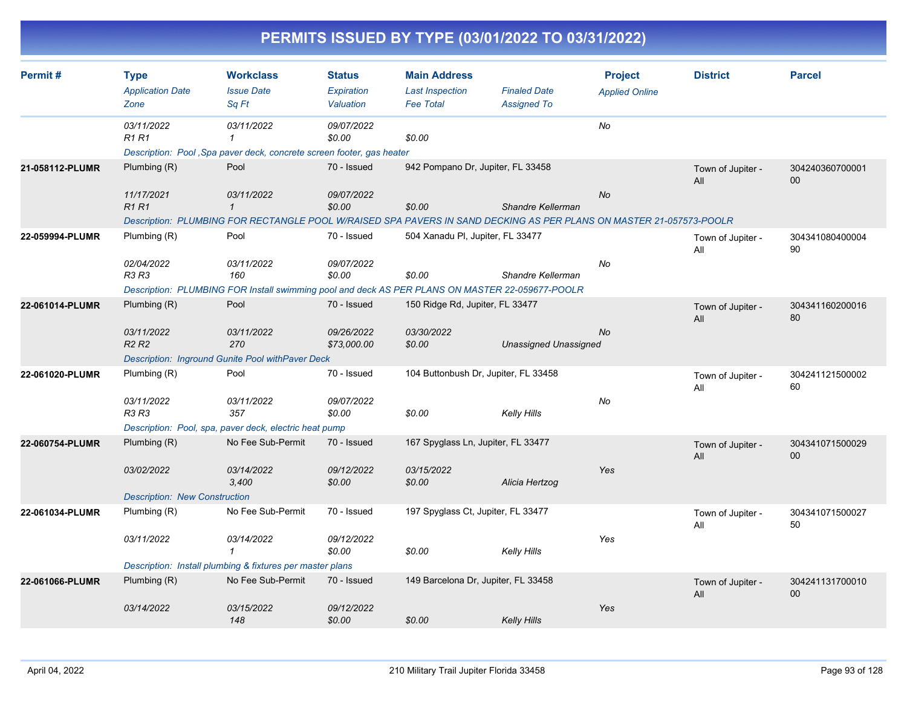| PERMITS ISSUED BY TYPE (03/01/2022 TO 03/31/2022) |  |
|---------------------------------------------------|--|
|                                                   |  |

| Permit#         | <b>Type</b><br><b>Application Date</b><br>Zone | <b>Workclass</b><br><b>Issue Date</b><br>Sq Ft                                                                      | <b>Status</b><br>Expiration<br>Valuation | <b>Main Address</b><br><b>Last Inspection</b><br><b>Fee Total</b> | <b>Finaled Date</b><br><b>Assigned To</b> | <b>Project</b><br><b>Applied Online</b> | <b>District</b>          | <b>Parcel</b>             |
|-----------------|------------------------------------------------|---------------------------------------------------------------------------------------------------------------------|------------------------------------------|-------------------------------------------------------------------|-------------------------------------------|-----------------------------------------|--------------------------|---------------------------|
|                 | 03/11/2022<br>R1 R1                            | 03/11/2022<br>1<br>Description: Pool, Spa paver deck, concrete screen footer, gas heater                            | 09/07/2022<br>\$0.00                     | \$0.00                                                            |                                           | No                                      |                          |                           |
| 21-058112-PLUMR | Plumbing (R)                                   | Pool                                                                                                                | 70 - Issued                              | 942 Pompano Dr, Jupiter, FL 33458                                 |                                           |                                         | Town of Jupiter -<br>All | 304240360700001<br>$00\,$ |
|                 | 11/17/2021<br><b>R1R1</b>                      | 03/11/2022<br>$\mathbf{1}$                                                                                          | 09/07/2022<br>\$0.00                     | \$0.00                                                            | Shandre Kellerman                         | <b>No</b>                               |                          |                           |
|                 |                                                | Description: PLUMBING FOR RECTANGLE POOL W/RAISED SPA PAVERS IN SAND DECKING AS PER PLANS ON MASTER 21-057573-POOLR |                                          |                                                                   |                                           |                                         |                          |                           |
| 22-059994-PLUMR | Plumbing (R)                                   | Pool                                                                                                                | 70 - Issued                              | 504 Xanadu PI, Jupiter, FL 33477                                  |                                           |                                         | Town of Jupiter -<br>All | 304341080400004<br>90     |
|                 | 02/04/2022<br>R3 R3                            | 03/11/2022<br>160                                                                                                   | 09/07/2022<br>\$0.00                     | \$0.00                                                            | Shandre Kellerman                         | No                                      |                          |                           |
|                 |                                                | Description: PLUMBING FOR Install swimming pool and deck AS PER PLANS ON MASTER 22-059677-POOLR                     |                                          |                                                                   |                                           |                                         |                          |                           |
| 22-061014-PLUMR | Plumbing (R)                                   | Pool                                                                                                                | 70 - Issued                              | 150 Ridge Rd, Jupiter, FL 33477                                   |                                           |                                         | Town of Jupiter -<br>All | 304341160200016<br>80     |
|                 | 03/11/2022<br>R <sub>2</sub> R <sub>2</sub>    | 03/11/2022<br>270                                                                                                   | 09/26/2022<br>\$73,000.00                | 03/30/2022<br>\$0.00                                              | <b>Unassigned Unassigned</b>              | <b>No</b>                               |                          |                           |
|                 |                                                | Description: Inground Gunite Pool withPaver Deck                                                                    |                                          |                                                                   |                                           |                                         |                          |                           |
| 22-061020-PLUMR | Plumbing (R)                                   | Pool                                                                                                                | 70 - Issued                              | 104 Buttonbush Dr, Jupiter, FL 33458                              |                                           |                                         | Town of Jupiter -<br>All | 304241121500002<br>60     |
|                 | 03/11/2022<br>R3 R3                            | 03/11/2022<br>357                                                                                                   | 09/07/2022<br>\$0.00                     | \$0.00                                                            | <b>Kelly Hills</b>                        | No                                      |                          |                           |
|                 |                                                | Description: Pool, spa, paver deck, electric heat pump                                                              |                                          |                                                                   |                                           |                                         |                          |                           |
| 22-060754-PLUMR | Plumbing (R)                                   | No Fee Sub-Permit                                                                                                   | 70 - Issued                              | 167 Spyglass Ln, Jupiter, FL 33477                                |                                           |                                         | Town of Jupiter -<br>All | 304341071500029<br>00     |
|                 | 03/02/2022                                     | 03/14/2022<br>3,400                                                                                                 | 09/12/2022<br>\$0.00                     | 03/15/2022<br>\$0.00                                              | Alicia Hertzog                            | Yes                                     |                          |                           |
|                 | <b>Description: New Construction</b>           |                                                                                                                     |                                          |                                                                   |                                           |                                         |                          |                           |
| 22-061034-PLUMR | Plumbing (R)                                   | No Fee Sub-Permit                                                                                                   | 70 - Issued                              | 197 Spyglass Ct, Jupiter, FL 33477                                |                                           |                                         | Town of Jupiter -<br>All | 304341071500027<br>50     |
|                 | 03/11/2022                                     | 03/14/2022<br>$\mathbf 1$                                                                                           | 09/12/2022<br>\$0.00                     | \$0.00                                                            | <b>Kelly Hills</b>                        | Yes                                     |                          |                           |
|                 |                                                | Description: Install plumbing & fixtures per master plans                                                           |                                          |                                                                   |                                           |                                         |                          |                           |
| 22-061066-PLUMR | Plumbing $(R)$                                 | No Fee Sub-Permit                                                                                                   | 70 - Issued                              | 149 Barcelona Dr, Jupiter, FL 33458                               |                                           |                                         | Town of Jupiter -<br>All | 304241131700010<br>$00\,$ |
|                 | 03/14/2022                                     | 03/15/2022<br>148                                                                                                   | 09/12/2022<br>\$0.00                     | \$0.00                                                            | <b>Kelly Hills</b>                        | Yes                                     |                          |                           |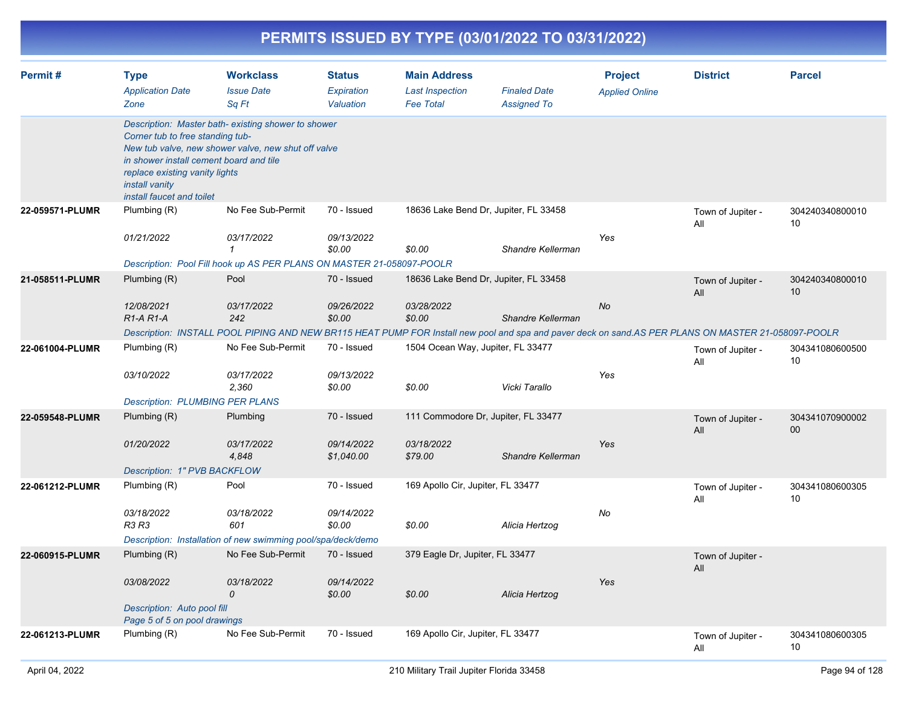|                 |                                                                                                                                                                                                                                                                           |                                                                                                                                                     |                                          | PERMITS ISSUED BY TYPE (03/01/2022 TO 03/31/2022)                 |                                           |                                         |                          |                       |
|-----------------|---------------------------------------------------------------------------------------------------------------------------------------------------------------------------------------------------------------------------------------------------------------------------|-----------------------------------------------------------------------------------------------------------------------------------------------------|------------------------------------------|-------------------------------------------------------------------|-------------------------------------------|-----------------------------------------|--------------------------|-----------------------|
| Permit#         | <b>Type</b><br><b>Application Date</b><br>Zone                                                                                                                                                                                                                            | <b>Workclass</b><br><b>Issue Date</b><br>Sq Ft                                                                                                      | <b>Status</b><br>Expiration<br>Valuation | <b>Main Address</b><br><b>Last Inspection</b><br><b>Fee Total</b> | <b>Finaled Date</b><br><b>Assigned To</b> | <b>Project</b><br><b>Applied Online</b> | <b>District</b>          | <b>Parcel</b>         |
|                 | Description: Master bath-existing shower to shower<br>Corner tub to free standing tub-<br>New tub valve, new shower valve, new shut off valve<br>in shower install cement board and tile<br>replace existing vanity lights<br>install vanity<br>install faucet and toilet |                                                                                                                                                     |                                          |                                                                   |                                           |                                         |                          |                       |
| 22-059571-PLUMR | Plumbing (R)                                                                                                                                                                                                                                                              | No Fee Sub-Permit                                                                                                                                   | 70 - Issued                              | 18636 Lake Bend Dr, Jupiter, FL 33458                             |                                           |                                         | Town of Jupiter -<br>All | 304240340800010<br>10 |
|                 | 01/21/2022                                                                                                                                                                                                                                                                | 03/17/2022<br>$\mathbf{1}$                                                                                                                          | 09/13/2022<br>\$0.00                     | \$0.00                                                            | Shandre Kellerman                         | Yes                                     |                          |                       |
|                 |                                                                                                                                                                                                                                                                           | Description: Pool Fill hook up AS PER PLANS ON MASTER 21-058097-POOLR                                                                               |                                          |                                                                   |                                           |                                         |                          |                       |
| 21-058511-PLUMR | Plumbing (R)                                                                                                                                                                                                                                                              | Pool                                                                                                                                                | 70 - Issued                              | 18636 Lake Bend Dr, Jupiter, FL 33458                             |                                           |                                         | Town of Jupiter -<br>All | 304240340800010<br>10 |
|                 | 12/08/2021<br>R1-A R1-A                                                                                                                                                                                                                                                   | 03/17/2022<br>242                                                                                                                                   | 09/26/2022<br>\$0.00                     | 03/28/2022<br>\$0.00                                              | Shandre Kellerman                         | No                                      |                          |                       |
|                 |                                                                                                                                                                                                                                                                           | Description: INSTALL POOL PIPING AND NEW BR115 HEAT PUMP FOR Install new pool and spa and paver deck on sand.AS PER PLANS ON MASTER 21-058097-POOLR |                                          |                                                                   |                                           |                                         |                          |                       |
| 22-061004-PLUMR | Plumbing (R)                                                                                                                                                                                                                                                              | No Fee Sub-Permit                                                                                                                                   | 70 - Issued                              | 1504 Ocean Way, Jupiter, FL 33477                                 |                                           |                                         | Town of Jupiter -<br>All | 304341080600500<br>10 |
|                 | 03/10/2022                                                                                                                                                                                                                                                                | 03/17/2022<br>2,360                                                                                                                                 | 09/13/2022<br>\$0.00                     | \$0.00                                                            | Vicki Tarallo                             | Yes                                     |                          |                       |
|                 | <b>Description: PLUMBING PER PLANS</b>                                                                                                                                                                                                                                    |                                                                                                                                                     |                                          |                                                                   |                                           |                                         |                          |                       |
| 22-059548-PLUMR | Plumbing (R)                                                                                                                                                                                                                                                              | Plumbing                                                                                                                                            | 70 - Issued                              | 111 Commodore Dr, Jupiter, FL 33477                               |                                           |                                         | Town of Jupiter -<br>All | 304341070900002<br>00 |
|                 | 01/20/2022                                                                                                                                                                                                                                                                | 03/17/2022<br>4,848                                                                                                                                 | 09/14/2022<br>\$1,040.00                 | 03/18/2022<br>\$79.00                                             | Shandre Kellerman                         | Yes                                     |                          |                       |
|                 | Description: 1" PVB BACKFLOW                                                                                                                                                                                                                                              |                                                                                                                                                     |                                          |                                                                   |                                           |                                         |                          |                       |
| 22-061212-PLUMR | Plumbing (R)                                                                                                                                                                                                                                                              | Pool                                                                                                                                                | 70 - Issued                              | 169 Apollo Cir, Jupiter, FL 33477                                 |                                           |                                         | Town of Jupiter -<br>All | 304341080600305<br>10 |
|                 | 03/18/2022<br>R3 R3                                                                                                                                                                                                                                                       | 03/18/2022<br>601                                                                                                                                   | 09/14/2022<br>\$0.00                     | \$0.00                                                            | Alicia Hertzog                            | No                                      |                          |                       |
|                 |                                                                                                                                                                                                                                                                           | Description: Installation of new swimming pool/spa/deck/demo                                                                                        |                                          |                                                                   |                                           |                                         |                          |                       |
| 22-060915-PLUMR | Plumbing (R)                                                                                                                                                                                                                                                              | No Fee Sub-Permit                                                                                                                                   | 70 - Issued                              | 379 Eagle Dr, Jupiter, FL 33477                                   |                                           |                                         | Town of Jupiter -<br>All |                       |
|                 | 03/08/2022                                                                                                                                                                                                                                                                | 03/18/2022<br>0                                                                                                                                     | 09/14/2022<br>\$0.00                     | \$0.00                                                            | Alicia Hertzog                            | Yes                                     |                          |                       |
|                 |                                                                                                                                                                                                                                                                           | Description: Auto pool fill<br>Page 5 of 5 on pool drawings                                                                                         |                                          |                                                                   |                                           |                                         |                          |                       |
| 22-061213-PLUMR | Plumbing (R)                                                                                                                                                                                                                                                              | No Fee Sub-Permit                                                                                                                                   | 70 - Issued                              | 169 Apollo Cir, Jupiter, FL 33477                                 |                                           |                                         | Town of Jupiter -<br>All | 304341080600305<br>10 |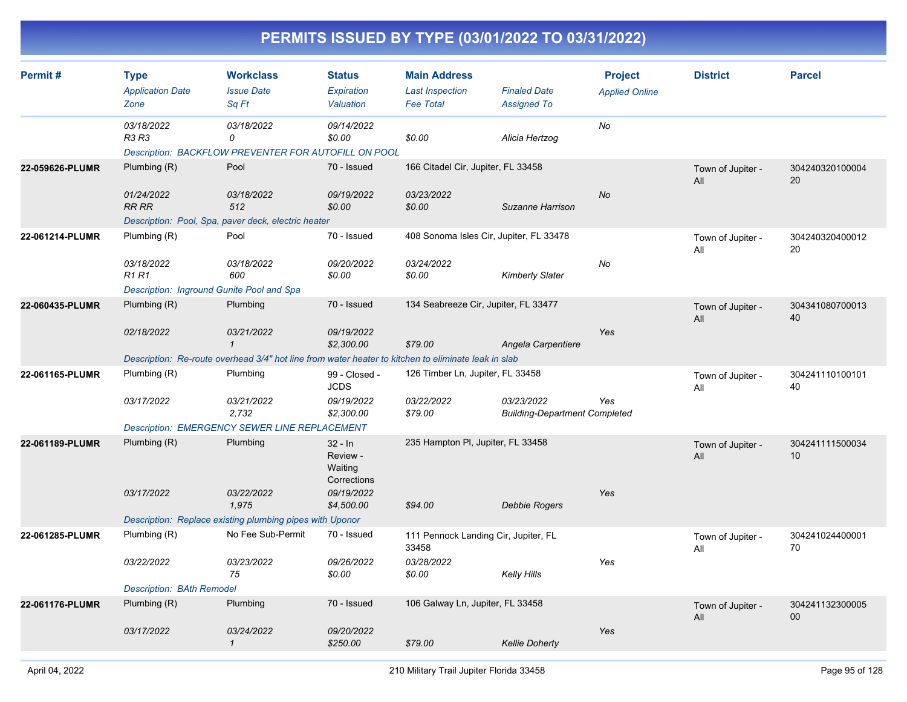| Permit#         | <b>Type</b><br><b>Application Date</b><br>Zone | <b>Workclass</b><br><b>Issue Date</b><br>Sq Ft                                                      | <b>Status</b><br>Expiration<br>Valuation        | <b>Main Address</b><br><b>Last Inspection</b><br><b>Fee Total</b> | <b>Finaled Date</b><br><b>Assigned To</b>          | <b>Project</b><br><b>Applied Online</b> | <b>District</b>          | <b>Parcel</b>         |
|-----------------|------------------------------------------------|-----------------------------------------------------------------------------------------------------|-------------------------------------------------|-------------------------------------------------------------------|----------------------------------------------------|-----------------------------------------|--------------------------|-----------------------|
|                 | 03/18/2022<br>R3 R3                            | 03/18/2022<br>0<br>Description: BACKFLOW PREVENTER FOR AUTOFILL ON POOL                             | 09/14/2022<br>\$0.00                            | \$0.00                                                            | Alicia Hertzog                                     | No                                      |                          |                       |
| 22-059626-PLUMR | Plumbing (R)                                   | Pool                                                                                                | 70 - Issued                                     | 166 Citadel Cir, Jupiter, FL 33458                                |                                                    |                                         | Town of Jupiter -<br>All | 304240320100004<br>20 |
|                 | 01/24/2022<br>RR RR                            | 03/18/2022<br>512                                                                                   | 09/19/2022<br>\$0.00                            | 03/23/2022<br>\$0.00                                              | Suzanne Harrison                                   | No                                      |                          |                       |
| 22-061214-PLUMR | Plumbing (R)                                   | Description: Pool, Spa, paver deck, electric heater<br>Pool                                         | 70 - Issued                                     | 408 Sonoma Isles Cir, Jupiter, FL 33478                           |                                                    |                                         | Town of Jupiter -        | 304240320400012       |
|                 |                                                |                                                                                                     |                                                 |                                                                   |                                                    |                                         | All                      | 20                    |
|                 | 03/18/2022<br><b>R1R1</b>                      | 03/18/2022<br>600                                                                                   | 09/20/2022<br>\$0.00                            | 03/24/2022<br>\$0.00                                              | <b>Kimberly Slater</b>                             | No                                      |                          |                       |
|                 | Description: Inground Gunite Pool and Spa      |                                                                                                     |                                                 |                                                                   |                                                    |                                         |                          |                       |
| 22-060435-PLUMR | Plumbing $(R)$                                 | Plumbing                                                                                            | 70 - Issued                                     | 134 Seabreeze Cir, Jupiter, FL 33477                              |                                                    |                                         | Town of Jupiter -<br>All | 304341080700013<br>40 |
|                 | 02/18/2022                                     | 03/21/2022<br>$\mathcal I$                                                                          | 09/19/2022<br>\$2,300.00                        | \$79.00                                                           | Angela Carpentiere                                 | Yes                                     |                          |                       |
|                 |                                                | Description: Re-route overhead 3/4" hot line from water heater to kitchen to eliminate leak in slab |                                                 |                                                                   |                                                    |                                         |                          |                       |
| 22-061165-PLUMR | Plumbing (R)                                   | Plumbing                                                                                            | 99 - Closed -<br><b>JCDS</b>                    | 126 Timber Ln, Jupiter, FL 33458                                  |                                                    |                                         | Town of Jupiter -<br>All | 304241110100101<br>40 |
|                 | 03/17/2022                                     | <i>03/21/2022</i><br>2,732                                                                          | 09/19/2022<br>\$2,300.00                        | 03/22/2022<br>\$79.00                                             | 03/23/2022<br><b>Building-Department Completed</b> | Yes                                     |                          |                       |
|                 |                                                | <b>Description: EMERGENCY SEWER LINE REPLACEMENT</b>                                                |                                                 |                                                                   |                                                    |                                         |                          |                       |
| 22-061189-PLUMR | Plumbing (R)                                   | Plumbing                                                                                            | $32 - ln$<br>Review -<br>Waiting<br>Corrections | 235 Hampton PI, Jupiter, FL 33458                                 |                                                    |                                         | Town of Jupiter -<br>All | 304241111500034<br>10 |
|                 | 03/17/2022                                     | 03/22/2022<br>1,975                                                                                 | 09/19/2022<br>\$4,500.00                        | \$94.00                                                           | Debbie Rogers                                      | Yes                                     |                          |                       |
|                 |                                                | Description: Replace existing plumbing pipes with Uponor                                            |                                                 |                                                                   |                                                    |                                         |                          |                       |
| 22-061285-PLUMR | Plumbing (R)                                   | No Fee Sub-Permit                                                                                   | 70 - Issued                                     | 111 Pennock Landing Cir, Jupiter, FL<br>33458                     |                                                    |                                         | Town of Jupiter -<br>All | 304241024400001<br>70 |
|                 | 03/22/2022                                     | 03/23/2022<br>75                                                                                    | 09/26/2022<br>\$0.00                            | 03/28/2022<br>\$0.00                                              | Kelly Hills                                        | Yes                                     |                          |                       |
|                 | <b>Description: BAth Remodel</b>               |                                                                                                     |                                                 |                                                                   |                                                    |                                         |                          |                       |
| 22-061176-PLUMR | Plumbing (R)                                   | Plumbing                                                                                            | 70 - Issued                                     | 106 Galway Ln, Jupiter, FL 33458                                  |                                                    |                                         | Town of Jupiter -<br>All | 304241132300005<br>00 |
|                 | 03/17/2022                                     | 03/24/2022<br>$\mathcal{I}$                                                                         | 09/20/2022<br>\$250.00                          | \$79.00                                                           | <b>Kellie Doherty</b>                              | Yes                                     |                          |                       |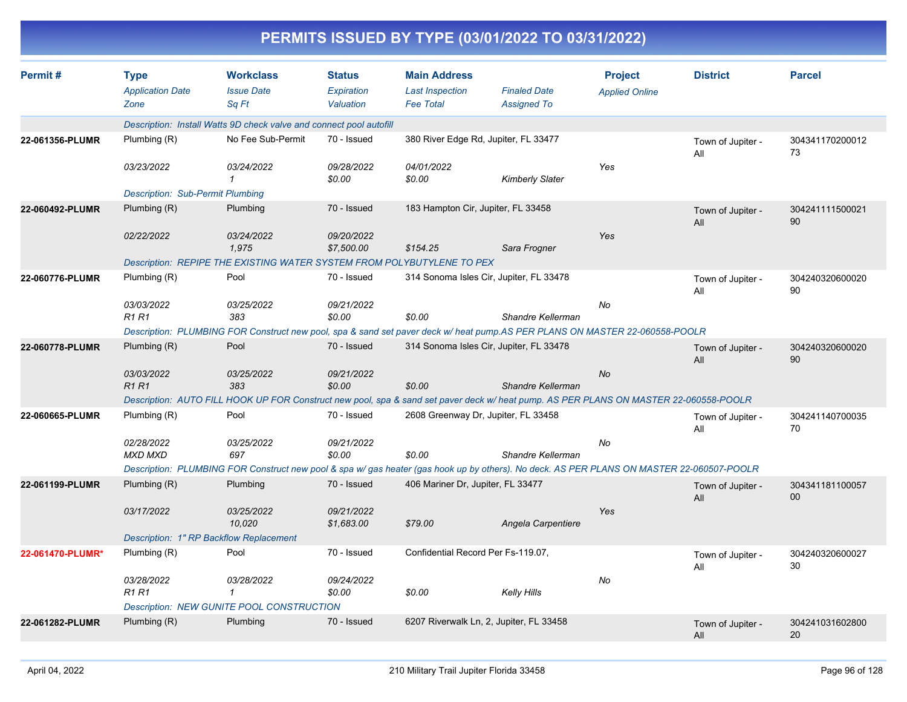|                  |                                                |                                                                                                                                           |                                          |                                                                   | PERMITS ISSUED BY TYPE (03/01/2022 TO 03/31/2022) |                                         |                          |                       |
|------------------|------------------------------------------------|-------------------------------------------------------------------------------------------------------------------------------------------|------------------------------------------|-------------------------------------------------------------------|---------------------------------------------------|-----------------------------------------|--------------------------|-----------------------|
| Permit#          | <b>Type</b><br><b>Application Date</b><br>Zone | <b>Workclass</b><br><b>Issue Date</b><br>Sq Ft                                                                                            | <b>Status</b><br>Expiration<br>Valuation | <b>Main Address</b><br><b>Last Inspection</b><br><b>Fee Total</b> | <b>Finaled Date</b><br><b>Assigned To</b>         | <b>Project</b><br><b>Applied Online</b> | <b>District</b>          | <b>Parcel</b>         |
|                  |                                                | Description: Install Watts 9D check valve and connect pool autofill                                                                       |                                          |                                                                   |                                                   |                                         |                          |                       |
| 22-061356-PLUMR  | Plumbing (R)                                   | No Fee Sub-Permit                                                                                                                         | 70 - Issued                              |                                                                   | 380 River Edge Rd, Jupiter, FL 33477              |                                         | Town of Jupiter -<br>All | 304341170200012<br>73 |
|                  | 03/23/2022                                     | 03/24/2022                                                                                                                                | 09/28/2022<br>\$0.00                     | 04/01/2022<br>\$0.00                                              | <b>Kimberly Slater</b>                            | Yes                                     |                          |                       |
|                  | <b>Description: Sub-Permit Plumbing</b>        |                                                                                                                                           |                                          |                                                                   |                                                   |                                         |                          |                       |
| 22-060492-PLUMR  | Plumbing (R)                                   | Plumbing                                                                                                                                  | 70 - Issued                              | 183 Hampton Cir, Jupiter, FL 33458                                |                                                   |                                         | Town of Jupiter -<br>All | 304241111500021<br>90 |
|                  | 02/22/2022                                     | 03/24/2022<br>1,975                                                                                                                       | 09/20/2022<br>\$7,500.00                 | \$154.25                                                          | Sara Frogner                                      | Yes                                     |                          |                       |
|                  |                                                | Description: REPIPE THE EXISTING WATER SYSTEM FROM POLYBUTYLENE TO PEX                                                                    |                                          |                                                                   |                                                   |                                         |                          |                       |
| 22-060776-PLUMR  | Plumbing (R)                                   | Pool                                                                                                                                      | 70 - Issued                              |                                                                   | 314 Sonoma Isles Cir, Jupiter, FL 33478           |                                         | Town of Jupiter -<br>All | 304240320600020<br>90 |
|                  | 03/03/2022<br><b>R1 R1</b>                     | 03/25/2022<br>383                                                                                                                         | 09/21/2022<br>\$0.00                     | \$0.00                                                            | Shandre Kellerman                                 | No                                      |                          |                       |
|                  |                                                | Description: PLUMBING FOR Construct new pool, spa & sand set paver deck w/ heat pump.AS PER PLANS ON MASTER 22-060558-POOLR               |                                          |                                                                   |                                                   |                                         |                          |                       |
| 22-060778-PLUMR  | Plumbing (R)                                   | Pool                                                                                                                                      | 70 - Issued                              |                                                                   | 314 Sonoma Isles Cir, Jupiter, FL 33478           |                                         | Town of Jupiter -<br>All | 304240320600020<br>90 |
|                  | 03/03/2022<br><b>R1 R1</b>                     | 03/25/2022<br>383                                                                                                                         | 09/21/2022<br>\$0.00                     | \$0.00                                                            | Shandre Kellerman                                 | No                                      |                          |                       |
|                  |                                                | Description: AUTO FILL HOOK UP FOR Construct new pool, spa & sand set paver deck w/ heat pump. AS PER PLANS ON MASTER 22-060558-POOLR     |                                          |                                                                   |                                                   |                                         |                          |                       |
| 22-060665-PLUMR  | Plumbing (R)                                   | Pool                                                                                                                                      | 70 - Issued                              |                                                                   | 2608 Greenway Dr, Jupiter, FL 33458               |                                         | Town of Jupiter -<br>All | 304241140700035<br>70 |
|                  | 02/28/2022<br>MXD MXD                          | 03/25/2022<br>697                                                                                                                         | 09/21/2022<br>\$0.00                     | \$0.00                                                            | Shandre Kellerman                                 | No                                      |                          |                       |
|                  |                                                | Description: PLUMBING FOR Construct new pool & spa w/ gas heater (gas hook up by others). No deck. AS PER PLANS ON MASTER 22-060507-POOLR |                                          |                                                                   |                                                   |                                         |                          |                       |
| 22-061199-PLUMR  | Plumbing (R)                                   | Plumbing                                                                                                                                  | 70 - Issued                              | 406 Mariner Dr, Jupiter, FL 33477                                 |                                                   |                                         | Town of Jupiter -<br>All | 304341181100057<br>00 |
|                  | 03/17/2022                                     | 03/25/2022<br>10,020                                                                                                                      | 09/21/2022<br>\$1,683.00                 | \$79.00                                                           | Angela Carpentiere                                | Yes                                     |                          |                       |
|                  |                                                | Description: 1" RP Backflow Replacement                                                                                                   |                                          |                                                                   |                                                   |                                         |                          |                       |
| 22-061470-PLUMR* | Plumbing (R)                                   | Pool                                                                                                                                      | 70 - Issued                              | Confidential Record Per Fs-119.07,                                |                                                   |                                         | Town of Jupiter -<br>All | 304240320600027<br>30 |
|                  | 03/28/2022<br><b>R1 R1</b>                     | 03/28/2022<br>$\mathcal I$                                                                                                                | 09/24/2022<br>\$0.00                     | \$0.00                                                            | <b>Kelly Hills</b>                                | No                                      |                          |                       |
|                  |                                                | Description: NEW GUNITE POOL CONSTRUCTION                                                                                                 |                                          |                                                                   |                                                   |                                         |                          |                       |
| 22-061282-PLUMR  | Plumbing (R)                                   | Plumbing                                                                                                                                  | 70 - Issued                              |                                                                   | 6207 Riverwalk Ln, 2, Jupiter, FL 33458           |                                         | Town of Jupiter -<br>All | 304241031602800<br>20 |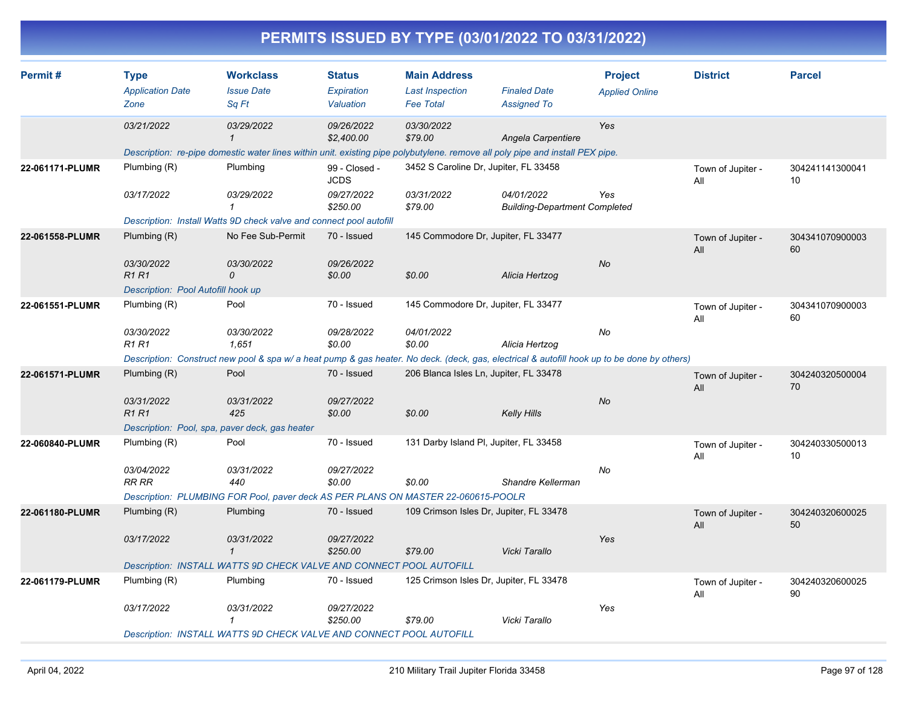|                 |                                                                                 |                                                                                                                                                                           |                                                        |                                                                   | PERMITS ISSUED BY TYPE (03/01/2022 TO 03/31/2022)            |                                         |                          |                       |
|-----------------|---------------------------------------------------------------------------------|---------------------------------------------------------------------------------------------------------------------------------------------------------------------------|--------------------------------------------------------|-------------------------------------------------------------------|--------------------------------------------------------------|-----------------------------------------|--------------------------|-----------------------|
| Permit#         | <b>Type</b><br><b>Application Date</b><br>Zone                                  | <b>Workclass</b><br><b>Issue Date</b><br>Sq Ft                                                                                                                            | <b>Status</b><br>Expiration<br>Valuation               | <b>Main Address</b><br><b>Last Inspection</b><br><b>Fee Total</b> | <b>Finaled Date</b><br><b>Assigned To</b>                    | <b>Project</b><br><b>Applied Online</b> | <b>District</b>          | <b>Parcel</b>         |
|                 | 03/21/2022                                                                      | 03/29/2022<br>Description: re-pipe domestic water lines within unit. existing pipe polybutylene. remove all poly pipe and install PEX pipe.                               | 09/26/2022<br>\$2,400.00                               | 03/30/2022<br>\$79.00                                             | Angela Carpentiere                                           | Yes                                     |                          |                       |
| 22-061171-PLUMR | Plumbing (R)<br>03/17/2022                                                      | Plumbing<br>03/29/2022<br>Description: Install Watts 9D check valve and connect pool autofill                                                                             | 99 - Closed -<br><b>JCDS</b><br>09/27/2022<br>\$250.00 | 3452 S Caroline Dr, Jupiter, FL 33458<br>03/31/2022<br>\$79.00    | 04/01/2022<br><b>Building-Department Completed</b>           | Yes                                     | Town of Jupiter -<br>All | 304241141300041<br>10 |
| 22-061558-PLUMR | Plumbing (R)<br>03/30/2022<br><b>R1R1</b><br>Description: Pool Autofill hook up | No Fee Sub-Permit<br>03/30/2022<br>0                                                                                                                                      | 70 - Issued<br>09/26/2022<br>\$0.00                    | \$0.00                                                            | 145 Commodore Dr, Jupiter, FL 33477<br>Alicia Hertzog        | No                                      | Town of Jupiter -<br>All | 304341070900003<br>60 |
| 22-061551-PLUMR | Plumbing (R)<br>03/30/2022<br><b>R1 R1</b>                                      | Pool<br>03/30/2022<br>1,651<br>Description: Construct new pool & spa w/a heat pump & gas heater. No deck. (deck, gas, electrical & autofill hook up to be done by others) | 70 - Issued<br>09/28/2022<br>\$0.00                    | 04/01/2022<br>\$0.00                                              | 145 Commodore Dr, Jupiter, FL 33477<br>Alicia Hertzog        | No                                      | Town of Jupiter -<br>All | 304341070900003<br>60 |
| 22-061571-PLUMR | Plumbing (R)<br>03/31/2022<br><b>R1R1</b>                                       | Pool<br>03/31/2022<br>425<br>Description: Pool, spa, paver deck, gas heater                                                                                               | 70 - Issued<br>09/27/2022<br>\$0.00                    | \$0.00                                                            | 206 Blanca Isles Ln, Jupiter, FL 33478<br><b>Kelly Hills</b> | No                                      | Town of Jupiter -<br>All | 304240320500004<br>70 |
| 22-060840-PLUMR | Plumbing (R)<br>03/04/2022<br><b>RR RR</b>                                      | Pool<br>03/31/2022<br>440<br>Description: PLUMBING FOR Pool, paver deck AS PER PLANS ON MASTER 22-060615-POOLR                                                            | 70 - Issued<br>09/27/2022<br>\$0.00                    | \$0.00                                                            | 131 Darby Island PI, Jupiter, FL 33458<br>Shandre Kellerman  | No                                      | Town of Jupiter -<br>All | 304240330500013<br>10 |
| 22-061180-PLUMR | Plumbing (R)<br>03/17/2022                                                      | Plumbing<br>03/31/2022<br>$\mathbf{1}$<br>Description: INSTALL WATTS 9D CHECK VALVE AND CONNECT POOL AUTOFILL                                                             | 70 - Issued<br>09/27/2022<br>\$250.00                  | \$79.00                                                           | 109 Crimson Isles Dr, Jupiter, FL 33478<br>Vicki Tarallo     | Yes                                     | Town of Jupiter -<br>All | 304240320600025<br>50 |
| 22-061179-PLUMR | Plumbing (R)<br>03/17/2022                                                      | Plumbing<br><i>03/31/2022</i><br>1<br>Description: INSTALL WATTS 9D CHECK VALVE AND CONNECT POOL AUTOFILL                                                                 | 70 - Issued<br>09/27/2022<br>\$250.00                  | \$79.00                                                           | 125 Crimson Isles Dr, Jupiter, FL 33478<br>Vicki Tarallo     | Yes                                     | Town of Jupiter -<br>All | 304240320600025<br>90 |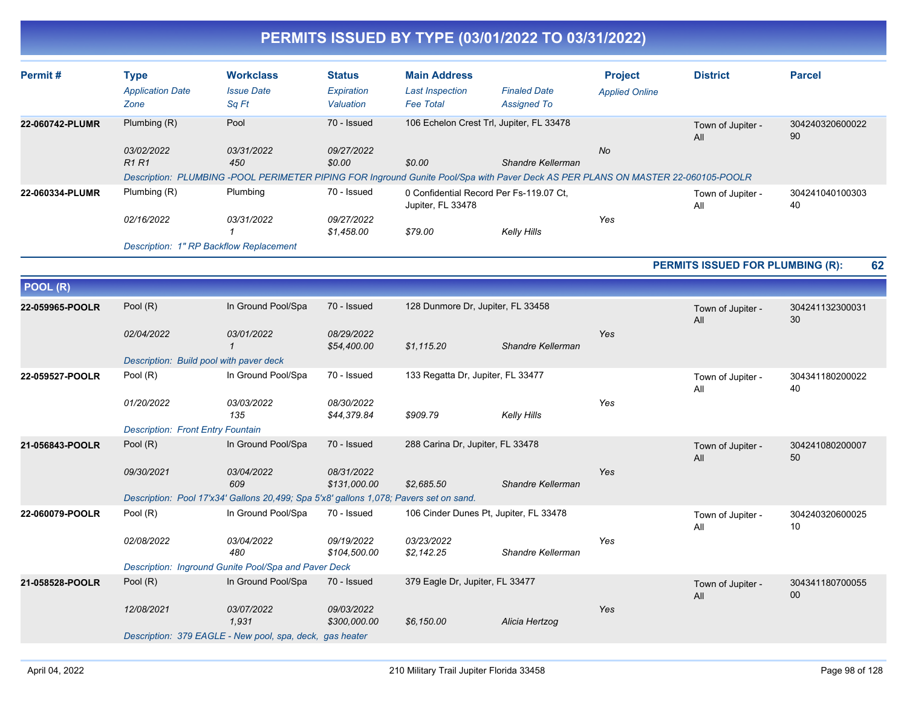| Permit#         | <b>Type</b><br><b>Application Date</b>   | <b>Workclass</b><br><b>Issue Date</b>                                                                                            | <b>Status</b><br>Expiration | <b>Main Address</b><br><b>Last Inspection</b>                | <b>Finaled Date</b> | <b>Project</b><br><b>Applied Online</b> | <b>District</b>                  | <b>Parcel</b>         |
|-----------------|------------------------------------------|----------------------------------------------------------------------------------------------------------------------------------|-----------------------------|--------------------------------------------------------------|---------------------|-----------------------------------------|----------------------------------|-----------------------|
|                 | Zone                                     | Sq Ft                                                                                                                            | Valuation                   | <b>Fee Total</b>                                             | <b>Assigned To</b>  |                                         |                                  |                       |
| 22-060742-PLUMR | Plumbing (R)                             | Pool                                                                                                                             | 70 - Issued                 | 106 Echelon Crest Trl, Jupiter, FL 33478                     |                     |                                         | Town of Jupiter -<br>All         | 304240320600022<br>90 |
|                 | 03/02/2022<br><b>R1R1</b>                | 03/31/2022<br>450                                                                                                                | 09/27/2022<br>\$0.00        | \$0.00                                                       | Shandre Kellerman   | No                                      |                                  |                       |
|                 |                                          | Description: PLUMBING -POOL PERIMETER PIPING FOR Inground Gunite Pool/Spa with Paver Deck AS PER PLANS ON MASTER 22-060105-POOLR |                             |                                                              |                     |                                         |                                  |                       |
| 22-060334-PLUMR | Plumbing (R)                             | Plumbing                                                                                                                         | 70 - Issued                 | 0 Confidential Record Per Fs-119.07 Ct,<br>Jupiter, FL 33478 |                     |                                         | Town of Jupiter -<br>All         | 304241040100303<br>40 |
|                 | 02/16/2022                               | 03/31/2022                                                                                                                       | 09/27/2022<br>\$1,458.00    | \$79.00                                                      | <b>Kelly Hills</b>  | Yes                                     |                                  |                       |
|                 |                                          | Description: 1" RP Backflow Replacement                                                                                          |                             |                                                              |                     |                                         |                                  |                       |
|                 |                                          |                                                                                                                                  |                             |                                                              |                     |                                         | PERMITS ISSUED FOR PLUMBING (R): | 62                    |
| POOL (R)        |                                          |                                                                                                                                  |                             |                                                              |                     |                                         |                                  |                       |
|                 |                                          |                                                                                                                                  |                             |                                                              |                     |                                         |                                  |                       |
| 22-059965-POOLR | Pool (R)                                 | In Ground Pool/Spa                                                                                                               | 70 - Issued                 | 128 Dunmore Dr, Jupiter, FL 33458                            |                     |                                         | Town of Jupiter -<br>All         | 304241132300031<br>30 |
|                 | 02/04/2022                               | 03/01/2022<br>$\mathbf{1}$                                                                                                       | 08/29/2022<br>\$54,400.00   | \$1,115.20                                                   | Shandre Kellerman   | Yes                                     |                                  |                       |
|                 | Description: Build pool with paver deck  |                                                                                                                                  |                             |                                                              |                     |                                         |                                  |                       |
| 22-059527-POOLR | Pool (R)                                 | In Ground Pool/Spa                                                                                                               | 70 - Issued                 | 133 Regatta Dr, Jupiter, FL 33477                            |                     |                                         | Town of Jupiter -<br>All         | 304341180200022<br>40 |
|                 | 01/20/2022                               | 03/03/2022<br>135                                                                                                                | 08/30/2022<br>\$44,379.84   | \$909.79                                                     | <b>Kelly Hills</b>  | Yes                                     |                                  |                       |
|                 | <b>Description: Front Entry Fountain</b> |                                                                                                                                  |                             |                                                              |                     |                                         |                                  |                       |
| 21-056843-POOLR | Pool (R)                                 | In Ground Pool/Spa                                                                                                               | 70 - Issued                 | 288 Carina Dr, Jupiter, FL 33478                             |                     |                                         | Town of Jupiter -<br>All         | 304241080200007<br>50 |
|                 | 09/30/2021                               | 03/04/2022<br>609                                                                                                                | 08/31/2022<br>\$131,000.00  | \$2,685.50                                                   | Shandre Kellerman   | Yes                                     |                                  |                       |
|                 |                                          | Description: Pool 17'x34' Gallons 20,499; Spa 5'x8' gallons 1,078; Pavers set on sand.                                           |                             |                                                              |                     |                                         |                                  |                       |
| 22-060079-POOLR | Pool (R)                                 | In Ground Pool/Spa                                                                                                               | 70 - Issued                 | 106 Cinder Dunes Pt, Jupiter, FL 33478                       |                     |                                         | Town of Jupiter -<br>All         | 304240320600025<br>10 |
|                 | 02/08/2022                               | 03/04/2022<br>480                                                                                                                | 09/19/2022<br>\$104,500.00  | 03/23/2022<br>\$2,142.25                                     | Shandre Kellerman   | Yes                                     |                                  |                       |
|                 |                                          | Description: Inground Gunite Pool/Spa and Paver Deck                                                                             |                             |                                                              |                     |                                         |                                  |                       |
| 21-058528-POOLR | Pool (R)                                 | In Ground Pool/Spa                                                                                                               | 70 - Issued                 | 379 Eagle Dr, Jupiter, FL 33477                              |                     |                                         | Town of Jupiter -<br>All         | 304341180700055<br>00 |
|                 | 12/08/2021                               | 03/07/2022<br>1.931                                                                                                              | 09/03/2022<br>\$300,000.00  | \$6,150.00                                                   | Alicia Hertzog      | Yes                                     |                                  |                       |
|                 |                                          | Description: 379 EAGLE - New pool, spa, deck, gas heater                                                                         |                             |                                                              |                     |                                         |                                  |                       |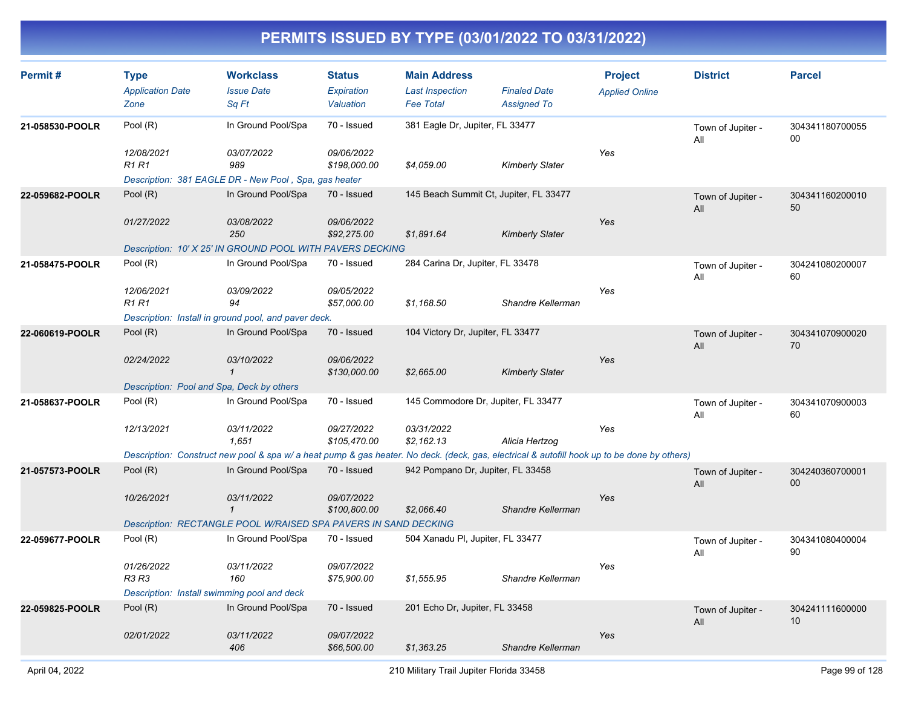| Permit#         | <b>Type</b><br><b>Application Date</b><br>Zone | <b>Workclass</b><br><b>Issue Date</b><br>Sq Ft                                                                                              | <b>Status</b><br>Expiration<br>Valuation | <b>Main Address</b><br><b>Last Inspection</b><br><b>Fee Total</b> | <b>Finaled Date</b><br><b>Assigned To</b> | <b>Project</b><br><b>Applied Online</b> | <b>District</b>          | <b>Parcel</b>         |
|-----------------|------------------------------------------------|---------------------------------------------------------------------------------------------------------------------------------------------|------------------------------------------|-------------------------------------------------------------------|-------------------------------------------|-----------------------------------------|--------------------------|-----------------------|
| 21-058530-POOLR | Pool (R)<br>12/08/2021                         | In Ground Pool/Spa<br>03/07/2022                                                                                                            | 70 - Issued<br>09/06/2022                | 381 Eagle Dr, Jupiter, FL 33477                                   |                                           | Yes                                     | Town of Jupiter -<br>All | 304341180700055<br>00 |
|                 | <b>R1 R1</b>                                   | 989<br>Description: 381 EAGLE DR - New Pool, Spa, gas heater                                                                                | \$198,000.00                             | \$4,059.00                                                        | <b>Kimberly Slater</b>                    |                                         |                          |                       |
| 22-059682-POOLR | Pool (R)                                       | In Ground Pool/Spa                                                                                                                          | 70 - Issued                              | 145 Beach Summit Ct, Jupiter, FL 33477                            |                                           |                                         | Town of Jupiter -<br>All | 304341160200010<br>50 |
|                 | 01/27/2022                                     | 03/08/2022<br>250                                                                                                                           | 09/06/2022<br>\$92,275.00                | \$1,891.64                                                        | <b>Kimberly Slater</b>                    | Yes                                     |                          |                       |
|                 |                                                | Description: 10' X 25' IN GROUND POOL WITH PAVERS DECKING                                                                                   |                                          |                                                                   |                                           |                                         |                          |                       |
| 21-058475-POOLR | Pool (R)                                       | In Ground Pool/Spa                                                                                                                          | 70 - Issued                              | 284 Carina Dr, Jupiter, FL 33478                                  |                                           |                                         | Town of Jupiter -<br>All | 304241080200007<br>60 |
|                 | 12/06/2021<br><b>R1 R1</b>                     | 03/09/2022<br>94                                                                                                                            | 09/05/2022<br>\$57,000.00                | \$1,168.50                                                        | Shandre Kellerman                         | Yes                                     |                          |                       |
|                 |                                                | Description: Install in ground pool, and paver deck.                                                                                        |                                          |                                                                   |                                           |                                         |                          |                       |
| 22-060619-POOLR | Pool (R)                                       | In Ground Pool/Spa                                                                                                                          | 70 - Issued                              | 104 Victory Dr, Jupiter, FL 33477                                 |                                           |                                         | Town of Jupiter -<br>All | 304341070900020<br>70 |
|                 | 02/24/2022                                     | 03/10/2022<br>$\mathbf{1}$                                                                                                                  | 09/06/2022<br>\$130,000.00               | \$2,665.00                                                        | <b>Kimberly Slater</b>                    | Yes                                     |                          |                       |
|                 |                                                | Description: Pool and Spa, Deck by others                                                                                                   |                                          |                                                                   |                                           |                                         |                          |                       |
| 21-058637-POOLR | Pool (R)                                       | In Ground Pool/Spa                                                                                                                          | 70 - Issued                              | 145 Commodore Dr, Jupiter, FL 33477                               |                                           |                                         | Town of Jupiter -<br>All | 304341070900003<br>60 |
|                 | 12/13/2021                                     | 03/11/2022<br>1,651                                                                                                                         | 09/27/2022<br>\$105,470.00               | 03/31/2022<br>\$2,162.13                                          | Alicia Hertzog                            | Yes                                     |                          |                       |
|                 |                                                | Description: Construct new pool & spa w/ a heat pump & gas heater. No deck. (deck, gas, electrical & autofill hook up to be done by others) |                                          |                                                                   |                                           |                                         |                          |                       |
| 21-057573-POOLR | Pool (R)                                       | In Ground Pool/Spa                                                                                                                          | 70 - Issued                              | 942 Pompano Dr, Jupiter, FL 33458                                 |                                           |                                         | Town of Jupiter -<br>All | 304240360700001<br>00 |
|                 | 10/26/2021                                     | 03/11/2022<br>$\mathbf{1}$                                                                                                                  | 09/07/2022<br>\$100,800.00               | \$2,066.40                                                        | Shandre Kellerman                         | Yes                                     |                          |                       |
|                 |                                                | Description: RECTANGLE POOL W/RAISED SPA PAVERS IN SAND DECKING                                                                             |                                          |                                                                   |                                           |                                         |                          |                       |
| 22-059677-POOLR | Pool (R)                                       | In Ground Pool/Spa                                                                                                                          | 70 - Issued                              | 504 Xanadu PI, Jupiter, FL 33477                                  |                                           |                                         | Town of Jupiter -<br>All | 304341080400004<br>90 |
|                 | 01/26/2022<br><b>R3 R3</b>                     | 03/11/2022<br>160                                                                                                                           | 09/07/2022<br>\$75,900.00                | \$1,555.95                                                        | Shandre Kellerman                         | Yes                                     |                          |                       |
|                 |                                                | Description: Install swimming pool and deck                                                                                                 |                                          |                                                                   |                                           |                                         |                          |                       |
| 22-059825-POOLR | Pool (R)                                       | In Ground Pool/Spa                                                                                                                          | 70 - Issued                              | 201 Echo Dr, Jupiter, FL 33458                                    |                                           |                                         | Town of Jupiter -<br>All | 304241111600000<br>10 |
|                 | 02/01/2022                                     | 03/11/2022<br>406                                                                                                                           | 09/07/2022<br>\$66,500.00                | \$1,363.25                                                        | Shandre Kellerman                         | Yes                                     |                          |                       |
|                 |                                                |                                                                                                                                             |                                          |                                                                   |                                           |                                         |                          |                       |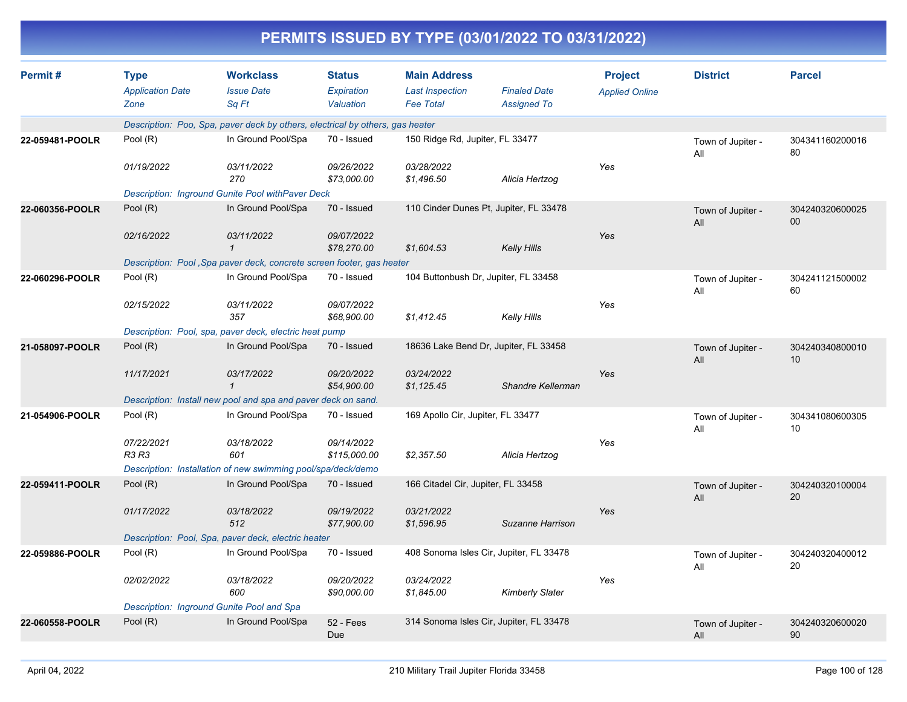|                 | PERMITS ISSUED BY TYPE (03/01/2022 TO 03/31/2022) |                                                                               |                                          |                                                                   |                                           |                                         |                          |                       |  |  |  |
|-----------------|---------------------------------------------------|-------------------------------------------------------------------------------|------------------------------------------|-------------------------------------------------------------------|-------------------------------------------|-----------------------------------------|--------------------------|-----------------------|--|--|--|
| Permit#         | <b>Type</b><br><b>Application Date</b><br>Zone    | <b>Workclass</b><br><b>Issue Date</b><br>Sq Ft                                | <b>Status</b><br>Expiration<br>Valuation | <b>Main Address</b><br><b>Last Inspection</b><br><b>Fee Total</b> | <b>Finaled Date</b><br><b>Assigned To</b> | <b>Project</b><br><b>Applied Online</b> | <b>District</b>          | <b>Parcel</b>         |  |  |  |
|                 |                                                   | Description: Poo, Spa, paver deck by others, electrical by others, gas heater |                                          |                                                                   |                                           |                                         |                          |                       |  |  |  |
| 22-059481-POOLR | Pool (R)                                          | In Ground Pool/Spa                                                            | 70 - Issued                              | 150 Ridge Rd, Jupiter, FL 33477                                   |                                           |                                         | Town of Jupiter -<br>All | 304341160200016<br>80 |  |  |  |
|                 | 01/19/2022                                        | 03/11/2022<br>270                                                             | 09/26/2022<br>\$73,000.00                | 03/28/2022<br>\$1,496.50                                          | Alicia Hertzog                            | Yes                                     |                          |                       |  |  |  |
|                 |                                                   | Description: Inground Gunite Pool withPaver Deck                              |                                          |                                                                   |                                           |                                         |                          |                       |  |  |  |
| 22-060356-POOLR | Pool $(R)$                                        | In Ground Pool/Spa                                                            | 70 - Issued                              |                                                                   | 110 Cinder Dunes Pt, Jupiter, FL 33478    |                                         | Town of Jupiter -<br>All | 304240320600025<br>00 |  |  |  |
|                 | 02/16/2022                                        | 03/11/2022                                                                    | 09/07/2022<br>\$78,270.00                | \$1,604.53                                                        | <b>Kelly Hills</b>                        | Yes                                     |                          |                       |  |  |  |
|                 |                                                   | Description: Pool, Spa paver deck, concrete screen footer, gas heater         | 70 - Issued                              |                                                                   |                                           |                                         |                          |                       |  |  |  |
| 22-060296-POOLR | Pool (R)                                          | In Ground Pool/Spa                                                            |                                          | 104 Buttonbush Dr, Jupiter, FL 33458                              |                                           |                                         | Town of Jupiter -<br>All | 304241121500002<br>60 |  |  |  |
|                 | 02/15/2022                                        | 03/11/2022<br>357                                                             | 09/07/2022<br>\$68,900.00                | \$1,412.45                                                        | <b>Kelly Hills</b>                        | Yes                                     |                          |                       |  |  |  |
|                 |                                                   | Description: Pool, spa, paver deck, electric heat pump                        |                                          |                                                                   |                                           |                                         |                          |                       |  |  |  |
| 21-058097-POOLR | Pool (R)                                          | In Ground Pool/Spa                                                            | 70 - Issued                              |                                                                   | 18636 Lake Bend Dr, Jupiter, FL 33458     |                                         | Town of Jupiter -<br>All | 304240340800010<br>10 |  |  |  |
|                 | 11/17/2021                                        | 03/17/2022                                                                    | 09/20/2022<br>\$54,900.00                | 03/24/2022<br>\$1,125.45                                          | Shandre Kellerman                         | Yes                                     |                          |                       |  |  |  |
|                 |                                                   | Description: Install new pool and spa and paver deck on sand.                 |                                          |                                                                   |                                           |                                         |                          |                       |  |  |  |
| 21-054906-POOLR | Pool (R)                                          | In Ground Pool/Spa                                                            | 70 - Issued                              | 169 Apollo Cir, Jupiter, FL 33477                                 |                                           |                                         | Town of Jupiter -<br>All | 304341080600305<br>10 |  |  |  |
|                 | 07/22/2021<br>R3 R3                               | 03/18/2022<br>601                                                             | 09/14/2022<br>\$115,000.00               | \$2,357.50                                                        | Alicia Hertzog                            | Yes                                     |                          |                       |  |  |  |
|                 |                                                   | Description: Installation of new swimming pool/spa/deck/demo                  |                                          |                                                                   |                                           |                                         |                          |                       |  |  |  |
| 22-059411-POOLR | Pool (R)                                          | In Ground Pool/Spa                                                            | 70 - Issued                              | 166 Citadel Cir, Jupiter, FL 33458                                |                                           |                                         | Town of Jupiter -<br>All | 304240320100004<br>20 |  |  |  |
|                 | 01/17/2022                                        | 03/18/2022<br>512                                                             | 09/19/2022<br>\$77,900.00                | 03/21/2022<br>\$1,596.95                                          | Suzanne Harrison                          | Yes                                     |                          |                       |  |  |  |
|                 |                                                   | Description: Pool, Spa, paver deck, electric heater                           |                                          |                                                                   |                                           |                                         |                          |                       |  |  |  |
| 22-059886-POOLR | Pool (R)                                          | In Ground Pool/Spa                                                            | 70 - Issued                              |                                                                   | 408 Sonoma Isles Cir, Jupiter, FL 33478   |                                         | Town of Jupiter -<br>All | 304240320400012<br>20 |  |  |  |
|                 | 02/02/2022                                        | 03/18/2022<br>600                                                             | 09/20/2022<br>\$90,000.00                | 03/24/2022<br>\$1,845.00                                          | <b>Kimberly Slater</b>                    | Yes                                     |                          |                       |  |  |  |
|                 | Description: Inground Gunite Pool and Spa         |                                                                               |                                          |                                                                   |                                           |                                         |                          |                       |  |  |  |
| 22-060558-POOLR | Pool (R)                                          | In Ground Pool/Spa                                                            | <b>52 - Fees</b><br>Due                  |                                                                   | 314 Sonoma Isles Cir, Jupiter, FL 33478   |                                         | Town of Jupiter -<br>All | 304240320600020<br>90 |  |  |  |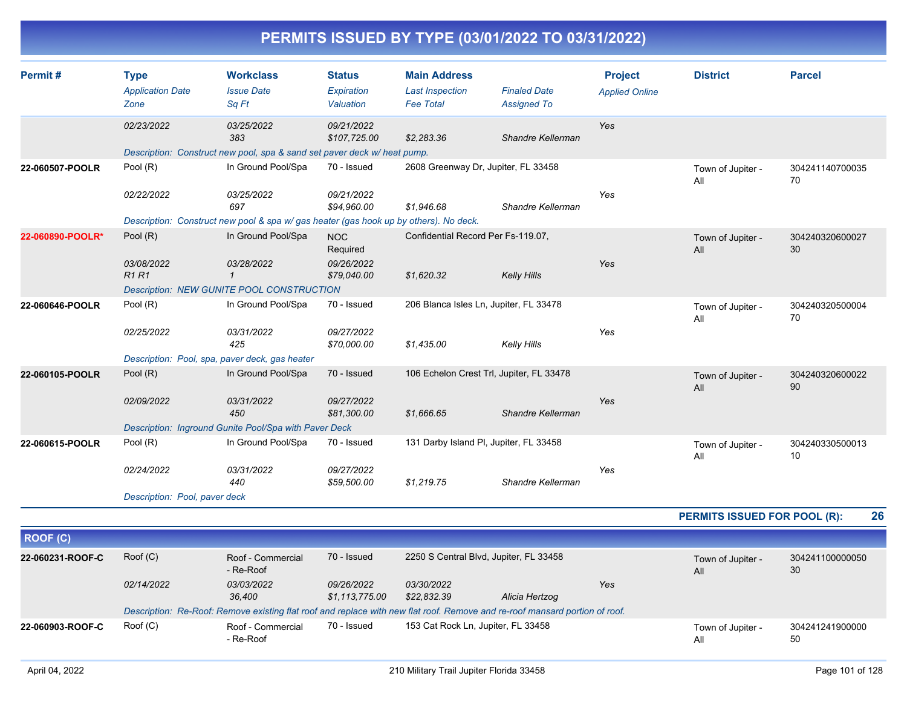|                  |                               |                                                                                       |                            |                                    | $\blacksquare$                           |                       |                          |                       |
|------------------|-------------------------------|---------------------------------------------------------------------------------------|----------------------------|------------------------------------|------------------------------------------|-----------------------|--------------------------|-----------------------|
| Permit#          | <b>Type</b>                   | <b>Workclass</b>                                                                      | <b>Status</b>              | <b>Main Address</b>                |                                          | <b>Project</b>        | <b>District</b>          | <b>Parcel</b>         |
|                  | <b>Application Date</b>       | <b>Issue Date</b>                                                                     | Expiration                 | <b>Last Inspection</b>             | <b>Finaled Date</b>                      | <b>Applied Online</b> |                          |                       |
|                  | Zone                          | Sq Ft                                                                                 | Valuation                  | <b>Fee Total</b>                   | <b>Assigned To</b>                       |                       |                          |                       |
|                  | 02/23/2022                    | 03/25/2022<br>383                                                                     | 09/21/2022<br>\$107,725.00 | \$2,283.36                         | Shandre Kellerman                        | Yes                   |                          |                       |
|                  |                               | Description: Construct new pool, spa & sand set paver deck w/heat pump.               |                            |                                    |                                          |                       |                          |                       |
| 22-060507-POOLR  | Pool (R)                      | In Ground Pool/Spa                                                                    | 70 - Issued                |                                    | 2608 Greenway Dr, Jupiter, FL 33458      |                       | Town of Jupiter -<br>All | 304241140700035<br>70 |
|                  | 02/22/2022                    | 03/25/2022<br>697                                                                     | 09/21/2022<br>\$94,960.00  | \$1,946.68                         | Shandre Kellerman                        | Yes                   |                          |                       |
|                  |                               | Description: Construct new pool & spa w/ gas heater (gas hook up by others). No deck. |                            |                                    |                                          |                       |                          |                       |
| 22-060890-POOLR* | Pool (R)                      | In Ground Pool/Spa                                                                    | <b>NOC</b><br>Required     | Confidential Record Per Fs-119.07, |                                          |                       | Town of Jupiter -<br>All | 304240320600027<br>30 |
|                  | 03/08/2022<br>R1R1            | 03/28/2022<br>$\mathbf{1}$                                                            | 09/26/2022<br>\$79,040.00  | \$1,620.32                         | <b>Kelly Hills</b>                       | Yes                   |                          |                       |
|                  |                               | <b>Description: NEW GUNITE POOL CONSTRUCTION</b>                                      |                            |                                    |                                          |                       |                          |                       |
| 22-060646-POOLR  | Pool (R)                      | In Ground Pool/Spa                                                                    | 70 - Issued                |                                    | 206 Blanca Isles Ln, Jupiter, FL 33478   |                       | Town of Jupiter -<br>All | 304240320500004<br>70 |
|                  | 02/25/2022                    | 03/31/2022<br>425                                                                     | 09/27/2022<br>\$70,000.00  | \$1,435.00                         | <b>Kelly Hills</b>                       | Yes                   |                          |                       |
|                  |                               | Description: Pool, spa, paver deck, gas heater                                        |                            |                                    |                                          |                       |                          |                       |
| 22-060105-POOLR  | Pool $(R)$                    | In Ground Pool/Spa                                                                    | 70 - Issued                |                                    | 106 Echelon Crest Trl, Jupiter, FL 33478 |                       | Town of Jupiter -<br>All | 304240320600022<br>90 |
|                  | 02/09/2022                    | 03/31/2022<br>450                                                                     | 09/27/2022<br>\$81,300.00  | \$1,666.65                         | Shandre Kellerman                        | Yes                   |                          |                       |
|                  |                               | Description: Inground Gunite Pool/Spa with Paver Deck                                 |                            |                                    |                                          |                       |                          |                       |
| 22-060615-POOLR  | Pool (R)                      | In Ground Pool/Spa                                                                    | 70 - Issued                |                                    | 131 Darby Island PI, Jupiter, FL 33458   |                       | Town of Jupiter -<br>All | 304240330500013<br>10 |
|                  | 02/24/2022                    | 03/31/2022<br>440                                                                     | 09/27/2022<br>\$59,500.00  | \$1,219.75                         | Shandre Kellerman                        | Yes                   |                          |                       |
|                  | Description: Pool, paver deck |                                                                                       |                            |                                    |                                          |                       |                          |                       |

**PERMITS ISSUED FOR POOL (R): 26**

| ROOF (C)         |            |                                                                                                                             |                              |                                        |                |     |                          |                       |
|------------------|------------|-----------------------------------------------------------------------------------------------------------------------------|------------------------------|----------------------------------------|----------------|-----|--------------------------|-----------------------|
| 22-060231-ROOF-C | Root(C)    | Roof - Commercial<br>- Re-Roof                                                                                              | 70 - Issued                  | 2250 S Central Blvd, Jupiter, FL 33458 |                |     | Town of Jupiter -<br>All | 304241100000050<br>30 |
|                  | 02/14/2022 | 03/03/2022<br>36.400                                                                                                        | 09/26/2022<br>\$1.113.775.00 | <i>03/30/2022</i><br>\$22,832.39       | Alicia Hertzog | Yes |                          |                       |
|                  |            | Description: Re-Roof: Remove existing flat roof and replace with new flat roof. Remove and re-roof mansard portion of roof. |                              |                                        |                |     |                          |                       |
| 22-060903-ROOF-C | Root(C)    | Roof - Commercial<br>- Re-Roof                                                                                              | 70 - Issued                  | 153 Cat Rock Ln, Jupiter, FL 33458     |                |     | Town of Jupiter -<br>All | 304241241900000<br>50 |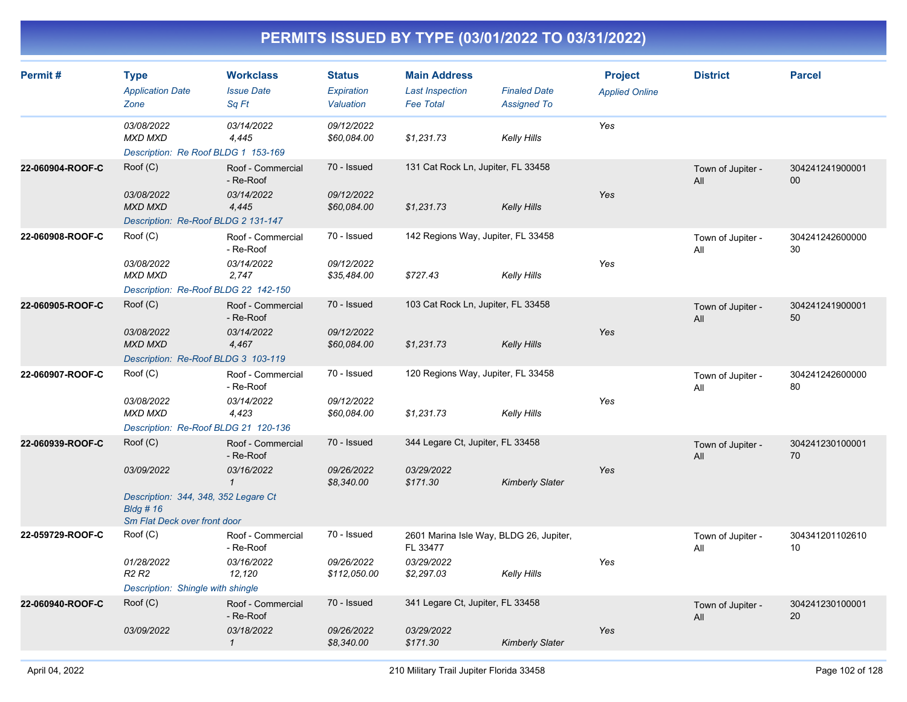| Permit#          | <b>Type</b><br><b>Application Date</b><br>Zone                                                                | <b>Workclass</b><br><b>Issue Date</b><br>Sq Ft               | <b>Status</b><br>Expiration<br>Valuation  | <b>Main Address</b><br><b>Last Inspection</b><br><b>Fee Total</b>               | <b>Finaled Date</b><br><b>Assigned To</b> | <b>Project</b><br><b>Applied Online</b> | <b>District</b>          | <b>Parcel</b>         |
|------------------|---------------------------------------------------------------------------------------------------------------|--------------------------------------------------------------|-------------------------------------------|---------------------------------------------------------------------------------|-------------------------------------------|-----------------------------------------|--------------------------|-----------------------|
|                  | 03/08/2022<br>MXD MXD<br>Description: Re Roof BLDG 1 153-169                                                  | 03/14/2022<br>4,445                                          | 09/12/2022<br>\$60,084.00                 | \$1,231.73                                                                      | <b>Kelly Hills</b>                        | Yes                                     |                          |                       |
| 22-060904-ROOF-C | Roof (C)<br>03/08/2022<br><b>MXD MXD</b><br>Description: Re-Roof BLDG 2 131-147                               | Roof - Commercial<br>- Re-Roof<br>03/14/2022<br>4,445        | 70 - Issued<br>09/12/2022<br>\$60,084.00  | 131 Cat Rock Ln, Jupiter, FL 33458<br>\$1,231.73                                | Kelly Hills                               | Yes                                     | Town of Jupiter -<br>All | 304241241900001<br>00 |
| 22-060908-ROOF-C | Root(C)<br>03/08/2022<br>MXD MXD<br>Description: Re-Roof BLDG 22 142-150                                      | Roof - Commercial<br>- Re-Roof<br>03/14/2022<br>2,747        | 70 - Issued<br>09/12/2022<br>\$35,484.00  | 142 Regions Way, Jupiter, FL 33458<br>\$727.43                                  | <b>Kelly Hills</b>                        | Yes                                     | Town of Jupiter -<br>All | 304241242600000<br>30 |
| 22-060905-ROOF-C | Root(C)<br>03/08/2022<br><b>MXD MXD</b><br>Description: Re-Roof BLDG 3 103-119                                | Roof - Commercial<br>- Re-Roof<br>03/14/2022<br>4,467        | 70 - Issued<br>09/12/2022<br>\$60,084.00  | 103 Cat Rock Ln, Jupiter, FL 33458<br>\$1,231.73                                | <b>Kelly Hills</b>                        | Yes                                     | Town of Jupiter -<br>All | 304241241900001<br>50 |
| 22-060907-ROOF-C | Root(C)<br>03/08/2022<br><b>MXD MXD</b><br>Description: Re-Roof BLDG 21 120-136                               | Roof - Commercial<br>- Re-Roof<br>03/14/2022<br>4,423        | 70 - Issued<br>09/12/2022<br>\$60,084.00  | 120 Regions Way, Jupiter, FL 33458<br>\$1,231.73                                | <b>Kelly Hills</b>                        | Yes                                     | Town of Jupiter -<br>All | 304241242600000<br>80 |
| 22-060939-ROOF-C | Root(C)<br>03/09/2022<br>Description: 344, 348, 352 Legare Ct<br>$B$ ldg # 16<br>Sm Flat Deck over front door | Roof - Commercial<br>- Re-Roof<br>03/16/2022<br>$\mathbf{1}$ | 70 - Issued<br>09/26/2022<br>\$8,340.00   | 344 Legare Ct, Jupiter, FL 33458<br>03/29/2022<br>\$171.30                      | <b>Kimberly Slater</b>                    | Yes                                     | Town of Jupiter -<br>All | 304241230100001<br>70 |
| 22-059729-ROOF-C | Root(C)<br>01/28/2022<br>R <sub>2</sub> R <sub>2</sub><br>Description: Shingle with shingle                   | Roof - Commercial<br>- Re-Roof<br>03/16/2022<br>12,120       | 70 - Issued<br>09/26/2022<br>\$112,050.00 | 2601 Marina Isle Way, BLDG 26, Jupiter,<br>FL 33477<br>03/29/2022<br>\$2,297.03 | <b>Kelly Hills</b>                        | Yes                                     | Town of Jupiter -<br>All | 304341201102610<br>10 |
| 22-060940-ROOF-C | Roof (C)<br>03/09/2022                                                                                        | Roof - Commercial<br>- Re-Roof<br>03/18/2022<br>$\mathbf{1}$ | 70 - Issued<br>09/26/2022<br>\$8,340.00   | 341 Legare Ct, Jupiter, FL 33458<br>03/29/2022<br>\$171.30                      | <b>Kimberly Slater</b>                    | Yes                                     | Town of Jupiter -<br>All | 304241230100001<br>20 |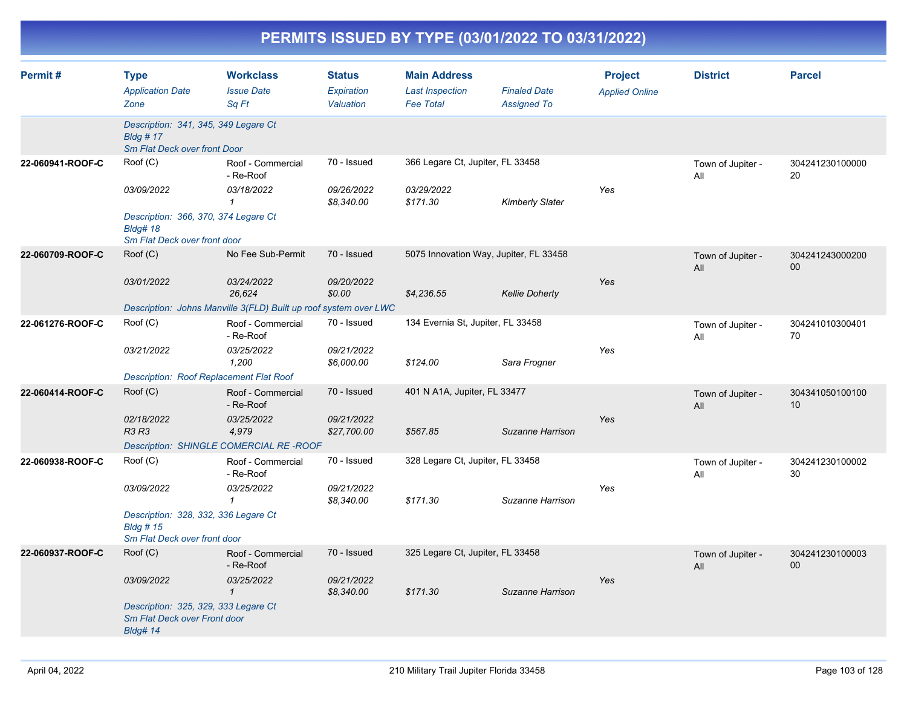| PERMITS ISSUED BY TYPE (03/01/2022 TO 03/31/2022) |                                                                                                                    |                                                                                                 |                                          |                                                                   |                                           |                                         |                          |                           |
|---------------------------------------------------|--------------------------------------------------------------------------------------------------------------------|-------------------------------------------------------------------------------------------------|------------------------------------------|-------------------------------------------------------------------|-------------------------------------------|-----------------------------------------|--------------------------|---------------------------|
| Permit#                                           | <b>Type</b><br><b>Application Date</b><br>Zone                                                                     | <b>Workclass</b><br><b>Issue Date</b><br>Sq Ft                                                  | <b>Status</b><br>Expiration<br>Valuation | <b>Main Address</b><br><b>Last Inspection</b><br><b>Fee Total</b> | <b>Finaled Date</b><br><b>Assigned To</b> | <b>Project</b><br><b>Applied Online</b> | <b>District</b>          | <b>Parcel</b>             |
|                                                   | Description: 341, 345, 349 Legare Ct<br><b>Bldg #17</b><br>Sm Flat Deck over front Door                            |                                                                                                 |                                          |                                                                   |                                           |                                         |                          |                           |
| 22-060941-ROOF-C                                  | Roof (C)<br>03/09/2022<br>Description: 366, 370, 374 Legare Ct<br><b>Bldg# 18</b>                                  | Roof - Commercial<br>- Re-Roof<br>03/18/2022<br>$\mathcal I$                                    | 70 - Issued<br>09/26/2022<br>\$8,340.00  | 366 Legare Ct, Jupiter, FL 33458<br>03/29/2022<br>\$171.30        | <b>Kimberly Slater</b>                    | Yes                                     | Town of Jupiter -<br>All | 304241230100000<br>20     |
|                                                   | Sm Flat Deck over front door                                                                                       |                                                                                                 |                                          |                                                                   |                                           |                                         |                          |                           |
| 22-060709-ROOF-C                                  | Roof (C)<br>03/01/2022                                                                                             | No Fee Sub-Permit<br>03/24/2022<br>26,624                                                       | 70 - Issued<br>09/20/2022<br>\$0.00      | 5075 Innovation Way, Jupiter, FL 33458<br>\$4,236.55              | <b>Kellie Doherty</b>                     | Yes                                     | Town of Jupiter -<br>All | 304241243000200<br>00     |
|                                                   |                                                                                                                    | Description: Johns Manville 3(FLD) Built up roof system over LWC                                |                                          |                                                                   |                                           |                                         |                          |                           |
| 22-061276-ROOF-C                                  | Roof (C)<br>03/21/2022<br>Description: Roof Replacement Flat Roof                                                  | Roof - Commercial<br>- Re-Roof<br>03/25/2022<br>1,200                                           | 70 - Issued<br>09/21/2022<br>\$6,000.00  | 134 Evernia St, Jupiter, FL 33458<br>\$124.00                     | Sara Frogner                              | Yes                                     | Town of Jupiter -<br>All | 304241010300401<br>70     |
| 22-060414-ROOF-C                                  | Roof (C)<br>02/18/2022<br><b>R3 R3</b>                                                                             | Roof - Commercial<br>- Re-Roof<br>03/25/2022<br>4,979<br>Description: SHINGLE COMERCIAL RE-ROOF | 70 - Issued<br>09/21/2022<br>\$27,700.00 | 401 N A1A, Jupiter, FL 33477<br>\$567.85                          | Suzanne Harrison                          | Yes                                     | Town of Jupiter -<br>All | 304341050100100<br>10     |
| 22-060938-ROOF-C                                  | Roof (C)<br>03/09/2022<br>Description: 328, 332, 336 Legare Ct<br><b>Bldg # 15</b><br>Sm Flat Deck over front door | Roof - Commercial<br>- Re-Roof<br>03/25/2022<br>1                                               | 70 - Issued<br>09/21/2022<br>\$8,340.00  | 328 Legare Ct, Jupiter, FL 33458<br>\$171.30                      | Suzanne Harrison                          | Yes                                     | Town of Jupiter -<br>All | 304241230100002<br>30     |
| 22-060937-ROOF-C                                  | Roof (C)<br>03/09/2022<br>Description: 325, 329, 333 Legare Ct<br>Sm Flat Deck over Front door<br><b>Bldg# 14</b>  | Roof - Commercial<br>- Re-Roof<br>03/25/2022<br>$\mathcal{I}$                                   | 70 - Issued<br>09/21/2022<br>\$8,340.00  | 325 Legare Ct, Jupiter, FL 33458<br>\$171.30                      | Suzanne Harrison                          | Yes                                     | Town of Jupiter -<br>All | 304241230100003<br>$00\,$ |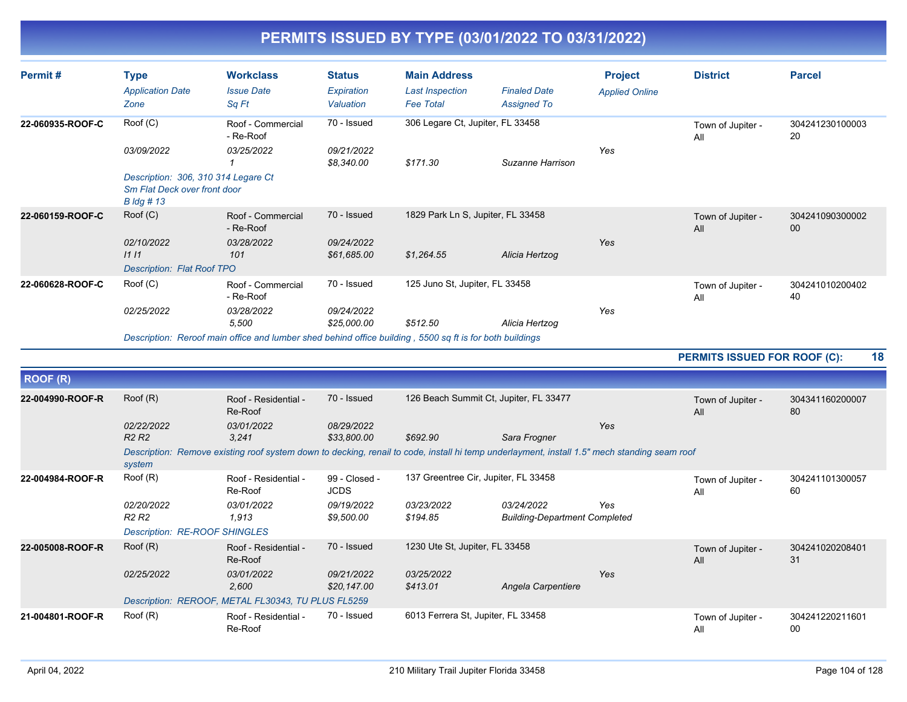| Permit#          | <b>Type</b><br><b>Application Date</b><br>Zone                                         | <b>Workclass</b><br><b>Issue Date</b><br>Sq Ft                                                           | <b>Status</b><br>Expiration<br>Valuation | <b>Main Address</b><br><b>Last Inspection</b><br><b>Fee Total</b> | <b>Finaled Date</b><br><b>Assigned To</b> | <b>Project</b><br><b>Applied Online</b> | <b>District</b>          | <b>Parcel</b>             |
|------------------|----------------------------------------------------------------------------------------|----------------------------------------------------------------------------------------------------------|------------------------------------------|-------------------------------------------------------------------|-------------------------------------------|-----------------------------------------|--------------------------|---------------------------|
| 22-060935-ROOF-C | Root(C)                                                                                | Roof - Commercial<br>- Re-Roof                                                                           | 70 - Issued                              | 306 Legare Ct, Jupiter, FL 33458                                  |                                           |                                         | Town of Jupiter -<br>All | 304241230100003<br>20     |
|                  | 03/09/2022                                                                             | 03/25/2022                                                                                               | 09/21/2022<br>\$8,340.00                 | \$171.30                                                          | Suzanne Harrison                          | Yes                                     |                          |                           |
|                  | Description: 306, 310 314 Legare Ct<br>Sm Flat Deck over front door<br>$B$ $\log$ # 13 |                                                                                                          |                                          |                                                                   |                                           |                                         |                          |                           |
| 22-060159-ROOF-C | Root(C)                                                                                | Roof - Commercial<br>- Re-Roof                                                                           | 70 - Issued                              | 1829 Park Ln S, Jupiter, FL 33458                                 |                                           |                                         | Town of Jupiter -<br>All | 304241090300002<br>$00\,$ |
|                  | 02/10/2022<br>1111                                                                     | 03/28/2022<br>101                                                                                        | 09/24/2022<br>\$61,685.00                | \$1,264.55                                                        | Alicia Hertzog                            | Yes                                     |                          |                           |
|                  | <b>Description: Flat Roof TPO</b>                                                      |                                                                                                          |                                          |                                                                   |                                           |                                         |                          |                           |
| 22-060628-ROOF-C | Root(C)                                                                                | Roof - Commercial<br>- Re-Roof                                                                           | 70 - Issued                              | 125 Juno St, Jupiter, FL 33458                                    |                                           |                                         | Town of Jupiter -<br>All | 304241010200402<br>40     |
|                  | 02/25/2022                                                                             | 03/28/2022<br>5,500                                                                                      | 09/24/2022<br>\$25,000.00                | \$512.50                                                          | Alicia Hertzog                            | Yes                                     |                          |                           |
|                  |                                                                                        | Description: Reroof main office and lumber shed behind office building, 5500 sq ft is for both buildings |                                          |                                                                   |                                           |                                         |                          |                           |

**PERMITS ISSUED FOR ROOF (C): 18**

| <b>ROOF (R)</b>  |                                      |                                                                                                                                              |                              |                                        |                                      |     |                          |                       |
|------------------|--------------------------------------|----------------------------------------------------------------------------------------------------------------------------------------------|------------------------------|----------------------------------------|--------------------------------------|-----|--------------------------|-----------------------|
| 22-004990-ROOF-R | Root(R)                              | Roof - Residential -<br>Re-Roof                                                                                                              | 70 - Issued                  | 126 Beach Summit Ct, Jupiter, FL 33477 |                                      |     | Town of Jupiter -<br>All | 304341160200007<br>80 |
|                  | 02/22/2022                           | 03/01/2022                                                                                                                                   | 08/29/2022                   |                                        |                                      | Yes |                          |                       |
|                  | R <sub>2</sub> R <sub>2</sub>        | 3,241                                                                                                                                        | \$33,800.00                  | \$692.90                               | Sara Frogner                         |     |                          |                       |
|                  | system                               | Description: Remove existing roof system down to decking, renail to code, install hi temp underlayment, install 1.5" mech standing seam roof |                              |                                        |                                      |     |                          |                       |
| 22-004984-ROOF-R | Root(R)                              | Roof - Residential -<br>Re-Roof                                                                                                              | 99 - Closed -<br><b>JCDS</b> | 137 Greentree Cir, Jupiter, FL 33458   |                                      |     | Town of Jupiter -<br>All | 304241101300057<br>60 |
|                  | 02/20/2022                           | <i>03/01/2022</i>                                                                                                                            | 09/19/2022                   | <i>03/23/2022</i>                      | 03/24/2022                           | Yes |                          |                       |
|                  | R <sub>2</sub> R <sub>2</sub>        | 1,913                                                                                                                                        | \$9,500.00                   | \$194.85                               | <b>Building-Department Completed</b> |     |                          |                       |
|                  | <b>Description: RE-ROOF SHINGLES</b> |                                                                                                                                              |                              |                                        |                                      |     |                          |                       |
| 22-005008-ROOF-R | Root(R)                              | Roof - Residential -<br>Re-Roof                                                                                                              | 70 - Issued                  | 1230 Ute St, Jupiter, FL 33458         |                                      |     | Town of Jupiter -<br>All | 304241020208401<br>31 |
|                  | 02/25/2022                           | 03/01/2022                                                                                                                                   | 09/21/2022                   | 03/25/2022                             |                                      | Yes |                          |                       |
|                  |                                      | 2,600                                                                                                                                        | \$20,147.00                  | \$413.01                               | Angela Carpentiere                   |     |                          |                       |
|                  |                                      | Description: REROOF, METAL FL30343, TU PLUS FL5259                                                                                           |                              |                                        |                                      |     |                          |                       |
| 21-004801-ROOF-R | Root(R)                              | Roof - Residential -<br>Re-Roof                                                                                                              | 70 - Issued                  | 6013 Ferrera St, Jupiter, FL 33458     |                                      |     | Town of Jupiter -<br>All | 304241220211601<br>00 |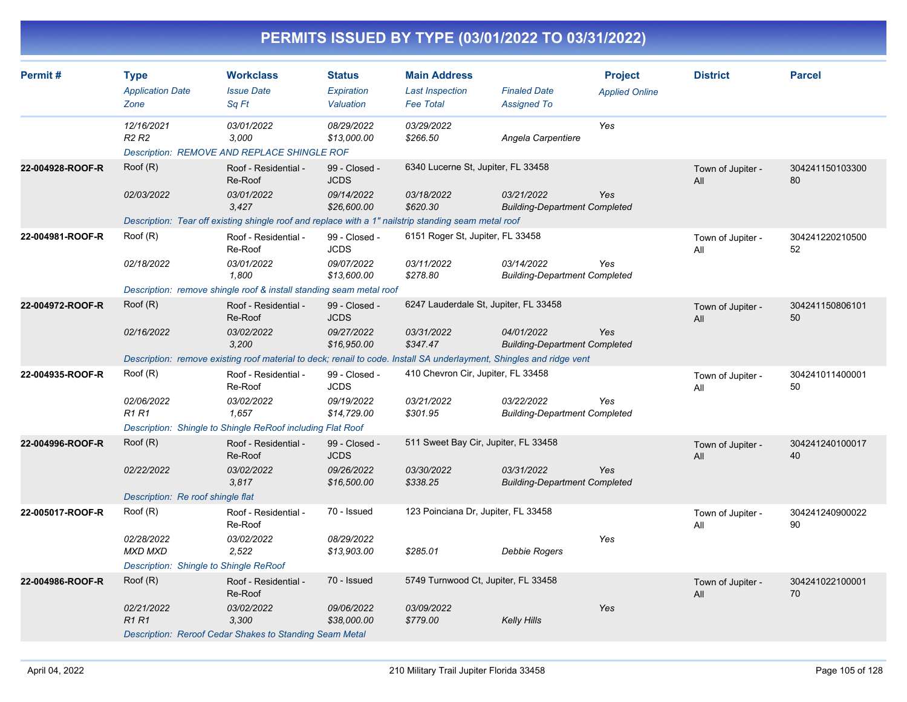| Permit#          | <b>Type</b>                                 | <b>Workclass</b>                                                                                                     | <b>Status</b>                  | <b>Main Address</b>                        |                                                    | <b>Project</b>        | <b>District</b>          | <b>Parcel</b>         |
|------------------|---------------------------------------------|----------------------------------------------------------------------------------------------------------------------|--------------------------------|--------------------------------------------|----------------------------------------------------|-----------------------|--------------------------|-----------------------|
|                  | <b>Application Date</b><br>Zone             | <b>Issue Date</b><br>Sq Ft                                                                                           | <b>Expiration</b><br>Valuation | <b>Last Inspection</b><br><b>Fee Total</b> | <b>Finaled Date</b><br><b>Assigned To</b>          | <b>Applied Online</b> |                          |                       |
|                  | 12/16/2021<br>R <sub>2</sub> R <sub>2</sub> | 03/01/2022<br>3.000<br>Description: REMOVE AND REPLACE SHINGLE ROF                                                   | 08/29/2022<br>\$13,000.00      | 03/29/2022<br>\$266.50                     | Angela Carpentiere                                 | Yes                   |                          |                       |
| 22-004928-ROOF-R | Root(R)                                     | Roof - Residential -<br>Re-Roof                                                                                      | 99 - Closed -<br><b>JCDS</b>   | 6340 Lucerne St, Jupiter, FL 33458         |                                                    |                       | Town of Jupiter -<br>All | 304241150103300<br>80 |
|                  | 02/03/2022                                  | 03/01/2022<br>3.427                                                                                                  | 09/14/2022<br>\$26,600.00      | 03/18/2022<br>\$620.30                     | 03/21/2022<br><b>Building-Department Completed</b> | Yes                   |                          |                       |
|                  |                                             | Description: Tear off existing shingle roof and replace with a 1" nailstrip standing seam metal roof                 |                                |                                            |                                                    |                       |                          |                       |
| 22-004981-ROOF-R | Root(R)                                     | Roof - Residential -<br>Re-Roof                                                                                      | 99 - Closed -<br><b>JCDS</b>   | 6151 Roger St, Jupiter, FL 33458           |                                                    |                       | Town of Jupiter -<br>All | 304241220210500<br>52 |
|                  | 02/18/2022                                  | 03/01/2022<br>1.800                                                                                                  | 09/07/2022<br>\$13,600.00      | 03/11/2022<br>\$278.80                     | 03/14/2022<br><b>Building-Department Completed</b> | Yes                   |                          |                       |
|                  |                                             | Description: remove shingle roof & install standing seam metal roof                                                  |                                |                                            |                                                    |                       |                          |                       |
| 22-004972-ROOF-R | Root(R)                                     | Roof - Residential -<br>Re-Roof                                                                                      | 99 - Closed -<br><b>JCDS</b>   | 6247 Lauderdale St, Jupiter, FL 33458      |                                                    |                       | Town of Jupiter -<br>All | 304241150806101<br>50 |
|                  | 02/16/2022                                  | 03/02/2022<br>3,200                                                                                                  | 09/27/2022<br>\$16,950.00      | 03/31/2022<br>\$347.47                     | 04/01/2022<br><b>Building-Department Completed</b> | Yes                   |                          |                       |
|                  |                                             | Description: remove existing roof material to deck; renail to code. Install SA underlayment, Shingles and ridge vent |                                |                                            |                                                    |                       |                          |                       |
| 22-004935-ROOF-R | Root(R)                                     | Roof - Residential -<br>Re-Roof                                                                                      | 99 - Closed -<br><b>JCDS</b>   | 410 Chevron Cir, Jupiter, FL 33458         |                                                    |                       | Town of Jupiter -<br>All | 304241011400001<br>50 |
|                  | 02/06/2022<br><b>R1R1</b>                   | 03/02/2022<br>1,657                                                                                                  | 09/19/2022<br>\$14,729.00      | 03/21/2022<br>\$301.95                     | 03/22/2022<br><b>Building-Department Completed</b> | Yes                   |                          |                       |
|                  |                                             | Description: Shingle to Shingle ReRoof including Flat Roof                                                           |                                |                                            |                                                    |                       |                          |                       |
| 22-004996-ROOF-R | Root(R)                                     | Roof - Residential -<br>Re-Roof                                                                                      | 99 - Closed -<br><b>JCDS</b>   | 511 Sweet Bay Cir, Jupiter, FL 33458       |                                                    |                       | Town of Jupiter -<br>All | 304241240100017<br>40 |
|                  | 02/22/2022                                  | 03/02/2022<br>3,817                                                                                                  | 09/26/2022<br>\$16,500.00      | 03/30/2022<br>\$338.25                     | 03/31/2022<br><b>Building-Department Completed</b> | Yes                   |                          |                       |
|                  | Description: Re roof shingle flat           |                                                                                                                      |                                |                                            |                                                    |                       |                          |                       |
| 22-005017-ROOF-R | Root(R)                                     | Roof - Residential -<br>Re-Roof                                                                                      | 70 - Issued                    | 123 Poinciana Dr, Jupiter, FL 33458        |                                                    |                       | Town of Jupiter -<br>All | 304241240900022<br>90 |
|                  | 02/28/2022<br><b>MXD MXD</b>                | 03/02/2022<br>2,522                                                                                                  | 08/29/2022<br>\$13,903.00      | \$285.01                                   | Debbie Rogers                                      | Yes                   |                          |                       |
|                  | Description: Shingle to Shingle ReRoof      |                                                                                                                      |                                |                                            |                                                    |                       |                          |                       |
| 22-004986-ROOF-R | Root(R)                                     | Roof - Residential -<br>Re-Roof                                                                                      | 70 - Issued                    | 5749 Turnwood Ct, Jupiter, FL 33458        |                                                    |                       | Town of Jupiter -<br>All | 304241022100001<br>70 |
|                  | 02/21/2022<br><b>R1R1</b>                   | 03/02/2022<br>3,300                                                                                                  | 09/06/2022<br>\$38,000.00      | 03/09/2022<br>\$779.00                     | Kelly Hills                                        | Yes                   |                          |                       |
|                  |                                             | Description: Reroof Cedar Shakes to Standing Seam Metal                                                              |                                |                                            |                                                    |                       |                          |                       |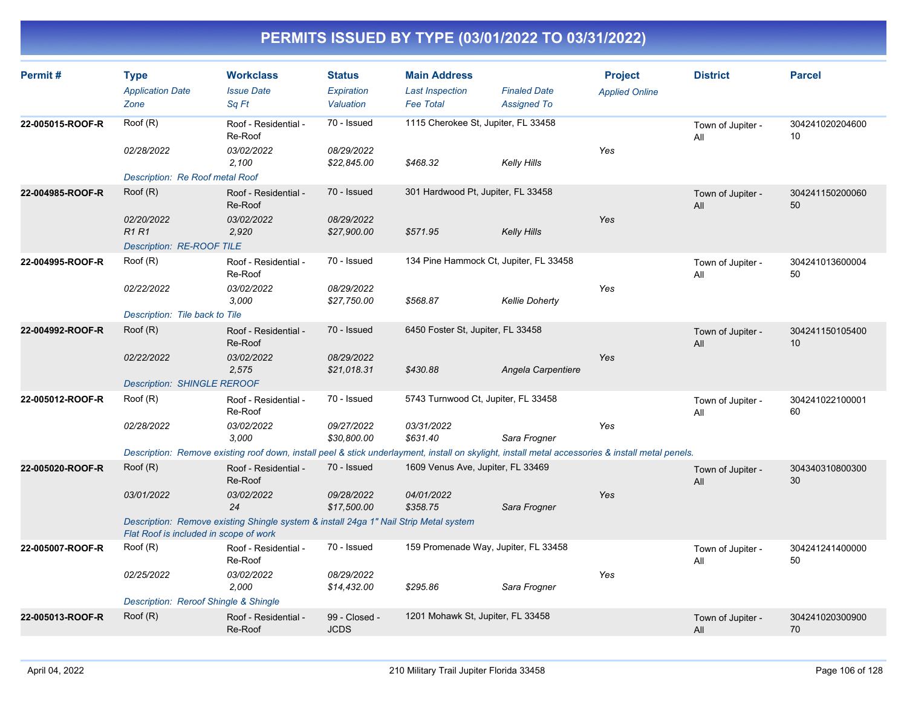| Permit#          | <b>Type</b><br><b>Application Date</b><br>Zone                          | <b>Workclass</b><br><b>Issue Date</b><br>Sa Ft                                                                                                             | <b>Status</b><br>Expiration<br>Valuation | <b>Main Address</b><br><b>Last Inspection</b><br><b>Fee Total</b> | <b>Finaled Date</b><br><b>Assigned To</b> | <b>Project</b><br><b>Applied Online</b> | <b>District</b>          | <b>Parcel</b>         |
|------------------|-------------------------------------------------------------------------|------------------------------------------------------------------------------------------------------------------------------------------------------------|------------------------------------------|-------------------------------------------------------------------|-------------------------------------------|-----------------------------------------|--------------------------|-----------------------|
| 22-005015-ROOF-R | Roof (R)<br>02/28/2022                                                  | Roof - Residential -<br>Re-Roof<br>03/02/2022<br>2.100                                                                                                     | 70 - Issued<br>08/29/2022<br>\$22,845.00 | 1115 Cherokee St, Jupiter, FL 33458<br>\$468.32                   | Kelly Hills                               | Yes                                     | Town of Jupiter -<br>All | 304241020204600<br>10 |
| 22-004985-ROOF-R | Description: Re Roof metal Roof<br>Root(R)<br>02/20/2022<br><b>R1R1</b> | Roof - Residential -<br>Re-Roof<br>03/02/2022<br>2,920                                                                                                     | 70 - Issued<br>08/29/2022<br>\$27,900.00 | 301 Hardwood Pt, Jupiter, FL 33458<br>\$571.95                    |                                           | Yes                                     | Town of Jupiter -<br>All | 304241150200060<br>50 |
| 22-004995-ROOF-R | Description: RE-ROOF TILE<br>Roof (R)                                   | Roof - Residential -                                                                                                                                       | 70 - Issued                              | 134 Pine Hammock Ct, Jupiter, FL 33458                            | <b>Kelly Hills</b>                        |                                         | Town of Jupiter -        | 304241013600004       |
|                  | 02/22/2022                                                              | Re-Roof<br>03/02/2022<br>3.000                                                                                                                             | 08/29/2022<br>\$27,750.00                | \$568.87                                                          | <b>Kellie Doherty</b>                     | Yes                                     | All                      | 50                    |
| 22-004992-ROOF-R | Description: Tile back to Tile<br>Roof (R)                              | Roof - Residential -<br>Re-Roof                                                                                                                            | 70 - Issued                              | 6450 Foster St, Jupiter, FL 33458                                 |                                           |                                         | Town of Jupiter -<br>All | 304241150105400<br>10 |
|                  | 02/22/2022<br><b>Description: SHINGLE REROOF</b>                        | 03/02/2022<br>2,575                                                                                                                                        | 08/29/2022<br>\$21,018.31                | \$430.88                                                          | Angela Carpentiere                        | Yes                                     |                          |                       |
| 22-005012-ROOF-R | Root(R)<br>02/28/2022                                                   | Roof - Residential -<br>Re-Roof<br>03/02/2022                                                                                                              | 70 - Issued<br>09/27/2022                | 5743 Turnwood Ct, Jupiter, FL 33458<br>03/31/2022                 |                                           | Yes                                     | Town of Jupiter -<br>All | 304241022100001<br>60 |
|                  |                                                                         | 3,000<br>Description: Remove existing roof down, install peel & stick underlayment, install on skylight, install metal accessories & install metal penels. | \$30,800.00                              | \$631.40                                                          | Sara Frogner                              |                                         |                          |                       |
| 22-005020-ROOF-R | Root(R)<br>03/01/2022                                                   | Roof - Residential -<br>Re-Roof<br>03/02/2022                                                                                                              | 70 - Issued<br>09/28/2022<br>\$17,500.00 | 1609 Venus Ave, Jupiter, FL 33469<br>04/01/2022<br>\$358.75       | Sara Frogner                              | Yes                                     | Town of Jupiter -<br>All | 304340310800300<br>30 |
|                  | Flat Roof is included in scope of work                                  | 24<br>Description: Remove existing Shingle system & install 24ga 1" Nail Strip Metal system                                                                |                                          |                                                                   |                                           |                                         |                          |                       |
| 22-005007-ROOF-R | Roof (R)                                                                | Roof - Residential -<br>Re-Roof                                                                                                                            | 70 - Issued                              | 159 Promenade Way, Jupiter, FL 33458                              |                                           |                                         | Town of Jupiter -<br>All | 304241241400000<br>50 |
|                  | 02/25/2022<br>Description: Reroof Shingle & Shingle                     | 03/02/2022<br>2,000                                                                                                                                        | 08/29/2022<br>\$14,432.00                | \$295.86                                                          | Sara Frogner                              | Yes                                     |                          |                       |
| 22-005013-ROOF-R | Root(R)                                                                 | Roof - Residential -<br>Re-Roof                                                                                                                            | 99 - Closed -<br><b>JCDS</b>             | 1201 Mohawk St, Jupiter, FL 33458                                 |                                           |                                         | Town of Jupiter -<br>All | 304241020300900<br>70 |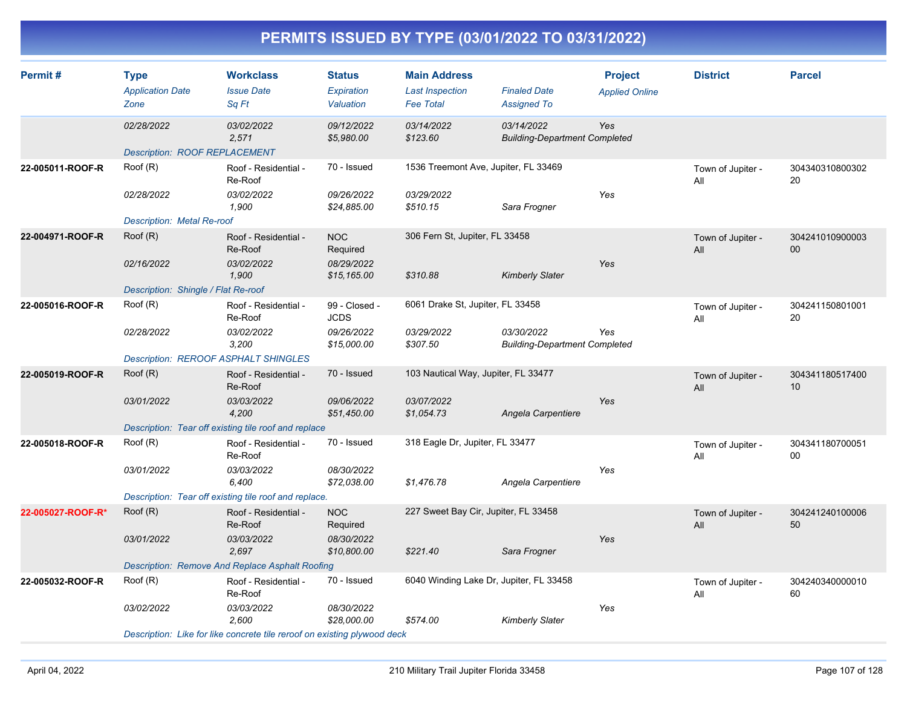| Permit#           | <b>Type</b><br><b>Application Date</b><br>Zone         | <b>Workclass</b><br><b>Issue Date</b><br>Sq Ft                           | <b>Status</b><br>Expiration<br>Valuation | <b>Main Address</b><br><b>Last Inspection</b><br><b>Fee Total</b> | <b>Finaled Date</b><br><b>Assigned To</b>          | <b>Project</b><br><b>Applied Online</b> | <b>District</b>          | <b>Parcel</b>             |
|-------------------|--------------------------------------------------------|--------------------------------------------------------------------------|------------------------------------------|-------------------------------------------------------------------|----------------------------------------------------|-----------------------------------------|--------------------------|---------------------------|
|                   | 02/28/2022<br><b>Description: ROOF REPLACEMENT</b>     | 03/02/2022<br>2,571                                                      | 09/12/2022<br>\$5,980.00                 | 03/14/2022<br>\$123.60                                            | 03/14/2022<br><b>Building-Department Completed</b> | Yes                                     |                          |                           |
| 22-005011-ROOF-R  | Root(R)                                                | Roof - Residential -<br>Re-Roof                                          | 70 - Issued                              | 1536 Treemont Ave, Jupiter, FL 33469                              |                                                    |                                         | Town of Jupiter -<br>All | 304340310800302<br>20     |
|                   | 02/28/2022<br><b>Description: Metal Re-roof</b>        | 03/02/2022<br>1.900                                                      | 09/26/2022<br>\$24,885.00                | 03/29/2022<br>\$510.15                                            | Sara Frogner                                       | Yes                                     |                          |                           |
| 22-004971-ROOF-R  | Root(R)                                                | Roof - Residential -<br>Re-Roof                                          | <b>NOC</b><br>Required                   | 306 Fern St, Jupiter, FL 33458                                    |                                                    |                                         | Town of Jupiter -<br>All | 304241010900003<br>00     |
|                   | 02/16/2022<br>Description: Shingle / Flat Re-roof      | 03/02/2022<br>1,900                                                      | 08/29/2022<br>\$15, 165.00               | \$310.88                                                          | <b>Kimberly Slater</b>                             | Yes                                     |                          |                           |
| 22-005016-ROOF-R  | Roof (R)                                               | Roof - Residential -<br>Re-Roof                                          | 99 - Closed -<br><b>JCDS</b>             | 6061 Drake St, Jupiter, FL 33458                                  |                                                    |                                         | Town of Jupiter -<br>All | 304241150801001<br>20     |
|                   | 02/28/2022                                             | 03/02/2022<br>3,200                                                      | 09/26/2022<br>\$15,000.00                | 03/29/2022<br>\$307.50                                            | 03/30/2022<br><b>Building-Department Completed</b> | Yes                                     |                          |                           |
| 22-005019-ROOF-R  | <b>Description: REROOF ASPHALT SHINGLES</b><br>Root(R) | Roof - Residential -                                                     | 70 - Issued                              | 103 Nautical Way, Jupiter, FL 33477                               |                                                    |                                         | Town of Jupiter -        | 304341180517400           |
|                   |                                                        | Re-Roof                                                                  |                                          |                                                                   |                                                    |                                         | All                      | 10                        |
|                   | 03/01/2022                                             | 03/03/2022<br>4,200                                                      | 09/06/2022<br>\$51,450.00                | 03/07/2022<br>\$1,054.73                                          | Angela Carpentiere                                 | Yes                                     |                          |                           |
|                   | Root(R)                                                | Description: Tear off existing tile roof and replace                     | 70 - Issued                              | 318 Eagle Dr, Jupiter, FL 33477                                   |                                                    |                                         |                          |                           |
| 22-005018-ROOF-R  |                                                        | Roof - Residential -<br>Re-Roof                                          |                                          |                                                                   |                                                    |                                         | Town of Jupiter -<br>All | 304341180700051<br>$00\,$ |
|                   | 03/01/2022                                             | 03/03/2022<br>6,400                                                      | 08/30/2022<br>\$72,038.00                | \$1,476.78                                                        | Angela Carpentiere                                 | Yes                                     |                          |                           |
|                   |                                                        | Description: Tear off existing tile roof and replace.                    |                                          |                                                                   |                                                    |                                         |                          |                           |
| 22-005027-ROOF-R* | Root(R)                                                | Roof - Residential -<br>Re-Roof                                          | <b>NOC</b><br>Required                   | 227 Sweet Bay Cir, Jupiter, FL 33458                              |                                                    |                                         | Town of Jupiter -<br>All | 304241240100006<br>50     |
|                   | 03/01/2022                                             | 03/03/2022<br>2,697                                                      | 08/30/2022<br>\$10,800.00                | \$221.40                                                          | Sara Frogner                                       | Yes                                     |                          |                           |
|                   |                                                        | <b>Description: Remove And Replace Asphalt Roofing</b>                   |                                          |                                                                   |                                                    |                                         |                          |                           |
| 22-005032-ROOF-R  | Root(R)                                                | Roof - Residential -<br>Re-Roof                                          | 70 - Issued                              | 6040 Winding Lake Dr, Jupiter, FL 33458                           |                                                    |                                         | Town of Jupiter -<br>All | 304240340000010<br>60     |
|                   | 03/02/2022                                             | 03/03/2022<br>2,600                                                      | 08/30/2022<br>\$28,000.00                | \$574.00                                                          | <b>Kimberly Slater</b>                             | Yes                                     |                          |                           |
|                   |                                                        | Description: Like for like concrete tile reroof on existing plywood deck |                                          |                                                                   |                                                    |                                         |                          |                           |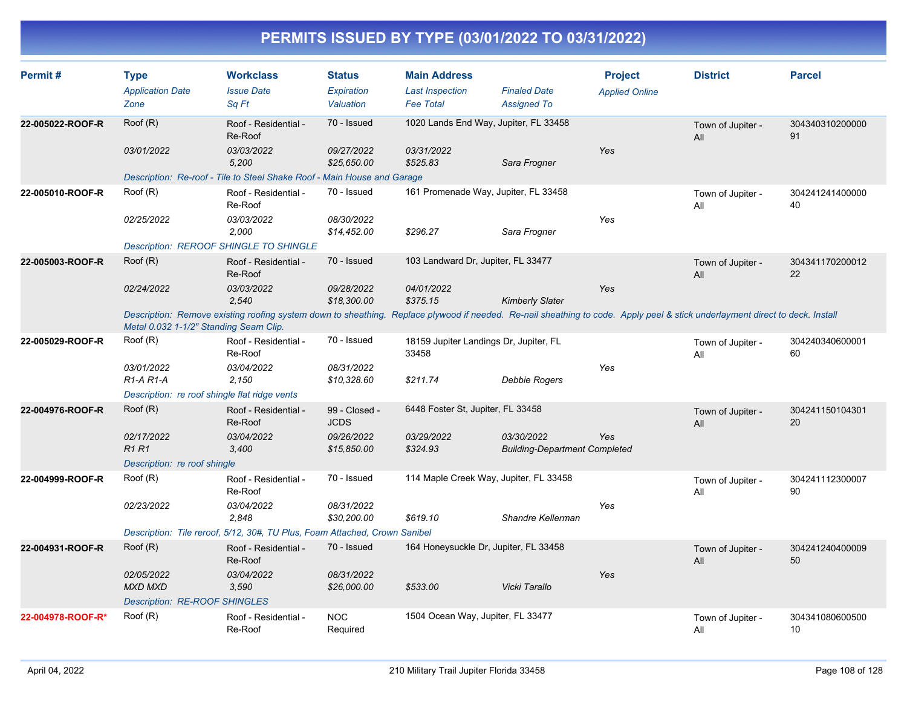| Permit#           | <b>Type</b><br><b>Application Date</b><br>Zone                                                                                                                                                                         | <b>Workclass</b><br><b>Issue Date</b><br>Sq Ft                             | <b>Status</b><br>Expiration<br>Valuation | <b>Main Address</b><br><b>Last Inspection</b><br><b>Fee Total</b> | <b>Finaled Date</b><br><b>Assigned To</b>          | <b>Project</b><br><b>Applied Online</b> | <b>District</b>          | <b>Parcel</b>         |
|-------------------|------------------------------------------------------------------------------------------------------------------------------------------------------------------------------------------------------------------------|----------------------------------------------------------------------------|------------------------------------------|-------------------------------------------------------------------|----------------------------------------------------|-----------------------------------------|--------------------------|-----------------------|
| 22-005022-ROOF-R  | Root(R)                                                                                                                                                                                                                | Roof - Residential -<br>Re-Roof                                            | 70 - Issued                              | 1020 Lands End Way, Jupiter, FL 33458                             |                                                    |                                         | Town of Jupiter -<br>All | 304340310200000<br>91 |
|                   | 03/01/2022                                                                                                                                                                                                             | 03/03/2022<br>5,200                                                        | 09/27/2022<br>\$25,650.00                | 03/31/2022<br>\$525.83                                            | Sara Frogner                                       | Yes                                     |                          |                       |
|                   |                                                                                                                                                                                                                        | Description: Re-roof - Tile to Steel Shake Roof - Main House and Garage    |                                          |                                                                   |                                                    |                                         |                          |                       |
| 22-005010-ROOF-R  | Root(R)                                                                                                                                                                                                                | Roof - Residential -<br>Re-Roof                                            | 70 - Issued                              | 161 Promenade Way, Jupiter, FL 33458                              |                                                    |                                         | Town of Jupiter -<br>All | 304241241400000<br>40 |
|                   | 02/25/2022                                                                                                                                                                                                             | 03/03/2022<br>2,000                                                        | 08/30/2022<br>\$14,452.00                | \$296.27                                                          | Sara Frogner                                       | Yes                                     |                          |                       |
|                   |                                                                                                                                                                                                                        | Description: REROOF SHINGLE TO SHINGLE                                     |                                          |                                                                   |                                                    |                                         |                          |                       |
| 22-005003-ROOF-R  | Root(R)                                                                                                                                                                                                                | Roof - Residential -<br>Re-Roof                                            | 70 - Issued                              | 103 Landward Dr, Jupiter, FL 33477                                |                                                    |                                         | Town of Jupiter -<br>All | 304341170200012<br>22 |
|                   | 02/24/2022                                                                                                                                                                                                             | 03/03/2022<br>2.540                                                        | 09/28/2022<br>\$18,300.00                | 04/01/2022<br>\$375.15                                            | <b>Kimberly Slater</b>                             | Yes                                     |                          |                       |
|                   | Description: Remove existing roofing system down to sheathing. Replace plywood if needed. Re-nail sheathing to code. Apply peel & stick underlayment direct to deck. Install<br>Metal 0.032 1-1/2" Standing Seam Clip. |                                                                            |                                          |                                                                   |                                                    |                                         |                          |                       |
| 22-005029-ROOF-R  | Roof (R)                                                                                                                                                                                                               | Roof - Residential -<br>Re-Roof                                            | 70 - Issued                              | 18159 Jupiter Landings Dr, Jupiter, FL<br>33458                   |                                                    |                                         | Town of Jupiter -<br>All | 304240340600001<br>60 |
|                   | 03/01/2022<br>$R1-A R1-A$                                                                                                                                                                                              | 03/04/2022<br>2.150                                                        | 08/31/2022<br>\$10,328.60                | \$211.74                                                          | Debbie Rogers                                      | Yes                                     |                          |                       |
|                   | Description: re roof shingle flat ridge vents                                                                                                                                                                          |                                                                            |                                          |                                                                   |                                                    |                                         |                          |                       |
| 22-004976-ROOF-R  | Root(R)                                                                                                                                                                                                                | Roof - Residential -<br>Re-Roof                                            | 99 - Closed -<br><b>JCDS</b>             | 6448 Foster St, Jupiter, FL 33458                                 |                                                    |                                         | Town of Jupiter -<br>All | 304241150104301<br>20 |
|                   | 02/17/2022<br><b>R1R1</b>                                                                                                                                                                                              | 03/04/2022<br>3,400                                                        | 09/26/2022<br>\$15,850.00                | 03/29/2022<br>\$324.93                                            | 03/30/2022<br><b>Building-Department Completed</b> | Yes                                     |                          |                       |
|                   | Description: re roof shingle                                                                                                                                                                                           |                                                                            |                                          |                                                                   |                                                    |                                         |                          |                       |
| 22-004999-ROOF-R  | Root(R)                                                                                                                                                                                                                | Roof - Residential -<br>Re-Roof                                            | 70 - Issued                              | 114 Maple Creek Way, Jupiter, FL 33458                            |                                                    |                                         | Town of Jupiter -<br>All | 304241112300007<br>90 |
|                   | 02/23/2022                                                                                                                                                                                                             | 03/04/2022<br>2,848                                                        | 08/31/2022<br>\$30,200.00                | \$619.10                                                          | Shandre Kellerman                                  | Yes                                     |                          |                       |
|                   |                                                                                                                                                                                                                        | Description: Tile reroof, 5/12, 30#, TU Plus, Foam Attached, Crown Sanibel |                                          |                                                                   |                                                    |                                         |                          |                       |
| 22-004931-ROOF-R  | Root(R)                                                                                                                                                                                                                | Roof - Residential -<br>Re-Roof                                            | 70 - Issued                              | 164 Honeysuckle Dr, Jupiter, FL 33458                             |                                                    |                                         | Town of Jupiter -<br>All | 304241240400009<br>50 |
|                   | 02/05/2022<br><b>MXD MXD</b>                                                                                                                                                                                           | 03/04/2022<br>3,590                                                        | 08/31/2022<br>\$26,000.00                | \$533.00                                                          | Vicki Tarallo                                      | Yes                                     |                          |                       |
|                   | <b>Description: RE-ROOF SHINGLES</b>                                                                                                                                                                                   |                                                                            |                                          |                                                                   |                                                    |                                         |                          |                       |
| 22-004978-ROOF-R* | Root(R)                                                                                                                                                                                                                | Roof - Residential -<br>Re-Roof                                            | <b>NOC</b><br>Required                   | 1504 Ocean Way, Jupiter, FL 33477                                 |                                                    |                                         | Town of Jupiter -<br>All | 304341080600500<br>10 |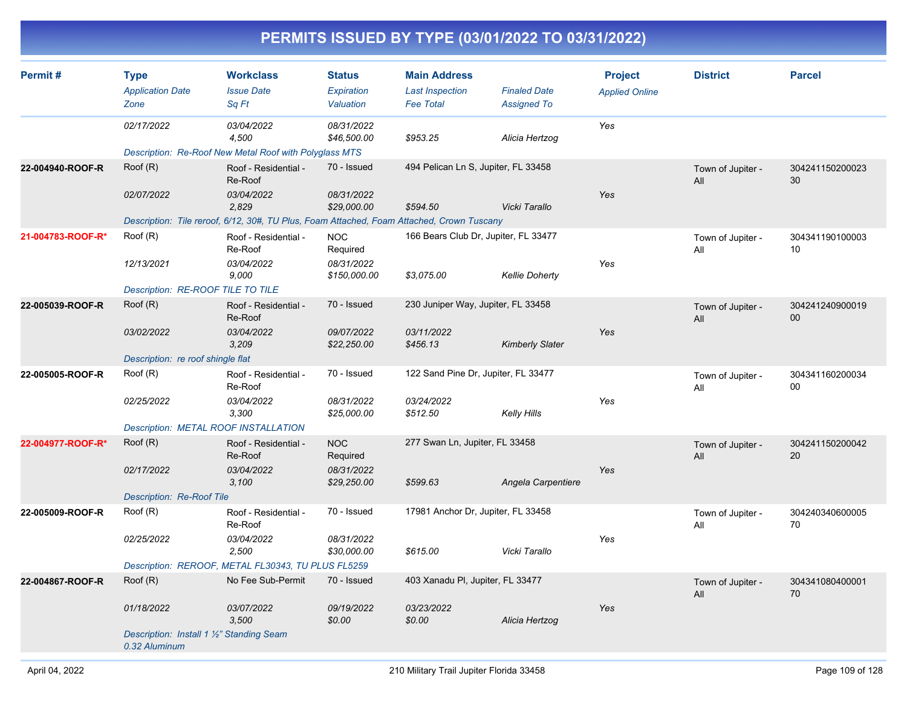| Permit#           | <b>Type</b><br><b>Application Date</b><br>Zone             | <b>Workclass</b><br><b>Issue Date</b><br>Sa Ft                                            | <b>Status</b><br>Expiration<br>Valuation | <b>Main Address</b><br><b>Last Inspection</b><br><b>Fee Total</b> | <b>Finaled Date</b><br><b>Assigned To</b> | <b>Project</b><br><b>Applied Online</b> | <b>District</b>          | <b>Parcel</b>             |
|-------------------|------------------------------------------------------------|-------------------------------------------------------------------------------------------|------------------------------------------|-------------------------------------------------------------------|-------------------------------------------|-----------------------------------------|--------------------------|---------------------------|
|                   | 02/17/2022                                                 | 03/04/2022<br>4,500                                                                       | 08/31/2022<br>\$46,500.00                | \$953.25                                                          | Alicia Hertzog                            | Yes                                     |                          |                           |
|                   |                                                            | Description: Re-Roof New Metal Roof with Polyglass MTS                                    |                                          |                                                                   |                                           |                                         |                          |                           |
| 22-004940-ROOF-R  | Root(R)                                                    | Roof - Residential -<br>Re-Roof                                                           | 70 - Issued                              | 494 Pelican Ln S, Jupiter, FL 33458                               |                                           |                                         | Town of Jupiter -<br>All | 304241150200023<br>30     |
|                   | 02/07/2022                                                 | 03/04/2022<br>2,829                                                                       | 08/31/2022<br>\$29,000.00                | \$594.50                                                          | Vicki Tarallo                             | Yes                                     |                          |                           |
|                   |                                                            | Description: Tile reroof, 6/12, 30#, TU Plus, Foam Attached, Foam Attached, Crown Tuscany |                                          |                                                                   |                                           |                                         |                          |                           |
| 21-004783-ROOF-R* | Roof (R)                                                   | Roof - Residential -<br>Re-Roof                                                           | <b>NOC</b><br>Required                   | 166 Bears Club Dr, Jupiter, FL 33477                              |                                           |                                         | Town of Jupiter -<br>All | 304341190100003<br>10     |
|                   | 12/13/2021                                                 | 03/04/2022<br>9,000                                                                       | 08/31/2022<br>\$150,000.00               | \$3,075.00                                                        | <b>Kellie Doherty</b>                     | Yes                                     |                          |                           |
|                   | Description: RE-ROOF TILE TO TILE                          |                                                                                           |                                          |                                                                   |                                           |                                         |                          |                           |
| 22-005039-ROOF-R  | Root(R)                                                    | Roof - Residential -<br>Re-Roof                                                           | 70 - Issued                              | 230 Juniper Way, Jupiter, FL 33458                                |                                           |                                         | Town of Jupiter -<br>All | 304241240900019<br>00     |
|                   | 03/02/2022                                                 | 03/04/2022<br>3,209                                                                       | 09/07/2022<br>\$22,250.00                | 03/11/2022<br>\$456.13                                            | <b>Kimberly Slater</b>                    | Yes                                     |                          |                           |
|                   | Description: re roof shingle flat                          |                                                                                           |                                          |                                                                   |                                           |                                         |                          |                           |
| 22-005005-ROOF-R  | Root(R)                                                    | Roof - Residential -<br>Re-Roof                                                           | 70 - Issued                              | 122 Sand Pine Dr, Jupiter, FL 33477                               |                                           |                                         | Town of Jupiter -<br>All | 304341160200034<br>$00\,$ |
|                   | 02/25/2022                                                 | 03/04/2022<br>3,300                                                                       | 08/31/2022<br>\$25,000.00                | 03/24/2022<br>\$512.50                                            | Kelly Hills                               | Yes                                     |                          |                           |
|                   | Description: METAL ROOF INSTALLATION                       |                                                                                           |                                          |                                                                   |                                           |                                         |                          |                           |
| 22-004977-ROOF-R* | Root(R)                                                    | Roof - Residential -<br>Re-Roof                                                           | <b>NOC</b><br>Required                   | 277 Swan Ln, Jupiter, FL 33458                                    |                                           |                                         | Town of Jupiter -<br>All | 304241150200042<br>20     |
|                   | 02/17/2022                                                 | 03/04/2022<br>3,100                                                                       | 08/31/2022<br>\$29,250.00                | \$599.63                                                          | Angela Carpentiere                        | Yes                                     |                          |                           |
|                   | <b>Description: Re-Roof Tile</b>                           |                                                                                           |                                          |                                                                   |                                           |                                         |                          |                           |
| 22-005009-ROOF-R  | Root(R)                                                    | Roof - Residential -<br>Re-Roof                                                           | 70 - Issued                              | 17981 Anchor Dr, Jupiter, FL 33458                                |                                           |                                         | Town of Jupiter -<br>All | 304240340600005<br>70     |
|                   | 02/25/2022                                                 | 03/04/2022<br>2,500                                                                       | 08/31/2022<br>\$30,000.00                | \$615.00                                                          | Vicki Tarallo                             | Yes                                     |                          |                           |
|                   |                                                            | Description: REROOF, METAL FL30343, TU PLUS FL5259                                        |                                          |                                                                   |                                           |                                         |                          |                           |
| 22-004867-ROOF-R  | Root(R)                                                    | No Fee Sub-Permit                                                                         | 70 - Issued                              | 403 Xanadu PI, Jupiter, FL 33477                                  |                                           |                                         | Town of Jupiter -<br>All | 304341080400001<br>70     |
|                   | 01/18/2022                                                 | 03/07/2022<br>3,500                                                                       | 09/19/2022<br>\$0.00                     | 03/23/2022<br>\$0.00                                              | Alicia Hertzog                            | Yes                                     |                          |                           |
|                   | Description: Install 1 1/2" Standing Seam<br>0.32 Aluminum |                                                                                           |                                          |                                                                   |                                           |                                         |                          |                           |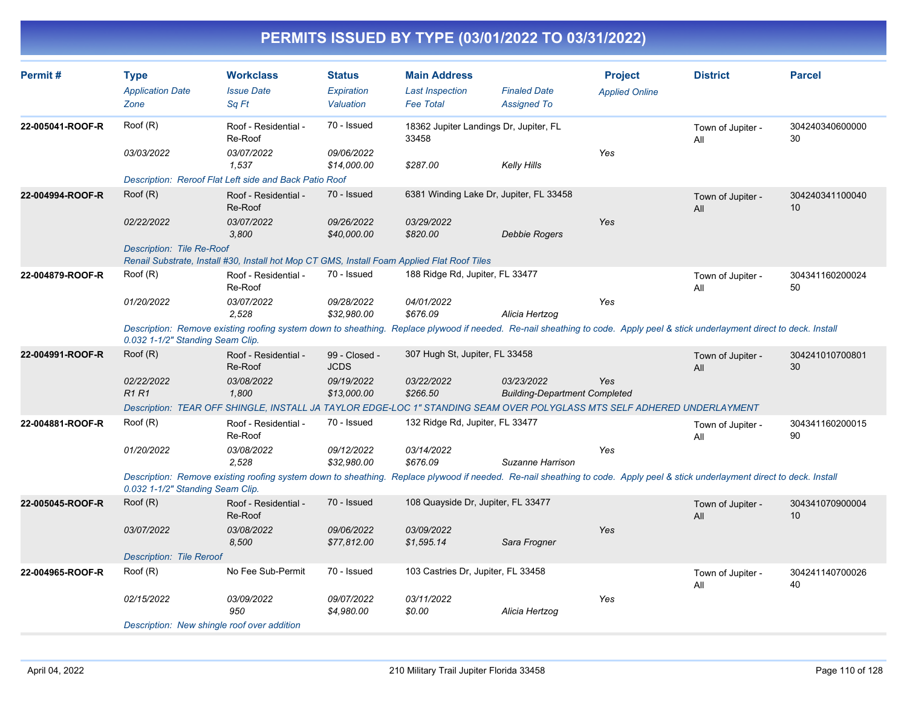| Permit#                                                                                                                                                                                                          | <b>Type</b><br><b>Application Date</b><br>Zone | <b>Workclass</b><br><b>Issue Date</b><br>Sa Ft                                                                                                                               | <b>Status</b><br><b>Expiration</b><br>Valuation | <b>Main Address</b><br><b>Last Inspection</b><br><b>Fee Total</b> | <b>Finaled Date</b><br><b>Assigned To</b>          | <b>Project</b><br><b>Applied Online</b> | <b>District</b>          | <b>Parcel</b>         |
|------------------------------------------------------------------------------------------------------------------------------------------------------------------------------------------------------------------|------------------------------------------------|------------------------------------------------------------------------------------------------------------------------------------------------------------------------------|-------------------------------------------------|-------------------------------------------------------------------|----------------------------------------------------|-----------------------------------------|--------------------------|-----------------------|
| 22-005041-ROOF-R                                                                                                                                                                                                 | Root(R)                                        | Roof - Residential -<br>Re-Roof                                                                                                                                              | 70 - Issued                                     | 18362 Jupiter Landings Dr, Jupiter, FL<br>33458                   |                                                    |                                         | Town of Jupiter -<br>All | 304240340600000<br>30 |
|                                                                                                                                                                                                                  | 03/03/2022                                     | 03/07/2022<br>1,537                                                                                                                                                          | 09/06/2022<br>\$14,000.00                       | \$287.00                                                          | <b>Kelly Hills</b>                                 | Yes                                     |                          |                       |
|                                                                                                                                                                                                                  |                                                | Description: Reroof Flat Left side and Back Patio Roof                                                                                                                       |                                                 |                                                                   |                                                    |                                         |                          |                       |
| 22-004994-ROOF-R                                                                                                                                                                                                 | Roof (R)                                       | Roof - Residential -<br>Re-Roof                                                                                                                                              | 70 - Issued                                     | 6381 Winding Lake Dr, Jupiter, FL 33458                           |                                                    |                                         | Town of Jupiter -<br>All | 304240341100040<br>10 |
|                                                                                                                                                                                                                  | 02/22/2022                                     | 03/07/2022<br>3.800                                                                                                                                                          | 09/26/2022<br>\$40,000.00                       | 03/29/2022<br>\$820.00                                            | <b>Debbie Rogers</b>                               | Yes                                     |                          |                       |
|                                                                                                                                                                                                                  | Description: Tile Re-Roof                      | Renail Substrate, Install #30, Install hot Mop CT GMS, Install Foam Applied Flat Roof Tiles                                                                                  |                                                 |                                                                   |                                                    |                                         |                          |                       |
| 22-004879-ROOF-R                                                                                                                                                                                                 | Roof (R)                                       | Roof - Residential -<br>Re-Roof                                                                                                                                              | 70 - Issued                                     | 188 Ridge Rd, Jupiter, FL 33477                                   |                                                    |                                         | Town of Jupiter -<br>All | 304341160200024<br>50 |
|                                                                                                                                                                                                                  | 01/20/2022                                     | 03/07/2022<br>2.528                                                                                                                                                          | 09/28/2022<br>\$32,980.00                       | 04/01/2022<br>\$676.09                                            | Alicia Hertzog                                     | Yes                                     |                          |                       |
| Description: Remove existing roofing system down to sheathing. Replace plywood if needed. Re-nail sheathing to code. Apply peel & stick underlayment direct to deck. Install<br>0.032 1-1/2" Standing Seam Clip. |                                                |                                                                                                                                                                              |                                                 |                                                                   |                                                    |                                         |                          |                       |
| 22-004991-ROOF-R                                                                                                                                                                                                 | Roof (R)                                       | Roof - Residential -<br>Re-Roof                                                                                                                                              | 99 - Closed -<br><b>JCDS</b>                    | 307 Hugh St, Jupiter, FL 33458                                    |                                                    |                                         | Town of Jupiter -<br>All | 304241010700801<br>30 |
|                                                                                                                                                                                                                  | 02/22/2022<br><b>R1R1</b>                      | 03/08/2022<br>1.800                                                                                                                                                          | 09/19/2022<br>\$13,000.00                       | 03/22/2022<br>\$266.50                                            | 03/23/2022<br><b>Building-Department Completed</b> | Yes                                     |                          |                       |
|                                                                                                                                                                                                                  |                                                | Description: TEAR OFF SHINGLE, INSTALL JA TAYLOR EDGE-LOC 1" STANDING SEAM OVER POLYGLASS MTS SELF ADHERED UNDERLAYMENT                                                      |                                                 |                                                                   |                                                    |                                         |                          |                       |
| 22-004881-ROOF-R                                                                                                                                                                                                 | Root(R)                                        | Roof - Residential -<br>Re-Roof                                                                                                                                              | 70 - Issued                                     | 132 Ridge Rd, Jupiter, FL 33477                                   |                                                    |                                         | Town of Jupiter -<br>All | 304341160200015<br>90 |
|                                                                                                                                                                                                                  | 01/20/2022                                     | 03/08/2022<br>2,528                                                                                                                                                          | 09/12/2022<br>\$32,980.00                       | 03/14/2022<br>\$676.09                                            | Suzanne Harrison                                   | Yes                                     |                          |                       |
|                                                                                                                                                                                                                  | 0.032 1-1/2" Standing Seam Clip.               | Description: Remove existing roofing system down to sheathing. Replace plywood if needed. Re-nail sheathing to code. Apply peel & stick underlayment direct to deck. Install |                                                 |                                                                   |                                                    |                                         |                          |                       |
| 22-005045-ROOF-R                                                                                                                                                                                                 | Root(R)                                        | Roof - Residential -<br>Re-Roof                                                                                                                                              | 70 - Issued                                     | 108 Quayside Dr, Jupiter, FL 33477                                |                                                    |                                         | Town of Jupiter -<br>All | 304341070900004<br>10 |
|                                                                                                                                                                                                                  | 03/07/2022                                     | 03/08/2022<br>8,500                                                                                                                                                          | 09/06/2022<br>\$77,812.00                       | 03/09/2022<br>\$1,595.14                                          | Sara Frogner                                       | Yes                                     |                          |                       |
|                                                                                                                                                                                                                  | <b>Description: Tile Reroof</b>                |                                                                                                                                                                              |                                                 |                                                                   |                                                    |                                         |                          |                       |
| 22-004965-ROOF-R                                                                                                                                                                                                 | Root(R)                                        | No Fee Sub-Permit                                                                                                                                                            | 70 - Issued                                     | 103 Castries Dr, Jupiter, FL 33458                                |                                                    |                                         | Town of Jupiter -<br>All | 304241140700026<br>40 |
|                                                                                                                                                                                                                  | 02/15/2022                                     | 03/09/2022<br>950                                                                                                                                                            | 09/07/2022<br>\$4,980.00                        | 03/11/2022<br>\$0.00                                              | Alicia Hertzog                                     | Yes                                     |                          |                       |
|                                                                                                                                                                                                                  |                                                | Description: New shingle roof over addition                                                                                                                                  |                                                 |                                                                   |                                                    |                                         |                          |                       |
|                                                                                                                                                                                                                  |                                                |                                                                                                                                                                              |                                                 |                                                                   |                                                    |                                         |                          |                       |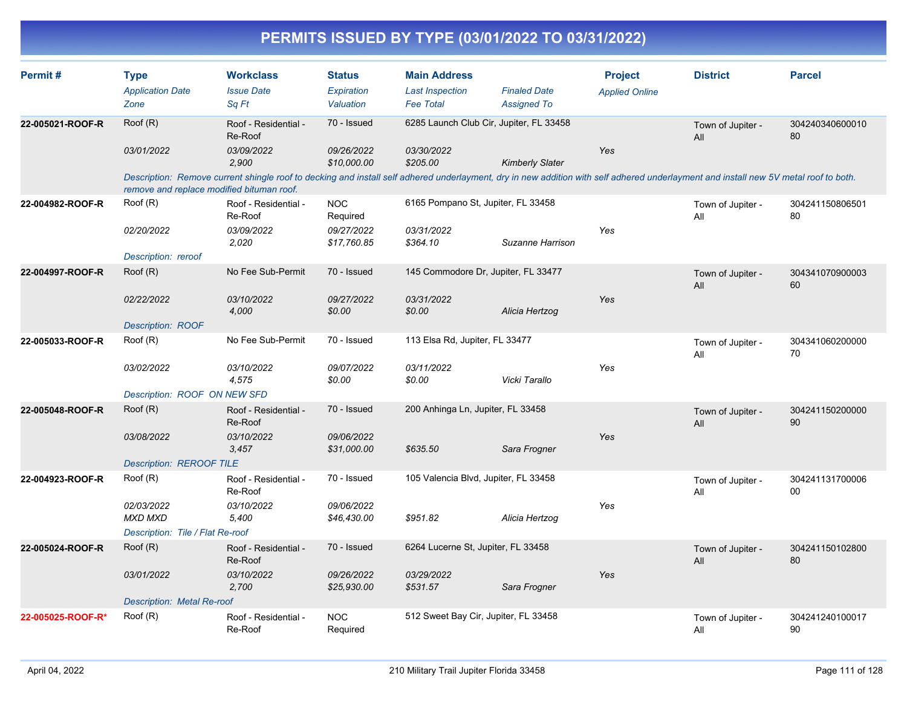| Permit#           | <b>Type</b><br><b>Application Date</b><br>Zone | <b>Workclass</b><br><b>Issue Date</b><br>Sq Ft                                                                                                                                                                                    | <b>Status</b><br>Expiration<br>Valuation | <b>Main Address</b><br><b>Last Inspection</b><br><b>Fee Total</b> | <b>Finaled Date</b><br><b>Assigned To</b> | <b>Project</b><br><b>Applied Online</b> | <b>District</b>          | <b>Parcel</b>         |
|-------------------|------------------------------------------------|-----------------------------------------------------------------------------------------------------------------------------------------------------------------------------------------------------------------------------------|------------------------------------------|-------------------------------------------------------------------|-------------------------------------------|-----------------------------------------|--------------------------|-----------------------|
| 22-005021-ROOF-R  | Roof (R)                                       | Roof - Residential -<br>Re-Roof                                                                                                                                                                                                   | 70 - Issued                              |                                                                   | 6285 Launch Club Cir, Jupiter, FL 33458   |                                         | Town of Jupiter -<br>All | 304240340600010<br>80 |
|                   | 03/01/2022                                     | 03/09/2022<br>2,900                                                                                                                                                                                                               | 09/26/2022<br>\$10,000.00                | 03/30/2022<br>\$205.00                                            | <b>Kimberly Slater</b>                    | Yes                                     |                          |                       |
|                   |                                                | Description: Remove current shingle roof to decking and install self adhered underlayment, dry in new addition with self adhered underlayment and install new 5V metal roof to both.<br>remove and replace modified bituman roof. |                                          |                                                                   |                                           |                                         |                          |                       |
| 22-004982-ROOF-R  | Roof (R)                                       | Roof - Residential -<br>Re-Roof                                                                                                                                                                                                   | <b>NOC</b><br>Required                   | 6165 Pompano St, Jupiter, FL 33458                                |                                           |                                         | Town of Jupiter -<br>All | 304241150806501<br>80 |
|                   | 02/20/2022                                     | 03/09/2022<br>2,020                                                                                                                                                                                                               | 09/27/2022<br>\$17,760.85                | 03/31/2022<br>\$364.10                                            | Suzanne Harrison                          | Yes                                     |                          |                       |
|                   | Description: reroof                            |                                                                                                                                                                                                                                   |                                          |                                                                   |                                           |                                         |                          |                       |
| 22-004997-ROOF-R  | Roof (R)                                       | No Fee Sub-Permit                                                                                                                                                                                                                 | 70 - Issued                              | 145 Commodore Dr, Jupiter, FL 33477                               |                                           |                                         | Town of Jupiter -<br>All | 304341070900003<br>60 |
|                   | 02/22/2022                                     | 03/10/2022<br>4,000                                                                                                                                                                                                               | 09/27/2022<br>\$0.00                     | 03/31/2022<br>\$0.00                                              | Alicia Hertzog                            | Yes                                     |                          |                       |
|                   | <b>Description: ROOF</b>                       |                                                                                                                                                                                                                                   |                                          |                                                                   |                                           |                                         |                          |                       |
| 22-005033-ROOF-R  | Roof (R)                                       | No Fee Sub-Permit                                                                                                                                                                                                                 | 70 - Issued                              | 113 Elsa Rd, Jupiter, FL 33477                                    |                                           |                                         | Town of Jupiter -<br>All | 304341060200000<br>70 |
|                   | 03/02/2022                                     | 03/10/2022<br>4,575                                                                                                                                                                                                               | 09/07/2022<br>\$0.00                     | 03/11/2022<br>\$0.00                                              | Vicki Tarallo                             | Yes                                     |                          |                       |
|                   | Description: ROOF ON NEW SFD                   |                                                                                                                                                                                                                                   |                                          |                                                                   |                                           |                                         |                          |                       |
| 22-005048-ROOF-R  | Roof (R)                                       | Roof - Residential -<br>Re-Roof                                                                                                                                                                                                   | 70 - Issued                              | 200 Anhinga Ln, Jupiter, FL 33458                                 |                                           |                                         | Town of Jupiter -<br>All | 304241150200000<br>90 |
|                   | 03/08/2022                                     | 03/10/2022<br>3,457                                                                                                                                                                                                               | 09/06/2022<br>\$31,000.00                | \$635.50                                                          | Sara Frogner                              | Yes                                     |                          |                       |
|                   | <b>Description: REROOF TILE</b>                |                                                                                                                                                                                                                                   |                                          |                                                                   |                                           |                                         |                          |                       |
| 22-004923-ROOF-R  | Roof (R)                                       | Roof - Residential -<br>Re-Roof                                                                                                                                                                                                   | 70 - Issued                              | 105 Valencia Blvd, Jupiter, FL 33458                              |                                           |                                         | Town of Jupiter -<br>All | 304241131700006<br>00 |
|                   | 02/03/2022<br><b>MXD MXD</b>                   | 03/10/2022<br>5,400                                                                                                                                                                                                               | 09/06/2022<br>\$46,430.00                | \$951.82                                                          | Alicia Hertzog                            | Yes                                     |                          |                       |
|                   | Description: Tile / Flat Re-roof               |                                                                                                                                                                                                                                   |                                          |                                                                   |                                           |                                         |                          |                       |
| 22-005024-ROOF-R  | Root(R)                                        | Roof - Residential -<br>Re-Roof                                                                                                                                                                                                   | 70 - Issued                              | 6264 Lucerne St, Jupiter, FL 33458                                |                                           |                                         | Town of Jupiter -<br>All | 304241150102800<br>80 |
|                   | 03/01/2022                                     | 03/10/2022<br>2,700                                                                                                                                                                                                               | 09/26/2022<br>\$25,930.00                | 03/29/2022<br>\$531.57                                            | Sara Frogner                              | Yes                                     |                          |                       |
|                   | <b>Description: Metal Re-roof</b>              |                                                                                                                                                                                                                                   |                                          |                                                                   |                                           |                                         |                          |                       |
| 22-005025-ROOF-R* | Root(R)                                        | Roof - Residential -<br>Re-Roof                                                                                                                                                                                                   | <b>NOC</b><br>Required                   | 512 Sweet Bay Cir, Jupiter, FL 33458                              |                                           |                                         | Town of Jupiter -<br>All | 304241240100017<br>90 |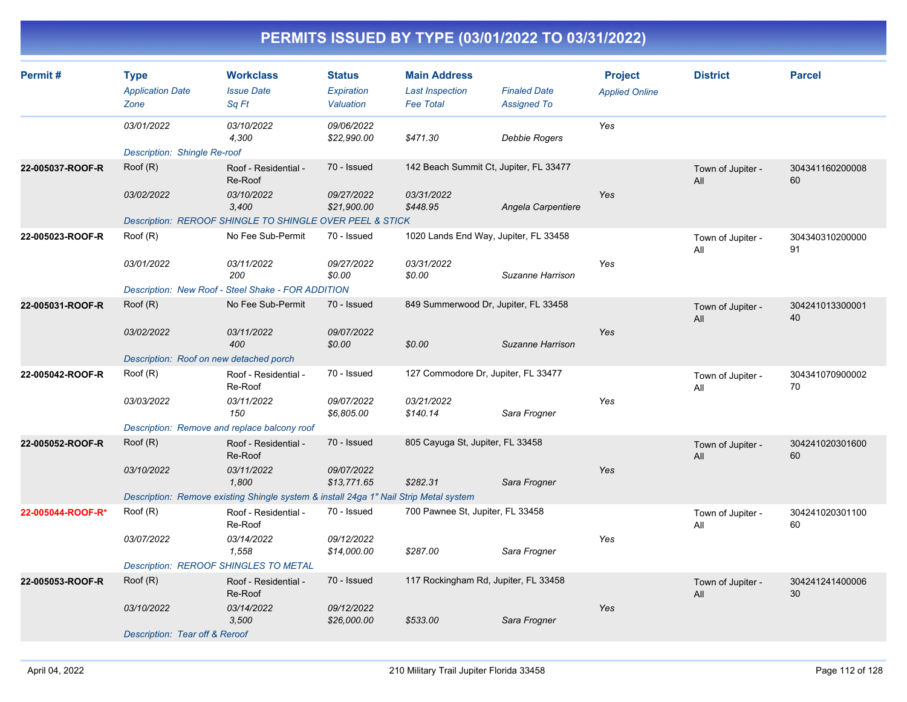| Permit#           | <b>Type</b><br><b>Application Date</b><br>Zone | <b>Workclass</b><br><b>Issue Date</b><br>Sq Ft                                        | <b>Status</b><br>Expiration<br>Valuation | <b>Main Address</b><br><b>Last Inspection</b><br><b>Fee Total</b> | <b>Finaled Date</b><br><b>Assigned To</b> | <b>Project</b><br><b>Applied Online</b> | <b>District</b>          | <b>Parcel</b>         |
|-------------------|------------------------------------------------|---------------------------------------------------------------------------------------|------------------------------------------|-------------------------------------------------------------------|-------------------------------------------|-----------------------------------------|--------------------------|-----------------------|
|                   | 03/01/2022                                     | 03/10/2022<br>4,300                                                                   | 09/06/2022<br>\$22,990.00                | \$471.30                                                          | Debbie Rogers                             | Yes                                     |                          |                       |
|                   | Description: Shingle Re-roof                   |                                                                                       |                                          |                                                                   |                                           |                                         |                          |                       |
| 22-005037-ROOF-R  | Root(R)                                        | Roof - Residential -<br>Re-Roof                                                       | 70 - Issued                              | 142 Beach Summit Ct, Jupiter, FL 33477                            |                                           |                                         | Town of Jupiter -<br>All | 304341160200008<br>60 |
|                   | 03/02/2022                                     | 03/10/2022<br>3,400                                                                   | 09/27/2022<br>\$21,900.00                | 03/31/2022<br>\$448.95                                            | Angela Carpentiere                        | Yes                                     |                          |                       |
|                   |                                                | Description: REROOF SHINGLE TO SHINGLE OVER PEEL & STICK                              |                                          |                                                                   |                                           |                                         |                          |                       |
| 22-005023-ROOF-R  | Root(R)                                        | No Fee Sub-Permit                                                                     | 70 - Issued                              | 1020 Lands End Way, Jupiter, FL 33458                             |                                           |                                         | Town of Jupiter -<br>All | 304340310200000<br>91 |
|                   | 03/01/2022                                     | 03/11/2022<br>200                                                                     | 09/27/2022<br>\$0.00                     | 03/31/2022<br>\$0.00                                              | Suzanne Harrison                          | Yes                                     |                          |                       |
|                   |                                                | Description: New Roof - Steel Shake - FOR ADDITION                                    |                                          |                                                                   |                                           |                                         |                          |                       |
| 22-005031-ROOF-R  | Root(R)                                        | No Fee Sub-Permit                                                                     | 70 - Issued                              | 849 Summerwood Dr, Jupiter, FL 33458                              |                                           |                                         | Town of Jupiter -<br>All | 304241013300001<br>40 |
|                   | 03/02/2022                                     | 03/11/2022<br>400                                                                     | 09/07/2022<br>\$0.00                     | \$0.00                                                            | Suzanne Harrison                          | Yes                                     |                          |                       |
|                   | Description: Roof on new detached porch        |                                                                                       |                                          |                                                                   |                                           |                                         |                          |                       |
| 22-005042-ROOF-R  | Root(R)                                        | Roof - Residential -<br>Re-Roof                                                       | 70 - Issued                              | 127 Commodore Dr, Jupiter, FL 33477                               |                                           |                                         | Town of Jupiter -<br>All | 304341070900002<br>70 |
|                   | 03/03/2022                                     | 03/11/2022<br>150                                                                     | 09/07/2022<br>\$6,805.00                 | 03/21/2022<br>\$140.14                                            | Sara Frogner                              | Yes                                     |                          |                       |
|                   | Description: Remove and replace balcony roof   |                                                                                       |                                          |                                                                   |                                           |                                         |                          |                       |
| 22-005052-ROOF-R  | Root(R)                                        | Roof - Residential -<br>Re-Roof                                                       | 70 - Issued                              | 805 Cayuga St, Jupiter, FL 33458                                  |                                           |                                         | Town of Jupiter -<br>All | 304241020301600<br>60 |
|                   | 03/10/2022                                     | 03/11/2022<br>1,800                                                                   | 09/07/2022<br>\$13,771.65                | \$282.31                                                          | Sara Frogner                              | Yes                                     |                          |                       |
|                   |                                                | Description: Remove existing Shingle system & install 24ga 1" Nail Strip Metal system |                                          |                                                                   |                                           |                                         |                          |                       |
| 22-005044-ROOF-R* | Root(R)                                        | Roof - Residential -<br>Re-Roof                                                       | 70 - Issued                              | 700 Pawnee St, Jupiter, FL 33458                                  |                                           |                                         | Town of Jupiter -<br>All | 304241020301100<br>60 |
|                   | 03/07/2022                                     | 03/14/2022<br>1,558                                                                   | 09/12/2022<br>\$14,000.00                | \$287.00                                                          | Sara Frogner                              | Yes                                     |                          |                       |
|                   | <b>Description: REROOF SHINGLES TO METAL</b>   |                                                                                       |                                          |                                                                   |                                           |                                         |                          |                       |
| 22-005053-ROOF-R  | Root(R)                                        | Roof - Residential -<br>Re-Roof                                                       | 70 - Issued                              | 117 Rockingham Rd, Jupiter, FL 33458                              |                                           |                                         | Town of Jupiter -<br>All | 304241241400006<br>30 |
|                   | 03/10/2022                                     | 03/14/2022<br>3,500                                                                   | 09/12/2022<br>\$26,000.00                | \$533.00                                                          | Sara Frogner                              | Yes                                     |                          |                       |
|                   | Description: Tear off & Reroof                 |                                                                                       |                                          |                                                                   |                                           |                                         |                          |                       |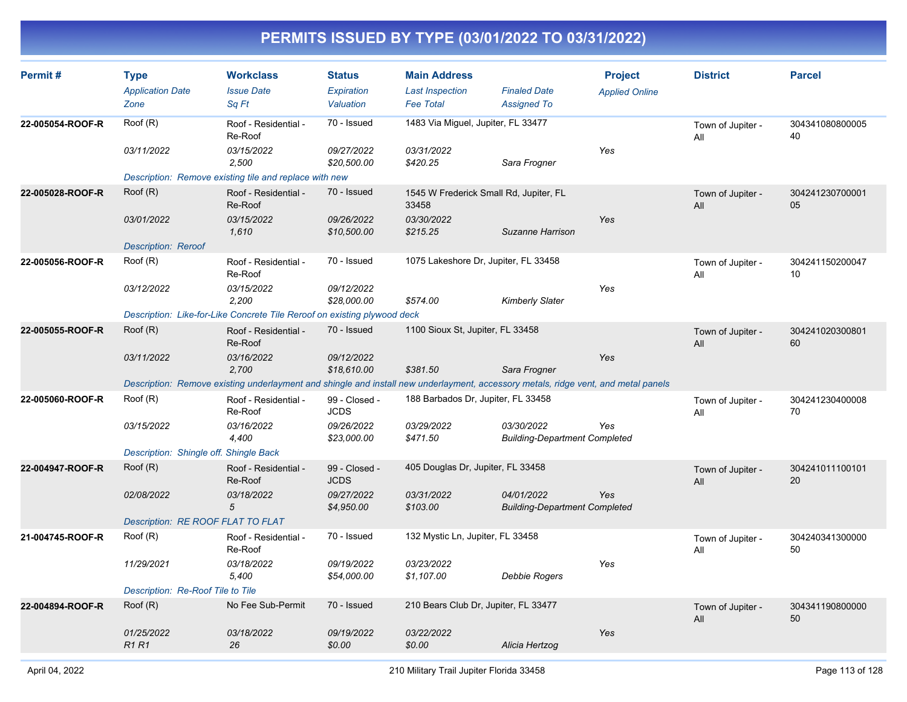| Permit#          | <b>Type</b><br><b>Application Date</b><br>Zone | <b>Workclass</b><br><b>Issue Date</b><br>Sa Ft                                                                                     | <b>Status</b><br>Expiration<br>Valuation | <b>Main Address</b><br><b>Last Inspection</b><br><b>Fee Total</b> | <b>Finaled Date</b><br><b>Assigned To</b>          | <b>Project</b><br><b>Applied Online</b> | <b>District</b>          | <b>Parcel</b>         |
|------------------|------------------------------------------------|------------------------------------------------------------------------------------------------------------------------------------|------------------------------------------|-------------------------------------------------------------------|----------------------------------------------------|-----------------------------------------|--------------------------|-----------------------|
| 22-005054-ROOF-R | Roof (R)                                       | Roof - Residential -<br>Re-Roof                                                                                                    | 70 - Issued                              | 1483 Via Miguel, Jupiter, FL 33477                                |                                                    |                                         | Town of Jupiter -<br>All | 304341080800005<br>40 |
|                  | 03/11/2022                                     | 03/15/2022<br>2,500                                                                                                                | 09/27/2022<br>\$20,500.00                | 03/31/2022<br>\$420.25                                            | Sara Frogner                                       | Yes                                     |                          |                       |
|                  |                                                | Description: Remove existing tile and replace with new                                                                             |                                          |                                                                   |                                                    |                                         |                          |                       |
| 22-005028-ROOF-R | Roof (R)                                       | Roof - Residential -<br>Re-Roof                                                                                                    | 70 - Issued                              | 1545 W Frederick Small Rd, Jupiter, FL<br>33458                   |                                                    |                                         | Town of Jupiter -<br>All | 304241230700001<br>05 |
|                  | 03/01/2022                                     | 03/15/2022<br>1,610                                                                                                                | 09/26/2022<br>\$10,500.00                | 03/30/2022<br>\$215.25                                            | Suzanne Harrison                                   | Yes                                     |                          |                       |
|                  | <b>Description: Reroof</b>                     |                                                                                                                                    |                                          |                                                                   |                                                    |                                         |                          |                       |
| 22-005056-ROOF-R | Root(R)                                        | Roof - Residential -<br>Re-Roof                                                                                                    | 70 - Issued                              | 1075 Lakeshore Dr, Jupiter, FL 33458                              |                                                    |                                         | Town of Jupiter -<br>All | 304241150200047<br>10 |
|                  | 03/12/2022                                     | 03/15/2022<br>2,200                                                                                                                | 09/12/2022<br>\$28,000.00                | \$574.00                                                          | <b>Kimberly Slater</b>                             | Yes                                     |                          |                       |
|                  |                                                | Description: Like-for-Like Concrete Tile Reroof on existing plywood deck                                                           |                                          |                                                                   |                                                    |                                         |                          |                       |
| 22-005055-ROOF-R | Root(R)                                        | Roof - Residential -<br>Re-Roof                                                                                                    | 70 - Issued                              | 1100 Sioux St, Jupiter, FL 33458                                  |                                                    |                                         | Town of Jupiter -<br>All | 304241020300801<br>60 |
|                  | 03/11/2022                                     | 03/16/2022<br>2,700                                                                                                                | 09/12/2022<br>\$18,610.00                | \$381.50                                                          | Sara Frogner                                       | Yes                                     |                          |                       |
|                  |                                                | Description: Remove existing underlayment and shingle and install new underlayment, accessory metals, ridge vent, and metal panels |                                          |                                                                   |                                                    |                                         |                          |                       |
| 22-005060-ROOF-R | Root(R)                                        | Roof - Residential -<br>Re-Roof                                                                                                    | 99 - Closed -<br><b>JCDS</b>             | 188 Barbados Dr. Jupiter, FL 33458                                |                                                    |                                         | Town of Jupiter -<br>All | 304241230400008<br>70 |
|                  | 03/15/2022                                     | 03/16/2022<br>4,400                                                                                                                | 09/26/2022<br>\$23,000.00                | 03/29/2022<br>\$471.50                                            | 03/30/2022<br><b>Building-Department Completed</b> | Yes                                     |                          |                       |
|                  | Description: Shingle off. Shingle Back         |                                                                                                                                    |                                          |                                                                   |                                                    |                                         |                          |                       |
| 22-004947-ROOF-R | Root(R)                                        | Roof - Residential -<br>Re-Roof                                                                                                    | 99 - Closed -<br><b>JCDS</b>             | 405 Douglas Dr, Jupiter, FL 33458                                 |                                                    |                                         | Town of Jupiter -<br>All | 304241011100101<br>20 |
|                  | 02/08/2022                                     | 03/18/2022<br>5                                                                                                                    | 09/27/2022<br>\$4,950.00                 | 03/31/2022<br>\$103.00                                            | 04/01/2022<br><b>Building-Department Completed</b> | Yes                                     |                          |                       |
|                  | Description: RE ROOF FLAT TO FLAT              |                                                                                                                                    |                                          |                                                                   |                                                    |                                         |                          |                       |
| 21-004745-ROOF-R | Root(R)                                        | Roof - Residential -<br>Re-Roof                                                                                                    | 70 - Issued                              | 132 Mystic Ln, Jupiter, FL 33458                                  |                                                    |                                         | Town of Jupiter -<br>All | 304240341300000<br>50 |
|                  | 11/29/2021                                     | 03/18/2022<br>5,400                                                                                                                | 09/19/2022<br>\$54,000.00                | 03/23/2022<br>\$1,107.00                                          | Debbie Rogers                                      | Yes                                     |                          |                       |
|                  | Description: Re-Roof Tile to Tile              |                                                                                                                                    |                                          |                                                                   |                                                    |                                         |                          |                       |
| 22-004894-ROOF-R | Roof (R)                                       | No Fee Sub-Permit                                                                                                                  | 70 - Issued                              | 210 Bears Club Dr, Jupiter, FL 33477                              |                                                    |                                         | Town of Jupiter -<br>All | 304341190800000<br>50 |
|                  | 01/25/2022<br><b>R1R1</b>                      | 03/18/2022<br>26                                                                                                                   | 09/19/2022<br>\$0.00                     | 03/22/2022<br>\$0.00                                              | Alicia Hertzog                                     | Yes                                     |                          |                       |
|                  |                                                |                                                                                                                                    |                                          |                                                                   |                                                    |                                         |                          |                       |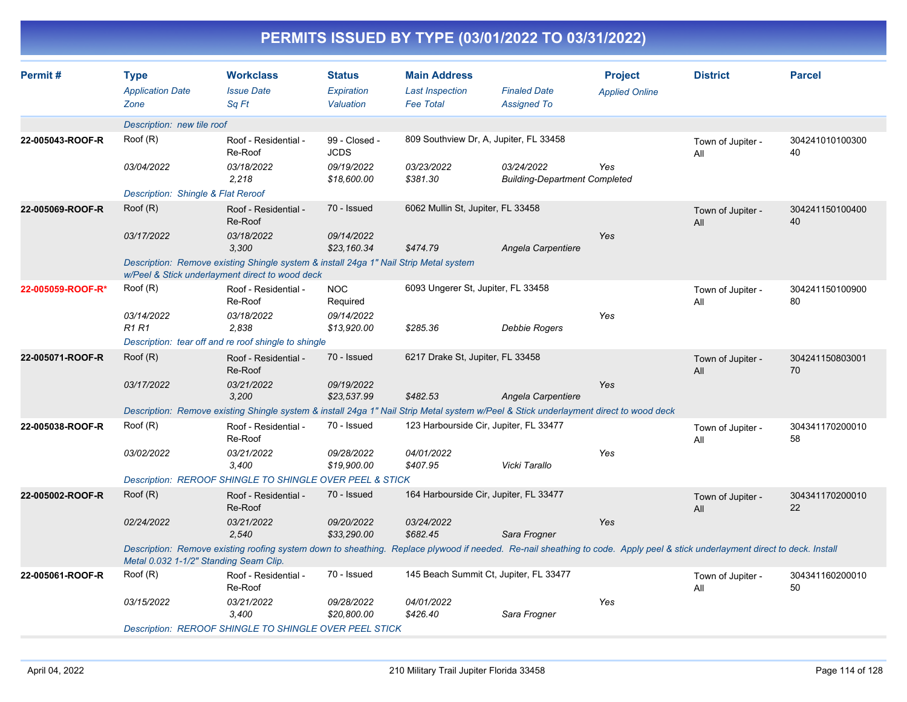| PERMITS ISSUED BY TYPE (03/01/2022 TO 03/31/2022) |                                                |                                                                                                                                                                              |                                          |                                                                   |                                                    |                                         |                          |                       |  |  |
|---------------------------------------------------|------------------------------------------------|------------------------------------------------------------------------------------------------------------------------------------------------------------------------------|------------------------------------------|-------------------------------------------------------------------|----------------------------------------------------|-----------------------------------------|--------------------------|-----------------------|--|--|
| Permit #                                          | <b>Type</b><br><b>Application Date</b><br>Zone | <b>Workclass</b><br><b>Issue Date</b><br>Sq Ft                                                                                                                               | <b>Status</b><br>Expiration<br>Valuation | <b>Main Address</b><br><b>Last Inspection</b><br><b>Fee Total</b> | <b>Finaled Date</b><br><b>Assigned To</b>          | <b>Project</b><br><b>Applied Online</b> | <b>District</b>          | <b>Parcel</b>         |  |  |
|                                                   | Description: new tile roof                     |                                                                                                                                                                              |                                          |                                                                   |                                                    |                                         |                          |                       |  |  |
| 22-005043-ROOF-R                                  | Roof (R)                                       | Roof - Residential -<br>Re-Roof                                                                                                                                              | 99 - Closed -<br><b>JCDS</b>             | 809 Southview Dr, A, Jupiter, FL 33458                            |                                                    |                                         | Town of Jupiter -<br>All | 304241010100300<br>40 |  |  |
|                                                   | 03/04/2022                                     | 03/18/2022<br>2,218                                                                                                                                                          | 09/19/2022<br>\$18,600.00                | 03/23/2022<br>\$381.30                                            | 03/24/2022<br><b>Building-Department Completed</b> | Yes                                     |                          |                       |  |  |
|                                                   | Description: Shingle & Flat Reroof             |                                                                                                                                                                              |                                          |                                                                   |                                                    |                                         |                          |                       |  |  |
| 22-005069-ROOF-R                                  | Root(R)                                        | Roof - Residential -<br>Re-Roof                                                                                                                                              | 70 - Issued                              | 6062 Mullin St, Jupiter, FL 33458                                 |                                                    |                                         | Town of Jupiter -<br>All | 304241150100400<br>40 |  |  |
|                                                   | 03/17/2022                                     | 03/18/2022<br>3,300                                                                                                                                                          | 09/14/2022<br>\$23,160.34                | \$474.79                                                          | Angela Carpentiere                                 | Yes                                     |                          |                       |  |  |
|                                                   |                                                | Description: Remove existing Shingle system & install 24ga 1" Nail Strip Metal system<br>w/Peel & Stick underlayment direct to wood deck                                     |                                          |                                                                   |                                                    |                                         |                          |                       |  |  |
| 22-005059-ROOF-R*                                 | Roof (R)                                       | Roof - Residential -<br>Re-Roof                                                                                                                                              | <b>NOC</b><br>Required                   | 6093 Ungerer St, Jupiter, FL 33458                                |                                                    |                                         | Town of Jupiter -<br>All | 304241150100900<br>80 |  |  |
|                                                   | 03/14/2022<br><b>R1 R1</b>                     | 03/18/2022<br>2,838                                                                                                                                                          | 09/14/2022<br>\$13,920.00                | \$285.36                                                          | <b>Debbie Rogers</b>                               | Yes                                     |                          |                       |  |  |
|                                                   |                                                | Description: tear off and re roof shingle to shingle                                                                                                                         |                                          |                                                                   |                                                    |                                         |                          |                       |  |  |
| 22-005071-ROOF-R                                  | Root(R)                                        | Roof - Residential -<br>Re-Roof                                                                                                                                              | 70 - Issued                              | 6217 Drake St, Jupiter, FL 33458                                  |                                                    |                                         | Town of Jupiter -<br>All | 304241150803001<br>70 |  |  |
|                                                   | 03/17/2022                                     | 03/21/2022<br>3,200                                                                                                                                                          | 09/19/2022<br>\$23,537.99                | \$482.53                                                          | Angela Carpentiere                                 | Yes                                     |                          |                       |  |  |
|                                                   |                                                | Description: Remove existing Shingle system & install 24ga 1" Nail Strip Metal system w/Peel & Stick underlayment direct to wood deck                                        |                                          |                                                                   |                                                    |                                         |                          |                       |  |  |
| 22-005038-ROOF-R                                  | Roof (R)                                       | Roof - Residential -<br>Re-Roof                                                                                                                                              | 70 - Issued                              | 123 Harbourside Cir, Jupiter, FL 33477                            |                                                    |                                         | Town of Jupiter -<br>All | 304341170200010<br>58 |  |  |
|                                                   | 03/02/2022                                     | 03/21/2022<br>3,400                                                                                                                                                          | 09/28/2022<br>\$19,900.00                | 04/01/2022<br>\$407.95                                            | Vicki Tarallo                                      | Yes                                     |                          |                       |  |  |
|                                                   |                                                | Description: REROOF SHINGLE TO SHINGLE OVER PEEL & STICK                                                                                                                     |                                          |                                                                   |                                                    |                                         |                          |                       |  |  |
| 22-005002-ROOF-R                                  | Root(R)                                        | Roof - Residential -<br>Re-Roof                                                                                                                                              | 70 - Issued                              | 164 Harbourside Cir, Jupiter, FL 33477                            |                                                    |                                         | Town of Jupiter -<br>All | 304341170200010<br>22 |  |  |
|                                                   | 02/24/2022                                     | 03/21/2022<br>2,540                                                                                                                                                          | 09/20/2022<br>\$33,290.00                | 03/24/2022<br>\$682.45                                            | Sara Frogner                                       | Yes                                     |                          |                       |  |  |
|                                                   | Metal 0.032 1-1/2" Standing Seam Clip.         | Description: Remove existing roofing system down to sheathing. Replace plywood if needed. Re-nail sheathing to code. Apply peel & stick underlayment direct to deck. Install |                                          |                                                                   |                                                    |                                         |                          |                       |  |  |
| 22-005061-ROOF-R                                  | Root(R)                                        | Roof - Residential -<br>Re-Roof                                                                                                                                              | 70 - Issued                              | 145 Beach Summit Ct, Jupiter, FL 33477                            |                                                    |                                         | Town of Jupiter -<br>All | 304341160200010<br>50 |  |  |
|                                                   | 03/15/2022                                     | 03/21/2022<br>3,400                                                                                                                                                          | 09/28/2022<br>\$20,800.00                | 04/01/2022<br>\$426.40                                            | Sara Frogner                                       | Yes                                     |                          |                       |  |  |
|                                                   |                                                | Description: REROOF SHINGLE TO SHINGLE OVER PEEL STICK                                                                                                                       |                                          |                                                                   |                                                    |                                         |                          |                       |  |  |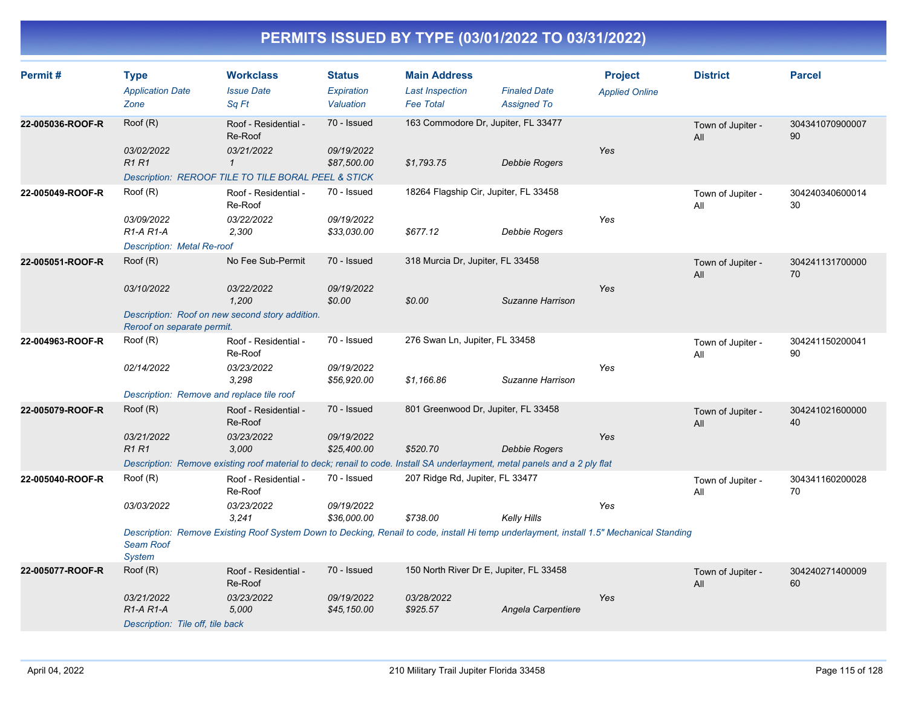| Permit#          | <b>Type</b><br><b>Application Date</b><br>Zone                             | <b>Workclass</b><br><b>Issue Date</b><br>Sq Ft                                                                                                                                                     | <b>Status</b><br>Expiration<br>Valuation | <b>Main Address</b><br><b>Last Inspection</b><br><b>Fee Total</b> | <b>Finaled Date</b><br><b>Assigned To</b> | <b>Project</b><br><b>Applied Online</b> | <b>District</b>          | <b>Parcel</b>         |
|------------------|----------------------------------------------------------------------------|----------------------------------------------------------------------------------------------------------------------------------------------------------------------------------------------------|------------------------------------------|-------------------------------------------------------------------|-------------------------------------------|-----------------------------------------|--------------------------|-----------------------|
| 22-005036-ROOF-R | Root(R)<br>03/02/2022<br>R1R1                                              | Roof - Residential -<br>Re-Roof<br>03/21/2022<br>$\mathbf{1}$<br>Description: REROOF TILE TO TILE BORAL PEEL & STICK                                                                               | 70 - Issued<br>09/19/2022<br>\$87,500.00 | 163 Commodore Dr, Jupiter, FL 33477<br>\$1,793.75                 | <b>Debbie Rogers</b>                      | Yes                                     | Town of Jupiter -<br>All | 304341070900007<br>90 |
| 22-005049-ROOF-R | Roof (R)<br>03/09/2022<br>$R1-A R1-A$<br><b>Description: Metal Re-roof</b> | Roof - Residential -<br>Re-Roof<br>03/22/2022<br>2,300                                                                                                                                             | 70 - Issued<br>09/19/2022<br>\$33,030.00 | 18264 Flagship Cir, Jupiter, FL 33458<br>\$677.12                 | <b>Debbie Rogers</b>                      | Yes                                     | Town of Jupiter -<br>All | 304240340600014<br>30 |
| 22-005051-ROOF-R | Root(R)<br>03/10/2022<br>Reroof on separate permit.                        | No Fee Sub-Permit<br>03/22/2022<br>1.200<br>Description: Roof on new second story addition.                                                                                                        | 70 - Issued<br>09/19/2022<br>\$0.00      | 318 Murcia Dr, Jupiter, FL 33458<br>\$0.00                        | Suzanne Harrison                          | Yes                                     | Town of Jupiter -<br>All | 304241131700000<br>70 |
| 22-004963-ROOF-R | Root(R)<br>02/14/2022<br>Description: Remove and replace tile roof         | Roof - Residential -<br>Re-Roof<br>03/23/2022<br>3,298                                                                                                                                             | 70 - Issued<br>09/19/2022<br>\$56,920.00 | 276 Swan Ln, Jupiter, FL 33458<br>\$1,166.86                      | Suzanne Harrison                          | Yes                                     | Town of Jupiter -<br>All | 304241150200041<br>90 |
| 22-005079-ROOF-R | Root(R)<br>03/21/2022<br><b>R1R1</b>                                       | Roof - Residential -<br>Re-Roof<br>03/23/2022<br>3,000<br>Description: Remove existing roof material to deck; renail to code. Install SA underlayment, metal panels and a 2 ply flat               | 70 - Issued<br>09/19/2022<br>\$25,400.00 | 801 Greenwood Dr, Jupiter, FL 33458<br>\$520.70                   | <b>Debbie Rogers</b>                      | Yes                                     | Town of Jupiter -<br>All | 304241021600000<br>40 |
| 22-005040-ROOF-R | Root(R)<br>03/03/2022<br><b>Seam Roof</b><br><b>System</b>                 | Roof - Residential -<br>Re-Roof<br>03/23/2022<br>3,241<br>Description: Remove Existing Roof System Down to Decking, Renail to code, install Hi temp underlayment, install 1.5" Mechanical Standing | 70 - Issued<br>09/19/2022<br>\$36,000.00 | 207 Ridge Rd, Jupiter, FL 33477<br>\$738.00                       | Kelly Hills                               | Yes                                     | Town of Jupiter -<br>All | 304341160200028<br>70 |
| 22-005077-ROOF-R | Root(R)<br>03/21/2022<br>$R1-A R1-A$<br>Description: Tile off, tile back   | Roof - Residential -<br>Re-Roof<br>03/23/2022<br>5,000                                                                                                                                             | 70 - Issued<br>09/19/2022<br>\$45,150.00 | 150 North River Dr E, Jupiter, FL 33458<br>03/28/2022<br>\$925.57 | Angela Carpentiere                        | Yes                                     | Town of Jupiter -<br>All | 304240271400009<br>60 |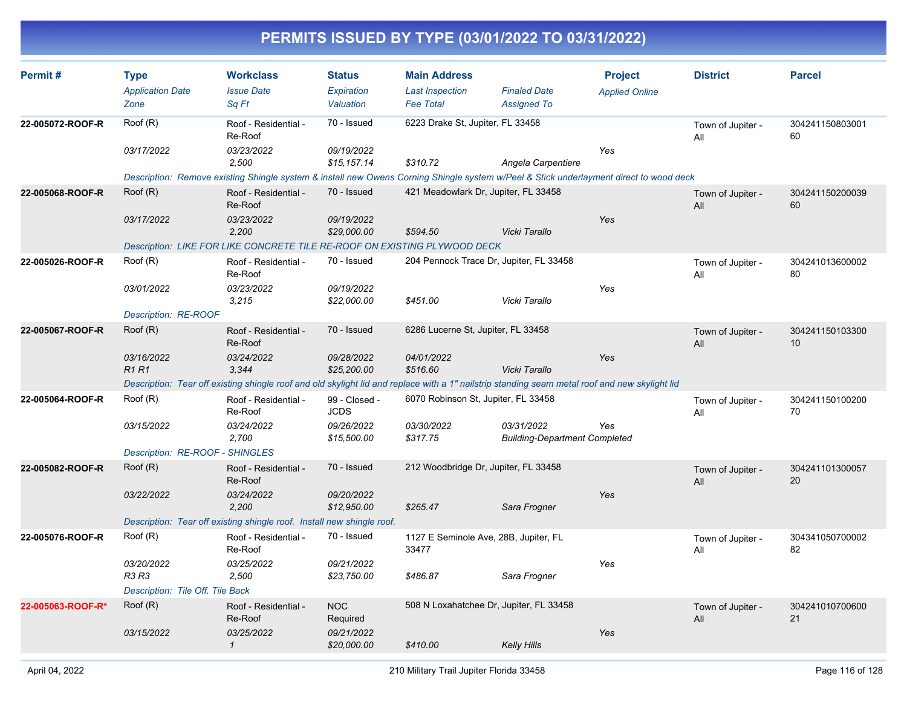| Permit#           | <b>Type</b><br><b>Application Date</b> | <b>Workclass</b><br><b>Issue Date</b>                                                                                                          | <b>Status</b><br><b>Expiration</b> | <b>Main Address</b><br><b>Last Inspection</b>  | <b>Finaled Date</b>                                | <b>Project</b><br><b>Applied Online</b> | <b>District</b>          | <b>Parcel</b>         |
|-------------------|----------------------------------------|------------------------------------------------------------------------------------------------------------------------------------------------|------------------------------------|------------------------------------------------|----------------------------------------------------|-----------------------------------------|--------------------------|-----------------------|
|                   | Zone                                   | Sq Ft                                                                                                                                          | Valuation                          | <b>Fee Total</b>                               | <b>Assigned To</b>                                 |                                         |                          |                       |
| 22-005072-ROOF-R  | Roof (R)                               | Roof - Residential -<br>Re-Roof                                                                                                                | 70 - Issued                        | 6223 Drake St, Jupiter, FL 33458               |                                                    |                                         | Town of Jupiter -<br>All | 304241150803001<br>60 |
|                   | 03/17/2022                             | 03/23/2022<br>2.500                                                                                                                            | 09/19/2022<br>\$15,157.14          | \$310.72                                       | Angela Carpentiere                                 | Yes                                     |                          |                       |
|                   |                                        | Description: Remove existing Shingle system & install new Owens Corning Shingle system w/Peel & Stick underlayment direct to wood deck         |                                    |                                                |                                                    |                                         |                          |                       |
| 22-005068-ROOF-R  | Root(R)                                | Roof - Residential -<br>Re-Roof                                                                                                                | 70 - Issued                        | 421 Meadowlark Dr, Jupiter, FL 33458           |                                                    |                                         | Town of Jupiter -<br>All | 304241150200039<br>60 |
|                   | 03/17/2022                             | 03/23/2022<br>2,200                                                                                                                            | 09/19/2022<br>\$29,000.00          | \$594.50                                       | Vicki Tarallo                                      | Yes                                     |                          |                       |
|                   |                                        | Description: LIKE FOR LIKE CONCRETE TILE RE-ROOF ON EXISTING PLYWOOD DECK                                                                      |                                    |                                                |                                                    |                                         |                          |                       |
| 22-005026-ROOF-R  | Root(R)                                | Roof - Residential -<br>Re-Roof                                                                                                                | 70 - Issued                        |                                                | 204 Pennock Trace Dr, Jupiter, FL 33458            |                                         | Town of Jupiter -<br>All | 304241013600002<br>80 |
|                   | 03/01/2022                             | 03/23/2022<br>3,215                                                                                                                            | 09/19/2022<br>\$22,000.00          | \$451.00                                       | Vicki Tarallo                                      | Yes                                     |                          |                       |
|                   | Description: RE-ROOF                   |                                                                                                                                                |                                    |                                                |                                                    |                                         |                          |                       |
| 22-005067-ROOF-R  | Root(R)                                | Roof - Residential -<br>Re-Roof                                                                                                                | 70 - Issued                        | 6286 Lucerne St, Jupiter, FL 33458             |                                                    |                                         | Town of Jupiter -<br>All | 304241150103300<br>10 |
|                   | 03/16/2022<br><b>R1 R1</b>             | 03/24/2022<br>3,344                                                                                                                            | 09/28/2022<br>\$25,200.00          | 04/01/2022<br>\$516.60                         | Vicki Tarallo                                      | Yes                                     |                          |                       |
|                   |                                        | Description: Tear off existing shingle roof and old skylight lid and replace with a 1" nailstrip standing seam metal roof and new skylight lid |                                    |                                                |                                                    |                                         |                          |                       |
| 22-005064-ROOF-R  | Root(R)                                | Roof - Residential -<br>Re-Roof                                                                                                                | 99 - Closed -<br><b>JCDS</b>       | 6070 Robinson St, Jupiter, FL 33458            |                                                    |                                         | Town of Jupiter -<br>All | 304241150100200<br>70 |
|                   | 03/15/2022                             | 03/24/2022<br>2,700                                                                                                                            | 09/26/2022<br>\$15,500.00          | 03/30/2022<br>\$317.75                         | 03/31/2022<br><b>Building-Department Completed</b> | Yes                                     |                          |                       |
|                   | Description: RE-ROOF - SHINGLES        |                                                                                                                                                |                                    |                                                |                                                    |                                         |                          |                       |
| 22-005082-ROOF-R  | Root(R)                                | Roof - Residential -<br>Re-Roof                                                                                                                | 70 - Issued                        | 212 Woodbridge Dr, Jupiter, FL 33458           |                                                    |                                         | Town of Jupiter -<br>All | 304241101300057<br>20 |
|                   | 03/22/2022                             | 03/24/2022<br>2.200                                                                                                                            | 09/20/2022<br>\$12,950.00          | \$265.47                                       | Sara Frogner                                       | Yes                                     |                          |                       |
|                   |                                        | Description: Tear off existing shingle roof. Install new shingle roof.                                                                         |                                    |                                                |                                                    |                                         |                          |                       |
| 22-005076-ROOF-R  | Root(R)                                | Roof - Residential -<br>Re-Roof                                                                                                                | 70 - Issued                        | 1127 E Seminole Ave, 28B, Jupiter, FL<br>33477 |                                                    |                                         | Town of Jupiter -<br>All | 304341050700002<br>82 |
|                   | 03/20/2022<br>R3 R3                    | 03/25/2022<br>2,500                                                                                                                            | 09/21/2022<br>\$23,750.00          | \$486.87                                       | Sara Frogner                                       | Yes                                     |                          |                       |
|                   | Description: Tile Off. Tile Back       |                                                                                                                                                |                                    |                                                |                                                    |                                         |                          |                       |
| 22-005063-ROOF-R* | Root(R)                                | Roof - Residential -<br>Re-Roof                                                                                                                | <b>NOC</b><br>Required             |                                                | 508 N Loxahatchee Dr, Jupiter, FL 33458            |                                         | Town of Jupiter -<br>All | 304241010700600<br>21 |
|                   | 03/15/2022                             | 03/25/2022<br>$\mathbf{1}$                                                                                                                     | 09/21/2022<br>\$20,000.00          | \$410.00                                       | <b>Kelly Hills</b>                                 | Yes                                     |                          |                       |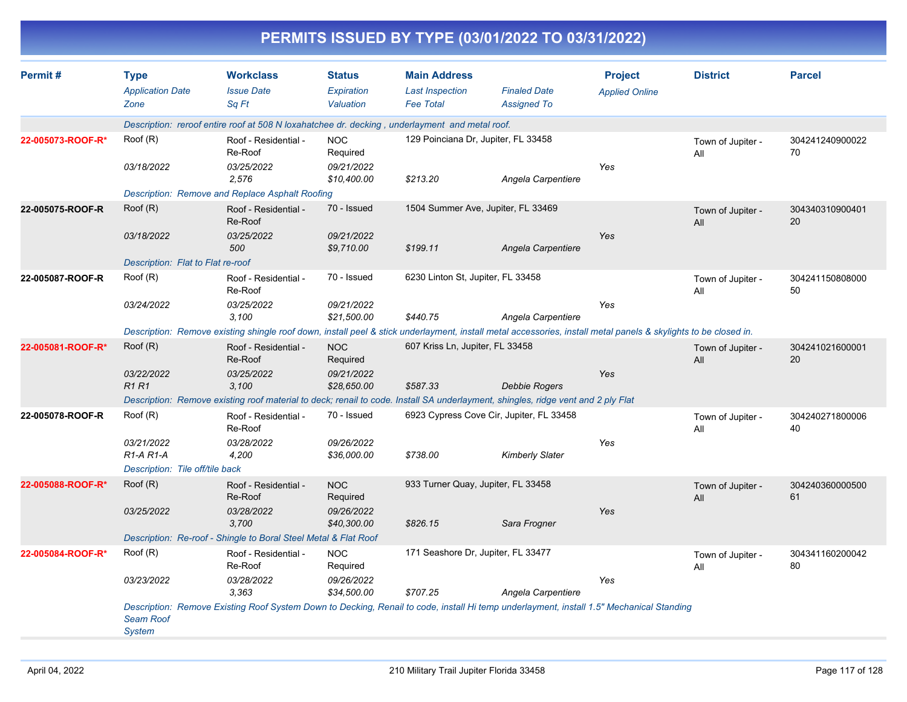| PERMITS ISSUED BY TYPE (03/01/2022 TO 03/31/2022) |                                                |                                                                                                                                                                 |                                          |                                                                   |                                           |                                         |                          |                       |  |  |
|---------------------------------------------------|------------------------------------------------|-----------------------------------------------------------------------------------------------------------------------------------------------------------------|------------------------------------------|-------------------------------------------------------------------|-------------------------------------------|-----------------------------------------|--------------------------|-----------------------|--|--|
| Permit#                                           | <b>Type</b><br><b>Application Date</b><br>Zone | <b>Workclass</b><br><b>Issue Date</b><br>Sq Ft                                                                                                                  | <b>Status</b><br>Expiration<br>Valuation | <b>Main Address</b><br><b>Last Inspection</b><br><b>Fee Total</b> | <b>Finaled Date</b><br><b>Assigned To</b> | <b>Project</b><br><b>Applied Online</b> | <b>District</b>          | <b>Parcel</b>         |  |  |
|                                                   |                                                | Description: reroof entire roof at 508 N loxahatchee dr. decking, underlayment and metal roof.                                                                  |                                          |                                                                   |                                           |                                         |                          |                       |  |  |
| 22-005073-ROOF-R*                                 | Root(R)                                        | Roof - Residential -<br>Re-Roof                                                                                                                                 | <b>NOC</b><br>Required                   | 129 Poinciana Dr, Jupiter, FL 33458                               |                                           |                                         | Town of Jupiter -<br>All | 304241240900022<br>70 |  |  |
|                                                   | 03/18/2022                                     | 03/25/2022<br>2,576                                                                                                                                             | 09/21/2022<br>\$10,400.00                | \$213.20                                                          | Angela Carpentiere                        | Yes                                     |                          |                       |  |  |
|                                                   |                                                | Description: Remove and Replace Asphalt Roofing                                                                                                                 |                                          |                                                                   |                                           |                                         |                          |                       |  |  |
| 22-005075-ROOF-R                                  | Root(R)                                        | Roof - Residential -<br>Re-Roof                                                                                                                                 | 70 - Issued                              | 1504 Summer Ave, Jupiter, FL 33469                                |                                           |                                         | Town of Jupiter -<br>All | 304340310900401<br>20 |  |  |
|                                                   | 03/18/2022                                     | 03/25/2022<br>500                                                                                                                                               | 09/21/2022<br>\$9,710.00                 | \$199.11                                                          | Angela Carpentiere                        | Yes                                     |                          |                       |  |  |
|                                                   | Description: Flat to Flat re-roof              |                                                                                                                                                                 | 70 - Issued                              |                                                                   |                                           |                                         |                          |                       |  |  |
| 22-005087-ROOF-R                                  | Root(R)                                        | Roof - Residential -<br>Re-Roof                                                                                                                                 |                                          | 6230 Linton St, Jupiter, FL 33458                                 |                                           |                                         | Town of Jupiter -<br>All | 304241150808000<br>50 |  |  |
|                                                   | 03/24/2022                                     | 03/25/2022<br>3,100                                                                                                                                             | 09/21/2022<br>\$21,500.00                | \$440.75                                                          | Angela Carpentiere                        | Yes                                     |                          |                       |  |  |
|                                                   |                                                | Description: Remove existing shingle roof down, install peel & stick underlayment, install metal accessories, install metal panels & skylights to be closed in. |                                          |                                                                   |                                           |                                         |                          |                       |  |  |
| 22-005081-ROOF-R*                                 | Root(R)                                        | Roof - Residential -<br>Re-Roof                                                                                                                                 | <b>NOC</b><br>Required                   | 607 Kriss Ln, Jupiter, FL 33458                                   |                                           |                                         | Town of Jupiter -<br>All | 304241021600001<br>20 |  |  |
|                                                   | 03/22/2022<br><b>R1R1</b>                      | 03/25/2022<br>3,100                                                                                                                                             | 09/21/2022<br>\$28,650.00                | \$587.33                                                          | <b>Debbie Rogers</b>                      | Yes                                     |                          |                       |  |  |
|                                                   |                                                | Description: Remove existing roof material to deck; renail to code. Install SA underlayment, shingles, ridge vent and 2 ply Flat                                |                                          |                                                                   |                                           |                                         |                          |                       |  |  |
| 22-005078-ROOF-R                                  | Root(R)                                        | Roof - Residential -<br>Re-Roof                                                                                                                                 | 70 - Issued                              |                                                                   | 6923 Cypress Cove Cir, Jupiter, FL 33458  |                                         | Town of Jupiter -<br>All | 304240271800006<br>40 |  |  |
|                                                   | 03/21/2022<br>$R1-A R1-A$                      | 03/28/2022<br>4,200                                                                                                                                             | 09/26/2022<br>\$36,000.00                | \$738.00                                                          | <b>Kimberly Slater</b>                    | Yes                                     |                          |                       |  |  |
|                                                   | Description: Tile off/tile back                |                                                                                                                                                                 |                                          |                                                                   |                                           |                                         |                          |                       |  |  |
| 22-005088-ROOF-R*                                 | Root(R)                                        | Roof - Residential -<br>Re-Roof                                                                                                                                 | <b>NOC</b><br>Required                   | 933 Turner Quay, Jupiter, FL 33458                                |                                           |                                         | Town of Jupiter -<br>All | 304240360000500<br>61 |  |  |
|                                                   | 03/25/2022                                     | 03/28/2022<br>3,700                                                                                                                                             | 09/26/2022<br>\$40,300.00                | \$826.15                                                          | Sara Frogner                              | Yes                                     |                          |                       |  |  |
|                                                   |                                                | Description: Re-roof - Shingle to Boral Steel Metal & Flat Roof                                                                                                 |                                          |                                                                   |                                           |                                         |                          |                       |  |  |
| 22-005084-ROOF-R*                                 | Root(R)                                        | Roof - Residential -<br>Re-Roof                                                                                                                                 | <b>NOC</b><br>Required                   | 171 Seashore Dr, Jupiter, FL 33477                                |                                           |                                         | Town of Jupiter -<br>All | 304341160200042<br>80 |  |  |
|                                                   | 03/23/2022                                     | 03/28/2022<br>3,363                                                                                                                                             | 09/26/2022<br>\$34,500.00                | \$707.25                                                          | Angela Carpentiere                        | Yes                                     |                          |                       |  |  |
|                                                   | <b>Seam Roof</b><br><b>System</b>              | Description: Remove Existing Roof System Down to Decking, Renail to code, install Hi temp underlayment, install 1.5" Mechanical Standing                        |                                          |                                                                   |                                           |                                         |                          |                       |  |  |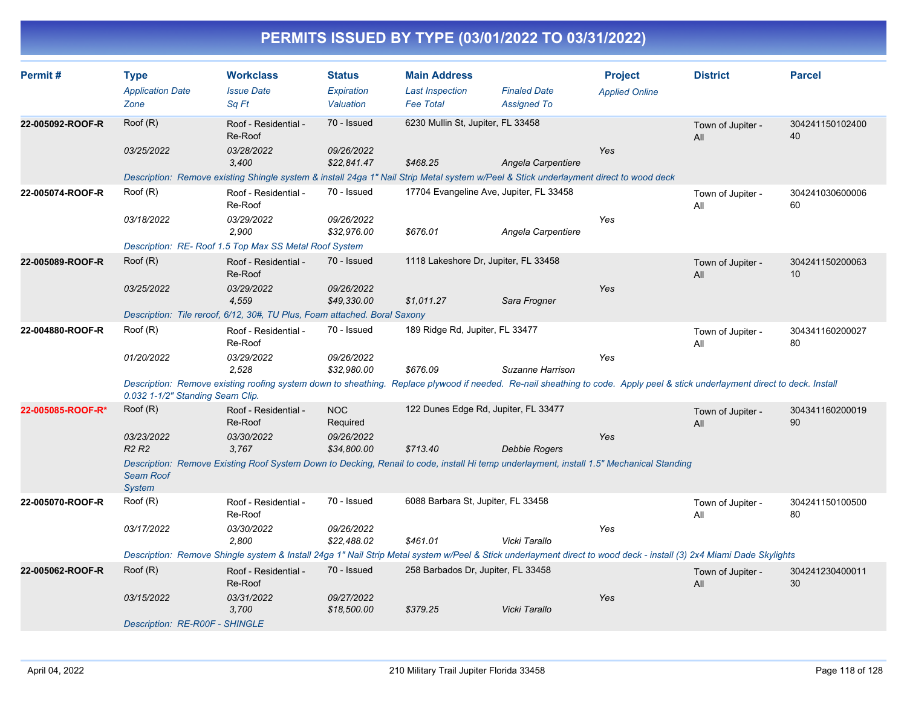| Permit#           | <b>Type</b>                       | <b>Workclass</b>                                                                                                                                                             | <b>Status</b>             | <b>Main Address</b>                |                                         | <b>Project</b>        | <b>District</b>          | <b>Parcel</b>         |
|-------------------|-----------------------------------|------------------------------------------------------------------------------------------------------------------------------------------------------------------------------|---------------------------|------------------------------------|-----------------------------------------|-----------------------|--------------------------|-----------------------|
|                   | <b>Application Date</b>           | <b>Issue Date</b>                                                                                                                                                            | Expiration                | <b>Last Inspection</b>             | <b>Finaled Date</b>                     | <b>Applied Online</b> |                          |                       |
|                   | Zone                              | Sq Ft                                                                                                                                                                        | Valuation                 | <b>Fee Total</b>                   | <b>Assigned To</b>                      |                       |                          |                       |
| 22-005092-ROOF-R  | Roof (R)                          | Roof - Residential -<br>Re-Roof                                                                                                                                              | 70 - Issued               | 6230 Mullin St, Jupiter, FL 33458  |                                         |                       | Town of Jupiter -<br>All | 304241150102400<br>40 |
|                   | 03/25/2022                        | 03/28/2022                                                                                                                                                                   | 09/26/2022                |                                    |                                         | Yes                   |                          |                       |
|                   |                                   | 3.400                                                                                                                                                                        | \$22.841.47               | \$468.25                           | Angela Carpentiere                      |                       |                          |                       |
|                   |                                   | Description: Remove existing Shingle system & install 24ga 1" Nail Strip Metal system w/Peel & Stick underlayment direct to wood deck                                        |                           |                                    |                                         |                       |                          |                       |
| 22-005074-ROOF-R  | Root(R)                           | Roof - Residential -<br>Re-Roof                                                                                                                                              | 70 - Issued               |                                    | 17704 Evangeline Ave, Jupiter, FL 33458 |                       | Town of Jupiter -<br>All | 304241030600006<br>60 |
|                   | 03/18/2022                        | 03/29/2022                                                                                                                                                                   | 09/26/2022                |                                    |                                         | Yes                   |                          |                       |
|                   |                                   | 2.900                                                                                                                                                                        | \$32.976.00               | \$676.01                           | Angela Carpentiere                      |                       |                          |                       |
|                   |                                   | Description: RE-Roof 1.5 Top Max SS Metal Roof System                                                                                                                        |                           |                                    |                                         |                       |                          |                       |
| 22-005089-ROOF-R  | Root(R)                           | Roof - Residential -<br>Re-Roof                                                                                                                                              | 70 - Issued               |                                    | 1118 Lakeshore Dr, Jupiter, FL 33458    |                       | Town of Jupiter -<br>All | 304241150200063<br>10 |
|                   | 03/25/2022                        | 03/29/2022                                                                                                                                                                   | 09/26/2022                |                                    |                                         | Yes                   |                          |                       |
|                   |                                   | 4,559                                                                                                                                                                        | \$49.330.00               | \$1,011.27                         | Sara Frogner                            |                       |                          |                       |
|                   |                                   | Description: Tile reroof, 6/12, 30#, TU Plus, Foam attached. Boral Saxony                                                                                                    |                           |                                    |                                         |                       |                          |                       |
| 22-004880-ROOF-R  | Root(R)                           | Roof - Residential -<br>Re-Roof                                                                                                                                              | 70 - Issued               | 189 Ridge Rd, Jupiter, FL 33477    |                                         |                       | Town of Jupiter -<br>All | 304341160200027<br>80 |
|                   | 01/20/2022                        | 03/29/2022<br>2.528                                                                                                                                                          | 09/26/2022<br>\$32,980.00 | \$676.09                           | Suzanne Harrison                        | Yes                   |                          |                       |
|                   | 0.032 1-1/2" Standing Seam Clip.  | Description: Remove existing roofing system down to sheathing. Replace plywood if needed. Re-nail sheathing to code. Apply peel & stick underlayment direct to deck. Install |                           |                                    |                                         |                       |                          |                       |
| 22-005085-ROOF-R* | Root(R)                           | Roof - Residential -<br>Re-Roof                                                                                                                                              | <b>NOC</b><br>Required    |                                    | 122 Dunes Edge Rd, Jupiter, FL 33477    |                       | Town of Jupiter -<br>All | 304341160200019<br>90 |
|                   | 03/23/2022                        | 03/30/2022                                                                                                                                                                   | 09/26/2022                |                                    |                                         | Yes                   |                          |                       |
|                   | R <sub>2</sub> R <sub>2</sub>     | 3.767                                                                                                                                                                        | \$34,800.00               | \$713.40                           | <b>Debbie Rogers</b>                    |                       |                          |                       |
|                   | <b>Seam Roof</b><br><b>System</b> | Description: Remove Existing Roof System Down to Decking, Renail to code, install Hi temp underlayment, install 1.5" Mechanical Standing                                     |                           |                                    |                                         |                       |                          |                       |
| 22-005070-ROOF-R  | Root(R)                           | Roof - Residential -<br>Re-Roof                                                                                                                                              | 70 - Issued               | 6088 Barbara St, Jupiter, FL 33458 |                                         |                       | Town of Jupiter -<br>All | 304241150100500<br>80 |
|                   | 03/17/2022                        | 03/30/2022<br>2,800                                                                                                                                                          | 09/26/2022<br>\$22,488.02 | \$461.01                           | Vicki Tarallo                           | Yes                   |                          |                       |
|                   |                                   | Description: Remove Shingle system & Install 24ga 1" Nail Strip Metal system w/Peel & Stick underlayment direct to wood deck - install (3) 2x4 Miami Dade Skylights          |                           |                                    |                                         |                       |                          |                       |
| 22-005062-ROOF-R  | Root(R)                           | Roof - Residential -<br>Re-Roof                                                                                                                                              | 70 - Issued               | 258 Barbados Dr. Jupiter, FL 33458 |                                         |                       | Town of Jupiter -<br>All | 304241230400011<br>30 |
|                   | 03/15/2022                        | 03/31/2022<br>3.700                                                                                                                                                          | 09/27/2022<br>\$18,500.00 | \$379.25                           | Vicki Tarallo                           | Yes                   |                          |                       |
|                   | Description: RE-R00F - SHINGLE    |                                                                                                                                                                              |                           |                                    |                                         |                       |                          |                       |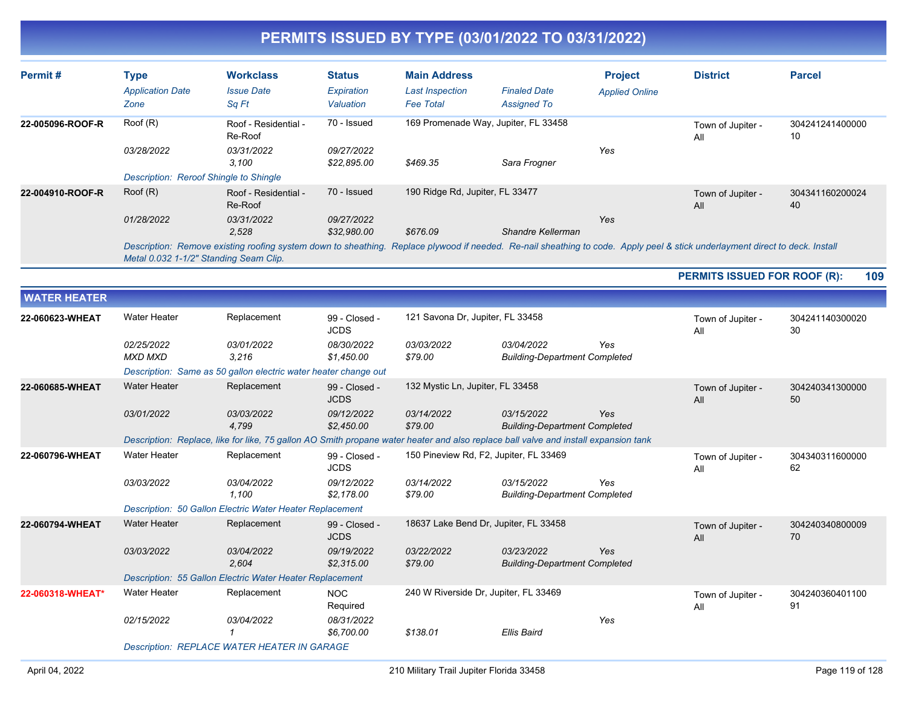| Permit#          | Type<br><b>Application Date</b><br>Zone | <b>Workclass</b><br><b>Issue Date</b><br>Sq Ft                                                                                                                               | <b>Status</b><br>Expiration<br>Valuation | <b>Main Address</b><br><b>Last Inspection</b><br><b>Fee Total</b> | <b>Finaled Date</b><br><b>Assigned To</b> | <b>Project</b><br><b>Applied Online</b> | <b>District</b>          | <b>Parcel</b>         |
|------------------|-----------------------------------------|------------------------------------------------------------------------------------------------------------------------------------------------------------------------------|------------------------------------------|-------------------------------------------------------------------|-------------------------------------------|-----------------------------------------|--------------------------|-----------------------|
| 22-005096-ROOF-R | Root(R)                                 | Roof - Residential -<br>Re-Roof                                                                                                                                              | 70 - Issued                              | 169 Promenade Way, Jupiter, FL 33458                              |                                           |                                         | Town of Jupiter -<br>Αll | 304241241400000<br>10 |
|                  | 03/28/2022                              | 03/31/2022<br>3,100                                                                                                                                                          | 09/27/2022<br>\$22,895.00                | \$469.35                                                          | Sara Frogner                              | Yes                                     |                          |                       |
|                  | Description: Reroof Shingle to Shingle  |                                                                                                                                                                              |                                          |                                                                   |                                           |                                         |                          |                       |
| 22-004910-ROOF-R | Root(R)                                 | Roof - Residential -<br>Re-Roof                                                                                                                                              | 70 - Issued                              | 190 Ridge Rd, Jupiter, FL 33477                                   |                                           |                                         | Town of Jupiter -<br>All | 304341160200024<br>40 |
|                  | 01/28/2022                              | 03/31/2022<br>2,528                                                                                                                                                          | 09/27/2022<br>\$32,980.00                | \$676.09                                                          | Shandre Kellerman                         | Yes                                     |                          |                       |
|                  |                                         | Description: Remove existing roofing system down to sheathing. Replace plywood if needed. Re-nail sheathing to code. Apply peel & stick underlayment direct to deck. Install |                                          |                                                                   |                                           |                                         |                          |                       |

*Metal 0.032 1-1/2" Standing Seam Clip.*

**PERMITS ISSUED FOR ROOF (R): 109**

| <b>WATER HEATER</b> |                                                    |                                                                                                                                     |                              |                                        |                                                    |     |                          |                       |  |
|---------------------|----------------------------------------------------|-------------------------------------------------------------------------------------------------------------------------------------|------------------------------|----------------------------------------|----------------------------------------------------|-----|--------------------------|-----------------------|--|
| 22-060623-WHEAT     | <b>Water Heater</b>                                | Replacement                                                                                                                         | 99 - Closed -<br><b>JCDS</b> | 121 Savona Dr, Jupiter, FL 33458       |                                                    |     | Town of Jupiter -<br>All | 304241140300020<br>30 |  |
|                     | 02/25/2022<br><b>MXD MXD</b>                       | 03/01/2022<br>3.216                                                                                                                 | 08/30/2022<br>\$1,450.00     | 03/03/2022<br>\$79.00                  | 03/04/2022<br><b>Building-Department Completed</b> | Yes |                          |                       |  |
|                     |                                                    | Description: Same as 50 gallon electric water heater change out                                                                     |                              |                                        |                                                    |     |                          |                       |  |
| 22-060685-WHEAT     | <b>Water Heater</b>                                | Replacement                                                                                                                         | 99 - Closed -<br><b>JCDS</b> | 132 Mystic Ln, Jupiter, FL 33458       |                                                    |     | Town of Jupiter -<br>All | 304240341300000<br>50 |  |
|                     | 03/01/2022                                         | 03/03/2022<br>4,799                                                                                                                 | 09/12/2022<br>\$2,450.00     | 03/14/2022<br>\$79.00                  | 03/15/2022<br><b>Building-Department Completed</b> | Yes |                          |                       |  |
|                     |                                                    | Description: Replace, like for like, 75 gallon AO Smith propane water heater and also replace ball valve and install expansion tank |                              |                                        |                                                    |     |                          |                       |  |
| 22-060796-WHEAT     | <b>Water Heater</b>                                | Replacement                                                                                                                         | 99 - Closed -<br><b>JCDS</b> | 150 Pineview Rd, F2, Jupiter, FL 33469 |                                                    |     | Town of Jupiter -<br>Αll | 304340311600000<br>62 |  |
|                     | 03/03/2022                                         | 03/04/2022<br>1.100                                                                                                                 | 09/12/2022<br>\$2,178.00     | 03/14/2022<br>\$79.00                  | 03/15/2022<br><b>Building-Department Completed</b> | Yes |                          |                       |  |
|                     |                                                    | Description: 50 Gallon Electric Water Heater Replacement                                                                            |                              |                                        |                                                    |     |                          |                       |  |
| 22-060794-WHEAT     | <b>Water Heater</b>                                | Replacement                                                                                                                         | 99 - Closed -<br><b>JCDS</b> | 18637 Lake Bend Dr, Jupiter, FL 33458  |                                                    |     | Town of Jupiter -<br>All | 304240340800009<br>70 |  |
|                     | 03/03/2022                                         | 03/04/2022<br>2,604                                                                                                                 | 09/19/2022<br>\$2,315.00     | 03/22/2022<br>\$79.00                  | 03/23/2022<br><b>Building-Department Completed</b> | Yes |                          |                       |  |
|                     |                                                    | Description: 55 Gallon Electric Water Heater Replacement                                                                            |                              |                                        |                                                    |     |                          |                       |  |
| 22-060318-WHEAT*    | <b>Water Heater</b>                                | Replacement                                                                                                                         | <b>NOC</b><br>Required       | 240 W Riverside Dr, Jupiter, FL 33469  |                                                    |     | Town of Jupiter -<br>All | 304240360401100<br>91 |  |
|                     | 02/15/2022                                         | 03/04/2022                                                                                                                          | 08/31/2022<br>\$6,700.00     | \$138.01                               | Ellis Baird                                        | Yes |                          |                       |  |
|                     | <b>Description: REPLACE WATER HEATER IN GARAGE</b> |                                                                                                                                     |                              |                                        |                                                    |     |                          |                       |  |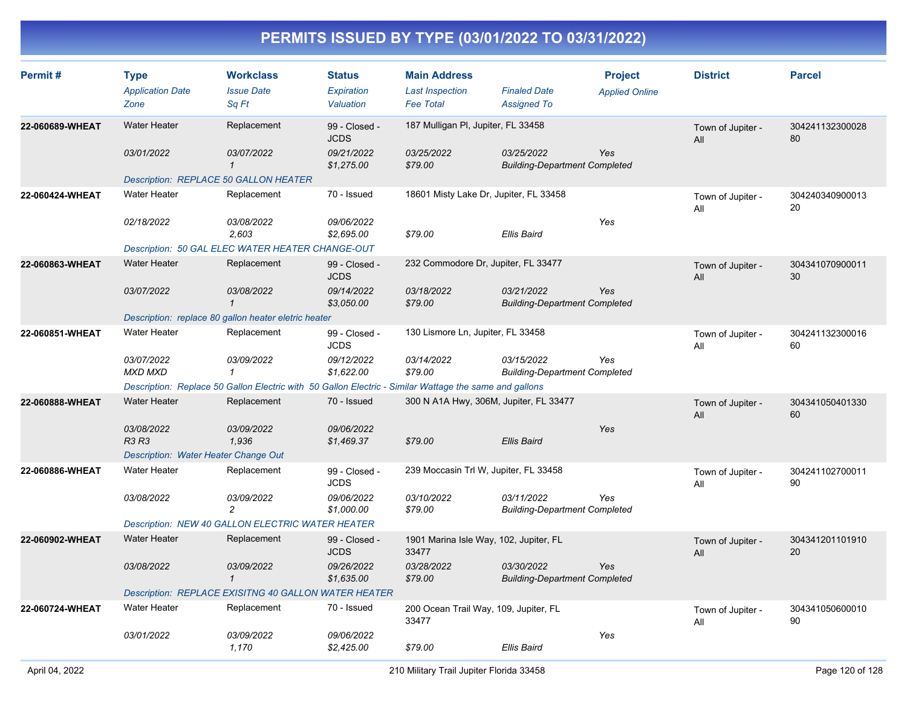| Permit#         | <b>Type</b><br><b>Application Date</b><br>Zone | <b>Workclass</b><br><b>Issue Date</b><br>Sq Ft                                                         | <b>Status</b><br>Expiration<br>Valuation | <b>Main Address</b><br><b>Last Inspection</b><br><b>Fee Total</b> | <b>Finaled Date</b><br><b>Assigned To</b>          | <b>Project</b><br><b>Applied Online</b> | <b>District</b>          | <b>Parcel</b>         |
|-----------------|------------------------------------------------|--------------------------------------------------------------------------------------------------------|------------------------------------------|-------------------------------------------------------------------|----------------------------------------------------|-----------------------------------------|--------------------------|-----------------------|
| 22-060689-WHEAT | <b>Water Heater</b>                            | Replacement                                                                                            | 99 - Closed -<br><b>JCDS</b>             | 187 Mulligan PI, Jupiter, FL 33458                                |                                                    |                                         | Town of Jupiter -<br>All | 304241132300028<br>80 |
|                 | 03/01/2022                                     | <i>03/07/2022</i><br>$\mathcal{I}$                                                                     | 09/21/2022<br>\$1,275.00                 | 03/25/2022<br>\$79.00                                             | 03/25/2022<br><b>Building-Department Completed</b> | Yes                                     |                          |                       |
|                 |                                                | <b>Description: REPLACE 50 GALLON HEATER</b>                                                           |                                          |                                                                   |                                                    |                                         |                          |                       |
| 22-060424-WHEAT | <b>Water Heater</b>                            | Replacement                                                                                            | 70 - Issued                              | 18601 Misty Lake Dr, Jupiter, FL 33458                            |                                                    |                                         | Town of Jupiter -<br>All | 304240340900013<br>20 |
|                 | 02/18/2022                                     | <i>03/08/2022</i><br>2,603                                                                             | 09/06/2022<br>\$2,695.00                 | \$79.00                                                           | Ellis Baird                                        | Yes                                     |                          |                       |
|                 |                                                | Description: 50 GAL ELEC WATER HEATER CHANGE-OUT                                                       |                                          |                                                                   |                                                    |                                         |                          |                       |
| 22-060863-WHEAT | <b>Water Heater</b>                            | Replacement                                                                                            | 99 - Closed -<br><b>JCDS</b>             | 232 Commodore Dr, Jupiter, FL 33477                               |                                                    |                                         | Town of Jupiter -<br>All | 304341070900011<br>30 |
|                 | 03/07/2022                                     | 03/08/2022<br>$\mathbf{1}$                                                                             | 09/14/2022<br>\$3,050.00                 | 03/18/2022<br>\$79.00                                             | 03/21/2022<br><b>Building-Department Completed</b> | Yes                                     |                          |                       |
|                 |                                                | Description: replace 80 gallon heater eletric heater                                                   |                                          |                                                                   |                                                    |                                         |                          |                       |
| 22-060851-WHEAT | <b>Water Heater</b>                            | Replacement                                                                                            | 99 - Closed -<br><b>JCDS</b>             | 130 Lismore Ln, Jupiter, FL 33458                                 |                                                    |                                         | Town of Jupiter -<br>All | 304241132300016<br>60 |
|                 | 03/07/2022<br><b>MXD MXD</b>                   | 03/09/2022<br>$\mathbf{1}$                                                                             | 09/12/2022<br>\$1,622.00                 | 03/14/2022<br>\$79.00                                             | 03/15/2022<br><b>Building-Department Completed</b> | Yes                                     |                          |                       |
|                 |                                                | Description: Replace 50 Gallon Electric with 50 Gallon Electric - Similar Wattage the same and gallons |                                          |                                                                   |                                                    |                                         |                          |                       |
| 22-060888-WHEAT | <b>Water Heater</b>                            | Replacement                                                                                            | 70 - Issued                              | 300 N A1A Hwy, 306M, Jupiter, FL 33477                            |                                                    |                                         | Town of Jupiter -<br>All | 304341050401330<br>60 |
|                 | 03/08/2022<br><b>R3 R3</b>                     | 03/09/2022<br>1,936                                                                                    | 09/06/2022<br>\$1,469.37                 | \$79.00                                                           | Ellis Baird                                        | Yes                                     |                          |                       |
|                 | Description: Water Heater Change Out           |                                                                                                        |                                          |                                                                   |                                                    |                                         |                          |                       |
| 22-060886-WHEAT | <b>Water Heater</b>                            | Replacement                                                                                            | 99 - Closed -<br><b>JCDS</b>             | 239 Moccasin Trl W, Jupiter, FL 33458                             |                                                    |                                         | Town of Jupiter -<br>All | 304241102700011<br>90 |
|                 | 03/08/2022                                     | 03/09/2022<br>$\overline{c}$                                                                           | 09/06/2022<br>\$1,000.00                 | 03/10/2022<br>\$79.00                                             | 03/11/2022<br><b>Building-Department Completed</b> | Yes                                     |                          |                       |
|                 |                                                | Description: NEW 40 GALLON ELECTRIC WATER HEATER                                                       |                                          |                                                                   |                                                    |                                         |                          |                       |
| 22-060902-WHEAT | <b>Water Heater</b>                            | Replacement                                                                                            | 99 - Closed -<br><b>JCDS</b>             | 1901 Marina Isle Way, 102, Jupiter, FL<br>33477                   |                                                    |                                         | Town of Jupiter -<br>All | 304341201101910<br>20 |
|                 | 03/08/2022                                     | <i>03/09/2022</i><br>$\mathbf{1}$                                                                      | 09/26/2022<br>\$1,635.00                 | 03/28/2022<br>\$79.00                                             | 03/30/2022<br><b>Building-Department Completed</b> | Yes                                     |                          |                       |
|                 |                                                | Description: REPLACE EXISITNG 40 GALLON WATER HEATER                                                   |                                          |                                                                   |                                                    |                                         |                          |                       |
| 22-060724-WHEAT | <b>Water Heater</b>                            | Replacement                                                                                            | 70 - Issued                              | 200 Ocean Trail Way, 109, Jupiter, FL<br>33477                    |                                                    |                                         | Town of Jupiter -<br>All | 304341050600010<br>90 |
|                 | 03/01/2022                                     | 03/09/2022<br>1,170                                                                                    | 09/06/2022<br>\$2,425.00                 | \$79.00                                                           | Ellis Baird                                        | Yes                                     |                          |                       |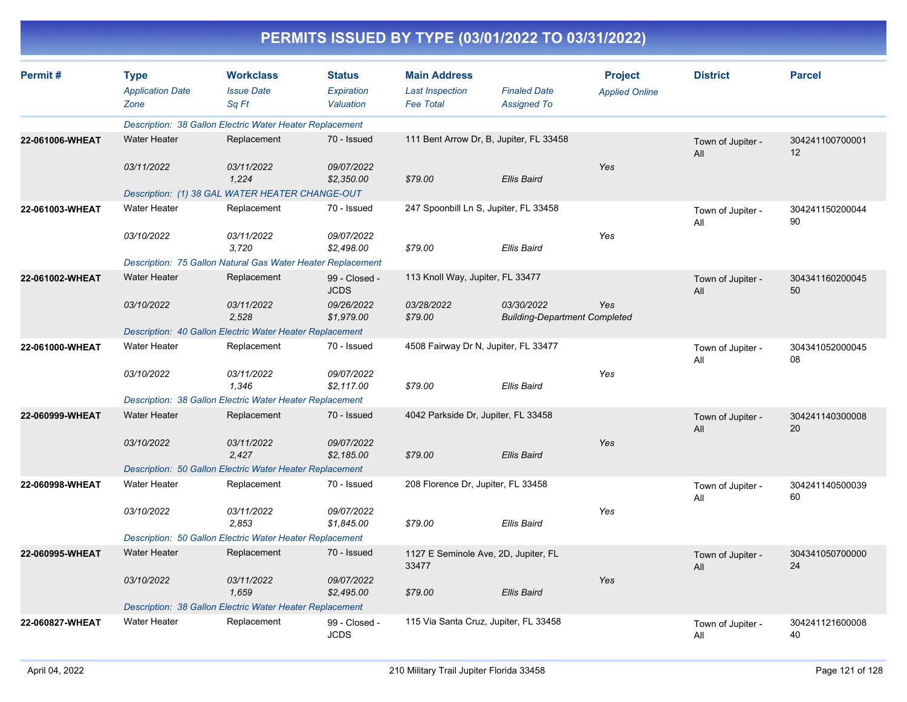| Permit#         | <b>Type</b><br><b>Application Date</b> | <b>Workclass</b><br><b>Issue Date</b>                       | <b>Status</b><br>Expiration  | <b>Main Address</b><br><b>Last Inspection</b> | <b>Finaled Date</b>                                | <b>Project</b>        | <b>District</b>          | <b>Parcel</b>         |
|-----------------|----------------------------------------|-------------------------------------------------------------|------------------------------|-----------------------------------------------|----------------------------------------------------|-----------------------|--------------------------|-----------------------|
|                 | Zone                                   | Sq Ft                                                       | Valuation                    | <b>Fee Total</b>                              | <b>Assigned To</b>                                 | <b>Applied Online</b> |                          |                       |
|                 |                                        | Description: 38 Gallon Electric Water Heater Replacement    |                              |                                               |                                                    |                       |                          |                       |
| 22-061006-WHEAT | <b>Water Heater</b>                    | Replacement                                                 | 70 - Issued                  |                                               | 111 Bent Arrow Dr, B, Jupiter, FL 33458            |                       | Town of Jupiter -<br>All | 304241100700001<br>12 |
|                 | 03/11/2022                             | 03/11/2022<br>1,224                                         | 09/07/2022<br>\$2,350.00     | \$79.00                                       | <b>Ellis Baird</b>                                 | Yes                   |                          |                       |
|                 |                                        | Description: (1) 38 GAL WATER HEATER CHANGE-OUT             |                              |                                               |                                                    |                       |                          |                       |
| 22-061003-WHEAT | <b>Water Heater</b>                    | Replacement                                                 | 70 - Issued                  | 247 Spoonbill Ln S, Jupiter, FL 33458         |                                                    |                       | Town of Jupiter -<br>All | 304241150200044<br>90 |
|                 | 03/10/2022                             | 03/11/2022<br>3,720                                         | 09/07/2022<br>\$2,498.00     | \$79.00                                       | <b>Ellis Baird</b>                                 | Yes                   |                          |                       |
|                 |                                        | Description: 75 Gallon Natural Gas Water Heater Replacement |                              |                                               |                                                    |                       |                          |                       |
| 22-061002-WHEAT | <b>Water Heater</b>                    | Replacement                                                 | 99 - Closed -<br><b>JCDS</b> | 113 Knoll Way, Jupiter, FL 33477              |                                                    |                       | Town of Jupiter -<br>All | 304341160200045<br>50 |
|                 | 03/10/2022                             | 03/11/2022<br>2,528                                         | 09/26/2022<br>\$1,979.00     | 03/28/2022<br>\$79.00                         | 03/30/2022<br><b>Building-Department Completed</b> | Yes                   |                          |                       |
|                 |                                        | Description: 40 Gallon Electric Water Heater Replacement    |                              |                                               |                                                    |                       |                          |                       |
| 22-061000-WHEAT | <b>Water Heater</b>                    | Replacement                                                 | 70 - Issued                  | 4508 Fairway Dr N, Jupiter, FL 33477          |                                                    |                       | Town of Jupiter -<br>All | 304341052000045<br>08 |
|                 | 03/10/2022                             | 03/11/2022<br>1.346                                         | 09/07/2022<br>\$2,117.00     | \$79.00                                       | <b>Ellis Baird</b>                                 | Yes                   |                          |                       |
|                 |                                        | Description: 38 Gallon Electric Water Heater Replacement    |                              |                                               |                                                    |                       |                          |                       |
| 22-060999-WHEAT | <b>Water Heater</b>                    | Replacement                                                 | 70 - Issued                  | 4042 Parkside Dr, Jupiter, FL 33458           |                                                    |                       | Town of Jupiter -<br>All | 304241140300008<br>20 |
|                 | 03/10/2022                             | 03/11/2022<br>2,427                                         | 09/07/2022<br>\$2,185.00     | \$79.00                                       | <b>Ellis Baird</b>                                 | Yes                   |                          |                       |
|                 |                                        | Description: 50 Gallon Electric Water Heater Replacement    |                              |                                               |                                                    |                       |                          |                       |
| 22-060998-WHEAT | <b>Water Heater</b>                    | Replacement                                                 | 70 - Issued                  | 208 Florence Dr, Jupiter, FL 33458            |                                                    |                       | Town of Jupiter -<br>All | 304241140500039<br>60 |
|                 | 03/10/2022                             | 03/11/2022<br>2,853                                         | 09/07/2022<br>\$1,845.00     | \$79.00                                       | <b>Ellis Baird</b>                                 | Yes                   |                          |                       |
|                 |                                        | Description: 50 Gallon Electric Water Heater Replacement    |                              |                                               |                                                    |                       |                          |                       |
| 22-060995-WHEAT | <b>Water Heater</b>                    | Replacement                                                 | 70 - Issued                  | 1127 E Seminole Ave, 2D, Jupiter, FL<br>33477 |                                                    |                       | Town of Jupiter -<br>All | 304341050700000<br>24 |
|                 | 03/10/2022                             | 03/11/2022<br>1,659                                         | 09/07/2022<br>\$2,495.00     | \$79.00                                       | <b>Ellis Baird</b>                                 | Yes                   |                          |                       |
|                 |                                        | Description: 38 Gallon Electric Water Heater Replacement    |                              |                                               |                                                    |                       |                          |                       |
| 22-060827-WHEAT | <b>Water Heater</b>                    | Replacement                                                 | 99 - Closed -<br><b>JCDS</b> |                                               | 115 Via Santa Cruz, Jupiter, FL 33458              |                       | Town of Jupiter -<br>All | 304241121600008<br>40 |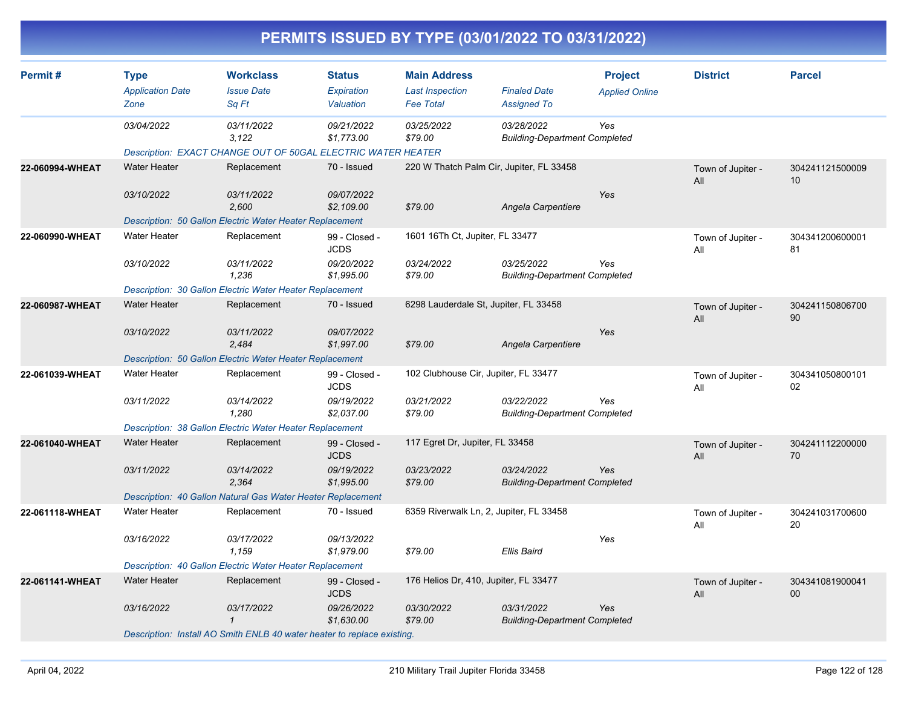|                 |                                                |                                                                                     |                                          |                                                                   | PERMITS ISSUED BY TYPE (03/01/2022 TO 03/31/2022)  |                                         |                          |                                    |
|-----------------|------------------------------------------------|-------------------------------------------------------------------------------------|------------------------------------------|-------------------------------------------------------------------|----------------------------------------------------|-----------------------------------------|--------------------------|------------------------------------|
| Permit#         | <b>Type</b><br><b>Application Date</b><br>Zone | <b>Workclass</b><br><b>Issue Date</b><br>Sq Ft                                      | <b>Status</b><br>Expiration<br>Valuation | <b>Main Address</b><br><b>Last Inspection</b><br><b>Fee Total</b> | <b>Finaled Date</b><br><b>Assigned To</b>          | <b>Project</b><br><b>Applied Online</b> | <b>District</b>          | <b>Parcel</b>                      |
|                 | 03/04/2022                                     | 03/11/2022<br>3,122<br>Description: EXACT CHANGE OUT OF 50GAL ELECTRIC WATER HEATER | 09/21/2022<br>\$1,773.00                 | 03/25/2022<br>\$79.00                                             | 03/28/2022<br><b>Building-Department Completed</b> | Yes                                     |                          |                                    |
| 22-060994-WHEAT | <b>Water Heater</b>                            | Replacement                                                                         | 70 - Issued                              |                                                                   | 220 W Thatch Palm Cir, Jupiter, FL 33458           |                                         | Town of Jupiter -<br>All | 304241121500009<br>10              |
|                 | 03/10/2022                                     | 03/11/2022<br>2.600<br>Description: 50 Gallon Electric Water Heater Replacement     | 09/07/2022<br>\$2,109.00                 | \$79.00                                                           | Angela Carpentiere                                 | Yes                                     |                          |                                    |
| 22-060990-WHEAT | <b>Water Heater</b>                            | Replacement                                                                         | 99 - Closed -<br><b>JCDS</b>             | 1601 16Th Ct, Jupiter, FL 33477                                   |                                                    |                                         | Town of Jupiter -<br>All | 304341200600001<br>81              |
|                 | 03/10/2022                                     | 03/11/2022<br>1,236<br>Description: 30 Gallon Electric Water Heater Replacement     | 09/20/2022<br>\$1,995.00                 | 03/24/2022<br>\$79.00                                             | 03/25/2022<br><b>Building-Department Completed</b> | Yes                                     |                          |                                    |
| 22-060987-WHEAT | <b>Water Heater</b>                            | Replacement                                                                         | 70 - Issued                              |                                                                   | 6298 Lauderdale St, Jupiter, FL 33458              |                                         | Town of Jupiter -<br>All | 304241150806700<br>90              |
|                 | 03/10/2022                                     | 03/11/2022<br>2,484                                                                 | 09/07/2022<br>\$1,997.00                 | \$79.00                                                           | Angela Carpentiere                                 | Yes                                     |                          |                                    |
|                 |                                                | Description: 50 Gallon Electric Water Heater Replacement                            |                                          |                                                                   |                                                    |                                         |                          |                                    |
| 22-061039-WHEAT | <b>Water Heater</b>                            | Replacement                                                                         | 99 - Closed -<br><b>JCDS</b>             |                                                                   | 102 Clubhouse Cir, Jupiter, FL 33477               |                                         | Town of Jupiter -<br>All | 304341050800101<br>02              |
|                 | 03/11/2022                                     | 03/14/2022<br>1,280<br>Description: 38 Gallon Electric Water Heater Replacement     | 09/19/2022<br>\$2,037.00                 | 03/21/2022<br>\$79.00                                             | 03/22/2022<br><b>Building-Department Completed</b> | Yes                                     |                          |                                    |
|                 | <b>Water Heater</b>                            | Replacement                                                                         |                                          | 117 Egret Dr, Jupiter, FL 33458                                   |                                                    |                                         |                          |                                    |
| 22-061040-WHEAT |                                                |                                                                                     | 99 - Closed -<br><b>JCDS</b>             |                                                                   |                                                    |                                         | Town of Jupiter -<br>All | 304241112200000<br>70              |
|                 | 03/11/2022                                     | 03/14/2022<br>2,364                                                                 | 09/19/2022<br>\$1,995.00                 | 03/23/2022<br>\$79.00                                             | 03/24/2022<br><b>Building-Department Completed</b> | Yes                                     |                          |                                    |
|                 |                                                | Description: 40 Gallon Natural Gas Water Heater Replacement                         |                                          |                                                                   |                                                    |                                         |                          |                                    |
| 22-061118-WHEAT | <b>Water Heater</b>                            | Replacement                                                                         | 70 - Issued                              |                                                                   | 6359 Riverwalk Ln, 2, Jupiter, FL 33458            |                                         | Town of Jupiter -<br>All | 304241031700600<br>20              |
|                 | 03/16/2022                                     | 03/17/2022<br>1,159                                                                 | 09/13/2022<br>\$1,979.00                 | \$79.00                                                           | <b>Ellis Baird</b>                                 | Yes                                     |                          |                                    |
|                 |                                                | Description: 40 Gallon Electric Water Heater Replacement                            |                                          |                                                                   |                                                    |                                         |                          |                                    |
| 22-061141-WHEAT | <b>Water Heater</b>                            | Replacement                                                                         | 99 - Closed -<br><b>JCDS</b>             |                                                                   | 176 Helios Dr, 410, Jupiter, FL 33477              |                                         | Town of Jupiter -<br>All | 304341081900041<br>00 <sup>°</sup> |
|                 | 03/16/2022                                     | 03/17/2022<br>$\mathcal I$                                                          | 09/26/2022<br>\$1,630.00                 | 03/30/2022<br>\$79.00                                             | 03/31/2022<br><b>Building-Department Completed</b> | Yes                                     |                          |                                    |
|                 |                                                | Description: Install AO Smith ENLB 40 water heater to replace existing.             |                                          |                                                                   |                                                    |                                         |                          |                                    |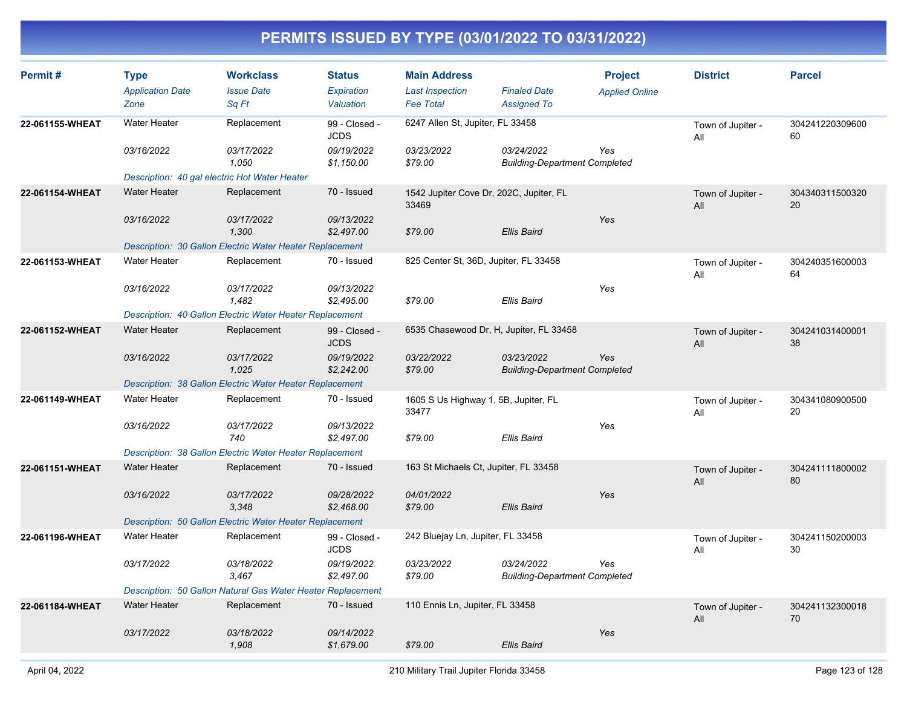| Permit#         | <b>Type</b><br><b>Application Date</b><br>Zone | <b>Workclass</b><br><b>Issue Date</b><br>Sa Ft                  | <b>Status</b><br>Expiration<br>Valuation | <b>Main Address</b><br><b>Last Inspection</b><br><b>Fee Total</b> | <b>Finaled Date</b><br><b>Assigned To</b>          | <b>Project</b><br><b>Applied Online</b> | <b>District</b>          | <b>Parcel</b>         |
|-----------------|------------------------------------------------|-----------------------------------------------------------------|------------------------------------------|-------------------------------------------------------------------|----------------------------------------------------|-----------------------------------------|--------------------------|-----------------------|
| 22-061155-WHEAT | <b>Water Heater</b>                            | Replacement                                                     | 99 - Closed -<br><b>JCDS</b>             | 6247 Allen St, Jupiter, FL 33458                                  |                                                    |                                         | Town of Jupiter -<br>All | 304241220309600<br>60 |
|                 | 03/16/2022                                     | 03/17/2022<br>1,050                                             | 09/19/2022<br>\$1,150.00                 | 03/23/2022<br>\$79.00                                             | 03/24/2022<br><b>Building-Department Completed</b> | Yes                                     |                          |                       |
|                 |                                                | Description: 40 gal electric Hot Water Heater                   |                                          |                                                                   |                                                    |                                         |                          |                       |
| 22-061154-WHEAT | <b>Water Heater</b>                            | Replacement                                                     | 70 - Issued                              | 1542 Jupiter Cove Dr, 202C, Jupiter, FL<br>33469                  |                                                    |                                         | Town of Jupiter -<br>All | 304340311500320<br>20 |
|                 | 03/16/2022                                     | 03/17/2022<br>1,300                                             | 09/13/2022<br>\$2,497.00                 | \$79.00                                                           | Ellis Baird                                        | Yes                                     |                          |                       |
|                 |                                                | Description: 30 Gallon Electric Water Heater Replacement        |                                          |                                                                   |                                                    |                                         |                          |                       |
| 22-061153-WHEAT | Water Heater                                   | Replacement                                                     | 70 - Issued                              | 825 Center St, 36D, Jupiter, FL 33458                             |                                                    |                                         | Town of Jupiter -<br>All | 304240351600003<br>64 |
|                 | 03/16/2022                                     | 03/17/2022<br>1,482                                             | 09/13/2022<br>\$2,495.00                 | \$79.00                                                           | Ellis Baird                                        | Yes                                     |                          |                       |
|                 |                                                | <b>Description: 40 Gallon Electric Water Heater Replacement</b> |                                          |                                                                   |                                                    |                                         |                          |                       |
| 22-061152-WHEAT | <b>Water Heater</b>                            | Replacement                                                     | 99 - Closed -<br><b>JCDS</b>             | 6535 Chasewood Dr, H, Jupiter, FL 33458                           |                                                    |                                         | Town of Jupiter -<br>All | 304241031400001<br>38 |
|                 | 03/16/2022                                     | 03/17/2022<br>1,025                                             | 09/19/2022<br>\$2,242.00                 | 03/22/2022<br>\$79.00                                             | 03/23/2022<br><b>Building-Department Completed</b> | Yes                                     |                          |                       |
|                 |                                                | Description: 38 Gallon Electric Water Heater Replacement        |                                          |                                                                   |                                                    |                                         |                          |                       |
| 22-061149-WHEAT | <b>Water Heater</b>                            | Replacement                                                     | 70 - Issued                              | 1605 S Us Highway 1, 5B, Jupiter, FL<br>33477                     |                                                    |                                         | Town of Jupiter -<br>All | 304341080900500<br>20 |
|                 | 03/16/2022                                     | 03/17/2022<br>740                                               | 09/13/2022<br>\$2,497.00                 | \$79.00                                                           | <b>Ellis Baird</b>                                 | Yes                                     |                          |                       |
|                 |                                                | Description: 38 Gallon Electric Water Heater Replacement        |                                          |                                                                   |                                                    |                                         |                          |                       |
| 22-061151-WHEAT | <b>Water Heater</b>                            | Replacement                                                     | 70 - Issued                              | 163 St Michaels Ct, Jupiter, FL 33458                             |                                                    |                                         | Town of Jupiter -<br>All | 304241111800002<br>80 |
|                 | 03/16/2022                                     | 03/17/2022<br>3,348                                             | 09/28/2022<br>\$2,468.00                 | 04/01/2022<br>\$79.00                                             | Ellis Baird                                        | Yes                                     |                          |                       |
|                 |                                                | Description: 50 Gallon Electric Water Heater Replacement        |                                          |                                                                   |                                                    |                                         |                          |                       |
| 22-061196-WHEAT | <b>Water Heater</b>                            | Replacement                                                     | 99 - Closed -<br><b>JCDS</b>             | 242 Bluejay Ln, Jupiter, FL 33458                                 |                                                    |                                         | Town of Jupiter -<br>All | 304241150200003<br>30 |
|                 | 03/17/2022                                     | 03/18/2022<br>3.467                                             | 09/19/2022<br>\$2,497.00                 | 03/23/2022<br>\$79.00                                             | 03/24/2022<br><b>Building-Department Completed</b> | Yes                                     |                          |                       |
|                 |                                                | Description: 50 Gallon Natural Gas Water Heater Replacement     |                                          |                                                                   |                                                    |                                         |                          |                       |
| 22-061184-WHEAT | <b>Water Heater</b>                            | Replacement                                                     | 70 - Issued                              | 110 Ennis Ln, Jupiter, FL 33458                                   |                                                    |                                         | Town of Jupiter -<br>All | 304241132300018<br>70 |
|                 | 03/17/2022                                     | 03/18/2022<br>1,908                                             | 09/14/2022<br>\$1,679.00                 | \$79.00                                                           | Ellis Baird                                        | Yes                                     |                          |                       |
|                 |                                                |                                                                 |                                          |                                                                   |                                                    |                                         |                          |                       |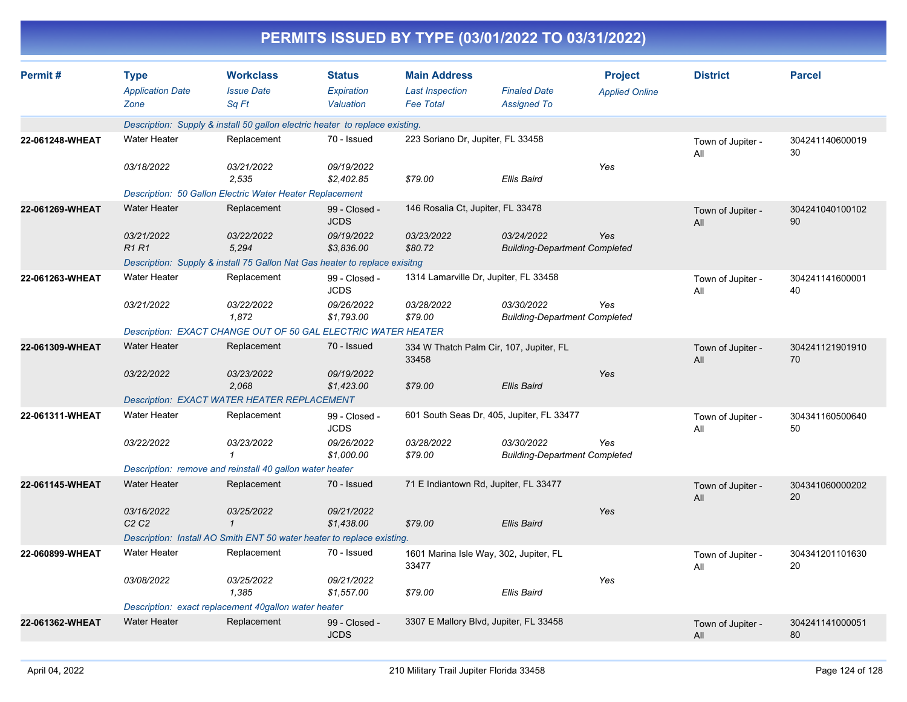|                 |                                                |                                                                              |                                          | PERMITS ISSUED BY TYPE (03/01/2022 TO 03/31/2022)                 |                                                    |                                         |                          |                       |
|-----------------|------------------------------------------------|------------------------------------------------------------------------------|------------------------------------------|-------------------------------------------------------------------|----------------------------------------------------|-----------------------------------------|--------------------------|-----------------------|
| Permit#         | <b>Type</b><br><b>Application Date</b><br>Zone | <b>Workclass</b><br><b>Issue Date</b><br>Sq Ft                               | <b>Status</b><br>Expiration<br>Valuation | <b>Main Address</b><br><b>Last Inspection</b><br><b>Fee Total</b> | <b>Finaled Date</b><br><b>Assigned To</b>          | <b>Project</b><br><b>Applied Online</b> | <b>District</b>          | <b>Parcel</b>         |
|                 |                                                | Description: Supply & install 50 gallon electric heater to replace existing. |                                          |                                                                   |                                                    |                                         |                          |                       |
| 22-061248-WHEAT | <b>Water Heater</b>                            | Replacement                                                                  | 70 - Issued                              | 223 Soriano Dr, Jupiter, FL 33458                                 |                                                    |                                         | Town of Jupiter -<br>All | 304241140600019<br>30 |
|                 | 03/18/2022                                     | 03/21/2022<br>2,535                                                          | 09/19/2022<br>\$2,402.85                 | \$79.00                                                           | Ellis Baird                                        | Yes                                     |                          |                       |
|                 |                                                | Description: 50 Gallon Electric Water Heater Replacement                     |                                          |                                                                   |                                                    |                                         |                          |                       |
| 22-061269-WHEAT | <b>Water Heater</b>                            | Replacement                                                                  | 99 - Closed -<br><b>JCDS</b>             | 146 Rosalia Ct, Jupiter, FL 33478                                 |                                                    |                                         | Town of Jupiter -<br>All | 304241040100102<br>90 |
|                 | 03/21/2022<br><b>R1 R1</b>                     | 03/22/2022<br>5,294                                                          | 09/19/2022<br>\$3,836.00                 | 03/23/2022<br>\$80.72                                             | 03/24/2022<br><b>Building-Department Completed</b> | Yes                                     |                          |                       |
|                 |                                                | Description: Supply & install 75 Gallon Nat Gas heater to replace exisitng   |                                          |                                                                   |                                                    |                                         |                          |                       |
| 22-061263-WHEAT | <b>Water Heater</b>                            | Replacement                                                                  | 99 - Closed -<br><b>JCDS</b>             | 1314 Lamarville Dr, Jupiter, FL 33458                             |                                                    |                                         | Town of Jupiter -<br>All | 304241141600001<br>40 |
|                 | 03/21/2022                                     | 03/22/2022<br>1,872                                                          | 09/26/2022<br>\$1,793.00                 | 03/28/2022<br>\$79.00                                             | 03/30/2022<br><b>Building-Department Completed</b> | Yes                                     |                          |                       |
|                 |                                                | Description: EXACT CHANGE OUT OF 50 GAL ELECTRIC WATER HEATER                |                                          |                                                                   |                                                    |                                         |                          |                       |
| 22-061309-WHEAT | <b>Water Heater</b>                            | Replacement                                                                  | 70 - Issued                              | 334 W Thatch Palm Cir, 107, Jupiter, FL<br>33458                  |                                                    |                                         | Town of Jupiter -<br>All | 304241121901910<br>70 |
|                 | 03/22/2022                                     | 03/23/2022<br>2,068                                                          | 09/19/2022<br>\$1,423.00                 | \$79.00                                                           | Ellis Baird                                        | Yes                                     |                          |                       |
|                 |                                                | Description: EXACT WATER HEATER REPLACEMENT                                  |                                          |                                                                   |                                                    |                                         |                          |                       |
| 22-061311-WHEAT | <b>Water Heater</b>                            | Replacement                                                                  | 99 - Closed -<br><b>JCDS</b>             |                                                                   | 601 South Seas Dr, 405, Jupiter, FL 33477          |                                         | Town of Jupiter -<br>All | 304341160500640<br>50 |
|                 | 03/22/2022                                     | 03/23/2022<br>-1                                                             | 09/26/2022<br>\$1,000.00                 | 03/28/2022<br>\$79.00                                             | 03/30/2022<br><b>Building-Department Completed</b> | Yes                                     |                          |                       |
|                 |                                                | Description: remove and reinstall 40 gallon water heater                     |                                          |                                                                   |                                                    |                                         |                          |                       |
| 22-061145-WHEAT | <b>Water Heater</b>                            | Replacement                                                                  | 70 - Issued                              | 71 E Indiantown Rd, Jupiter, FL 33477                             |                                                    |                                         | Town of Jupiter -<br>All | 304341060000202<br>20 |
|                 | 03/16/2022<br>C <sub>2</sub> C <sub>2</sub>    | 03/25/2022<br>$\mathcal I$                                                   | 09/21/2022<br>\$1,438.00                 | \$79.00                                                           | Ellis Baird                                        | Yes                                     |                          |                       |
|                 |                                                | Description: Install AO Smith ENT 50 water heater to replace existing.       |                                          |                                                                   |                                                    |                                         |                          |                       |
| 22-060899-WHEAT | Water Heater                                   | Replacement                                                                  | 70 - Issued                              | 1601 Marina Isle Way, 302, Jupiter, FL<br>33477                   |                                                    |                                         | Town of Jupiter -<br>All | 304341201101630<br>20 |
|                 | 03/08/2022                                     | 03/25/2022<br>1,385                                                          | 09/21/2022<br>\$1,557.00                 | \$79.00                                                           | Ellis Baird                                        | Yes                                     |                          |                       |
|                 |                                                | Description: exact replacement 40gallon water heater                         |                                          |                                                                   |                                                    |                                         |                          |                       |
| 22-061362-WHEAT | Water Heater                                   | Replacement                                                                  | 99 - Closed -<br><b>JCDS</b>             | 3307 E Mallory Blvd, Jupiter, FL 33458                            |                                                    |                                         | Town of Jupiter -<br>All | 304241141000051<br>80 |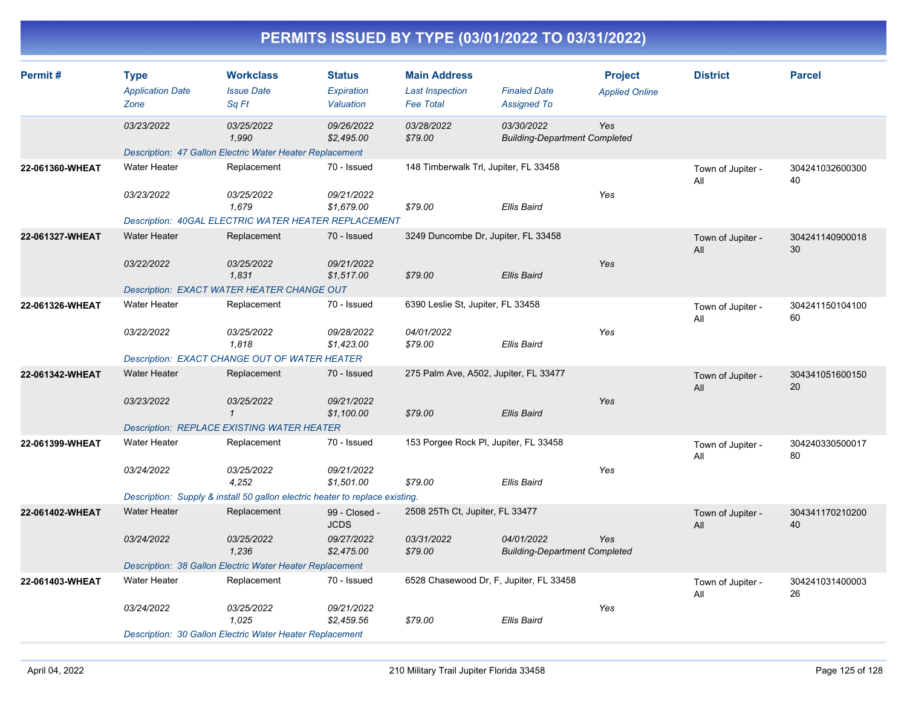|                 |                                                |                                                                                                     |                                          |                                                                   | PERMITS ISSUED BY TYPE (03/01/2022 TO 03/31/2022)  |                                         |                          |                       |
|-----------------|------------------------------------------------|-----------------------------------------------------------------------------------------------------|------------------------------------------|-------------------------------------------------------------------|----------------------------------------------------|-----------------------------------------|--------------------------|-----------------------|
| Permit#         | <b>Type</b><br><b>Application Date</b><br>Zone | <b>Workclass</b><br><b>Issue Date</b><br>Sq Ft                                                      | <b>Status</b><br>Expiration<br>Valuation | <b>Main Address</b><br><b>Last Inspection</b><br><b>Fee Total</b> | <b>Finaled Date</b><br><b>Assigned To</b>          | <b>Project</b><br><b>Applied Online</b> | <b>District</b>          | <b>Parcel</b>         |
|                 | 03/23/2022                                     | 03/25/2022<br>1,990                                                                                 | 09/26/2022<br>\$2,495.00                 | 03/28/2022<br>\$79.00                                             | 03/30/2022<br><b>Building-Department Completed</b> | Yes                                     |                          |                       |
| 22-061360-WHEAT | <b>Water Heater</b>                            | Description: 47 Gallon Electric Water Heater Replacement<br>Replacement                             | 70 - Issued                              |                                                                   | 148 Timberwalk Trl, Jupiter, FL 33458              |                                         | Town of Jupiter -<br>All | 304241032600300<br>40 |
|                 | 03/23/2022                                     | 03/25/2022<br>1,679<br><b>Description: 40GAL ELECTRIC WATER HEATER REPLACEMENT</b>                  | 09/21/2022<br>\$1,679.00                 | \$79.00                                                           | <b>Ellis Baird</b>                                 | Yes                                     |                          |                       |
| 22-061327-WHEAT | <b>Water Heater</b>                            | Replacement                                                                                         | 70 - Issued                              |                                                                   | 3249 Duncombe Dr, Jupiter, FL 33458                |                                         | Town of Jupiter -<br>All | 304241140900018<br>30 |
|                 | 03/22/2022                                     | 03/25/2022<br>1,831<br><b>Description: EXACT WATER HEATER CHANGE OUT</b>                            | 09/21/2022<br>\$1,517.00                 | \$79.00                                                           | <b>Ellis Baird</b>                                 | Yes                                     |                          |                       |
| 22-061326-WHEAT | <b>Water Heater</b>                            | Replacement                                                                                         | 70 - Issued                              | 6390 Leslie St, Jupiter, FL 33458                                 |                                                    |                                         | Town of Jupiter -<br>All | 304241150104100<br>60 |
|                 | 03/22/2022                                     | 03/25/2022<br>1,818<br>Description: EXACT CHANGE OUT OF WATER HEATER                                | 09/28/2022<br>\$1,423.00                 | 04/01/2022<br>\$79.00                                             | <b>Ellis Baird</b>                                 | Yes                                     |                          |                       |
| 22-061342-WHEAT | <b>Water Heater</b>                            | Replacement                                                                                         | 70 - Issued                              |                                                                   | 275 Palm Ave, A502, Jupiter, FL 33477              |                                         | Town of Jupiter -<br>All | 304341051600150<br>20 |
|                 | 03/23/2022                                     | 03/25/2022<br>$\mathcal I$<br><b>Description: REPLACE EXISTING WATER HEATER</b>                     | 09/21/2022<br>\$1,100.00                 | \$79.00                                                           | <b>Ellis Baird</b>                                 | Yes                                     |                          |                       |
| 22-061399-WHEAT | <b>Water Heater</b>                            | Replacement                                                                                         | 70 - Issued                              |                                                                   | 153 Porgee Rock PI, Jupiter, FL 33458              |                                         | Town of Jupiter -<br>All | 304240330500017<br>80 |
|                 | 03/24/2022                                     | 03/25/2022<br>4,252<br>Description: Supply & install 50 gallon electric heater to replace existing. | 09/21/2022<br>\$1,501.00                 | \$79.00                                                           | <b>Ellis Baird</b>                                 | Yes                                     |                          |                       |
| 22-061402-WHEAT | <b>Water Heater</b>                            | Replacement                                                                                         | 99 - Closed -<br><b>JCDS</b>             | 2508 25Th Ct, Jupiter, FL 33477                                   |                                                    |                                         | Town of Jupiter -<br>All | 304341170210200<br>40 |
|                 | 03/24/2022                                     | 03/25/2022<br>1,236                                                                                 | 09/27/2022<br>\$2,475.00                 | 03/31/2022<br>\$79.00                                             | 04/01/2022<br><b>Building-Department Completed</b> | Yes                                     |                          |                       |
| 22-061403-WHEAT | Water Heater                                   | Description: 38 Gallon Electric Water Heater Replacement<br>Replacement                             | 70 - Issued                              |                                                                   | 6528 Chasewood Dr, F, Jupiter, FL 33458            |                                         | Town of Jupiter -<br>All | 304241031400003<br>26 |
|                 | 03/24/2022                                     | 03/25/2022<br>1,025                                                                                 | 09/21/2022<br>\$2,459.56                 | \$79.00                                                           | <b>Ellis Baird</b>                                 | Yes                                     |                          |                       |
|                 |                                                | Description: 30 Gallon Electric Water Heater Replacement                                            |                                          |                                                                   |                                                    |                                         |                          |                       |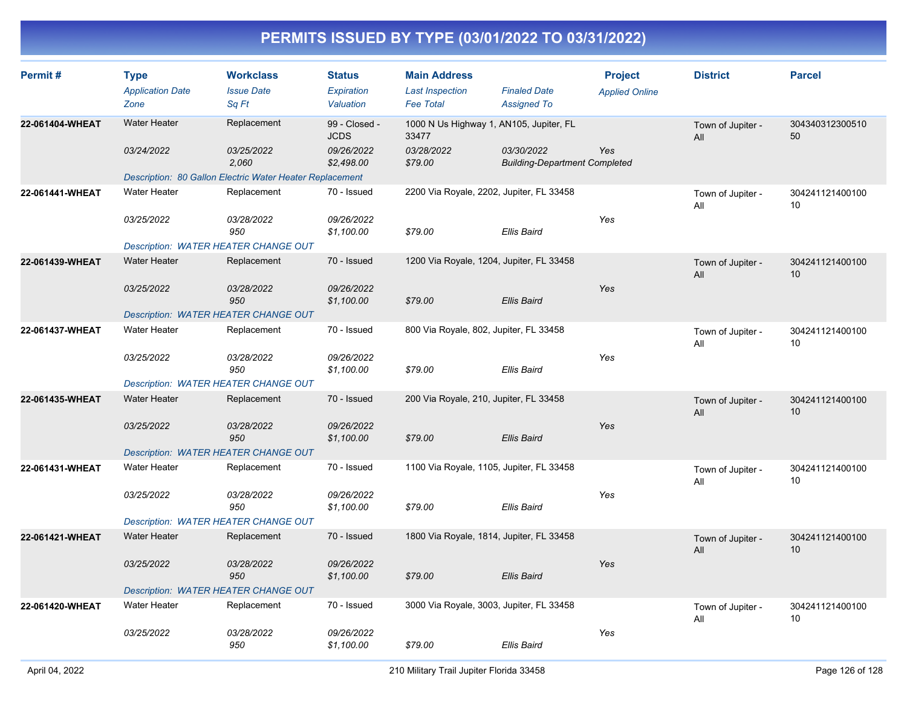| Permit#         | <b>Type</b><br><b>Application Date</b><br>Zone | <b>Workclass</b><br><b>Issue Date</b><br>Sq Ft           | <b>Status</b><br><b>Expiration</b><br>Valuation | <b>Main Address</b><br><b>Last Inspection</b><br><b>Fee Total</b> | <b>Finaled Date</b><br><b>Assigned To</b>          | <b>Project</b><br><b>Applied Online</b> | <b>District</b>          | <b>Parcel</b>         |
|-----------------|------------------------------------------------|----------------------------------------------------------|-------------------------------------------------|-------------------------------------------------------------------|----------------------------------------------------|-----------------------------------------|--------------------------|-----------------------|
| 22-061404-WHEAT | <b>Water Heater</b>                            | Replacement                                              | 99 - Closed -<br><b>JCDS</b>                    | 1000 N Us Highway 1, AN105, Jupiter, FL<br>33477                  |                                                    |                                         | Town of Jupiter -<br>All | 304340312300510<br>50 |
|                 | 03/24/2022                                     | <i>03/25/2022</i><br>2,060                               | 09/26/2022<br>\$2,498.00                        | 03/28/2022<br>\$79.00                                             | 03/30/2022<br><b>Building-Department Completed</b> | Yes                                     |                          |                       |
|                 |                                                | Description: 80 Gallon Electric Water Heater Replacement |                                                 |                                                                   |                                                    |                                         |                          |                       |
| 22-061441-WHEAT | <b>Water Heater</b>                            | Replacement                                              | 70 - Issued                                     | 2200 Via Royale, 2202, Jupiter, FL 33458                          |                                                    |                                         | Town of Jupiter -<br>All | 304241121400100<br>10 |
|                 | 03/25/2022                                     | 03/28/2022<br>950                                        | 09/26/2022<br>\$1,100.00                        | \$79.00                                                           | Ellis Baird                                        | Yes                                     |                          |                       |
|                 | <b>Description: WATER HEATER CHANGE OUT</b>    |                                                          |                                                 |                                                                   |                                                    |                                         |                          |                       |
| 22-061439-WHEAT | <b>Water Heater</b>                            | Replacement                                              | 70 - Issued                                     | 1200 Via Royale, 1204, Jupiter, FL 33458                          |                                                    |                                         | Town of Jupiter -<br>All | 304241121400100<br>10 |
|                 | 03/25/2022                                     | 03/28/2022<br>950                                        | 09/26/2022<br>\$1,100.00                        | \$79.00                                                           | Ellis Baird                                        | Yes                                     |                          |                       |
|                 | <b>Description: WATER HEATER CHANGE OUT</b>    |                                                          |                                                 |                                                                   |                                                    |                                         |                          |                       |
| 22-061437-WHEAT | <b>Water Heater</b>                            | Replacement                                              | 70 - Issued                                     | 800 Via Royale, 802, Jupiter, FL 33458                            |                                                    |                                         | Town of Jupiter -<br>All | 304241121400100<br>10 |
|                 | 03/25/2022                                     | 03/28/2022<br>950                                        | 09/26/2022<br>\$1,100.00                        | \$79.00                                                           | Ellis Baird                                        | Yes                                     |                          |                       |
|                 | Description: WATER HEATER CHANGE OUT           |                                                          |                                                 |                                                                   |                                                    |                                         |                          |                       |
| 22-061435-WHEAT | <b>Water Heater</b>                            | Replacement                                              | 70 - Issued                                     | 200 Via Royale, 210, Jupiter, FL 33458                            |                                                    |                                         | Town of Jupiter -<br>All | 304241121400100<br>10 |
|                 | 03/25/2022                                     | <i>03/28/2022</i><br>950                                 | 09/26/2022<br>\$1,100.00                        | \$79.00                                                           | <b>Ellis Baird</b>                                 | Yes                                     |                          |                       |
|                 | Description: WATER HEATER CHANGE OUT           |                                                          |                                                 |                                                                   |                                                    |                                         |                          |                       |
| 22-061431-WHEAT | <b>Water Heater</b>                            | Replacement                                              | 70 - Issued                                     | 1100 Via Royale, 1105, Jupiter, FL 33458                          |                                                    |                                         | Town of Jupiter -<br>All | 304241121400100<br>10 |
|                 | 03/25/2022                                     | 03/28/2022<br>950                                        | 09/26/2022<br>\$1,100.00                        | \$79.00                                                           | Ellis Baird                                        | Yes                                     |                          |                       |
|                 | <b>Description: WATER HEATER CHANGE OUT</b>    |                                                          |                                                 |                                                                   |                                                    |                                         |                          |                       |
| 22-061421-WHEAT | <b>Water Heater</b>                            | Replacement                                              | 70 - Issued                                     | 1800 Via Royale, 1814, Jupiter, FL 33458                          |                                                    |                                         | Town of Jupiter -<br>All | 304241121400100<br>10 |
|                 | 03/25/2022                                     | <i>03/28/2022</i><br>950                                 | 09/26/2022<br>\$1,100.00                        | \$79.00                                                           | <b>Ellis Baird</b>                                 | Yes                                     |                          |                       |
|                 | <b>Description: WATER HEATER CHANGE OUT</b>    |                                                          |                                                 |                                                                   |                                                    |                                         |                          |                       |
| 22-061420-WHEAT | <b>Water Heater</b>                            | Replacement                                              | 70 - Issued                                     | 3000 Via Royale, 3003, Jupiter, FL 33458                          |                                                    |                                         | Town of Jupiter -<br>All | 304241121400100<br>10 |
|                 | 03/25/2022                                     | 03/28/2022<br>950                                        | 09/26/2022<br>\$1,100.00                        | \$79.00                                                           | Ellis Baird                                        | Yes                                     |                          |                       |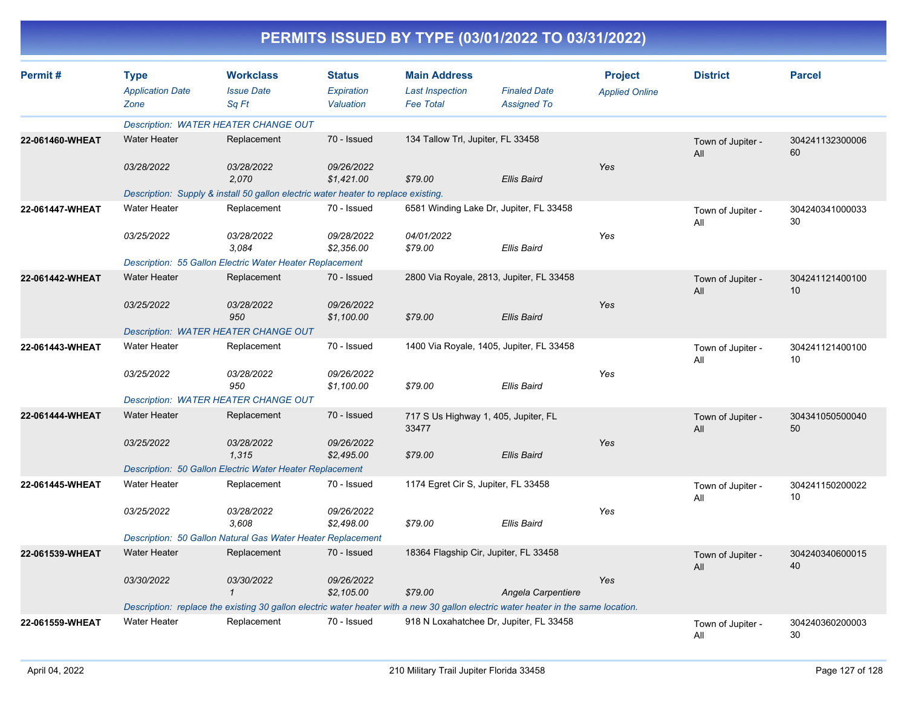| PERMITS ISSUED BY TYPE (03/01/2022 TO 03/31/2022) |
|---------------------------------------------------|
|---------------------------------------------------|

| Permit#         | <b>Type</b><br><b>Application Date</b><br>Zone | <b>Workclass</b><br><b>Issue Date</b><br>Sq Ft                                     | <b>Status</b><br>Expiration<br>Valuation | <b>Main Address</b><br><b>Last Inspection</b><br><b>Fee Total</b> | <b>Finaled Date</b><br><b>Assigned To</b>                                                                                          | <b>Project</b><br><b>Applied Online</b> | <b>District</b>          | <b>Parcel</b>                      |
|-----------------|------------------------------------------------|------------------------------------------------------------------------------------|------------------------------------------|-------------------------------------------------------------------|------------------------------------------------------------------------------------------------------------------------------------|-----------------------------------------|--------------------------|------------------------------------|
|                 |                                                | <b>Description: WATER HEATER CHANGE OUT</b>                                        |                                          |                                                                   |                                                                                                                                    |                                         |                          |                                    |
| 22-061460-WHEAT | <b>Water Heater</b>                            | Replacement                                                                        | 70 - Issued                              | 134 Tallow Trl, Jupiter, FL 33458                                 |                                                                                                                                    |                                         | Town of Jupiter -<br>All | 304241132300006<br>60              |
|                 | 03/28/2022                                     | 03/28/2022<br>2,070                                                                | 09/26/2022<br>\$1,421.00                 | \$79.00                                                           | Ellis Baird                                                                                                                        | Yes                                     |                          |                                    |
|                 |                                                | Description: Supply & install 50 gallon electric water heater to replace existing. |                                          |                                                                   |                                                                                                                                    |                                         |                          |                                    |
| 22-061447-WHEAT | <b>Water Heater</b>                            | Replacement                                                                        | 70 - Issued                              |                                                                   | 6581 Winding Lake Dr, Jupiter, FL 33458                                                                                            |                                         | Town of Jupiter -<br>All | 304240341000033<br>30              |
|                 | 03/25/2022                                     | 03/28/2022<br>3.084                                                                | 09/28/2022<br>\$2,356.00                 | 04/01/2022<br>\$79.00                                             | Ellis Baird                                                                                                                        | Yes                                     |                          |                                    |
|                 |                                                | Description: 55 Gallon Electric Water Heater Replacement                           |                                          |                                                                   |                                                                                                                                    |                                         |                          |                                    |
| 22-061442-WHEAT | <b>Water Heater</b>                            | Replacement                                                                        | 70 - Issued                              |                                                                   | 2800 Via Royale, 2813, Jupiter, FL 33458                                                                                           |                                         | Town of Jupiter -<br>All | 304241121400100<br>10 <sup>°</sup> |
|                 | 03/25/2022                                     | 03/28/2022<br>950                                                                  | 09/26/2022<br>\$1,100.00                 | \$79.00                                                           | <b>Ellis Baird</b>                                                                                                                 | Yes                                     |                          |                                    |
|                 |                                                | Description: WATER HEATER CHANGE OUT                                               |                                          |                                                                   |                                                                                                                                    |                                         |                          |                                    |
| 22-061443-WHEAT | <b>Water Heater</b>                            | Replacement                                                                        | 70 - Issued                              |                                                                   | 1400 Via Royale, 1405, Jupiter, FL 33458                                                                                           |                                         | Town of Jupiter -<br>All | 304241121400100<br>10              |
|                 | 03/25/2022                                     | 03/28/2022<br>950                                                                  | 09/26/2022<br>\$1,100.00                 | \$79.00                                                           | Ellis Baird                                                                                                                        | Yes                                     |                          |                                    |
|                 |                                                | <b>Description: WATER HEATER CHANGE OUT</b>                                        |                                          |                                                                   |                                                                                                                                    |                                         |                          |                                    |
| 22-061444-WHEAT | <b>Water Heater</b>                            | Replacement                                                                        | 70 - Issued                              | 717 S Us Highway 1, 405, Jupiter, FL<br>33477                     |                                                                                                                                    |                                         | Town of Jupiter -<br>All | 304341050500040<br>50              |
|                 | 03/25/2022                                     | 03/28/2022<br>1,315                                                                | 09/26/2022<br>\$2,495.00                 | \$79.00                                                           | <b>Ellis Baird</b>                                                                                                                 | Yes                                     |                          |                                    |
|                 |                                                | Description: 50 Gallon Electric Water Heater Replacement                           |                                          |                                                                   |                                                                                                                                    |                                         |                          |                                    |
| 22-061445-WHEAT | <b>Water Heater</b>                            | Replacement                                                                        | 70 - Issued                              | 1174 Egret Cir S, Jupiter, FL 33458                               |                                                                                                                                    |                                         | Town of Jupiter -<br>All | 304241150200022<br>10              |
|                 | 03/25/2022                                     | 03/28/2022<br>3,608                                                                | 09/26/2022<br>\$2,498.00                 | \$79.00                                                           | Ellis Baird                                                                                                                        | Yes                                     |                          |                                    |
|                 |                                                | Description: 50 Gallon Natural Gas Water Heater Replacement                        |                                          |                                                                   |                                                                                                                                    |                                         |                          |                                    |
| 22-061539-WHEAT | <b>Water Heater</b>                            | Replacement                                                                        | 70 - Issued                              |                                                                   | 18364 Flagship Cir, Jupiter, FL 33458                                                                                              |                                         | Town of Jupiter -<br>All | 304240340600015<br>40              |
|                 | 03/30/2022                                     | 03/30/2022<br>$\mathbf{1}$                                                         | 09/26/2022<br>\$2,105.00                 | \$79.00                                                           | Angela Carpentiere                                                                                                                 | Yes                                     |                          |                                    |
|                 |                                                |                                                                                    |                                          |                                                                   | Description: replace the existing 30 gallon electric water heater with a new 30 gallon electric water heater in the same location. |                                         |                          |                                    |
| 22-061559-WHEAT | <b>Water Heater</b>                            | Replacement                                                                        | 70 - Issued                              |                                                                   | 918 N Loxahatchee Dr, Jupiter, FL 33458                                                                                            |                                         | Town of Jupiter -<br>All | 304240360200003<br>30              |